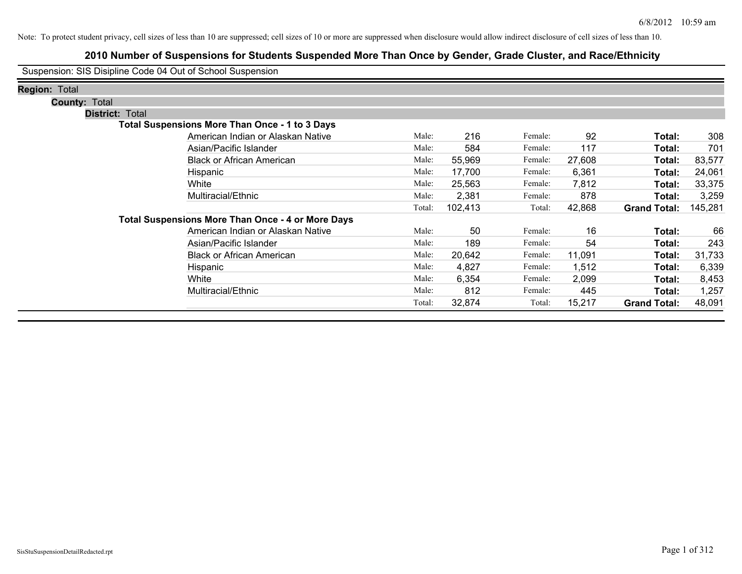| Suspension: SIS Disipline Code 04 Out of School Suspension |                                                          |        |         |         |        |                     |         |
|------------------------------------------------------------|----------------------------------------------------------|--------|---------|---------|--------|---------------------|---------|
| <b>Region: Total</b>                                       |                                                          |        |         |         |        |                     |         |
| <b>County: Total</b>                                       |                                                          |        |         |         |        |                     |         |
| <b>District: Total</b>                                     |                                                          |        |         |         |        |                     |         |
|                                                            | <b>Total Suspensions More Than Once - 1 to 3 Days</b>    |        |         |         |        |                     |         |
|                                                            | American Indian or Alaskan Native                        | Male:  | 216     | Female: | 92     | Total:              | 308     |
|                                                            | Asian/Pacific Islander                                   | Male:  | 584     | Female: | 117    | Total:              | 701     |
|                                                            | <b>Black or African American</b>                         | Male:  | 55,969  | Female: | 27,608 | Total:              | 83,577  |
|                                                            | Hispanic                                                 | Male:  | 17,700  | Female: | 6,361  | Total:              | 24,061  |
|                                                            | White                                                    | Male:  | 25,563  | Female: | 7,812  | Total:              | 33,375  |
|                                                            | Multiracial/Ethnic                                       | Male:  | 2,381   | Female: | 878    | Total:              | 3,259   |
|                                                            |                                                          | Total: | 102,413 | Total:  | 42,868 | <b>Grand Total:</b> | 145,281 |
|                                                            | <b>Total Suspensions More Than Once - 4 or More Days</b> |        |         |         |        |                     |         |
|                                                            | American Indian or Alaskan Native                        | Male:  | 50      | Female: | 16     | Total:              | 66      |
|                                                            | Asian/Pacific Islander                                   | Male:  | 189     | Female: | 54     | Total:              | 243     |
|                                                            | <b>Black or African American</b>                         | Male:  | 20,642  | Female: | 11,091 | Total:              | 31,733  |
|                                                            | Hispanic                                                 | Male:  | 4,827   | Female: | 1,512  | Total:              | 6,339   |
|                                                            | White                                                    | Male:  | 6,354   | Female: | 2,099  | Total:              | 8,453   |
|                                                            | Multiracial/Ethnic                                       | Male:  | 812     | Female: | 445    | Total:              | 1,257   |
|                                                            |                                                          | Total: | 32,874  | Total:  | 15,217 | <b>Grand Total:</b> | 48,091  |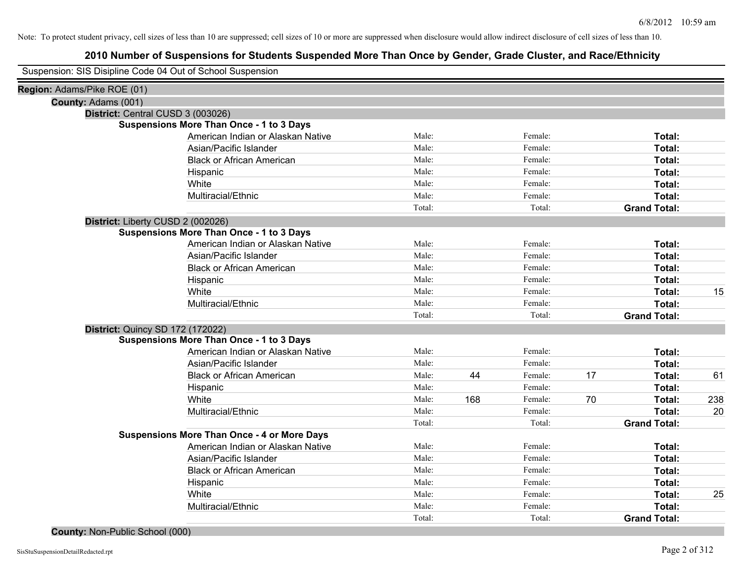# **2010 Number of Suspensions for Students Suspended More Than Once by Gender, Grade Cluster, and Race/Ethnicity**

| Region: Adams/Pike ROE (01) |                                                    |        |     |         |    |                     |     |
|-----------------------------|----------------------------------------------------|--------|-----|---------|----|---------------------|-----|
| County: Adams (001)         |                                                    |        |     |         |    |                     |     |
|                             | District: Central CUSD 3 (003026)                  |        |     |         |    |                     |     |
|                             | <b>Suspensions More Than Once - 1 to 3 Days</b>    |        |     |         |    |                     |     |
|                             | American Indian or Alaskan Native                  | Male:  |     | Female: |    | Total:              |     |
|                             | Asian/Pacific Islander                             | Male:  |     | Female: |    | Total:              |     |
|                             | <b>Black or African American</b>                   | Male:  |     | Female: |    | Total:              |     |
|                             | Hispanic                                           | Male:  |     | Female: |    | Total:              |     |
|                             | White                                              | Male:  |     | Female: |    | Total:              |     |
|                             | Multiracial/Ethnic                                 | Male:  |     | Female: |    | Total:              |     |
|                             |                                                    | Total: |     | Total:  |    | <b>Grand Total:</b> |     |
|                             | District: Liberty CUSD 2 (002026)                  |        |     |         |    |                     |     |
|                             | <b>Suspensions More Than Once - 1 to 3 Days</b>    |        |     |         |    |                     |     |
|                             | American Indian or Alaskan Native                  | Male:  |     | Female: |    | Total:              |     |
|                             | Asian/Pacific Islander                             | Male:  |     | Female: |    | Total:              |     |
|                             | <b>Black or African American</b>                   | Male:  |     | Female: |    | Total:              |     |
|                             | Hispanic                                           | Male:  |     | Female: |    | Total:              |     |
|                             | White                                              | Male:  |     | Female: |    | Total:              | 15  |
|                             | Multiracial/Ethnic                                 | Male:  |     | Female: |    | Total:              |     |
|                             |                                                    | Total: |     | Total:  |    | <b>Grand Total:</b> |     |
|                             | <b>District: Quincy SD 172 (172022)</b>            |        |     |         |    |                     |     |
|                             | <b>Suspensions More Than Once - 1 to 3 Days</b>    |        |     |         |    |                     |     |
|                             | American Indian or Alaskan Native                  | Male:  |     | Female: |    | Total:              |     |
|                             | Asian/Pacific Islander                             | Male:  |     | Female: |    | Total:              |     |
|                             | <b>Black or African American</b>                   | Male:  | 44  | Female: | 17 | Total:              | 61  |
|                             | Hispanic                                           | Male:  |     | Female: |    | Total:              |     |
|                             | White                                              | Male:  | 168 | Female: | 70 | Total:              | 238 |
|                             | Multiracial/Ethnic                                 | Male:  |     | Female: |    | Total:              | 20  |
|                             |                                                    | Total: |     | Total:  |    | <b>Grand Total:</b> |     |
|                             | <b>Suspensions More Than Once - 4 or More Days</b> |        |     |         |    |                     |     |
|                             | American Indian or Alaskan Native                  | Male:  |     | Female: |    | Total:              |     |
|                             | Asian/Pacific Islander                             | Male:  |     | Female: |    | Total:              |     |
|                             | <b>Black or African American</b>                   | Male:  |     | Female: |    | Total:              |     |
|                             | Hispanic                                           | Male:  |     | Female: |    | Total:              |     |
|                             | White                                              | Male:  |     | Female: |    | Total:              | 25  |
|                             | Multiracial/Ethnic                                 | Male:  |     | Female: |    | Total:              |     |
|                             |                                                    | Total: |     | Total:  |    | <b>Grand Total:</b> |     |
|                             |                                                    |        |     |         |    |                     |     |

### **County:** Non-Public School (000)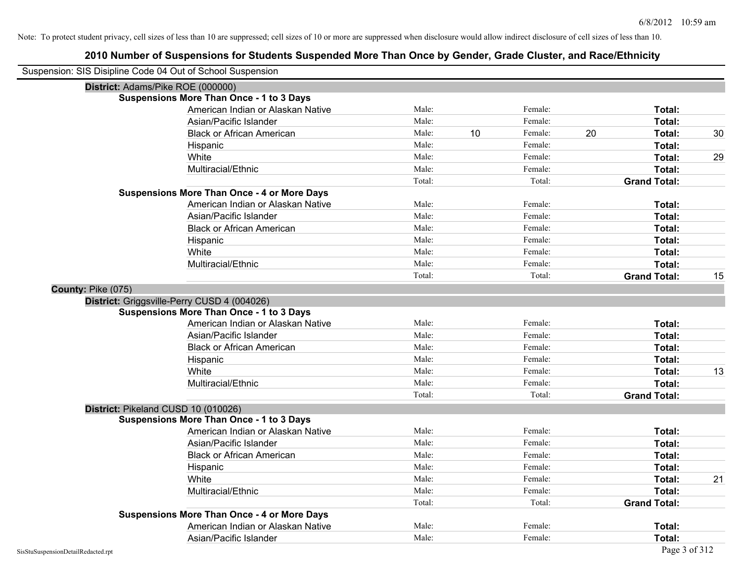| Suspension: SIS Disipline Code 04 Out of School Suspension |                                                    |        |    |         |                     |               |    |
|------------------------------------------------------------|----------------------------------------------------|--------|----|---------|---------------------|---------------|----|
| District: Adams/Pike ROE (000000)                          |                                                    |        |    |         |                     |               |    |
|                                                            | <b>Suspensions More Than Once - 1 to 3 Days</b>    |        |    |         |                     |               |    |
|                                                            | American Indian or Alaskan Native                  | Male:  |    | Female: |                     | Total:        |    |
|                                                            | Asian/Pacific Islander                             | Male:  |    | Female: |                     | <b>Total:</b> |    |
|                                                            | <b>Black or African American</b>                   | Male:  | 10 | Female: | 20                  | Total:        | 30 |
|                                                            | Hispanic                                           | Male:  |    | Female: |                     | Total:        |    |
|                                                            | White                                              | Male:  |    | Female: |                     | Total:        | 29 |
|                                                            | Multiracial/Ethnic                                 | Male:  |    | Female: |                     | Total:        |    |
|                                                            |                                                    | Total: |    | Total:  | <b>Grand Total:</b> |               |    |
|                                                            | <b>Suspensions More Than Once - 4 or More Days</b> |        |    |         |                     |               |    |
|                                                            | American Indian or Alaskan Native                  | Male:  |    | Female: |                     | Total:        |    |
|                                                            | Asian/Pacific Islander                             | Male:  |    | Female: |                     | Total:        |    |
|                                                            | <b>Black or African American</b>                   | Male:  |    | Female: |                     | Total:        |    |
|                                                            | Hispanic                                           | Male:  |    | Female: |                     | Total:        |    |
|                                                            | White                                              | Male:  |    | Female: |                     | Total:        |    |
|                                                            | Multiracial/Ethnic                                 | Male:  |    | Female: |                     | Total:        |    |
|                                                            |                                                    | Total: |    | Total:  | <b>Grand Total:</b> |               | 15 |
| County: Pike (075)                                         |                                                    |        |    |         |                     |               |    |
|                                                            | District: Griggsville-Perry CUSD 4 (004026)        |        |    |         |                     |               |    |
|                                                            | <b>Suspensions More Than Once - 1 to 3 Days</b>    |        |    |         |                     |               |    |
|                                                            | American Indian or Alaskan Native                  | Male:  |    | Female: |                     | Total:        |    |
|                                                            | Asian/Pacific Islander                             | Male:  |    | Female: |                     | Total:        |    |
|                                                            | <b>Black or African American</b>                   | Male:  |    | Female: |                     | Total:        |    |
|                                                            | Hispanic                                           | Male:  |    | Female: |                     | Total:        |    |
|                                                            | White                                              | Male:  |    | Female: |                     | Total:        | 13 |
|                                                            | Multiracial/Ethnic                                 | Male:  |    | Female: |                     | Total:        |    |
|                                                            |                                                    | Total: |    | Total:  | <b>Grand Total:</b> |               |    |
| District: Pikeland CUSD 10 (010026)                        |                                                    |        |    |         |                     |               |    |
|                                                            | <b>Suspensions More Than Once - 1 to 3 Days</b>    |        |    |         |                     |               |    |
|                                                            | American Indian or Alaskan Native                  | Male:  |    | Female: |                     | Total:        |    |
|                                                            | Asian/Pacific Islander                             | Male:  |    | Female: |                     | Total:        |    |
|                                                            | <b>Black or African American</b>                   | Male:  |    | Female: |                     | <b>Total:</b> |    |
|                                                            | Hispanic                                           | Male:  |    | Female: |                     | Total:        |    |
|                                                            | White                                              | Male:  |    | Female: |                     | Total:        | 21 |
|                                                            | Multiracial/Ethnic                                 | Male:  |    | Female: |                     | Total:        |    |
|                                                            |                                                    | Total: |    | Total:  | <b>Grand Total:</b> |               |    |
|                                                            | <b>Suspensions More Than Once - 4 or More Days</b> |        |    |         |                     |               |    |
|                                                            | American Indian or Alaskan Native                  | Male:  |    | Female: |                     | Total:        |    |
|                                                            | Asian/Pacific Islander                             | Male:  |    | Female: |                     | Total:        |    |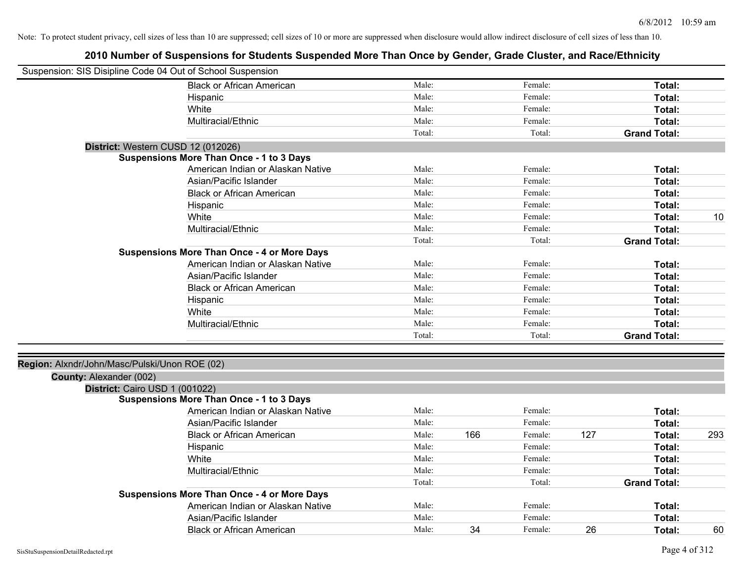| Suspension: SIS Disipline Code 04 Out of School Suspension |                                                    |        |     |         |     |                     |     |
|------------------------------------------------------------|----------------------------------------------------|--------|-----|---------|-----|---------------------|-----|
|                                                            | <b>Black or African American</b>                   | Male:  |     | Female: |     | Total:              |     |
|                                                            | Hispanic                                           | Male:  |     | Female: |     | Total:              |     |
|                                                            | White                                              | Male:  |     | Female: |     | Total:              |     |
|                                                            | Multiracial/Ethnic                                 | Male:  |     | Female: |     | Total:              |     |
|                                                            |                                                    | Total: |     | Total:  |     | <b>Grand Total:</b> |     |
| District: Western CUSD 12 (012026)                         |                                                    |        |     |         |     |                     |     |
|                                                            | <b>Suspensions More Than Once - 1 to 3 Days</b>    |        |     |         |     |                     |     |
|                                                            | American Indian or Alaskan Native                  | Male:  |     | Female: |     | Total:              |     |
|                                                            | Asian/Pacific Islander                             | Male:  |     | Female: |     | Total:              |     |
|                                                            | <b>Black or African American</b>                   | Male:  |     | Female: |     | Total:              |     |
|                                                            | Hispanic                                           | Male:  |     | Female: |     | Total:              |     |
|                                                            | White                                              | Male:  |     | Female: |     | Total:              | 10  |
|                                                            | Multiracial/Ethnic                                 | Male:  |     | Female: |     | Total:              |     |
|                                                            |                                                    | Total: |     | Total:  |     | <b>Grand Total:</b> |     |
|                                                            | <b>Suspensions More Than Once - 4 or More Days</b> |        |     |         |     |                     |     |
|                                                            | American Indian or Alaskan Native                  | Male:  |     | Female: |     | Total:              |     |
|                                                            | Asian/Pacific Islander                             | Male:  |     | Female: |     | Total:              |     |
|                                                            | <b>Black or African American</b>                   | Male:  |     | Female: |     | Total:              |     |
|                                                            | Hispanic                                           | Male:  |     | Female: |     | Total:              |     |
|                                                            | White                                              | Male:  |     | Female: |     | <b>Total:</b>       |     |
|                                                            | Multiracial/Ethnic                                 | Male:  |     | Female: |     | Total:              |     |
|                                                            |                                                    | Total: |     | Total:  |     | <b>Grand Total:</b> |     |
|                                                            |                                                    |        |     |         |     |                     |     |
| Region: Alxndr/John/Masc/Pulski/Unon ROE (02)              |                                                    |        |     |         |     |                     |     |
| County: Alexander (002)                                    |                                                    |        |     |         |     |                     |     |
| District: Cairo USD 1 (001022)                             |                                                    |        |     |         |     |                     |     |
|                                                            | <b>Suspensions More Than Once - 1 to 3 Days</b>    |        |     |         |     |                     |     |
|                                                            | American Indian or Alaskan Native                  | Male:  |     | Female: |     | Total:              |     |
|                                                            | Asian/Pacific Islander                             | Male:  |     | Female: |     | Total:              |     |
|                                                            | <b>Black or African American</b>                   | Male:  | 166 | Female: | 127 | Total:              | 293 |
|                                                            | Hispanic                                           | Male:  |     | Female: |     | Total:              |     |
|                                                            | White                                              | Male:  |     | Female: |     | Total:              |     |
|                                                            | Multiracial/Ethnic                                 | Male:  |     | Female: |     | Total:              |     |
|                                                            |                                                    | Total: |     | Total:  |     | <b>Grand Total:</b> |     |
|                                                            | <b>Suspensions More Than Once - 4 or More Days</b> |        |     |         |     |                     |     |
|                                                            | American Indian or Alaskan Native                  | Male:  |     | Female: |     | Total:              |     |
|                                                            | Asian/Pacific Islander                             | Male:  |     | Female: |     | Total:              |     |
|                                                            | <b>Black or African American</b>                   | Male:  | 34  | Female: | 26  | Total:              | 60  |
|                                                            |                                                    |        |     |         |     |                     |     |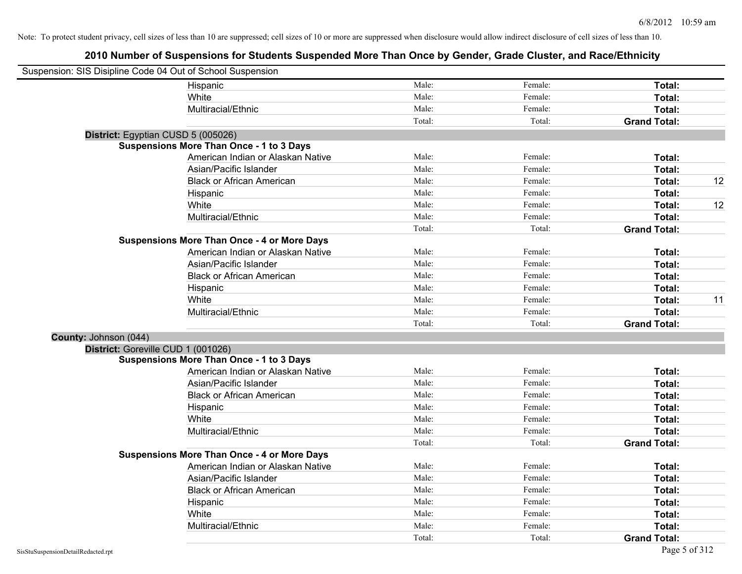| Suspension: SIS Disipline Code 04 Out of School Suspension |                                                    |        |         |                     |    |
|------------------------------------------------------------|----------------------------------------------------|--------|---------|---------------------|----|
|                                                            | Hispanic                                           | Male:  | Female: | Total:              |    |
|                                                            | White                                              | Male:  | Female: | Total:              |    |
|                                                            | Multiracial/Ethnic                                 | Male:  | Female: | Total:              |    |
|                                                            |                                                    | Total: | Total:  | <b>Grand Total:</b> |    |
| District: Egyptian CUSD 5 (005026)                         |                                                    |        |         |                     |    |
|                                                            | <b>Suspensions More Than Once - 1 to 3 Days</b>    |        |         |                     |    |
|                                                            | American Indian or Alaskan Native                  | Male:  | Female: | Total:              |    |
|                                                            | Asian/Pacific Islander                             | Male:  | Female: | Total:              |    |
|                                                            | <b>Black or African American</b>                   | Male:  | Female: | Total:              | 12 |
|                                                            | Hispanic                                           | Male:  | Female: | Total:              |    |
|                                                            | White                                              | Male:  | Female: | Total:              | 12 |
|                                                            | Multiracial/Ethnic                                 | Male:  | Female: | Total:              |    |
|                                                            |                                                    | Total: | Total:  | <b>Grand Total:</b> |    |
|                                                            | <b>Suspensions More Than Once - 4 or More Days</b> |        |         |                     |    |
|                                                            | American Indian or Alaskan Native                  | Male:  | Female: | Total:              |    |
|                                                            | Asian/Pacific Islander                             | Male:  | Female: | Total:              |    |
|                                                            | <b>Black or African American</b>                   | Male:  | Female: | Total:              |    |
|                                                            | Hispanic                                           | Male:  | Female: | Total:              |    |
|                                                            | White                                              | Male:  | Female: | Total:              | 11 |
|                                                            | Multiracial/Ethnic                                 | Male:  | Female: | Total:              |    |
|                                                            |                                                    | Total: | Total:  | <b>Grand Total:</b> |    |
| County: Johnson (044)                                      |                                                    |        |         |                     |    |
| District: Goreville CUD 1 (001026)                         |                                                    |        |         |                     |    |
|                                                            | <b>Suspensions More Than Once - 1 to 3 Days</b>    |        |         |                     |    |
|                                                            | American Indian or Alaskan Native                  | Male:  | Female: | Total:              |    |
|                                                            | Asian/Pacific Islander                             | Male:  | Female: | Total:              |    |
|                                                            | <b>Black or African American</b>                   | Male:  | Female: | Total:              |    |
|                                                            | Hispanic                                           | Male:  | Female: | Total:              |    |
|                                                            | White                                              | Male:  | Female: | Total:              |    |
|                                                            | Multiracial/Ethnic                                 | Male:  | Female: | Total:              |    |
|                                                            |                                                    | Total: | Total:  | <b>Grand Total:</b> |    |
|                                                            | <b>Suspensions More Than Once - 4 or More Days</b> |        |         |                     |    |
|                                                            | American Indian or Alaskan Native                  | Male:  | Female: | Total:              |    |
|                                                            | Asian/Pacific Islander                             | Male:  | Female: | Total:              |    |
|                                                            | <b>Black or African American</b>                   | Male:  | Female: | Total:              |    |
|                                                            | Hispanic                                           | Male:  | Female: | Total:              |    |
|                                                            | White                                              | Male:  | Female: | Total:              |    |
|                                                            | Multiracial/Ethnic                                 | Male:  | Female: | Total:              |    |
|                                                            |                                                    | Total: | Total:  | <b>Grand Total:</b> |    |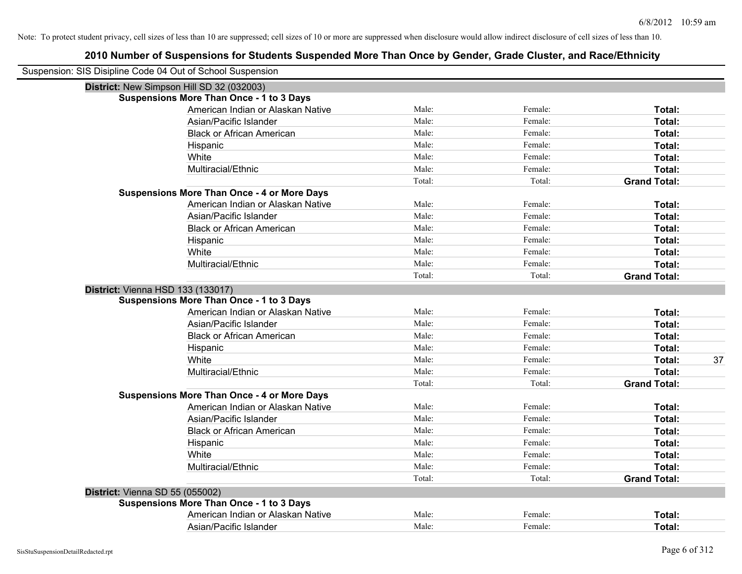| Suspension: SIS Disipline Code 04 Out of School Suspension |                                                    |        |         |                     |
|------------------------------------------------------------|----------------------------------------------------|--------|---------|---------------------|
| District: New Simpson Hill SD 32 (032003)                  |                                                    |        |         |                     |
|                                                            | <b>Suspensions More Than Once - 1 to 3 Days</b>    |        |         |                     |
|                                                            | American Indian or Alaskan Native                  | Male:  | Female: | Total:              |
|                                                            | Asian/Pacific Islander                             | Male:  | Female: | Total:              |
|                                                            | <b>Black or African American</b>                   | Male:  | Female: | Total:              |
|                                                            | Hispanic                                           | Male:  | Female: | Total:              |
|                                                            | White                                              | Male:  | Female: | Total:              |
|                                                            | Multiracial/Ethnic                                 | Male:  | Female: | Total:              |
|                                                            |                                                    | Total: | Total:  | <b>Grand Total:</b> |
|                                                            | <b>Suspensions More Than Once - 4 or More Days</b> |        |         |                     |
|                                                            | American Indian or Alaskan Native                  | Male:  | Female: | Total:              |
|                                                            | Asian/Pacific Islander                             | Male:  | Female: | Total:              |
|                                                            | <b>Black or African American</b>                   | Male:  | Female: | Total:              |
|                                                            | Hispanic                                           | Male:  | Female: | Total:              |
|                                                            | White                                              | Male:  | Female: | Total:              |
|                                                            | Multiracial/Ethnic                                 | Male:  | Female: | Total:              |
|                                                            |                                                    | Total: | Total:  | <b>Grand Total:</b> |
| District: Vienna HSD 133 (133017)                          |                                                    |        |         |                     |
|                                                            | <b>Suspensions More Than Once - 1 to 3 Days</b>    |        |         |                     |
|                                                            | American Indian or Alaskan Native                  | Male:  | Female: | Total:              |
|                                                            | Asian/Pacific Islander                             | Male:  | Female: | Total:              |
|                                                            | <b>Black or African American</b>                   | Male:  | Female: | Total:              |
|                                                            | Hispanic                                           | Male:  | Female: | Total:              |
|                                                            | White                                              | Male:  | Female: | 37<br>Total:        |
|                                                            | Multiracial/Ethnic                                 | Male:  | Female: | Total:              |
|                                                            |                                                    | Total: | Total:  | <b>Grand Total:</b> |
|                                                            | <b>Suspensions More Than Once - 4 or More Days</b> |        |         |                     |
|                                                            | American Indian or Alaskan Native                  | Male:  | Female: | Total:              |
|                                                            | Asian/Pacific Islander                             | Male:  | Female: | Total:              |
|                                                            | <b>Black or African American</b>                   | Male:  | Female: | Total:              |
|                                                            | Hispanic                                           | Male:  | Female: | Total:              |
|                                                            | White                                              | Male:  | Female: | Total:              |
|                                                            | Multiracial/Ethnic                                 | Male:  | Female: | Total:              |
|                                                            |                                                    | Total: | Total:  | <b>Grand Total:</b> |
| District: Vienna SD 55 (055002)                            |                                                    |        |         |                     |
|                                                            | <b>Suspensions More Than Once - 1 to 3 Days</b>    |        |         |                     |
|                                                            | American Indian or Alaskan Native                  | Male:  | Female: | Total:              |
|                                                            | Asian/Pacific Islander                             | Male:  | Female: | Total:              |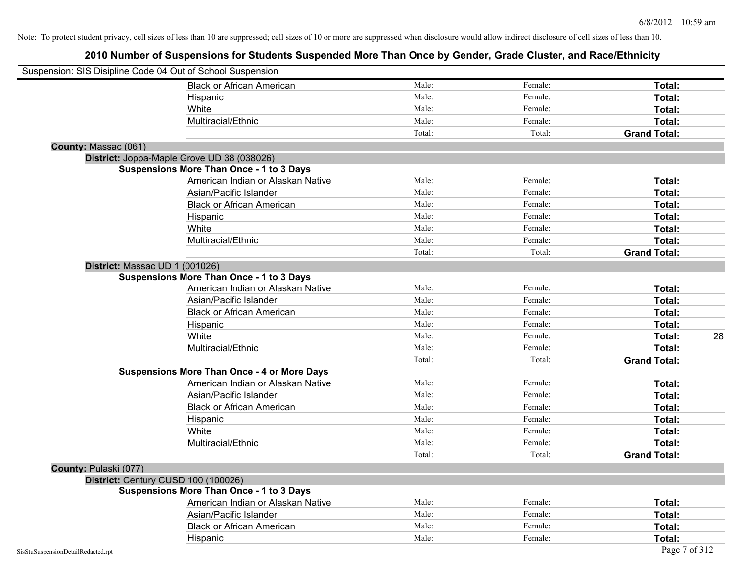|                                    | Suspension: SIS Disipline Code 04 Out of School Suspension |        |         |                     |
|------------------------------------|------------------------------------------------------------|--------|---------|---------------------|
|                                    | <b>Black or African American</b>                           | Male:  | Female: | Total:              |
|                                    | Hispanic                                                   | Male:  | Female: | Total:              |
|                                    | White                                                      | Male:  | Female: | Total:              |
|                                    | Multiracial/Ethnic                                         | Male:  | Female: | Total:              |
|                                    |                                                            | Total: | Total:  | <b>Grand Total:</b> |
| County: Massac (061)               |                                                            |        |         |                     |
|                                    | District: Joppa-Maple Grove UD 38 (038026)                 |        |         |                     |
|                                    | <b>Suspensions More Than Once - 1 to 3 Days</b>            |        |         |                     |
|                                    | American Indian or Alaskan Native                          | Male:  | Female: | Total:              |
|                                    | Asian/Pacific Islander                                     | Male:  | Female: | Total:              |
|                                    | <b>Black or African American</b>                           | Male:  | Female: | Total:              |
|                                    | Hispanic                                                   | Male:  | Female: | Total:              |
|                                    | White                                                      | Male:  | Female: | Total:              |
|                                    | Multiracial/Ethnic                                         | Male:  | Female: | Total:              |
|                                    |                                                            | Total: | Total:  | <b>Grand Total:</b> |
|                                    | District: Massac UD 1 (001026)                             |        |         |                     |
|                                    | <b>Suspensions More Than Once - 1 to 3 Days</b>            |        |         |                     |
|                                    | American Indian or Alaskan Native                          | Male:  | Female: | Total:              |
|                                    | Asian/Pacific Islander                                     | Male:  | Female: | Total:              |
|                                    | <b>Black or African American</b>                           | Male:  | Female: | Total:              |
|                                    | Hispanic                                                   | Male:  | Female: | Total:              |
|                                    | White                                                      | Male:  | Female: | 28<br>Total:        |
|                                    | Multiracial/Ethnic                                         | Male:  | Female: | Total:              |
|                                    |                                                            | Total: | Total:  | <b>Grand Total:</b> |
|                                    | <b>Suspensions More Than Once - 4 or More Days</b>         |        |         |                     |
|                                    | American Indian or Alaskan Native                          | Male:  | Female: | Total:              |
|                                    | Asian/Pacific Islander                                     | Male:  | Female: | Total:              |
|                                    | <b>Black or African American</b>                           | Male:  | Female: | Total:              |
|                                    | Hispanic                                                   | Male:  | Female: | Total:              |
|                                    | White                                                      | Male:  | Female: | Total:              |
|                                    | Multiracial/Ethnic                                         | Male:  | Female: | Total:              |
|                                    |                                                            | Total: | Total:  | <b>Grand Total:</b> |
| County: Pulaski (077)              |                                                            |        |         |                     |
|                                    | District: Century CUSD 100 (100026)                        |        |         |                     |
|                                    | <b>Suspensions More Than Once - 1 to 3 Days</b>            |        |         |                     |
|                                    | American Indian or Alaskan Native                          | Male:  | Female: | Total:              |
|                                    | Asian/Pacific Islander                                     | Male:  | Female: | Total:              |
|                                    | <b>Black or African American</b>                           | Male:  | Female: | Total:              |
|                                    | Hispanic                                                   | Male:  | Female: | Total:              |
| SisStuSuspensionDetailRedacted.rpt |                                                            |        |         | Page 7 of 312       |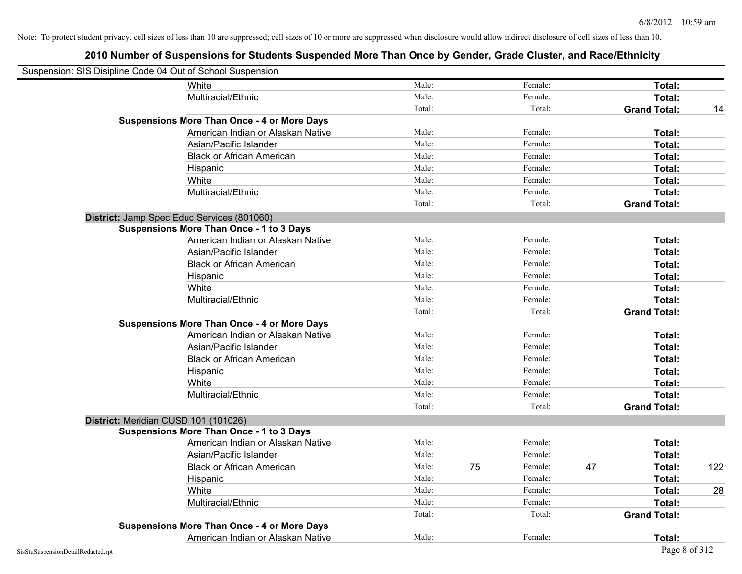| Suspension: SIS Disipline Code 04 Out of School Suspension |                                                    |        |    |         |    |                     |     |
|------------------------------------------------------------|----------------------------------------------------|--------|----|---------|----|---------------------|-----|
|                                                            | White                                              | Male:  |    | Female: |    | Total:              |     |
|                                                            | Multiracial/Ethnic                                 | Male:  |    | Female: |    | Total:              |     |
|                                                            |                                                    | Total: |    | Total:  |    | <b>Grand Total:</b> | 14  |
|                                                            | <b>Suspensions More Than Once - 4 or More Days</b> |        |    |         |    |                     |     |
|                                                            | American Indian or Alaskan Native                  | Male:  |    | Female: |    | Total:              |     |
|                                                            | Asian/Pacific Islander                             | Male:  |    | Female: |    | Total:              |     |
|                                                            | <b>Black or African American</b>                   | Male:  |    | Female: |    | Total:              |     |
|                                                            | Hispanic                                           | Male:  |    | Female: |    | Total:              |     |
|                                                            | White                                              | Male:  |    | Female: |    | Total:              |     |
|                                                            | Multiracial/Ethnic                                 | Male:  |    | Female: |    | Total:              |     |
|                                                            |                                                    | Total: |    | Total:  |    | <b>Grand Total:</b> |     |
|                                                            | District: Jamp Spec Educ Services (801060)         |        |    |         |    |                     |     |
|                                                            | <b>Suspensions More Than Once - 1 to 3 Days</b>    |        |    |         |    |                     |     |
|                                                            | American Indian or Alaskan Native                  | Male:  |    | Female: |    | Total:              |     |
|                                                            | Asian/Pacific Islander                             | Male:  |    | Female: |    | Total:              |     |
|                                                            | <b>Black or African American</b>                   | Male:  |    | Female: |    | Total:              |     |
|                                                            | Hispanic                                           | Male:  |    | Female: |    | Total:              |     |
|                                                            | White                                              | Male:  |    | Female: |    | Total:              |     |
|                                                            | Multiracial/Ethnic                                 | Male:  |    | Female: |    | Total:              |     |
|                                                            |                                                    | Total: |    | Total:  |    | <b>Grand Total:</b> |     |
|                                                            | <b>Suspensions More Than Once - 4 or More Days</b> |        |    |         |    |                     |     |
|                                                            | American Indian or Alaskan Native                  | Male:  |    | Female: |    | Total:              |     |
|                                                            | Asian/Pacific Islander                             | Male:  |    | Female: |    | Total:              |     |
|                                                            | <b>Black or African American</b>                   | Male:  |    | Female: |    | Total:              |     |
|                                                            | Hispanic                                           | Male:  |    | Female: |    | Total:              |     |
|                                                            | White                                              | Male:  |    | Female: |    | Total:              |     |
|                                                            | Multiracial/Ethnic                                 | Male:  |    | Female: |    | Total:              |     |
|                                                            |                                                    | Total: |    | Total:  |    | <b>Grand Total:</b> |     |
|                                                            | District: Meridian CUSD 101 (101026)               |        |    |         |    |                     |     |
|                                                            | <b>Suspensions More Than Once - 1 to 3 Days</b>    |        |    |         |    |                     |     |
|                                                            | American Indian or Alaskan Native                  | Male:  |    | Female: |    | Total:              |     |
|                                                            | Asian/Pacific Islander                             | Male:  |    | Female: |    | Total:              |     |
|                                                            | <b>Black or African American</b>                   | Male:  | 75 | Female: | 47 | Total:              | 122 |
|                                                            | Hispanic                                           | Male:  |    | Female: |    | Total:              |     |
|                                                            | White                                              | Male:  |    | Female: |    | Total:              | 28  |
|                                                            | Multiracial/Ethnic                                 | Male:  |    | Female: |    | Total:              |     |
|                                                            |                                                    | Total: |    | Total:  |    | <b>Grand Total:</b> |     |
|                                                            | <b>Suspensions More Than Once - 4 or More Days</b> |        |    |         |    |                     |     |
|                                                            | American Indian or Alaskan Native                  | Male:  |    | Female: |    | Total:              |     |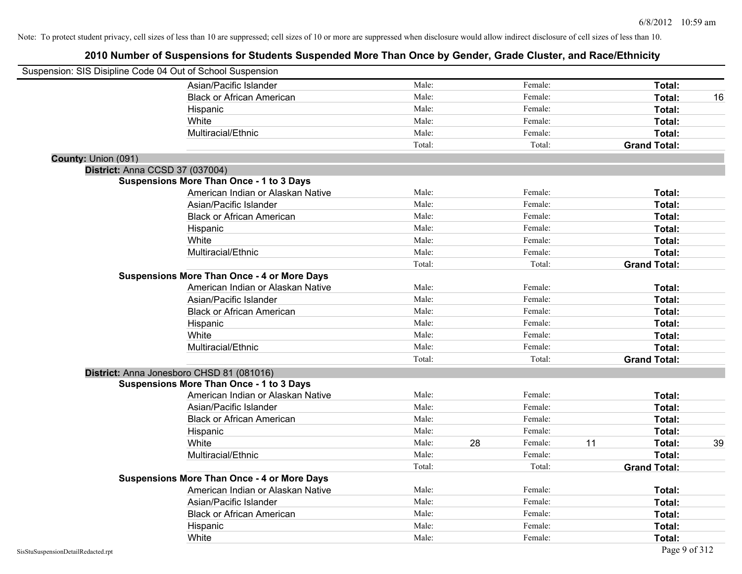| Suspension: SIS Disipline Code 04 Out of School Suspension |                                                    |        |    |         |    |                     |    |
|------------------------------------------------------------|----------------------------------------------------|--------|----|---------|----|---------------------|----|
|                                                            | Asian/Pacific Islander                             | Male:  |    | Female: |    | Total:              |    |
|                                                            | <b>Black or African American</b>                   | Male:  |    | Female: |    | Total:              | 16 |
|                                                            | Hispanic                                           | Male:  |    | Female: |    | Total:              |    |
|                                                            | White                                              | Male:  |    | Female: |    | Total:              |    |
|                                                            | Multiracial/Ethnic                                 | Male:  |    | Female: |    | Total:              |    |
|                                                            |                                                    | Total: |    | Total:  |    | <b>Grand Total:</b> |    |
| County: Union (091)                                        |                                                    |        |    |         |    |                     |    |
| District: Anna CCSD 37 (037004)                            |                                                    |        |    |         |    |                     |    |
|                                                            | <b>Suspensions More Than Once - 1 to 3 Days</b>    |        |    |         |    |                     |    |
|                                                            | American Indian or Alaskan Native                  | Male:  |    | Female: |    | Total:              |    |
|                                                            | Asian/Pacific Islander                             | Male:  |    | Female: |    | Total:              |    |
|                                                            | <b>Black or African American</b>                   | Male:  |    | Female: |    | Total:              |    |
|                                                            | Hispanic                                           | Male:  |    | Female: |    | Total:              |    |
|                                                            | White                                              | Male:  |    | Female: |    | Total:              |    |
|                                                            | Multiracial/Ethnic                                 | Male:  |    | Female: |    | Total:              |    |
|                                                            |                                                    | Total: |    | Total:  |    | <b>Grand Total:</b> |    |
|                                                            | <b>Suspensions More Than Once - 4 or More Days</b> |        |    |         |    |                     |    |
|                                                            | American Indian or Alaskan Native                  | Male:  |    | Female: |    | Total:              |    |
|                                                            | Asian/Pacific Islander                             | Male:  |    | Female: |    | Total:              |    |
|                                                            | <b>Black or African American</b>                   | Male:  |    | Female: |    | Total:              |    |
|                                                            | Hispanic                                           | Male:  |    | Female: |    | Total:              |    |
|                                                            | White                                              | Male:  |    | Female: |    | Total:              |    |
|                                                            | Multiracial/Ethnic                                 | Male:  |    | Female: |    | Total:              |    |
|                                                            |                                                    | Total: |    | Total:  |    | <b>Grand Total:</b> |    |
|                                                            | District: Anna Jonesboro CHSD 81 (081016)          |        |    |         |    |                     |    |
|                                                            | <b>Suspensions More Than Once - 1 to 3 Days</b>    |        |    |         |    |                     |    |
|                                                            | American Indian or Alaskan Native                  | Male:  |    | Female: |    | Total:              |    |
|                                                            | Asian/Pacific Islander                             | Male:  |    | Female: |    | Total:              |    |
|                                                            | <b>Black or African American</b>                   | Male:  |    | Female: |    | Total:              |    |
|                                                            | Hispanic                                           | Male:  |    | Female: |    | Total:              |    |
|                                                            | White                                              | Male:  | 28 | Female: | 11 | Total:              | 39 |
|                                                            | Multiracial/Ethnic                                 | Male:  |    | Female: |    | Total:              |    |
|                                                            |                                                    | Total: |    | Total:  |    | <b>Grand Total:</b> |    |
|                                                            | <b>Suspensions More Than Once - 4 or More Days</b> |        |    |         |    |                     |    |
|                                                            | American Indian or Alaskan Native                  | Male:  |    | Female: |    | Total:              |    |
|                                                            | Asian/Pacific Islander                             | Male:  |    | Female: |    | Total:              |    |
|                                                            | <b>Black or African American</b>                   | Male:  |    | Female: |    | Total:              |    |
|                                                            | Hispanic                                           | Male:  |    | Female: |    | Total:              |    |
|                                                            | White                                              | Male:  |    | Female: |    | Total:              |    |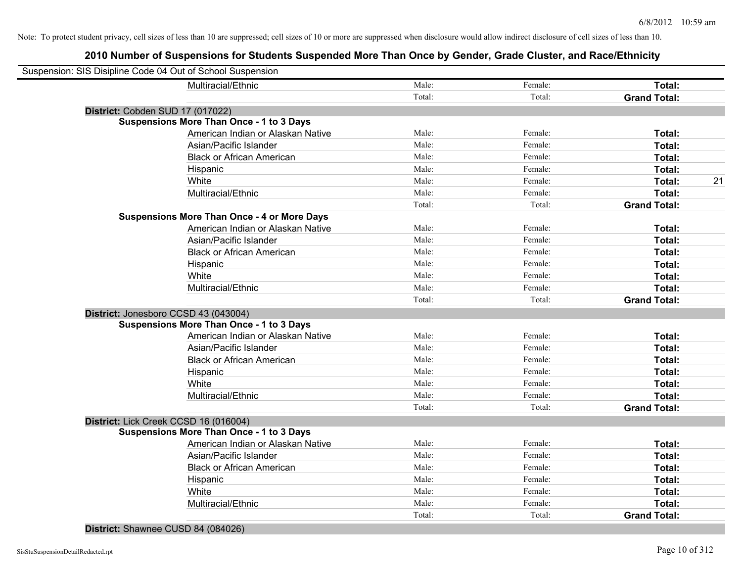| Suspension: SIS Disipline Code 04 Out of School Suspension |        |         |                     |    |
|------------------------------------------------------------|--------|---------|---------------------|----|
| Multiracial/Ethnic                                         | Male:  | Female: | Total:              |    |
|                                                            | Total: | Total:  | <b>Grand Total:</b> |    |
| District: Cobden SUD 17 (017022)                           |        |         |                     |    |
| <b>Suspensions More Than Once - 1 to 3 Days</b>            |        |         |                     |    |
| American Indian or Alaskan Native                          | Male:  | Female: | Total:              |    |
| Asian/Pacific Islander                                     | Male:  | Female: | Total:              |    |
| <b>Black or African American</b>                           | Male:  | Female: | Total:              |    |
| Hispanic                                                   | Male:  | Female: | Total:              |    |
| White                                                      | Male:  | Female: | Total:              | 21 |
| Multiracial/Ethnic                                         | Male:  | Female: | Total:              |    |
|                                                            | Total: | Total:  | <b>Grand Total:</b> |    |
| <b>Suspensions More Than Once - 4 or More Days</b>         |        |         |                     |    |
| American Indian or Alaskan Native                          | Male:  | Female: | Total:              |    |
| Asian/Pacific Islander                                     | Male:  | Female: | Total:              |    |
| <b>Black or African American</b>                           | Male:  | Female: | Total:              |    |
| Hispanic                                                   | Male:  | Female: | Total:              |    |
| White                                                      | Male:  | Female: | Total:              |    |
| Multiracial/Ethnic                                         | Male:  | Female: | Total:              |    |
|                                                            | Total: | Total:  | <b>Grand Total:</b> |    |
| District: Jonesboro CCSD 43 (043004)                       |        |         |                     |    |
| <b>Suspensions More Than Once - 1 to 3 Days</b>            |        |         |                     |    |
| American Indian or Alaskan Native                          | Male:  | Female: | Total:              |    |
| Asian/Pacific Islander                                     | Male:  | Female: | Total:              |    |
| <b>Black or African American</b>                           | Male:  | Female: | Total:              |    |
| Hispanic                                                   | Male:  | Female: | Total:              |    |
| White                                                      | Male:  | Female: | Total:              |    |
| Multiracial/Ethnic                                         | Male:  | Female: | Total:              |    |
|                                                            | Total: | Total:  | <b>Grand Total:</b> |    |
| District: Lick Creek CCSD 16 (016004)                      |        |         |                     |    |
| <b>Suspensions More Than Once - 1 to 3 Days</b>            |        |         |                     |    |
| American Indian or Alaskan Native                          | Male:  | Female: | Total:              |    |
| Asian/Pacific Islander                                     | Male:  | Female: | Total:              |    |
| <b>Black or African American</b>                           | Male:  | Female: | Total:              |    |
| Hispanic                                                   | Male:  | Female: | Total:              |    |
| White                                                      | Male:  | Female: | Total:              |    |
| Multiracial/Ethnic                                         | Male:  | Female: | Total:              |    |
|                                                            | Total: | Total:  | <b>Grand Total:</b> |    |
|                                                            |        |         |                     |    |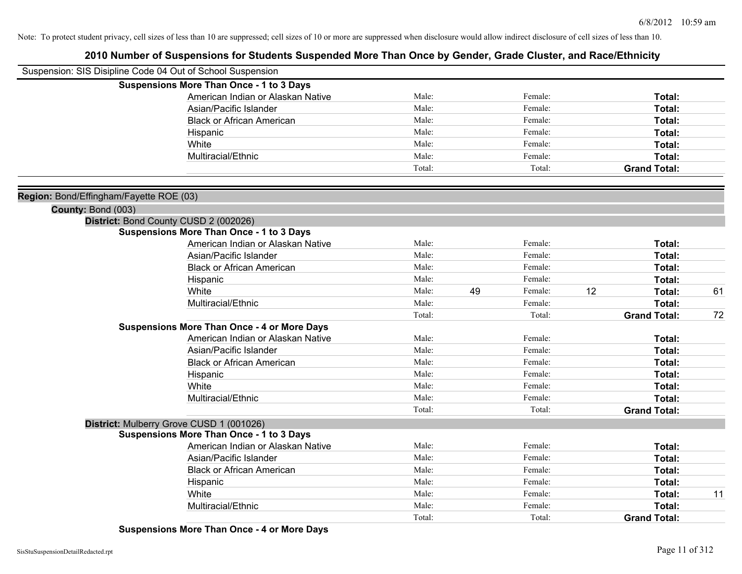| Suspension: SIS Disipline Code 04 Out of School Suspension |                                                    |        |    |         |    |                     |    |
|------------------------------------------------------------|----------------------------------------------------|--------|----|---------|----|---------------------|----|
|                                                            | <b>Suspensions More Than Once - 1 to 3 Days</b>    |        |    |         |    |                     |    |
|                                                            | American Indian or Alaskan Native                  | Male:  |    | Female: |    | Total:              |    |
|                                                            | Asian/Pacific Islander                             | Male:  |    | Female: |    | Total:              |    |
|                                                            | <b>Black or African American</b>                   | Male:  |    | Female: |    | Total:              |    |
|                                                            | Hispanic                                           | Male:  |    | Female: |    | Total:              |    |
|                                                            | White                                              | Male:  |    | Female: |    | Total:              |    |
|                                                            | Multiracial/Ethnic                                 | Male:  |    | Female: |    | Total:              |    |
|                                                            |                                                    | Total: |    | Total:  |    | <b>Grand Total:</b> |    |
| Region: Bond/Effingham/Fayette ROE (03)                    |                                                    |        |    |         |    |                     |    |
| County: Bond (003)                                         |                                                    |        |    |         |    |                     |    |
|                                                            | District: Bond County CUSD 2 (002026)              |        |    |         |    |                     |    |
|                                                            | <b>Suspensions More Than Once - 1 to 3 Days</b>    |        |    |         |    |                     |    |
|                                                            | American Indian or Alaskan Native                  | Male:  |    | Female: |    | Total:              |    |
|                                                            | Asian/Pacific Islander                             | Male:  |    | Female: |    | Total:              |    |
|                                                            | <b>Black or African American</b>                   | Male:  |    | Female: |    | Total:              |    |
|                                                            | Hispanic                                           | Male:  |    | Female: |    | Total:              |    |
|                                                            | White                                              | Male:  | 49 | Female: | 12 | Total:              | 61 |
|                                                            | Multiracial/Ethnic                                 | Male:  |    | Female: |    | Total:              |    |
|                                                            |                                                    | Total: |    | Total:  |    | <b>Grand Total:</b> | 72 |
|                                                            | <b>Suspensions More Than Once - 4 or More Days</b> |        |    |         |    |                     |    |
|                                                            | American Indian or Alaskan Native                  | Male:  |    | Female: |    | Total:              |    |
|                                                            | Asian/Pacific Islander                             | Male:  |    | Female: |    | Total:              |    |
|                                                            | <b>Black or African American</b>                   | Male:  |    | Female: |    | Total:              |    |
|                                                            | Hispanic                                           | Male:  |    | Female: |    | Total:              |    |
|                                                            | White                                              | Male:  |    | Female: |    | Total:              |    |
|                                                            | Multiracial/Ethnic                                 | Male:  |    | Female: |    | Total:              |    |
|                                                            |                                                    | Total: |    | Total:  |    | <b>Grand Total:</b> |    |
|                                                            | District: Mulberry Grove CUSD 1 (001026)           |        |    |         |    |                     |    |
|                                                            | <b>Suspensions More Than Once - 1 to 3 Days</b>    |        |    |         |    |                     |    |
|                                                            | American Indian or Alaskan Native                  | Male:  |    | Female: |    | Total:              |    |
|                                                            | Asian/Pacific Islander                             | Male:  |    | Female: |    | Total:              |    |
|                                                            | <b>Black or African American</b>                   | Male:  |    | Female: |    | Total:              |    |
|                                                            | Hispanic                                           | Male:  |    | Female: |    | Total:              |    |
|                                                            | White                                              | Male:  |    | Female: |    | Total:              | 11 |
|                                                            | Multiracial/Ethnic                                 | Male:  |    | Female: |    | Total:              |    |
|                                                            |                                                    | Total: |    | Total:  |    | <b>Grand Total:</b> |    |
|                                                            |                                                    |        |    |         |    |                     |    |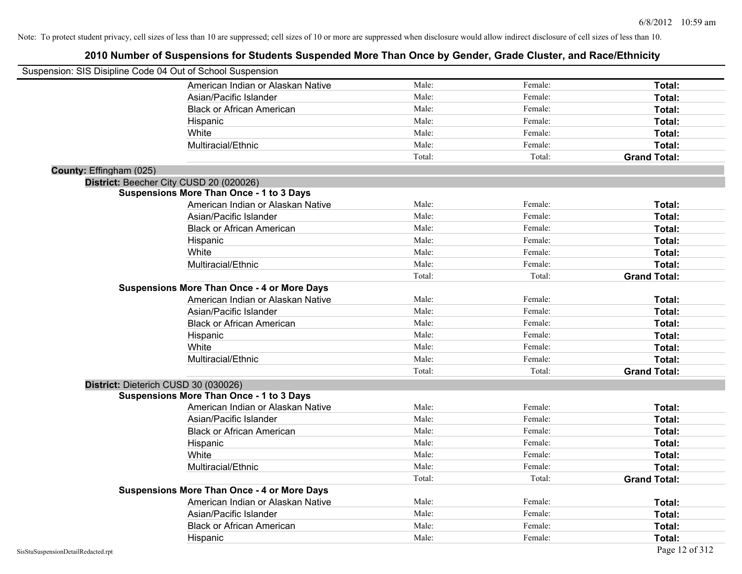| Suspension: SIS Disipline Code 04 Out of School Suspension |                                                    |        |         |                     |
|------------------------------------------------------------|----------------------------------------------------|--------|---------|---------------------|
|                                                            | American Indian or Alaskan Native                  | Male:  | Female: | Total:              |
|                                                            | Asian/Pacific Islander                             | Male:  | Female: | Total:              |
|                                                            | <b>Black or African American</b>                   | Male:  | Female: | Total:              |
|                                                            | Hispanic                                           | Male:  | Female: | Total:              |
|                                                            | White                                              | Male:  | Female: | Total:              |
|                                                            | Multiracial/Ethnic                                 | Male:  | Female: | Total:              |
|                                                            |                                                    | Total: | Total:  | <b>Grand Total:</b> |
| County: Effingham (025)                                    |                                                    |        |         |                     |
|                                                            | District: Beecher City CUSD 20 (020026)            |        |         |                     |
|                                                            | <b>Suspensions More Than Once - 1 to 3 Days</b>    |        |         |                     |
|                                                            | American Indian or Alaskan Native                  | Male:  | Female: | Total:              |
|                                                            | Asian/Pacific Islander                             | Male:  | Female: | Total:              |
|                                                            | <b>Black or African American</b>                   | Male:  | Female: | Total:              |
|                                                            | Hispanic                                           | Male:  | Female: | Total:              |
|                                                            | White                                              | Male:  | Female: | Total:              |
|                                                            | Multiracial/Ethnic                                 | Male:  | Female: | Total:              |
|                                                            |                                                    | Total: | Total:  | <b>Grand Total:</b> |
|                                                            | <b>Suspensions More Than Once - 4 or More Days</b> |        |         |                     |
|                                                            | American Indian or Alaskan Native                  | Male:  | Female: | Total:              |
|                                                            | Asian/Pacific Islander                             | Male:  | Female: | Total:              |
|                                                            | <b>Black or African American</b>                   | Male:  | Female: | Total:              |
|                                                            | Hispanic                                           | Male:  | Female: | Total:              |
|                                                            | White                                              | Male:  | Female: | Total:              |
|                                                            | Multiracial/Ethnic                                 | Male:  | Female: | Total:              |
|                                                            |                                                    | Total: | Total:  | <b>Grand Total:</b> |
| District: Dieterich CUSD 30 (030026)                       |                                                    |        |         |                     |
|                                                            | <b>Suspensions More Than Once - 1 to 3 Days</b>    |        |         |                     |
|                                                            | American Indian or Alaskan Native                  | Male:  | Female: | Total:              |
|                                                            | Asian/Pacific Islander                             | Male:  | Female: | Total:              |
|                                                            | <b>Black or African American</b>                   | Male:  | Female: | Total:              |
|                                                            | Hispanic                                           | Male:  | Female: | Total:              |
|                                                            | White                                              | Male:  | Female: | Total:              |
|                                                            | Multiracial/Ethnic                                 | Male:  | Female: | Total:              |
|                                                            |                                                    | Total: | Total:  | <b>Grand Total:</b> |
|                                                            | <b>Suspensions More Than Once - 4 or More Days</b> |        |         |                     |
|                                                            | American Indian or Alaskan Native                  | Male:  | Female: | Total:              |
|                                                            | Asian/Pacific Islander                             | Male:  | Female: | Total:              |
|                                                            | <b>Black or African American</b>                   | Male:  | Female: | Total:              |
|                                                            | Hispanic                                           | Male:  | Female: | Total:              |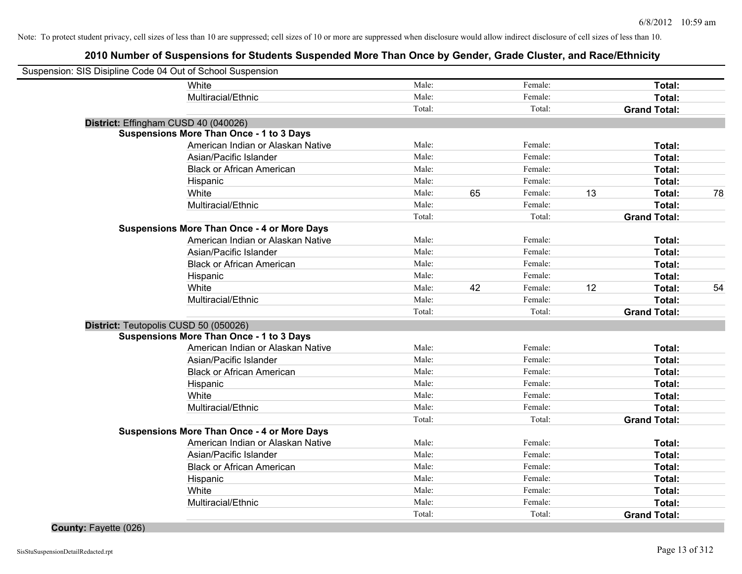# **2010 Number of Suspensions for Students Suspended More Than Once by Gender, Grade Cluster, and Race/Ethnicity**

| Suspension: SIS Disipline Code 04 Out of School Suspension |                                                    |        |    |         |    |                     |    |
|------------------------------------------------------------|----------------------------------------------------|--------|----|---------|----|---------------------|----|
|                                                            | White                                              | Male:  |    | Female: |    | Total:              |    |
|                                                            | Multiracial/Ethnic                                 | Male:  |    | Female: |    | Total:              |    |
|                                                            |                                                    | Total: |    | Total:  |    | <b>Grand Total:</b> |    |
| District: Effingham CUSD 40 (040026)                       |                                                    |        |    |         |    |                     |    |
|                                                            | <b>Suspensions More Than Once - 1 to 3 Days</b>    |        |    |         |    |                     |    |
|                                                            | American Indian or Alaskan Native                  | Male:  |    | Female: |    | Total:              |    |
|                                                            | Asian/Pacific Islander                             | Male:  |    | Female: |    | Total:              |    |
|                                                            | <b>Black or African American</b>                   | Male:  |    | Female: |    | Total:              |    |
|                                                            | Hispanic                                           | Male:  |    | Female: |    | Total:              |    |
|                                                            | White                                              | Male:  | 65 | Female: | 13 | Total:              | 78 |
|                                                            | Multiracial/Ethnic                                 | Male:  |    | Female: |    | Total:              |    |
|                                                            |                                                    | Total: |    | Total:  |    | <b>Grand Total:</b> |    |
|                                                            | <b>Suspensions More Than Once - 4 or More Days</b> |        |    |         |    |                     |    |
|                                                            | American Indian or Alaskan Native                  | Male:  |    | Female: |    | Total:              |    |
|                                                            | Asian/Pacific Islander                             | Male:  |    | Female: |    | Total:              |    |
|                                                            | <b>Black or African American</b>                   | Male:  |    | Female: |    | Total:              |    |
|                                                            | Hispanic                                           | Male:  |    | Female: |    | Total:              |    |
|                                                            | White                                              | Male:  | 42 | Female: | 12 | Total:              | 54 |
|                                                            | Multiracial/Ethnic                                 | Male:  |    | Female: |    | Total:              |    |
|                                                            |                                                    | Total: |    | Total:  |    | <b>Grand Total:</b> |    |
| District: Teutopolis CUSD 50 (050026)                      |                                                    |        |    |         |    |                     |    |
|                                                            | <b>Suspensions More Than Once - 1 to 3 Days</b>    |        |    |         |    |                     |    |
|                                                            | American Indian or Alaskan Native                  | Male:  |    | Female: |    | Total:              |    |
|                                                            | Asian/Pacific Islander                             | Male:  |    | Female: |    | Total:              |    |
|                                                            | <b>Black or African American</b>                   | Male:  |    | Female: |    | Total:              |    |
|                                                            | Hispanic                                           | Male:  |    | Female: |    | Total:              |    |
|                                                            | White                                              | Male:  |    | Female: |    | Total:              |    |
|                                                            | Multiracial/Ethnic                                 | Male:  |    | Female: |    | Total:              |    |
|                                                            |                                                    | Total: |    | Total:  |    | <b>Grand Total:</b> |    |
|                                                            | <b>Suspensions More Than Once - 4 or More Days</b> |        |    |         |    |                     |    |
|                                                            | American Indian or Alaskan Native                  | Male:  |    | Female: |    | Total:              |    |
|                                                            | Asian/Pacific Islander                             | Male:  |    | Female: |    | Total:              |    |
|                                                            | <b>Black or African American</b>                   | Male:  |    | Female: |    | Total:              |    |
|                                                            | Hispanic                                           | Male:  |    | Female: |    | Total:              |    |
|                                                            | White                                              | Male:  |    | Female: |    | Total:              |    |
|                                                            | Multiracial/Ethnic                                 | Male:  |    | Female: |    | Total:              |    |
|                                                            |                                                    | Total: |    | Total:  |    | <b>Grand Total:</b> |    |

**County:** Fayette (026)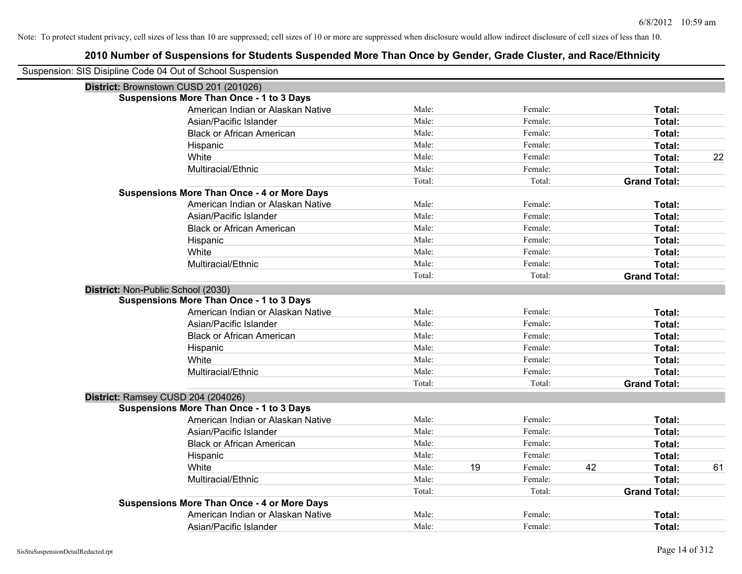| Suspension: SIS Disipline Code 04 Out of School Suspension |                                                    |        |               |    |                     |    |
|------------------------------------------------------------|----------------------------------------------------|--------|---------------|----|---------------------|----|
| District: Brownstown CUSD 201 (201026)                     |                                                    |        |               |    |                     |    |
|                                                            | <b>Suspensions More Than Once - 1 to 3 Days</b>    |        |               |    |                     |    |
|                                                            | American Indian or Alaskan Native                  | Male:  | Female:       |    | Total:              |    |
|                                                            | Asian/Pacific Islander                             | Male:  | Female:       |    | Total:              |    |
|                                                            | <b>Black or African American</b>                   | Male:  | Female:       |    | Total:              |    |
|                                                            | Hispanic                                           | Male:  | Female:       |    | Total:              |    |
|                                                            | White                                              | Male:  | Female:       |    | Total:              | 22 |
|                                                            | Multiracial/Ethnic                                 | Male:  | Female:       |    | Total:              |    |
|                                                            |                                                    | Total: | Total:        |    | <b>Grand Total:</b> |    |
|                                                            | <b>Suspensions More Than Once - 4 or More Days</b> |        |               |    |                     |    |
|                                                            | American Indian or Alaskan Native                  | Male:  | Female:       |    | Total:              |    |
|                                                            | Asian/Pacific Islander                             | Male:  | Female:       |    | Total:              |    |
|                                                            | <b>Black or African American</b>                   | Male:  | Female:       |    | Total:              |    |
|                                                            | Hispanic                                           | Male:  | Female:       |    | Total:              |    |
|                                                            | White                                              | Male:  | Female:       |    | Total:              |    |
|                                                            | Multiracial/Ethnic                                 | Male:  | Female:       |    | Total:              |    |
|                                                            |                                                    | Total: | Total:        |    | <b>Grand Total:</b> |    |
| District: Non-Public School (2030)                         |                                                    |        |               |    |                     |    |
|                                                            | <b>Suspensions More Than Once - 1 to 3 Days</b>    |        |               |    |                     |    |
|                                                            | American Indian or Alaskan Native                  | Male:  | Female:       |    | Total:              |    |
|                                                            | Asian/Pacific Islander                             | Male:  | Female:       |    | Total:              |    |
|                                                            | <b>Black or African American</b>                   | Male:  | Female:       |    | Total:              |    |
|                                                            | Hispanic                                           | Male:  | Female:       |    | Total:              |    |
|                                                            | White                                              | Male:  | Female:       |    | Total:              |    |
|                                                            | Multiracial/Ethnic                                 | Male:  | Female:       |    | Total:              |    |
|                                                            |                                                    | Total: | Total:        |    | <b>Grand Total:</b> |    |
| District: Ramsey CUSD 204 (204026)                         |                                                    |        |               |    |                     |    |
|                                                            | <b>Suspensions More Than Once - 1 to 3 Days</b>    |        |               |    |                     |    |
|                                                            | American Indian or Alaskan Native                  | Male:  | Female:       |    | Total:              |    |
|                                                            | Asian/Pacific Islander                             | Male:  | Female:       |    | Total:              |    |
|                                                            | <b>Black or African American</b>                   | Male:  | Female:       |    | Total:              |    |
|                                                            | Hispanic                                           | Male:  | Female:       |    | Total:              |    |
|                                                            | White                                              | Male:  | 19<br>Female: | 42 | Total:              | 61 |
|                                                            | Multiracial/Ethnic                                 | Male:  | Female:       |    | Total:              |    |
|                                                            |                                                    | Total: | Total:        |    | <b>Grand Total:</b> |    |
|                                                            | <b>Suspensions More Than Once - 4 or More Days</b> |        |               |    |                     |    |
|                                                            | American Indian or Alaskan Native                  | Male:  | Female:       |    | Total:              |    |
|                                                            | Asian/Pacific Islander                             | Male:  | Female:       |    | Total:              |    |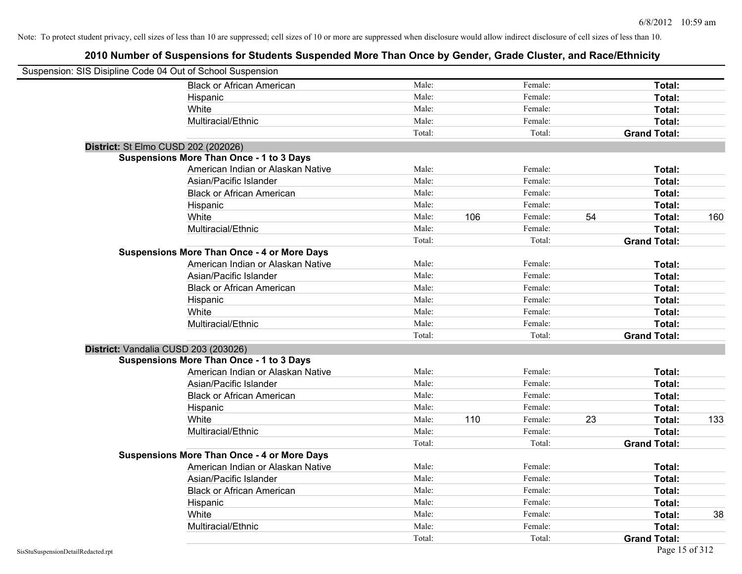| Suspension: SIS Disipline Code 04 Out of School Suspension |                                                    |        |     |         |    |                     |     |
|------------------------------------------------------------|----------------------------------------------------|--------|-----|---------|----|---------------------|-----|
|                                                            | <b>Black or African American</b>                   | Male:  |     | Female: |    | Total:              |     |
|                                                            | Hispanic                                           | Male:  |     | Female: |    | Total:              |     |
|                                                            | White                                              | Male:  |     | Female: |    | Total:              |     |
|                                                            | Multiracial/Ethnic                                 | Male:  |     | Female: |    | Total:              |     |
|                                                            |                                                    | Total: |     | Total:  |    | <b>Grand Total:</b> |     |
| District: St Elmo CUSD 202 (202026)                        |                                                    |        |     |         |    |                     |     |
|                                                            | <b>Suspensions More Than Once - 1 to 3 Days</b>    |        |     |         |    |                     |     |
|                                                            | American Indian or Alaskan Native                  | Male:  |     | Female: |    | Total:              |     |
|                                                            | Asian/Pacific Islander                             | Male:  |     | Female: |    | Total:              |     |
|                                                            | <b>Black or African American</b>                   | Male:  |     | Female: |    | Total:              |     |
|                                                            | Hispanic                                           | Male:  |     | Female: |    | Total:              |     |
|                                                            | White                                              | Male:  | 106 | Female: | 54 | Total:              | 160 |
|                                                            | Multiracial/Ethnic                                 | Male:  |     | Female: |    | Total:              |     |
|                                                            |                                                    | Total: |     | Total:  |    | <b>Grand Total:</b> |     |
|                                                            | <b>Suspensions More Than Once - 4 or More Days</b> |        |     |         |    |                     |     |
|                                                            | American Indian or Alaskan Native                  | Male:  |     | Female: |    | Total:              |     |
|                                                            | Asian/Pacific Islander                             | Male:  |     | Female: |    | Total:              |     |
|                                                            | <b>Black or African American</b>                   | Male:  |     | Female: |    | Total:              |     |
|                                                            | Hispanic                                           | Male:  |     | Female: |    | Total:              |     |
|                                                            | White                                              | Male:  |     | Female: |    | Total:              |     |
|                                                            | Multiracial/Ethnic                                 | Male:  |     | Female: |    | Total:              |     |
|                                                            |                                                    | Total: |     | Total:  |    | <b>Grand Total:</b> |     |
| District: Vandalia CUSD 203 (203026)                       |                                                    |        |     |         |    |                     |     |
|                                                            | <b>Suspensions More Than Once - 1 to 3 Days</b>    |        |     |         |    |                     |     |
|                                                            | American Indian or Alaskan Native                  | Male:  |     | Female: |    | Total:              |     |
|                                                            | Asian/Pacific Islander                             | Male:  |     | Female: |    | Total:              |     |
|                                                            | <b>Black or African American</b>                   | Male:  |     | Female: |    | Total:              |     |
|                                                            | Hispanic                                           | Male:  |     | Female: |    | Total:              |     |
|                                                            | White                                              | Male:  | 110 | Female: | 23 | Total:              | 133 |
|                                                            | Multiracial/Ethnic                                 | Male:  |     | Female: |    | Total:              |     |
|                                                            |                                                    | Total: |     | Total:  |    | <b>Grand Total:</b> |     |
|                                                            | <b>Suspensions More Than Once - 4 or More Days</b> |        |     |         |    |                     |     |
|                                                            | American Indian or Alaskan Native                  | Male:  |     | Female: |    | Total:              |     |
|                                                            | Asian/Pacific Islander                             | Male:  |     | Female: |    | Total:              |     |
|                                                            | <b>Black or African American</b>                   | Male:  |     | Female: |    | Total:              |     |
|                                                            | Hispanic                                           | Male:  |     | Female: |    | Total:              |     |
|                                                            | White                                              | Male:  |     | Female: |    | Total:              | 38  |
|                                                            | Multiracial/Ethnic                                 | Male:  |     | Female: |    | Total:              |     |
|                                                            |                                                    | Total: |     | Total:  |    | <b>Grand Total:</b> |     |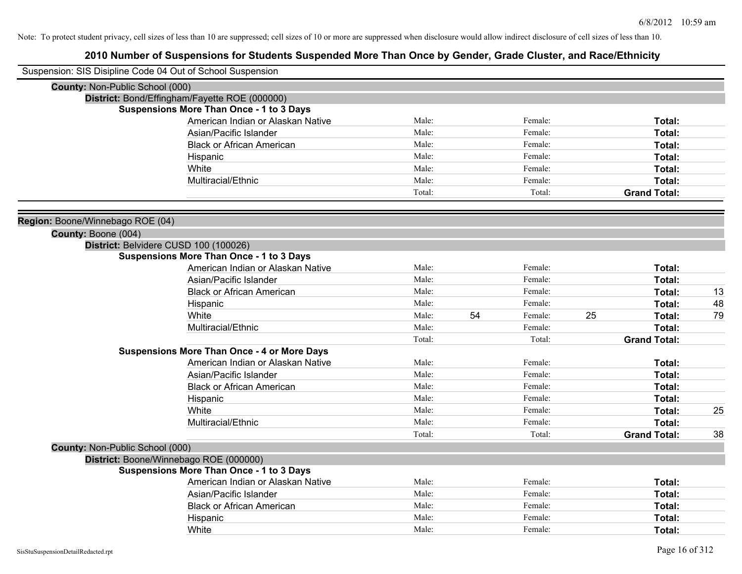| Suspension: SIS Disipline Code 04 Out of School Suspension |                                                    |        |    |         |    |                     |    |
|------------------------------------------------------------|----------------------------------------------------|--------|----|---------|----|---------------------|----|
| County: Non-Public School (000)                            |                                                    |        |    |         |    |                     |    |
|                                                            | District: Bond/Effingham/Fayette ROE (000000)      |        |    |         |    |                     |    |
|                                                            | <b>Suspensions More Than Once - 1 to 3 Days</b>    |        |    |         |    |                     |    |
|                                                            | American Indian or Alaskan Native                  | Male:  |    | Female: |    | Total:              |    |
|                                                            | Asian/Pacific Islander                             | Male:  |    | Female: |    | Total:              |    |
|                                                            | <b>Black or African American</b>                   | Male:  |    | Female: |    | <b>Total:</b>       |    |
|                                                            | Hispanic                                           | Male:  |    | Female: |    | <b>Total:</b>       |    |
|                                                            | White                                              | Male:  |    | Female: |    | Total:              |    |
|                                                            | Multiracial/Ethnic                                 | Male:  |    | Female: |    | Total:              |    |
|                                                            |                                                    | Total: |    | Total:  |    | <b>Grand Total:</b> |    |
|                                                            |                                                    |        |    |         |    |                     |    |
| Region: Boone/Winnebago ROE (04)                           |                                                    |        |    |         |    |                     |    |
| County: Boone (004)                                        |                                                    |        |    |         |    |                     |    |
| District: Belvidere CUSD 100 (100026)                      | <b>Suspensions More Than Once - 1 to 3 Days</b>    |        |    |         |    |                     |    |
|                                                            | American Indian or Alaskan Native                  | Male:  |    | Female: |    | Total:              |    |
|                                                            | Asian/Pacific Islander                             | Male:  |    | Female: |    | Total:              |    |
|                                                            | <b>Black or African American</b>                   | Male:  |    | Female: |    | Total:              | 13 |
|                                                            | Hispanic                                           | Male:  |    | Female: |    | Total:              | 48 |
|                                                            | White                                              | Male:  | 54 | Female: | 25 | Total:              | 79 |
|                                                            | Multiracial/Ethnic                                 | Male:  |    | Female: |    | Total:              |    |
|                                                            |                                                    | Total: |    | Total:  |    | <b>Grand Total:</b> |    |
|                                                            | <b>Suspensions More Than Once - 4 or More Days</b> |        |    |         |    |                     |    |
|                                                            | American Indian or Alaskan Native                  | Male:  |    | Female: |    | Total:              |    |
|                                                            | Asian/Pacific Islander                             | Male:  |    | Female: |    | Total:              |    |
|                                                            | <b>Black or African American</b>                   | Male:  |    | Female: |    | Total:              |    |
|                                                            | Hispanic                                           | Male:  |    | Female: |    | Total:              |    |
|                                                            | White                                              | Male:  |    | Female: |    | Total:              | 25 |
|                                                            | Multiracial/Ethnic                                 | Male:  |    | Female: |    | Total:              |    |
|                                                            |                                                    | Total: |    | Total:  |    | <b>Grand Total:</b> | 38 |
| County: Non-Public School (000)                            |                                                    |        |    |         |    |                     |    |
| District: Boone/Winnebago ROE (000000)                     |                                                    |        |    |         |    |                     |    |
|                                                            | <b>Suspensions More Than Once - 1 to 3 Days</b>    |        |    |         |    |                     |    |
|                                                            | American Indian or Alaskan Native                  | Male:  |    | Female: |    | Total:              |    |
|                                                            | Asian/Pacific Islander                             | Male:  |    | Female: |    | Total:              |    |
|                                                            | <b>Black or African American</b>                   | Male:  |    | Female: |    | Total:              |    |
|                                                            | Hispanic                                           | Male:  |    | Female: |    | <b>Total:</b>       |    |
|                                                            | White                                              | Male:  |    | Female: |    | Total:              |    |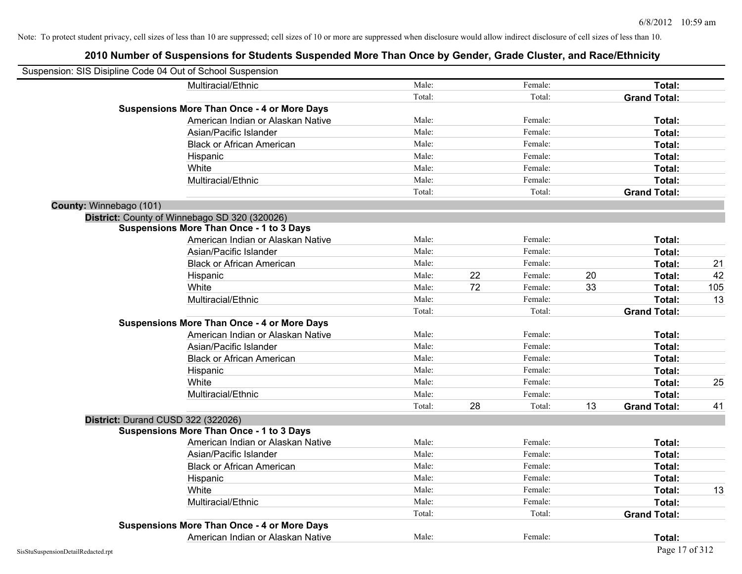| Suspension: SIS Disipline Code 04 Out of School Suspension |        |    |         |    |                     |     |
|------------------------------------------------------------|--------|----|---------|----|---------------------|-----|
| Multiracial/Ethnic                                         | Male:  |    | Female: |    | Total:              |     |
|                                                            | Total: |    | Total:  |    | <b>Grand Total:</b> |     |
| <b>Suspensions More Than Once - 4 or More Days</b>         |        |    |         |    |                     |     |
| American Indian or Alaskan Native                          | Male:  |    | Female: |    | Total:              |     |
| Asian/Pacific Islander                                     | Male:  |    | Female: |    | Total:              |     |
| <b>Black or African American</b>                           | Male:  |    | Female: |    | Total:              |     |
| Hispanic                                                   | Male:  |    | Female: |    | Total:              |     |
| White                                                      | Male:  |    | Female: |    | Total:              |     |
| Multiracial/Ethnic                                         | Male:  |    | Female: |    | Total:              |     |
|                                                            | Total: |    | Total:  |    | <b>Grand Total:</b> |     |
| County: Winnebago (101)                                    |        |    |         |    |                     |     |
| District: County of Winnebago SD 320 (320026)              |        |    |         |    |                     |     |
| <b>Suspensions More Than Once - 1 to 3 Days</b>            |        |    |         |    |                     |     |
| American Indian or Alaskan Native                          | Male:  |    | Female: |    | Total:              |     |
| Asian/Pacific Islander                                     | Male:  |    | Female: |    | Total:              |     |
| <b>Black or African American</b>                           | Male:  |    | Female: |    | Total:              | 21  |
| Hispanic                                                   | Male:  | 22 | Female: | 20 | Total:              | 42  |
| White                                                      | Male:  | 72 | Female: | 33 | Total:              | 105 |
| Multiracial/Ethnic                                         | Male:  |    | Female: |    | Total:              | 13  |
|                                                            | Total: |    | Total:  |    | <b>Grand Total:</b> |     |
| <b>Suspensions More Than Once - 4 or More Days</b>         |        |    |         |    |                     |     |
| American Indian or Alaskan Native                          | Male:  |    | Female: |    | Total:              |     |
| Asian/Pacific Islander                                     | Male:  |    | Female: |    | Total:              |     |
| <b>Black or African American</b>                           | Male:  |    | Female: |    | Total:              |     |
| Hispanic                                                   | Male:  |    | Female: |    | Total:              |     |
| White                                                      | Male:  |    | Female: |    | Total:              | 25  |
| Multiracial/Ethnic                                         | Male:  |    | Female: |    | Total:              |     |
|                                                            | Total: | 28 | Total:  | 13 | <b>Grand Total:</b> | 41  |
| District: Durand CUSD 322 (322026)                         |        |    |         |    |                     |     |
| <b>Suspensions More Than Once - 1 to 3 Days</b>            |        |    |         |    |                     |     |
| American Indian or Alaskan Native                          | Male:  |    | Female: |    | Total:              |     |
| Asian/Pacific Islander                                     | Male:  |    | Female: |    | Total:              |     |
| <b>Black or African American</b>                           | Male:  |    | Female: |    | Total:              |     |
| Hispanic                                                   | Male:  |    | Female: |    | Total:              |     |
| White                                                      | Male:  |    | Female: |    | Total:              | 13  |
| Multiracial/Ethnic                                         | Male:  |    | Female: |    | Total:              |     |
|                                                            | Total: |    | Total:  |    | <b>Grand Total:</b> |     |
| <b>Suspensions More Than Once - 4 or More Days</b>         |        |    |         |    |                     |     |
| American Indian or Alaskan Native                          | Male:  |    | Female: |    | Total:              |     |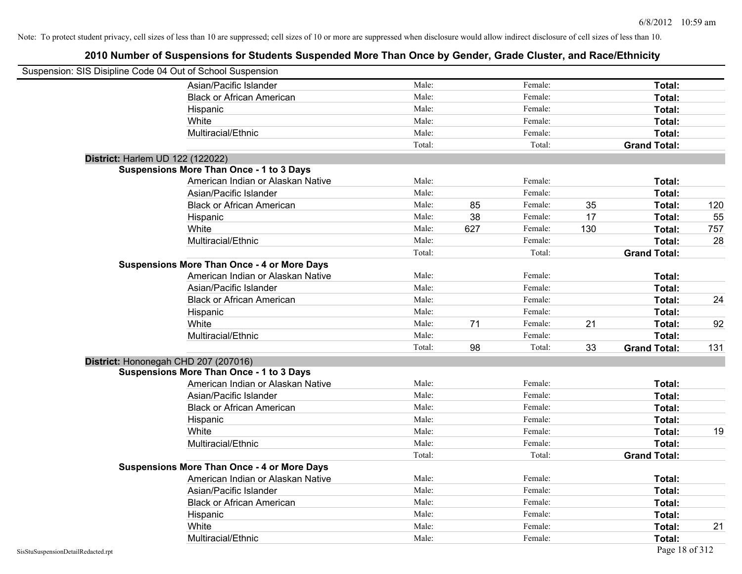| Suspension: SIS Disipline Code 04 Out of School Suspension |                                                    |        |     |         |     |                     |     |
|------------------------------------------------------------|----------------------------------------------------|--------|-----|---------|-----|---------------------|-----|
|                                                            | Asian/Pacific Islander                             | Male:  |     | Female: |     | Total:              |     |
|                                                            | <b>Black or African American</b>                   | Male:  |     | Female: |     | Total:              |     |
|                                                            | Hispanic                                           | Male:  |     | Female: |     | Total:              |     |
|                                                            | White                                              | Male:  |     | Female: |     | Total:              |     |
|                                                            | Multiracial/Ethnic                                 | Male:  |     | Female: |     | Total:              |     |
|                                                            |                                                    | Total: |     | Total:  |     | <b>Grand Total:</b> |     |
| District: Harlem UD 122 (122022)                           |                                                    |        |     |         |     |                     |     |
|                                                            | <b>Suspensions More Than Once - 1 to 3 Days</b>    |        |     |         |     |                     |     |
|                                                            | American Indian or Alaskan Native                  | Male:  |     | Female: |     | Total:              |     |
|                                                            | Asian/Pacific Islander                             | Male:  |     | Female: |     | Total:              |     |
|                                                            | <b>Black or African American</b>                   | Male:  | 85  | Female: | 35  | Total:              | 120 |
|                                                            | Hispanic                                           | Male:  | 38  | Female: | 17  | Total:              | 55  |
|                                                            | White                                              | Male:  | 627 | Female: | 130 | Total:              | 757 |
|                                                            | Multiracial/Ethnic                                 | Male:  |     | Female: |     | Total:              | 28  |
|                                                            |                                                    | Total: |     | Total:  |     | <b>Grand Total:</b> |     |
|                                                            | <b>Suspensions More Than Once - 4 or More Days</b> |        |     |         |     |                     |     |
|                                                            | American Indian or Alaskan Native                  | Male:  |     | Female: |     | Total:              |     |
|                                                            | Asian/Pacific Islander                             | Male:  |     | Female: |     | Total:              |     |
|                                                            | <b>Black or African American</b>                   | Male:  |     | Female: |     | Total:              | 24  |
|                                                            | Hispanic                                           | Male:  |     | Female: |     | Total:              |     |
|                                                            | White                                              | Male:  | 71  | Female: | 21  | Total:              | 92  |
|                                                            | Multiracial/Ethnic                                 | Male:  |     | Female: |     | Total:              |     |
|                                                            |                                                    | Total: | 98  | Total:  | 33  | <b>Grand Total:</b> | 131 |
| District: Hononegah CHD 207 (207016)                       |                                                    |        |     |         |     |                     |     |
|                                                            | <b>Suspensions More Than Once - 1 to 3 Days</b>    |        |     |         |     |                     |     |
|                                                            | American Indian or Alaskan Native                  | Male:  |     | Female: |     | Total:              |     |
|                                                            | Asian/Pacific Islander                             | Male:  |     | Female: |     | Total:              |     |
|                                                            | <b>Black or African American</b>                   | Male:  |     | Female: |     | Total:              |     |
|                                                            | Hispanic                                           | Male:  |     | Female: |     | Total:              |     |
|                                                            | White                                              | Male:  |     | Female: |     | Total:              | 19  |
|                                                            | Multiracial/Ethnic                                 | Male:  |     | Female: |     | Total:              |     |
|                                                            |                                                    | Total: |     | Total:  |     | <b>Grand Total:</b> |     |
|                                                            | <b>Suspensions More Than Once - 4 or More Days</b> |        |     |         |     |                     |     |
|                                                            | American Indian or Alaskan Native                  | Male:  |     | Female: |     | Total:              |     |
|                                                            | Asian/Pacific Islander                             | Male:  |     | Female: |     | Total:              |     |
|                                                            | <b>Black or African American</b>                   | Male:  |     | Female: |     | Total:              |     |
|                                                            | Hispanic                                           | Male:  |     | Female: |     | Total:              |     |
|                                                            | White                                              | Male:  |     | Female: |     | Total:              | 21  |
|                                                            | Multiracial/Ethnic                                 | Male:  |     | Female: |     | Total:              |     |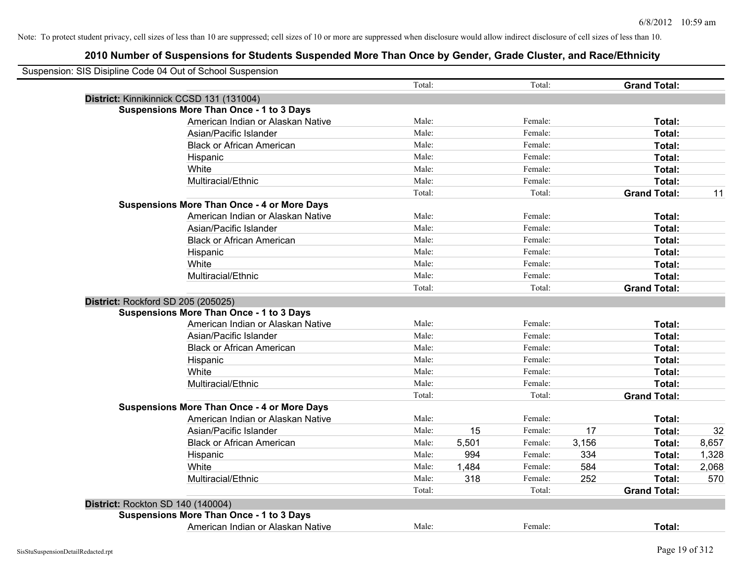| Suspension: SIS Disipline Code 04 Out of School Suspension |        |       |         |       |                     |       |
|------------------------------------------------------------|--------|-------|---------|-------|---------------------|-------|
|                                                            | Total: |       | Total:  |       | <b>Grand Total:</b> |       |
| District: Kinnikinnick CCSD 131 (131004)                   |        |       |         |       |                     |       |
| <b>Suspensions More Than Once - 1 to 3 Days</b>            |        |       |         |       |                     |       |
| American Indian or Alaskan Native                          | Male:  |       | Female: |       | Total:              |       |
| Asian/Pacific Islander                                     | Male:  |       | Female: |       | Total:              |       |
| <b>Black or African American</b>                           | Male:  |       | Female: |       | Total:              |       |
| Hispanic                                                   | Male:  |       | Female: |       | Total:              |       |
| White                                                      | Male:  |       | Female: |       | Total:              |       |
| Multiracial/Ethnic                                         | Male:  |       | Female: |       | Total:              |       |
|                                                            | Total: |       | Total:  |       | <b>Grand Total:</b> | 11    |
| <b>Suspensions More Than Once - 4 or More Days</b>         |        |       |         |       |                     |       |
| American Indian or Alaskan Native                          | Male:  |       | Female: |       | Total:              |       |
| Asian/Pacific Islander                                     | Male:  |       | Female: |       | Total:              |       |
| <b>Black or African American</b>                           | Male:  |       | Female: |       | Total:              |       |
| Hispanic                                                   | Male:  |       | Female: |       | Total:              |       |
| White                                                      | Male:  |       | Female: |       | Total:              |       |
| Multiracial/Ethnic                                         | Male:  |       | Female: |       | Total:              |       |
|                                                            | Total: |       | Total:  |       | <b>Grand Total:</b> |       |
| District: Rockford SD 205 (205025)                         |        |       |         |       |                     |       |
| <b>Suspensions More Than Once - 1 to 3 Days</b>            |        |       |         |       |                     |       |
| American Indian or Alaskan Native                          | Male:  |       | Female: |       | Total:              |       |
| Asian/Pacific Islander                                     | Male:  |       | Female: |       | Total:              |       |
| <b>Black or African American</b>                           | Male:  |       | Female: |       | Total:              |       |
| Hispanic                                                   | Male:  |       | Female: |       | Total:              |       |
| White                                                      | Male:  |       | Female: |       | Total:              |       |
| Multiracial/Ethnic                                         | Male:  |       | Female: |       | Total:              |       |
|                                                            | Total: |       | Total:  |       | <b>Grand Total:</b> |       |
| <b>Suspensions More Than Once - 4 or More Days</b>         |        |       |         |       |                     |       |
| American Indian or Alaskan Native                          | Male:  |       | Female: |       | Total:              |       |
| Asian/Pacific Islander                                     | Male:  | 15    | Female: | 17    | Total:              | 32    |
| <b>Black or African American</b>                           | Male:  | 5,501 | Female: | 3,156 | Total:              | 8,657 |
| Hispanic                                                   | Male:  | 994   | Female: | 334   | Total:              | 1,328 |
| White                                                      | Male:  | 1,484 | Female: | 584   | Total:              | 2,068 |
| Multiracial/Ethnic                                         | Male:  | 318   | Female: | 252   | Total:              | 570   |
|                                                            | Total: |       | Total:  |       | <b>Grand Total:</b> |       |
| District: Rockton SD 140 (140004)                          |        |       |         |       |                     |       |
| <b>Suspensions More Than Once - 1 to 3 Days</b>            |        |       |         |       |                     |       |
| American Indian or Alaskan Native                          | Male:  |       | Female: |       | Total:              |       |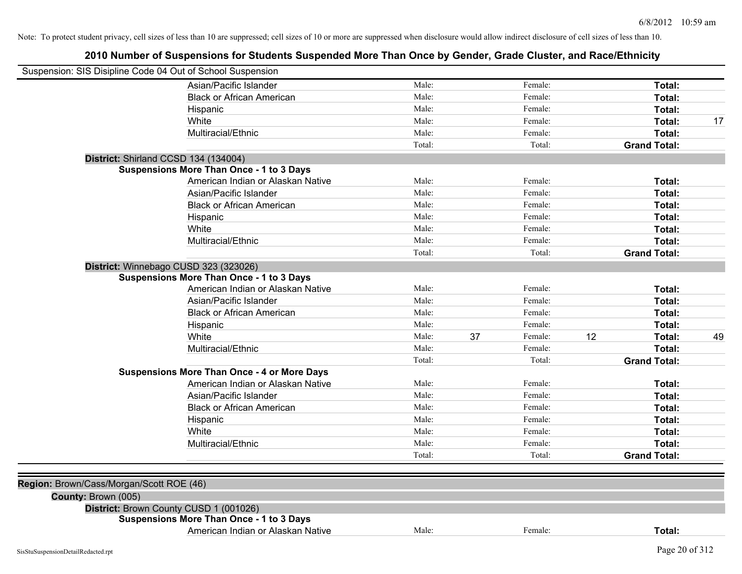| Suspension: SIS Disipline Code 04 Out of School Suspension |                                                    |        |    |         |    |                     |    |
|------------------------------------------------------------|----------------------------------------------------|--------|----|---------|----|---------------------|----|
|                                                            | Asian/Pacific Islander                             | Male:  |    | Female: |    | Total:              |    |
|                                                            | <b>Black or African American</b>                   | Male:  |    | Female: |    | Total:              |    |
|                                                            | Hispanic                                           | Male:  |    | Female: |    | Total:              |    |
|                                                            | White                                              | Male:  |    | Female: |    | Total:              | 17 |
|                                                            | Multiracial/Ethnic                                 | Male:  |    | Female: |    | Total:              |    |
|                                                            |                                                    | Total: |    | Total:  |    | <b>Grand Total:</b> |    |
|                                                            | District: Shirland CCSD 134 (134004)               |        |    |         |    |                     |    |
|                                                            | Suspensions More Than Once - 1 to 3 Days           |        |    |         |    |                     |    |
|                                                            | American Indian or Alaskan Native                  | Male:  |    | Female: |    | Total:              |    |
|                                                            | Asian/Pacific Islander                             | Male:  |    | Female: |    | Total:              |    |
|                                                            | <b>Black or African American</b>                   | Male:  |    | Female: |    | Total:              |    |
|                                                            | Hispanic                                           | Male:  |    | Female: |    | Total:              |    |
|                                                            | White                                              | Male:  |    | Female: |    | Total:              |    |
|                                                            | Multiracial/Ethnic                                 | Male:  |    | Female: |    | Total:              |    |
|                                                            |                                                    | Total: |    | Total:  |    | <b>Grand Total:</b> |    |
|                                                            | District: Winnebago CUSD 323 (323026)              |        |    |         |    |                     |    |
|                                                            | <b>Suspensions More Than Once - 1 to 3 Days</b>    |        |    |         |    |                     |    |
|                                                            | American Indian or Alaskan Native                  | Male:  |    | Female: |    | Total:              |    |
|                                                            | Asian/Pacific Islander                             | Male:  |    | Female: |    | Total:              |    |
|                                                            | <b>Black or African American</b>                   | Male:  |    | Female: |    | Total:              |    |
|                                                            | Hispanic                                           | Male:  |    | Female: |    | Total:              |    |
|                                                            | White                                              | Male:  | 37 | Female: | 12 | Total:              | 49 |
|                                                            | Multiracial/Ethnic                                 | Male:  |    | Female: |    | Total:              |    |
|                                                            |                                                    | Total: |    | Total:  |    | <b>Grand Total:</b> |    |
|                                                            | <b>Suspensions More Than Once - 4 or More Days</b> |        |    |         |    |                     |    |
|                                                            | American Indian or Alaskan Native                  | Male:  |    | Female: |    | Total:              |    |
|                                                            | Asian/Pacific Islander                             | Male:  |    | Female: |    | Total:              |    |
|                                                            | <b>Black or African American</b>                   | Male:  |    | Female: |    | Total:              |    |
|                                                            | Hispanic                                           | Male:  |    | Female: |    | Total:              |    |
|                                                            | White                                              | Male:  |    | Female: |    | Total:              |    |
|                                                            | Multiracial/Ethnic                                 | Male:  |    | Female: |    | Total:              |    |
|                                                            |                                                    | Total: |    | Total:  |    | <b>Grand Total:</b> |    |
|                                                            |                                                    |        |    |         |    |                     |    |
| Region: Brown/Cass/Morgan/Scott ROE (46)                   |                                                    |        |    |         |    |                     |    |
| County: Brown (005)                                        |                                                    |        |    |         |    |                     |    |
|                                                            | District: Brown County CUSD 1 (001026)             |        |    |         |    |                     |    |
|                                                            | <b>Suspensions More Than Once - 1 to 3 Days</b>    |        |    |         |    |                     |    |
|                                                            | American Indian or Alaskan Native                  | Male:  |    | Female: |    | Total:              |    |
| SisStuSuspensionDetailRedacted.rpt                         |                                                    |        |    |         |    | Page 20 of 312      |    |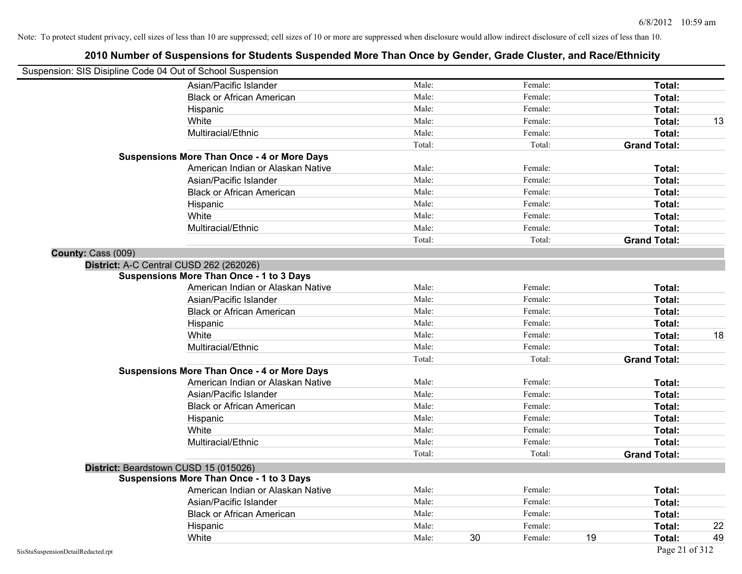| Suspension: SIS Disipline Code 04 Out of School Suspension |                                                    |        |               |                     |    |
|------------------------------------------------------------|----------------------------------------------------|--------|---------------|---------------------|----|
|                                                            | Asian/Pacific Islander                             | Male:  | Female:       | Total:              |    |
|                                                            | <b>Black or African American</b>                   | Male:  | Female:       | Total:              |    |
|                                                            | Hispanic                                           | Male:  | Female:       | Total:              |    |
|                                                            | White                                              | Male:  | Female:       | Total:              | 13 |
|                                                            | Multiracial/Ethnic                                 | Male:  | Female:       | Total:              |    |
|                                                            |                                                    | Total: | Total:        | <b>Grand Total:</b> |    |
|                                                            | <b>Suspensions More Than Once - 4 or More Days</b> |        |               |                     |    |
|                                                            | American Indian or Alaskan Native                  | Male:  | Female:       | Total:              |    |
|                                                            | Asian/Pacific Islander                             | Male:  | Female:       | Total:              |    |
|                                                            | <b>Black or African American</b>                   | Male:  | Female:       | Total:              |    |
|                                                            | Hispanic                                           | Male:  | Female:       | Total:              |    |
|                                                            | White                                              | Male:  | Female:       | Total:              |    |
|                                                            | Multiracial/Ethnic                                 | Male:  | Female:       | Total:              |    |
|                                                            |                                                    | Total: | Total:        | <b>Grand Total:</b> |    |
| County: Cass (009)                                         |                                                    |        |               |                     |    |
|                                                            | District: A-C Central CUSD 262 (262026)            |        |               |                     |    |
|                                                            | <b>Suspensions More Than Once - 1 to 3 Days</b>    |        |               |                     |    |
|                                                            | American Indian or Alaskan Native                  | Male:  | Female:       | Total:              |    |
|                                                            | Asian/Pacific Islander                             | Male:  | Female:       | Total:              |    |
|                                                            | <b>Black or African American</b>                   | Male:  | Female:       | Total:              |    |
|                                                            | Hispanic                                           | Male:  | Female:       | Total:              |    |
|                                                            | White                                              | Male:  | Female:       | Total:              | 18 |
|                                                            | Multiracial/Ethnic                                 | Male:  | Female:       | Total:              |    |
|                                                            |                                                    | Total: | Total:        | <b>Grand Total:</b> |    |
|                                                            | <b>Suspensions More Than Once - 4 or More Days</b> |        |               |                     |    |
|                                                            | American Indian or Alaskan Native                  | Male:  | Female:       | Total:              |    |
|                                                            | Asian/Pacific Islander                             | Male:  | Female:       | Total:              |    |
|                                                            | <b>Black or African American</b>                   | Male:  | Female:       | Total:              |    |
|                                                            | Hispanic                                           | Male:  | Female:       | Total:              |    |
|                                                            | White                                              | Male:  | Female:       | Total:              |    |
|                                                            | Multiracial/Ethnic                                 | Male:  | Female:       | Total:              |    |
|                                                            |                                                    | Total: | Total:        | <b>Grand Total:</b> |    |
| District: Beardstown CUSD 15 (015026)                      |                                                    |        |               |                     |    |
|                                                            | <b>Suspensions More Than Once - 1 to 3 Days</b>    |        |               |                     |    |
|                                                            | American Indian or Alaskan Native                  | Male:  | Female:       | Total:              |    |
|                                                            | Asian/Pacific Islander                             | Male:  | Female:       | Total:              |    |
|                                                            | <b>Black or African American</b>                   | Male:  | Female:       | Total:              |    |
|                                                            | Hispanic                                           | Male:  | Female:       | Total:              | 22 |
|                                                            | White                                              | Male:  | 30<br>Female: | 19<br>Total:        | 49 |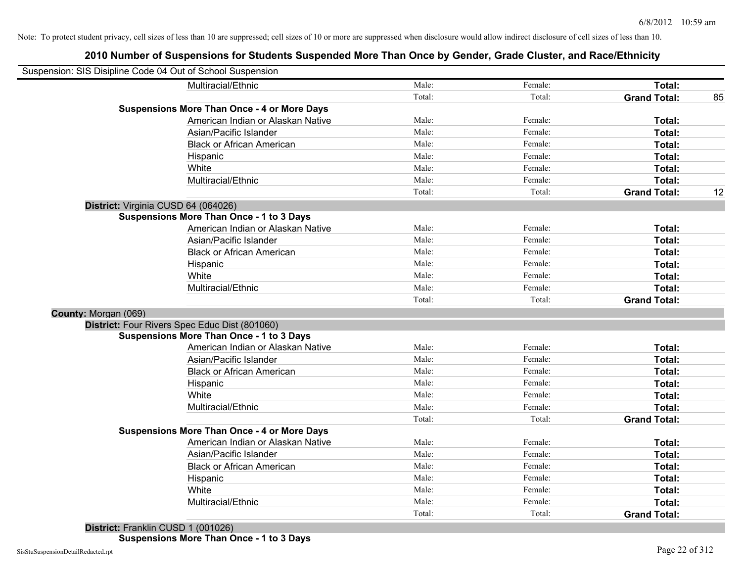| Suspension: SIS Disipline Code 04 Out of School Suspension |                                                    |                 |                   |                               |    |
|------------------------------------------------------------|----------------------------------------------------|-----------------|-------------------|-------------------------------|----|
|                                                            | Multiracial/Ethnic                                 | Male:           | Female:           | Total:                        |    |
|                                                            |                                                    | Total:          | Total:            | <b>Grand Total:</b>           | 85 |
|                                                            | <b>Suspensions More Than Once - 4 or More Days</b> |                 |                   |                               |    |
|                                                            | American Indian or Alaskan Native                  | Male:           | Female:           | Total:                        |    |
|                                                            | Asian/Pacific Islander                             | Male:           | Female:           | Total:                        |    |
|                                                            | <b>Black or African American</b>                   | Male:           | Female:           | Total:                        |    |
|                                                            | Hispanic                                           | Male:           | Female:           | Total:                        |    |
|                                                            | White                                              | Male:           | Female:           | Total:                        |    |
|                                                            | Multiracial/Ethnic                                 | Male:           | Female:           | Total:                        |    |
|                                                            |                                                    | Total:          | Total:            | <b>Grand Total:</b>           | 12 |
| District: Virginia CUSD 64 (064026)                        |                                                    |                 |                   |                               |    |
|                                                            | <b>Suspensions More Than Once - 1 to 3 Days</b>    |                 |                   |                               |    |
|                                                            | American Indian or Alaskan Native                  | Male:           | Female:           | Total:                        |    |
|                                                            | Asian/Pacific Islander                             | Male:           | Female:           | Total:                        |    |
|                                                            | <b>Black or African American</b>                   | Male:           | Female:           | Total:                        |    |
|                                                            | Hispanic                                           | Male:           | Female:           | Total:                        |    |
|                                                            | White                                              | Male:           | Female:           | Total:                        |    |
|                                                            | Multiracial/Ethnic                                 | Male:           | Female:           | Total:                        |    |
|                                                            |                                                    | Total:          | Total:            | <b>Grand Total:</b>           |    |
| County: Morgan (069)                                       |                                                    |                 |                   |                               |    |
|                                                            | District: Four Rivers Spec Educ Dist (801060)      |                 |                   |                               |    |
|                                                            | <b>Suspensions More Than Once - 1 to 3 Days</b>    |                 |                   |                               |    |
|                                                            | American Indian or Alaskan Native                  | Male:           | Female:           | Total:                        |    |
|                                                            | Asian/Pacific Islander                             | Male:           | Female:           | Total:                        |    |
|                                                            | <b>Black or African American</b>                   | Male:           | Female:           | Total:                        |    |
|                                                            | Hispanic                                           | Male:           | Female:           | Total:                        |    |
|                                                            | White                                              | Male:           | Female:           | Total:                        |    |
|                                                            | Multiracial/Ethnic                                 | Male:           | Female:           | Total:                        |    |
|                                                            |                                                    | Total:          | Total:            | <b>Grand Total:</b>           |    |
|                                                            | <b>Suspensions More Than Once - 4 or More Days</b> |                 |                   |                               |    |
|                                                            | American Indian or Alaskan Native                  | Male:           | Female:           | Total:                        |    |
|                                                            | Asian/Pacific Islander                             | Male:           | Female:           | Total:                        |    |
|                                                            | <b>Black or African American</b>                   | Male:           | Female:           | Total:                        |    |
|                                                            | Hispanic                                           | Male:           | Female:           | Total:                        |    |
|                                                            | White                                              | Male:           | Female:           | Total:                        |    |
|                                                            |                                                    |                 |                   |                               |    |
|                                                            | Multiracial/Ethnic                                 | Male:<br>Total: | Female:<br>Total: | Total:<br><b>Grand Total:</b> |    |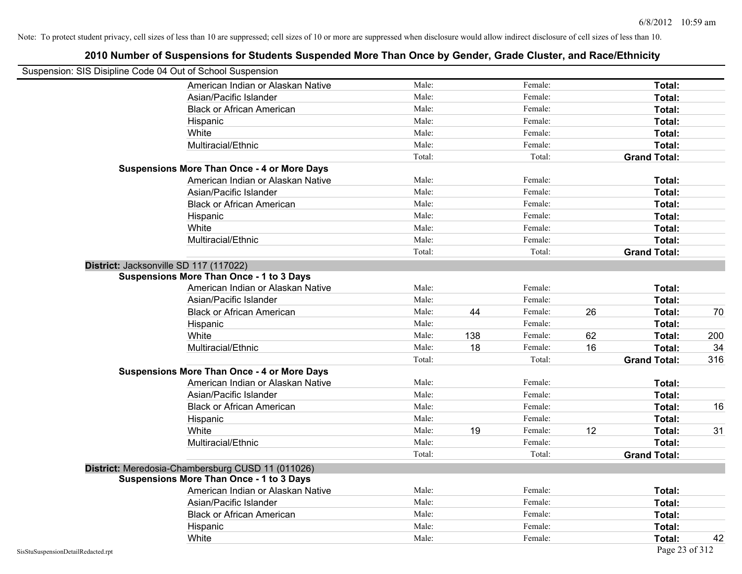|                                    | Suspension: SIS Disipline Code 04 Out of School Suspension |        |     |         |    |                     |     |
|------------------------------------|------------------------------------------------------------|--------|-----|---------|----|---------------------|-----|
|                                    | American Indian or Alaskan Native                          | Male:  |     | Female: |    | Total:              |     |
|                                    | Asian/Pacific Islander                                     | Male:  |     | Female: |    | Total:              |     |
|                                    | <b>Black or African American</b>                           | Male:  |     | Female: |    | Total:              |     |
|                                    | Hispanic                                                   | Male:  |     | Female: |    | Total:              |     |
|                                    | White                                                      | Male:  |     | Female: |    | Total:              |     |
|                                    | Multiracial/Ethnic                                         | Male:  |     | Female: |    | Total:              |     |
|                                    |                                                            | Total: |     | Total:  |    | <b>Grand Total:</b> |     |
|                                    | <b>Suspensions More Than Once - 4 or More Days</b>         |        |     |         |    |                     |     |
|                                    | American Indian or Alaskan Native                          | Male:  |     | Female: |    | Total:              |     |
|                                    | Asian/Pacific Islander                                     | Male:  |     | Female: |    | Total:              |     |
|                                    | <b>Black or African American</b>                           | Male:  |     | Female: |    | Total:              |     |
|                                    | Hispanic                                                   | Male:  |     | Female: |    | Total:              |     |
|                                    | White                                                      | Male:  |     | Female: |    | Total:              |     |
|                                    | Multiracial/Ethnic                                         | Male:  |     | Female: |    | Total:              |     |
|                                    |                                                            | Total: |     | Total:  |    | <b>Grand Total:</b> |     |
|                                    | District: Jacksonville SD 117 (117022)                     |        |     |         |    |                     |     |
|                                    | <b>Suspensions More Than Once - 1 to 3 Days</b>            |        |     |         |    |                     |     |
|                                    | American Indian or Alaskan Native                          | Male:  |     | Female: |    | Total:              |     |
|                                    | Asian/Pacific Islander                                     | Male:  |     | Female: |    | Total:              |     |
|                                    | <b>Black or African American</b>                           | Male:  | 44  | Female: | 26 | Total:              | 70  |
|                                    | Hispanic                                                   | Male:  |     | Female: |    | Total:              |     |
|                                    | White                                                      | Male:  | 138 | Female: | 62 | Total:              | 200 |
|                                    | Multiracial/Ethnic                                         | Male:  | 18  | Female: | 16 | Total:              | 34  |
|                                    |                                                            | Total: |     | Total:  |    | <b>Grand Total:</b> | 316 |
|                                    | <b>Suspensions More Than Once - 4 or More Days</b>         |        |     |         |    |                     |     |
|                                    | American Indian or Alaskan Native                          | Male:  |     | Female: |    | Total:              |     |
|                                    | Asian/Pacific Islander                                     | Male:  |     | Female: |    | Total:              |     |
|                                    | <b>Black or African American</b>                           | Male:  |     | Female: |    | Total:              | 16  |
|                                    | Hispanic                                                   | Male:  |     | Female: |    | Total:              |     |
|                                    | White                                                      | Male:  | 19  | Female: | 12 | Total:              | 31  |
|                                    | Multiracial/Ethnic                                         | Male:  |     | Female: |    | Total:              |     |
|                                    |                                                            | Total: |     | Total:  |    | <b>Grand Total:</b> |     |
|                                    | District: Meredosia-Chambersburg CUSD 11 (011026)          |        |     |         |    |                     |     |
|                                    | <b>Suspensions More Than Once - 1 to 3 Days</b>            |        |     |         |    |                     |     |
|                                    | American Indian or Alaskan Native                          | Male:  |     | Female: |    | Total:              |     |
|                                    | Asian/Pacific Islander                                     | Male:  |     | Female: |    | Total:              |     |
|                                    | <b>Black or African American</b>                           | Male:  |     | Female: |    | Total:              |     |
|                                    | Hispanic                                                   | Male:  |     | Female: |    | Total:              |     |
|                                    | White                                                      | Male:  |     | Female: |    | Total:              | 42  |
| SisStuSuspensionDetailRedacted.rpt |                                                            |        |     |         |    | Page 23 of 312      |     |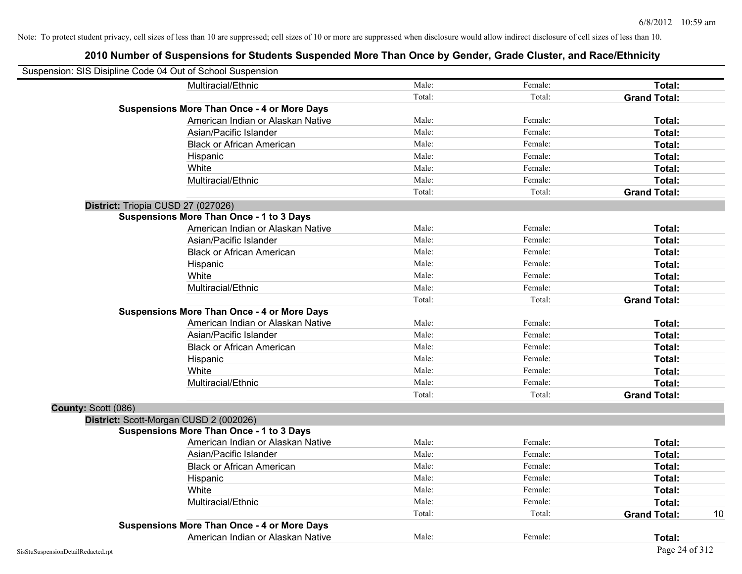| Suspension: SIS Disipline Code 04 Out of School Suspension |                                                    |        |         |                     |    |
|------------------------------------------------------------|----------------------------------------------------|--------|---------|---------------------|----|
|                                                            | Multiracial/Ethnic                                 | Male:  | Female: | Total:              |    |
|                                                            |                                                    | Total: | Total:  | <b>Grand Total:</b> |    |
|                                                            | <b>Suspensions More Than Once - 4 or More Days</b> |        |         |                     |    |
|                                                            | American Indian or Alaskan Native                  | Male:  | Female: | Total:              |    |
|                                                            | Asian/Pacific Islander                             | Male:  | Female: | Total:              |    |
|                                                            | <b>Black or African American</b>                   | Male:  | Female: | Total:              |    |
|                                                            | Hispanic                                           | Male:  | Female: | Total:              |    |
|                                                            | White                                              | Male:  | Female: | Total:              |    |
|                                                            | Multiracial/Ethnic                                 | Male:  | Female: | Total:              |    |
|                                                            |                                                    | Total: | Total:  | <b>Grand Total:</b> |    |
| District: Triopia CUSD 27 (027026)                         |                                                    |        |         |                     |    |
|                                                            | <b>Suspensions More Than Once - 1 to 3 Days</b>    |        |         |                     |    |
|                                                            | American Indian or Alaskan Native                  | Male:  | Female: | Total:              |    |
|                                                            | Asian/Pacific Islander                             | Male:  | Female: | Total:              |    |
|                                                            | <b>Black or African American</b>                   | Male:  | Female: | Total:              |    |
|                                                            | Hispanic                                           | Male:  | Female: | Total:              |    |
|                                                            | White                                              | Male:  | Female: | Total:              |    |
|                                                            | Multiracial/Ethnic                                 | Male:  | Female: | Total:              |    |
|                                                            |                                                    | Total: | Total:  | <b>Grand Total:</b> |    |
|                                                            | <b>Suspensions More Than Once - 4 or More Days</b> |        |         |                     |    |
|                                                            | American Indian or Alaskan Native                  | Male:  | Female: | Total:              |    |
|                                                            | Asian/Pacific Islander                             | Male:  | Female: | Total:              |    |
|                                                            | <b>Black or African American</b>                   | Male:  | Female: | Total:              |    |
|                                                            | Hispanic                                           | Male:  | Female: | Total:              |    |
|                                                            | White                                              | Male:  | Female: | Total:              |    |
|                                                            | Multiracial/Ethnic                                 | Male:  | Female: | Total:              |    |
|                                                            |                                                    | Total: | Total:  | <b>Grand Total:</b> |    |
| County: Scott (086)                                        |                                                    |        |         |                     |    |
|                                                            | District: Scott-Morgan CUSD 2 (002026)             |        |         |                     |    |
|                                                            | <b>Suspensions More Than Once - 1 to 3 Days</b>    |        |         |                     |    |
|                                                            | American Indian or Alaskan Native                  | Male:  | Female: | Total:              |    |
|                                                            | Asian/Pacific Islander                             | Male:  | Female: | Total:              |    |
|                                                            | <b>Black or African American</b>                   | Male:  | Female: | Total:              |    |
|                                                            | Hispanic                                           | Male:  | Female: | Total:              |    |
|                                                            | White                                              | Male:  | Female: | Total:              |    |
|                                                            | Multiracial/Ethnic                                 | Male:  | Female: | Total:              |    |
|                                                            |                                                    | Total: | Total:  | <b>Grand Total:</b> | 10 |
|                                                            | <b>Suspensions More Than Once - 4 or More Days</b> |        |         |                     |    |
|                                                            | American Indian or Alaskan Native                  | Male:  | Female: | Total:              |    |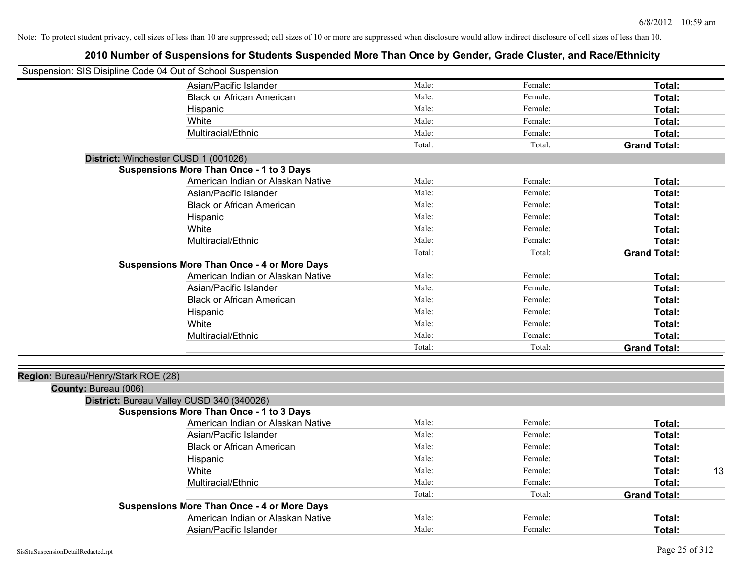| Suspension: SIS Disipline Code 04 Out of School Suspension |        |         |                     |
|------------------------------------------------------------|--------|---------|---------------------|
| Asian/Pacific Islander                                     | Male:  | Female: | Total:              |
| <b>Black or African American</b>                           | Male:  | Female: | Total:              |
| Hispanic                                                   | Male:  | Female: | Total:              |
| White                                                      | Male:  | Female: | Total:              |
| Multiracial/Ethnic                                         | Male:  | Female: | Total:              |
|                                                            | Total: | Total:  | <b>Grand Total:</b> |
| District: Winchester CUSD 1 (001026)                       |        |         |                     |
| Suspensions More Than Once - 1 to 3 Days                   |        |         |                     |
| American Indian or Alaskan Native                          | Male:  | Female: | Total:              |
| Asian/Pacific Islander                                     | Male:  | Female: | Total:              |
| <b>Black or African American</b>                           | Male:  | Female: | Total:              |
| Hispanic                                                   | Male:  | Female: | Total:              |
| White                                                      | Male:  | Female: | Total:              |
| Multiracial/Ethnic                                         | Male:  | Female: | Total:              |
|                                                            | Total: | Total:  | <b>Grand Total:</b> |
| <b>Suspensions More Than Once - 4 or More Days</b>         |        |         |                     |
| American Indian or Alaskan Native                          | Male:  | Female: | Total:              |
| Asian/Pacific Islander                                     | Male:  | Female: | Total:              |
| <b>Black or African American</b>                           | Male:  | Female: | Total:              |
| Hispanic                                                   | Male:  | Female: | Total:              |
| White                                                      | Male:  | Female: | Total:              |
| Multiracial/Ethnic                                         | Male:  | Female: | Total:              |
|                                                            | Total: | Total:  | <b>Grand Total:</b> |
| Region: Bureau/Henry/Stark ROE (28)                        |        |         |                     |
| County: Bureau (006)                                       |        |         |                     |
| District: Bureau Valley CUSD 340 (340026)                  |        |         |                     |
| <b>Suspensions More Than Once - 1 to 3 Days</b>            |        |         |                     |
| American Indian or Alaskan Native                          | Male:  | Female: | Total:              |
| Asian/Pacific Islander                                     | Male:  | Female: | Total:              |
| <b>Black or African American</b>                           | Male:  | Female: | Total:              |
| Hispanic                                                   | Male:  | Female: | Total:              |
| White                                                      | Male:  | Female: | 13<br>Total:        |
| Multiracial/Ethnic                                         | Male:  | Female: | Total:              |
|                                                            | Total: | Total:  | <b>Grand Total:</b> |
| <b>Suspensions More Than Once - 4 or More Days</b>         |        |         |                     |
| American Indian or Alaskan Native                          | Male:  | Female: | Total:              |
| Asian/Pacific Islander                                     | Male:  | Female: | Total:              |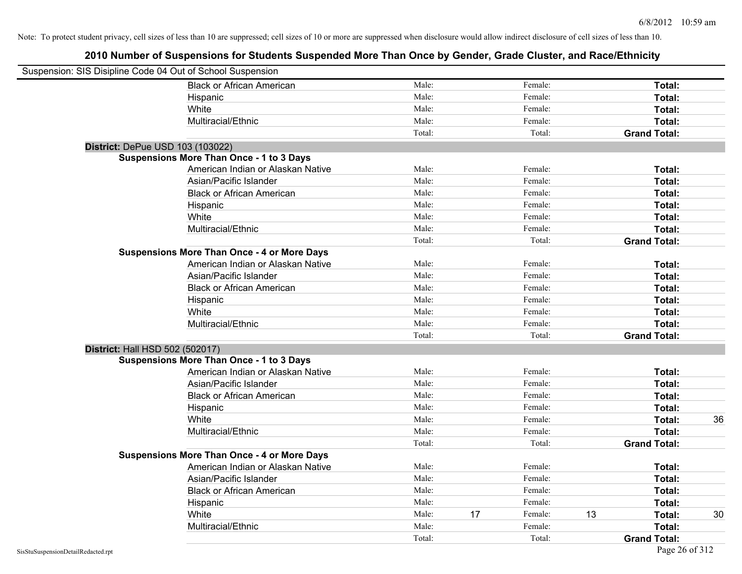| Suspension: SIS Disipline Code 04 Out of School Suspension |                                                    |        |    |         |    |                     |    |
|------------------------------------------------------------|----------------------------------------------------|--------|----|---------|----|---------------------|----|
|                                                            | <b>Black or African American</b>                   | Male:  |    | Female: |    | Total:              |    |
|                                                            | Hispanic                                           | Male:  |    | Female: |    | Total:              |    |
|                                                            | White                                              | Male:  |    | Female: |    | Total:              |    |
|                                                            | Multiracial/Ethnic                                 | Male:  |    | Female: |    | Total:              |    |
|                                                            |                                                    | Total: |    | Total:  |    | <b>Grand Total:</b> |    |
| District: DePue USD 103 (103022)                           |                                                    |        |    |         |    |                     |    |
|                                                            | <b>Suspensions More Than Once - 1 to 3 Days</b>    |        |    |         |    |                     |    |
|                                                            | American Indian or Alaskan Native                  | Male:  |    | Female: |    | Total:              |    |
|                                                            | Asian/Pacific Islander                             | Male:  |    | Female: |    | Total:              |    |
|                                                            | <b>Black or African American</b>                   | Male:  |    | Female: |    | Total:              |    |
|                                                            | Hispanic                                           | Male:  |    | Female: |    | Total:              |    |
|                                                            | White                                              | Male:  |    | Female: |    | Total:              |    |
|                                                            | Multiracial/Ethnic                                 | Male:  |    | Female: |    | Total:              |    |
|                                                            |                                                    | Total: |    | Total:  |    | <b>Grand Total:</b> |    |
|                                                            | <b>Suspensions More Than Once - 4 or More Days</b> |        |    |         |    |                     |    |
|                                                            | American Indian or Alaskan Native                  | Male:  |    | Female: |    | Total:              |    |
|                                                            | Asian/Pacific Islander                             | Male:  |    | Female: |    | Total:              |    |
|                                                            | <b>Black or African American</b>                   | Male:  |    | Female: |    | Total:              |    |
|                                                            | Hispanic                                           | Male:  |    | Female: |    | Total:              |    |
|                                                            | White                                              | Male:  |    | Female: |    | Total:              |    |
|                                                            | Multiracial/Ethnic                                 | Male:  |    | Female: |    | Total:              |    |
|                                                            |                                                    | Total: |    | Total:  |    | <b>Grand Total:</b> |    |
| District: Hall HSD 502 (502017)                            |                                                    |        |    |         |    |                     |    |
|                                                            | <b>Suspensions More Than Once - 1 to 3 Days</b>    |        |    |         |    |                     |    |
|                                                            | American Indian or Alaskan Native                  | Male:  |    | Female: |    | Total:              |    |
|                                                            | Asian/Pacific Islander                             | Male:  |    | Female: |    | Total:              |    |
|                                                            | <b>Black or African American</b>                   | Male:  |    | Female: |    | Total:              |    |
|                                                            | Hispanic                                           | Male:  |    | Female: |    | Total:              |    |
|                                                            | White                                              | Male:  |    | Female: |    | Total:              | 36 |
|                                                            | Multiracial/Ethnic                                 | Male:  |    | Female: |    | Total:              |    |
|                                                            |                                                    | Total: |    | Total:  |    | <b>Grand Total:</b> |    |
|                                                            | <b>Suspensions More Than Once - 4 or More Days</b> |        |    |         |    |                     |    |
|                                                            | American Indian or Alaskan Native                  | Male:  |    | Female: |    | Total:              |    |
|                                                            | Asian/Pacific Islander                             | Male:  |    | Female: |    | Total:              |    |
|                                                            | <b>Black or African American</b>                   | Male:  |    | Female: |    | Total:              |    |
|                                                            | Hispanic                                           | Male:  |    | Female: |    | Total:              |    |
|                                                            | White                                              | Male:  | 17 | Female: | 13 | Total:              | 30 |
|                                                            | Multiracial/Ethnic                                 | Male:  |    | Female: |    | Total:              |    |
|                                                            |                                                    | Total: |    | Total:  |    | <b>Grand Total:</b> |    |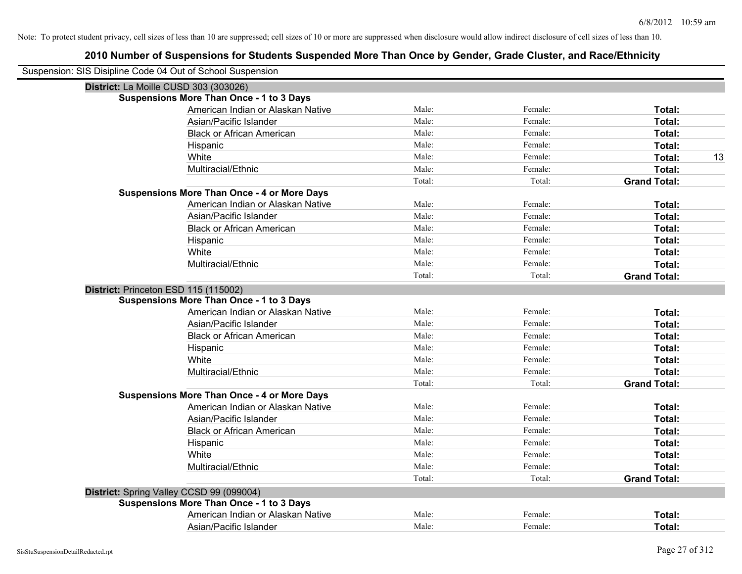| Suspension: SIS Disipline Code 04 Out of School Suspension |        |         |                     |
|------------------------------------------------------------|--------|---------|---------------------|
| District: La Moille CUSD 303 (303026)                      |        |         |                     |
| <b>Suspensions More Than Once - 1 to 3 Days</b>            |        |         |                     |
| American Indian or Alaskan Native                          | Male:  | Female: | Total:              |
| Asian/Pacific Islander                                     | Male:  | Female: | Total:              |
| <b>Black or African American</b>                           | Male:  | Female: | Total:              |
| Hispanic                                                   | Male:  | Female: | Total:              |
| White                                                      | Male:  | Female: | 13<br>Total:        |
| Multiracial/Ethnic                                         | Male:  | Female: | Total:              |
|                                                            | Total: | Total:  | <b>Grand Total:</b> |
| <b>Suspensions More Than Once - 4 or More Days</b>         |        |         |                     |
| American Indian or Alaskan Native                          | Male:  | Female: | Total:              |
| Asian/Pacific Islander                                     | Male:  | Female: | Total:              |
| <b>Black or African American</b>                           | Male:  | Female: | Total:              |
| Hispanic                                                   | Male:  | Female: | Total:              |
| White                                                      | Male:  | Female: | Total:              |
| Multiracial/Ethnic                                         | Male:  | Female: | Total:              |
|                                                            | Total: | Total:  | <b>Grand Total:</b> |
| District: Princeton ESD 115 (115002)                       |        |         |                     |
| <b>Suspensions More Than Once - 1 to 3 Days</b>            |        |         |                     |
| American Indian or Alaskan Native                          | Male:  | Female: | Total:              |
| Asian/Pacific Islander                                     | Male:  | Female: | Total:              |
| <b>Black or African American</b>                           | Male:  | Female: | Total:              |
| Hispanic                                                   | Male:  | Female: | Total:              |
| White                                                      | Male:  | Female: | Total:              |
| Multiracial/Ethnic                                         | Male:  | Female: | Total:              |
|                                                            | Total: | Total:  | <b>Grand Total:</b> |
| <b>Suspensions More Than Once - 4 or More Days</b>         |        |         |                     |
| American Indian or Alaskan Native                          | Male:  | Female: | Total:              |
| Asian/Pacific Islander                                     | Male:  | Female: | Total:              |
| <b>Black or African American</b>                           | Male:  | Female: | Total:              |
| Hispanic                                                   | Male:  | Female: | Total:              |
| White                                                      | Male:  | Female: | Total:              |
| Multiracial/Ethnic                                         | Male:  | Female: | Total:              |
|                                                            | Total: | Total:  | <b>Grand Total:</b> |
| District: Spring Valley CCSD 99 (099004)                   |        |         |                     |
| <b>Suspensions More Than Once - 1 to 3 Days</b>            |        |         |                     |
| American Indian or Alaskan Native                          | Male:  | Female: | Total:              |
| Asian/Pacific Islander                                     | Male:  | Female: | Total:              |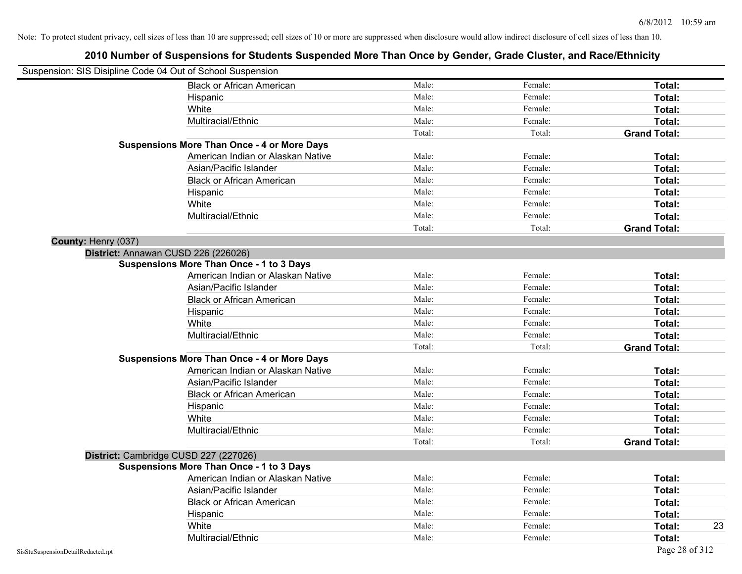| Suspension: SIS Disipline Code 04 Out of School Suspension |                                                    |        |         |                     |
|------------------------------------------------------------|----------------------------------------------------|--------|---------|---------------------|
|                                                            | <b>Black or African American</b>                   | Male:  | Female: | Total:              |
| Hispanic                                                   |                                                    | Male:  | Female: | Total:              |
| White                                                      |                                                    | Male:  | Female: | Total:              |
|                                                            | Multiracial/Ethnic                                 | Male:  | Female: | Total:              |
|                                                            |                                                    | Total: | Total:  | <b>Grand Total:</b> |
|                                                            | <b>Suspensions More Than Once - 4 or More Days</b> |        |         |                     |
|                                                            | American Indian or Alaskan Native                  | Male:  | Female: | Total:              |
|                                                            | Asian/Pacific Islander                             | Male:  | Female: | Total:              |
|                                                            | <b>Black or African American</b>                   | Male:  | Female: | Total:              |
| Hispanic                                                   |                                                    | Male:  | Female: | Total:              |
| White                                                      |                                                    | Male:  | Female: | Total:              |
|                                                            | Multiracial/Ethnic                                 | Male:  | Female: | Total:              |
|                                                            |                                                    | Total: | Total:  | <b>Grand Total:</b> |
| County: Henry (037)                                        |                                                    |        |         |                     |
| District: Annawan CUSD 226 (226026)                        |                                                    |        |         |                     |
|                                                            | <b>Suspensions More Than Once - 1 to 3 Days</b>    |        |         |                     |
|                                                            | American Indian or Alaskan Native                  | Male:  | Female: | Total:              |
|                                                            | Asian/Pacific Islander                             | Male:  | Female: | Total:              |
|                                                            | <b>Black or African American</b>                   | Male:  | Female: | Total:              |
| Hispanic                                                   |                                                    | Male:  | Female: | Total:              |
| White                                                      |                                                    | Male:  | Female: | Total:              |
|                                                            | Multiracial/Ethnic                                 | Male:  | Female: | Total:              |
|                                                            |                                                    | Total: | Total:  | <b>Grand Total:</b> |
|                                                            | <b>Suspensions More Than Once - 4 or More Days</b> |        |         |                     |
|                                                            | American Indian or Alaskan Native                  | Male:  | Female: | Total:              |
|                                                            | Asian/Pacific Islander                             | Male:  | Female: | Total:              |
|                                                            | <b>Black or African American</b>                   | Male:  | Female: | Total:              |
| Hispanic                                                   |                                                    | Male:  | Female: | Total:              |
| White                                                      |                                                    | Male:  | Female: | Total:              |
|                                                            | Multiracial/Ethnic                                 | Male:  | Female: | Total:              |
|                                                            |                                                    | Total: | Total:  | <b>Grand Total:</b> |
| District: Cambridge CUSD 227 (227026)                      |                                                    |        |         |                     |
|                                                            | <b>Suspensions More Than Once - 1 to 3 Days</b>    |        |         |                     |
|                                                            | American Indian or Alaskan Native                  | Male:  | Female: | Total:              |
|                                                            | Asian/Pacific Islander                             | Male:  | Female: | Total:              |
|                                                            | <b>Black or African American</b>                   | Male:  | Female: | Total:              |
| Hispanic                                                   |                                                    | Male:  | Female: | Total:              |
| White                                                      |                                                    | Male:  | Female: | 23<br>Total:        |
|                                                            | Multiracial/Ethnic                                 | Male:  | Female: | Total:              |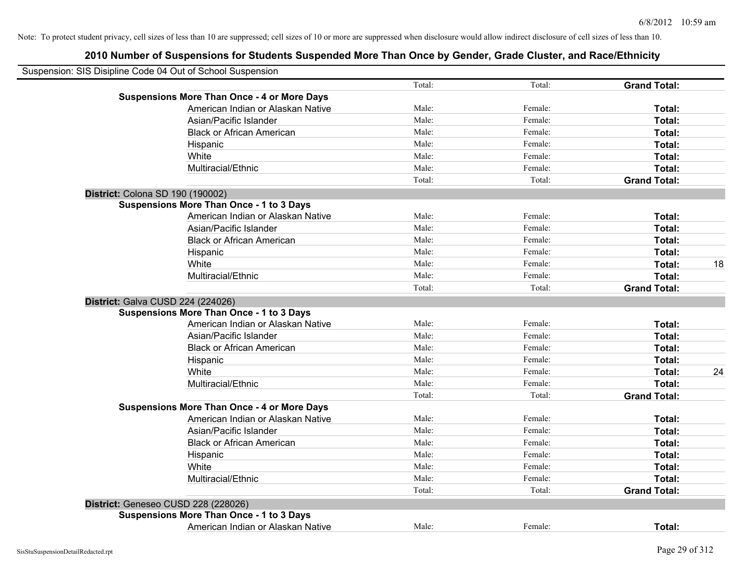| Suspension: SIS Disipline Code 04 Out of School Suspension |        |         |                     |    |
|------------------------------------------------------------|--------|---------|---------------------|----|
|                                                            | Total: | Total:  | <b>Grand Total:</b> |    |
| <b>Suspensions More Than Once - 4 or More Days</b>         |        |         |                     |    |
| American Indian or Alaskan Native                          | Male:  | Female: | Total:              |    |
| Asian/Pacific Islander                                     | Male:  | Female: | Total:              |    |
| <b>Black or African American</b>                           | Male:  | Female: | Total:              |    |
| Hispanic                                                   | Male:  | Female: | Total:              |    |
| White                                                      | Male:  | Female: | Total:              |    |
| Multiracial/Ethnic                                         | Male:  | Female: | Total:              |    |
|                                                            | Total: | Total:  | <b>Grand Total:</b> |    |
| District: Colona SD 190 (190002)                           |        |         |                     |    |
| <b>Suspensions More Than Once - 1 to 3 Days</b>            |        |         |                     |    |
| American Indian or Alaskan Native                          | Male:  | Female: | Total:              |    |
| Asian/Pacific Islander                                     | Male:  | Female: | Total:              |    |
| <b>Black or African American</b>                           | Male:  | Female: | Total:              |    |
| Hispanic                                                   | Male:  | Female: | Total:              |    |
| White                                                      | Male:  | Female: | Total:              | 18 |
| Multiracial/Ethnic                                         | Male:  | Female: | Total:              |    |
|                                                            | Total: | Total:  | <b>Grand Total:</b> |    |
| District: Galva CUSD 224 (224026)                          |        |         |                     |    |
| <b>Suspensions More Than Once - 1 to 3 Days</b>            |        |         |                     |    |
| American Indian or Alaskan Native                          | Male:  | Female: | Total:              |    |
| Asian/Pacific Islander                                     | Male:  | Female: | Total:              |    |
| <b>Black or African American</b>                           | Male:  | Female: | Total:              |    |
| Hispanic                                                   | Male:  | Female: | Total:              |    |
| White                                                      | Male:  | Female: | Total:              | 24 |
| Multiracial/Ethnic                                         | Male:  | Female: | Total:              |    |
|                                                            | Total: | Total:  | <b>Grand Total:</b> |    |
| <b>Suspensions More Than Once - 4 or More Days</b>         |        |         |                     |    |
| American Indian or Alaskan Native                          | Male:  | Female: | Total:              |    |
| Asian/Pacific Islander                                     | Male:  | Female: | Total:              |    |
| <b>Black or African American</b>                           | Male:  | Female: | Total:              |    |
| Hispanic                                                   | Male:  | Female: | Total:              |    |
| White                                                      | Male:  | Female: | Total:              |    |
| Multiracial/Ethnic                                         | Male:  | Female: | Total:              |    |
|                                                            | Total: | Total:  | <b>Grand Total:</b> |    |
| District: Geneseo CUSD 228 (228026)                        |        |         |                     |    |
| <b>Suspensions More Than Once - 1 to 3 Days</b>            |        |         |                     |    |
| American Indian or Alaskan Native                          | Male:  | Female: | Total:              |    |
|                                                            |        |         |                     |    |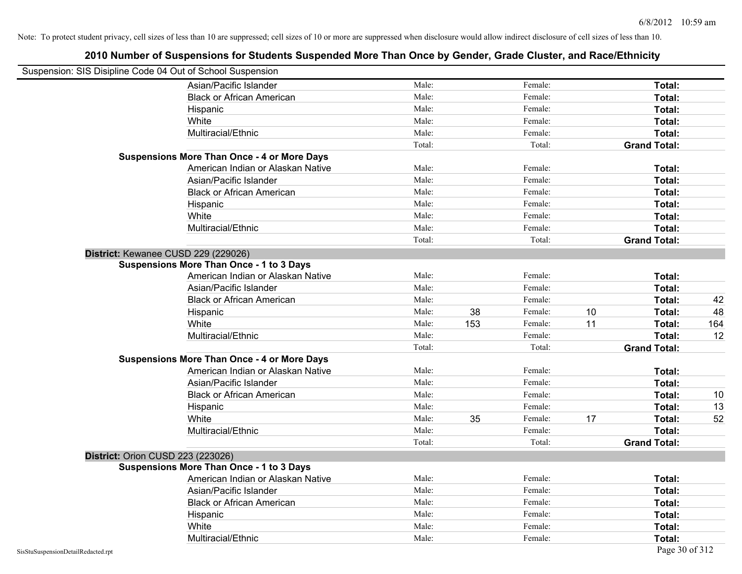| Suspension: SIS Disipline Code 04 Out of School Suspension |                                                    |        |     |         |    |                     |     |
|------------------------------------------------------------|----------------------------------------------------|--------|-----|---------|----|---------------------|-----|
|                                                            | Asian/Pacific Islander                             | Male:  |     | Female: |    | Total:              |     |
|                                                            | <b>Black or African American</b>                   | Male:  |     | Female: |    | Total:              |     |
|                                                            | Hispanic                                           | Male:  |     | Female: |    | Total:              |     |
|                                                            | White                                              | Male:  |     | Female: |    | Total:              |     |
|                                                            | Multiracial/Ethnic                                 | Male:  |     | Female: |    | Total:              |     |
|                                                            |                                                    | Total: |     | Total:  |    | <b>Grand Total:</b> |     |
|                                                            | <b>Suspensions More Than Once - 4 or More Days</b> |        |     |         |    |                     |     |
|                                                            | American Indian or Alaskan Native                  | Male:  |     | Female: |    | Total:              |     |
|                                                            | Asian/Pacific Islander                             | Male:  |     | Female: |    | Total:              |     |
|                                                            | <b>Black or African American</b>                   | Male:  |     | Female: |    | Total:              |     |
|                                                            | Hispanic                                           | Male:  |     | Female: |    | Total:              |     |
|                                                            | White                                              | Male:  |     | Female: |    | Total:              |     |
|                                                            | Multiracial/Ethnic                                 | Male:  |     | Female: |    | Total:              |     |
|                                                            |                                                    | Total: |     | Total:  |    | <b>Grand Total:</b> |     |
| District: Kewanee CUSD 229 (229026)                        |                                                    |        |     |         |    |                     |     |
|                                                            | <b>Suspensions More Than Once - 1 to 3 Days</b>    |        |     |         |    |                     |     |
|                                                            | American Indian or Alaskan Native                  | Male:  |     | Female: |    | Total:              |     |
|                                                            | Asian/Pacific Islander                             | Male:  |     | Female: |    | Total:              |     |
|                                                            | <b>Black or African American</b>                   | Male:  |     | Female: |    | Total:              | 42  |
|                                                            | Hispanic                                           | Male:  | 38  | Female: | 10 | Total:              | 48  |
|                                                            | White                                              | Male:  | 153 | Female: | 11 | Total:              | 164 |
|                                                            | Multiracial/Ethnic                                 | Male:  |     | Female: |    | Total:              | 12  |
|                                                            |                                                    | Total: |     | Total:  |    | <b>Grand Total:</b> |     |
|                                                            | <b>Suspensions More Than Once - 4 or More Days</b> |        |     |         |    |                     |     |
|                                                            | American Indian or Alaskan Native                  | Male:  |     | Female: |    | Total:              |     |
|                                                            | Asian/Pacific Islander                             | Male:  |     | Female: |    | Total:              |     |
|                                                            | <b>Black or African American</b>                   | Male:  |     | Female: |    | Total:              | 10  |
|                                                            | Hispanic                                           | Male:  |     | Female: |    | Total:              | 13  |
|                                                            | White                                              | Male:  | 35  | Female: | 17 | Total:              | 52  |
|                                                            | Multiracial/Ethnic                                 | Male:  |     | Female: |    | Total:              |     |
|                                                            |                                                    | Total: |     | Total:  |    | <b>Grand Total:</b> |     |
| District: Orion CUSD 223 (223026)                          |                                                    |        |     |         |    |                     |     |
|                                                            | <b>Suspensions More Than Once - 1 to 3 Days</b>    |        |     |         |    |                     |     |
|                                                            | American Indian or Alaskan Native                  | Male:  |     | Female: |    | Total:              |     |
|                                                            | Asian/Pacific Islander                             | Male:  |     | Female: |    | Total:              |     |
|                                                            | <b>Black or African American</b>                   | Male:  |     | Female: |    | Total:              |     |
|                                                            | Hispanic                                           | Male:  |     | Female: |    | Total:              |     |
|                                                            | White                                              | Male:  |     | Female: |    | Total:              |     |
|                                                            | Multiracial/Ethnic                                 | Male:  |     | Female: |    | Total:              |     |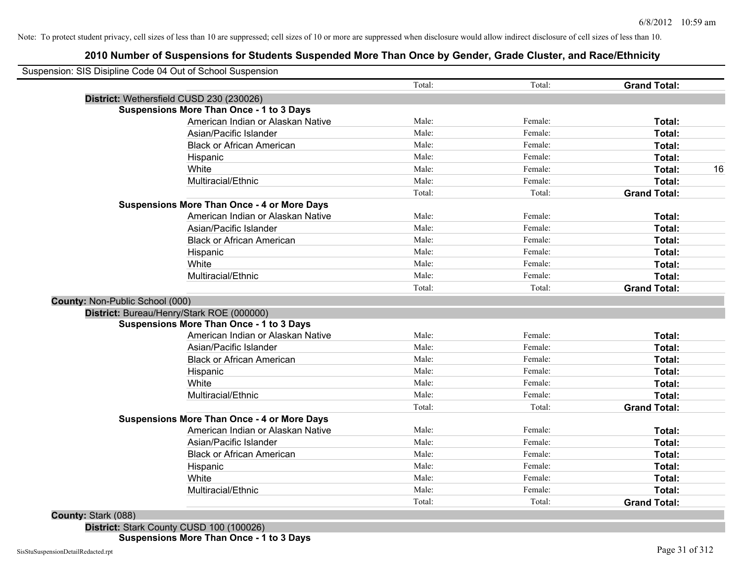# **2010 Number of Suspensions for Students Suspended More Than Once by Gender, Grade Cluster, and Race/Ethnicity**

| Suspension: SIS Disipline Code 04 Out of School Suspension |        |         |                     |
|------------------------------------------------------------|--------|---------|---------------------|
|                                                            | Total: | Total:  | <b>Grand Total:</b> |
| District: Wethersfield CUSD 230 (230026)                   |        |         |                     |
| <b>Suspensions More Than Once - 1 to 3 Days</b>            |        |         |                     |
| American Indian or Alaskan Native                          | Male:  | Female: | Total:              |
| Asian/Pacific Islander                                     | Male:  | Female: | Total:              |
| <b>Black or African American</b>                           | Male:  | Female: | Total:              |
| Hispanic                                                   | Male:  | Female: | Total:              |
| White                                                      | Male:  | Female: | Total:              |
| Multiracial/Ethnic                                         | Male:  | Female: | <b>Total:</b>       |
|                                                            | Total: | Total:  | <b>Grand Total:</b> |
| <b>Suspensions More Than Once - 4 or More Days</b>         |        |         |                     |
| American Indian or Alaskan Native                          | Male:  | Female: | Total:              |
| Asian/Pacific Islander                                     | Male:  | Female: | Total:              |
| <b>Black or African American</b>                           | Male:  | Female: | Total:              |
| Hispanic                                                   | Male:  | Female: | Total:              |
| White                                                      | Male:  | Female: | Total:              |
| Multiracial/Ethnic                                         | Male:  | Female: | Total:              |
|                                                            | Total: | Total:  | <b>Grand Total:</b> |
| County: Non-Public School (000)                            |        |         |                     |
| District: Bureau/Henry/Stark ROE (000000)                  |        |         |                     |
| <b>Suspensions More Than Once - 1 to 3 Days</b>            |        |         |                     |
| American Indian or Alaskan Native                          | Male:  | Female: | Total:              |
| Asian/Pacific Islander                                     | Male:  | Female: | Total:              |
| <b>Black or African American</b>                           | Male:  | Female: | Total:              |
| Hispanic                                                   | Male:  | Female: | Total:              |
| White                                                      | Male:  | Female: | Total:              |
| Multiracial/Ethnic                                         | Male:  | Female: | Total:              |
|                                                            | Total: | Total:  | <b>Grand Total:</b> |
| <b>Suspensions More Than Once - 4 or More Days</b>         |        |         |                     |
| American Indian or Alaskan Native                          | Male:  | Female: | Total:              |
| Asian/Pacific Islander                                     | Male:  | Female: | Total:              |
| <b>Black or African American</b>                           | Male:  | Female: | Total:              |
| Hispanic                                                   | Male:  | Female: | Total:              |
| White                                                      | Male:  | Female: | Total:              |
| Multiracial/Ethnic                                         | Male:  | Female: | <b>Total:</b>       |
|                                                            | Total: | Total:  | <b>Grand Total:</b> |

**County:** Stark (088)

**District:** Stark County CUSD 100 (100026)

**Suspensions More Than Once - 1 to 3 Days**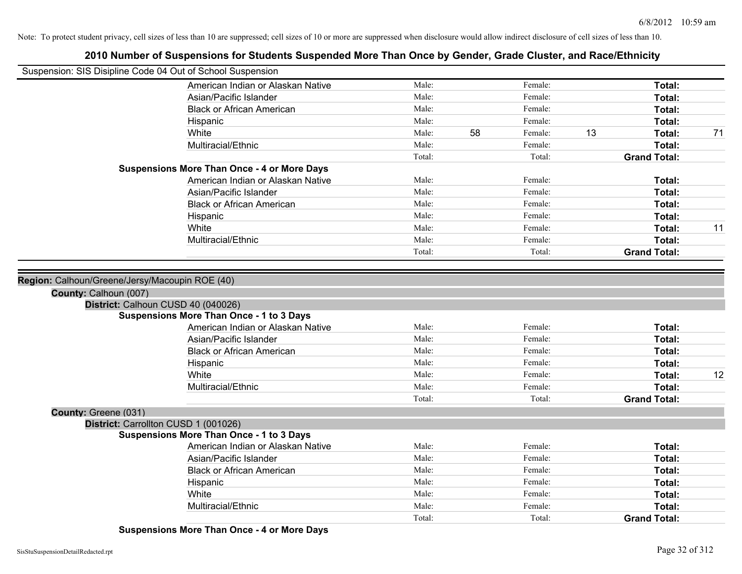| Suspension: SIS Disipline Code 04 Out of School Suspension |                                                    |        |    |         |                     |    |
|------------------------------------------------------------|----------------------------------------------------|--------|----|---------|---------------------|----|
|                                                            | American Indian or Alaskan Native                  | Male:  |    | Female: | Total:              |    |
|                                                            | Asian/Pacific Islander                             | Male:  |    | Female: | Total:              |    |
|                                                            | <b>Black or African American</b>                   | Male:  |    | Female: | Total:              |    |
|                                                            | Hispanic                                           | Male:  |    | Female: | Total:              |    |
|                                                            | White                                              | Male:  | 58 | Female: | 13<br>Total:        | 71 |
|                                                            | Multiracial/Ethnic                                 | Male:  |    | Female: | Total:              |    |
|                                                            |                                                    | Total: |    | Total:  | <b>Grand Total:</b> |    |
|                                                            | <b>Suspensions More Than Once - 4 or More Days</b> |        |    |         |                     |    |
|                                                            | American Indian or Alaskan Native                  | Male:  |    | Female: | Total:              |    |
|                                                            | Asian/Pacific Islander                             | Male:  |    | Female: | Total:              |    |
|                                                            | <b>Black or African American</b>                   | Male:  |    | Female: | Total:              |    |
|                                                            | Hispanic                                           | Male:  |    | Female: | Total:              |    |
|                                                            | White                                              | Male:  |    | Female: | Total:              | 11 |
|                                                            | Multiracial/Ethnic                                 | Male:  |    | Female: | Total:              |    |
|                                                            |                                                    | Total: |    | Total:  | <b>Grand Total:</b> |    |
|                                                            |                                                    |        |    |         |                     |    |
| Region: Calhoun/Greene/Jersy/Macoupin ROE (40)             |                                                    |        |    |         |                     |    |
| County: Calhoun (007)                                      |                                                    |        |    |         |                     |    |
|                                                            | District: Calhoun CUSD 40 (040026)                 |        |    |         |                     |    |
|                                                            | <b>Suspensions More Than Once - 1 to 3 Days</b>    |        |    |         |                     |    |
|                                                            | American Indian or Alaskan Native                  | Male:  |    | Female: | Total:              |    |
|                                                            | Asian/Pacific Islander                             | Male:  |    | Female: | Total:              |    |
|                                                            | <b>Black or African American</b>                   | Male:  |    | Female: | Total:              |    |
|                                                            | Hispanic                                           | Male:  |    | Female: | Total:              |    |
|                                                            | White                                              | Male:  |    | Female: | Total:              | 12 |
|                                                            | Multiracial/Ethnic                                 | Male:  |    | Female: | Total:              |    |
|                                                            |                                                    | Total: |    | Total:  | <b>Grand Total:</b> |    |
| County: Greene (031)                                       |                                                    |        |    |         |                     |    |
|                                                            | District: Carrollton CUSD 1 (001026)               |        |    |         |                     |    |
|                                                            | <b>Suspensions More Than Once - 1 to 3 Days</b>    |        |    |         |                     |    |
|                                                            | American Indian or Alaskan Native                  | Male:  |    | Female: | Total:              |    |
|                                                            | Asian/Pacific Islander                             | Male:  |    | Female: | Total:              |    |
|                                                            | <b>Black or African American</b>                   | Male:  |    | Female: | Total:              |    |
|                                                            | Hispanic                                           | Male:  |    | Female: | Total:              |    |
|                                                            | White                                              | Male:  |    | Female: | Total:              |    |
|                                                            | Multiracial/Ethnic                                 | Male:  |    | Female: | Total:              |    |
|                                                            |                                                    | Total: |    | Total:  | <b>Grand Total:</b> |    |
|                                                            | $\sim$ $\sim$ $\sim$                               |        |    |         |                     |    |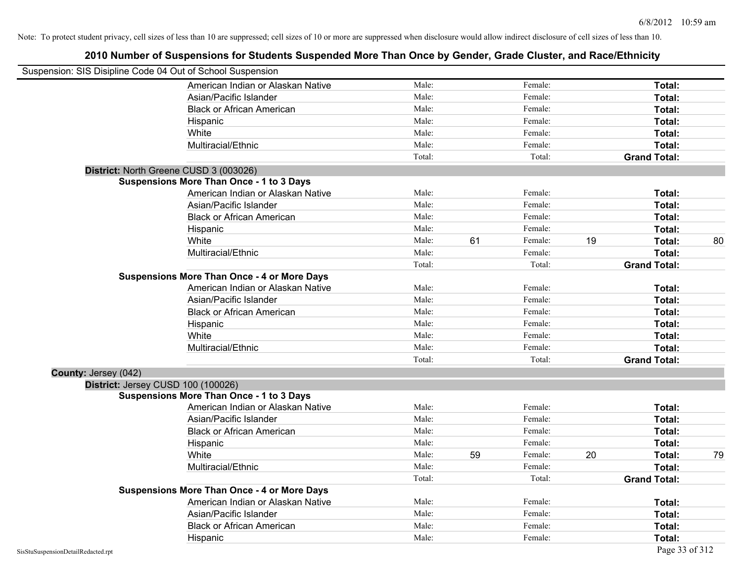|                                                            | Note: To protect student privacy, cell sizes of less than 10 are suppressed; cell sizes of 10 or more are suppressed when disclosure would allow indirect disclosure of cell sizes of less than 10. |        |    |         |    |                     |    |
|------------------------------------------------------------|-----------------------------------------------------------------------------------------------------------------------------------------------------------------------------------------------------|--------|----|---------|----|---------------------|----|
|                                                            | 2010 Number of Suspensions for Students Suspended More Than Once by Gender, Grade Cluster, and Race/Ethnicity                                                                                       |        |    |         |    |                     |    |
| Suspension: SIS Disipline Code 04 Out of School Suspension |                                                                                                                                                                                                     |        |    |         |    |                     |    |
|                                                            | American Indian or Alaskan Native                                                                                                                                                                   | Male:  |    | Female: |    | Total:              |    |
|                                                            | Asian/Pacific Islander                                                                                                                                                                              | Male:  |    | Female: |    | Total:              |    |
|                                                            | <b>Black or African American</b>                                                                                                                                                                    | Male:  |    | Female: |    | Total:              |    |
|                                                            | Hispanic                                                                                                                                                                                            | Male:  |    | Female: |    | Total:              |    |
|                                                            | White                                                                                                                                                                                               | Male:  |    | Female: |    | Total:              |    |
|                                                            | Multiracial/Ethnic                                                                                                                                                                                  | Male:  |    | Female: |    | Total:              |    |
|                                                            |                                                                                                                                                                                                     | Total: |    | Total:  |    | <b>Grand Total:</b> |    |
|                                                            | District: North Greene CUSD 3 (003026)                                                                                                                                                              |        |    |         |    |                     |    |
|                                                            | <b>Suspensions More Than Once - 1 to 3 Days</b>                                                                                                                                                     |        |    |         |    |                     |    |
|                                                            | American Indian or Alaskan Native                                                                                                                                                                   | Male:  |    | Female: |    | Total:              |    |
|                                                            | Asian/Pacific Islander                                                                                                                                                                              | Male:  |    | Female: |    | Total:              |    |
|                                                            | <b>Black or African American</b>                                                                                                                                                                    | Male:  |    | Female: |    | Total:              |    |
|                                                            | Hispanic                                                                                                                                                                                            | Male:  |    | Female: |    | Total:              |    |
|                                                            | White                                                                                                                                                                                               | Male:  | 61 | Female: | 19 | Total:              | 80 |
|                                                            | Multiracial/Ethnic                                                                                                                                                                                  | Male:  |    | Female: |    | Total:              |    |
|                                                            |                                                                                                                                                                                                     | Total: |    | Total:  |    | <b>Grand Total:</b> |    |
|                                                            | <b>Suspensions More Than Once - 4 or More Days</b>                                                                                                                                                  |        |    |         |    |                     |    |
|                                                            | American Indian or Alaskan Native                                                                                                                                                                   | Male:  |    | Female: |    | Total:              |    |
|                                                            | Asian/Pacific Islander                                                                                                                                                                              | Male:  |    | Female: |    | Total:              |    |
|                                                            | <b>Black or African American</b>                                                                                                                                                                    | Male:  |    | Female: |    | Total:              |    |
|                                                            | Hispanic                                                                                                                                                                                            | Male:  |    | Female: |    | Total:              |    |
|                                                            | White                                                                                                                                                                                               | Male:  |    | Female: |    | Total:              |    |
|                                                            | Multiracial/Ethnic                                                                                                                                                                                  | Male:  |    | Female: |    | Total:              |    |
|                                                            |                                                                                                                                                                                                     | Total: |    | Total:  |    | <b>Grand Total:</b> |    |
| County: Jersey (042)                                       |                                                                                                                                                                                                     |        |    |         |    |                     |    |
| District: Jersey CUSD 100 (100026)                         |                                                                                                                                                                                                     |        |    |         |    |                     |    |
|                                                            | <b>Suspensions More Than Once - 1 to 3 Days</b>                                                                                                                                                     |        |    |         |    |                     |    |
|                                                            | American Indian or Alaskan Native                                                                                                                                                                   | Male:  |    | Female: |    | Total:              |    |
|                                                            | Asian/Pacific Islander                                                                                                                                                                              | Male:  |    | Female: |    | Total:              |    |
|                                                            | <b>Black or African American</b>                                                                                                                                                                    | Male:  |    | Female: |    | Total:              |    |

Hispanic **Total:** Male: Female: **Total:** Female: **Total:** Total: Female: **Total:** Total:

Multiracial/Ethnic **Total:** Male: Female: Female: **Total:** Total:

American Indian or Alaskan Native **Male:** Male: Female: Female: Total: Asian/Pacific Islander **Total:** Male: Female: Female: **Total:** Total: Black or African American **Figure 10** Male: Female: Female: **Total:** Total: Hispanic **Total:** Male: Female: **Total:** Female: **Total:** Total: Female: **Total:** Total:

White **Male:** 59 Female: 20 **Total:** 79 Female: 20 **Total:** 79

Total: Total: **Grand Total:**

**Suspensions More Than Once - 4 or More Days**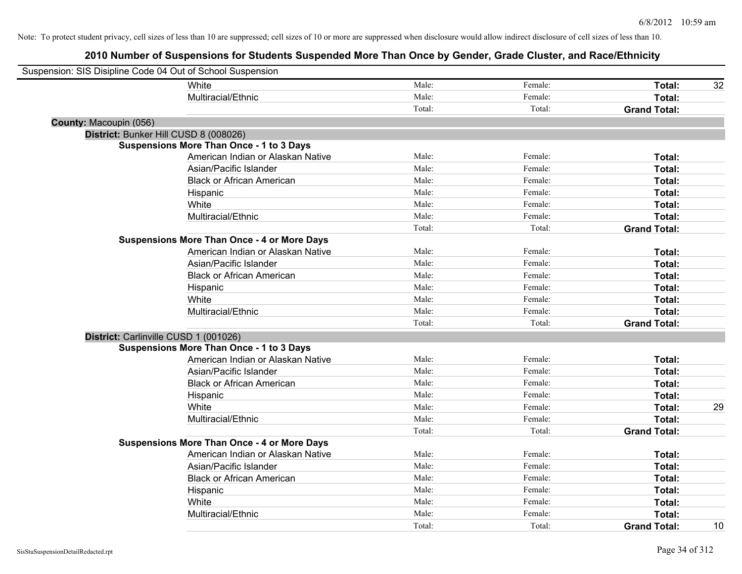| Suspension: SIS Disipline Code 04 Out of School Suspension |                                   |        |         |                     |    |
|------------------------------------------------------------|-----------------------------------|--------|---------|---------------------|----|
| White                                                      |                                   | Male:  | Female: | Total:              | 32 |
| Multiracial/Ethnic                                         |                                   | Male:  | Female: | Total:              |    |
|                                                            |                                   | Total: | Total:  | <b>Grand Total:</b> |    |
| County: Macoupin (056)                                     |                                   |        |         |                     |    |
| District: Bunker Hill CUSD 8 (008026)                      |                                   |        |         |                     |    |
| <b>Suspensions More Than Once - 1 to 3 Days</b>            |                                   |        |         |                     |    |
|                                                            | American Indian or Alaskan Native | Male:  | Female: | Total:              |    |
|                                                            | Asian/Pacific Islander            | Male:  | Female: | Total:              |    |
|                                                            | <b>Black or African American</b>  | Male:  | Female: | Total:              |    |
| Hispanic                                                   |                                   | Male:  | Female: | Total:              |    |
| White                                                      |                                   | Male:  | Female: | Total:              |    |
| Multiracial/Ethnic                                         |                                   | Male:  | Female: | Total:              |    |
|                                                            |                                   | Total: | Total:  | <b>Grand Total:</b> |    |
| <b>Suspensions More Than Once - 4 or More Days</b>         |                                   |        |         |                     |    |
|                                                            | American Indian or Alaskan Native | Male:  | Female: | Total:              |    |
|                                                            | Asian/Pacific Islander            | Male:  | Female: | Total:              |    |
|                                                            | <b>Black or African American</b>  | Male:  | Female: | Total:              |    |
| Hispanic                                                   |                                   | Male:  | Female: | Total:              |    |
| White                                                      |                                   | Male:  | Female: | Total:              |    |
| Multiracial/Ethnic                                         |                                   | Male:  | Female: | Total:              |    |
|                                                            |                                   | Total: | Total:  | <b>Grand Total:</b> |    |
| District: Carlinville CUSD 1 (001026)                      |                                   |        |         |                     |    |
| <b>Suspensions More Than Once - 1 to 3 Days</b>            |                                   |        |         |                     |    |
|                                                            | American Indian or Alaskan Native | Male:  | Female: | Total:              |    |
|                                                            | Asian/Pacific Islander            | Male:  | Female: | Total:              |    |
|                                                            | <b>Black or African American</b>  | Male:  | Female: | Total:              |    |
| Hispanic                                                   |                                   | Male:  | Female: | Total:              |    |
| White                                                      |                                   | Male:  | Female: | Total:              | 29 |
| Multiracial/Ethnic                                         |                                   | Male:  | Female: | Total:              |    |
|                                                            |                                   | Total: | Total:  | <b>Grand Total:</b> |    |
| <b>Suspensions More Than Once - 4 or More Days</b>         |                                   |        |         |                     |    |
|                                                            | American Indian or Alaskan Native | Male:  | Female: | Total:              |    |
|                                                            | Asian/Pacific Islander            | Male:  | Female: | Total:              |    |
|                                                            | <b>Black or African American</b>  | Male:  | Female: | Total:              |    |
| Hispanic                                                   |                                   | Male:  | Female: | Total:              |    |
| White                                                      |                                   | Male:  | Female: | Total:              |    |
| Multiracial/Ethnic                                         |                                   | Male:  | Female: | Total:              |    |
|                                                            |                                   | Total: | Total:  | <b>Grand Total:</b> | 10 |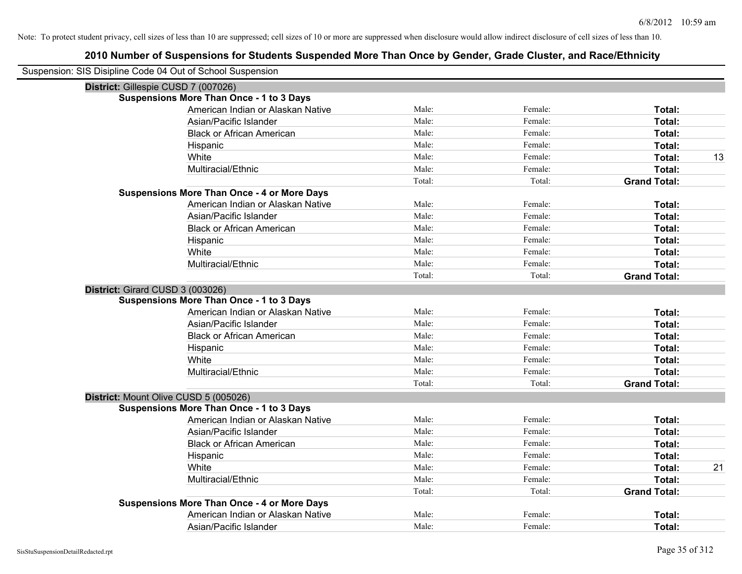| Suspension: SIS Disipline Code 04 Out of School Suspension |                                                    |        |         |                     |
|------------------------------------------------------------|----------------------------------------------------|--------|---------|---------------------|
|                                                            | District: Gillespie CUSD 7 (007026)                |        |         |                     |
|                                                            | <b>Suspensions More Than Once - 1 to 3 Days</b>    |        |         |                     |
|                                                            | American Indian or Alaskan Native                  | Male:  | Female: | Total:              |
|                                                            | Asian/Pacific Islander                             | Male:  | Female: | Total:              |
|                                                            | <b>Black or African American</b>                   | Male:  | Female: | Total:              |
|                                                            | Hispanic                                           | Male:  | Female: | <b>Total:</b>       |
|                                                            | White                                              | Male:  | Female: | Total:<br>13        |
|                                                            | Multiracial/Ethnic                                 | Male:  | Female: | Total:              |
|                                                            |                                                    | Total: | Total:  | <b>Grand Total:</b> |
|                                                            | <b>Suspensions More Than Once - 4 or More Days</b> |        |         |                     |
|                                                            | American Indian or Alaskan Native                  | Male:  | Female: | Total:              |
|                                                            | Asian/Pacific Islander                             | Male:  | Female: | Total:              |
|                                                            | <b>Black or African American</b>                   | Male:  | Female: | Total:              |
|                                                            | Hispanic                                           | Male:  | Female: | Total:              |
|                                                            | White                                              | Male:  | Female: | Total:              |
|                                                            | Multiracial/Ethnic                                 | Male:  | Female: | Total:              |
|                                                            |                                                    | Total: | Total:  | <b>Grand Total:</b> |
|                                                            | District: Girard CUSD 3 (003026)                   |        |         |                     |
|                                                            | <b>Suspensions More Than Once - 1 to 3 Days</b>    |        |         |                     |
|                                                            | American Indian or Alaskan Native                  | Male:  | Female: | Total:              |
|                                                            | Asian/Pacific Islander                             | Male:  | Female: | Total:              |
|                                                            | <b>Black or African American</b>                   | Male:  | Female: | Total:              |
|                                                            | Hispanic                                           | Male:  | Female: | Total:              |
|                                                            | White                                              | Male:  | Female: | Total:              |
|                                                            | Multiracial/Ethnic                                 | Male:  | Female: | Total:              |
|                                                            |                                                    | Total: | Total:  | <b>Grand Total:</b> |
|                                                            | District: Mount Olive CUSD 5 (005026)              |        |         |                     |
|                                                            | <b>Suspensions More Than Once - 1 to 3 Days</b>    |        |         |                     |
|                                                            | American Indian or Alaskan Native                  | Male:  | Female: | Total:              |
|                                                            | Asian/Pacific Islander                             | Male:  | Female: | Total:              |
|                                                            | <b>Black or African American</b>                   | Male:  | Female: | Total:              |
|                                                            | Hispanic                                           | Male:  | Female: | Total:              |
|                                                            | White                                              | Male:  | Female: | 21<br>Total:        |
|                                                            | Multiracial/Ethnic                                 | Male:  | Female: | Total:              |
|                                                            |                                                    | Total: | Total:  | <b>Grand Total:</b> |
|                                                            | <b>Suspensions More Than Once - 4 or More Days</b> |        |         |                     |
|                                                            | American Indian or Alaskan Native                  | Male:  | Female: | Total:              |
|                                                            | Asian/Pacific Islander                             | Male:  | Female: | Total:              |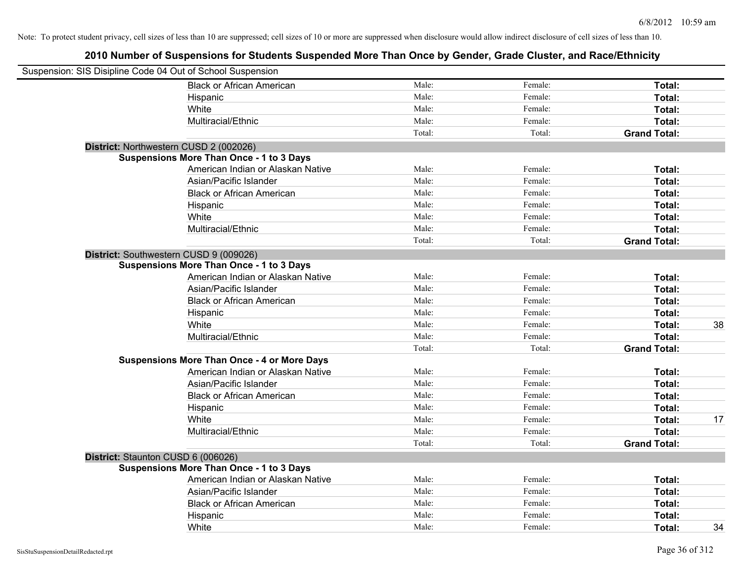| Suspension: SIS Disipline Code 04 Out of School Suspension |                                                 |        |         |                     |
|------------------------------------------------------------|-------------------------------------------------|--------|---------|---------------------|
|                                                            | <b>Black or African American</b>                | Male:  | Female: | Total:              |
|                                                            | Hispanic                                        | Male:  | Female: | Total:              |
|                                                            | White                                           | Male:  | Female: | Total:              |
|                                                            | Multiracial/Ethnic                              | Male:  | Female: | Total:              |
|                                                            |                                                 | Total: | Total:  | <b>Grand Total:</b> |
| District: Northwestern CUSD 2 (002026)                     |                                                 |        |         |                     |
|                                                            | <b>Suspensions More Than Once - 1 to 3 Days</b> |        |         |                     |
|                                                            | American Indian or Alaskan Native               | Male:  | Female: | Total:              |
|                                                            | Asian/Pacific Islander                          | Male:  | Female: | Total:              |
|                                                            | <b>Black or African American</b>                | Male:  | Female: | Total:              |
|                                                            | Hispanic                                        | Male:  | Female: | Total:              |
|                                                            | White                                           | Male:  | Female: | Total:              |
|                                                            | Multiracial/Ethnic                              | Male:  | Female: | Total:              |
|                                                            |                                                 | Total: | Total:  | <b>Grand Total:</b> |
| District: Southwestern CUSD 9 (009026)                     |                                                 |        |         |                     |
|                                                            | <b>Suspensions More Than Once - 1 to 3 Days</b> |        |         |                     |
|                                                            | American Indian or Alaskan Native               | Male:  | Female: | Total:              |
|                                                            | Asian/Pacific Islander                          | Male:  | Female: | Total:              |
|                                                            | <b>Black or African American</b>                | Male:  | Female: | Total:              |
|                                                            | Hispanic                                        | Male:  | Female: | Total:              |
|                                                            | White                                           | Male:  | Female: | Total:<br>38        |
|                                                            | Multiracial/Ethnic                              | Male:  | Female: | Total:              |
|                                                            |                                                 | Total: | Total:  | <b>Grand Total:</b> |
| <b>Suspensions More Than Once - 4 or More Days</b>         |                                                 |        |         |                     |
|                                                            | American Indian or Alaskan Native               | Male:  | Female: | Total:              |
|                                                            | Asian/Pacific Islander                          | Male:  | Female: | Total:              |
|                                                            | <b>Black or African American</b>                | Male:  | Female: | Total:              |
|                                                            | Hispanic                                        | Male:  | Female: | Total:              |
|                                                            | White                                           | Male:  | Female: | Total:<br>17        |
|                                                            | Multiracial/Ethnic                              | Male:  | Female: | Total:              |
|                                                            |                                                 | Total: | Total:  | <b>Grand Total:</b> |
| District: Staunton CUSD 6 (006026)                         |                                                 |        |         |                     |
|                                                            | <b>Suspensions More Than Once - 1 to 3 Days</b> |        |         |                     |
|                                                            | American Indian or Alaskan Native               | Male:  | Female: | Total:              |
|                                                            | Asian/Pacific Islander                          | Male:  | Female: | Total:              |
|                                                            | <b>Black or African American</b>                | Male:  | Female: | Total:              |
|                                                            | Hispanic                                        | Male:  | Female: | <b>Total:</b>       |
|                                                            | White                                           | Male:  | Female: | 34<br>Total:        |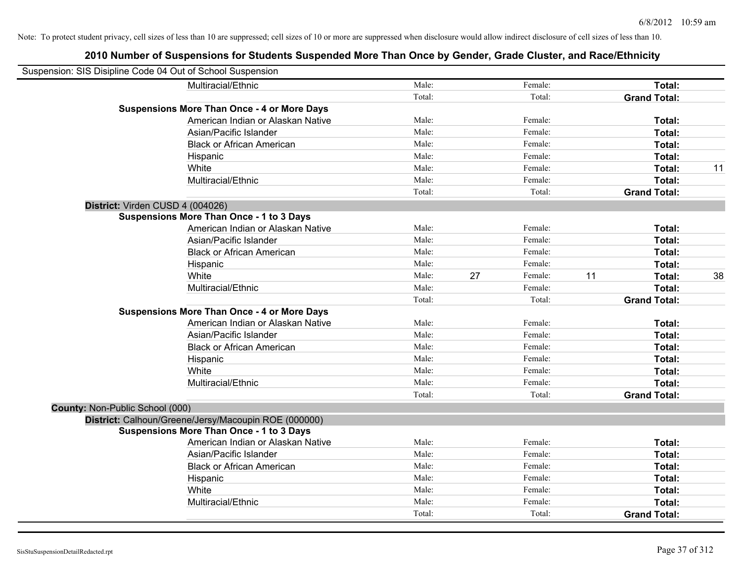| Suspension: SIS Disipline Code 04 Out of School Suspension |                                                      |        |    |         |    |                     |    |
|------------------------------------------------------------|------------------------------------------------------|--------|----|---------|----|---------------------|----|
|                                                            | Multiracial/Ethnic                                   | Male:  |    | Female: |    | Total:              |    |
|                                                            |                                                      | Total: |    | Total:  |    | <b>Grand Total:</b> |    |
|                                                            | <b>Suspensions More Than Once - 4 or More Days</b>   |        |    |         |    |                     |    |
|                                                            | American Indian or Alaskan Native                    | Male:  |    | Female: |    | Total:              |    |
|                                                            | Asian/Pacific Islander                               | Male:  |    | Female: |    | Total:              |    |
|                                                            | <b>Black or African American</b>                     | Male:  |    | Female: |    | Total:              |    |
|                                                            | Hispanic                                             | Male:  |    | Female: |    | Total:              |    |
|                                                            | White                                                | Male:  |    | Female: |    | Total:              | 11 |
|                                                            | Multiracial/Ethnic                                   | Male:  |    | Female: |    | Total:              |    |
|                                                            |                                                      | Total: |    | Total:  |    | <b>Grand Total:</b> |    |
| District: Virden CUSD 4 (004026)                           |                                                      |        |    |         |    |                     |    |
|                                                            | <b>Suspensions More Than Once - 1 to 3 Days</b>      |        |    |         |    |                     |    |
|                                                            | American Indian or Alaskan Native                    | Male:  |    | Female: |    | Total:              |    |
|                                                            | Asian/Pacific Islander                               | Male:  |    | Female: |    | Total:              |    |
|                                                            | <b>Black or African American</b>                     | Male:  |    | Female: |    | Total:              |    |
|                                                            | Hispanic                                             | Male:  |    | Female: |    | Total:              |    |
|                                                            | White                                                | Male:  | 27 | Female: | 11 | Total:              | 38 |
|                                                            | Multiracial/Ethnic                                   | Male:  |    | Female: |    | Total:              |    |
|                                                            |                                                      | Total: |    | Total:  |    | <b>Grand Total:</b> |    |
|                                                            | <b>Suspensions More Than Once - 4 or More Days</b>   |        |    |         |    |                     |    |
|                                                            | American Indian or Alaskan Native                    | Male:  |    | Female: |    | Total:              |    |
|                                                            | Asian/Pacific Islander                               | Male:  |    | Female: |    | Total:              |    |
|                                                            | <b>Black or African American</b>                     | Male:  |    | Female: |    | Total:              |    |
|                                                            | Hispanic                                             | Male:  |    | Female: |    | Total:              |    |
|                                                            | White                                                | Male:  |    | Female: |    | Total:              |    |
|                                                            | Multiracial/Ethnic                                   | Male:  |    | Female: |    | Total:              |    |
|                                                            |                                                      | Total: |    | Total:  |    | <b>Grand Total:</b> |    |
| County: Non-Public School (000)                            |                                                      |        |    |         |    |                     |    |
|                                                            | District: Calhoun/Greene/Jersy/Macoupin ROE (000000) |        |    |         |    |                     |    |
|                                                            | <b>Suspensions More Than Once - 1 to 3 Days</b>      |        |    |         |    |                     |    |
|                                                            | American Indian or Alaskan Native                    | Male:  |    | Female: |    | Total:              |    |
|                                                            | Asian/Pacific Islander                               | Male:  |    | Female: |    | Total:              |    |
|                                                            | <b>Black or African American</b>                     | Male:  |    | Female: |    | Total:              |    |
|                                                            | Hispanic                                             | Male:  |    | Female: |    | Total:              |    |
|                                                            | White                                                | Male:  |    | Female: |    | Total:              |    |
|                                                            | Multiracial/Ethnic                                   | Male:  |    | Female: |    | Total:              |    |
|                                                            |                                                      | Total: |    | Total:  |    | <b>Grand Total:</b> |    |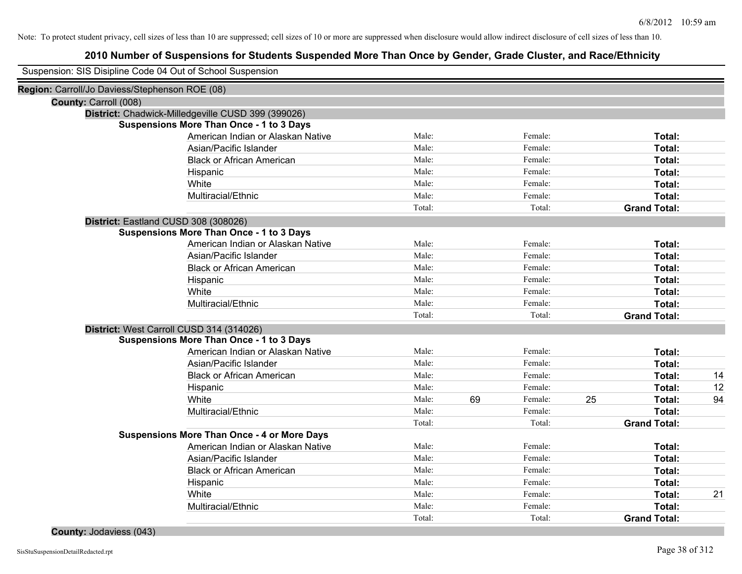# **2010 Number of Suspensions for Students Suspended More Than Once by Gender, Grade Cluster, and Race/Ethnicity**

|                                                | Suspension: SIS Disipline Code 04 Out of School Suspension |        |    |         |    |                     |    |
|------------------------------------------------|------------------------------------------------------------|--------|----|---------|----|---------------------|----|
| Region: Carroll/Jo Daviess/Stephenson ROE (08) |                                                            |        |    |         |    |                     |    |
| County: Carroll (008)                          |                                                            |        |    |         |    |                     |    |
|                                                | District: Chadwick-Milledgeville CUSD 399 (399026)         |        |    |         |    |                     |    |
|                                                | <b>Suspensions More Than Once - 1 to 3 Days</b>            |        |    |         |    |                     |    |
|                                                | American Indian or Alaskan Native                          | Male:  |    | Female: |    | Total:              |    |
|                                                | Asian/Pacific Islander                                     | Male:  |    | Female: |    | Total:              |    |
|                                                | <b>Black or African American</b>                           | Male:  |    | Female: |    | Total:              |    |
|                                                | Hispanic                                                   | Male:  |    | Female: |    | Total:              |    |
|                                                | White                                                      | Male:  |    | Female: |    | Total:              |    |
|                                                | Multiracial/Ethnic                                         | Male:  |    | Female: |    | Total:              |    |
|                                                |                                                            | Total: |    | Total:  |    | <b>Grand Total:</b> |    |
|                                                | District: Eastland CUSD 308 (308026)                       |        |    |         |    |                     |    |
|                                                | <b>Suspensions More Than Once - 1 to 3 Days</b>            |        |    |         |    |                     |    |
|                                                | American Indian or Alaskan Native                          | Male:  |    | Female: |    | Total:              |    |
|                                                | Asian/Pacific Islander                                     | Male:  |    | Female: |    | Total:              |    |
|                                                | <b>Black or African American</b>                           | Male:  |    | Female: |    | Total:              |    |
|                                                | Hispanic                                                   | Male:  |    | Female: |    | Total:              |    |
|                                                | White                                                      | Male:  |    | Female: |    | Total:              |    |
|                                                | Multiracial/Ethnic                                         | Male:  |    | Female: |    | Total:              |    |
|                                                |                                                            | Total: |    | Total:  |    | <b>Grand Total:</b> |    |
|                                                | District: West Carroll CUSD 314 (314026)                   |        |    |         |    |                     |    |
|                                                | <b>Suspensions More Than Once - 1 to 3 Days</b>            |        |    |         |    |                     |    |
|                                                | American Indian or Alaskan Native                          | Male:  |    | Female: |    | Total:              |    |
|                                                | Asian/Pacific Islander                                     | Male:  |    | Female: |    | Total:              |    |
|                                                | <b>Black or African American</b>                           | Male:  |    | Female: |    | Total:              | 14 |
|                                                | Hispanic                                                   | Male:  |    | Female: |    | Total:              | 12 |
|                                                | White                                                      | Male:  | 69 | Female: | 25 | Total:              | 94 |
|                                                | Multiracial/Ethnic                                         | Male:  |    | Female: |    | Total:              |    |
|                                                |                                                            | Total: |    | Total:  |    | <b>Grand Total:</b> |    |
|                                                | <b>Suspensions More Than Once - 4 or More Days</b>         |        |    |         |    |                     |    |
|                                                | American Indian or Alaskan Native                          | Male:  |    | Female: |    | Total:              |    |
|                                                | Asian/Pacific Islander                                     | Male:  |    | Female: |    | Total:              |    |
|                                                | <b>Black or African American</b>                           | Male:  |    | Female: |    | Total:              |    |
|                                                | Hispanic                                                   | Male:  |    | Female: |    | Total:              |    |
|                                                | White                                                      | Male:  |    | Female: |    | Total:              | 21 |
|                                                | Multiracial/Ethnic                                         | Male:  |    | Female: |    | <b>Total:</b>       |    |
|                                                |                                                            | Total: |    | Total:  |    | <b>Grand Total:</b> |    |

**County:** Jodaviess (043)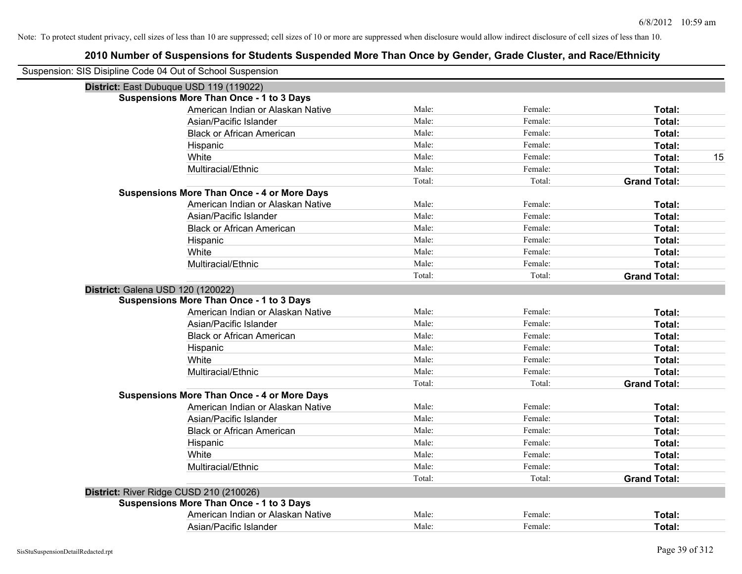| Suspension: SIS Disipline Code 04 Out of School Suspension |                                                    |        |         |                     |
|------------------------------------------------------------|----------------------------------------------------|--------|---------|---------------------|
| District: East Dubuque USD 119 (119022)                    |                                                    |        |         |                     |
|                                                            | Suspensions More Than Once - 1 to 3 Days           |        |         |                     |
|                                                            | American Indian or Alaskan Native                  | Male:  | Female: | Total:              |
|                                                            | Asian/Pacific Islander                             | Male:  | Female: | Total:              |
|                                                            | <b>Black or African American</b>                   | Male:  | Female: | Total:              |
|                                                            | Hispanic                                           | Male:  | Female: | Total:              |
|                                                            | White                                              | Male:  | Female: | 15<br>Total:        |
|                                                            | Multiracial/Ethnic                                 | Male:  | Female: | Total:              |
|                                                            |                                                    | Total: | Total:  | <b>Grand Total:</b> |
|                                                            | <b>Suspensions More Than Once - 4 or More Days</b> |        |         |                     |
|                                                            | American Indian or Alaskan Native                  | Male:  | Female: | Total:              |
|                                                            | Asian/Pacific Islander                             | Male:  | Female: | Total:              |
|                                                            | <b>Black or African American</b>                   | Male:  | Female: | <b>Total:</b>       |
|                                                            | Hispanic                                           | Male:  | Female: | Total:              |
|                                                            | White                                              | Male:  | Female: | Total:              |
|                                                            | Multiracial/Ethnic                                 | Male:  | Female: | Total:              |
|                                                            |                                                    | Total: | Total:  | <b>Grand Total:</b> |
| District: Galena USD 120 (120022)                          |                                                    |        |         |                     |
|                                                            | <b>Suspensions More Than Once - 1 to 3 Days</b>    |        |         |                     |
|                                                            | American Indian or Alaskan Native                  | Male:  | Female: | Total:              |
|                                                            | Asian/Pacific Islander                             | Male:  | Female: | Total:              |
|                                                            | <b>Black or African American</b>                   | Male:  | Female: | Total:              |
|                                                            | Hispanic                                           | Male:  | Female: | Total:              |
|                                                            | White                                              | Male:  | Female: | <b>Total:</b>       |
|                                                            | Multiracial/Ethnic                                 | Male:  | Female: | Total:              |
|                                                            |                                                    | Total: | Total:  | <b>Grand Total:</b> |
|                                                            | <b>Suspensions More Than Once - 4 or More Days</b> |        |         |                     |
|                                                            | American Indian or Alaskan Native                  | Male:  | Female: | Total:              |
|                                                            | Asian/Pacific Islander                             | Male:  | Female: | Total:              |
|                                                            | <b>Black or African American</b>                   | Male:  | Female: | Total:              |
|                                                            | Hispanic                                           | Male:  | Female: | Total:              |
|                                                            | White                                              | Male:  | Female: | Total:              |
|                                                            | Multiracial/Ethnic                                 | Male:  | Female: | Total:              |
|                                                            |                                                    | Total: | Total:  | <b>Grand Total:</b> |
| District: River Ridge CUSD 210 (210026)                    |                                                    |        |         |                     |
|                                                            | Suspensions More Than Once - 1 to 3 Days           |        |         |                     |
|                                                            | American Indian or Alaskan Native                  | Male:  | Female: | Total:              |
|                                                            | Asian/Pacific Islander                             | Male:  | Female: | Total:              |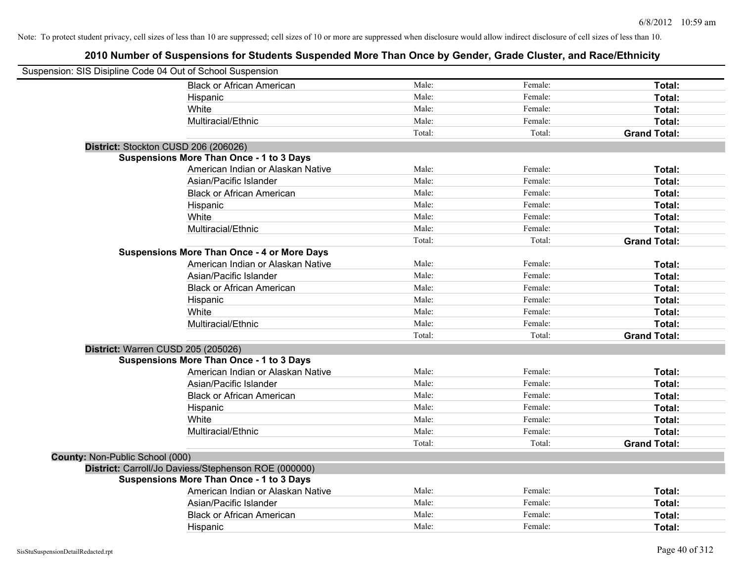| Suspension: SIS Disipline Code 04 Out of School Suspension |                                                      |        |         |                     |
|------------------------------------------------------------|------------------------------------------------------|--------|---------|---------------------|
|                                                            | <b>Black or African American</b>                     | Male:  | Female: | Total:              |
|                                                            | Hispanic                                             | Male:  | Female: | Total:              |
|                                                            | White                                                | Male:  | Female: | Total:              |
|                                                            | Multiracial/Ethnic                                   | Male:  | Female: | Total:              |
|                                                            |                                                      | Total: | Total:  | <b>Grand Total:</b> |
| District: Stockton CUSD 206 (206026)                       |                                                      |        |         |                     |
|                                                            | <b>Suspensions More Than Once - 1 to 3 Days</b>      |        |         |                     |
|                                                            | American Indian or Alaskan Native                    | Male:  | Female: | Total:              |
|                                                            | Asian/Pacific Islander                               | Male:  | Female: | Total:              |
|                                                            | <b>Black or African American</b>                     | Male:  | Female: | Total:              |
|                                                            | Hispanic                                             | Male:  | Female: | Total:              |
|                                                            | White                                                | Male:  | Female: | Total:              |
|                                                            | Multiracial/Ethnic                                   | Male:  | Female: | Total:              |
|                                                            |                                                      | Total: | Total:  | <b>Grand Total:</b> |
|                                                            | <b>Suspensions More Than Once - 4 or More Days</b>   |        |         |                     |
|                                                            | American Indian or Alaskan Native                    | Male:  | Female: | Total:              |
|                                                            | Asian/Pacific Islander                               | Male:  | Female: | Total:              |
|                                                            | <b>Black or African American</b>                     | Male:  | Female: | Total:              |
|                                                            | Hispanic                                             | Male:  | Female: | Total:              |
|                                                            | White                                                | Male:  | Female: | Total:              |
|                                                            | Multiracial/Ethnic                                   | Male:  | Female: | Total:              |
|                                                            |                                                      | Total: | Total:  | <b>Grand Total:</b> |
| District: Warren CUSD 205 (205026)                         |                                                      |        |         |                     |
|                                                            | <b>Suspensions More Than Once - 1 to 3 Days</b>      |        |         |                     |
|                                                            | American Indian or Alaskan Native                    | Male:  | Female: | Total:              |
|                                                            | Asian/Pacific Islander                               | Male:  | Female: | Total:              |
|                                                            | <b>Black or African American</b>                     | Male:  | Female: | Total:              |
|                                                            | Hispanic                                             | Male:  | Female: | Total:              |
|                                                            | White                                                | Male:  | Female: | Total:              |
|                                                            | Multiracial/Ethnic                                   | Male:  | Female: | Total:              |
|                                                            |                                                      | Total: | Total:  | <b>Grand Total:</b> |
| County: Non-Public School (000)                            |                                                      |        |         |                     |
|                                                            | District: Carroll/Jo Daviess/Stephenson ROE (000000) |        |         |                     |
|                                                            | <b>Suspensions More Than Once - 1 to 3 Days</b>      |        |         |                     |
|                                                            | American Indian or Alaskan Native                    | Male:  | Female: | Total:              |
|                                                            | Asian/Pacific Islander                               | Male:  | Female: | Total:              |
|                                                            | <b>Black or African American</b>                     | Male:  | Female: | Total:              |
|                                                            | Hispanic                                             | Male:  | Female: | Total:              |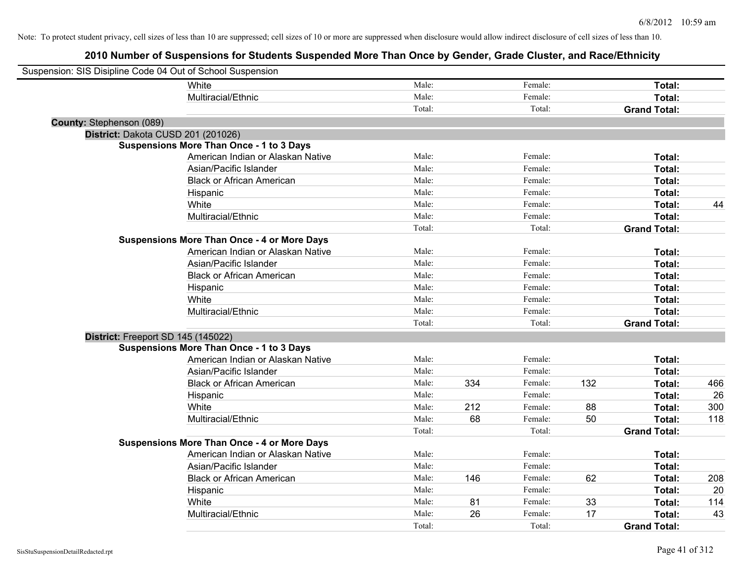| Suspension: SIS Disipline Code 04 Out of School Suspension |                                                    |        |     |         |     |                     |     |
|------------------------------------------------------------|----------------------------------------------------|--------|-----|---------|-----|---------------------|-----|
|                                                            | White                                              | Male:  |     | Female: |     | Total:              |     |
|                                                            | Multiracial/Ethnic                                 | Male:  |     | Female: |     | Total:              |     |
|                                                            |                                                    | Total: |     | Total:  |     | <b>Grand Total:</b> |     |
| County: Stephenson (089)                                   |                                                    |        |     |         |     |                     |     |
| District: Dakota CUSD 201 (201026)                         |                                                    |        |     |         |     |                     |     |
|                                                            | <b>Suspensions More Than Once - 1 to 3 Days</b>    |        |     |         |     |                     |     |
|                                                            | American Indian or Alaskan Native                  | Male:  |     | Female: |     | Total:              |     |
|                                                            | Asian/Pacific Islander                             | Male:  |     | Female: |     | Total:              |     |
|                                                            | <b>Black or African American</b>                   | Male:  |     | Female: |     | Total:              |     |
|                                                            | Hispanic                                           | Male:  |     | Female: |     | Total:              |     |
|                                                            | White                                              | Male:  |     | Female: |     | Total:              | 44  |
|                                                            | Multiracial/Ethnic                                 | Male:  |     | Female: |     | Total:              |     |
|                                                            |                                                    | Total: |     | Total:  |     | <b>Grand Total:</b> |     |
|                                                            | <b>Suspensions More Than Once - 4 or More Days</b> |        |     |         |     |                     |     |
|                                                            | American Indian or Alaskan Native                  | Male:  |     | Female: |     | Total:              |     |
|                                                            | Asian/Pacific Islander                             | Male:  |     | Female: |     | Total:              |     |
|                                                            | <b>Black or African American</b>                   | Male:  |     | Female: |     | Total:              |     |
|                                                            | Hispanic                                           | Male:  |     | Female: |     | Total:              |     |
|                                                            | White                                              | Male:  |     | Female: |     | Total:              |     |
|                                                            | Multiracial/Ethnic                                 | Male:  |     | Female: |     | Total:              |     |
|                                                            |                                                    | Total: |     | Total:  |     | <b>Grand Total:</b> |     |
| District: Freeport SD 145 (145022)                         |                                                    |        |     |         |     |                     |     |
|                                                            | <b>Suspensions More Than Once - 1 to 3 Days</b>    |        |     |         |     |                     |     |
|                                                            | American Indian or Alaskan Native                  | Male:  |     | Female: |     | Total:              |     |
|                                                            | Asian/Pacific Islander                             | Male:  |     | Female: |     | Total:              |     |
|                                                            | <b>Black or African American</b>                   | Male:  | 334 | Female: | 132 | Total:              | 466 |
|                                                            | Hispanic                                           | Male:  |     | Female: |     | Total:              | 26  |
|                                                            | White                                              | Male:  | 212 | Female: | 88  | Total:              | 300 |
|                                                            | Multiracial/Ethnic                                 | Male:  | 68  | Female: | 50  | Total:              | 118 |
|                                                            |                                                    | Total: |     | Total:  |     | <b>Grand Total:</b> |     |
|                                                            | <b>Suspensions More Than Once - 4 or More Days</b> |        |     |         |     |                     |     |
|                                                            | American Indian or Alaskan Native                  | Male:  |     | Female: |     | Total:              |     |
|                                                            | Asian/Pacific Islander                             | Male:  |     | Female: |     | Total:              |     |
|                                                            | <b>Black or African American</b>                   | Male:  | 146 | Female: | 62  | Total:              | 208 |
|                                                            | Hispanic                                           | Male:  |     | Female: |     | Total:              | 20  |
|                                                            | White                                              | Male:  | 81  | Female: | 33  | Total:              | 114 |
|                                                            | Multiracial/Ethnic                                 | Male:  | 26  | Female: | 17  | Total:              | 43  |
|                                                            |                                                    | Total: |     | Total:  |     | <b>Grand Total:</b> |     |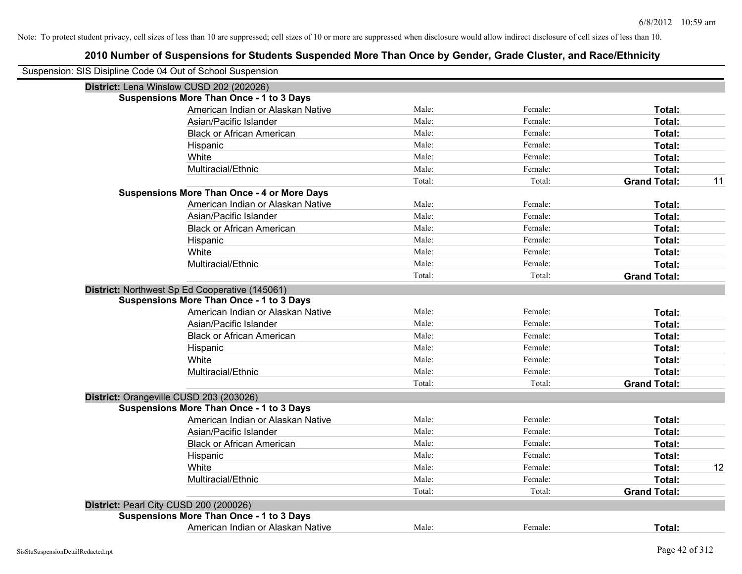| Suspension: SIS Disipline Code 04 Out of School Suspension |                                                    |        |         |                     |    |
|------------------------------------------------------------|----------------------------------------------------|--------|---------|---------------------|----|
| District: Lena Winslow CUSD 202 (202026)                   |                                                    |        |         |                     |    |
|                                                            | <b>Suspensions More Than Once - 1 to 3 Days</b>    |        |         |                     |    |
|                                                            | American Indian or Alaskan Native                  | Male:  | Female: | Total:              |    |
|                                                            | Asian/Pacific Islander                             | Male:  | Female: | Total:              |    |
|                                                            | <b>Black or African American</b>                   | Male:  | Female: | Total:              |    |
|                                                            | Hispanic                                           | Male:  | Female: | Total:              |    |
|                                                            | White                                              | Male:  | Female: | Total:              |    |
|                                                            | Multiracial/Ethnic                                 | Male:  | Female: | Total:              |    |
|                                                            |                                                    | Total: | Total:  | <b>Grand Total:</b> | 11 |
|                                                            | <b>Suspensions More Than Once - 4 or More Days</b> |        |         |                     |    |
|                                                            | American Indian or Alaskan Native                  | Male:  | Female: | Total:              |    |
|                                                            | Asian/Pacific Islander                             | Male:  | Female: | Total:              |    |
|                                                            | <b>Black or African American</b>                   | Male:  | Female: | Total:              |    |
|                                                            | Hispanic                                           | Male:  | Female: | Total:              |    |
|                                                            | White                                              | Male:  | Female: | Total:              |    |
|                                                            | Multiracial/Ethnic                                 | Male:  | Female: | Total:              |    |
|                                                            |                                                    | Total: | Total:  | <b>Grand Total:</b> |    |
|                                                            | District: Northwest Sp Ed Cooperative (145061)     |        |         |                     |    |
|                                                            | <b>Suspensions More Than Once - 1 to 3 Days</b>    |        |         |                     |    |
|                                                            | American Indian or Alaskan Native                  | Male:  | Female: | Total:              |    |
|                                                            | Asian/Pacific Islander                             | Male:  | Female: | Total:              |    |
|                                                            | <b>Black or African American</b>                   | Male:  | Female: | Total:              |    |
|                                                            | Hispanic                                           | Male:  | Female: | Total:              |    |
|                                                            | White                                              | Male:  | Female: | Total:              |    |
|                                                            | Multiracial/Ethnic                                 | Male:  | Female: | Total:              |    |
|                                                            |                                                    | Total: | Total:  | <b>Grand Total:</b> |    |
| District: Orangeville CUSD 203 (203026)                    |                                                    |        |         |                     |    |
|                                                            | <b>Suspensions More Than Once - 1 to 3 Days</b>    |        |         |                     |    |
|                                                            | American Indian or Alaskan Native                  | Male:  | Female: | Total:              |    |
|                                                            | Asian/Pacific Islander                             | Male:  | Female: | Total:              |    |
|                                                            | <b>Black or African American</b>                   | Male:  | Female: | Total:              |    |
|                                                            | Hispanic                                           | Male:  | Female: | Total:              |    |
|                                                            | White                                              | Male:  | Female: | Total:              | 12 |
|                                                            | Multiracial/Ethnic                                 | Male:  | Female: | Total:              |    |
|                                                            |                                                    | Total: | Total:  | <b>Grand Total:</b> |    |
| District: Pearl City CUSD 200 (200026)                     |                                                    |        |         |                     |    |
|                                                            | <b>Suspensions More Than Once - 1 to 3 Days</b>    |        |         |                     |    |
|                                                            | American Indian or Alaskan Native                  | Male:  | Female: | Total:              |    |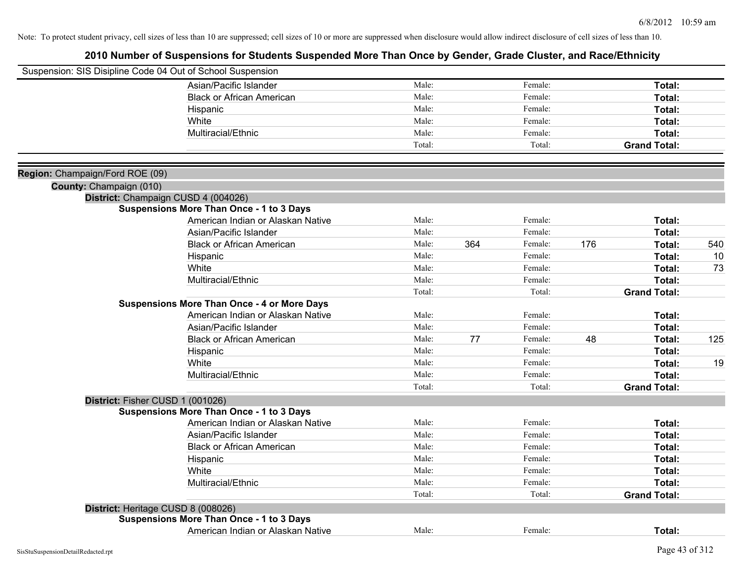| Suspension: SIS Disipline Code 04 Out of School Suspension |                                                    |        |     |         |     |                     |     |
|------------------------------------------------------------|----------------------------------------------------|--------|-----|---------|-----|---------------------|-----|
|                                                            | Asian/Pacific Islander                             | Male:  |     | Female: |     | Total:              |     |
|                                                            | <b>Black or African American</b>                   | Male:  |     | Female: |     | Total:              |     |
|                                                            | Hispanic                                           | Male:  |     | Female: |     | <b>Total:</b>       |     |
|                                                            | White                                              | Male:  |     | Female: |     | Total:              |     |
|                                                            | Multiracial/Ethnic                                 | Male:  |     | Female: |     | Total:              |     |
|                                                            |                                                    | Total: |     | Total:  |     | <b>Grand Total:</b> |     |
| Region: Champaign/Ford ROE (09)                            |                                                    |        |     |         |     |                     |     |
| County: Champaign (010)                                    |                                                    |        |     |         |     |                     |     |
|                                                            | District: Champaign CUSD 4 (004026)                |        |     |         |     |                     |     |
|                                                            | <b>Suspensions More Than Once - 1 to 3 Days</b>    |        |     |         |     |                     |     |
|                                                            | American Indian or Alaskan Native                  | Male:  |     | Female: |     | Total:              |     |
|                                                            | Asian/Pacific Islander                             | Male:  |     | Female: |     | Total:              |     |
|                                                            | <b>Black or African American</b>                   | Male:  | 364 | Female: | 176 | Total:              | 540 |
|                                                            | Hispanic                                           | Male:  |     | Female: |     | Total:              | 10  |
|                                                            | White                                              | Male:  |     | Female: |     | Total:              | 73  |
|                                                            | Multiracial/Ethnic                                 | Male:  |     | Female: |     | Total:              |     |
|                                                            |                                                    | Total: |     | Total:  |     | <b>Grand Total:</b> |     |
|                                                            | <b>Suspensions More Than Once - 4 or More Days</b> |        |     |         |     |                     |     |
|                                                            | American Indian or Alaskan Native                  | Male:  |     | Female: |     | Total:              |     |
|                                                            | Asian/Pacific Islander                             | Male:  |     | Female: |     | Total:              |     |
|                                                            | <b>Black or African American</b>                   | Male:  | 77  | Female: | 48  | Total:              | 125 |
|                                                            | Hispanic                                           | Male:  |     | Female: |     | Total:              |     |
|                                                            | White                                              | Male:  |     | Female: |     | Total:              | 19  |
|                                                            | Multiracial/Ethnic                                 | Male:  |     | Female: |     | Total:              |     |
|                                                            |                                                    | Total: |     | Total:  |     | <b>Grand Total:</b> |     |
|                                                            | District: Fisher CUSD 1 (001026)                   |        |     |         |     |                     |     |
|                                                            | <b>Suspensions More Than Once - 1 to 3 Days</b>    |        |     |         |     |                     |     |
|                                                            | American Indian or Alaskan Native                  | Male:  |     | Female: |     | Total:              |     |
|                                                            | Asian/Pacific Islander                             | Male:  |     | Female: |     | Total:              |     |
|                                                            | <b>Black or African American</b>                   | Male:  |     | Female: |     | Total:              |     |
|                                                            | Hispanic                                           | Male:  |     | Female: |     | Total:              |     |
|                                                            | White                                              | Male:  |     | Female: |     | Total:              |     |
|                                                            | Multiracial/Ethnic                                 | Male:  |     | Female: |     | Total:              |     |
|                                                            |                                                    | Total: |     | Total:  |     | <b>Grand Total:</b> |     |
|                                                            | District: Heritage CUSD 8 (008026)                 |        |     |         |     |                     |     |
|                                                            | <b>Suspensions More Than Once - 1 to 3 Days</b>    |        |     |         |     |                     |     |
|                                                            | American Indian or Alaskan Native                  | Male:  |     | Female: |     | Total:              |     |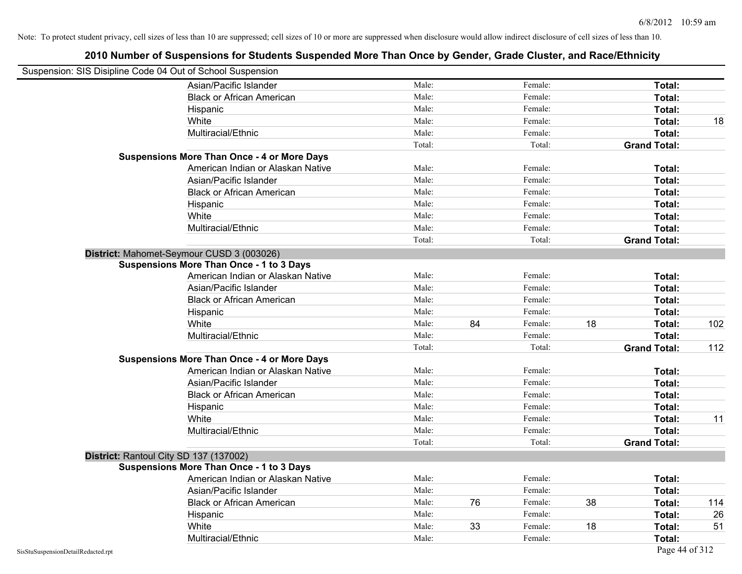| Suspension: SIS Disipline Code 04 Out of School Suspension |                                                    |        |    |         |    |                     |     |
|------------------------------------------------------------|----------------------------------------------------|--------|----|---------|----|---------------------|-----|
|                                                            | Asian/Pacific Islander                             | Male:  |    | Female: |    | Total:              |     |
|                                                            | <b>Black or African American</b>                   | Male:  |    | Female: |    | Total:              |     |
|                                                            | Hispanic                                           | Male:  |    | Female: |    | Total:              |     |
|                                                            | White                                              | Male:  |    | Female: |    | Total:              | 18  |
|                                                            | Multiracial/Ethnic                                 | Male:  |    | Female: |    | Total:              |     |
|                                                            |                                                    | Total: |    | Total:  |    | <b>Grand Total:</b> |     |
|                                                            | <b>Suspensions More Than Once - 4 or More Days</b> |        |    |         |    |                     |     |
|                                                            | American Indian or Alaskan Native                  | Male:  |    | Female: |    | Total:              |     |
|                                                            | Asian/Pacific Islander                             | Male:  |    | Female: |    | Total:              |     |
|                                                            | <b>Black or African American</b>                   | Male:  |    | Female: |    | Total:              |     |
|                                                            | Hispanic                                           | Male:  |    | Female: |    | Total:              |     |
|                                                            | White                                              | Male:  |    | Female: |    | Total:              |     |
|                                                            | Multiracial/Ethnic                                 | Male:  |    | Female: |    | Total:              |     |
|                                                            |                                                    | Total: |    | Total:  |    | <b>Grand Total:</b> |     |
|                                                            | District: Mahomet-Seymour CUSD 3 (003026)          |        |    |         |    |                     |     |
|                                                            | <b>Suspensions More Than Once - 1 to 3 Days</b>    |        |    |         |    |                     |     |
|                                                            | American Indian or Alaskan Native                  | Male:  |    | Female: |    | Total:              |     |
|                                                            | Asian/Pacific Islander                             | Male:  |    | Female: |    | Total:              |     |
|                                                            | <b>Black or African American</b>                   | Male:  |    | Female: |    | Total:              |     |
|                                                            | Hispanic                                           | Male:  |    | Female: |    | Total:              |     |
|                                                            | White                                              | Male:  | 84 | Female: | 18 | Total:              | 102 |
|                                                            | Multiracial/Ethnic                                 | Male:  |    | Female: |    | Total:              |     |
|                                                            |                                                    | Total: |    | Total:  |    | <b>Grand Total:</b> | 112 |
|                                                            | <b>Suspensions More Than Once - 4 or More Days</b> |        |    |         |    |                     |     |
|                                                            | American Indian or Alaskan Native                  | Male:  |    | Female: |    | Total:              |     |
|                                                            | Asian/Pacific Islander                             | Male:  |    | Female: |    | Total:              |     |
|                                                            | <b>Black or African American</b>                   | Male:  |    | Female: |    | Total:              |     |
|                                                            | Hispanic                                           | Male:  |    | Female: |    | Total:              |     |
|                                                            | White                                              | Male:  |    | Female: |    | Total:              | 11  |
|                                                            | Multiracial/Ethnic                                 | Male:  |    | Female: |    | Total:              |     |
|                                                            |                                                    | Total: |    | Total:  |    | <b>Grand Total:</b> |     |
| District: Rantoul City SD 137 (137002)                     |                                                    |        |    |         |    |                     |     |
|                                                            | <b>Suspensions More Than Once - 1 to 3 Days</b>    |        |    |         |    |                     |     |
|                                                            | American Indian or Alaskan Native                  | Male:  |    | Female: |    | Total:              |     |
|                                                            | Asian/Pacific Islander                             | Male:  |    | Female: |    | Total:              |     |
|                                                            | <b>Black or African American</b>                   | Male:  | 76 | Female: | 38 | Total:              | 114 |
|                                                            | Hispanic                                           | Male:  |    | Female: |    | Total:              | 26  |
|                                                            | White                                              | Male:  | 33 | Female: | 18 | Total:              | 51  |
|                                                            | Multiracial/Ethnic                                 | Male:  |    | Female: |    | Total:              |     |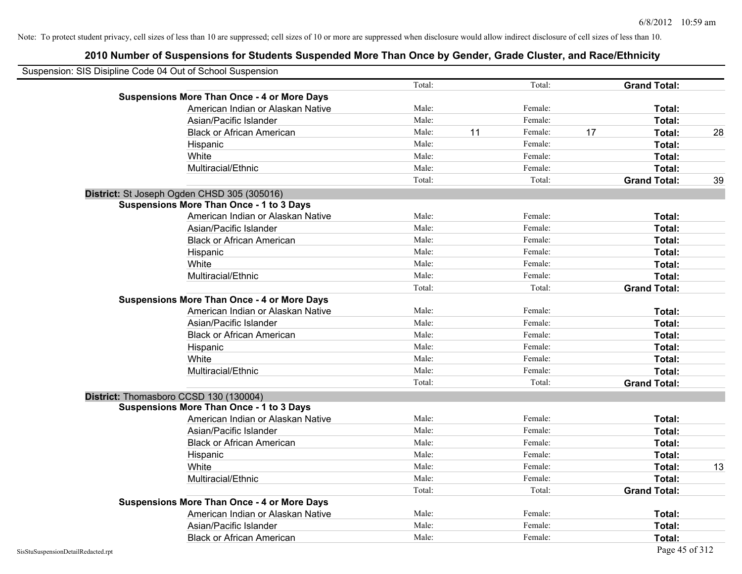| Suspension: SIS Disipline Code 04 Out of School Suspension |        |    |         |    |                     |    |
|------------------------------------------------------------|--------|----|---------|----|---------------------|----|
|                                                            | Total: |    | Total:  |    | <b>Grand Total:</b> |    |
| <b>Suspensions More Than Once - 4 or More Days</b>         |        |    |         |    |                     |    |
| American Indian or Alaskan Native                          | Male:  |    | Female: |    | Total:              |    |
| Asian/Pacific Islander                                     | Male:  |    | Female: |    | Total:              |    |
| <b>Black or African American</b>                           | Male:  | 11 | Female: | 17 | Total:              | 28 |
| Hispanic                                                   | Male:  |    | Female: |    | Total:              |    |
| White                                                      | Male:  |    | Female: |    | Total:              |    |
| Multiracial/Ethnic                                         | Male:  |    | Female: |    | Total:              |    |
|                                                            | Total: |    | Total:  |    | <b>Grand Total:</b> | 39 |
| District: St Joseph Ogden CHSD 305 (305016)                |        |    |         |    |                     |    |
| <b>Suspensions More Than Once - 1 to 3 Days</b>            |        |    |         |    |                     |    |
| American Indian or Alaskan Native                          | Male:  |    | Female: |    | Total:              |    |
| Asian/Pacific Islander                                     | Male:  |    | Female: |    | Total:              |    |
| <b>Black or African American</b>                           | Male:  |    | Female: |    | Total:              |    |
| Hispanic                                                   | Male:  |    | Female: |    | Total:              |    |
| White                                                      | Male:  |    | Female: |    | Total:              |    |
| Multiracial/Ethnic                                         | Male:  |    | Female: |    | Total:              |    |
|                                                            | Total: |    | Total:  |    | <b>Grand Total:</b> |    |
| <b>Suspensions More Than Once - 4 or More Days</b>         |        |    |         |    |                     |    |
| American Indian or Alaskan Native                          | Male:  |    | Female: |    | Total:              |    |
| Asian/Pacific Islander                                     | Male:  |    | Female: |    | Total:              |    |
| <b>Black or African American</b>                           | Male:  |    | Female: |    | Total:              |    |
| Hispanic                                                   | Male:  |    | Female: |    | Total:              |    |
| White                                                      | Male:  |    | Female: |    | Total:              |    |
| Multiracial/Ethnic                                         | Male:  |    | Female: |    | Total:              |    |
|                                                            | Total: |    | Total:  |    | <b>Grand Total:</b> |    |
| District: Thomasboro CCSD 130 (130004)                     |        |    |         |    |                     |    |
| <b>Suspensions More Than Once - 1 to 3 Days</b>            |        |    |         |    |                     |    |
| American Indian or Alaskan Native                          | Male:  |    | Female: |    | Total:              |    |
| Asian/Pacific Islander                                     | Male:  |    | Female: |    | Total:              |    |
| <b>Black or African American</b>                           | Male:  |    | Female: |    | Total:              |    |
| Hispanic                                                   | Male:  |    | Female: |    | Total:              |    |
| White                                                      | Male:  |    | Female: |    | Total:              | 13 |
| Multiracial/Ethnic                                         | Male:  |    | Female: |    | Total:              |    |
|                                                            | Total: |    | Total:  |    | <b>Grand Total:</b> |    |
| <b>Suspensions More Than Once - 4 or More Days</b>         |        |    |         |    |                     |    |
| American Indian or Alaskan Native                          | Male:  |    | Female: |    | Total:              |    |
| Asian/Pacific Islander                                     | Male:  |    | Female: |    | Total:              |    |
| <b>Black or African American</b>                           | Male:  |    | Female: |    | Total:              |    |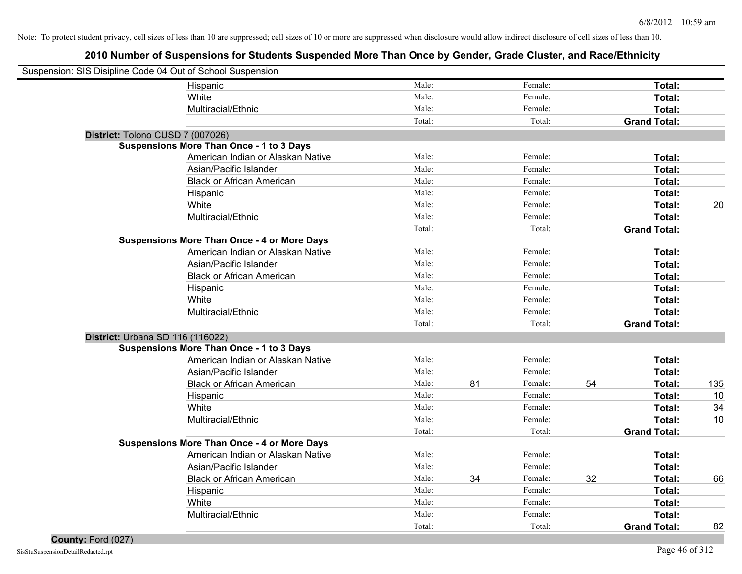| Suspension: SIS Disipline Code 04 Out of School Suspension |                                                    |        |    |         |    |                     |     |
|------------------------------------------------------------|----------------------------------------------------|--------|----|---------|----|---------------------|-----|
|                                                            | Hispanic                                           | Male:  |    | Female: |    | Total:              |     |
|                                                            | White                                              | Male:  |    | Female: |    | Total:              |     |
|                                                            | Multiracial/Ethnic                                 | Male:  |    | Female: |    | Total:              |     |
|                                                            |                                                    | Total: |    | Total:  |    | <b>Grand Total:</b> |     |
| District: Tolono CUSD 7 (007026)                           |                                                    |        |    |         |    |                     |     |
|                                                            | <b>Suspensions More Than Once - 1 to 3 Days</b>    |        |    |         |    |                     |     |
|                                                            | American Indian or Alaskan Native                  | Male:  |    | Female: |    | Total:              |     |
|                                                            | Asian/Pacific Islander                             | Male:  |    | Female: |    | Total:              |     |
|                                                            | <b>Black or African American</b>                   | Male:  |    | Female: |    | Total:              |     |
|                                                            | Hispanic                                           | Male:  |    | Female: |    | Total:              |     |
|                                                            | White                                              | Male:  |    | Female: |    | Total:              | 20  |
|                                                            | Multiracial/Ethnic                                 | Male:  |    | Female: |    | Total:              |     |
|                                                            |                                                    | Total: |    | Total:  |    | <b>Grand Total:</b> |     |
|                                                            | <b>Suspensions More Than Once - 4 or More Days</b> |        |    |         |    |                     |     |
|                                                            | American Indian or Alaskan Native                  | Male:  |    | Female: |    | Total:              |     |
|                                                            | Asian/Pacific Islander                             | Male:  |    | Female: |    | Total:              |     |
|                                                            | <b>Black or African American</b>                   | Male:  |    | Female: |    | Total:              |     |
|                                                            | Hispanic                                           | Male:  |    | Female: |    | Total:              |     |
|                                                            | White                                              | Male:  |    | Female: |    | Total:              |     |
|                                                            | Multiracial/Ethnic                                 | Male:  |    | Female: |    | Total:              |     |
|                                                            |                                                    | Total: |    | Total:  |    | <b>Grand Total:</b> |     |
| District: Urbana SD 116 (116022)                           |                                                    |        |    |         |    |                     |     |
|                                                            | <b>Suspensions More Than Once - 1 to 3 Days</b>    |        |    |         |    |                     |     |
|                                                            | American Indian or Alaskan Native                  | Male:  |    | Female: |    | Total:              |     |
|                                                            | Asian/Pacific Islander                             | Male:  |    | Female: |    | Total:              |     |
|                                                            | <b>Black or African American</b>                   | Male:  | 81 | Female: | 54 | Total:              | 135 |
|                                                            | Hispanic                                           | Male:  |    | Female: |    | Total:              | 10  |
|                                                            | White                                              | Male:  |    | Female: |    | Total:              | 34  |
|                                                            | Multiracial/Ethnic                                 | Male:  |    | Female: |    | Total:              | 10  |
|                                                            |                                                    | Total: |    | Total:  |    | <b>Grand Total:</b> |     |
|                                                            | <b>Suspensions More Than Once - 4 or More Days</b> |        |    |         |    |                     |     |
|                                                            | American Indian or Alaskan Native                  | Male:  |    | Female: |    | Total:              |     |
|                                                            | Asian/Pacific Islander                             | Male:  |    | Female: |    | Total:              |     |
|                                                            | <b>Black or African American</b>                   | Male:  | 34 | Female: | 32 | Total:              | 66  |
|                                                            | Hispanic                                           | Male:  |    | Female: |    | Total:              |     |
|                                                            | White                                              | Male:  |    | Female: |    | Total:              |     |
|                                                            | Multiracial/Ethnic                                 | Male:  |    | Female: |    | Total:              |     |
|                                                            |                                                    | Total: |    | Total:  |    | <b>Grand Total:</b> | 82  |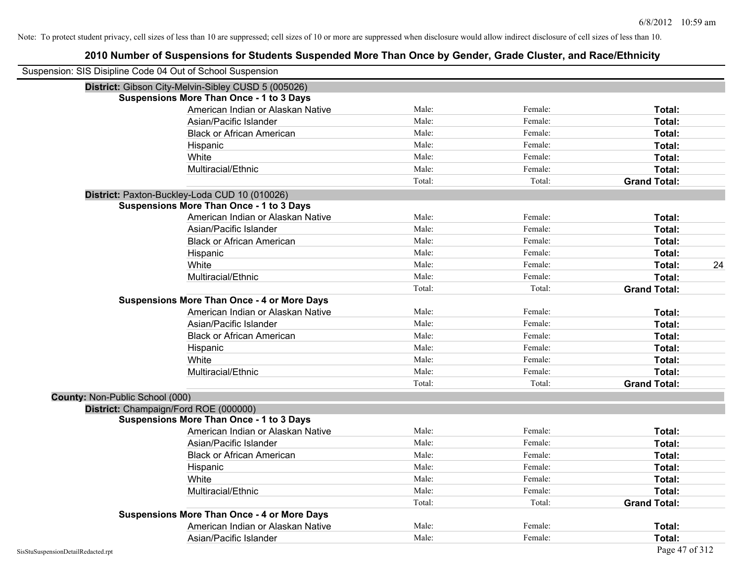| Suspension: SIS Disipline Code 04 Out of School Suspension |                                                     |        |         |                     |    |
|------------------------------------------------------------|-----------------------------------------------------|--------|---------|---------------------|----|
|                                                            | District: Gibson City-Melvin-Sibley CUSD 5 (005026) |        |         |                     |    |
|                                                            | <b>Suspensions More Than Once - 1 to 3 Days</b>     |        |         |                     |    |
|                                                            | American Indian or Alaskan Native                   | Male:  | Female: | Total:              |    |
|                                                            | Asian/Pacific Islander                              | Male:  | Female: | Total:              |    |
|                                                            | <b>Black or African American</b>                    | Male:  | Female: | Total:              |    |
|                                                            | Hispanic                                            | Male:  | Female: | Total:              |    |
|                                                            | White                                               | Male:  | Female: | Total:              |    |
|                                                            | Multiracial/Ethnic                                  | Male:  | Female: | Total:              |    |
|                                                            |                                                     | Total: | Total:  | <b>Grand Total:</b> |    |
|                                                            | District: Paxton-Buckley-Loda CUD 10 (010026)       |        |         |                     |    |
|                                                            | <b>Suspensions More Than Once - 1 to 3 Days</b>     |        |         |                     |    |
|                                                            | American Indian or Alaskan Native                   | Male:  | Female: | Total:              |    |
|                                                            | Asian/Pacific Islander                              | Male:  | Female: | Total:              |    |
|                                                            | <b>Black or African American</b>                    | Male:  | Female: | Total:              |    |
|                                                            | Hispanic                                            | Male:  | Female: | Total:              |    |
|                                                            | White                                               | Male:  | Female: | Total:              | 24 |
|                                                            | Multiracial/Ethnic                                  | Male:  | Female: | Total:              |    |
|                                                            |                                                     | Total: | Total:  | <b>Grand Total:</b> |    |
|                                                            | <b>Suspensions More Than Once - 4 or More Days</b>  |        |         |                     |    |
|                                                            | American Indian or Alaskan Native                   | Male:  | Female: | Total:              |    |
|                                                            | Asian/Pacific Islander                              | Male:  | Female: | Total:              |    |
|                                                            | <b>Black or African American</b>                    | Male:  | Female: | Total:              |    |
|                                                            | Hispanic                                            | Male:  | Female: | Total:              |    |
|                                                            | White                                               | Male:  | Female: | Total:              |    |
|                                                            | Multiracial/Ethnic                                  | Male:  | Female: | Total:              |    |
|                                                            |                                                     | Total: | Total:  | <b>Grand Total:</b> |    |
| <b>County: Non-Public School (000)</b>                     |                                                     |        |         |                     |    |
|                                                            | District: Champaign/Ford ROE (000000)               |        |         |                     |    |
|                                                            | <b>Suspensions More Than Once - 1 to 3 Days</b>     |        |         |                     |    |
|                                                            | American Indian or Alaskan Native                   | Male:  | Female: | Total:              |    |
|                                                            | Asian/Pacific Islander                              | Male:  | Female: | Total:              |    |
|                                                            | <b>Black or African American</b>                    | Male:  | Female: | Total:              |    |
|                                                            | Hispanic                                            | Male:  | Female: | Total:              |    |
|                                                            | White                                               | Male:  | Female: | Total:              |    |
|                                                            | Multiracial/Ethnic                                  | Male:  | Female: | Total:              |    |
|                                                            |                                                     | Total: | Total:  | <b>Grand Total:</b> |    |
|                                                            | <b>Suspensions More Than Once - 4 or More Days</b>  |        |         |                     |    |
|                                                            | American Indian or Alaskan Native                   | Male:  | Female: | Total:              |    |
|                                                            | Asian/Pacific Islander                              | Male:  | Female: | Total:              |    |
| SisStuSuspensionDetailRedacted.rpt                         |                                                     |        |         | Page 47 of 312      |    |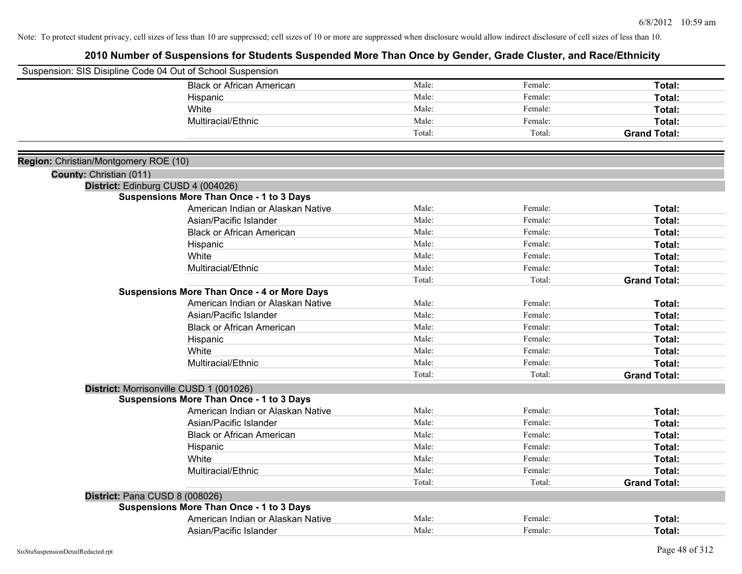|                                       | Suspension: SIS Disipline Code 04 Out of School Suspension |        |         |                     |
|---------------------------------------|------------------------------------------------------------|--------|---------|---------------------|
|                                       | <b>Black or African American</b>                           | Male:  | Female: | Total:              |
|                                       | Hispanic                                                   | Male:  | Female: | Total:              |
|                                       | White                                                      | Male:  | Female: | Total:              |
|                                       | Multiracial/Ethnic                                         | Male:  | Female: | Total:              |
|                                       |                                                            | Total: | Total:  | <b>Grand Total:</b> |
| Region: Christian/Montgomery ROE (10) |                                                            |        |         |                     |
| County: Christian (011)               |                                                            |        |         |                     |
|                                       | District: Edinburg CUSD 4 (004026)                         |        |         |                     |
|                                       | <b>Suspensions More Than Once - 1 to 3 Days</b>            |        |         |                     |
|                                       | American Indian or Alaskan Native                          | Male:  | Female: | Total:              |
|                                       | Asian/Pacific Islander                                     | Male:  | Female: | Total:              |
|                                       | <b>Black or African American</b>                           | Male:  | Female: | Total:              |
|                                       | Hispanic                                                   | Male:  | Female: | Total:              |
|                                       | White                                                      | Male:  | Female: | Total:              |
|                                       | Multiracial/Ethnic                                         | Male:  | Female: | Total:              |
|                                       |                                                            | Total: | Total:  | <b>Grand Total:</b> |
|                                       | <b>Suspensions More Than Once - 4 or More Days</b>         |        |         |                     |
|                                       | American Indian or Alaskan Native                          | Male:  | Female: | Total:              |
|                                       | Asian/Pacific Islander                                     | Male:  | Female: | Total:              |
|                                       | <b>Black or African American</b>                           | Male:  | Female: | Total:              |
|                                       | Hispanic                                                   | Male:  | Female: | Total:              |
|                                       | White                                                      | Male:  | Female: | Total:              |
|                                       | Multiracial/Ethnic                                         | Male:  | Female: | Total:              |
|                                       |                                                            | Total: | Total:  | <b>Grand Total:</b> |
|                                       | District: Morrisonville CUSD 1 (001026)                    |        |         |                     |
|                                       | <b>Suspensions More Than Once - 1 to 3 Days</b>            |        |         |                     |
|                                       | American Indian or Alaskan Native                          | Male:  | Female: | Total:              |
|                                       | Asian/Pacific Islander                                     | Male:  | Female: | Total:              |
|                                       | <b>Black or African American</b>                           | Male:  | Female: | Total:              |
|                                       | Hispanic                                                   | Male:  | Female: | Total:              |
|                                       | White                                                      | Male:  | Female: | Total:              |
|                                       | Multiracial/Ethnic                                         | Male:  | Female: | Total:              |
|                                       |                                                            | Total: | Total:  | <b>Grand Total:</b> |
|                                       | District: Pana CUSD 8 (008026)                             |        |         |                     |
|                                       | <b>Suspensions More Than Once - 1 to 3 Days</b>            |        |         |                     |
|                                       | American Indian or Alaskan Native                          | Male:  | Female: | <b>Total:</b>       |
|                                       | Asian/Pacific Islander                                     | Male:  | Female: | Total:              |
|                                       |                                                            |        |         |                     |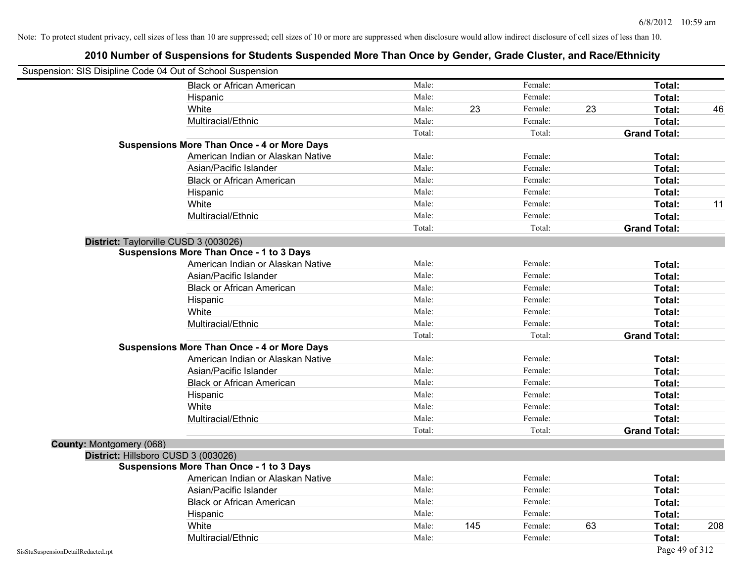| Suspension: SIS Disipline Code 04 Out of School Suspension |                                                    |        |     |         |    |                     |     |
|------------------------------------------------------------|----------------------------------------------------|--------|-----|---------|----|---------------------|-----|
|                                                            | <b>Black or African American</b>                   | Male:  |     | Female: |    | Total:              |     |
|                                                            | Hispanic                                           | Male:  |     | Female: |    | Total:              |     |
|                                                            | White                                              | Male:  | 23  | Female: | 23 | Total:              | 46  |
|                                                            | Multiracial/Ethnic                                 | Male:  |     | Female: |    | Total:              |     |
|                                                            |                                                    | Total: |     | Total:  |    | <b>Grand Total:</b> |     |
|                                                            | <b>Suspensions More Than Once - 4 or More Days</b> |        |     |         |    |                     |     |
|                                                            | American Indian or Alaskan Native                  | Male:  |     | Female: |    | Total:              |     |
|                                                            | Asian/Pacific Islander                             | Male:  |     | Female: |    | Total:              |     |
|                                                            | <b>Black or African American</b>                   | Male:  |     | Female: |    | Total:              |     |
|                                                            | Hispanic                                           | Male:  |     | Female: |    | Total:              |     |
|                                                            | White                                              | Male:  |     | Female: |    | Total:              | 11  |
|                                                            | Multiracial/Ethnic                                 | Male:  |     | Female: |    | Total:              |     |
|                                                            |                                                    | Total: |     | Total:  |    | <b>Grand Total:</b> |     |
|                                                            | District: Taylorville CUSD 3 (003026)              |        |     |         |    |                     |     |
|                                                            | <b>Suspensions More Than Once - 1 to 3 Days</b>    |        |     |         |    |                     |     |
|                                                            | American Indian or Alaskan Native                  | Male:  |     | Female: |    | Total:              |     |
|                                                            | Asian/Pacific Islander                             | Male:  |     | Female: |    | Total:              |     |
|                                                            | <b>Black or African American</b>                   | Male:  |     | Female: |    | Total:              |     |
|                                                            | Hispanic                                           | Male:  |     | Female: |    | Total:              |     |
|                                                            | White                                              | Male:  |     | Female: |    | Total:              |     |
|                                                            | Multiracial/Ethnic                                 | Male:  |     | Female: |    | Total:              |     |
|                                                            |                                                    | Total: |     | Total:  |    | <b>Grand Total:</b> |     |
|                                                            | <b>Suspensions More Than Once - 4 or More Days</b> |        |     |         |    |                     |     |
|                                                            | American Indian or Alaskan Native                  | Male:  |     | Female: |    | Total:              |     |
|                                                            | Asian/Pacific Islander                             | Male:  |     | Female: |    | Total:              |     |
|                                                            | <b>Black or African American</b>                   | Male:  |     | Female: |    | Total:              |     |
|                                                            | Hispanic                                           | Male:  |     | Female: |    | Total:              |     |
|                                                            | White                                              | Male:  |     | Female: |    | Total:              |     |
|                                                            | Multiracial/Ethnic                                 | Male:  |     | Female: |    | Total:              |     |
|                                                            |                                                    | Total: |     | Total:  |    | <b>Grand Total:</b> |     |
| County: Montgomery (068)                                   |                                                    |        |     |         |    |                     |     |
|                                                            | District: Hillsboro CUSD 3 (003026)                |        |     |         |    |                     |     |
|                                                            | <b>Suspensions More Than Once - 1 to 3 Days</b>    |        |     |         |    |                     |     |
|                                                            | American Indian or Alaskan Native                  | Male:  |     | Female: |    | Total:              |     |
|                                                            | Asian/Pacific Islander                             | Male:  |     | Female: |    | Total:              |     |
|                                                            | <b>Black or African American</b>                   | Male:  |     | Female: |    | Total:              |     |
|                                                            | Hispanic                                           | Male:  |     | Female: |    | Total:              |     |
|                                                            | White                                              | Male:  | 145 | Female: | 63 | Total:              | 208 |
|                                                            | Multiracial/Ethnic                                 | Male:  |     | Female: |    | Total:              |     |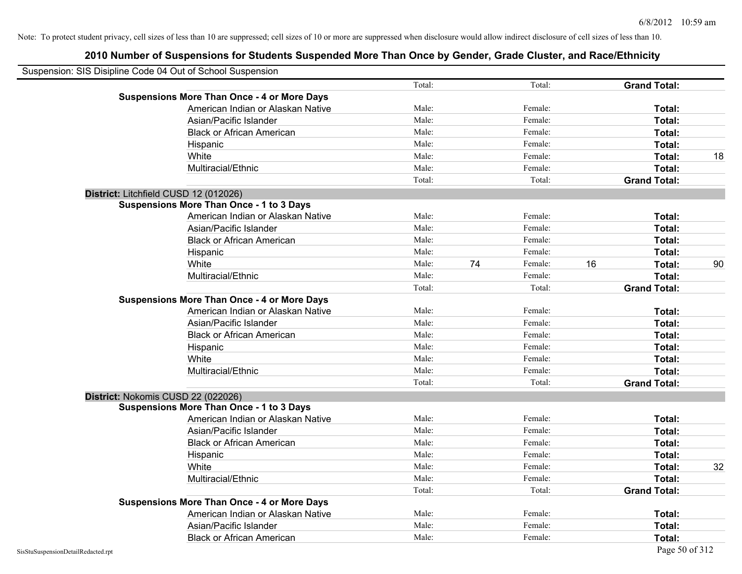| Suspension: SIS Disipline Code 04 Out of School Suspension |                                                    |        |    |         |    |                     |    |
|------------------------------------------------------------|----------------------------------------------------|--------|----|---------|----|---------------------|----|
|                                                            |                                                    | Total: |    | Total:  |    | <b>Grand Total:</b> |    |
|                                                            | <b>Suspensions More Than Once - 4 or More Days</b> |        |    |         |    |                     |    |
|                                                            | American Indian or Alaskan Native                  | Male:  |    | Female: |    | Total:              |    |
|                                                            | Asian/Pacific Islander                             | Male:  |    | Female: |    | Total:              |    |
|                                                            | <b>Black or African American</b>                   | Male:  |    | Female: |    | Total:              |    |
|                                                            | Hispanic                                           | Male:  |    | Female: |    | Total:              |    |
|                                                            | White                                              | Male:  |    | Female: |    | Total:              | 18 |
|                                                            | Multiracial/Ethnic                                 | Male:  |    | Female: |    | Total:              |    |
|                                                            |                                                    | Total: |    | Total:  |    | <b>Grand Total:</b> |    |
| District: Litchfield CUSD 12 (012026)                      |                                                    |        |    |         |    |                     |    |
|                                                            | <b>Suspensions More Than Once - 1 to 3 Days</b>    |        |    |         |    |                     |    |
|                                                            | American Indian or Alaskan Native                  | Male:  |    | Female: |    | Total:              |    |
|                                                            | Asian/Pacific Islander                             | Male:  |    | Female: |    | Total:              |    |
|                                                            | <b>Black or African American</b>                   | Male:  |    | Female: |    | Total:              |    |
|                                                            | Hispanic                                           | Male:  |    | Female: |    | Total:              |    |
|                                                            | White                                              | Male:  | 74 | Female: | 16 | Total:              | 90 |
|                                                            | Multiracial/Ethnic                                 | Male:  |    | Female: |    | Total:              |    |
|                                                            |                                                    | Total: |    | Total:  |    | <b>Grand Total:</b> |    |
|                                                            | <b>Suspensions More Than Once - 4 or More Days</b> |        |    |         |    |                     |    |
|                                                            | American Indian or Alaskan Native                  | Male:  |    | Female: |    | Total:              |    |
|                                                            | Asian/Pacific Islander                             | Male:  |    | Female: |    | Total:              |    |
|                                                            | <b>Black or African American</b>                   | Male:  |    | Female: |    | Total:              |    |
|                                                            | Hispanic                                           | Male:  |    | Female: |    | Total:              |    |
|                                                            | White                                              | Male:  |    | Female: |    | Total:              |    |
|                                                            | Multiracial/Ethnic                                 | Male:  |    | Female: |    | Total:              |    |
|                                                            |                                                    | Total: |    | Total:  |    | <b>Grand Total:</b> |    |
| District: Nokomis CUSD 22 (022026)                         |                                                    |        |    |         |    |                     |    |
|                                                            | <b>Suspensions More Than Once - 1 to 3 Days</b>    |        |    |         |    |                     |    |
|                                                            | American Indian or Alaskan Native                  | Male:  |    | Female: |    | Total:              |    |
|                                                            | Asian/Pacific Islander                             | Male:  |    | Female: |    | Total:              |    |
|                                                            | <b>Black or African American</b>                   | Male:  |    | Female: |    | Total:              |    |
|                                                            | Hispanic                                           | Male:  |    | Female: |    | Total:              |    |
|                                                            | White                                              | Male:  |    | Female: |    | Total:              | 32 |
|                                                            | Multiracial/Ethnic                                 | Male:  |    | Female: |    | Total:              |    |
|                                                            |                                                    | Total: |    | Total:  |    | <b>Grand Total:</b> |    |
|                                                            | <b>Suspensions More Than Once - 4 or More Days</b> |        |    |         |    |                     |    |
|                                                            | American Indian or Alaskan Native                  | Male:  |    | Female: |    | Total:              |    |
|                                                            | Asian/Pacific Islander                             | Male:  |    | Female: |    | Total:              |    |
|                                                            | <b>Black or African American</b>                   | Male:  |    | Female: |    | Total:              |    |
| SisStuSuspensionDetailRedacted.rpt                         |                                                    |        |    |         |    | Page 50 of 312      |    |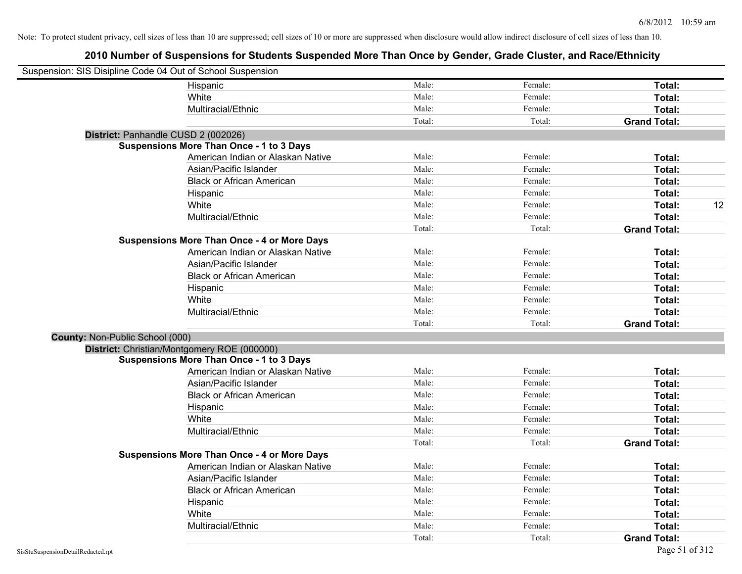| Suspension: SIS Disipline Code 04 Out of School Suspension |                                                    |        |         |                     |
|------------------------------------------------------------|----------------------------------------------------|--------|---------|---------------------|
|                                                            | Hispanic                                           | Male:  | Female: | Total:              |
|                                                            | White                                              | Male:  | Female: | Total:              |
|                                                            | Multiracial/Ethnic                                 | Male:  | Female: | Total:              |
|                                                            |                                                    | Total: | Total:  | <b>Grand Total:</b> |
|                                                            | District: Panhandle CUSD 2 (002026)                |        |         |                     |
|                                                            | <b>Suspensions More Than Once - 1 to 3 Days</b>    |        |         |                     |
|                                                            | American Indian or Alaskan Native                  | Male:  | Female: | Total:              |
|                                                            | Asian/Pacific Islander                             | Male:  | Female: | Total:              |
|                                                            | <b>Black or African American</b>                   | Male:  | Female: | Total:              |
|                                                            | Hispanic                                           | Male:  | Female: | Total:              |
|                                                            | White                                              | Male:  | Female: | 12<br>Total:        |
|                                                            | Multiracial/Ethnic                                 | Male:  | Female: | Total:              |
|                                                            |                                                    | Total: | Total:  | <b>Grand Total:</b> |
|                                                            | <b>Suspensions More Than Once - 4 or More Days</b> |        |         |                     |
|                                                            | American Indian or Alaskan Native                  | Male:  | Female: | Total:              |
|                                                            | Asian/Pacific Islander                             | Male:  | Female: | Total:              |
|                                                            | <b>Black or African American</b>                   | Male:  | Female: | Total:              |
|                                                            | Hispanic                                           | Male:  | Female: | Total:              |
|                                                            | White                                              | Male:  | Female: | Total:              |
|                                                            | Multiracial/Ethnic                                 | Male:  | Female: | Total:              |
|                                                            |                                                    | Total: | Total:  | <b>Grand Total:</b> |
| County: Non-Public School (000)                            |                                                    |        |         |                     |
|                                                            | District: Christian/Montgomery ROE (000000)        |        |         |                     |
|                                                            | <b>Suspensions More Than Once - 1 to 3 Days</b>    |        |         |                     |
|                                                            | American Indian or Alaskan Native                  | Male:  | Female: | Total:              |
|                                                            | Asian/Pacific Islander                             | Male:  | Female: | Total:              |
|                                                            | <b>Black or African American</b>                   | Male:  | Female: | Total:              |
|                                                            | Hispanic                                           | Male:  | Female: | Total:              |
|                                                            | White                                              | Male:  | Female: | Total:              |
|                                                            | Multiracial/Ethnic                                 | Male:  | Female: | Total:              |
|                                                            |                                                    | Total: | Total:  | <b>Grand Total:</b> |
|                                                            | <b>Suspensions More Than Once - 4 or More Days</b> |        |         |                     |
|                                                            | American Indian or Alaskan Native                  | Male:  | Female: | Total:              |
|                                                            | Asian/Pacific Islander                             | Male:  | Female: | Total:              |
|                                                            | <b>Black or African American</b>                   | Male:  | Female: | Total:              |
|                                                            | Hispanic                                           | Male:  | Female: | Total:              |
|                                                            | White                                              | Male:  | Female: | Total:              |
|                                                            | Multiracial/Ethnic                                 | Male:  | Female: | Total:              |
|                                                            |                                                    | Total: | Total:  | <b>Grand Total:</b> |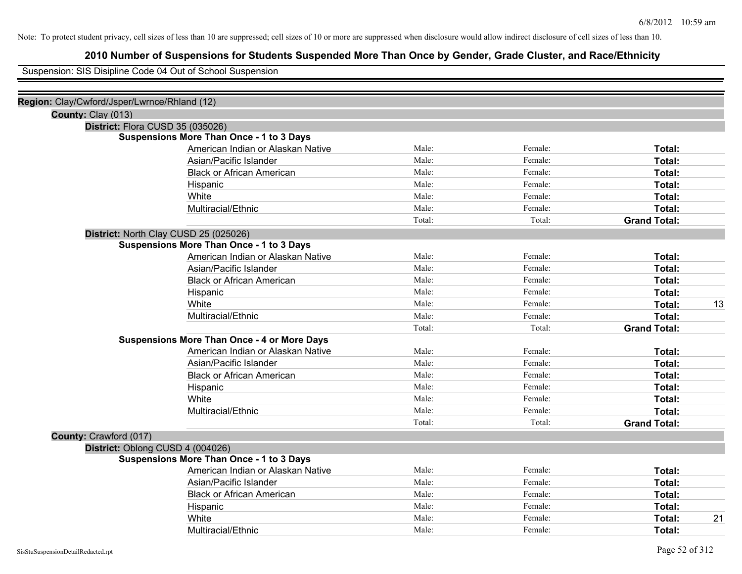# **2010 Number of Suspensions for Students Suspended More Than Once by Gender, Grade Cluster, and Race/Ethnicity**

Suspension: SIS Disipline Code 04 Out of School Suspension

| Region: Clay/Cwford/Jsper/Lwrnce/Rhland (12) |                                                    |        |         |                     |    |
|----------------------------------------------|----------------------------------------------------|--------|---------|---------------------|----|
| County: Clay (013)                           |                                                    |        |         |                     |    |
|                                              | District: Flora CUSD 35 (035026)                   |        |         |                     |    |
|                                              | <b>Suspensions More Than Once - 1 to 3 Days</b>    |        |         |                     |    |
|                                              | American Indian or Alaskan Native                  | Male:  | Female: | Total:              |    |
|                                              | Asian/Pacific Islander                             | Male:  | Female: | Total:              |    |
|                                              | <b>Black or African American</b>                   | Male:  | Female: | Total:              |    |
|                                              | Hispanic                                           | Male:  | Female: | Total:              |    |
|                                              | White                                              | Male:  | Female: | Total:              |    |
|                                              | Multiracial/Ethnic                                 | Male:  | Female: | Total:              |    |
|                                              |                                                    | Total: | Total:  | <b>Grand Total:</b> |    |
|                                              | District: North Clay CUSD 25 (025026)              |        |         |                     |    |
|                                              | <b>Suspensions More Than Once - 1 to 3 Days</b>    |        |         |                     |    |
|                                              | American Indian or Alaskan Native                  | Male:  | Female: | Total:              |    |
|                                              | Asian/Pacific Islander                             | Male:  | Female: | Total:              |    |
|                                              | <b>Black or African American</b>                   | Male:  | Female: | Total:              |    |
|                                              | Hispanic                                           | Male:  | Female: | Total:              |    |
|                                              | White                                              | Male:  | Female: | Total:              | 13 |
|                                              | Multiracial/Ethnic                                 | Male:  | Female: | Total:              |    |
|                                              |                                                    | Total: | Total:  | <b>Grand Total:</b> |    |
|                                              | <b>Suspensions More Than Once - 4 or More Days</b> |        |         |                     |    |
|                                              | American Indian or Alaskan Native                  | Male:  | Female: | Total:              |    |
|                                              | Asian/Pacific Islander                             | Male:  | Female: | Total:              |    |
|                                              | <b>Black or African American</b>                   | Male:  | Female: | Total:              |    |
|                                              | Hispanic                                           | Male:  | Female: | Total:              |    |
|                                              | White                                              | Male:  | Female: | Total:              |    |
|                                              | Multiracial/Ethnic                                 | Male:  | Female: | Total:              |    |
|                                              |                                                    | Total: | Total:  | <b>Grand Total:</b> |    |
| County: Crawford (017)                       |                                                    |        |         |                     |    |
|                                              | District: Oblong CUSD 4 (004026)                   |        |         |                     |    |
|                                              | <b>Suspensions More Than Once - 1 to 3 Days</b>    |        |         |                     |    |
|                                              | American Indian or Alaskan Native                  | Male:  | Female: | Total:              |    |
|                                              | Asian/Pacific Islander                             | Male:  | Female: | Total:              |    |
|                                              | <b>Black or African American</b>                   | Male:  | Female: | Total:              |    |
|                                              | Hispanic                                           | Male:  | Female: | Total:              |    |
|                                              | White                                              | Male:  | Female: | Total:              | 21 |
|                                              | Multiracial/Ethnic                                 | Male:  | Female: | Total:              |    |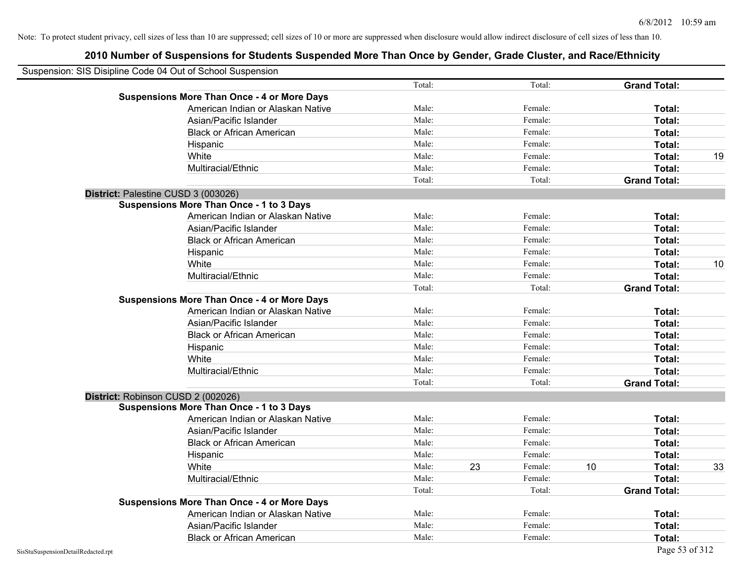|                                    | Suspension: SIS Disipline Code 04 Out of School Suspension |        |    |         |    |                     |    |
|------------------------------------|------------------------------------------------------------|--------|----|---------|----|---------------------|----|
|                                    |                                                            | Total: |    | Total:  |    | <b>Grand Total:</b> |    |
|                                    | <b>Suspensions More Than Once - 4 or More Days</b>         |        |    |         |    |                     |    |
|                                    | American Indian or Alaskan Native                          | Male:  |    | Female: |    | Total:              |    |
|                                    | Asian/Pacific Islander                                     | Male:  |    | Female: |    | Total:              |    |
|                                    | <b>Black or African American</b>                           | Male:  |    | Female: |    | Total:              |    |
|                                    | Hispanic                                                   | Male:  |    | Female: |    | Total:              |    |
|                                    | White                                                      | Male:  |    | Female: |    | Total:              | 19 |
|                                    | Multiracial/Ethnic                                         | Male:  |    | Female: |    | Total:              |    |
|                                    |                                                            | Total: |    | Total:  |    | <b>Grand Total:</b> |    |
|                                    | District: Palestine CUSD 3 (003026)                        |        |    |         |    |                     |    |
|                                    | <b>Suspensions More Than Once - 1 to 3 Days</b>            |        |    |         |    |                     |    |
|                                    | American Indian or Alaskan Native                          | Male:  |    | Female: |    | Total:              |    |
|                                    | Asian/Pacific Islander                                     | Male:  |    | Female: |    | Total:              |    |
|                                    | <b>Black or African American</b>                           | Male:  |    | Female: |    | Total:              |    |
|                                    | Hispanic                                                   | Male:  |    | Female: |    | Total:              |    |
|                                    | White                                                      | Male:  |    | Female: |    | Total:              | 10 |
|                                    | Multiracial/Ethnic                                         | Male:  |    | Female: |    | Total:              |    |
|                                    |                                                            | Total: |    | Total:  |    | <b>Grand Total:</b> |    |
|                                    | <b>Suspensions More Than Once - 4 or More Days</b>         |        |    |         |    |                     |    |
|                                    | American Indian or Alaskan Native                          | Male:  |    | Female: |    | Total:              |    |
|                                    | Asian/Pacific Islander                                     | Male:  |    | Female: |    | Total:              |    |
|                                    | <b>Black or African American</b>                           | Male:  |    | Female: |    | Total:              |    |
|                                    | Hispanic                                                   | Male:  |    | Female: |    | Total:              |    |
|                                    | White                                                      | Male:  |    | Female: |    | Total:              |    |
|                                    | Multiracial/Ethnic                                         | Male:  |    | Female: |    | Total:              |    |
|                                    |                                                            | Total: |    | Total:  |    | <b>Grand Total:</b> |    |
|                                    | District: Robinson CUSD 2 (002026)                         |        |    |         |    |                     |    |
|                                    | <b>Suspensions More Than Once - 1 to 3 Days</b>            |        |    |         |    |                     |    |
|                                    | American Indian or Alaskan Native                          | Male:  |    | Female: |    | Total:              |    |
|                                    | Asian/Pacific Islander                                     | Male:  |    | Female: |    | Total:              |    |
|                                    | <b>Black or African American</b>                           | Male:  |    | Female: |    | Total:              |    |
|                                    | Hispanic                                                   | Male:  |    | Female: |    | Total:              |    |
|                                    | White                                                      | Male:  | 23 | Female: | 10 | Total:              | 33 |
|                                    | Multiracial/Ethnic                                         | Male:  |    | Female: |    | Total:              |    |
|                                    |                                                            | Total: |    | Total:  |    | <b>Grand Total:</b> |    |
|                                    | <b>Suspensions More Than Once - 4 or More Days</b>         |        |    |         |    |                     |    |
|                                    | American Indian or Alaskan Native                          | Male:  |    | Female: |    | Total:              |    |
|                                    | Asian/Pacific Islander                                     | Male:  |    | Female: |    | Total:              |    |
|                                    | <b>Black or African American</b>                           | Male:  |    | Female: |    | Total:              |    |
| SisStuSuspensionDetailRedacted.rpt |                                                            |        |    |         |    | Page 53 of 312      |    |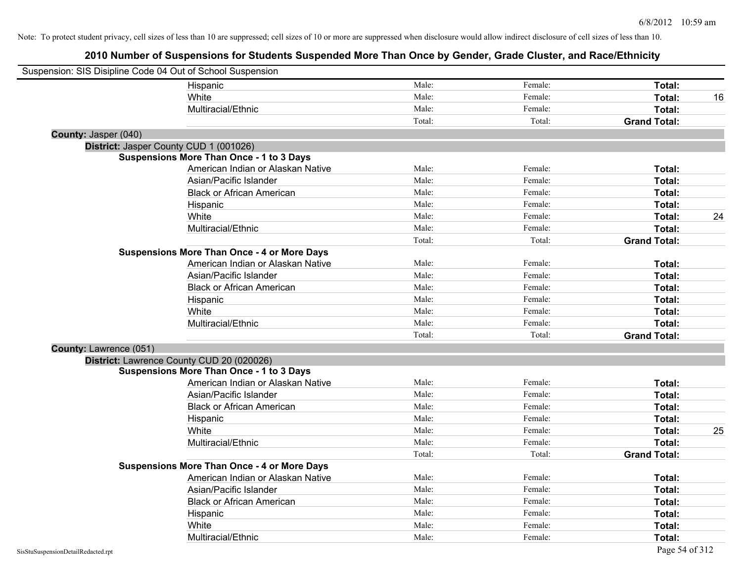| Suspension: SIS Disipline Code 04 Out of School Suspension |                                                    |        |         |                     |    |
|------------------------------------------------------------|----------------------------------------------------|--------|---------|---------------------|----|
|                                                            | Hispanic                                           | Male:  | Female: | Total:              |    |
|                                                            | White                                              | Male:  | Female: | Total:              | 16 |
|                                                            | Multiracial/Ethnic                                 | Male:  | Female: | Total:              |    |
|                                                            |                                                    | Total: | Total:  | <b>Grand Total:</b> |    |
| County: Jasper (040)                                       |                                                    |        |         |                     |    |
|                                                            | District: Jasper County CUD 1 (001026)             |        |         |                     |    |
|                                                            | <b>Suspensions More Than Once - 1 to 3 Days</b>    |        |         |                     |    |
|                                                            | American Indian or Alaskan Native                  | Male:  | Female: | Total:              |    |
|                                                            | Asian/Pacific Islander                             | Male:  | Female: | Total:              |    |
|                                                            | <b>Black or African American</b>                   | Male:  | Female: | Total:              |    |
|                                                            | Hispanic                                           | Male:  | Female: | Total:              |    |
|                                                            | White                                              | Male:  | Female: | Total:              | 24 |
|                                                            | Multiracial/Ethnic                                 | Male:  | Female: | Total:              |    |
|                                                            |                                                    | Total: | Total:  | <b>Grand Total:</b> |    |
|                                                            | <b>Suspensions More Than Once - 4 or More Days</b> |        |         |                     |    |
|                                                            | American Indian or Alaskan Native                  | Male:  | Female: | Total:              |    |
|                                                            | Asian/Pacific Islander                             | Male:  | Female: | Total:              |    |
|                                                            | <b>Black or African American</b>                   | Male:  | Female: | Total:              |    |
|                                                            | Hispanic                                           | Male:  | Female: | Total:              |    |
|                                                            | White                                              | Male:  | Female: | Total:              |    |
|                                                            | Multiracial/Ethnic                                 | Male:  | Female: | Total:              |    |
|                                                            |                                                    | Total: | Total:  | <b>Grand Total:</b> |    |
| County: Lawrence (051)                                     |                                                    |        |         |                     |    |
|                                                            | District: Lawrence County CUD 20 (020026)          |        |         |                     |    |
|                                                            | <b>Suspensions More Than Once - 1 to 3 Days</b>    |        |         |                     |    |
|                                                            | American Indian or Alaskan Native                  | Male:  | Female: | Total:              |    |
|                                                            | Asian/Pacific Islander                             | Male:  | Female: | Total:              |    |
|                                                            | <b>Black or African American</b>                   | Male:  | Female: | Total:              |    |
|                                                            | Hispanic                                           | Male:  | Female: | Total:              |    |
|                                                            | White                                              | Male:  | Female: | Total:              | 25 |
|                                                            | Multiracial/Ethnic                                 | Male:  | Female: | Total:              |    |
|                                                            |                                                    | Total: | Total:  | <b>Grand Total:</b> |    |
|                                                            | <b>Suspensions More Than Once - 4 or More Days</b> |        |         |                     |    |
|                                                            | American Indian or Alaskan Native                  | Male:  | Female: | Total:              |    |
|                                                            | Asian/Pacific Islander                             | Male:  | Female: | Total:              |    |
|                                                            | <b>Black or African American</b>                   | Male:  | Female: | Total:              |    |
|                                                            | Hispanic                                           | Male:  | Female: | Total:              |    |
|                                                            | White                                              | Male:  | Female: | Total:              |    |
|                                                            | Multiracial/Ethnic                                 | Male:  | Female: | Total:              |    |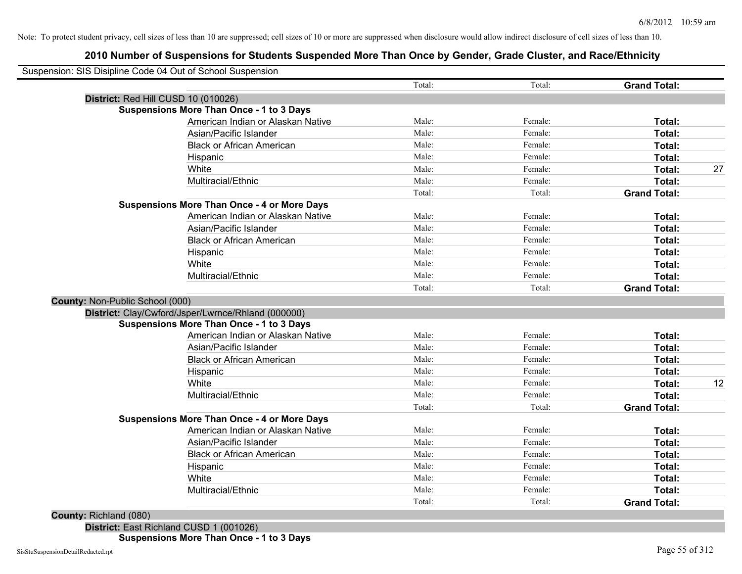### **2010 Number of Suspensions for Students Suspended More Than Once by Gender, Grade Cluster, and Race/Ethnicity**

|                                                    | Total: | Total:  | <b>Grand Total:</b> |
|----------------------------------------------------|--------|---------|---------------------|
| District: Red Hill CUSD 10 (010026)                |        |         |                     |
| <b>Suspensions More Than Once - 1 to 3 Days</b>    |        |         |                     |
| American Indian or Alaskan Native                  | Male:  | Female: | Total:              |
| Asian/Pacific Islander                             | Male:  | Female: | Total:              |
| <b>Black or African American</b>                   | Male:  | Female: | Total:              |
| Hispanic                                           | Male:  | Female: | Total:              |
| White                                              | Male:  | Female: | Total:              |
| Multiracial/Ethnic                                 | Male:  | Female: | Total:              |
|                                                    | Total: | Total:  | <b>Grand Total:</b> |
| <b>Suspensions More Than Once - 4 or More Days</b> |        |         |                     |
| American Indian or Alaskan Native                  | Male:  | Female: | Total:              |
| Asian/Pacific Islander                             | Male:  | Female: | Total:              |
| <b>Black or African American</b>                   | Male:  | Female: | Total:              |
| Hispanic                                           | Male:  | Female: | Total:              |
| White                                              | Male:  | Female: | Total:              |
| Multiracial/Ethnic                                 | Male:  | Female: | Total:              |
|                                                    | Total: | Total:  | <b>Grand Total:</b> |
| County: Non-Public School (000)                    |        |         |                     |
| District: Clay/Cwford/Jsper/Lwrnce/Rhland (000000) |        |         |                     |
| <b>Suspensions More Than Once - 1 to 3 Days</b>    |        |         |                     |
| American Indian or Alaskan Native                  | Male:  | Female: | Total:              |
| Asian/Pacific Islander                             | Male:  | Female: | Total:              |
| <b>Black or African American</b>                   | Male:  | Female: | Total:              |
| Hispanic                                           | Male:  | Female: | Total:              |
| White                                              | Male:  | Female: | Total:              |
| Multiracial/Ethnic                                 | Male:  | Female: | Total:              |
|                                                    | Total: | Total:  | <b>Grand Total:</b> |
| <b>Suspensions More Than Once - 4 or More Days</b> |        |         |                     |
| American Indian or Alaskan Native                  | Male:  | Female: | Total:              |
| Asian/Pacific Islander                             | Male:  | Female: | Total:              |
| <b>Black or African American</b>                   | Male:  | Female: | Total:              |
| Hispanic                                           | Male:  | Female: | Total:              |
| White                                              | Male:  | Female: | Total:              |
| Multiracial/Ethnic                                 | Male:  | Female: | Total:              |
|                                                    | Total: | Total:  | <b>Grand Total:</b> |

**County:** Richland (080)

**District:** East Richland CUSD 1 (001026) **Suspensions More Than Once - 1 to 3 Days**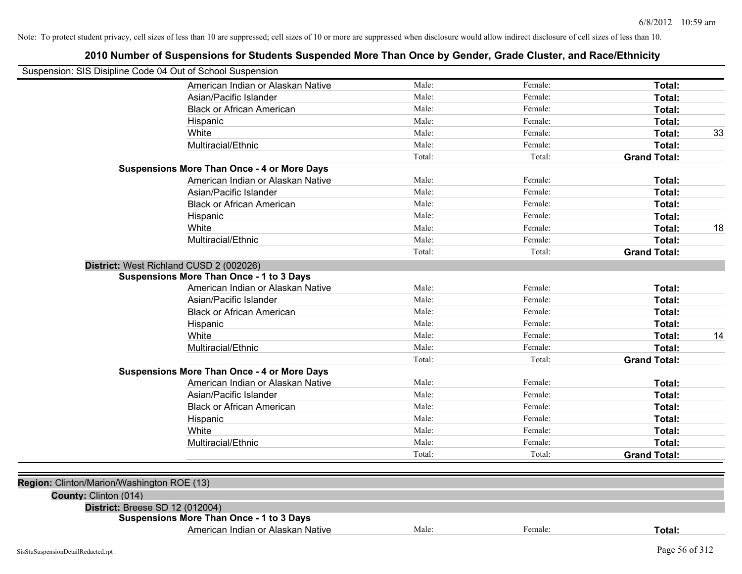|                                                            | 2010 Number of Suspensions for Students Suspended More Than Once by Gender, Grade Cluster, and Race/Ethnicity |        |         |                     |    |
|------------------------------------------------------------|---------------------------------------------------------------------------------------------------------------|--------|---------|---------------------|----|
| Suspension: SIS Disipline Code 04 Out of School Suspension |                                                                                                               |        |         |                     |    |
|                                                            | American Indian or Alaskan Native                                                                             | Male:  | Female: | Total:              |    |
|                                                            | Asian/Pacific Islander                                                                                        | Male:  | Female: | Total:              |    |
|                                                            | <b>Black or African American</b>                                                                              | Male:  | Female: | Total:              |    |
|                                                            | Hispanic                                                                                                      | Male:  | Female: | Total:              |    |
|                                                            | White                                                                                                         | Male:  | Female: | Total:              | 33 |
|                                                            | Multiracial/Ethnic                                                                                            | Male:  | Female: | Total:              |    |
|                                                            |                                                                                                               | Total: | Total:  | <b>Grand Total:</b> |    |
|                                                            | <b>Suspensions More Than Once - 4 or More Days</b>                                                            |        |         |                     |    |
|                                                            | American Indian or Alaskan Native                                                                             | Male:  | Female: | Total:              |    |
|                                                            | Asian/Pacific Islander                                                                                        | Male:  | Female: | Total:              |    |
|                                                            | <b>Black or African American</b>                                                                              | Male:  | Female: | Total:              |    |
|                                                            | Hispanic                                                                                                      | Male:  | Female: | Total:              |    |
|                                                            | White                                                                                                         | Male:  | Female: | Total:              | 18 |
|                                                            | Multiracial/Ethnic                                                                                            | Male:  | Female: | Total:              |    |
|                                                            |                                                                                                               | Total: | Total:  | <b>Grand Total:</b> |    |
|                                                            | District: West Richland CUSD 2 (002026)                                                                       |        |         |                     |    |
|                                                            | Suspensions More Than Once - 1 to 3 Days                                                                      |        |         |                     |    |
|                                                            | American Indian or Alaskan Native                                                                             | Male:  | Female: | Total:              |    |
|                                                            | Asian/Pacific Islander                                                                                        | Male:  | Female: | Total:              |    |
|                                                            | <b>Black or African American</b>                                                                              | Male:  | Female: | Total:              |    |
|                                                            | Hispanic                                                                                                      | Male:  | Female: | Total:              |    |
|                                                            | White                                                                                                         | Male:  | Female: | Total:              | 14 |
|                                                            | Multiracial/Ethnic                                                                                            | Male:  | Female: | Total:              |    |
|                                                            |                                                                                                               | Total: | Total:  | <b>Grand Total:</b> |    |
|                                                            | <b>Suspensions More Than Once - 4 or More Days</b>                                                            |        |         |                     |    |
|                                                            | American Indian or Alaskan Native                                                                             | Male:  | Female: | Total:              |    |
|                                                            | Asian/Pacific Islander                                                                                        | Male:  | Female: | Total:              |    |
|                                                            | <b>Black or African American</b>                                                                              | Male:  | Female: | Total:              |    |
|                                                            | Hispanic                                                                                                      | Male:  | Female: | Total:              |    |
|                                                            | White                                                                                                         | Male:  | Female: | Total:              |    |
|                                                            | Multiracial/Ethnic                                                                                            | Male:  | Female: | Total:              |    |
|                                                            |                                                                                                               | Total: | Total:  | <b>Grand Total:</b> |    |
|                                                            |                                                                                                               |        |         |                     |    |
| Region: Clinton/Marion/Washington ROE (13)                 |                                                                                                               |        |         |                     |    |
| County: Clinton (014)                                      |                                                                                                               |        |         |                     |    |
| District: Breese SD 12 (012004)                            |                                                                                                               |        |         |                     |    |
|                                                            | <b>Suspensions More Than Once - 1 to 3 Days</b>                                                               |        |         |                     |    |
|                                                            | American Indian or Alaskan Native                                                                             | Male:  | Female: | Total:              |    |
|                                                            |                                                                                                               |        |         |                     |    |

### SisStuSuspensionDetailRedacted.rpt Page 56 of 312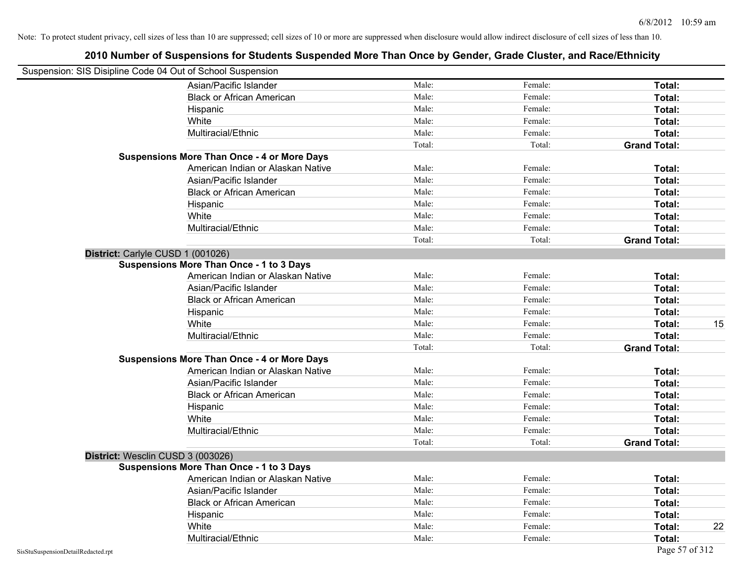| Suspension: SIS Disipline Code 04 Out of School Suspension |                                                    |        |         |                     |
|------------------------------------------------------------|----------------------------------------------------|--------|---------|---------------------|
|                                                            | Asian/Pacific Islander                             | Male:  | Female: | Total:              |
|                                                            | <b>Black or African American</b>                   | Male:  | Female: | Total:              |
|                                                            | Hispanic                                           | Male:  | Female: | Total:              |
|                                                            | White                                              | Male:  | Female: | Total:              |
|                                                            | Multiracial/Ethnic                                 | Male:  | Female: | Total:              |
|                                                            |                                                    | Total: | Total:  | <b>Grand Total:</b> |
|                                                            | <b>Suspensions More Than Once - 4 or More Days</b> |        |         |                     |
|                                                            | American Indian or Alaskan Native                  | Male:  | Female: | Total:              |
|                                                            | Asian/Pacific Islander                             | Male:  | Female: | Total:              |
|                                                            | <b>Black or African American</b>                   | Male:  | Female: | Total:              |
|                                                            | Hispanic                                           | Male:  | Female: | Total:              |
|                                                            | White                                              | Male:  | Female: | Total:              |
|                                                            | Multiracial/Ethnic                                 | Male:  | Female: | Total:              |
|                                                            |                                                    | Total: | Total:  | <b>Grand Total:</b> |
| District: Carlyle CUSD 1 (001026)                          |                                                    |        |         |                     |
|                                                            | <b>Suspensions More Than Once - 1 to 3 Days</b>    |        |         |                     |
|                                                            | American Indian or Alaskan Native                  | Male:  | Female: | Total:              |
|                                                            | Asian/Pacific Islander                             | Male:  | Female: | Total:              |
|                                                            | <b>Black or African American</b>                   | Male:  | Female: | Total:              |
|                                                            | Hispanic                                           | Male:  | Female: | Total:              |
|                                                            | White                                              | Male:  | Female: | 15<br>Total:        |
|                                                            | Multiracial/Ethnic                                 | Male:  | Female: | Total:              |
|                                                            |                                                    | Total: | Total:  | <b>Grand Total:</b> |
|                                                            | <b>Suspensions More Than Once - 4 or More Days</b> |        |         |                     |
|                                                            | American Indian or Alaskan Native                  | Male:  | Female: | Total:              |
|                                                            | Asian/Pacific Islander                             | Male:  | Female: | Total:              |
|                                                            | <b>Black or African American</b>                   | Male:  | Female: | Total:              |
|                                                            | Hispanic                                           | Male:  | Female: | Total:              |
|                                                            | White                                              | Male:  | Female: | Total:              |
|                                                            | Multiracial/Ethnic                                 | Male:  | Female: | Total:              |
|                                                            |                                                    | Total: | Total:  | <b>Grand Total:</b> |
| District: Wesclin CUSD 3 (003026)                          |                                                    |        |         |                     |
|                                                            | <b>Suspensions More Than Once - 1 to 3 Days</b>    |        |         |                     |
|                                                            | American Indian or Alaskan Native                  | Male:  | Female: | Total:              |
|                                                            | Asian/Pacific Islander                             | Male:  | Female: | Total:              |
|                                                            | <b>Black or African American</b>                   | Male:  | Female: | Total:              |
|                                                            | Hispanic                                           | Male:  | Female: | Total:              |
|                                                            | White                                              | Male:  | Female: | Total:<br>22        |
|                                                            | Multiracial/Ethnic                                 | Male:  | Female: | Total:              |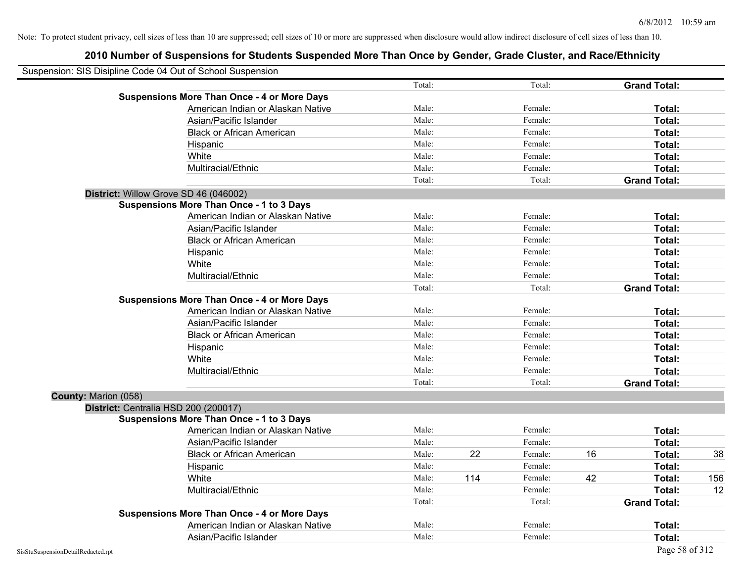|                      | Suspension: SIS Disipline Code 04 Out of School Suspension |        |     |         |    |                     |     |
|----------------------|------------------------------------------------------------|--------|-----|---------|----|---------------------|-----|
|                      |                                                            | Total: |     | Total:  |    | <b>Grand Total:</b> |     |
|                      | <b>Suspensions More Than Once - 4 or More Days</b>         |        |     |         |    |                     |     |
|                      | American Indian or Alaskan Native                          | Male:  |     | Female: |    | Total:              |     |
|                      | Asian/Pacific Islander                                     | Male:  |     | Female: |    | Total:              |     |
|                      | <b>Black or African American</b>                           | Male:  |     | Female: |    | Total:              |     |
|                      | Hispanic                                                   | Male:  |     | Female: |    | Total:              |     |
|                      | White                                                      | Male:  |     | Female: |    | Total:              |     |
|                      | Multiracial/Ethnic                                         | Male:  |     | Female: |    | Total:              |     |
|                      |                                                            | Total: |     | Total:  |    | <b>Grand Total:</b> |     |
|                      | District: Willow Grove SD 46 (046002)                      |        |     |         |    |                     |     |
|                      | <b>Suspensions More Than Once - 1 to 3 Days</b>            |        |     |         |    |                     |     |
|                      | American Indian or Alaskan Native                          | Male:  |     | Female: |    | Total:              |     |
|                      | Asian/Pacific Islander                                     | Male:  |     | Female: |    | Total:              |     |
|                      | <b>Black or African American</b>                           | Male:  |     | Female: |    | Total:              |     |
|                      | Hispanic                                                   | Male:  |     | Female: |    | Total:              |     |
|                      | White                                                      | Male:  |     | Female: |    | Total:              |     |
|                      | Multiracial/Ethnic                                         | Male:  |     | Female: |    | Total:              |     |
|                      |                                                            | Total: |     | Total:  |    | <b>Grand Total:</b> |     |
|                      | <b>Suspensions More Than Once - 4 or More Days</b>         |        |     |         |    |                     |     |
|                      | American Indian or Alaskan Native                          | Male:  |     | Female: |    | Total:              |     |
|                      | Asian/Pacific Islander                                     | Male:  |     | Female: |    | Total:              |     |
|                      | <b>Black or African American</b>                           | Male:  |     | Female: |    | Total:              |     |
|                      | Hispanic                                                   | Male:  |     | Female: |    | Total:              |     |
|                      | White                                                      | Male:  |     | Female: |    | Total:              |     |
|                      | Multiracial/Ethnic                                         | Male:  |     | Female: |    | Total:              |     |
|                      |                                                            | Total: |     | Total:  |    | <b>Grand Total:</b> |     |
| County: Marion (058) |                                                            |        |     |         |    |                     |     |
|                      | District: Centralia HSD 200 (200017)                       |        |     |         |    |                     |     |
|                      | <b>Suspensions More Than Once - 1 to 3 Days</b>            |        |     |         |    |                     |     |
|                      | American Indian or Alaskan Native                          | Male:  |     | Female: |    | Total:              |     |
|                      | Asian/Pacific Islander                                     | Male:  |     | Female: |    | Total:              |     |
|                      | <b>Black or African American</b>                           | Male:  | 22  | Female: | 16 | Total:              | 38  |
|                      | Hispanic                                                   | Male:  |     | Female: |    | Total:              |     |
|                      | White                                                      | Male:  | 114 | Female: | 42 | Total:              | 156 |
|                      | Multiracial/Ethnic                                         | Male:  |     | Female: |    | Total:              | 12  |
|                      |                                                            | Total: |     | Total:  |    | <b>Grand Total:</b> |     |
|                      | <b>Suspensions More Than Once - 4 or More Days</b>         |        |     |         |    |                     |     |
|                      | American Indian or Alaskan Native                          | Male:  |     | Female: |    | <b>Total:</b>       |     |
|                      | Asian/Pacific Islander                                     | Male:  |     | Female: |    | Total:              |     |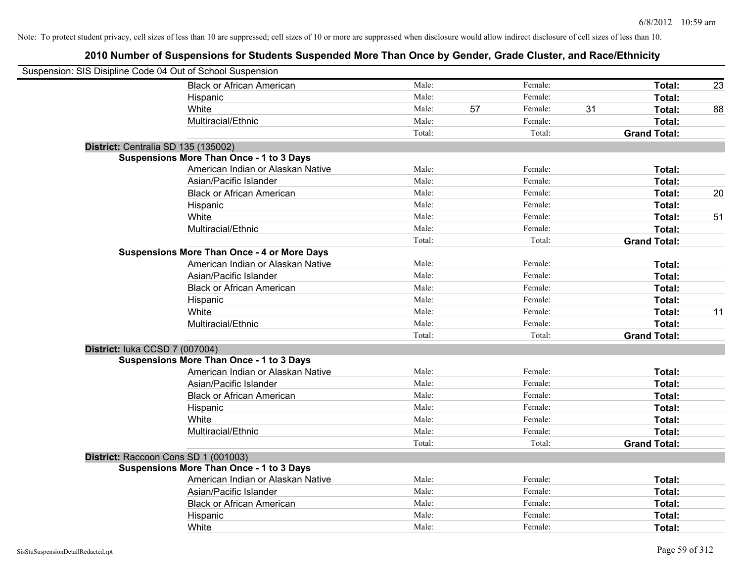| Suspension: SIS Disipline Code 04 Out of School Suspension |                                                    |        |    |         |    |                     |    |
|------------------------------------------------------------|----------------------------------------------------|--------|----|---------|----|---------------------|----|
|                                                            | <b>Black or African American</b>                   | Male:  |    | Female: |    | Total:              | 23 |
|                                                            | Hispanic                                           | Male:  |    | Female: |    | Total:              |    |
|                                                            | White                                              | Male:  | 57 | Female: | 31 | Total:              | 88 |
|                                                            | Multiracial/Ethnic                                 | Male:  |    | Female: |    | Total:              |    |
|                                                            |                                                    | Total: |    | Total:  |    | <b>Grand Total:</b> |    |
| District: Centralia SD 135 (135002)                        |                                                    |        |    |         |    |                     |    |
|                                                            | <b>Suspensions More Than Once - 1 to 3 Days</b>    |        |    |         |    |                     |    |
|                                                            | American Indian or Alaskan Native                  | Male:  |    | Female: |    | Total:              |    |
|                                                            | Asian/Pacific Islander                             | Male:  |    | Female: |    | Total:              |    |
|                                                            | <b>Black or African American</b>                   | Male:  |    | Female: |    | Total:              | 20 |
|                                                            | Hispanic                                           | Male:  |    | Female: |    | Total:              |    |
|                                                            | White                                              | Male:  |    | Female: |    | Total:              | 51 |
|                                                            | Multiracial/Ethnic                                 | Male:  |    | Female: |    | Total:              |    |
|                                                            |                                                    | Total: |    | Total:  |    | <b>Grand Total:</b> |    |
|                                                            | <b>Suspensions More Than Once - 4 or More Days</b> |        |    |         |    |                     |    |
|                                                            | American Indian or Alaskan Native                  | Male:  |    | Female: |    | Total:              |    |
|                                                            | Asian/Pacific Islander                             | Male:  |    | Female: |    | Total:              |    |
|                                                            | <b>Black or African American</b>                   | Male:  |    | Female: |    | Total:              |    |
|                                                            | Hispanic                                           | Male:  |    | Female: |    | Total:              |    |
|                                                            | White                                              | Male:  |    | Female: |    | Total:              | 11 |
|                                                            | Multiracial/Ethnic                                 | Male:  |    | Female: |    | Total:              |    |
|                                                            |                                                    | Total: |    | Total:  |    | <b>Grand Total:</b> |    |
| District: luka CCSD 7 (007004)                             |                                                    |        |    |         |    |                     |    |
|                                                            | <b>Suspensions More Than Once - 1 to 3 Days</b>    |        |    |         |    |                     |    |
|                                                            | American Indian or Alaskan Native                  | Male:  |    | Female: |    | Total:              |    |
|                                                            | Asian/Pacific Islander                             | Male:  |    | Female: |    | Total:              |    |
|                                                            | <b>Black or African American</b>                   | Male:  |    | Female: |    | Total:              |    |
|                                                            | Hispanic                                           | Male:  |    | Female: |    | Total:              |    |
|                                                            | White                                              | Male:  |    | Female: |    | Total:              |    |
|                                                            | Multiracial/Ethnic                                 | Male:  |    | Female: |    | Total:              |    |
|                                                            |                                                    | Total: |    | Total:  |    | <b>Grand Total:</b> |    |
| District: Raccoon Cons SD 1 (001003)                       |                                                    |        |    |         |    |                     |    |
|                                                            | <b>Suspensions More Than Once - 1 to 3 Days</b>    |        |    |         |    |                     |    |
|                                                            | American Indian or Alaskan Native                  | Male:  |    | Female: |    | Total:              |    |
|                                                            | Asian/Pacific Islander                             | Male:  |    | Female: |    | Total:              |    |
|                                                            | <b>Black or African American</b>                   | Male:  |    | Female: |    | Total:              |    |
|                                                            | Hispanic                                           | Male:  |    | Female: |    | Total:              |    |
|                                                            | White                                              | Male:  |    | Female: |    | Total:              |    |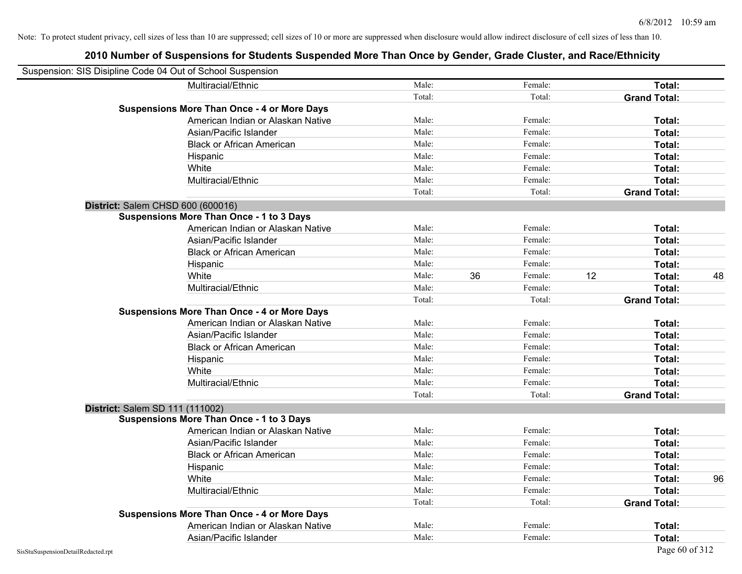| Suspension: SIS Disipline Code 04 Out of School Suspension |                                                    |        |    |         |    |                     |    |
|------------------------------------------------------------|----------------------------------------------------|--------|----|---------|----|---------------------|----|
|                                                            | Multiracial/Ethnic                                 | Male:  |    | Female: |    | Total:              |    |
|                                                            |                                                    | Total: |    | Total:  |    | <b>Grand Total:</b> |    |
|                                                            | <b>Suspensions More Than Once - 4 or More Days</b> |        |    |         |    |                     |    |
|                                                            | American Indian or Alaskan Native                  | Male:  |    | Female: |    | Total:              |    |
|                                                            | Asian/Pacific Islander                             | Male:  |    | Female: |    | Total:              |    |
|                                                            | <b>Black or African American</b>                   | Male:  |    | Female: |    | Total:              |    |
|                                                            | Hispanic                                           | Male:  |    | Female: |    | Total:              |    |
|                                                            | White                                              | Male:  |    | Female: |    | Total:              |    |
|                                                            | Multiracial/Ethnic                                 | Male:  |    | Female: |    | Total:              |    |
|                                                            |                                                    | Total: |    | Total:  |    | <b>Grand Total:</b> |    |
| District: Salem CHSD 600 (600016)                          |                                                    |        |    |         |    |                     |    |
|                                                            | <b>Suspensions More Than Once - 1 to 3 Days</b>    |        |    |         |    |                     |    |
|                                                            | American Indian or Alaskan Native                  | Male:  |    | Female: |    | Total:              |    |
|                                                            | Asian/Pacific Islander                             | Male:  |    | Female: |    | Total:              |    |
|                                                            | <b>Black or African American</b>                   | Male:  |    | Female: |    | Total:              |    |
|                                                            | Hispanic                                           | Male:  |    | Female: |    | Total:              |    |
|                                                            | White                                              | Male:  | 36 | Female: | 12 | Total:              | 48 |
|                                                            | Multiracial/Ethnic                                 | Male:  |    | Female: |    | Total:              |    |
|                                                            |                                                    | Total: |    | Total:  |    | <b>Grand Total:</b> |    |
|                                                            | <b>Suspensions More Than Once - 4 or More Days</b> |        |    |         |    |                     |    |
|                                                            | American Indian or Alaskan Native                  | Male:  |    | Female: |    | Total:              |    |
|                                                            | Asian/Pacific Islander                             | Male:  |    | Female: |    | Total:              |    |
|                                                            | <b>Black or African American</b>                   | Male:  |    | Female: |    | Total:              |    |
|                                                            | Hispanic                                           | Male:  |    | Female: |    | Total:              |    |
|                                                            | White                                              | Male:  |    | Female: |    | Total:              |    |
|                                                            | Multiracial/Ethnic                                 | Male:  |    | Female: |    | Total:              |    |
|                                                            |                                                    | Total: |    | Total:  |    | <b>Grand Total:</b> |    |
| District: Salem SD 111 (111002)                            |                                                    |        |    |         |    |                     |    |
|                                                            | <b>Suspensions More Than Once - 1 to 3 Days</b>    |        |    |         |    |                     |    |
|                                                            | American Indian or Alaskan Native                  | Male:  |    | Female: |    | Total:              |    |
|                                                            | Asian/Pacific Islander                             | Male:  |    | Female: |    | Total:              |    |
|                                                            | <b>Black or African American</b>                   | Male:  |    | Female: |    | Total:              |    |
|                                                            | Hispanic                                           | Male:  |    | Female: |    | Total:              |    |
|                                                            | White                                              | Male:  |    | Female: |    | Total:              | 96 |
|                                                            | Multiracial/Ethnic                                 | Male:  |    | Female: |    | Total:              |    |
|                                                            |                                                    | Total: |    | Total:  |    | <b>Grand Total:</b> |    |
|                                                            | <b>Suspensions More Than Once - 4 or More Days</b> |        |    |         |    |                     |    |
|                                                            | American Indian or Alaskan Native                  | Male:  |    | Female: |    | Total:              |    |
|                                                            | Asian/Pacific Islander                             | Male:  |    | Female: |    | Total:              |    |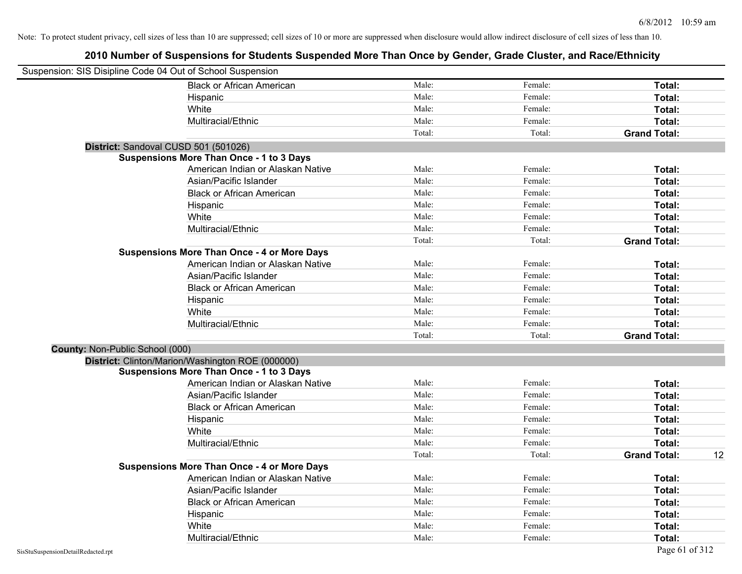|                                 | Suspension: SIS Disipline Code 04 Out of School Suspension |        |         |                           |
|---------------------------------|------------------------------------------------------------|--------|---------|---------------------------|
|                                 | <b>Black or African American</b>                           | Male:  | Female: | Total:                    |
|                                 | Hispanic                                                   | Male:  | Female: | Total:                    |
|                                 | White                                                      | Male:  | Female: | Total:                    |
|                                 | Multiracial/Ethnic                                         | Male:  | Female: | Total:                    |
|                                 |                                                            | Total: | Total:  | <b>Grand Total:</b>       |
|                                 | District: Sandoval CUSD 501 (501026)                       |        |         |                           |
|                                 | <b>Suspensions More Than Once - 1 to 3 Days</b>            |        |         |                           |
|                                 | American Indian or Alaskan Native                          | Male:  | Female: | Total:                    |
|                                 | Asian/Pacific Islander                                     | Male:  | Female: | Total:                    |
|                                 | <b>Black or African American</b>                           | Male:  | Female: | Total:                    |
|                                 | Hispanic                                                   | Male:  | Female: | Total:                    |
|                                 | White                                                      | Male:  | Female: | Total:                    |
|                                 | Multiracial/Ethnic                                         | Male:  | Female: | Total:                    |
|                                 |                                                            | Total: | Total:  | <b>Grand Total:</b>       |
|                                 | <b>Suspensions More Than Once - 4 or More Days</b>         |        |         |                           |
|                                 | American Indian or Alaskan Native                          | Male:  | Female: | Total:                    |
|                                 | Asian/Pacific Islander                                     | Male:  | Female: | Total:                    |
|                                 | <b>Black or African American</b>                           | Male:  | Female: | Total:                    |
|                                 | Hispanic                                                   | Male:  | Female: | Total:                    |
|                                 | White                                                      | Male:  | Female: | Total:                    |
|                                 | Multiracial/Ethnic                                         | Male:  | Female: | Total:                    |
|                                 |                                                            | Total: | Total:  | <b>Grand Total:</b>       |
| County: Non-Public School (000) |                                                            |        |         |                           |
|                                 | District: Clinton/Marion/Washington ROE (000000)           |        |         |                           |
|                                 | <b>Suspensions More Than Once - 1 to 3 Days</b>            |        |         |                           |
|                                 | American Indian or Alaskan Native                          | Male:  | Female: | Total:                    |
|                                 | Asian/Pacific Islander                                     | Male:  | Female: | Total:                    |
|                                 | <b>Black or African American</b>                           | Male:  | Female: | Total:                    |
|                                 | Hispanic                                                   | Male:  | Female: | Total:                    |
|                                 | White                                                      | Male:  | Female: | Total:                    |
|                                 | Multiracial/Ethnic                                         | Male:  | Female: | Total:                    |
|                                 |                                                            | Total: | Total:  | <b>Grand Total:</b><br>12 |
|                                 | <b>Suspensions More Than Once - 4 or More Days</b>         |        |         |                           |
|                                 | American Indian or Alaskan Native                          | Male:  | Female: | Total:                    |
|                                 | Asian/Pacific Islander                                     | Male:  | Female: | Total:                    |
|                                 | <b>Black or African American</b>                           | Male:  | Female: | Total:                    |
|                                 | Hispanic                                                   | Male:  | Female: | Total:                    |
|                                 | White                                                      | Male:  | Female: | Total:                    |
|                                 | Multiracial/Ethnic                                         | Male:  | Female: | Total:                    |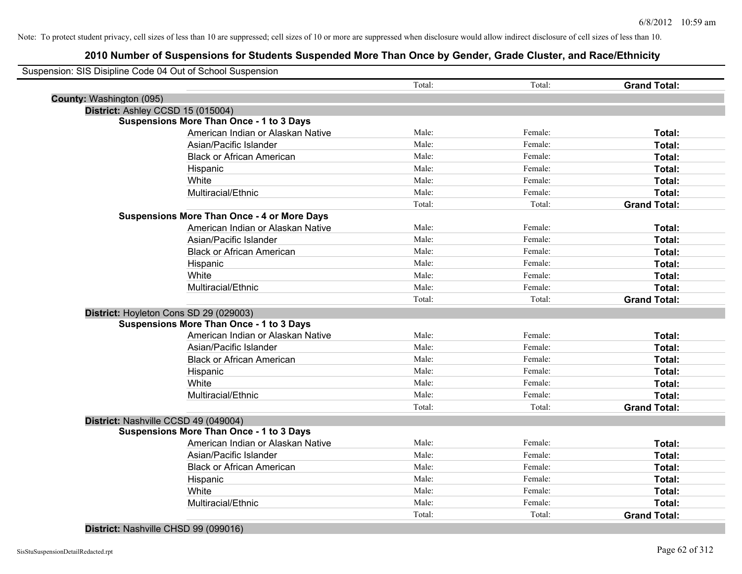|                          | Suspension: SIS Disipline Code 04 Out of School Suspension |        |         |                     |
|--------------------------|------------------------------------------------------------|--------|---------|---------------------|
|                          |                                                            | Total: | Total:  | <b>Grand Total:</b> |
| County: Washington (095) |                                                            |        |         |                     |
|                          | District: Ashley CCSD 15 (015004)                          |        |         |                     |
|                          | <b>Suspensions More Than Once - 1 to 3 Days</b>            |        |         |                     |
|                          | American Indian or Alaskan Native                          | Male:  | Female: | Total:              |
|                          | Asian/Pacific Islander                                     | Male:  | Female: | Total:              |
|                          | <b>Black or African American</b>                           | Male:  | Female: | Total:              |
|                          | Hispanic                                                   | Male:  | Female: | Total:              |
|                          | White                                                      | Male:  | Female: | Total:              |
|                          | Multiracial/Ethnic                                         | Male:  | Female: | Total:              |
|                          |                                                            | Total: | Total:  | <b>Grand Total:</b> |
|                          | <b>Suspensions More Than Once - 4 or More Days</b>         |        |         |                     |
|                          | American Indian or Alaskan Native                          | Male:  | Female: | Total:              |
|                          | Asian/Pacific Islander                                     | Male:  | Female: | Total:              |
|                          | <b>Black or African American</b>                           | Male:  | Female: | Total:              |
|                          | Hispanic                                                   | Male:  | Female: | Total:              |
|                          | White                                                      | Male:  | Female: | Total:              |
|                          | Multiracial/Ethnic                                         | Male:  | Female: | Total:              |
|                          |                                                            | Total: | Total:  | <b>Grand Total:</b> |
|                          | District: Hoyleton Cons SD 29 (029003)                     |        |         |                     |
|                          | <b>Suspensions More Than Once - 1 to 3 Days</b>            |        |         |                     |
|                          | American Indian or Alaskan Native                          | Male:  | Female: | Total:              |
|                          | Asian/Pacific Islander                                     | Male:  | Female: | Total:              |
|                          | <b>Black or African American</b>                           | Male:  | Female: | Total:              |
|                          | Hispanic                                                   | Male:  | Female: | Total:              |
|                          | White                                                      | Male:  | Female: | Total:              |
|                          | Multiracial/Ethnic                                         | Male:  | Female: | Total:              |
|                          |                                                            | Total: | Total:  | <b>Grand Total:</b> |
|                          | District: Nashville CCSD 49 (049004)                       |        |         |                     |
|                          | <b>Suspensions More Than Once - 1 to 3 Days</b>            |        |         |                     |
|                          | American Indian or Alaskan Native                          | Male:  | Female: | Total:              |
|                          | Asian/Pacific Islander                                     | Male:  | Female: | Total:              |
|                          | <b>Black or African American</b>                           | Male:  | Female: | Total:              |
|                          | Hispanic                                                   | Male:  | Female: | Total:              |
|                          | White                                                      | Male:  | Female: | Total:              |
|                          |                                                            |        |         |                     |
|                          | Multiracial/Ethnic                                         | Male:  | Female: | Total:              |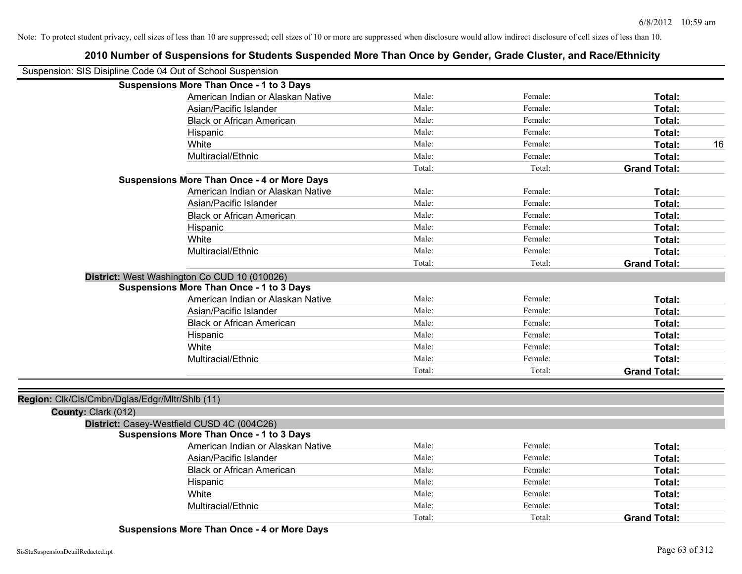|                                                | IV HUINGI OI OUSPONSIONIS IOI OHUOGINS OUSPONGO MOTO THUN ONOG BY OGNOGI, OHUOG OHUSHI, UNU NUGG'EHIMOH<br>Suspension: SIS Disipline Code 04 Out of School Suspension |        |         |                     |
|------------------------------------------------|-----------------------------------------------------------------------------------------------------------------------------------------------------------------------|--------|---------|---------------------|
|                                                | <b>Suspensions More Than Once - 1 to 3 Days</b>                                                                                                                       |        |         |                     |
|                                                | American Indian or Alaskan Native                                                                                                                                     | Male:  | Female: | Total:              |
|                                                | Asian/Pacific Islander                                                                                                                                                | Male:  | Female: | Total:              |
|                                                | <b>Black or African American</b>                                                                                                                                      | Male:  | Female: | Total:              |
|                                                | Hispanic                                                                                                                                                              | Male:  | Female: | Total:              |
|                                                | White                                                                                                                                                                 | Male:  | Female: | Total:<br>16        |
|                                                | Multiracial/Ethnic                                                                                                                                                    | Male:  | Female: | Total:              |
|                                                |                                                                                                                                                                       | Total: | Total:  | <b>Grand Total:</b> |
|                                                | <b>Suspensions More Than Once - 4 or More Days</b>                                                                                                                    |        |         |                     |
|                                                | American Indian or Alaskan Native                                                                                                                                     | Male:  | Female: | Total:              |
|                                                | Asian/Pacific Islander                                                                                                                                                | Male:  | Female: | Total:              |
|                                                | <b>Black or African American</b>                                                                                                                                      | Male:  | Female: | Total:              |
|                                                | Hispanic                                                                                                                                                              | Male:  | Female: | Total:              |
|                                                | White                                                                                                                                                                 | Male:  | Female: | Total:              |
|                                                | Multiracial/Ethnic                                                                                                                                                    | Male:  | Female: | Total:              |
|                                                |                                                                                                                                                                       | Total: | Total:  | <b>Grand Total:</b> |
|                                                | District: West Washington Co CUD 10 (010026)                                                                                                                          |        |         |                     |
|                                                | <b>Suspensions More Than Once - 1 to 3 Days</b>                                                                                                                       |        |         |                     |
|                                                | American Indian or Alaskan Native                                                                                                                                     | Male:  | Female: | Total:              |
|                                                | Asian/Pacific Islander                                                                                                                                                | Male:  | Female: | Total:              |
|                                                | <b>Black or African American</b>                                                                                                                                      | Male:  | Female: | Total:              |
|                                                | Hispanic                                                                                                                                                              | Male:  | Female: | Total:              |
|                                                | White                                                                                                                                                                 | Male:  | Female: | Total:              |
|                                                | Multiracial/Ethnic                                                                                                                                                    | Male:  | Female: | Total:              |
|                                                |                                                                                                                                                                       | Total: | Total:  | <b>Grand Total:</b> |
| Region: Clk/Cls/Cmbn/Dglas/Edgr/Mltr/Shlb (11) |                                                                                                                                                                       |        |         |                     |
| County: Clark (012)                            |                                                                                                                                                                       |        |         |                     |
|                                                | District: Casey-Westfield CUSD 4C (004C26)                                                                                                                            |        |         |                     |
|                                                | <b>Suspensions More Than Once - 1 to 3 Days</b>                                                                                                                       |        |         |                     |
|                                                | American Indian or Alaskan Native                                                                                                                                     | Male:  | Female: | Total:              |
|                                                | Asian/Pacific Islander                                                                                                                                                | Male:  | Female: | Total:              |
|                                                | <b>Black or African American</b>                                                                                                                                      | Male:  | Female: | Total:              |
|                                                | Hispanic                                                                                                                                                              | Male:  | Female: | Total:              |
|                                                | White                                                                                                                                                                 | Male:  | Female: | Total:              |
|                                                | Multiracial/Ethnic                                                                                                                                                    | Male:  | Female: | Total:              |
|                                                |                                                                                                                                                                       | Total: | Total:  | <b>Grand Total:</b> |
|                                                |                                                                                                                                                                       |        |         |                     |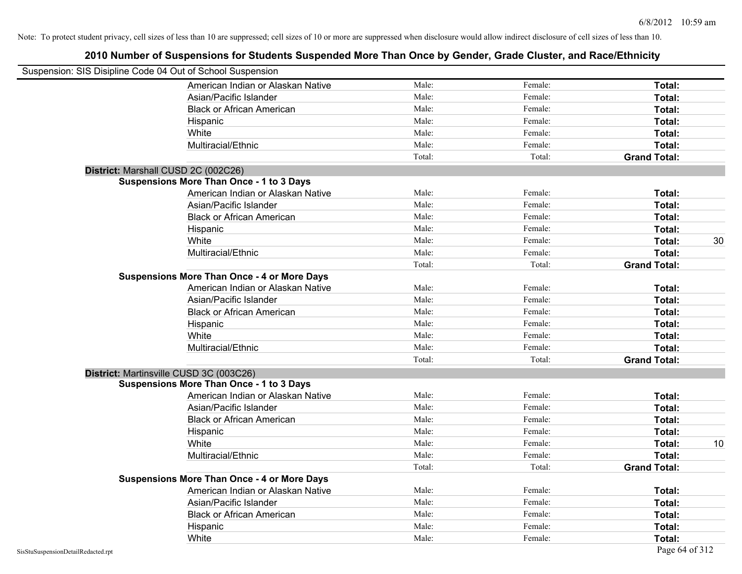| Suspension: SIS Disipline Code 04 Out of School Suspension |                                                    |        |         |                     |    |
|------------------------------------------------------------|----------------------------------------------------|--------|---------|---------------------|----|
|                                                            | American Indian or Alaskan Native                  | Male:  | Female: | Total:              |    |
|                                                            | Asian/Pacific Islander                             | Male:  | Female: | Total:              |    |
|                                                            | <b>Black or African American</b>                   | Male:  | Female: | Total:              |    |
|                                                            | Hispanic                                           | Male:  | Female: | Total:              |    |
|                                                            | White                                              | Male:  | Female: | Total:              |    |
|                                                            | Multiracial/Ethnic                                 | Male:  | Female: | Total:              |    |
|                                                            |                                                    | Total: | Total:  | <b>Grand Total:</b> |    |
|                                                            | District: Marshall CUSD 2C (002C26)                |        |         |                     |    |
|                                                            | <b>Suspensions More Than Once - 1 to 3 Days</b>    |        |         |                     |    |
|                                                            | American Indian or Alaskan Native                  | Male:  | Female: | Total:              |    |
|                                                            | Asian/Pacific Islander                             | Male:  | Female: | Total:              |    |
|                                                            | <b>Black or African American</b>                   | Male:  | Female: | Total:              |    |
|                                                            | Hispanic                                           | Male:  | Female: | Total:              |    |
|                                                            | White                                              | Male:  | Female: | Total:              | 30 |
|                                                            | Multiracial/Ethnic                                 | Male:  | Female: | Total:              |    |
|                                                            |                                                    | Total: | Total:  | <b>Grand Total:</b> |    |
|                                                            | <b>Suspensions More Than Once - 4 or More Days</b> |        |         |                     |    |
|                                                            | American Indian or Alaskan Native                  | Male:  | Female: | Total:              |    |
|                                                            | Asian/Pacific Islander                             | Male:  | Female: | Total:              |    |
|                                                            | <b>Black or African American</b>                   | Male:  | Female: | Total:              |    |
|                                                            | Hispanic                                           | Male:  | Female: | Total:              |    |
|                                                            | White                                              | Male:  | Female: | Total:              |    |
|                                                            | Multiracial/Ethnic                                 | Male:  | Female: | Total:              |    |
|                                                            |                                                    | Total: | Total:  | <b>Grand Total:</b> |    |
|                                                            | District: Martinsville CUSD 3C (003C26)            |        |         |                     |    |
|                                                            | <b>Suspensions More Than Once - 1 to 3 Days</b>    |        |         |                     |    |
|                                                            | American Indian or Alaskan Native                  | Male:  | Female: | Total:              |    |
|                                                            | Asian/Pacific Islander                             | Male:  | Female: | Total:              |    |
|                                                            | <b>Black or African American</b>                   | Male:  | Female: | Total:              |    |
|                                                            | Hispanic                                           | Male:  | Female: | Total:              |    |
|                                                            | White                                              | Male:  | Female: | Total:              | 10 |
|                                                            | Multiracial/Ethnic                                 | Male:  | Female: | Total:              |    |
|                                                            |                                                    | Total: | Total:  | <b>Grand Total:</b> |    |
|                                                            | <b>Suspensions More Than Once - 4 or More Days</b> |        |         |                     |    |
|                                                            | American Indian or Alaskan Native                  | Male:  | Female: | Total:              |    |
|                                                            | Asian/Pacific Islander                             | Male:  | Female: | Total:              |    |
|                                                            | <b>Black or African American</b>                   | Male:  | Female: | Total:              |    |
|                                                            | Hispanic                                           | Male:  | Female: | <b>Total:</b>       |    |
|                                                            | White                                              | Male:  | Female: | Total:              |    |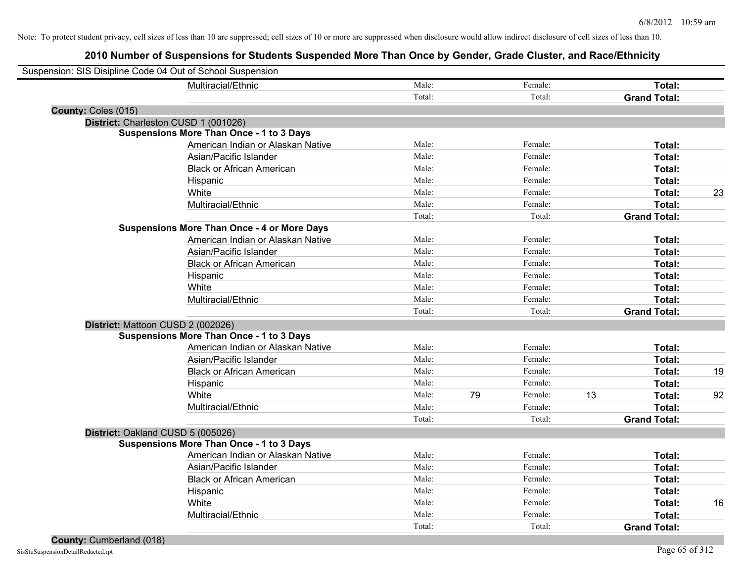| Suspension: SIS Disipline Code 04 Out of School Suspension |        |    |         |    |                     |    |
|------------------------------------------------------------|--------|----|---------|----|---------------------|----|
| Multiracial/Ethnic                                         | Male:  |    | Female: |    | Total:              |    |
|                                                            | Total: |    | Total:  |    | <b>Grand Total:</b> |    |
| County: Coles (015)                                        |        |    |         |    |                     |    |
| District: Charleston CUSD 1 (001026)                       |        |    |         |    |                     |    |
| <b>Suspensions More Than Once - 1 to 3 Days</b>            |        |    |         |    |                     |    |
| American Indian or Alaskan Native                          | Male:  |    | Female: |    | Total:              |    |
| Asian/Pacific Islander                                     | Male:  |    | Female: |    | Total:              |    |
| <b>Black or African American</b>                           | Male:  |    | Female: |    | Total:              |    |
| Hispanic                                                   | Male:  |    | Female: |    | Total:              |    |
| White                                                      | Male:  |    | Female: |    | Total:              | 23 |
| Multiracial/Ethnic                                         | Male:  |    | Female: |    | Total:              |    |
|                                                            | Total: |    | Total:  |    | <b>Grand Total:</b> |    |
| <b>Suspensions More Than Once - 4 or More Days</b>         |        |    |         |    |                     |    |
| American Indian or Alaskan Native                          | Male:  |    | Female: |    | Total:              |    |
| Asian/Pacific Islander                                     | Male:  |    | Female: |    | Total:              |    |
| <b>Black or African American</b>                           | Male:  |    | Female: |    | Total:              |    |
| Hispanic                                                   | Male:  |    | Female: |    | Total:              |    |
| White                                                      | Male:  |    | Female: |    | Total:              |    |
| Multiracial/Ethnic                                         | Male:  |    | Female: |    | Total:              |    |
|                                                            | Total: |    | Total:  |    | <b>Grand Total:</b> |    |
| District: Mattoon CUSD 2 (002026)                          |        |    |         |    |                     |    |
| <b>Suspensions More Than Once - 1 to 3 Days</b>            |        |    |         |    |                     |    |
| American Indian or Alaskan Native                          | Male:  |    | Female: |    | Total:              |    |
| Asian/Pacific Islander                                     | Male:  |    | Female: |    | Total:              |    |
| <b>Black or African American</b>                           | Male:  |    | Female: |    | Total:              | 19 |
| Hispanic                                                   | Male:  |    | Female: |    | Total:              |    |
| White                                                      | Male:  | 79 | Female: | 13 | Total:              | 92 |
| Multiracial/Ethnic                                         | Male:  |    | Female: |    | Total:              |    |
|                                                            | Total: |    | Total:  |    | <b>Grand Total:</b> |    |
| District: Oakland CUSD 5 (005026)                          |        |    |         |    |                     |    |
| <b>Suspensions More Than Once - 1 to 3 Days</b>            |        |    |         |    |                     |    |
| American Indian or Alaskan Native                          | Male:  |    | Female: |    | Total:              |    |
| Asian/Pacific Islander                                     | Male:  |    | Female: |    | Total:              |    |
| <b>Black or African American</b>                           | Male:  |    | Female: |    | Total:              |    |
| Hispanic                                                   | Male:  |    | Female: |    | Total:              |    |
| White                                                      | Male:  |    | Female: |    | Total:              | 16 |
| Multiracial/Ethnic                                         | Male:  |    | Female: |    | Total:              |    |
|                                                            | Total: |    | Total:  |    | <b>Grand Total:</b> |    |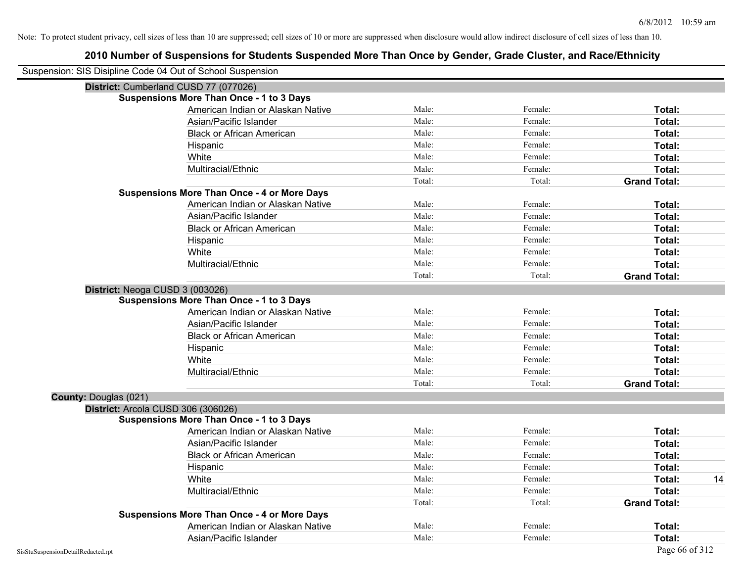| Suspension: SIS Disipline Code 04 Out of School Suspension |                                                    |        |         |                     |
|------------------------------------------------------------|----------------------------------------------------|--------|---------|---------------------|
|                                                            | District: Cumberland CUSD 77 (077026)              |        |         |                     |
|                                                            | <b>Suspensions More Than Once - 1 to 3 Days</b>    |        |         |                     |
|                                                            | American Indian or Alaskan Native                  | Male:  | Female: | Total:              |
|                                                            | Asian/Pacific Islander                             | Male:  | Female: | Total:              |
|                                                            | <b>Black or African American</b>                   | Male:  | Female: | Total:              |
|                                                            | Hispanic                                           | Male:  | Female: | Total:              |
|                                                            | White                                              | Male:  | Female: | Total:              |
|                                                            | Multiracial/Ethnic                                 | Male:  | Female: | Total:              |
|                                                            |                                                    | Total: | Total:  | <b>Grand Total:</b> |
|                                                            | <b>Suspensions More Than Once - 4 or More Days</b> |        |         |                     |
|                                                            | American Indian or Alaskan Native                  | Male:  | Female: | Total:              |
|                                                            | Asian/Pacific Islander                             | Male:  | Female: | Total:              |
|                                                            | <b>Black or African American</b>                   | Male:  | Female: | Total:              |
|                                                            | Hispanic                                           | Male:  | Female: | Total:              |
|                                                            | White                                              | Male:  | Female: | Total:              |
|                                                            | Multiracial/Ethnic                                 | Male:  | Female: | Total:              |
|                                                            |                                                    | Total: | Total:  | <b>Grand Total:</b> |
|                                                            | District: Neoga CUSD 3 (003026)                    |        |         |                     |
|                                                            | <b>Suspensions More Than Once - 1 to 3 Days</b>    |        |         |                     |
|                                                            | American Indian or Alaskan Native                  | Male:  | Female: | Total:              |
|                                                            | Asian/Pacific Islander                             | Male:  | Female: | Total:              |
|                                                            | <b>Black or African American</b>                   | Male:  | Female: | Total:              |
|                                                            | Hispanic                                           | Male:  | Female: | Total:              |
|                                                            | White                                              | Male:  | Female: | Total:              |
|                                                            | Multiracial/Ethnic                                 | Male:  | Female: | Total:              |
|                                                            |                                                    | Total: | Total:  | <b>Grand Total:</b> |
| <b>County: Douglas (021)</b>                               |                                                    |        |         |                     |
|                                                            | District: Arcola CUSD 306 (306026)                 |        |         |                     |
|                                                            | Suspensions More Than Once - 1 to 3 Days           |        |         |                     |
|                                                            | American Indian or Alaskan Native                  | Male:  | Female: | Total:              |
|                                                            | Asian/Pacific Islander                             | Male:  | Female: | Total:              |
|                                                            | <b>Black or African American</b>                   | Male:  | Female: | Total:              |
|                                                            | Hispanic                                           | Male:  | Female: | Total:              |
|                                                            | White                                              | Male:  | Female: | 14<br>Total:        |
|                                                            | Multiracial/Ethnic                                 | Male:  | Female: | Total:              |
|                                                            |                                                    | Total: | Total:  | <b>Grand Total:</b> |
|                                                            | <b>Suspensions More Than Once - 4 or More Days</b> |        |         |                     |
|                                                            | American Indian or Alaskan Native                  | Male:  | Female: | Total:              |
|                                                            | Asian/Pacific Islander                             | Male:  | Female: | Total:              |
| SisStuSuspensionDetailRedacted.rpt                         |                                                    |        |         | Page 66 of 312      |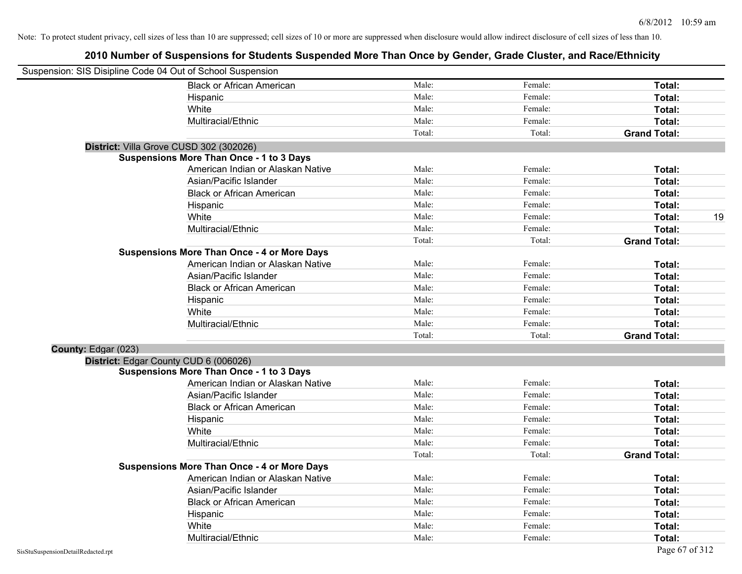|                     | Suspension: SIS Disipline Code 04 Out of School Suspension |        |         |                     |    |
|---------------------|------------------------------------------------------------|--------|---------|---------------------|----|
|                     | <b>Black or African American</b>                           | Male:  | Female: | Total:              |    |
|                     | Hispanic                                                   | Male:  | Female: | Total:              |    |
|                     | White                                                      | Male:  | Female: | Total:              |    |
|                     | Multiracial/Ethnic                                         | Male:  | Female: | Total:              |    |
|                     |                                                            | Total: | Total:  | <b>Grand Total:</b> |    |
|                     | District: Villa Grove CUSD 302 (302026)                    |        |         |                     |    |
|                     | <b>Suspensions More Than Once - 1 to 3 Days</b>            |        |         |                     |    |
|                     | American Indian or Alaskan Native                          | Male:  | Female: | Total:              |    |
|                     | Asian/Pacific Islander                                     | Male:  | Female: | Total:              |    |
|                     | <b>Black or African American</b>                           | Male:  | Female: | Total:              |    |
|                     | Hispanic                                                   | Male:  | Female: | Total:              |    |
|                     | White                                                      | Male:  | Female: | Total:              | 19 |
|                     | Multiracial/Ethnic                                         | Male:  | Female: | Total:              |    |
|                     |                                                            | Total: | Total:  | <b>Grand Total:</b> |    |
|                     | <b>Suspensions More Than Once - 4 or More Days</b>         |        |         |                     |    |
|                     | American Indian or Alaskan Native                          | Male:  | Female: | Total:              |    |
|                     | Asian/Pacific Islander                                     | Male:  | Female: | Total:              |    |
|                     | <b>Black or African American</b>                           | Male:  | Female: | Total:              |    |
|                     | Hispanic                                                   | Male:  | Female: | Total:              |    |
|                     | White                                                      | Male:  | Female: | Total:              |    |
|                     | Multiracial/Ethnic                                         | Male:  | Female: | Total:              |    |
|                     |                                                            | Total: | Total:  | <b>Grand Total:</b> |    |
| County: Edgar (023) |                                                            |        |         |                     |    |
|                     | District: Edgar County CUD 6 (006026)                      |        |         |                     |    |
|                     | <b>Suspensions More Than Once - 1 to 3 Days</b>            |        |         |                     |    |
|                     | American Indian or Alaskan Native                          | Male:  | Female: | Total:              |    |
|                     | Asian/Pacific Islander                                     | Male:  | Female: | Total:              |    |
|                     | <b>Black or African American</b>                           | Male:  | Female: | Total:              |    |
|                     | Hispanic                                                   | Male:  | Female: | Total:              |    |
|                     | White                                                      | Male:  | Female: | Total:              |    |
|                     | Multiracial/Ethnic                                         | Male:  | Female: | Total:              |    |
|                     |                                                            | Total: | Total:  | <b>Grand Total:</b> |    |
|                     | <b>Suspensions More Than Once - 4 or More Days</b>         |        |         |                     |    |
|                     | American Indian or Alaskan Native                          | Male:  | Female: | Total:              |    |
|                     | Asian/Pacific Islander                                     | Male:  | Female: | Total:              |    |
|                     | <b>Black or African American</b>                           | Male:  | Female: | Total:              |    |
|                     | Hispanic                                                   | Male:  | Female: | Total:              |    |
|                     | White                                                      | Male:  | Female: | Total:              |    |
|                     | Multiracial/Ethnic                                         | Male:  | Female: | Total:              |    |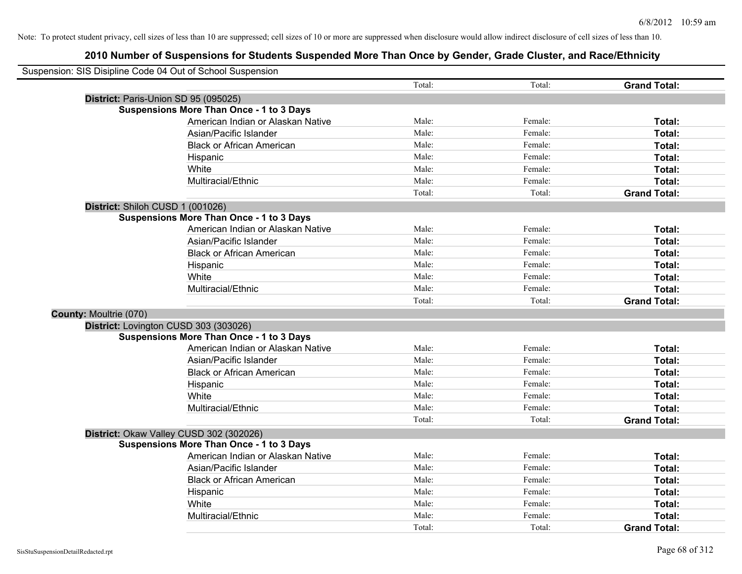|                               | Suspension: SIS Disipline Code 04 Out of School Suspension |        |         |                     |
|-------------------------------|------------------------------------------------------------|--------|---------|---------------------|
|                               |                                                            | Total: | Total:  | <b>Grand Total:</b> |
|                               | District: Paris-Union SD 95 (095025)                       |        |         |                     |
|                               | <b>Suspensions More Than Once - 1 to 3 Days</b>            |        |         |                     |
|                               | American Indian or Alaskan Native                          | Male:  | Female: | Total:              |
|                               | Asian/Pacific Islander                                     | Male:  | Female: | Total:              |
|                               | <b>Black or African American</b>                           | Male:  | Female: | Total:              |
|                               | Hispanic                                                   | Male:  | Female: | Total:              |
|                               | White                                                      | Male:  | Female: | Total:              |
|                               | Multiracial/Ethnic                                         | Male:  | Female: | Total:              |
|                               |                                                            | Total: | Total:  | <b>Grand Total:</b> |
|                               | District: Shiloh CUSD 1 (001026)                           |        |         |                     |
|                               | <b>Suspensions More Than Once - 1 to 3 Days</b>            |        |         |                     |
|                               | American Indian or Alaskan Native                          | Male:  | Female: | Total:              |
|                               | Asian/Pacific Islander                                     | Male:  | Female: | Total:              |
|                               | <b>Black or African American</b>                           | Male:  | Female: | Total:              |
|                               | Hispanic                                                   | Male:  | Female: | Total:              |
|                               | White                                                      | Male:  | Female: | Total:              |
|                               | Multiracial/Ethnic                                         | Male:  | Female: | Total:              |
|                               |                                                            | Total: | Total:  | <b>Grand Total:</b> |
| <b>County: Moultrie (070)</b> |                                                            |        |         |                     |
|                               | District: Lovington CUSD 303 (303026)                      |        |         |                     |
|                               | <b>Suspensions More Than Once - 1 to 3 Days</b>            |        |         |                     |
|                               | American Indian or Alaskan Native                          | Male:  | Female: | Total:              |
|                               | Asian/Pacific Islander                                     | Male:  | Female: | Total:              |
|                               | <b>Black or African American</b>                           | Male:  | Female: | Total:              |
|                               | Hispanic                                                   | Male:  | Female: | Total:              |
|                               | White                                                      | Male:  | Female: | Total:              |
|                               | Multiracial/Ethnic                                         | Male:  | Female: | Total:              |
|                               |                                                            | Total: | Total:  | <b>Grand Total:</b> |
|                               | District: Okaw Valley CUSD 302 (302026)                    |        |         |                     |
|                               | <b>Suspensions More Than Once - 1 to 3 Days</b>            |        |         |                     |
|                               | American Indian or Alaskan Native                          | Male:  | Female: | Total:              |
|                               | Asian/Pacific Islander                                     | Male:  | Female: | Total:              |
|                               | <b>Black or African American</b>                           | Male:  | Female: | Total:              |
|                               | Hispanic                                                   | Male:  | Female: | Total:              |
|                               | White                                                      | Male:  | Female: | Total:              |
|                               | Multiracial/Ethnic                                         | Male:  | Female: | Total:              |
|                               |                                                            | Total: | Total:  | <b>Grand Total:</b> |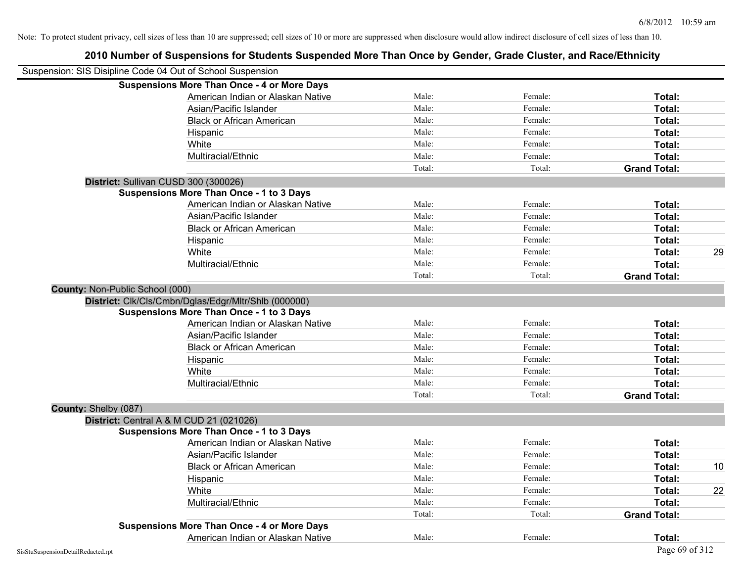|                                        | 2010 Number of Suspensions for Students Suspended More Than Once by Gender, Grade Cluster, and Race/Ethnicity |        |         |                     |    |
|----------------------------------------|---------------------------------------------------------------------------------------------------------------|--------|---------|---------------------|----|
|                                        | Suspension: SIS Disipline Code 04 Out of School Suspension                                                    |        |         |                     |    |
|                                        | <b>Suspensions More Than Once - 4 or More Days</b>                                                            |        |         |                     |    |
|                                        | American Indian or Alaskan Native                                                                             | Male:  | Female: | Total:              |    |
|                                        | Asian/Pacific Islander                                                                                        | Male:  | Female: | Total:              |    |
|                                        | <b>Black or African American</b>                                                                              | Male:  | Female: | Total:              |    |
|                                        | Hispanic                                                                                                      | Male:  | Female: | Total:              |    |
|                                        | White                                                                                                         | Male:  | Female: | Total:              |    |
|                                        | Multiracial/Ethnic                                                                                            | Male:  | Female: | Total:              |    |
|                                        |                                                                                                               | Total: | Total:  | <b>Grand Total:</b> |    |
|                                        | District: Sullivan CUSD 300 (300026)                                                                          |        |         |                     |    |
|                                        | <b>Suspensions More Than Once - 1 to 3 Days</b>                                                               |        |         |                     |    |
|                                        | American Indian or Alaskan Native                                                                             | Male:  | Female: | Total:              |    |
|                                        | Asian/Pacific Islander                                                                                        | Male:  | Female: | Total:              |    |
|                                        | <b>Black or African American</b>                                                                              | Male:  | Female: | Total:              |    |
|                                        | Hispanic                                                                                                      | Male:  | Female: | Total:              |    |
|                                        | White                                                                                                         | Male:  | Female: | Total:              | 29 |
|                                        | Multiracial/Ethnic                                                                                            | Male:  | Female: | Total:              |    |
|                                        |                                                                                                               | Total: | Total:  | <b>Grand Total:</b> |    |
| <b>County: Non-Public School (000)</b> |                                                                                                               |        |         |                     |    |
|                                        | District: Clk/Cls/Cmbn/Dglas/Edgr/Mltr/Shlb (000000)                                                          |        |         |                     |    |
|                                        | <b>Suspensions More Than Once - 1 to 3 Days</b>                                                               |        |         |                     |    |
|                                        | American Indian or Alaskan Native                                                                             | Male:  | Female: | Total:              |    |
|                                        | Asian/Pacific Islander                                                                                        | Male:  | Female: | Total:              |    |
|                                        | <b>Black or African American</b>                                                                              | Male:  | Female: | Total:              |    |
|                                        | Hispanic                                                                                                      | Male:  | Female: | Total:              |    |
|                                        | White                                                                                                         | Male:  | Female: | Total:              |    |
|                                        | Multiracial/Ethnic                                                                                            | Male:  | Female: | Total:              |    |
|                                        |                                                                                                               | Total: | Total:  | <b>Grand Total:</b> |    |
| County: Shelby (087)                   |                                                                                                               |        |         |                     |    |
|                                        | <b>District:</b> Central A & M CUD 21 (021026)                                                                |        |         |                     |    |
|                                        | <b>Suspensions More Than Once - 1 to 3 Days</b>                                                               |        |         |                     |    |
|                                        | American Indian or Alaskan Native                                                                             | Male:  | Female: | Total:              |    |
|                                        | Asian/Pacific Islander                                                                                        | Male:  | Female: | Total:              |    |
|                                        | <b>Black or African American</b>                                                                              | Male:  | Female: | Total:              | 10 |
|                                        | Hispanic                                                                                                      | Male:  | Female: | Total:              |    |
|                                        | White                                                                                                         | Male:  | Female: | Total:              | 22 |
|                                        | Multiracial/Ethnic                                                                                            | Male:  | Female: | Total:              |    |
|                                        |                                                                                                               | Total: | Total:  | <b>Grand Total:</b> |    |
|                                        | <b>Suspensions More Than Once - 4 or More Days</b>                                                            |        |         |                     |    |
|                                        | American Indian or Alaskan Native                                                                             | Male:  | Female: | Total:              |    |

### SisStuSuspensionDetailRedacted.rpt Page 69 of 312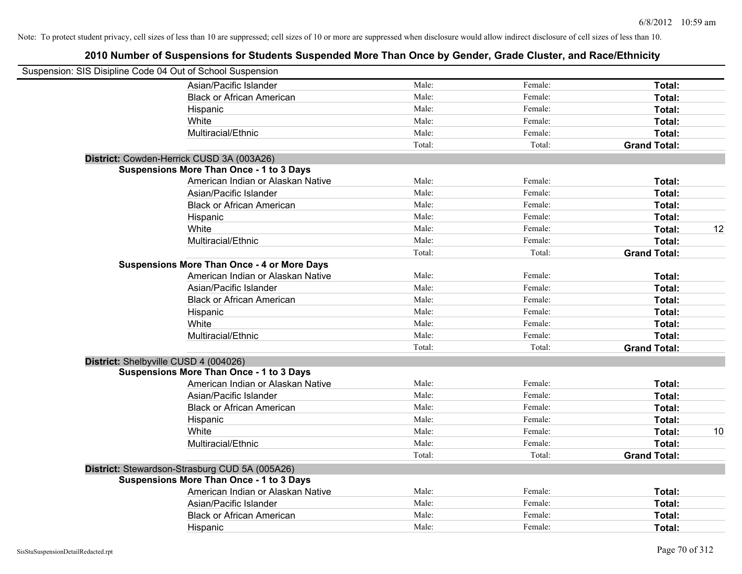| Suspension: SIS Disipline Code 04 Out of School Suspension |        |         |                     |    |
|------------------------------------------------------------|--------|---------|---------------------|----|
| Asian/Pacific Islander                                     | Male:  | Female: | Total:              |    |
| <b>Black or African American</b>                           | Male:  | Female: | Total:              |    |
| Hispanic                                                   | Male:  | Female: | Total:              |    |
| White                                                      | Male:  | Female: | Total:              |    |
| Multiracial/Ethnic                                         | Male:  | Female: | Total:              |    |
|                                                            | Total: | Total:  | <b>Grand Total:</b> |    |
| District: Cowden-Herrick CUSD 3A (003A26)                  |        |         |                     |    |
| <b>Suspensions More Than Once - 1 to 3 Days</b>            |        |         |                     |    |
| American Indian or Alaskan Native                          | Male:  | Female: | Total:              |    |
| Asian/Pacific Islander                                     | Male:  | Female: | Total:              |    |
| <b>Black or African American</b>                           | Male:  | Female: | Total:              |    |
| Hispanic                                                   | Male:  | Female: | Total:              |    |
| White                                                      | Male:  | Female: | Total:              | 12 |
| Multiracial/Ethnic                                         | Male:  | Female: | Total:              |    |
|                                                            | Total: | Total:  | <b>Grand Total:</b> |    |
| <b>Suspensions More Than Once - 4 or More Days</b>         |        |         |                     |    |
| American Indian or Alaskan Native                          | Male:  | Female: | Total:              |    |
| Asian/Pacific Islander                                     | Male:  | Female: | Total:              |    |
| <b>Black or African American</b>                           | Male:  | Female: | Total:              |    |
| Hispanic                                                   | Male:  | Female: | Total:              |    |
| White                                                      | Male:  | Female: | Total:              |    |
| Multiracial/Ethnic                                         | Male:  | Female: | Total:              |    |
|                                                            | Total: | Total:  | <b>Grand Total:</b> |    |
| District: Shelbyville CUSD 4 (004026)                      |        |         |                     |    |
| <b>Suspensions More Than Once - 1 to 3 Days</b>            |        |         |                     |    |
| American Indian or Alaskan Native                          | Male:  | Female: | Total:              |    |
| Asian/Pacific Islander                                     | Male:  | Female: | Total:              |    |
| <b>Black or African American</b>                           | Male:  | Female: | Total:              |    |
| Hispanic                                                   | Male:  | Female: | Total:              |    |
| White                                                      | Male:  | Female: | Total:              | 10 |
| Multiracial/Ethnic                                         | Male:  | Female: | Total:              |    |
|                                                            | Total: | Total:  | <b>Grand Total:</b> |    |
| District: Stewardson-Strasburg CUD 5A (005A26)             |        |         |                     |    |
| <b>Suspensions More Than Once - 1 to 3 Days</b>            |        |         |                     |    |
| American Indian or Alaskan Native                          | Male:  | Female: | Total:              |    |
| Asian/Pacific Islander                                     | Male:  | Female: | Total:              |    |
| <b>Black or African American</b>                           | Male:  | Female: | Total:              |    |
| Hispanic                                                   | Male:  | Female: | Total:              |    |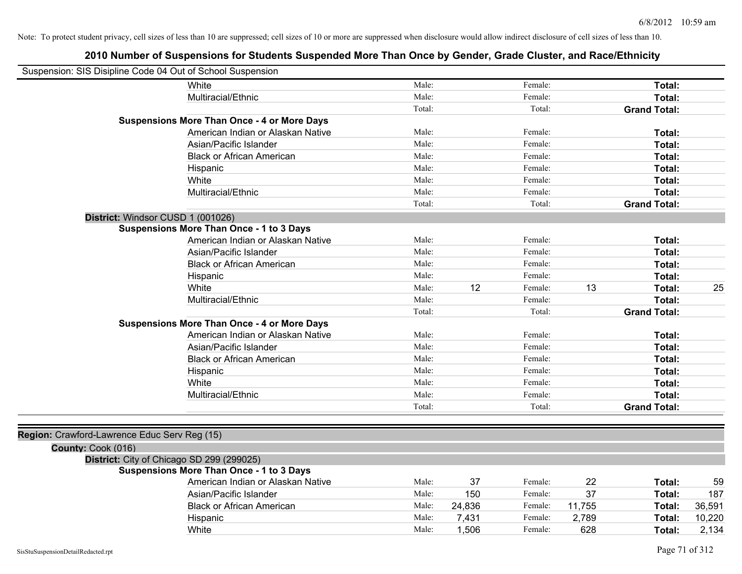| Suspension: SIS Disipline Code 04 Out of School Suspension |                                                    |        |        |         |        |                     |        |
|------------------------------------------------------------|----------------------------------------------------|--------|--------|---------|--------|---------------------|--------|
|                                                            | White                                              | Male:  |        | Female: |        | Total:              |        |
|                                                            | Multiracial/Ethnic                                 | Male:  |        | Female: |        | Total:              |        |
|                                                            |                                                    | Total: |        | Total:  |        | <b>Grand Total:</b> |        |
|                                                            | <b>Suspensions More Than Once - 4 or More Days</b> |        |        |         |        |                     |        |
|                                                            | American Indian or Alaskan Native                  | Male:  |        | Female: |        | Total:              |        |
|                                                            | Asian/Pacific Islander                             | Male:  |        | Female: |        | Total:              |        |
|                                                            | <b>Black or African American</b>                   | Male:  |        | Female: |        | Total:              |        |
|                                                            | Hispanic                                           | Male:  |        | Female: |        | Total:              |        |
|                                                            | White                                              | Male:  |        | Female: |        | Total:              |        |
|                                                            | Multiracial/Ethnic                                 | Male:  |        | Female: |        | Total:              |        |
|                                                            |                                                    | Total: |        | Total:  |        | <b>Grand Total:</b> |        |
| District: Windsor CUSD 1 (001026)                          |                                                    |        |        |         |        |                     |        |
|                                                            | <b>Suspensions More Than Once - 1 to 3 Days</b>    |        |        |         |        |                     |        |
|                                                            | American Indian or Alaskan Native                  | Male:  |        | Female: |        | Total:              |        |
|                                                            | Asian/Pacific Islander                             | Male:  |        | Female: |        | Total:              |        |
|                                                            | <b>Black or African American</b>                   | Male:  |        | Female: |        | Total:              |        |
|                                                            | Hispanic                                           | Male:  |        | Female: |        | Total:              |        |
|                                                            | White                                              | Male:  | 12     | Female: | 13     | Total:              | 25     |
|                                                            | Multiracial/Ethnic                                 | Male:  |        | Female: |        | Total:              |        |
|                                                            |                                                    | Total: |        | Total:  |        | <b>Grand Total:</b> |        |
|                                                            | <b>Suspensions More Than Once - 4 or More Days</b> |        |        |         |        |                     |        |
|                                                            | American Indian or Alaskan Native                  | Male:  |        | Female: |        | Total:              |        |
|                                                            | Asian/Pacific Islander                             | Male:  |        | Female: |        | Total:              |        |
|                                                            | <b>Black or African American</b>                   | Male:  |        | Female: |        | Total:              |        |
|                                                            | Hispanic                                           | Male:  |        | Female: |        | Total:              |        |
|                                                            | White                                              | Male:  |        | Female: |        | Total:              |        |
|                                                            | Multiracial/Ethnic                                 | Male:  |        | Female: |        | Total:              |        |
|                                                            |                                                    | Total: |        | Total:  |        | <b>Grand Total:</b> |        |
|                                                            |                                                    |        |        |         |        |                     |        |
| Region: Crawford-Lawrence Educ Serv Reg (15)               |                                                    |        |        |         |        |                     |        |
| County: Cook (016)                                         |                                                    |        |        |         |        |                     |        |
| District: City of Chicago SD 299 (299025)                  |                                                    |        |        |         |        |                     |        |
|                                                            | <b>Suspensions More Than Once - 1 to 3 Days</b>    |        |        |         |        |                     |        |
|                                                            | American Indian or Alaskan Native                  | Male:  | 37     | Female: | 22     | Total:              | 59     |
|                                                            | Asian/Pacific Islander                             | Male:  | 150    | Female: | 37     | Total:              | 187    |
|                                                            | <b>Black or African American</b>                   | Male:  | 24,836 | Female: | 11,755 | Total:              | 36,591 |
|                                                            | Hispanic                                           | Male:  | 7,431  | Female: | 2,789  | Total:              | 10,220 |
|                                                            | White                                              | Male:  | 1,506  | Female: | 628    | Total:              | 2,134  |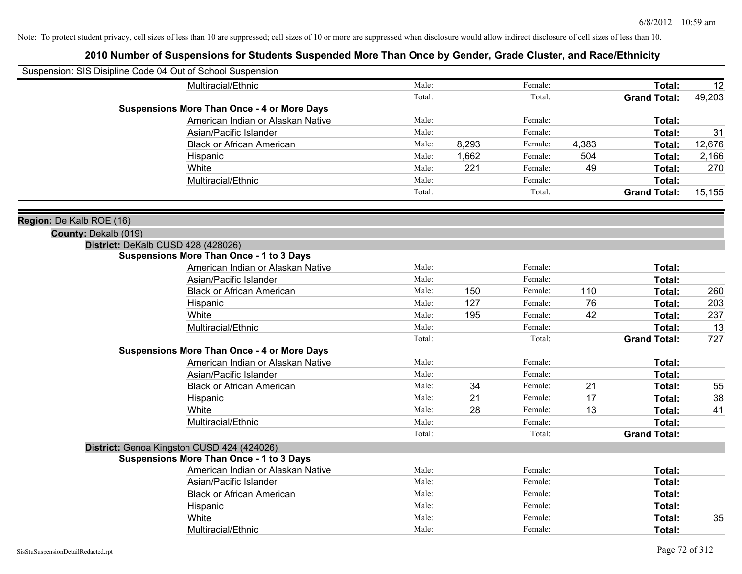| Suspension: SIS Disipline Code 04 Out of School Suspension |                                                    |        |       |         |       |                     |        |
|------------------------------------------------------------|----------------------------------------------------|--------|-------|---------|-------|---------------------|--------|
|                                                            | Multiracial/Ethnic                                 | Male:  |       | Female: |       | Total:              | 12     |
|                                                            |                                                    | Total: |       | Total:  |       | <b>Grand Total:</b> | 49,203 |
|                                                            | <b>Suspensions More Than Once - 4 or More Days</b> |        |       |         |       |                     |        |
|                                                            | American Indian or Alaskan Native                  | Male:  |       | Female: |       | Total:              |        |
|                                                            | Asian/Pacific Islander                             | Male:  |       | Female: |       | Total:              | 31     |
|                                                            | <b>Black or African American</b>                   | Male:  | 8,293 | Female: | 4,383 | Total:              | 12,676 |
|                                                            | Hispanic                                           | Male:  | 1,662 | Female: | 504   | Total:              | 2,166  |
|                                                            | White                                              | Male:  | 221   | Female: | 49    | Total:              | 270    |
|                                                            | Multiracial/Ethnic                                 | Male:  |       | Female: |       | Total:              |        |
|                                                            |                                                    | Total: |       | Total:  |       | <b>Grand Total:</b> | 15,155 |
| Region: De Kalb ROE (16)                                   |                                                    |        |       |         |       |                     |        |
| County: Dekalb (019)                                       |                                                    |        |       |         |       |                     |        |
|                                                            | District: DeKalb CUSD 428 (428026)                 |        |       |         |       |                     |        |
|                                                            | <b>Suspensions More Than Once - 1 to 3 Days</b>    |        |       |         |       |                     |        |
|                                                            | American Indian or Alaskan Native                  | Male:  |       | Female: |       | Total:              |        |
|                                                            | Asian/Pacific Islander                             | Male:  |       | Female: |       | Total:              |        |
|                                                            | <b>Black or African American</b>                   | Male:  | 150   | Female: | 110   | Total:              | 260    |
|                                                            | Hispanic                                           | Male:  | 127   | Female: | 76    | Total:              | 203    |
|                                                            | White                                              | Male:  | 195   | Female: | 42    | Total:              | 237    |
|                                                            | Multiracial/Ethnic                                 | Male:  |       | Female: |       | Total:              | 13     |
|                                                            |                                                    | Total: |       | Total:  |       | <b>Grand Total:</b> | 727    |
|                                                            | <b>Suspensions More Than Once - 4 or More Days</b> |        |       |         |       |                     |        |
|                                                            | American Indian or Alaskan Native                  | Male:  |       | Female: |       | Total:              |        |
|                                                            | Asian/Pacific Islander                             | Male:  |       | Female: |       | Total:              |        |
|                                                            | <b>Black or African American</b>                   | Male:  | 34    | Female: | 21    | Total:              | 55     |
|                                                            | Hispanic                                           | Male:  | 21    | Female: | 17    | Total:              | 38     |
|                                                            | White                                              | Male:  | 28    | Female: | 13    | Total:              | 41     |
|                                                            | Multiracial/Ethnic                                 | Male:  |       | Female: |       | Total:              |        |
|                                                            |                                                    | Total: |       | Total:  |       | <b>Grand Total:</b> |        |
|                                                            | District: Genoa Kingston CUSD 424 (424026)         |        |       |         |       |                     |        |
|                                                            | <b>Suspensions More Than Once - 1 to 3 Days</b>    |        |       |         |       |                     |        |
|                                                            | American Indian or Alaskan Native                  | Male:  |       | Female: |       | Total:              |        |
|                                                            | Asian/Pacific Islander                             | Male:  |       | Female: |       | Total:              |        |
|                                                            | <b>Black or African American</b>                   | Male:  |       | Female: |       | Total:              |        |
|                                                            | Hispanic                                           | Male:  |       | Female: |       | Total:              |        |
|                                                            | White                                              | Male:  |       | Female: |       | Total:              | 35     |
|                                                            | Multiracial/Ethnic                                 | Male:  |       | Female: |       | Total:              |        |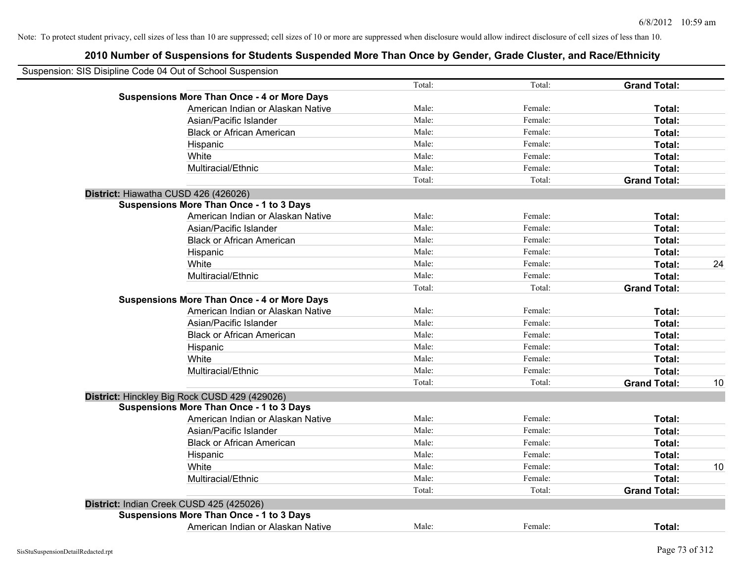| Suspension: SIS Disipline Code 04 Out of School Suspension |                                                    |        |         |                     |    |
|------------------------------------------------------------|----------------------------------------------------|--------|---------|---------------------|----|
|                                                            |                                                    | Total: | Total:  | <b>Grand Total:</b> |    |
|                                                            | <b>Suspensions More Than Once - 4 or More Days</b> |        |         |                     |    |
|                                                            | American Indian or Alaskan Native                  | Male:  | Female: | Total:              |    |
|                                                            | Asian/Pacific Islander                             | Male:  | Female: | Total:              |    |
|                                                            | <b>Black or African American</b>                   | Male:  | Female: | Total:              |    |
|                                                            | Hispanic                                           | Male:  | Female: | Total:              |    |
|                                                            | White                                              | Male:  | Female: | Total:              |    |
|                                                            | Multiracial/Ethnic                                 | Male:  | Female: | Total:              |    |
|                                                            |                                                    | Total: | Total:  | <b>Grand Total:</b> |    |
| District: Hiawatha CUSD 426 (426026)                       |                                                    |        |         |                     |    |
|                                                            | Suspensions More Than Once - 1 to 3 Days           |        |         |                     |    |
|                                                            | American Indian or Alaskan Native                  | Male:  | Female: | Total:              |    |
|                                                            | Asian/Pacific Islander                             | Male:  | Female: | Total:              |    |
|                                                            | <b>Black or African American</b>                   | Male:  | Female: | Total:              |    |
|                                                            | Hispanic                                           | Male:  | Female: | Total:              |    |
|                                                            | White                                              | Male:  | Female: | Total:              | 24 |
|                                                            | Multiracial/Ethnic                                 | Male:  | Female: | Total:              |    |
|                                                            |                                                    | Total: | Total:  | <b>Grand Total:</b> |    |
|                                                            | <b>Suspensions More Than Once - 4 or More Days</b> |        |         |                     |    |
|                                                            | American Indian or Alaskan Native                  | Male:  | Female: | Total:              |    |
|                                                            | Asian/Pacific Islander                             | Male:  | Female: | Total:              |    |
|                                                            | <b>Black or African American</b>                   | Male:  | Female: | Total:              |    |
|                                                            | Hispanic                                           | Male:  | Female: | Total:              |    |
|                                                            | White                                              | Male:  | Female: | Total:              |    |
|                                                            | Multiracial/Ethnic                                 | Male:  | Female: | Total:              |    |
|                                                            |                                                    | Total: | Total:  | <b>Grand Total:</b> | 10 |
|                                                            | District: Hinckley Big Rock CUSD 429 (429026)      |        |         |                     |    |
|                                                            | <b>Suspensions More Than Once - 1 to 3 Days</b>    |        |         |                     |    |
|                                                            | American Indian or Alaskan Native                  | Male:  | Female: | Total:              |    |
|                                                            | Asian/Pacific Islander                             | Male:  | Female: | Total:              |    |
|                                                            | <b>Black or African American</b>                   | Male:  | Female: | Total:              |    |
|                                                            | Hispanic                                           | Male:  | Female: | Total:              |    |
|                                                            | White                                              | Male:  | Female: | Total:              | 10 |
|                                                            | Multiracial/Ethnic                                 | Male:  | Female: | Total:              |    |
|                                                            |                                                    | Total: | Total:  | <b>Grand Total:</b> |    |
| District: Indian Creek CUSD 425 (425026)                   |                                                    |        |         |                     |    |
|                                                            | <b>Suspensions More Than Once - 1 to 3 Days</b>    |        |         |                     |    |
|                                                            | American Indian or Alaskan Native                  | Male:  | Female: | Total:              |    |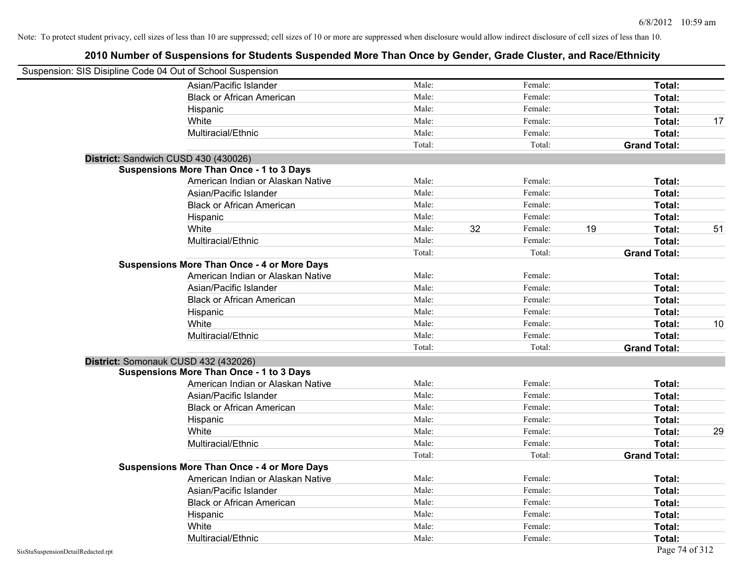| Suspension: SIS Disipline Code 04 Out of School Suspension |                                                    |        |    |         |    |                     |    |
|------------------------------------------------------------|----------------------------------------------------|--------|----|---------|----|---------------------|----|
|                                                            | Asian/Pacific Islander                             | Male:  |    | Female: |    | Total:              |    |
|                                                            | <b>Black or African American</b>                   | Male:  |    | Female: |    | Total:              |    |
|                                                            | Hispanic                                           | Male:  |    | Female: |    | Total:              |    |
|                                                            | White                                              | Male:  |    | Female: |    | Total:              | 17 |
|                                                            | Multiracial/Ethnic                                 | Male:  |    | Female: |    | Total:              |    |
|                                                            |                                                    | Total: |    | Total:  |    | <b>Grand Total:</b> |    |
| District: Sandwich CUSD 430 (430026)                       |                                                    |        |    |         |    |                     |    |
|                                                            | <b>Suspensions More Than Once - 1 to 3 Days</b>    |        |    |         |    |                     |    |
|                                                            | American Indian or Alaskan Native                  | Male:  |    | Female: |    | Total:              |    |
|                                                            | Asian/Pacific Islander                             | Male:  |    | Female: |    | Total:              |    |
|                                                            | <b>Black or African American</b>                   | Male:  |    | Female: |    | Total:              |    |
|                                                            | Hispanic                                           | Male:  |    | Female: |    | Total:              |    |
|                                                            | White                                              | Male:  | 32 | Female: | 19 | Total:              | 51 |
|                                                            | Multiracial/Ethnic                                 | Male:  |    | Female: |    | Total:              |    |
|                                                            |                                                    | Total: |    | Total:  |    | <b>Grand Total:</b> |    |
|                                                            | <b>Suspensions More Than Once - 4 or More Days</b> |        |    |         |    |                     |    |
|                                                            | American Indian or Alaskan Native                  | Male:  |    | Female: |    | Total:              |    |
|                                                            | Asian/Pacific Islander                             | Male:  |    | Female: |    | Total:              |    |
|                                                            | <b>Black or African American</b>                   | Male:  |    | Female: |    | Total:              |    |
|                                                            | Hispanic                                           | Male:  |    | Female: |    | Total:              |    |
|                                                            | White                                              | Male:  |    | Female: |    | Total:              | 10 |
|                                                            | Multiracial/Ethnic                                 | Male:  |    | Female: |    | Total:              |    |
|                                                            |                                                    | Total: |    | Total:  |    | <b>Grand Total:</b> |    |
| District: Somonauk CUSD 432 (432026)                       |                                                    |        |    |         |    |                     |    |
|                                                            | <b>Suspensions More Than Once - 1 to 3 Days</b>    |        |    |         |    |                     |    |
|                                                            | American Indian or Alaskan Native                  | Male:  |    | Female: |    | Total:              |    |
|                                                            | Asian/Pacific Islander                             | Male:  |    | Female: |    | Total:              |    |
|                                                            | <b>Black or African American</b>                   | Male:  |    | Female: |    | Total:              |    |
|                                                            | Hispanic                                           | Male:  |    | Female: |    | Total:              |    |
|                                                            | White                                              | Male:  |    | Female: |    | Total:              | 29 |
|                                                            | Multiracial/Ethnic                                 | Male:  |    | Female: |    | Total:              |    |
|                                                            |                                                    | Total: |    | Total:  |    | <b>Grand Total:</b> |    |
|                                                            | <b>Suspensions More Than Once - 4 or More Days</b> |        |    |         |    |                     |    |
|                                                            | American Indian or Alaskan Native                  | Male:  |    | Female: |    | Total:              |    |
|                                                            | Asian/Pacific Islander                             | Male:  |    | Female: |    | Total:              |    |
|                                                            | <b>Black or African American</b>                   | Male:  |    | Female: |    | Total:              |    |
|                                                            | Hispanic                                           | Male:  |    | Female: |    | Total:              |    |
|                                                            | White                                              | Male:  |    | Female: |    | Total:              |    |
|                                                            | Multiracial/Ethnic                                 | Male:  |    | Female: |    | Total:              |    |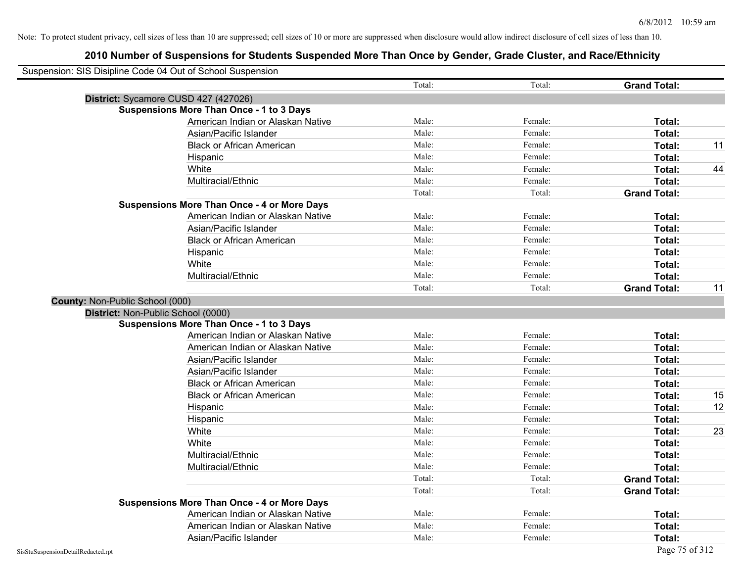|                                      | Suspension: SIS Disipline Code 04 Out of School Suspension |        |         |                     |    |
|--------------------------------------|------------------------------------------------------------|--------|---------|---------------------|----|
|                                      |                                                            | Total: | Total:  | <b>Grand Total:</b> |    |
| District: Sycamore CUSD 427 (427026) |                                                            |        |         |                     |    |
|                                      | <b>Suspensions More Than Once - 1 to 3 Days</b>            |        |         |                     |    |
|                                      | American Indian or Alaskan Native                          | Male:  | Female: | Total:              |    |
|                                      | Asian/Pacific Islander                                     | Male:  | Female: | Total:              |    |
|                                      | <b>Black or African American</b>                           | Male:  | Female: | Total:              | 11 |
|                                      | Hispanic                                                   | Male:  | Female: | Total:              |    |
|                                      | White                                                      | Male:  | Female: | Total:              | 44 |
|                                      | Multiracial/Ethnic                                         | Male:  | Female: | Total:              |    |
|                                      |                                                            | Total: | Total:  | <b>Grand Total:</b> |    |
|                                      | <b>Suspensions More Than Once - 4 or More Days</b>         |        |         |                     |    |
|                                      | American Indian or Alaskan Native                          | Male:  | Female: | Total:              |    |
|                                      | Asian/Pacific Islander                                     | Male:  | Female: | Total:              |    |
|                                      | <b>Black or African American</b>                           | Male:  | Female: | Total:              |    |
|                                      | Hispanic                                                   | Male:  | Female: | Total:              |    |
|                                      | White                                                      | Male:  | Female: | Total:              |    |
|                                      | Multiracial/Ethnic                                         | Male:  | Female: | Total:              |    |
|                                      |                                                            | Total: | Total:  | <b>Grand Total:</b> | 11 |
| County: Non-Public School (000)      |                                                            |        |         |                     |    |
| District: Non-Public School (0000)   |                                                            |        |         |                     |    |
|                                      | <b>Suspensions More Than Once - 1 to 3 Days</b>            |        |         |                     |    |
|                                      | American Indian or Alaskan Native                          | Male:  | Female: | Total:              |    |
|                                      | American Indian or Alaskan Native                          | Male:  | Female: | Total:              |    |
|                                      | Asian/Pacific Islander                                     | Male:  | Female: | Total:              |    |
|                                      | Asian/Pacific Islander                                     | Male:  | Female: | Total:              |    |
|                                      | <b>Black or African American</b>                           | Male:  | Female: | Total:              |    |
|                                      | <b>Black or African American</b>                           | Male:  | Female: | Total:              | 15 |
|                                      | Hispanic                                                   | Male:  | Female: | Total:              | 12 |
|                                      | Hispanic                                                   | Male:  | Female: | Total:              |    |
|                                      | White                                                      | Male:  | Female: | Total:              | 23 |
|                                      | White                                                      | Male:  | Female: | Total:              |    |
|                                      | Multiracial/Ethnic                                         | Male:  | Female: | Total:              |    |
|                                      | Multiracial/Ethnic                                         | Male:  | Female: | Total:              |    |
|                                      |                                                            | Total: | Total:  | <b>Grand Total:</b> |    |
|                                      |                                                            | Total: | Total:  | <b>Grand Total:</b> |    |
|                                      | <b>Suspensions More Than Once - 4 or More Days</b>         |        |         |                     |    |
|                                      | American Indian or Alaskan Native                          | Male:  | Female: | Total:              |    |
|                                      | American Indian or Alaskan Native                          | Male:  | Female: | <b>Total:</b>       |    |
|                                      | Asian/Pacific Islander                                     | Male:  | Female: | Total:              |    |
|                                      |                                                            |        |         |                     |    |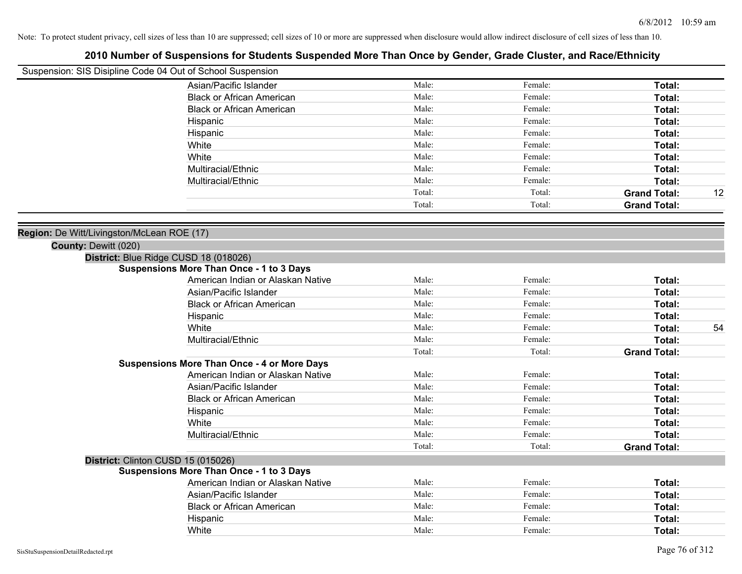|                                            | Suspension: SIS Disipline Code 04 Out of School Suspension |        |         |                     |    |
|--------------------------------------------|------------------------------------------------------------|--------|---------|---------------------|----|
|                                            | Asian/Pacific Islander                                     | Male:  | Female: | Total:              |    |
|                                            | <b>Black or African American</b>                           | Male:  | Female: | Total:              |    |
|                                            | <b>Black or African American</b>                           | Male:  | Female: | Total:              |    |
|                                            | Hispanic                                                   | Male:  | Female: | Total:              |    |
|                                            | Hispanic                                                   | Male:  | Female: | Total:              |    |
|                                            | White                                                      | Male:  | Female: | Total:              |    |
|                                            | White                                                      | Male:  | Female: | Total:              |    |
|                                            | Multiracial/Ethnic                                         | Male:  | Female: | Total:              |    |
|                                            | Multiracial/Ethnic                                         | Male:  | Female: | Total:              |    |
|                                            |                                                            | Total: | Total:  | <b>Grand Total:</b> | 12 |
|                                            |                                                            | Total: | Total:  | <b>Grand Total:</b> |    |
| Region: De Witt/Livingston/McLean ROE (17) |                                                            |        |         |                     |    |
| County: Dewitt (020)                       |                                                            |        |         |                     |    |
|                                            | District: Blue Ridge CUSD 18 (018026)                      |        |         |                     |    |
|                                            | <b>Suspensions More Than Once - 1 to 3 Days</b>            |        |         |                     |    |
|                                            | American Indian or Alaskan Native                          | Male:  | Female: | Total:              |    |
|                                            | Asian/Pacific Islander                                     | Male:  | Female: | Total:              |    |
|                                            | <b>Black or African American</b>                           | Male:  | Female: | Total:              |    |
|                                            | Hispanic                                                   | Male:  | Female: | Total:              |    |
|                                            | White                                                      | Male:  | Female: | Total:              | 54 |
|                                            | Multiracial/Ethnic                                         | Male:  | Female: | Total:              |    |
|                                            |                                                            | Total: | Total:  | <b>Grand Total:</b> |    |
|                                            | <b>Suspensions More Than Once - 4 or More Days</b>         |        |         |                     |    |
|                                            | American Indian or Alaskan Native                          | Male:  | Female: | Total:              |    |
|                                            | Asian/Pacific Islander                                     | Male:  | Female: | Total:              |    |
|                                            | <b>Black or African American</b>                           | Male:  | Female: | Total:              |    |
|                                            | Hispanic                                                   | Male:  | Female: | Total:              |    |
|                                            | White                                                      | Male:  | Female: | Total:              |    |
|                                            | Multiracial/Ethnic                                         | Male:  | Female: | Total:              |    |
|                                            |                                                            | Total: | Total:  | <b>Grand Total:</b> |    |
|                                            | District: Clinton CUSD 15 (015026)                         |        |         |                     |    |
|                                            | <b>Suspensions More Than Once - 1 to 3 Days</b>            |        |         |                     |    |
|                                            | American Indian or Alaskan Native                          | Male:  | Female: | Total:              |    |
|                                            | Asian/Pacific Islander                                     | Male:  | Female: | Total:              |    |
|                                            | <b>Black or African American</b>                           | Male:  | Female: | Total:              |    |
|                                            | Hispanic                                                   | Male:  | Female: | <b>Total:</b>       |    |
|                                            | White                                                      | Male:  | Female: | Total:              |    |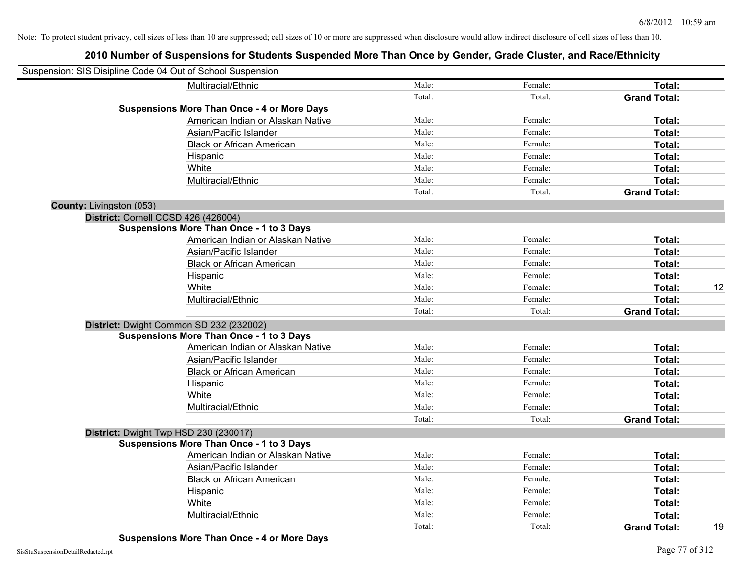| Suspension: SIS Disipline Code 04 Out of School Suspension |                                                    |        |         |                     |    |
|------------------------------------------------------------|----------------------------------------------------|--------|---------|---------------------|----|
|                                                            | Multiracial/Ethnic                                 | Male:  | Female: | Total:              |    |
|                                                            |                                                    | Total: | Total:  | <b>Grand Total:</b> |    |
|                                                            | <b>Suspensions More Than Once - 4 or More Days</b> |        |         |                     |    |
|                                                            | American Indian or Alaskan Native                  | Male:  | Female: | Total:              |    |
|                                                            | Asian/Pacific Islander                             | Male:  | Female: | Total:              |    |
|                                                            | <b>Black or African American</b>                   | Male:  | Female: | Total:              |    |
|                                                            | Hispanic                                           | Male:  | Female: | Total:              |    |
|                                                            | White                                              | Male:  | Female: | Total:              |    |
|                                                            | Multiracial/Ethnic                                 | Male:  | Female: | Total:              |    |
|                                                            |                                                    | Total: | Total:  | <b>Grand Total:</b> |    |
| <b>County: Livingston (053)</b>                            |                                                    |        |         |                     |    |
|                                                            | District: Cornell CCSD 426 (426004)                |        |         |                     |    |
|                                                            | <b>Suspensions More Than Once - 1 to 3 Days</b>    |        |         |                     |    |
|                                                            | American Indian or Alaskan Native                  | Male:  | Female: | Total:              |    |
|                                                            | Asian/Pacific Islander                             | Male:  | Female: | Total:              |    |
|                                                            | <b>Black or African American</b>                   | Male:  | Female: | Total:              |    |
|                                                            | Hispanic                                           | Male:  | Female: | Total:              |    |
|                                                            | White                                              | Male:  | Female: | Total:              | 12 |
|                                                            | Multiracial/Ethnic                                 | Male:  | Female: | Total:              |    |
|                                                            |                                                    | Total: | Total:  | <b>Grand Total:</b> |    |
|                                                            | District: Dwight Common SD 232 (232002)            |        |         |                     |    |
|                                                            | <b>Suspensions More Than Once - 1 to 3 Days</b>    |        |         |                     |    |
|                                                            | American Indian or Alaskan Native                  | Male:  | Female: | Total:              |    |
|                                                            | Asian/Pacific Islander                             | Male:  | Female: | Total:              |    |
|                                                            | <b>Black or African American</b>                   | Male:  | Female: | Total:              |    |
|                                                            | Hispanic                                           | Male:  | Female: | Total:              |    |
|                                                            | White                                              | Male:  | Female: | Total:              |    |
|                                                            | Multiracial/Ethnic                                 | Male:  | Female: | Total:              |    |
|                                                            |                                                    | Total: | Total:  | <b>Grand Total:</b> |    |
|                                                            | District: Dwight Twp HSD 230 (230017)              |        |         |                     |    |
|                                                            | <b>Suspensions More Than Once - 1 to 3 Days</b>    |        |         |                     |    |
|                                                            | American Indian or Alaskan Native                  | Male:  | Female: | Total:              |    |
|                                                            | Asian/Pacific Islander                             | Male:  | Female: | Total:              |    |
|                                                            | <b>Black or African American</b>                   | Male:  | Female: | Total:              |    |
|                                                            | Hispanic                                           | Male:  | Female: | Total:              |    |
|                                                            | White                                              | Male:  | Female: | Total:              |    |
|                                                            | Multiracial/Ethnic                                 | Male:  | Female: | Total:              |    |
|                                                            |                                                    | Total: | Total:  | <b>Grand Total:</b> | 19 |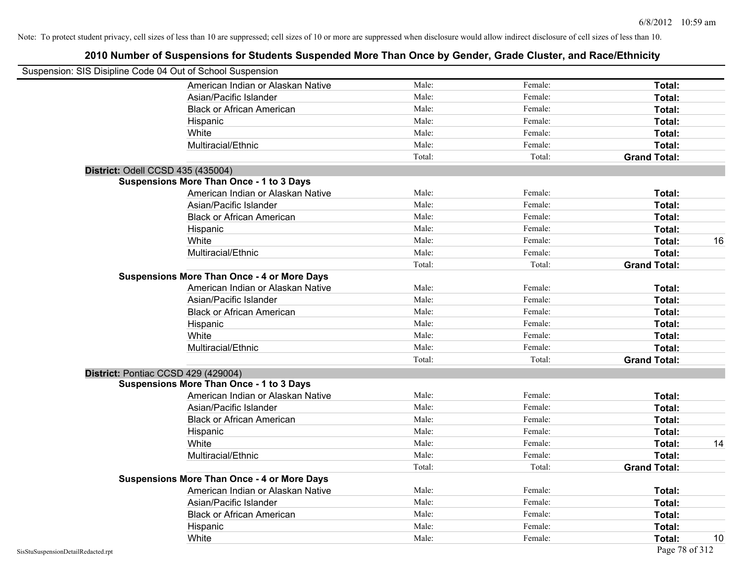| Suspension: SIS Disipline Code 04 Out of School Suspension |        |         |                     |
|------------------------------------------------------------|--------|---------|---------------------|
| American Indian or Alaskan Native                          | Male:  | Female: | Total:              |
| Asian/Pacific Islander                                     | Male:  | Female: | Total:              |
| <b>Black or African American</b>                           | Male:  | Female: | Total:              |
| Hispanic                                                   | Male:  | Female: | Total:              |
| White                                                      | Male:  | Female: | Total:              |
| Multiracial/Ethnic                                         | Male:  | Female: | Total:              |
|                                                            | Total: | Total:  | <b>Grand Total:</b> |
| District: Odell CCSD 435 (435004)                          |        |         |                     |
| <b>Suspensions More Than Once - 1 to 3 Days</b>            |        |         |                     |
| American Indian or Alaskan Native                          | Male:  | Female: | Total:              |
| Asian/Pacific Islander                                     | Male:  | Female: | Total:              |
| <b>Black or African American</b>                           | Male:  | Female: | Total:              |
| Hispanic                                                   | Male:  | Female: | Total:              |
| White                                                      | Male:  | Female: | 16<br>Total:        |
| Multiracial/Ethnic                                         | Male:  | Female: | Total:              |
|                                                            | Total: | Total:  | <b>Grand Total:</b> |
| <b>Suspensions More Than Once - 4 or More Days</b>         |        |         |                     |
| American Indian or Alaskan Native                          | Male:  | Female: | Total:              |
| Asian/Pacific Islander                                     | Male:  | Female: | Total:              |
| <b>Black or African American</b>                           | Male:  | Female: | Total:              |
| Hispanic                                                   | Male:  | Female: | Total:              |
| White                                                      | Male:  | Female: | Total:              |
| Multiracial/Ethnic                                         | Male:  | Female: | Total:              |
|                                                            | Total: | Total:  | <b>Grand Total:</b> |
| District: Pontiac CCSD 429 (429004)                        |        |         |                     |
| <b>Suspensions More Than Once - 1 to 3 Days</b>            |        |         |                     |
| American Indian or Alaskan Native                          | Male:  | Female: | Total:              |
| Asian/Pacific Islander                                     | Male:  | Female: | Total:              |
| <b>Black or African American</b>                           | Male:  | Female: | Total:              |
| Hispanic                                                   | Male:  | Female: | Total:              |
| White                                                      | Male:  | Female: | Total:<br>14        |
| Multiracial/Ethnic                                         | Male:  | Female: | Total:              |
|                                                            | Total: | Total:  | <b>Grand Total:</b> |
| <b>Suspensions More Than Once - 4 or More Days</b>         |        |         |                     |
| American Indian or Alaskan Native                          | Male:  | Female: | Total:              |
| Asian/Pacific Islander                                     | Male:  | Female: | Total:              |
| <b>Black or African American</b>                           | Male:  | Female: | Total:              |
| Hispanic                                                   | Male:  | Female: | <b>Total:</b>       |
| White                                                      | Male:  | Female: | 10<br>Total:        |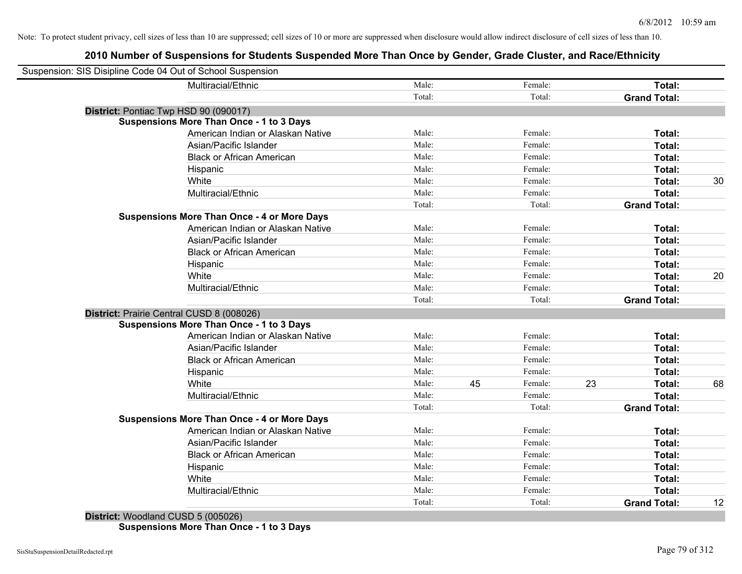## **2010 Number of Suspensions for Students Suspended More Than Once by Gender, Grade Cluster, and Race/Ethnicity**

| Suspension: SIS Disipline Code 04 Out of School Suspension |        |    |         |    |                     |    |
|------------------------------------------------------------|--------|----|---------|----|---------------------|----|
| Multiracial/Ethnic                                         | Male:  |    | Female: |    | Total:              |    |
|                                                            | Total: |    | Total:  |    | <b>Grand Total:</b> |    |
| District: Pontiac Twp HSD 90 (090017)                      |        |    |         |    |                     |    |
| <b>Suspensions More Than Once - 1 to 3 Days</b>            |        |    |         |    |                     |    |
| American Indian or Alaskan Native                          | Male:  |    | Female: |    | Total:              |    |
| Asian/Pacific Islander                                     | Male:  |    | Female: |    | Total:              |    |
| <b>Black or African American</b>                           | Male:  |    | Female: |    | Total:              |    |
| Hispanic                                                   | Male:  |    | Female: |    | Total:              |    |
| White                                                      | Male:  |    | Female: |    | Total:              | 30 |
| Multiracial/Ethnic                                         | Male:  |    | Female: |    | Total:              |    |
|                                                            | Total: |    | Total:  |    | <b>Grand Total:</b> |    |
| <b>Suspensions More Than Once - 4 or More Days</b>         |        |    |         |    |                     |    |
| American Indian or Alaskan Native                          | Male:  |    | Female: |    | Total:              |    |
| Asian/Pacific Islander                                     | Male:  |    | Female: |    | Total:              |    |
| <b>Black or African American</b>                           | Male:  |    | Female: |    | Total:              |    |
| Hispanic                                                   | Male:  |    | Female: |    | Total:              |    |
| White                                                      | Male:  |    | Female: |    | Total:              | 20 |
| Multiracial/Ethnic                                         | Male:  |    | Female: |    | <b>Total:</b>       |    |
|                                                            | Total: |    | Total:  |    | <b>Grand Total:</b> |    |
| District: Prairie Central CUSD 8 (008026)                  |        |    |         |    |                     |    |
| <b>Suspensions More Than Once - 1 to 3 Days</b>            |        |    |         |    |                     |    |
| American Indian or Alaskan Native                          | Male:  |    | Female: |    | Total:              |    |
| Asian/Pacific Islander                                     | Male:  |    | Female: |    | Total:              |    |
| <b>Black or African American</b>                           | Male:  |    | Female: |    | Total:              |    |
| Hispanic                                                   | Male:  |    | Female: |    | Total:              |    |
| White                                                      | Male:  | 45 | Female: | 23 | <b>Total:</b>       | 68 |
| Multiracial/Ethnic                                         | Male:  |    | Female: |    | Total:              |    |
|                                                            | Total: |    | Total:  |    | <b>Grand Total:</b> |    |
| <b>Suspensions More Than Once - 4 or More Days</b>         |        |    |         |    |                     |    |
| American Indian or Alaskan Native                          | Male:  |    | Female: |    | Total:              |    |
| Asian/Pacific Islander                                     | Male:  |    | Female: |    | Total:              |    |
| <b>Black or African American</b>                           | Male:  |    | Female: |    | Total:              |    |
| Hispanic                                                   | Male:  |    | Female: |    | Total:              |    |
| White                                                      | Male:  |    | Female: |    | Total:              |    |
| Multiracial/Ethnic                                         | Male:  |    | Female: |    | Total:              |    |
|                                                            | Total: |    | Total:  |    | <b>Grand Total:</b> | 12 |
|                                                            |        |    |         |    |                     |    |

**District:** Woodland CUSD 5 (005026) **Suspensions More Than Once - 1 to 3 Days**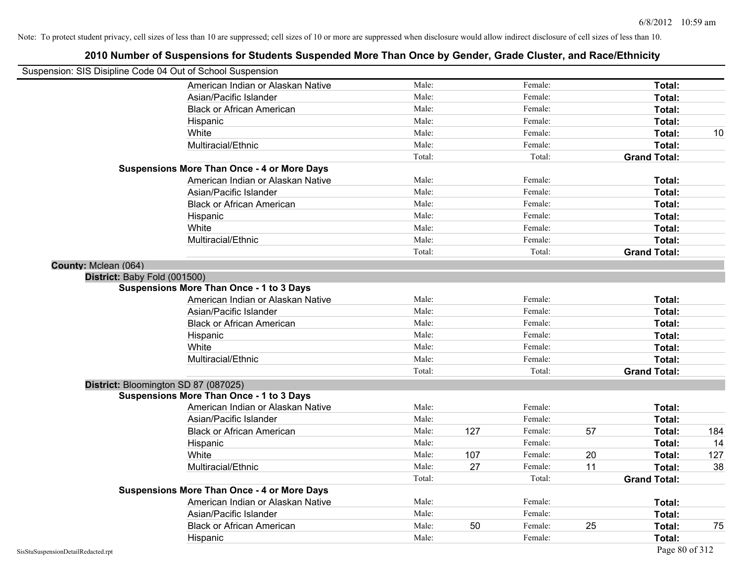|                      | Suspension: SIS Disipline Code 04 Out of School Suspension |        |     |         |    |                     |     |
|----------------------|------------------------------------------------------------|--------|-----|---------|----|---------------------|-----|
|                      | American Indian or Alaskan Native                          | Male:  |     | Female: |    | Total:              |     |
|                      | Asian/Pacific Islander                                     | Male:  |     | Female: |    | Total:              |     |
|                      | <b>Black or African American</b>                           | Male:  |     | Female: |    | Total:              |     |
|                      | Hispanic                                                   | Male:  |     | Female: |    | Total:              |     |
|                      | White                                                      | Male:  |     | Female: |    | Total:              | 10  |
|                      | Multiracial/Ethnic                                         | Male:  |     | Female: |    | Total:              |     |
|                      |                                                            | Total: |     | Total:  |    | <b>Grand Total:</b> |     |
|                      | <b>Suspensions More Than Once - 4 or More Days</b>         |        |     |         |    |                     |     |
|                      | American Indian or Alaskan Native                          | Male:  |     | Female: |    | Total:              |     |
|                      | Asian/Pacific Islander                                     | Male:  |     | Female: |    | Total:              |     |
|                      | <b>Black or African American</b>                           | Male:  |     | Female: |    | Total:              |     |
|                      | Hispanic                                                   | Male:  |     | Female: |    | Total:              |     |
|                      | White                                                      | Male:  |     | Female: |    | Total:              |     |
|                      | Multiracial/Ethnic                                         | Male:  |     | Female: |    | Total:              |     |
|                      |                                                            | Total: |     | Total:  |    | <b>Grand Total:</b> |     |
| County: Mclean (064) |                                                            |        |     |         |    |                     |     |
|                      | District: Baby Fold (001500)                               |        |     |         |    |                     |     |
|                      | <b>Suspensions More Than Once - 1 to 3 Days</b>            |        |     |         |    |                     |     |
|                      | American Indian or Alaskan Native                          | Male:  |     | Female: |    | Total:              |     |
|                      | Asian/Pacific Islander                                     | Male:  |     | Female: |    | Total:              |     |
|                      | <b>Black or African American</b>                           | Male:  |     | Female: |    | Total:              |     |
|                      | Hispanic                                                   | Male:  |     | Female: |    | Total:              |     |
|                      | White                                                      | Male:  |     | Female: |    | Total:              |     |
|                      | Multiracial/Ethnic                                         | Male:  |     | Female: |    | Total:              |     |
|                      |                                                            | Total: |     | Total:  |    | <b>Grand Total:</b> |     |
|                      | District: Bloomington SD 87 (087025)                       |        |     |         |    |                     |     |
|                      | <b>Suspensions More Than Once - 1 to 3 Days</b>            |        |     |         |    |                     |     |
|                      | American Indian or Alaskan Native                          | Male:  |     | Female: |    | Total:              |     |
|                      | Asian/Pacific Islander                                     | Male:  |     | Female: |    | Total:              |     |
|                      | <b>Black or African American</b>                           | Male:  | 127 | Female: | 57 | Total:              | 184 |
|                      | Hispanic                                                   | Male:  |     | Female: |    | Total:              | 14  |
|                      | White                                                      | Male:  | 107 | Female: | 20 | Total:              | 127 |
|                      | Multiracial/Ethnic                                         | Male:  | 27  | Female: | 11 | Total:              | 38  |
|                      |                                                            | Total: |     | Total:  |    | <b>Grand Total:</b> |     |
|                      | <b>Suspensions More Than Once - 4 or More Days</b>         |        |     |         |    |                     |     |
|                      | American Indian or Alaskan Native                          | Male:  |     | Female: |    | Total:              |     |
|                      | Asian/Pacific Islander                                     | Male:  |     | Female: |    | Total:              |     |
|                      | <b>Black or African American</b>                           | Male:  | 50  | Female: | 25 | Total:              | 75  |
|                      | Hispanic                                                   | Male:  |     | Female: |    | Total:              |     |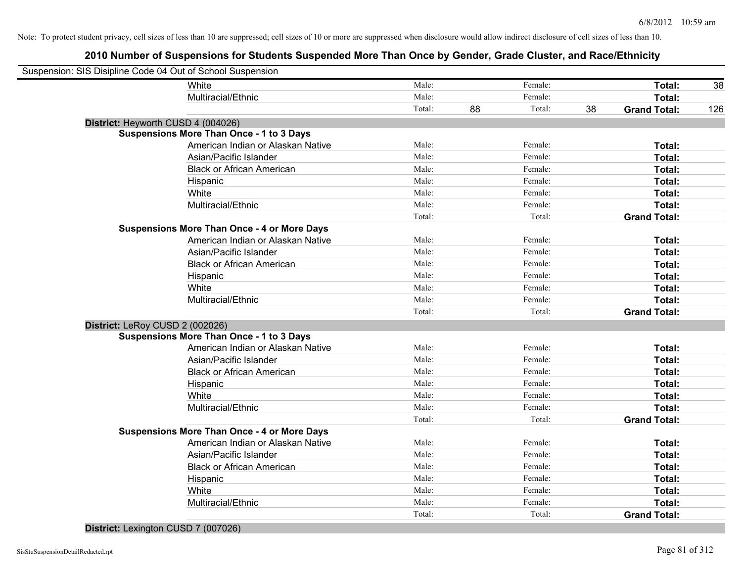## **2010 Number of Suspensions for Students Suspended More Than Once by Gender, Grade Cluster, and Race/Ethnicity**

| Male:<br>Female:<br>White<br>Total:<br>Multiracial/Ethnic<br>Female:<br>Male:<br>Total:<br>Total:<br>88<br>Total:<br>38<br><b>Grand Total:</b><br>District: Heyworth CUSD 4 (004026)<br><b>Suspensions More Than Once - 1 to 3 Days</b><br>American Indian or Alaskan Native<br>Male:<br>Female:<br>Total:<br>Male:<br>Female:<br>Asian/Pacific Islander<br>Total:<br>Male:<br>Female:<br><b>Black or African American</b><br>Total:<br>Male:<br>Female:<br>Total:<br>Hispanic<br>White<br>Male:<br>Female:<br>Total:<br>Multiracial/Ethnic<br>Male:<br>Female:<br>Total:<br>Total:<br>Total:<br><b>Grand Total:</b><br><b>Suspensions More Than Once - 4 or More Days</b><br>American Indian or Alaskan Native<br>Male:<br>Female:<br>Total:<br>Asian/Pacific Islander<br>Male:<br>Female:<br>Total:<br>Female:<br><b>Black or African American</b><br>Male:<br>Total:<br>Male:<br>Female:<br>Hispanic<br>Total:<br>White<br>Male:<br>Female:<br>Total:<br>Multiracial/Ethnic<br>Male:<br>Female:<br>Total:<br>Total:<br>Total:<br><b>Grand Total:</b><br>District: LeRoy CUSD 2 (002026)<br><b>Suspensions More Than Once - 1 to 3 Days</b><br>Male:<br>Female:<br>American Indian or Alaskan Native<br>Total:<br>Male:<br>Female:<br>Asian/Pacific Islander<br>Total:<br>Male:<br>Female:<br><b>Black or African American</b><br>Total:<br>Male:<br>Female:<br>Total:<br>Hispanic<br>Male:<br>Female:<br>White<br>Total:<br>Male:<br>Female:<br>Total:<br>Multiracial/Ethnic<br>Total:<br>Total:<br><b>Grand Total:</b><br><b>Suspensions More Than Once - 4 or More Days</b><br>American Indian or Alaskan Native<br>Male:<br>Female:<br>Total:<br>Male:<br>Female:<br>Asian/Pacific Islander<br>Total:<br>Male:<br>Female:<br><b>Black or African American</b><br>Total:<br>Male:<br>Female:<br>Total:<br>Hispanic<br>Male:<br>Female:<br>White<br>Total:<br>Male:<br>Female:<br>Multiracial/Ethnic<br>Total:<br>Total:<br>Total:<br><b>Grand Total:</b> | Suspension: SIS Disipline Code 04 Out of School Suspension |  |  |  |     |
|---------------------------------------------------------------------------------------------------------------------------------------------------------------------------------------------------------------------------------------------------------------------------------------------------------------------------------------------------------------------------------------------------------------------------------------------------------------------------------------------------------------------------------------------------------------------------------------------------------------------------------------------------------------------------------------------------------------------------------------------------------------------------------------------------------------------------------------------------------------------------------------------------------------------------------------------------------------------------------------------------------------------------------------------------------------------------------------------------------------------------------------------------------------------------------------------------------------------------------------------------------------------------------------------------------------------------------------------------------------------------------------------------------------------------------------------------------------------------------------------------------------------------------------------------------------------------------------------------------------------------------------------------------------------------------------------------------------------------------------------------------------------------------------------------------------------------------------------------------------------------------------------------------------------------------------------------------------|------------------------------------------------------------|--|--|--|-----|
|                                                                                                                                                                                                                                                                                                                                                                                                                                                                                                                                                                                                                                                                                                                                                                                                                                                                                                                                                                                                                                                                                                                                                                                                                                                                                                                                                                                                                                                                                                                                                                                                                                                                                                                                                                                                                                                                                                                                                               |                                                            |  |  |  | 38  |
|                                                                                                                                                                                                                                                                                                                                                                                                                                                                                                                                                                                                                                                                                                                                                                                                                                                                                                                                                                                                                                                                                                                                                                                                                                                                                                                                                                                                                                                                                                                                                                                                                                                                                                                                                                                                                                                                                                                                                               |                                                            |  |  |  |     |
|                                                                                                                                                                                                                                                                                                                                                                                                                                                                                                                                                                                                                                                                                                                                                                                                                                                                                                                                                                                                                                                                                                                                                                                                                                                                                                                                                                                                                                                                                                                                                                                                                                                                                                                                                                                                                                                                                                                                                               |                                                            |  |  |  | 126 |
|                                                                                                                                                                                                                                                                                                                                                                                                                                                                                                                                                                                                                                                                                                                                                                                                                                                                                                                                                                                                                                                                                                                                                                                                                                                                                                                                                                                                                                                                                                                                                                                                                                                                                                                                                                                                                                                                                                                                                               |                                                            |  |  |  |     |
|                                                                                                                                                                                                                                                                                                                                                                                                                                                                                                                                                                                                                                                                                                                                                                                                                                                                                                                                                                                                                                                                                                                                                                                                                                                                                                                                                                                                                                                                                                                                                                                                                                                                                                                                                                                                                                                                                                                                                               |                                                            |  |  |  |     |
|                                                                                                                                                                                                                                                                                                                                                                                                                                                                                                                                                                                                                                                                                                                                                                                                                                                                                                                                                                                                                                                                                                                                                                                                                                                                                                                                                                                                                                                                                                                                                                                                                                                                                                                                                                                                                                                                                                                                                               |                                                            |  |  |  |     |
|                                                                                                                                                                                                                                                                                                                                                                                                                                                                                                                                                                                                                                                                                                                                                                                                                                                                                                                                                                                                                                                                                                                                                                                                                                                                                                                                                                                                                                                                                                                                                                                                                                                                                                                                                                                                                                                                                                                                                               |                                                            |  |  |  |     |
|                                                                                                                                                                                                                                                                                                                                                                                                                                                                                                                                                                                                                                                                                                                                                                                                                                                                                                                                                                                                                                                                                                                                                                                                                                                                                                                                                                                                                                                                                                                                                                                                                                                                                                                                                                                                                                                                                                                                                               |                                                            |  |  |  |     |
|                                                                                                                                                                                                                                                                                                                                                                                                                                                                                                                                                                                                                                                                                                                                                                                                                                                                                                                                                                                                                                                                                                                                                                                                                                                                                                                                                                                                                                                                                                                                                                                                                                                                                                                                                                                                                                                                                                                                                               |                                                            |  |  |  |     |
|                                                                                                                                                                                                                                                                                                                                                                                                                                                                                                                                                                                                                                                                                                                                                                                                                                                                                                                                                                                                                                                                                                                                                                                                                                                                                                                                                                                                                                                                                                                                                                                                                                                                                                                                                                                                                                                                                                                                                               |                                                            |  |  |  |     |
|                                                                                                                                                                                                                                                                                                                                                                                                                                                                                                                                                                                                                                                                                                                                                                                                                                                                                                                                                                                                                                                                                                                                                                                                                                                                                                                                                                                                                                                                                                                                                                                                                                                                                                                                                                                                                                                                                                                                                               |                                                            |  |  |  |     |
|                                                                                                                                                                                                                                                                                                                                                                                                                                                                                                                                                                                                                                                                                                                                                                                                                                                                                                                                                                                                                                                                                                                                                                                                                                                                                                                                                                                                                                                                                                                                                                                                                                                                                                                                                                                                                                                                                                                                                               |                                                            |  |  |  |     |
|                                                                                                                                                                                                                                                                                                                                                                                                                                                                                                                                                                                                                                                                                                                                                                                                                                                                                                                                                                                                                                                                                                                                                                                                                                                                                                                                                                                                                                                                                                                                                                                                                                                                                                                                                                                                                                                                                                                                                               |                                                            |  |  |  |     |
|                                                                                                                                                                                                                                                                                                                                                                                                                                                                                                                                                                                                                                                                                                                                                                                                                                                                                                                                                                                                                                                                                                                                                                                                                                                                                                                                                                                                                                                                                                                                                                                                                                                                                                                                                                                                                                                                                                                                                               |                                                            |  |  |  |     |
|                                                                                                                                                                                                                                                                                                                                                                                                                                                                                                                                                                                                                                                                                                                                                                                                                                                                                                                                                                                                                                                                                                                                                                                                                                                                                                                                                                                                                                                                                                                                                                                                                                                                                                                                                                                                                                                                                                                                                               |                                                            |  |  |  |     |
|                                                                                                                                                                                                                                                                                                                                                                                                                                                                                                                                                                                                                                                                                                                                                                                                                                                                                                                                                                                                                                                                                                                                                                                                                                                                                                                                                                                                                                                                                                                                                                                                                                                                                                                                                                                                                                                                                                                                                               |                                                            |  |  |  |     |
|                                                                                                                                                                                                                                                                                                                                                                                                                                                                                                                                                                                                                                                                                                                                                                                                                                                                                                                                                                                                                                                                                                                                                                                                                                                                                                                                                                                                                                                                                                                                                                                                                                                                                                                                                                                                                                                                                                                                                               |                                                            |  |  |  |     |
|                                                                                                                                                                                                                                                                                                                                                                                                                                                                                                                                                                                                                                                                                                                                                                                                                                                                                                                                                                                                                                                                                                                                                                                                                                                                                                                                                                                                                                                                                                                                                                                                                                                                                                                                                                                                                                                                                                                                                               |                                                            |  |  |  |     |
|                                                                                                                                                                                                                                                                                                                                                                                                                                                                                                                                                                                                                                                                                                                                                                                                                                                                                                                                                                                                                                                                                                                                                                                                                                                                                                                                                                                                                                                                                                                                                                                                                                                                                                                                                                                                                                                                                                                                                               |                                                            |  |  |  |     |
|                                                                                                                                                                                                                                                                                                                                                                                                                                                                                                                                                                                                                                                                                                                                                                                                                                                                                                                                                                                                                                                                                                                                                                                                                                                                                                                                                                                                                                                                                                                                                                                                                                                                                                                                                                                                                                                                                                                                                               |                                                            |  |  |  |     |
|                                                                                                                                                                                                                                                                                                                                                                                                                                                                                                                                                                                                                                                                                                                                                                                                                                                                                                                                                                                                                                                                                                                                                                                                                                                                                                                                                                                                                                                                                                                                                                                                                                                                                                                                                                                                                                                                                                                                                               |                                                            |  |  |  |     |
|                                                                                                                                                                                                                                                                                                                                                                                                                                                                                                                                                                                                                                                                                                                                                                                                                                                                                                                                                                                                                                                                                                                                                                                                                                                                                                                                                                                                                                                                                                                                                                                                                                                                                                                                                                                                                                                                                                                                                               |                                                            |  |  |  |     |
|                                                                                                                                                                                                                                                                                                                                                                                                                                                                                                                                                                                                                                                                                                                                                                                                                                                                                                                                                                                                                                                                                                                                                                                                                                                                                                                                                                                                                                                                                                                                                                                                                                                                                                                                                                                                                                                                                                                                                               |                                                            |  |  |  |     |
|                                                                                                                                                                                                                                                                                                                                                                                                                                                                                                                                                                                                                                                                                                                                                                                                                                                                                                                                                                                                                                                                                                                                                                                                                                                                                                                                                                                                                                                                                                                                                                                                                                                                                                                                                                                                                                                                                                                                                               |                                                            |  |  |  |     |
|                                                                                                                                                                                                                                                                                                                                                                                                                                                                                                                                                                                                                                                                                                                                                                                                                                                                                                                                                                                                                                                                                                                                                                                                                                                                                                                                                                                                                                                                                                                                                                                                                                                                                                                                                                                                                                                                                                                                                               |                                                            |  |  |  |     |
|                                                                                                                                                                                                                                                                                                                                                                                                                                                                                                                                                                                                                                                                                                                                                                                                                                                                                                                                                                                                                                                                                                                                                                                                                                                                                                                                                                                                                                                                                                                                                                                                                                                                                                                                                                                                                                                                                                                                                               |                                                            |  |  |  |     |
|                                                                                                                                                                                                                                                                                                                                                                                                                                                                                                                                                                                                                                                                                                                                                                                                                                                                                                                                                                                                                                                                                                                                                                                                                                                                                                                                                                                                                                                                                                                                                                                                                                                                                                                                                                                                                                                                                                                                                               |                                                            |  |  |  |     |
|                                                                                                                                                                                                                                                                                                                                                                                                                                                                                                                                                                                                                                                                                                                                                                                                                                                                                                                                                                                                                                                                                                                                                                                                                                                                                                                                                                                                                                                                                                                                                                                                                                                                                                                                                                                                                                                                                                                                                               |                                                            |  |  |  |     |
|                                                                                                                                                                                                                                                                                                                                                                                                                                                                                                                                                                                                                                                                                                                                                                                                                                                                                                                                                                                                                                                                                                                                                                                                                                                                                                                                                                                                                                                                                                                                                                                                                                                                                                                                                                                                                                                                                                                                                               |                                                            |  |  |  |     |
|                                                                                                                                                                                                                                                                                                                                                                                                                                                                                                                                                                                                                                                                                                                                                                                                                                                                                                                                                                                                                                                                                                                                                                                                                                                                                                                                                                                                                                                                                                                                                                                                                                                                                                                                                                                                                                                                                                                                                               |                                                            |  |  |  |     |
|                                                                                                                                                                                                                                                                                                                                                                                                                                                                                                                                                                                                                                                                                                                                                                                                                                                                                                                                                                                                                                                                                                                                                                                                                                                                                                                                                                                                                                                                                                                                                                                                                                                                                                                                                                                                                                                                                                                                                               |                                                            |  |  |  |     |
|                                                                                                                                                                                                                                                                                                                                                                                                                                                                                                                                                                                                                                                                                                                                                                                                                                                                                                                                                                                                                                                                                                                                                                                                                                                                                                                                                                                                                                                                                                                                                                                                                                                                                                                                                                                                                                                                                                                                                               |                                                            |  |  |  |     |
|                                                                                                                                                                                                                                                                                                                                                                                                                                                                                                                                                                                                                                                                                                                                                                                                                                                                                                                                                                                                                                                                                                                                                                                                                                                                                                                                                                                                                                                                                                                                                                                                                                                                                                                                                                                                                                                                                                                                                               |                                                            |  |  |  |     |
|                                                                                                                                                                                                                                                                                                                                                                                                                                                                                                                                                                                                                                                                                                                                                                                                                                                                                                                                                                                                                                                                                                                                                                                                                                                                                                                                                                                                                                                                                                                                                                                                                                                                                                                                                                                                                                                                                                                                                               |                                                            |  |  |  |     |
|                                                                                                                                                                                                                                                                                                                                                                                                                                                                                                                                                                                                                                                                                                                                                                                                                                                                                                                                                                                                                                                                                                                                                                                                                                                                                                                                                                                                                                                                                                                                                                                                                                                                                                                                                                                                                                                                                                                                                               |                                                            |  |  |  |     |
|                                                                                                                                                                                                                                                                                                                                                                                                                                                                                                                                                                                                                                                                                                                                                                                                                                                                                                                                                                                                                                                                                                                                                                                                                                                                                                                                                                                                                                                                                                                                                                                                                                                                                                                                                                                                                                                                                                                                                               |                                                            |  |  |  |     |
|                                                                                                                                                                                                                                                                                                                                                                                                                                                                                                                                                                                                                                                                                                                                                                                                                                                                                                                                                                                                                                                                                                                                                                                                                                                                                                                                                                                                                                                                                                                                                                                                                                                                                                                                                                                                                                                                                                                                                               |                                                            |  |  |  |     |

#### **District:** Lexington CUSD 7 (007026)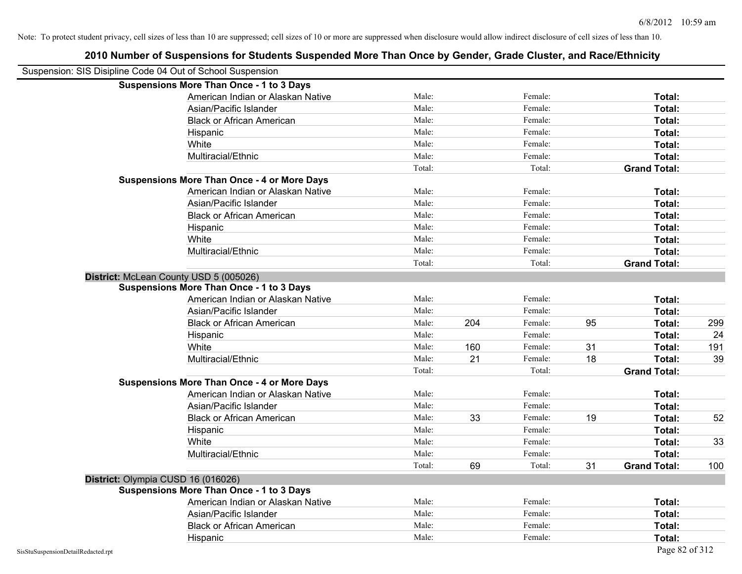|                                    | Suspension: SIS Disipline Code 04 Out of School Suspension |        |     |         |    |                     |     |
|------------------------------------|------------------------------------------------------------|--------|-----|---------|----|---------------------|-----|
|                                    | <b>Suspensions More Than Once - 1 to 3 Days</b>            |        |     |         |    |                     |     |
|                                    | American Indian or Alaskan Native                          | Male:  |     | Female: |    | Total:              |     |
|                                    | Asian/Pacific Islander                                     | Male:  |     | Female: |    | Total:              |     |
|                                    | <b>Black or African American</b>                           | Male:  |     | Female: |    | Total:              |     |
|                                    | Hispanic                                                   | Male:  |     | Female: |    | Total:              |     |
|                                    | White                                                      | Male:  |     | Female: |    | Total:              |     |
|                                    | Multiracial/Ethnic                                         | Male:  |     | Female: |    | Total:              |     |
|                                    |                                                            | Total: |     | Total:  |    | <b>Grand Total:</b> |     |
|                                    | <b>Suspensions More Than Once - 4 or More Days</b>         |        |     |         |    |                     |     |
|                                    | American Indian or Alaskan Native                          | Male:  |     | Female: |    | Total:              |     |
|                                    | Asian/Pacific Islander                                     | Male:  |     | Female: |    | Total:              |     |
|                                    | <b>Black or African American</b>                           | Male:  |     | Female: |    | Total:              |     |
|                                    | Hispanic                                                   | Male:  |     | Female: |    | Total:              |     |
|                                    | White                                                      | Male:  |     | Female: |    | Total:              |     |
|                                    | Multiracial/Ethnic                                         | Male:  |     | Female: |    | Total:              |     |
|                                    |                                                            | Total: |     | Total:  |    | <b>Grand Total:</b> |     |
|                                    | District: McLean County USD 5 (005026)                     |        |     |         |    |                     |     |
|                                    | <b>Suspensions More Than Once - 1 to 3 Days</b>            |        |     |         |    |                     |     |
|                                    | American Indian or Alaskan Native                          | Male:  |     | Female: |    | Total:              |     |
|                                    | Asian/Pacific Islander                                     | Male:  |     | Female: |    | Total:              |     |
|                                    | <b>Black or African American</b>                           | Male:  | 204 | Female: | 95 | Total:              | 299 |
|                                    | Hispanic                                                   | Male:  |     | Female: |    | Total:              | 24  |
|                                    | White                                                      | Male:  | 160 | Female: | 31 | Total:              | 191 |
|                                    | Multiracial/Ethnic                                         | Male:  | 21  | Female: | 18 | Total:              | 39  |
|                                    |                                                            | Total: |     | Total:  |    | <b>Grand Total:</b> |     |
|                                    | <b>Suspensions More Than Once - 4 or More Days</b>         |        |     |         |    |                     |     |
|                                    | American Indian or Alaskan Native                          | Male:  |     | Female: |    | Total:              |     |
|                                    | Asian/Pacific Islander                                     | Male:  |     | Female: |    | Total:              |     |
|                                    | <b>Black or African American</b>                           | Male:  | 33  | Female: | 19 | Total:              | 52  |
|                                    | Hispanic                                                   | Male:  |     | Female: |    | Total:              |     |
|                                    | White                                                      | Male:  |     | Female: |    | Total:              | 33  |
|                                    | Multiracial/Ethnic                                         | Male:  |     | Female: |    | Total:              |     |
|                                    |                                                            | Total: | 69  | Total:  | 31 | <b>Grand Total:</b> | 100 |
|                                    | District: Olympia CUSD 16 (016026)                         |        |     |         |    |                     |     |
|                                    | <b>Suspensions More Than Once - 1 to 3 Days</b>            |        |     |         |    |                     |     |
|                                    | American Indian or Alaskan Native                          | Male:  |     | Female: |    | Total:              |     |
|                                    | Asian/Pacific Islander                                     | Male:  |     | Female: |    | Total:              |     |
|                                    | <b>Black or African American</b>                           | Male:  |     | Female: |    | Total:              |     |
|                                    | Hispanic                                                   | Male:  |     | Female: |    | Total:              |     |
| SisStuSuspensionDetailRedacted.rpt |                                                            |        |     |         |    | Page 82 of 312      |     |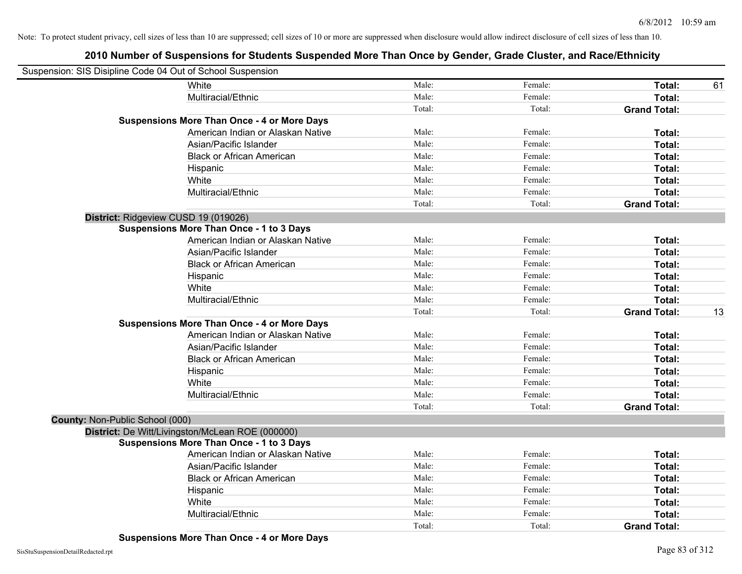| Suspension: SIS Disipline Code 04 Out of School Suspension |        |         |                     |    |
|------------------------------------------------------------|--------|---------|---------------------|----|
| White                                                      | Male:  | Female: | Total:              | 61 |
| Multiracial/Ethnic                                         | Male:  | Female: | Total:              |    |
|                                                            | Total: | Total:  | <b>Grand Total:</b> |    |
| <b>Suspensions More Than Once - 4 or More Days</b>         |        |         |                     |    |
| American Indian or Alaskan Native                          | Male:  | Female: | Total:              |    |
| Asian/Pacific Islander                                     | Male:  | Female: | Total:              |    |
| <b>Black or African American</b>                           | Male:  | Female: | Total:              |    |
| Hispanic                                                   | Male:  | Female: | Total:              |    |
| White                                                      | Male:  | Female: | Total:              |    |
| Multiracial/Ethnic                                         | Male:  | Female: | Total:              |    |
|                                                            | Total: | Total:  | <b>Grand Total:</b> |    |
| District: Ridgeview CUSD 19 (019026)                       |        |         |                     |    |
| <b>Suspensions More Than Once - 1 to 3 Days</b>            |        |         |                     |    |
| American Indian or Alaskan Native                          | Male:  | Female: | Total:              |    |
| Asian/Pacific Islander                                     | Male:  | Female: | Total:              |    |
| <b>Black or African American</b>                           | Male:  | Female: | Total:              |    |
| Hispanic                                                   | Male:  | Female: | Total:              |    |
| White                                                      | Male:  | Female: | Total:              |    |
| Multiracial/Ethnic                                         | Male:  | Female: | Total:              |    |
|                                                            | Total: | Total:  | <b>Grand Total:</b> | 13 |
| <b>Suspensions More Than Once - 4 or More Days</b>         |        |         |                     |    |
| American Indian or Alaskan Native                          | Male:  | Female: | Total:              |    |
| Asian/Pacific Islander                                     | Male:  | Female: | Total:              |    |
| <b>Black or African American</b>                           | Male:  | Female: | Total:              |    |
| Hispanic                                                   | Male:  | Female: | Total:              |    |
| White                                                      | Male:  | Female: | Total:              |    |
| Multiracial/Ethnic                                         | Male:  | Female: | Total:              |    |
|                                                            | Total: | Total:  | <b>Grand Total:</b> |    |
| County: Non-Public School (000)                            |        |         |                     |    |
| District: De Witt/Livingston/McLean ROE (000000)           |        |         |                     |    |
| <b>Suspensions More Than Once - 1 to 3 Days</b>            |        |         |                     |    |
| American Indian or Alaskan Native                          | Male:  | Female: | Total:              |    |
| Asian/Pacific Islander                                     | Male:  | Female: | Total:              |    |
| <b>Black or African American</b>                           | Male:  | Female: | Total:              |    |
| Hispanic                                                   | Male:  | Female: | Total:              |    |
| White                                                      | Male:  | Female: | <b>Total:</b>       |    |
| Multiracial/Ethnic                                         | Male:  | Female: | Total:              |    |
|                                                            | Total: | Total:  | <b>Grand Total:</b> |    |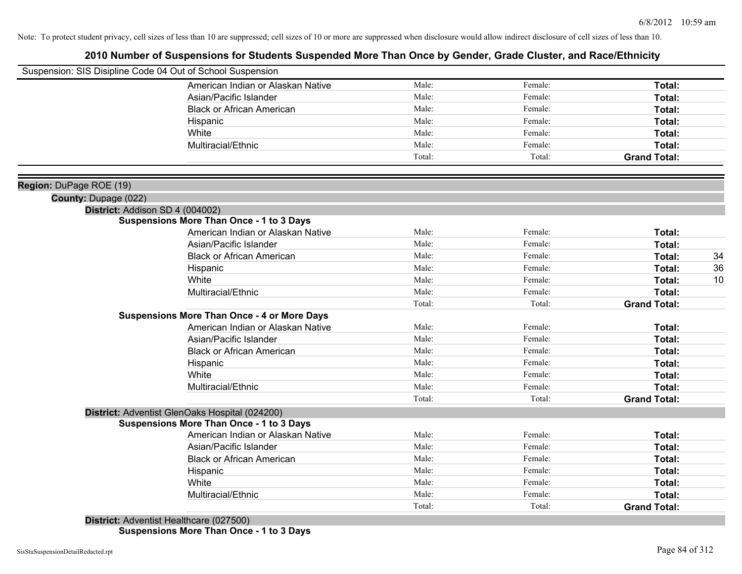## **2010 Number of Suspensions for Students Suspended More Than Once by Gender, Grade Cluster, and Race/Ethnicity**

|                             | Suspension: SIS Disipline Code 04 Out of School Suspension |        |         |                     |    |
|-----------------------------|------------------------------------------------------------|--------|---------|---------------------|----|
|                             | American Indian or Alaskan Native                          | Male:  | Female: | Total:              |    |
|                             | Asian/Pacific Islander                                     | Male:  | Female: | Total:              |    |
|                             | <b>Black or African American</b>                           | Male:  | Female: | Total:              |    |
|                             | Hispanic                                                   | Male:  | Female: | Total:              |    |
|                             | White                                                      | Male:  | Female: | Total:              |    |
|                             | Multiracial/Ethnic                                         | Male:  | Female: | Total:              |    |
|                             |                                                            | Total: | Total:  | <b>Grand Total:</b> |    |
| Region: DuPage ROE (19)     |                                                            |        |         |                     |    |
| <b>County: Dupage (022)</b> |                                                            |        |         |                     |    |
|                             | District: Addison SD 4 (004002)                            |        |         |                     |    |
|                             | <b>Suspensions More Than Once - 1 to 3 Days</b>            |        |         |                     |    |
|                             | American Indian or Alaskan Native                          | Male:  | Female: | Total:              |    |
|                             | Asian/Pacific Islander                                     | Male:  | Female: | Total:              |    |
|                             | <b>Black or African American</b>                           | Male:  | Female: | Total:              | 34 |
|                             | Hispanic                                                   | Male:  | Female: | Total:              | 36 |
|                             | White                                                      | Male:  | Female: | Total:              | 10 |
|                             | Multiracial/Ethnic                                         | Male:  | Female: | Total:              |    |
|                             |                                                            | Total: | Total:  | <b>Grand Total:</b> |    |
|                             | <b>Suspensions More Than Once - 4 or More Days</b>         |        |         |                     |    |
|                             | American Indian or Alaskan Native                          | Male:  | Female: | Total:              |    |
|                             | Asian/Pacific Islander                                     | Male:  | Female: | Total:              |    |
|                             | <b>Black or African American</b>                           | Male:  | Female: | Total:              |    |
|                             | Hispanic                                                   | Male:  | Female: | Total:              |    |
|                             | White                                                      | Male:  | Female: | Total:              |    |
|                             | Multiracial/Ethnic                                         | Male:  | Female: | Total:              |    |
|                             |                                                            | Total: | Total:  | <b>Grand Total:</b> |    |
|                             | District: Adventist GlenOaks Hospital (024200)             |        |         |                     |    |
|                             | <b>Suspensions More Than Once - 1 to 3 Days</b>            |        |         |                     |    |
|                             | American Indian or Alaskan Native                          | Male:  | Female: | Total:              |    |
|                             | Asian/Pacific Islander                                     | Male:  | Female: | Total:              |    |
|                             | <b>Black or African American</b>                           | Male:  | Female: | Total:              |    |
|                             | Hispanic                                                   | Male:  | Female: | Total:              |    |
|                             | White                                                      | Male:  | Female: | Total:              |    |
|                             | Multiracial/Ethnic                                         | Male:  | Female: | Total:              |    |
|                             |                                                            | Total: | Total:  | <b>Grand Total:</b> |    |
|                             |                                                            |        |         |                     |    |

**District:** Adventist Healthcare (027500) **Suspensions More Than Once - 1 to 3 Days**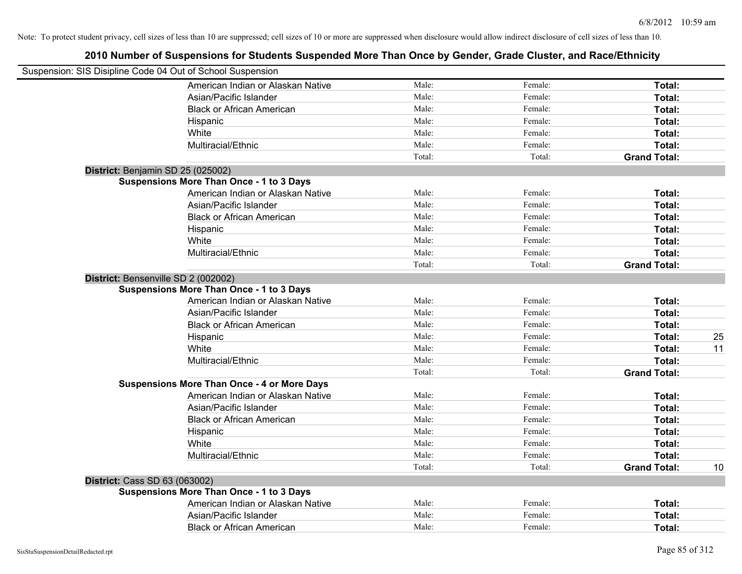| Suspension: SIS Disipline Code 04 Out of School Suspension |        |         |                     |    |
|------------------------------------------------------------|--------|---------|---------------------|----|
| American Indian or Alaskan Native                          | Male:  | Female: | Total:              |    |
| Asian/Pacific Islander                                     | Male:  | Female: | Total:              |    |
| <b>Black or African American</b>                           | Male:  | Female: | Total:              |    |
| Hispanic                                                   | Male:  | Female: | Total:              |    |
| White                                                      | Male:  | Female: | Total:              |    |
| Multiracial/Ethnic                                         | Male:  | Female: | Total:              |    |
|                                                            | Total: | Total:  | <b>Grand Total:</b> |    |
| District: Benjamin SD 25 (025002)                          |        |         |                     |    |
| <b>Suspensions More Than Once - 1 to 3 Days</b>            |        |         |                     |    |
| American Indian or Alaskan Native                          | Male:  | Female: | Total:              |    |
| Asian/Pacific Islander                                     | Male:  | Female: | Total:              |    |
| <b>Black or African American</b>                           | Male:  | Female: | Total:              |    |
| Hispanic                                                   | Male:  | Female: | Total:              |    |
| White                                                      | Male:  | Female: | Total:              |    |
| Multiracial/Ethnic                                         | Male:  | Female: | Total:              |    |
|                                                            | Total: | Total:  | <b>Grand Total:</b> |    |
| District: Bensenville SD 2 (002002)                        |        |         |                     |    |
| <b>Suspensions More Than Once - 1 to 3 Days</b>            |        |         |                     |    |
| American Indian or Alaskan Native                          | Male:  | Female: | Total:              |    |
| Asian/Pacific Islander                                     | Male:  | Female: | Total:              |    |
| <b>Black or African American</b>                           | Male:  | Female: | Total:              |    |
| Hispanic                                                   | Male:  | Female: | Total:              | 25 |
| White                                                      | Male:  | Female: | Total:              | 11 |
| Multiracial/Ethnic                                         | Male:  | Female: | Total:              |    |
|                                                            | Total: | Total:  | <b>Grand Total:</b> |    |
| <b>Suspensions More Than Once - 4 or More Days</b>         |        |         |                     |    |
| American Indian or Alaskan Native                          | Male:  | Female: | Total:              |    |
| Asian/Pacific Islander                                     | Male:  | Female: | Total:              |    |
| <b>Black or African American</b>                           | Male:  | Female: | Total:              |    |
| Hispanic                                                   | Male:  | Female: | Total:              |    |
| White                                                      | Male:  | Female: | Total:              |    |
| Multiracial/Ethnic                                         | Male:  | Female: | Total:              |    |
|                                                            | Total: | Total:  | <b>Grand Total:</b> | 10 |
| <b>District: Cass SD 63 (063002)</b>                       |        |         |                     |    |
| <b>Suspensions More Than Once - 1 to 3 Days</b>            |        |         |                     |    |
| American Indian or Alaskan Native                          | Male:  | Female: | Total:              |    |
| Asian/Pacific Islander                                     | Male:  | Female: | Total:              |    |
| <b>Black or African American</b>                           | Male:  | Female: | Total:              |    |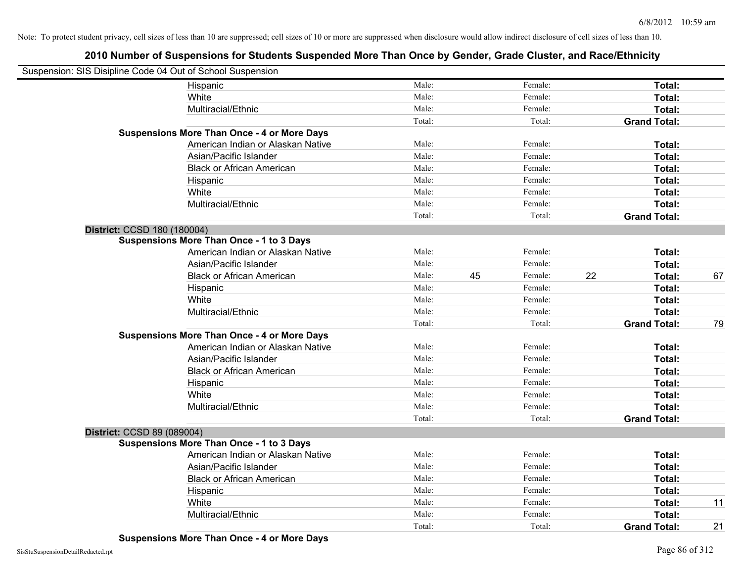| Suspension: SIS Disipline Code 04 Out of School Suspension |        |    |         |    |                     |    |
|------------------------------------------------------------|--------|----|---------|----|---------------------|----|
| Hispanic                                                   | Male:  |    | Female: |    | Total:              |    |
| White                                                      | Male:  |    | Female: |    | Total:              |    |
| Multiracial/Ethnic                                         | Male:  |    | Female: |    | Total:              |    |
|                                                            | Total: |    | Total:  |    | <b>Grand Total:</b> |    |
| <b>Suspensions More Than Once - 4 or More Days</b>         |        |    |         |    |                     |    |
| American Indian or Alaskan Native                          | Male:  |    | Female: |    | Total:              |    |
| Asian/Pacific Islander                                     | Male:  |    | Female: |    | Total:              |    |
| <b>Black or African American</b>                           | Male:  |    | Female: |    | Total:              |    |
| Hispanic                                                   | Male:  |    | Female: |    | Total:              |    |
| White                                                      | Male:  |    | Female: |    | Total:              |    |
| Multiracial/Ethnic                                         | Male:  |    | Female: |    | Total:              |    |
|                                                            | Total: |    | Total:  |    | <b>Grand Total:</b> |    |
| District: CCSD 180 (180004)                                |        |    |         |    |                     |    |
| <b>Suspensions More Than Once - 1 to 3 Days</b>            |        |    |         |    |                     |    |
| American Indian or Alaskan Native                          | Male:  |    | Female: |    | Total:              |    |
| Asian/Pacific Islander                                     | Male:  |    | Female: |    | Total:              |    |
| <b>Black or African American</b>                           | Male:  | 45 | Female: | 22 | Total:              | 67 |
| Hispanic                                                   | Male:  |    | Female: |    | Total:              |    |
| White                                                      | Male:  |    | Female: |    | Total:              |    |
| Multiracial/Ethnic                                         | Male:  |    | Female: |    | Total:              |    |
|                                                            | Total: |    | Total:  |    | <b>Grand Total:</b> | 79 |
| <b>Suspensions More Than Once - 4 or More Days</b>         |        |    |         |    |                     |    |
| American Indian or Alaskan Native                          | Male:  |    | Female: |    | Total:              |    |
| Asian/Pacific Islander                                     | Male:  |    | Female: |    | Total:              |    |
| <b>Black or African American</b>                           | Male:  |    | Female: |    | Total:              |    |
| Hispanic                                                   | Male:  |    | Female: |    | Total:              |    |
| White                                                      | Male:  |    | Female: |    | Total:              |    |
| Multiracial/Ethnic                                         | Male:  |    | Female: |    | Total:              |    |
|                                                            | Total: |    | Total:  |    | <b>Grand Total:</b> |    |
| District: CCSD 89 (089004)                                 |        |    |         |    |                     |    |
| <b>Suspensions More Than Once - 1 to 3 Days</b>            |        |    |         |    |                     |    |
| American Indian or Alaskan Native                          | Male:  |    | Female: |    | Total:              |    |
| Asian/Pacific Islander                                     | Male:  |    | Female: |    | Total:              |    |
| <b>Black or African American</b>                           | Male:  |    | Female: |    | Total:              |    |
| Hispanic                                                   | Male:  |    | Female: |    | Total:              |    |
| White                                                      | Male:  |    | Female: |    | Total:              | 11 |
| Multiracial/Ethnic                                         | Male:  |    | Female: |    | Total:              |    |
|                                                            | Total: |    | Total:  |    | <b>Grand Total:</b> | 21 |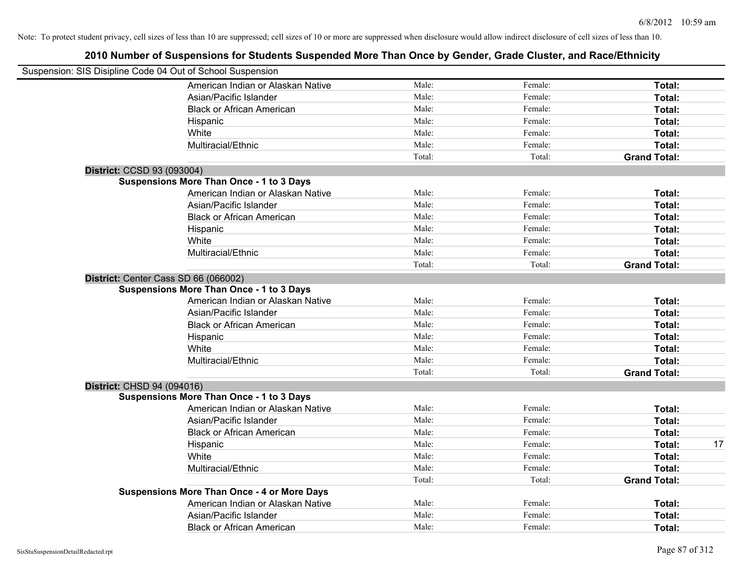|                            | Suspension: SIS Disipline Code 04 Out of School Suspension |        |         |                     |
|----------------------------|------------------------------------------------------------|--------|---------|---------------------|
|                            | American Indian or Alaskan Native                          | Male:  | Female: | Total:              |
|                            | Asian/Pacific Islander                                     | Male:  | Female: | Total:              |
|                            | <b>Black or African American</b>                           | Male:  | Female: | Total:              |
|                            | Hispanic                                                   | Male:  | Female: | Total:              |
|                            | White                                                      | Male:  | Female: | Total:              |
|                            | Multiracial/Ethnic                                         | Male:  | Female: | Total:              |
|                            |                                                            | Total: | Total:  | <b>Grand Total:</b> |
| District: CCSD 93 (093004) |                                                            |        |         |                     |
|                            | Suspensions More Than Once - 1 to 3 Days                   |        |         |                     |
|                            | American Indian or Alaskan Native                          | Male:  | Female: | Total:              |
|                            | Asian/Pacific Islander                                     | Male:  | Female: | Total:              |
|                            | <b>Black or African American</b>                           | Male:  | Female: | Total:              |
|                            | Hispanic                                                   | Male:  | Female: | Total:              |
|                            | White                                                      | Male:  | Female: | Total:              |
|                            | Multiracial/Ethnic                                         | Male:  | Female: | Total:              |
|                            |                                                            | Total: | Total:  | <b>Grand Total:</b> |
|                            | District: Center Cass SD 66 (066002)                       |        |         |                     |
|                            | <b>Suspensions More Than Once - 1 to 3 Days</b>            |        |         |                     |
|                            | American Indian or Alaskan Native                          | Male:  | Female: | Total:              |
|                            | Asian/Pacific Islander                                     | Male:  | Female: | Total:              |
|                            | <b>Black or African American</b>                           | Male:  | Female: | Total:              |
|                            | Hispanic                                                   | Male:  | Female: | Total:              |
|                            | White                                                      | Male:  | Female: | Total:              |
|                            | Multiracial/Ethnic                                         | Male:  | Female: | Total:              |
|                            |                                                            | Total: | Total:  | <b>Grand Total:</b> |
| District: CHSD 94 (094016) |                                                            |        |         |                     |
|                            | <b>Suspensions More Than Once - 1 to 3 Days</b>            |        |         |                     |
|                            | American Indian or Alaskan Native                          | Male:  | Female: | Total:              |
|                            | Asian/Pacific Islander                                     | Male:  | Female: | Total:              |
|                            | <b>Black or African American</b>                           | Male:  | Female: | Total:              |
|                            | Hispanic                                                   | Male:  | Female: | Total:              |
|                            | White                                                      | Male:  | Female: | Total:              |
|                            | Multiracial/Ethnic                                         | Male:  | Female: | Total:              |
|                            |                                                            | Total: | Total:  | <b>Grand Total:</b> |
|                            | <b>Suspensions More Than Once - 4 or More Days</b>         |        |         |                     |
|                            | American Indian or Alaskan Native                          | Male:  | Female: | Total:              |
|                            | Asian/Pacific Islander                                     | Male:  | Female: | Total:              |

Black or African American **Figure 10** Male: Female: Female: **Total:** Total: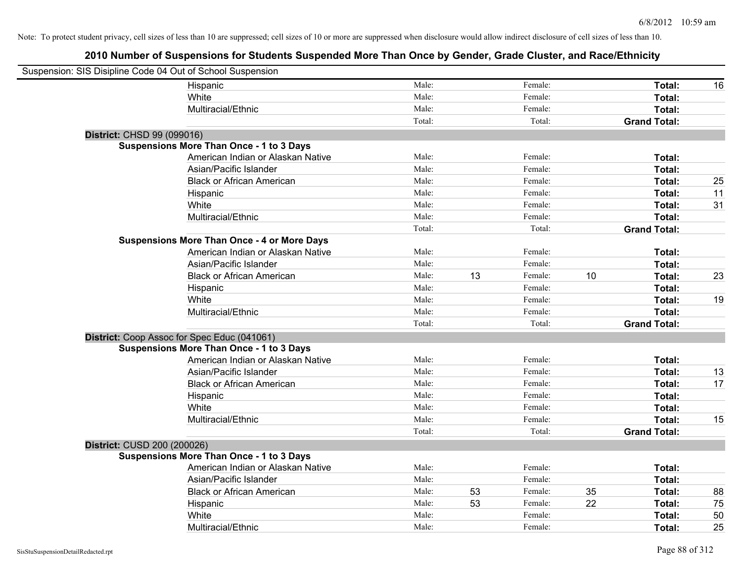| Suspension: SIS Disipline Code 04 Out of School Suspension |                                                    |        |    |         |    |                     |    |
|------------------------------------------------------------|----------------------------------------------------|--------|----|---------|----|---------------------|----|
|                                                            | Hispanic                                           | Male:  |    | Female: |    | Total:              | 16 |
|                                                            | White                                              | Male:  |    | Female: |    | Total:              |    |
|                                                            | Multiracial/Ethnic                                 | Male:  |    | Female: |    | Total:              |    |
|                                                            |                                                    | Total: |    | Total:  |    | <b>Grand Total:</b> |    |
| District: CHSD 99 (099016)                                 |                                                    |        |    |         |    |                     |    |
|                                                            | <b>Suspensions More Than Once - 1 to 3 Days</b>    |        |    |         |    |                     |    |
|                                                            | American Indian or Alaskan Native                  | Male:  |    | Female: |    | Total:              |    |
|                                                            | Asian/Pacific Islander                             | Male:  |    | Female: |    | Total:              |    |
|                                                            | <b>Black or African American</b>                   | Male:  |    | Female: |    | Total:              | 25 |
|                                                            | Hispanic                                           | Male:  |    | Female: |    | Total:              | 11 |
|                                                            | White                                              | Male:  |    | Female: |    | Total:              | 31 |
|                                                            | Multiracial/Ethnic                                 | Male:  |    | Female: |    | Total:              |    |
|                                                            |                                                    | Total: |    | Total:  |    | <b>Grand Total:</b> |    |
|                                                            | <b>Suspensions More Than Once - 4 or More Days</b> |        |    |         |    |                     |    |
|                                                            | American Indian or Alaskan Native                  | Male:  |    | Female: |    | Total:              |    |
|                                                            | Asian/Pacific Islander                             | Male:  |    | Female: |    | Total:              |    |
|                                                            | <b>Black or African American</b>                   | Male:  | 13 | Female: | 10 | Total:              | 23 |
|                                                            | Hispanic                                           | Male:  |    | Female: |    | Total:              |    |
|                                                            | White                                              | Male:  |    | Female: |    | Total:              | 19 |
|                                                            | Multiracial/Ethnic                                 | Male:  |    | Female: |    | Total:              |    |
|                                                            |                                                    | Total: |    | Total:  |    | <b>Grand Total:</b> |    |
|                                                            | District: Coop Assoc for Spec Educ (041061)        |        |    |         |    |                     |    |
|                                                            | <b>Suspensions More Than Once - 1 to 3 Days</b>    |        |    |         |    |                     |    |
|                                                            | American Indian or Alaskan Native                  | Male:  |    | Female: |    | Total:              |    |
|                                                            | Asian/Pacific Islander                             | Male:  |    | Female: |    | Total:              | 13 |
|                                                            | <b>Black or African American</b>                   | Male:  |    | Female: |    | Total:              | 17 |
|                                                            | Hispanic                                           | Male:  |    | Female: |    | Total:              |    |
|                                                            | White                                              | Male:  |    | Female: |    | Total:              |    |
|                                                            | Multiracial/Ethnic                                 | Male:  |    | Female: |    | Total:              | 15 |
|                                                            |                                                    | Total: |    | Total:  |    | <b>Grand Total:</b> |    |
| District: CUSD 200 (200026)                                |                                                    |        |    |         |    |                     |    |
|                                                            | <b>Suspensions More Than Once - 1 to 3 Days</b>    |        |    |         |    |                     |    |
|                                                            | American Indian or Alaskan Native                  | Male:  |    | Female: |    | Total:              |    |
|                                                            | Asian/Pacific Islander                             | Male:  |    | Female: |    | Total:              |    |
|                                                            | <b>Black or African American</b>                   | Male:  | 53 | Female: | 35 | Total:              | 88 |
|                                                            | Hispanic                                           | Male:  | 53 | Female: | 22 | Total:              | 75 |
|                                                            | White                                              | Male:  |    | Female: |    | Total:              | 50 |
|                                                            | Multiracial/Ethnic                                 | Male:  |    | Female: |    | Total:              | 25 |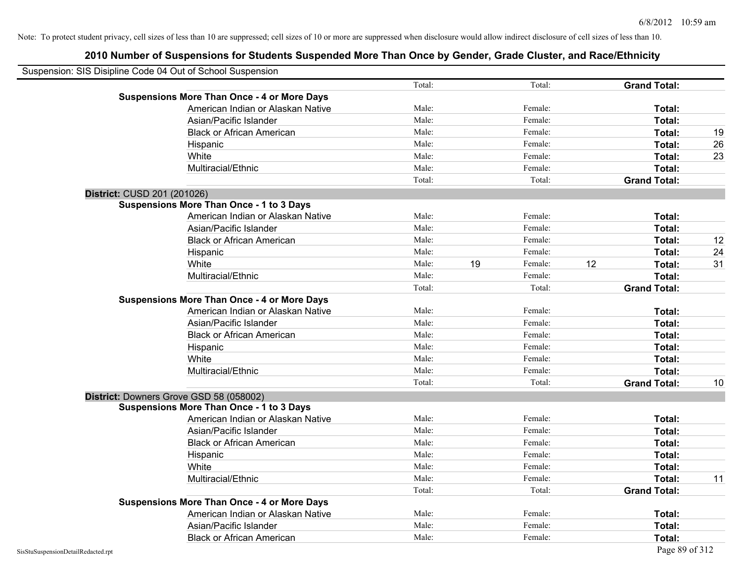| Suspension: SIS Disipline Code 04 Out of School Suspension |                                                    |        |    |         |    |                     |    |
|------------------------------------------------------------|----------------------------------------------------|--------|----|---------|----|---------------------|----|
|                                                            |                                                    | Total: |    | Total:  |    | <b>Grand Total:</b> |    |
|                                                            | <b>Suspensions More Than Once - 4 or More Days</b> |        |    |         |    |                     |    |
|                                                            | American Indian or Alaskan Native                  | Male:  |    | Female: |    | Total:              |    |
|                                                            | Asian/Pacific Islander                             | Male:  |    | Female: |    | Total:              |    |
|                                                            | <b>Black or African American</b>                   | Male:  |    | Female: |    | Total:              | 19 |
|                                                            | Hispanic                                           | Male:  |    | Female: |    | Total:              | 26 |
|                                                            | White                                              | Male:  |    | Female: |    | Total:              | 23 |
|                                                            | Multiracial/Ethnic                                 | Male:  |    | Female: |    | Total:              |    |
|                                                            |                                                    | Total: |    | Total:  |    | <b>Grand Total:</b> |    |
| District: CUSD 201 (201026)                                |                                                    |        |    |         |    |                     |    |
|                                                            | <b>Suspensions More Than Once - 1 to 3 Days</b>    |        |    |         |    |                     |    |
|                                                            | American Indian or Alaskan Native                  | Male:  |    | Female: |    | <b>Total:</b>       |    |
|                                                            | Asian/Pacific Islander                             | Male:  |    | Female: |    | Total:              |    |
|                                                            | <b>Black or African American</b>                   | Male:  |    | Female: |    | Total:              | 12 |
|                                                            | Hispanic                                           | Male:  |    | Female: |    | Total:              | 24 |
|                                                            | White                                              | Male:  | 19 | Female: | 12 | Total:              | 31 |
|                                                            | Multiracial/Ethnic                                 | Male:  |    | Female: |    | Total:              |    |
|                                                            |                                                    | Total: |    | Total:  |    | <b>Grand Total:</b> |    |
|                                                            | <b>Suspensions More Than Once - 4 or More Days</b> |        |    |         |    |                     |    |
|                                                            | American Indian or Alaskan Native                  | Male:  |    | Female: |    | Total:              |    |
|                                                            | Asian/Pacific Islander                             | Male:  |    | Female: |    | Total:              |    |
|                                                            | <b>Black or African American</b>                   | Male:  |    | Female: |    | Total:              |    |
|                                                            | Hispanic                                           | Male:  |    | Female: |    | Total:              |    |
|                                                            | White                                              | Male:  |    | Female: |    | Total:              |    |
|                                                            | Multiracial/Ethnic                                 | Male:  |    | Female: |    | Total:              |    |
|                                                            |                                                    | Total: |    | Total:  |    | <b>Grand Total:</b> | 10 |
|                                                            | District: Downers Grove GSD 58 (058002)            |        |    |         |    |                     |    |
|                                                            | <b>Suspensions More Than Once - 1 to 3 Days</b>    |        |    |         |    |                     |    |
|                                                            | American Indian or Alaskan Native                  | Male:  |    | Female: |    | <b>Total:</b>       |    |
|                                                            | Asian/Pacific Islander                             | Male:  |    | Female: |    | Total:              |    |
|                                                            | <b>Black or African American</b>                   | Male:  |    | Female: |    | Total:              |    |
|                                                            | Hispanic                                           | Male:  |    | Female: |    | Total:              |    |
|                                                            | White                                              | Male:  |    | Female: |    | Total:              |    |
|                                                            | Multiracial/Ethnic                                 | Male:  |    | Female: |    | Total:              | 11 |
|                                                            |                                                    | Total: |    | Total:  |    | <b>Grand Total:</b> |    |
|                                                            | <b>Suspensions More Than Once - 4 or More Days</b> |        |    |         |    |                     |    |
|                                                            | American Indian or Alaskan Native                  | Male:  |    | Female: |    | Total:              |    |
|                                                            | Asian/Pacific Islander                             | Male:  |    | Female: |    | Total:              |    |
|                                                            | <b>Black or African American</b>                   | Male:  |    | Female: |    | Total:              |    |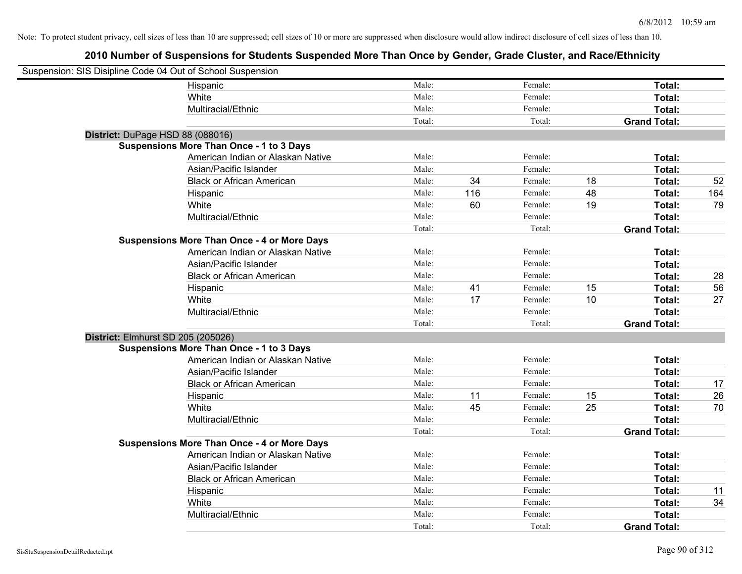| Suspension: SIS Disipline Code 04 Out of School Suspension |                                                    |        |     |         |    |                     |     |
|------------------------------------------------------------|----------------------------------------------------|--------|-----|---------|----|---------------------|-----|
|                                                            | Hispanic                                           | Male:  |     | Female: |    | Total:              |     |
|                                                            | White                                              | Male:  |     | Female: |    | Total:              |     |
|                                                            | Multiracial/Ethnic                                 | Male:  |     | Female: |    | Total:              |     |
|                                                            |                                                    | Total: |     | Total:  |    | <b>Grand Total:</b> |     |
| District: DuPage HSD 88 (088016)                           |                                                    |        |     |         |    |                     |     |
|                                                            | Suspensions More Than Once - 1 to 3 Days           |        |     |         |    |                     |     |
|                                                            | American Indian or Alaskan Native                  | Male:  |     | Female: |    | Total:              |     |
|                                                            | Asian/Pacific Islander                             | Male:  |     | Female: |    | Total:              |     |
|                                                            | <b>Black or African American</b>                   | Male:  | 34  | Female: | 18 | Total:              | 52  |
|                                                            | Hispanic                                           | Male:  | 116 | Female: | 48 | Total:              | 164 |
|                                                            | White                                              | Male:  | 60  | Female: | 19 | Total:              | 79  |
|                                                            | Multiracial/Ethnic                                 | Male:  |     | Female: |    | Total:              |     |
|                                                            |                                                    | Total: |     | Total:  |    | <b>Grand Total:</b> |     |
|                                                            | <b>Suspensions More Than Once - 4 or More Days</b> |        |     |         |    |                     |     |
|                                                            | American Indian or Alaskan Native                  | Male:  |     | Female: |    | Total:              |     |
|                                                            | Asian/Pacific Islander                             | Male:  |     | Female: |    | Total:              |     |
|                                                            | <b>Black or African American</b>                   | Male:  |     | Female: |    | Total:              | 28  |
|                                                            | Hispanic                                           | Male:  | 41  | Female: | 15 | Total:              | 56  |
|                                                            | White                                              | Male:  | 17  | Female: | 10 | Total:              | 27  |
|                                                            | Multiracial/Ethnic                                 | Male:  |     | Female: |    | Total:              |     |
|                                                            |                                                    | Total: |     | Total:  |    | <b>Grand Total:</b> |     |
| District: Elmhurst SD 205 (205026)                         |                                                    |        |     |         |    |                     |     |
|                                                            | <b>Suspensions More Than Once - 1 to 3 Days</b>    |        |     |         |    |                     |     |
|                                                            | American Indian or Alaskan Native                  | Male:  |     | Female: |    | Total:              |     |
|                                                            | Asian/Pacific Islander                             | Male:  |     | Female: |    | Total:              |     |
|                                                            | <b>Black or African American</b>                   | Male:  |     | Female: |    | Total:              | 17  |
|                                                            | Hispanic                                           | Male:  | 11  | Female: | 15 | Total:              | 26  |
|                                                            | White                                              | Male:  | 45  | Female: | 25 | Total:              | 70  |
|                                                            | Multiracial/Ethnic                                 | Male:  |     | Female: |    | Total:              |     |
|                                                            |                                                    | Total: |     | Total:  |    | <b>Grand Total:</b> |     |
|                                                            | <b>Suspensions More Than Once - 4 or More Days</b> |        |     |         |    |                     |     |
|                                                            | American Indian or Alaskan Native                  | Male:  |     | Female: |    | Total:              |     |
|                                                            | Asian/Pacific Islander                             | Male:  |     | Female: |    | Total:              |     |
|                                                            | <b>Black or African American</b>                   | Male:  |     | Female: |    | Total:              |     |
|                                                            | Hispanic                                           | Male:  |     | Female: |    | Total:              | 11  |
|                                                            | White                                              | Male:  |     | Female: |    | Total:              | 34  |
|                                                            | Multiracial/Ethnic                                 | Male:  |     | Female: |    | Total:              |     |
|                                                            |                                                    | Total: |     | Total:  |    | <b>Grand Total:</b> |     |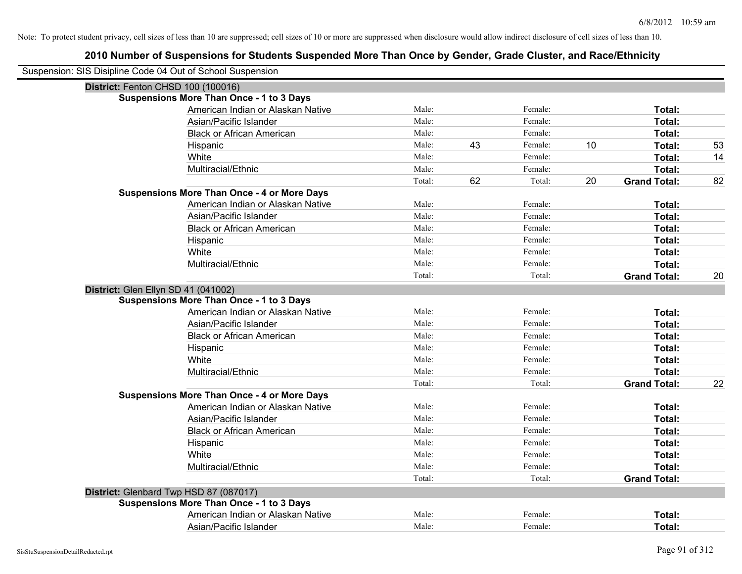| Suspension: SIS Disipline Code 04 Out of School Suspension |                                                    |        |    |         |    |                     |    |
|------------------------------------------------------------|----------------------------------------------------|--------|----|---------|----|---------------------|----|
| District: Fenton CHSD 100 (100016)                         |                                                    |        |    |         |    |                     |    |
|                                                            | <b>Suspensions More Than Once - 1 to 3 Days</b>    |        |    |         |    |                     |    |
|                                                            | American Indian or Alaskan Native                  | Male:  |    | Female: |    | Total:              |    |
|                                                            | Asian/Pacific Islander                             | Male:  |    | Female: |    | Total:              |    |
|                                                            | <b>Black or African American</b>                   | Male:  |    | Female: |    | Total:              |    |
|                                                            | Hispanic                                           | Male:  | 43 | Female: | 10 | Total:              | 53 |
|                                                            | White                                              | Male:  |    | Female: |    | Total:              | 14 |
|                                                            | Multiracial/Ethnic                                 | Male:  |    | Female: |    | Total:              |    |
|                                                            |                                                    | Total: | 62 | Total:  | 20 | <b>Grand Total:</b> | 82 |
|                                                            | <b>Suspensions More Than Once - 4 or More Days</b> |        |    |         |    |                     |    |
|                                                            | American Indian or Alaskan Native                  | Male:  |    | Female: |    | Total:              |    |
|                                                            | Asian/Pacific Islander                             | Male:  |    | Female: |    | Total:              |    |
|                                                            | <b>Black or African American</b>                   | Male:  |    | Female: |    | Total:              |    |
|                                                            | Hispanic                                           | Male:  |    | Female: |    | Total:              |    |
|                                                            | White                                              | Male:  |    | Female: |    | Total:              |    |
|                                                            | Multiracial/Ethnic                                 | Male:  |    | Female: |    | Total:              |    |
|                                                            |                                                    | Total: |    | Total:  |    | <b>Grand Total:</b> | 20 |
| District: Glen Ellyn SD 41 (041002)                        |                                                    |        |    |         |    |                     |    |
|                                                            | <b>Suspensions More Than Once - 1 to 3 Days</b>    |        |    |         |    |                     |    |
|                                                            | American Indian or Alaskan Native                  | Male:  |    | Female: |    | Total:              |    |
|                                                            | Asian/Pacific Islander                             | Male:  |    | Female: |    | Total:              |    |
|                                                            | <b>Black or African American</b>                   | Male:  |    | Female: |    | Total:              |    |
|                                                            | Hispanic                                           | Male:  |    | Female: |    | Total:              |    |
|                                                            | White                                              | Male:  |    | Female: |    | Total:              |    |
|                                                            | Multiracial/Ethnic                                 | Male:  |    | Female: |    | Total:              |    |
|                                                            |                                                    | Total: |    | Total:  |    | <b>Grand Total:</b> | 22 |
|                                                            | <b>Suspensions More Than Once - 4 or More Days</b> |        |    |         |    |                     |    |
|                                                            | American Indian or Alaskan Native                  | Male:  |    | Female: |    | Total:              |    |
|                                                            | Asian/Pacific Islander                             | Male:  |    | Female: |    | Total:              |    |
|                                                            | <b>Black or African American</b>                   | Male:  |    | Female: |    | Total:              |    |
|                                                            | Hispanic                                           | Male:  |    | Female: |    | Total:              |    |
|                                                            | White                                              | Male:  |    | Female: |    | Total:              |    |
|                                                            | Multiracial/Ethnic                                 | Male:  |    | Female: |    | Total:              |    |
|                                                            |                                                    | Total: |    | Total:  |    | <b>Grand Total:</b> |    |
|                                                            | District: Glenbard Twp HSD 87 (087017)             |        |    |         |    |                     |    |
|                                                            | <b>Suspensions More Than Once - 1 to 3 Days</b>    |        |    |         |    |                     |    |
|                                                            | American Indian or Alaskan Native                  | Male:  |    | Female: |    | Total:              |    |
|                                                            | Asian/Pacific Islander                             | Male:  |    | Female: |    | Total:              |    |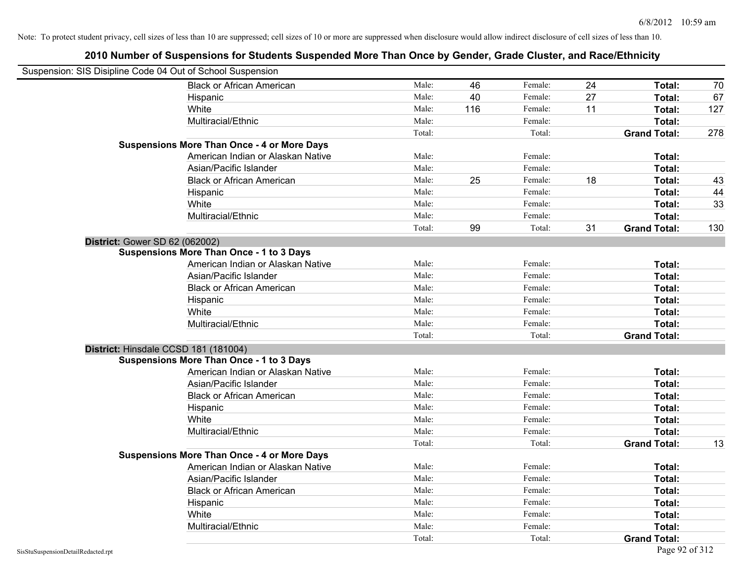| Suspension: SIS Disipline Code 04 Out of School Suspension |                                                    |        |     |         |    |                     |     |
|------------------------------------------------------------|----------------------------------------------------|--------|-----|---------|----|---------------------|-----|
|                                                            | <b>Black or African American</b>                   | Male:  | 46  | Female: | 24 | Total:              | 70  |
|                                                            | Hispanic                                           | Male:  | 40  | Female: | 27 | Total:              | 67  |
|                                                            | White                                              | Male:  | 116 | Female: | 11 | Total:              | 127 |
|                                                            | Multiracial/Ethnic                                 | Male:  |     | Female: |    | Total:              |     |
|                                                            |                                                    | Total: |     | Total:  |    | <b>Grand Total:</b> | 278 |
|                                                            | <b>Suspensions More Than Once - 4 or More Days</b> |        |     |         |    |                     |     |
|                                                            | American Indian or Alaskan Native                  | Male:  |     | Female: |    | Total:              |     |
|                                                            | Asian/Pacific Islander                             | Male:  |     | Female: |    | Total:              |     |
|                                                            | <b>Black or African American</b>                   | Male:  | 25  | Female: | 18 | Total:              | 43  |
|                                                            | Hispanic                                           | Male:  |     | Female: |    | Total:              | 44  |
|                                                            | White                                              | Male:  |     | Female: |    | Total:              | 33  |
|                                                            | Multiracial/Ethnic                                 | Male:  |     | Female: |    | Total:              |     |
|                                                            |                                                    | Total: | 99  | Total:  | 31 | <b>Grand Total:</b> | 130 |
| District: Gower SD 62 (062002)                             |                                                    |        |     |         |    |                     |     |
|                                                            | <b>Suspensions More Than Once - 1 to 3 Days</b>    |        |     |         |    |                     |     |
|                                                            | American Indian or Alaskan Native                  | Male:  |     | Female: |    | Total:              |     |
|                                                            | Asian/Pacific Islander                             | Male:  |     | Female: |    | Total:              |     |
|                                                            | <b>Black or African American</b>                   | Male:  |     | Female: |    | Total:              |     |
|                                                            | Hispanic                                           | Male:  |     | Female: |    | Total:              |     |
|                                                            | White                                              | Male:  |     | Female: |    | Total:              |     |
|                                                            | Multiracial/Ethnic                                 | Male:  |     | Female: |    | Total:              |     |
|                                                            |                                                    | Total: |     | Total:  |    | <b>Grand Total:</b> |     |
| District: Hinsdale CCSD 181 (181004)                       |                                                    |        |     |         |    |                     |     |
|                                                            | <b>Suspensions More Than Once - 1 to 3 Days</b>    |        |     |         |    |                     |     |
|                                                            | American Indian or Alaskan Native                  | Male:  |     | Female: |    | Total:              |     |
|                                                            | Asian/Pacific Islander                             | Male:  |     | Female: |    | Total:              |     |
|                                                            | <b>Black or African American</b>                   | Male:  |     | Female: |    | Total:              |     |
|                                                            | Hispanic                                           | Male:  |     | Female: |    | Total:              |     |
|                                                            | White                                              | Male:  |     | Female: |    | Total:              |     |
|                                                            | Multiracial/Ethnic                                 | Male:  |     | Female: |    | Total:              |     |
|                                                            |                                                    | Total: |     | Total:  |    | <b>Grand Total:</b> | 13  |
|                                                            | <b>Suspensions More Than Once - 4 or More Days</b> |        |     |         |    |                     |     |
|                                                            | American Indian or Alaskan Native                  | Male:  |     | Female: |    | Total:              |     |
|                                                            | Asian/Pacific Islander                             | Male:  |     | Female: |    | Total:              |     |
|                                                            | <b>Black or African American</b>                   | Male:  |     | Female: |    | Total:              |     |
|                                                            | Hispanic                                           | Male:  |     | Female: |    | Total:              |     |
|                                                            | White                                              | Male:  |     | Female: |    | Total:              |     |
|                                                            | Multiracial/Ethnic                                 | Male:  |     | Female: |    | Total:              |     |
|                                                            |                                                    | Total: |     | Total:  |    | <b>Grand Total:</b> |     |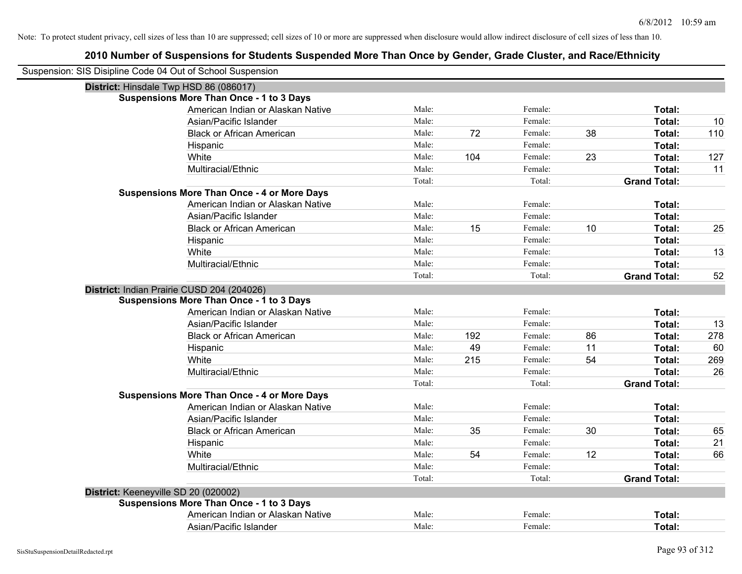| Suspension: SIS Disipline Code 04 Out of School Suspension |                                                    |        |     |         |    |                     |     |
|------------------------------------------------------------|----------------------------------------------------|--------|-----|---------|----|---------------------|-----|
|                                                            | District: Hinsdale Twp HSD 86 (086017)             |        |     |         |    |                     |     |
|                                                            | <b>Suspensions More Than Once - 1 to 3 Days</b>    |        |     |         |    |                     |     |
|                                                            | American Indian or Alaskan Native                  | Male:  |     | Female: |    | Total:              |     |
|                                                            | Asian/Pacific Islander                             | Male:  |     | Female: |    | Total:              | 10  |
|                                                            | <b>Black or African American</b>                   | Male:  | 72  | Female: | 38 | Total:              | 110 |
|                                                            | Hispanic                                           | Male:  |     | Female: |    | Total:              |     |
|                                                            | White                                              | Male:  | 104 | Female: | 23 | Total:              | 127 |
|                                                            | Multiracial/Ethnic                                 | Male:  |     | Female: |    | Total:              | 11  |
|                                                            |                                                    | Total: |     | Total:  |    | <b>Grand Total:</b> |     |
|                                                            | <b>Suspensions More Than Once - 4 or More Days</b> |        |     |         |    |                     |     |
|                                                            | American Indian or Alaskan Native                  | Male:  |     | Female: |    | Total:              |     |
|                                                            | Asian/Pacific Islander                             | Male:  |     | Female: |    | Total:              |     |
|                                                            | <b>Black or African American</b>                   | Male:  | 15  | Female: | 10 | Total:              | 25  |
|                                                            | Hispanic                                           | Male:  |     | Female: |    | Total:              |     |
|                                                            | White                                              | Male:  |     | Female: |    | Total:              | 13  |
|                                                            | Multiracial/Ethnic                                 | Male:  |     | Female: |    | Total:              |     |
|                                                            |                                                    | Total: |     | Total:  |    | <b>Grand Total:</b> | 52  |
|                                                            | District: Indian Prairie CUSD 204 (204026)         |        |     |         |    |                     |     |
|                                                            | <b>Suspensions More Than Once - 1 to 3 Days</b>    |        |     |         |    |                     |     |
|                                                            | American Indian or Alaskan Native                  | Male:  |     | Female: |    | Total:              |     |
|                                                            | Asian/Pacific Islander                             | Male:  |     | Female: |    | Total:              | 13  |
|                                                            | <b>Black or African American</b>                   | Male:  | 192 | Female: | 86 | Total:              | 278 |
|                                                            | Hispanic                                           | Male:  | 49  | Female: | 11 | Total:              | 60  |
|                                                            | White                                              | Male:  | 215 | Female: | 54 | Total:              | 269 |
|                                                            | Multiracial/Ethnic                                 | Male:  |     | Female: |    | Total:              | 26  |
|                                                            |                                                    | Total: |     | Total:  |    | <b>Grand Total:</b> |     |
|                                                            | <b>Suspensions More Than Once - 4 or More Days</b> |        |     |         |    |                     |     |
|                                                            | American Indian or Alaskan Native                  | Male:  |     | Female: |    | Total:              |     |
|                                                            | Asian/Pacific Islander                             | Male:  |     | Female: |    | Total:              |     |
|                                                            | <b>Black or African American</b>                   | Male:  | 35  | Female: | 30 | Total:              | 65  |
|                                                            | Hispanic                                           | Male:  |     | Female: |    | Total:              | 21  |
|                                                            | White                                              | Male:  | 54  | Female: | 12 | Total:              | 66  |
|                                                            | Multiracial/Ethnic                                 | Male:  |     | Female: |    | Total:              |     |
|                                                            |                                                    | Total: |     | Total:  |    | <b>Grand Total:</b> |     |
| District: Keeneyville SD 20 (020002)                       |                                                    |        |     |         |    |                     |     |
|                                                            | Suspensions More Than Once - 1 to 3 Days           |        |     |         |    |                     |     |
|                                                            | American Indian or Alaskan Native                  | Male:  |     | Female: |    | Total:              |     |
|                                                            | Asian/Pacific Islander                             | Male:  |     | Female: |    | Total:              |     |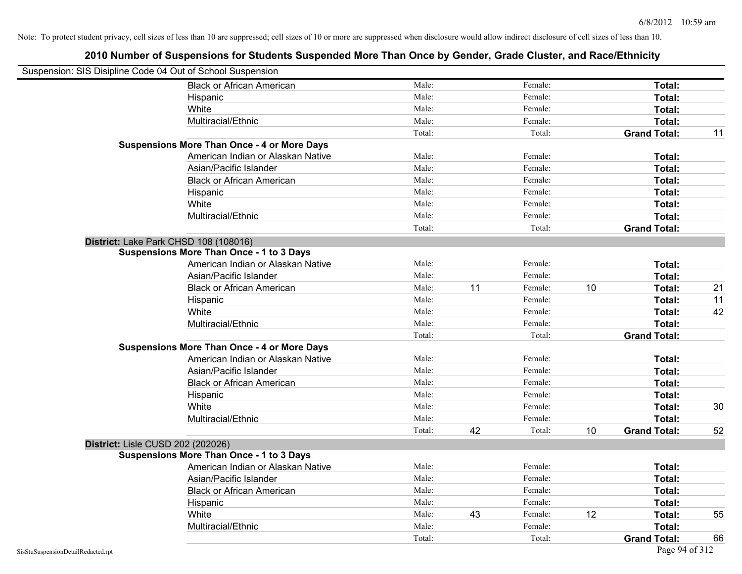| Suspension: SIS Disipline Code 04 Out of School Suspension |                                                    |        |    |         |    |                     |    |
|------------------------------------------------------------|----------------------------------------------------|--------|----|---------|----|---------------------|----|
|                                                            | <b>Black or African American</b>                   | Male:  |    | Female: |    | Total:              |    |
|                                                            | Hispanic                                           | Male:  |    | Female: |    | Total:              |    |
|                                                            | White                                              | Male:  |    | Female: |    | Total:              |    |
|                                                            | Multiracial/Ethnic                                 | Male:  |    | Female: |    | Total:              |    |
|                                                            |                                                    | Total: |    | Total:  |    | <b>Grand Total:</b> | 11 |
|                                                            | <b>Suspensions More Than Once - 4 or More Days</b> |        |    |         |    |                     |    |
|                                                            | American Indian or Alaskan Native                  | Male:  |    | Female: |    | Total:              |    |
|                                                            | Asian/Pacific Islander                             | Male:  |    | Female: |    | Total:              |    |
|                                                            | <b>Black or African American</b>                   | Male:  |    | Female: |    | Total:              |    |
|                                                            | Hispanic                                           | Male:  |    | Female: |    | Total:              |    |
|                                                            | White                                              | Male:  |    | Female: |    | Total:              |    |
|                                                            | Multiracial/Ethnic                                 | Male:  |    | Female: |    | Total:              |    |
|                                                            |                                                    | Total: |    | Total:  |    | <b>Grand Total:</b> |    |
|                                                            | District: Lake Park CHSD 108 (108016)              |        |    |         |    |                     |    |
|                                                            | <b>Suspensions More Than Once - 1 to 3 Days</b>    |        |    |         |    |                     |    |
|                                                            | American Indian or Alaskan Native                  | Male:  |    | Female: |    | Total:              |    |
|                                                            | Asian/Pacific Islander                             | Male:  |    | Female: |    | Total:              |    |
|                                                            | <b>Black or African American</b>                   | Male:  | 11 | Female: | 10 | Total:              | 21 |
|                                                            | Hispanic                                           | Male:  |    | Female: |    | Total:              | 11 |
|                                                            | White                                              | Male:  |    | Female: |    | Total:              | 42 |
|                                                            | Multiracial/Ethnic                                 | Male:  |    | Female: |    | Total:              |    |
|                                                            |                                                    | Total: |    | Total:  |    | <b>Grand Total:</b> |    |
|                                                            | <b>Suspensions More Than Once - 4 or More Days</b> |        |    |         |    |                     |    |
|                                                            | American Indian or Alaskan Native                  | Male:  |    | Female: |    | Total:              |    |
|                                                            | Asian/Pacific Islander                             | Male:  |    | Female: |    | Total:              |    |
|                                                            | <b>Black or African American</b>                   | Male:  |    | Female: |    | Total:              |    |
|                                                            | Hispanic                                           | Male:  |    | Female: |    | Total:              |    |
|                                                            | White                                              | Male:  |    | Female: |    | Total:              | 30 |
|                                                            | Multiracial/Ethnic                                 | Male:  |    | Female: |    | Total:              |    |
|                                                            |                                                    | Total: | 42 | Total:  | 10 | <b>Grand Total:</b> | 52 |
| District: Lisle CUSD 202 (202026)                          |                                                    |        |    |         |    |                     |    |
|                                                            | <b>Suspensions More Than Once - 1 to 3 Days</b>    |        |    |         |    |                     |    |
|                                                            | American Indian or Alaskan Native                  | Male:  |    | Female: |    | Total:              |    |
|                                                            | Asian/Pacific Islander                             | Male:  |    | Female: |    | Total:              |    |
|                                                            | <b>Black or African American</b>                   | Male:  |    | Female: |    | Total:              |    |
|                                                            | Hispanic                                           | Male:  |    | Female: |    | Total:              |    |
|                                                            | White                                              | Male:  | 43 | Female: | 12 | Total:              | 55 |
|                                                            | Multiracial/Ethnic                                 | Male:  |    | Female: |    | Total:              |    |
|                                                            |                                                    | Total: |    | Total:  |    | <b>Grand Total:</b> | 66 |
| SisStuSuspensionDetailRedacted.rpt                         |                                                    |        |    |         |    | Page 94 of 312      |    |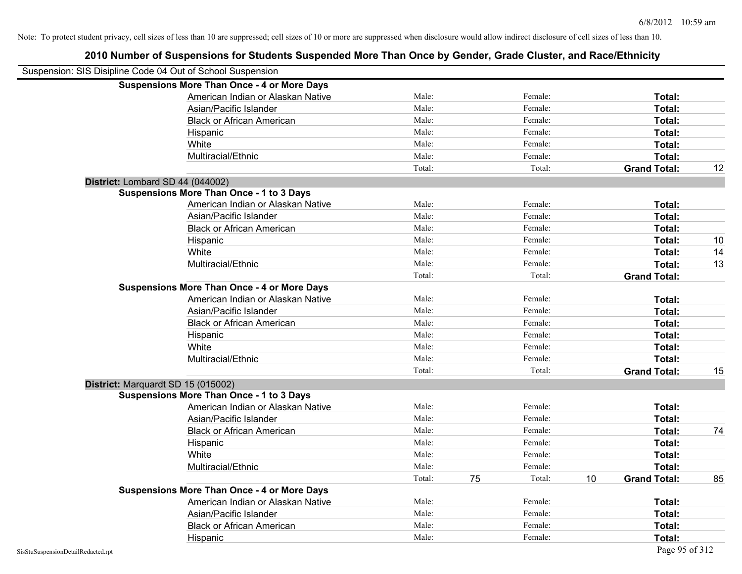|                                                            | 2010 Number of Suspensions for Students Suspended More Than Once by Gender, Grade Cluster, and Race/Ethnicity |        |    |         |    |                     |    |
|------------------------------------------------------------|---------------------------------------------------------------------------------------------------------------|--------|----|---------|----|---------------------|----|
| Suspension: SIS Disipline Code 04 Out of School Suspension |                                                                                                               |        |    |         |    |                     |    |
|                                                            | <b>Suspensions More Than Once - 4 or More Days</b>                                                            |        |    |         |    |                     |    |
|                                                            | American Indian or Alaskan Native                                                                             | Male:  |    | Female: |    | Total:              |    |
|                                                            | Asian/Pacific Islander                                                                                        | Male:  |    | Female: |    | Total:              |    |
|                                                            | <b>Black or African American</b>                                                                              | Male:  |    | Female: |    | Total:              |    |
|                                                            | Hispanic                                                                                                      | Male:  |    | Female: |    | Total:              |    |
|                                                            | White                                                                                                         | Male:  |    | Female: |    | Total:              |    |
|                                                            | Multiracial/Ethnic                                                                                            | Male:  |    | Female: |    | Total:              |    |
|                                                            |                                                                                                               | Total: |    | Total:  |    | <b>Grand Total:</b> | 12 |
| District: Lombard SD 44 (044002)                           |                                                                                                               |        |    |         |    |                     |    |
|                                                            | <b>Suspensions More Than Once - 1 to 3 Days</b>                                                               |        |    |         |    |                     |    |
|                                                            | American Indian or Alaskan Native                                                                             | Male:  |    | Female: |    | Total:              |    |
|                                                            | Asian/Pacific Islander                                                                                        | Male:  |    | Female: |    | Total:              |    |
|                                                            | <b>Black or African American</b>                                                                              | Male:  |    | Female: |    | Total:              |    |
|                                                            | Hispanic                                                                                                      | Male:  |    | Female: |    | Total:              | 10 |
|                                                            | White                                                                                                         | Male:  |    | Female: |    | Total:              | 14 |
|                                                            | Multiracial/Ethnic                                                                                            | Male:  |    | Female: |    | Total:              | 13 |
|                                                            |                                                                                                               | Total: |    | Total:  |    | <b>Grand Total:</b> |    |
|                                                            | <b>Suspensions More Than Once - 4 or More Days</b>                                                            |        |    |         |    |                     |    |
|                                                            | American Indian or Alaskan Native                                                                             | Male:  |    | Female: |    | Total:              |    |
|                                                            | Asian/Pacific Islander                                                                                        | Male:  |    | Female: |    | Total:              |    |
|                                                            | <b>Black or African American</b>                                                                              | Male:  |    | Female: |    | Total:              |    |
|                                                            | Hispanic                                                                                                      | Male:  |    | Female: |    | Total:              |    |
|                                                            | White                                                                                                         | Male:  |    | Female: |    | Total:              |    |
|                                                            | Multiracial/Ethnic                                                                                            | Male:  |    | Female: |    | Total:              |    |
|                                                            |                                                                                                               | Total: |    | Total:  |    | <b>Grand Total:</b> | 15 |
| District: Marquardt SD 15 (015002)                         |                                                                                                               |        |    |         |    |                     |    |
|                                                            | <b>Suspensions More Than Once - 1 to 3 Days</b>                                                               |        |    |         |    |                     |    |
|                                                            | American Indian or Alaskan Native                                                                             | Male:  |    | Female: |    | Total:              |    |
|                                                            | Asian/Pacific Islander                                                                                        | Male:  |    | Female: |    | Total:              |    |
|                                                            | <b>Black or African American</b>                                                                              | Male:  |    | Female: |    | Total:              | 74 |
|                                                            | Hispanic                                                                                                      | Male:  |    | Female: |    | Total:              |    |
|                                                            | White                                                                                                         | Male:  |    | Female: |    | Total:              |    |
|                                                            | Multiracial/Ethnic                                                                                            | Male:  |    | Female: |    | Total:              |    |
|                                                            |                                                                                                               | Total: | 75 | Total:  | 10 | <b>Grand Total:</b> | 85 |
|                                                            | <b>Suspensions More Than Once - 4 or More Days</b>                                                            |        |    |         |    |                     |    |
|                                                            | American Indian or Alaskan Native                                                                             | Male:  |    | Female: |    | Total:              |    |
|                                                            | Asian/Pacific Islander                                                                                        | Male:  |    | Female: |    | Total:              |    |
|                                                            | <b>Black or African American</b>                                                                              | Male:  |    | Female: |    | Total:              |    |

Hispanic **Total:** Male: Female: **Total:** Female: **Total:** Total: **Total:** Female: **Total:** Total: **Total:** Total: **Total:** Total: **Total:** Total: **Total:** Total: **Total:** Total: **Total:** Total: **Total:** Total: **Total:** Tot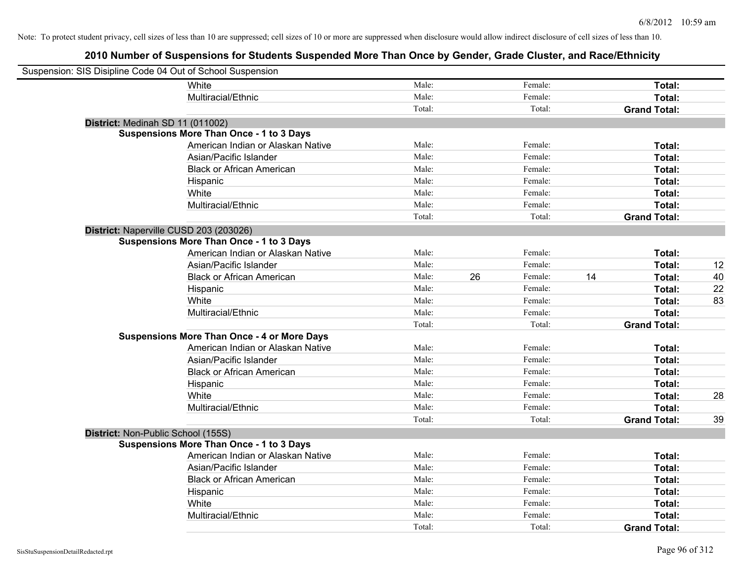| Suspension: SIS Disipline Code 04 Out of School Suspension |                                                    |        |    |         |    |                     |    |
|------------------------------------------------------------|----------------------------------------------------|--------|----|---------|----|---------------------|----|
|                                                            | White                                              | Male:  |    | Female: |    | Total:              |    |
|                                                            | Multiracial/Ethnic                                 | Male:  |    | Female: |    | Total:              |    |
|                                                            |                                                    | Total: |    | Total:  |    | <b>Grand Total:</b> |    |
| District: Medinah SD 11 (011002)                           |                                                    |        |    |         |    |                     |    |
|                                                            | <b>Suspensions More Than Once - 1 to 3 Days</b>    |        |    |         |    |                     |    |
|                                                            | American Indian or Alaskan Native                  | Male:  |    | Female: |    | Total:              |    |
|                                                            | Asian/Pacific Islander                             | Male:  |    | Female: |    | Total:              |    |
|                                                            | <b>Black or African American</b>                   | Male:  |    | Female: |    | Total:              |    |
|                                                            | Hispanic                                           | Male:  |    | Female: |    | Total:              |    |
|                                                            | White                                              | Male:  |    | Female: |    | Total:              |    |
|                                                            | Multiracial/Ethnic                                 | Male:  |    | Female: |    | Total:              |    |
|                                                            |                                                    | Total: |    | Total:  |    | <b>Grand Total:</b> |    |
| District: Naperville CUSD 203 (203026)                     |                                                    |        |    |         |    |                     |    |
|                                                            | <b>Suspensions More Than Once - 1 to 3 Days</b>    |        |    |         |    |                     |    |
|                                                            | American Indian or Alaskan Native                  | Male:  |    | Female: |    | Total:              |    |
|                                                            | Asian/Pacific Islander                             | Male:  |    | Female: |    | Total:              | 12 |
|                                                            | <b>Black or African American</b>                   | Male:  | 26 | Female: | 14 | Total:              | 40 |
|                                                            | Hispanic                                           | Male:  |    | Female: |    | Total:              | 22 |
|                                                            | White                                              | Male:  |    | Female: |    | Total:              | 83 |
|                                                            | Multiracial/Ethnic                                 | Male:  |    | Female: |    | Total:              |    |
|                                                            |                                                    | Total: |    | Total:  |    | <b>Grand Total:</b> |    |
|                                                            | <b>Suspensions More Than Once - 4 or More Days</b> |        |    |         |    |                     |    |
|                                                            | American Indian or Alaskan Native                  | Male:  |    | Female: |    | Total:              |    |
|                                                            | Asian/Pacific Islander                             | Male:  |    | Female: |    | Total:              |    |
|                                                            | <b>Black or African American</b>                   | Male:  |    | Female: |    | Total:              |    |
|                                                            | Hispanic                                           | Male:  |    | Female: |    | Total:              |    |
|                                                            | White                                              | Male:  |    | Female: |    | Total:              | 28 |
|                                                            | Multiracial/Ethnic                                 | Male:  |    | Female: |    | Total:              |    |
|                                                            |                                                    | Total: |    | Total:  |    | <b>Grand Total:</b> | 39 |
| District: Non-Public School (155S)                         |                                                    |        |    |         |    |                     |    |
|                                                            | <b>Suspensions More Than Once - 1 to 3 Days</b>    |        |    |         |    |                     |    |
|                                                            | American Indian or Alaskan Native                  | Male:  |    | Female: |    | Total:              |    |
|                                                            | Asian/Pacific Islander                             | Male:  |    | Female: |    | Total:              |    |
|                                                            | <b>Black or African American</b>                   | Male:  |    | Female: |    | Total:              |    |
|                                                            | Hispanic                                           | Male:  |    | Female: |    | Total:              |    |
|                                                            | White                                              | Male:  |    | Female: |    | Total:              |    |
|                                                            | Multiracial/Ethnic                                 | Male:  |    | Female: |    | Total:              |    |
|                                                            |                                                    | Total: |    | Total:  |    | <b>Grand Total:</b> |    |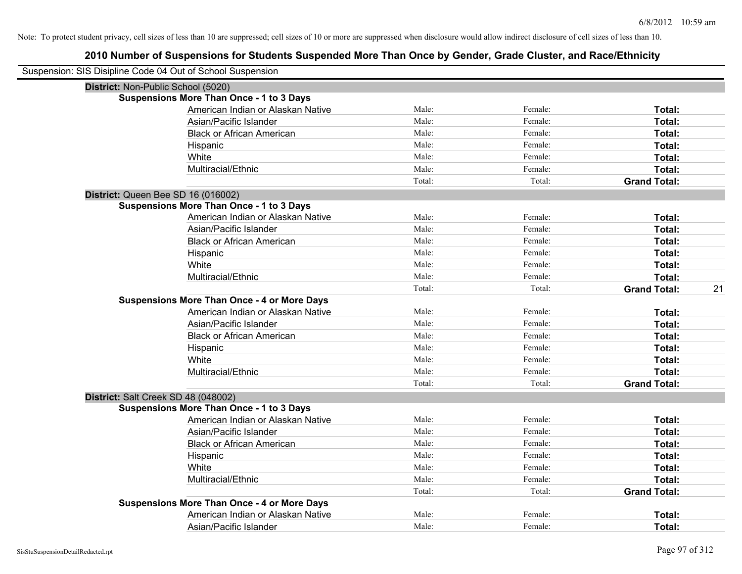| Suspension: SIS Disipline Code 04 Out of School Suspension |        |         |                     |    |
|------------------------------------------------------------|--------|---------|---------------------|----|
| District: Non-Public School (5020)                         |        |         |                     |    |
| <b>Suspensions More Than Once - 1 to 3 Days</b>            |        |         |                     |    |
| American Indian or Alaskan Native                          | Male:  | Female: | Total:              |    |
| Asian/Pacific Islander                                     | Male:  | Female: | Total:              |    |
| <b>Black or African American</b>                           | Male:  | Female: | Total:              |    |
| Hispanic                                                   | Male:  | Female: | Total:              |    |
| White                                                      | Male:  | Female: | Total:              |    |
| Multiracial/Ethnic                                         | Male:  | Female: | Total:              |    |
|                                                            | Total: | Total:  | <b>Grand Total:</b> |    |
| District: Queen Bee SD 16 (016002)                         |        |         |                     |    |
| <b>Suspensions More Than Once - 1 to 3 Days</b>            |        |         |                     |    |
| American Indian or Alaskan Native                          | Male:  | Female: | Total:              |    |
| Asian/Pacific Islander                                     | Male:  | Female: | Total:              |    |
| <b>Black or African American</b>                           | Male:  | Female: | Total:              |    |
| Hispanic                                                   | Male:  | Female: | Total:              |    |
| White                                                      | Male:  | Female: | Total:              |    |
| Multiracial/Ethnic                                         | Male:  | Female: | Total:              |    |
|                                                            | Total: | Total:  | <b>Grand Total:</b> | 21 |
| <b>Suspensions More Than Once - 4 or More Days</b>         |        |         |                     |    |
| American Indian or Alaskan Native                          | Male:  | Female: | Total:              |    |
| Asian/Pacific Islander                                     | Male:  | Female: | Total:              |    |
| <b>Black or African American</b>                           | Male:  | Female: | Total:              |    |
| Hispanic                                                   | Male:  | Female: | Total:              |    |
| White                                                      | Male:  | Female: | Total:              |    |
| Multiracial/Ethnic                                         | Male:  | Female: | Total:              |    |
|                                                            | Total: | Total:  | <b>Grand Total:</b> |    |
| District: Salt Creek SD 48 (048002)                        |        |         |                     |    |
| <b>Suspensions More Than Once - 1 to 3 Days</b>            |        |         |                     |    |
| American Indian or Alaskan Native                          | Male:  | Female: | Total:              |    |
| Asian/Pacific Islander                                     | Male:  | Female: | Total:              |    |
| <b>Black or African American</b>                           | Male:  | Female: | Total:              |    |
| Hispanic                                                   | Male:  | Female: | Total:              |    |
| White                                                      | Male:  | Female: | Total:              |    |
| Multiracial/Ethnic                                         | Male:  | Female: | Total:              |    |
|                                                            | Total: | Total:  | <b>Grand Total:</b> |    |
| <b>Suspensions More Than Once - 4 or More Days</b>         |        |         |                     |    |
| American Indian or Alaskan Native                          | Male:  | Female: | <b>Total:</b>       |    |
| Asian/Pacific Islander                                     | Male:  | Female: | Total:              |    |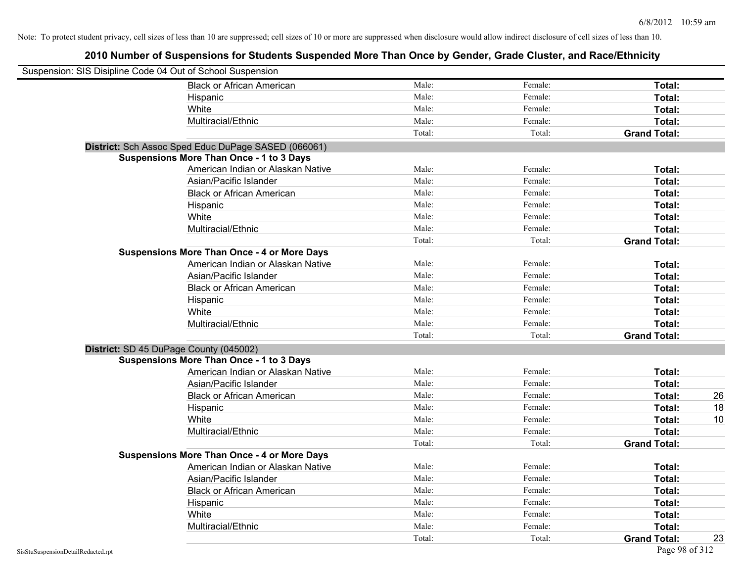| Suspension: SIS Disipline Code 04 Out of School Suspension |                                                     |        |         |                     |    |
|------------------------------------------------------------|-----------------------------------------------------|--------|---------|---------------------|----|
|                                                            | <b>Black or African American</b>                    | Male:  | Female: | Total:              |    |
|                                                            | Hispanic                                            | Male:  | Female: | Total:              |    |
|                                                            | White                                               | Male:  | Female: | Total:              |    |
|                                                            | Multiracial/Ethnic                                  | Male:  | Female: | Total:              |    |
|                                                            |                                                     | Total: | Total:  | <b>Grand Total:</b> |    |
|                                                            | District: Sch Assoc Sped Educ DuPage SASED (066061) |        |         |                     |    |
|                                                            | <b>Suspensions More Than Once - 1 to 3 Days</b>     |        |         |                     |    |
|                                                            | American Indian or Alaskan Native                   | Male:  | Female: | Total:              |    |
|                                                            | Asian/Pacific Islander                              | Male:  | Female: | Total:              |    |
|                                                            | <b>Black or African American</b>                    | Male:  | Female: | Total:              |    |
|                                                            | Hispanic                                            | Male:  | Female: | Total:              |    |
|                                                            | White                                               | Male:  | Female: | Total:              |    |
|                                                            | Multiracial/Ethnic                                  | Male:  | Female: | Total:              |    |
|                                                            |                                                     | Total: | Total:  | <b>Grand Total:</b> |    |
|                                                            | <b>Suspensions More Than Once - 4 or More Days</b>  |        |         |                     |    |
|                                                            | American Indian or Alaskan Native                   | Male:  | Female: | Total:              |    |
|                                                            | Asian/Pacific Islander                              | Male:  | Female: | Total:              |    |
|                                                            | <b>Black or African American</b>                    | Male:  | Female: | Total:              |    |
|                                                            | Hispanic                                            | Male:  | Female: | Total:              |    |
|                                                            | White                                               | Male:  | Female: | Total:              |    |
|                                                            | Multiracial/Ethnic                                  | Male:  | Female: | Total:              |    |
|                                                            |                                                     | Total: | Total:  | <b>Grand Total:</b> |    |
| District: SD 45 DuPage County (045002)                     |                                                     |        |         |                     |    |
|                                                            | <b>Suspensions More Than Once - 1 to 3 Days</b>     |        |         |                     |    |
|                                                            | American Indian or Alaskan Native                   | Male:  | Female: | Total:              |    |
|                                                            | Asian/Pacific Islander                              | Male:  | Female: | Total:              |    |
|                                                            | <b>Black or African American</b>                    | Male:  | Female: | Total:              | 26 |
|                                                            | Hispanic                                            | Male:  | Female: | Total:              | 18 |
|                                                            | White                                               | Male:  | Female: | Total:              | 10 |
|                                                            | Multiracial/Ethnic                                  | Male:  | Female: | Total:              |    |
|                                                            |                                                     | Total: | Total:  | <b>Grand Total:</b> |    |
|                                                            | <b>Suspensions More Than Once - 4 or More Days</b>  |        |         |                     |    |
|                                                            | American Indian or Alaskan Native                   | Male:  | Female: | Total:              |    |
|                                                            | Asian/Pacific Islander                              | Male:  | Female: | Total:              |    |
|                                                            | <b>Black or African American</b>                    | Male:  | Female: | Total:              |    |
|                                                            | Hispanic                                            | Male:  | Female: | Total:              |    |
|                                                            | White                                               | Male:  | Female: | Total:              |    |
|                                                            | Multiracial/Ethnic                                  | Male:  | Female: | Total:              |    |
|                                                            |                                                     | Total: | Total:  | <b>Grand Total:</b> | 23 |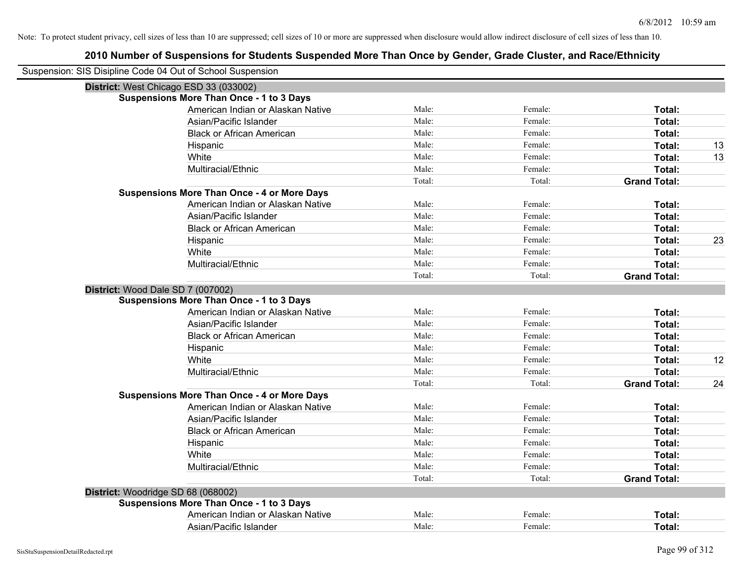| Suspension: SIS Disipline Code 04 Out of School Suspension |                                                    |        |         |                     |    |
|------------------------------------------------------------|----------------------------------------------------|--------|---------|---------------------|----|
|                                                            | District: West Chicago ESD 33 (033002)             |        |         |                     |    |
|                                                            | <b>Suspensions More Than Once - 1 to 3 Days</b>    |        |         |                     |    |
|                                                            | American Indian or Alaskan Native                  | Male:  | Female: | Total:              |    |
|                                                            | Asian/Pacific Islander                             | Male:  | Female: | <b>Total:</b>       |    |
|                                                            | <b>Black or African American</b>                   | Male:  | Female: | Total:              |    |
|                                                            | Hispanic                                           | Male:  | Female: | Total:              | 13 |
|                                                            | White                                              | Male:  | Female: | Total:              | 13 |
|                                                            | Multiracial/Ethnic                                 | Male:  | Female: | Total:              |    |
|                                                            |                                                    | Total: | Total:  | <b>Grand Total:</b> |    |
|                                                            | <b>Suspensions More Than Once - 4 or More Days</b> |        |         |                     |    |
|                                                            | American Indian or Alaskan Native                  | Male:  | Female: | Total:              |    |
|                                                            | Asian/Pacific Islander                             | Male:  | Female: | Total:              |    |
|                                                            | <b>Black or African American</b>                   | Male:  | Female: | Total:              |    |
|                                                            | Hispanic                                           | Male:  | Female: | Total:              | 23 |
|                                                            | White                                              | Male:  | Female: | Total:              |    |
|                                                            | Multiracial/Ethnic                                 | Male:  | Female: | Total:              |    |
|                                                            |                                                    | Total: | Total:  | <b>Grand Total:</b> |    |
| District: Wood Dale SD 7 (007002)                          |                                                    |        |         |                     |    |
|                                                            | <b>Suspensions More Than Once - 1 to 3 Days</b>    |        |         |                     |    |
|                                                            | American Indian or Alaskan Native                  | Male:  | Female: | Total:              |    |
|                                                            | Asian/Pacific Islander                             | Male:  | Female: | Total:              |    |
|                                                            | <b>Black or African American</b>                   | Male:  | Female: | Total:              |    |
|                                                            | Hispanic                                           | Male:  | Female: | Total:              |    |
|                                                            | White                                              | Male:  | Female: | Total:              | 12 |
|                                                            | Multiracial/Ethnic                                 | Male:  | Female: | Total:              |    |
|                                                            |                                                    | Total: | Total:  | <b>Grand Total:</b> | 24 |
|                                                            | <b>Suspensions More Than Once - 4 or More Days</b> |        |         |                     |    |
|                                                            | American Indian or Alaskan Native                  | Male:  | Female: | Total:              |    |
|                                                            | Asian/Pacific Islander                             | Male:  | Female: | Total:              |    |
|                                                            | <b>Black or African American</b>                   | Male:  | Female: | Total:              |    |
|                                                            | Hispanic                                           | Male:  | Female: | Total:              |    |
|                                                            | White                                              | Male:  | Female: | Total:              |    |
|                                                            | Multiracial/Ethnic                                 | Male:  | Female: | Total:              |    |
|                                                            |                                                    | Total: | Total:  | <b>Grand Total:</b> |    |
| District: Woodridge SD 68 (068002)                         |                                                    |        |         |                     |    |
|                                                            | <b>Suspensions More Than Once - 1 to 3 Days</b>    |        |         |                     |    |
|                                                            | American Indian or Alaskan Native                  | Male:  | Female: | Total:              |    |
|                                                            | Asian/Pacific Islander                             | Male:  | Female: | Total:              |    |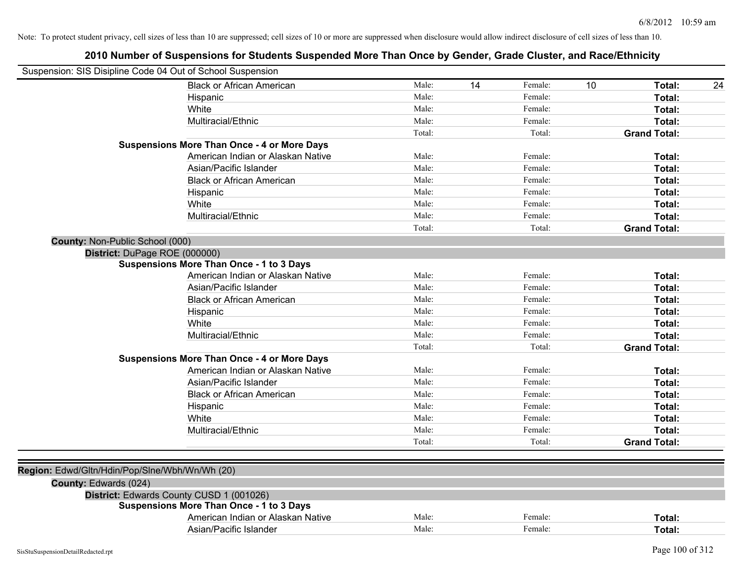| Suspension: SIS Disipline Code 04 Out of School Suspension |        |    |         |    |                     |    |
|------------------------------------------------------------|--------|----|---------|----|---------------------|----|
| <b>Black or African American</b>                           | Male:  | 14 | Female: | 10 | Total:              | 24 |
| Hispanic                                                   | Male:  |    | Female: |    | Total:              |    |
| White                                                      | Male:  |    | Female: |    | Total:              |    |
| Multiracial/Ethnic                                         | Male:  |    | Female: |    | Total:              |    |
|                                                            | Total: |    | Total:  |    | <b>Grand Total:</b> |    |
| <b>Suspensions More Than Once - 4 or More Days</b>         |        |    |         |    |                     |    |
| American Indian or Alaskan Native                          | Male:  |    | Female: |    | Total:              |    |
| Asian/Pacific Islander                                     | Male:  |    | Female: |    | Total:              |    |
| <b>Black or African American</b>                           | Male:  |    | Female: |    | Total:              |    |
| Hispanic                                                   | Male:  |    | Female: |    | Total:              |    |
| White                                                      | Male:  |    | Female: |    | Total:              |    |
| Multiracial/Ethnic                                         | Male:  |    | Female: |    | Total:              |    |
|                                                            | Total: |    | Total:  |    | <b>Grand Total:</b> |    |
| County: Non-Public School (000)                            |        |    |         |    |                     |    |
| District: DuPage ROE (000000)                              |        |    |         |    |                     |    |
| <b>Suspensions More Than Once - 1 to 3 Days</b>            |        |    |         |    |                     |    |
| American Indian or Alaskan Native                          | Male:  |    | Female: |    | Total:              |    |
| Asian/Pacific Islander                                     | Male:  |    | Female: |    | Total:              |    |
| <b>Black or African American</b>                           | Male:  |    | Female: |    | Total:              |    |
| Hispanic                                                   | Male:  |    | Female: |    | Total:              |    |
| White                                                      | Male:  |    | Female: |    | Total:              |    |
| Multiracial/Ethnic                                         | Male:  |    | Female: |    | Total:              |    |
|                                                            | Total: |    | Total:  |    | <b>Grand Total:</b> |    |
| <b>Suspensions More Than Once - 4 or More Days</b>         |        |    |         |    |                     |    |
| American Indian or Alaskan Native                          | Male:  |    | Female: |    | Total:              |    |
| Asian/Pacific Islander                                     | Male:  |    | Female: |    | Total:              |    |
| <b>Black or African American</b>                           | Male:  |    | Female: |    | Total:              |    |
| Hispanic                                                   | Male:  |    | Female: |    | Total:              |    |
| White                                                      | Male:  |    | Female: |    | Total:              |    |
| Multiracial/Ethnic                                         | Male:  |    | Female: |    | Total:              |    |
|                                                            | Total: |    | Total:  |    | <b>Grand Total:</b> |    |
|                                                            |        |    |         |    |                     |    |
| Region: Edwd/Gltn/Hdin/Pop/Slne/Wbh/Wn/Wh (20)             |        |    |         |    |                     |    |
| County: Edwards (024)                                      |        |    |         |    |                     |    |
| District: Edwards County CUSD 1 (001026)                   |        |    |         |    |                     |    |
| <b>Suspensions More Than Once - 1 to 3 Days</b>            |        |    |         |    |                     |    |
| American Indian or Alaskan Native                          | Male:  |    | Female: |    | Total:              |    |
| Asian/Pacific Islander                                     | Male:  |    | Female: |    | Total:              |    |
|                                                            |        |    |         |    |                     |    |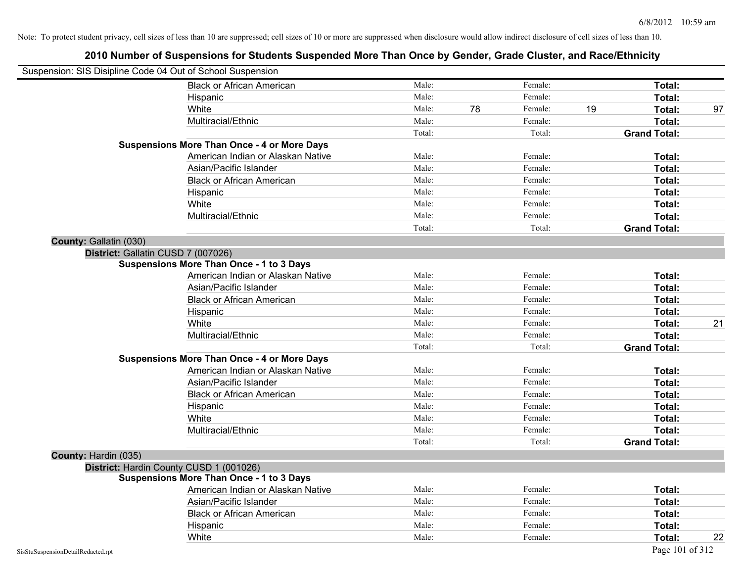| Suspension: SIS Disipline Code 04 Out of School Suspension |                                                    |        |    |         |    |                     |    |
|------------------------------------------------------------|----------------------------------------------------|--------|----|---------|----|---------------------|----|
|                                                            | <b>Black or African American</b>                   | Male:  |    | Female: |    | Total:              |    |
|                                                            | Hispanic                                           | Male:  |    | Female: |    | Total:              |    |
|                                                            | White                                              | Male:  | 78 | Female: | 19 | Total:              | 97 |
|                                                            | Multiracial/Ethnic                                 | Male:  |    | Female: |    | Total:              |    |
|                                                            |                                                    | Total: |    | Total:  |    | <b>Grand Total:</b> |    |
|                                                            | <b>Suspensions More Than Once - 4 or More Days</b> |        |    |         |    |                     |    |
|                                                            | American Indian or Alaskan Native                  | Male:  |    | Female: |    | Total:              |    |
|                                                            | Asian/Pacific Islander                             | Male:  |    | Female: |    | Total:              |    |
|                                                            | <b>Black or African American</b>                   | Male:  |    | Female: |    | Total:              |    |
|                                                            | Hispanic                                           | Male:  |    | Female: |    | Total:              |    |
|                                                            | White                                              | Male:  |    | Female: |    | Total:              |    |
|                                                            | Multiracial/Ethnic                                 | Male:  |    | Female: |    | Total:              |    |
|                                                            |                                                    | Total: |    | Total:  |    | <b>Grand Total:</b> |    |
| County: Gallatin (030)                                     |                                                    |        |    |         |    |                     |    |
|                                                            | District: Gallatin CUSD 7 (007026)                 |        |    |         |    |                     |    |
|                                                            | <b>Suspensions More Than Once - 1 to 3 Days</b>    |        |    |         |    |                     |    |
|                                                            | American Indian or Alaskan Native                  | Male:  |    | Female: |    | Total:              |    |
|                                                            | Asian/Pacific Islander                             | Male:  |    | Female: |    | Total:              |    |
|                                                            | <b>Black or African American</b>                   | Male:  |    | Female: |    | Total:              |    |
|                                                            | Hispanic                                           | Male:  |    | Female: |    | Total:              |    |
|                                                            | White                                              | Male:  |    | Female: |    | Total:              | 21 |
|                                                            | Multiracial/Ethnic                                 | Male:  |    | Female: |    | Total:              |    |
|                                                            |                                                    | Total: |    | Total:  |    | <b>Grand Total:</b> |    |
|                                                            | <b>Suspensions More Than Once - 4 or More Days</b> |        |    |         |    |                     |    |
|                                                            | American Indian or Alaskan Native                  | Male:  |    | Female: |    | Total:              |    |
|                                                            | Asian/Pacific Islander                             | Male:  |    | Female: |    | Total:              |    |
|                                                            | <b>Black or African American</b>                   | Male:  |    | Female: |    | Total:              |    |
|                                                            | Hispanic                                           | Male:  |    | Female: |    | Total:              |    |
|                                                            | White                                              | Male:  |    | Female: |    | Total:              |    |
|                                                            | Multiracial/Ethnic                                 | Male:  |    | Female: |    | Total:              |    |
|                                                            |                                                    | Total: |    | Total:  |    | <b>Grand Total:</b> |    |
| County: Hardin (035)                                       |                                                    |        |    |         |    |                     |    |
|                                                            | District: Hardin County CUSD 1 (001026)            |        |    |         |    |                     |    |
|                                                            | <b>Suspensions More Than Once - 1 to 3 Days</b>    |        |    |         |    |                     |    |
|                                                            | American Indian or Alaskan Native                  | Male:  |    | Female: |    | Total:              |    |
|                                                            | Asian/Pacific Islander                             | Male:  |    | Female: |    | Total:              |    |
|                                                            | <b>Black or African American</b>                   | Male:  |    | Female: |    | Total:              |    |
|                                                            | Hispanic                                           | Male:  |    | Female: |    | Total:              |    |
|                                                            | White                                              | Male:  |    | Female: |    | Total:              | 22 |
| SisStuSuspensionDetailRedacted.rpt                         |                                                    |        |    |         |    | Page 101 of 312     |    |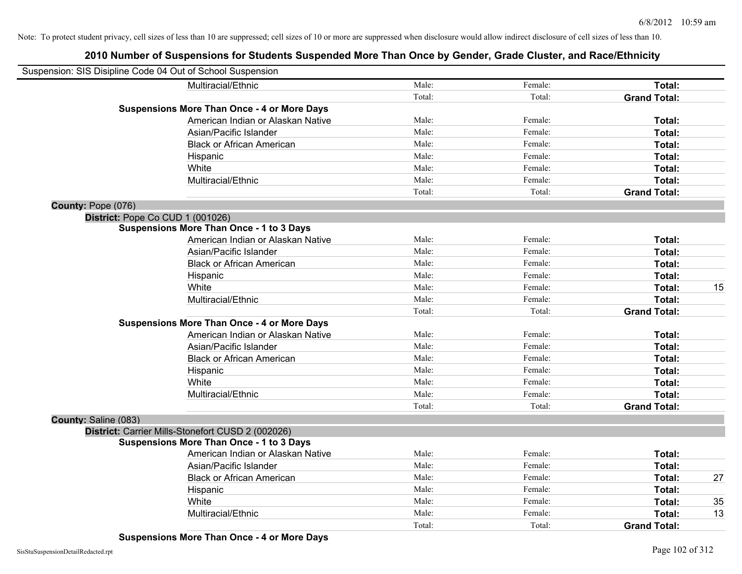## **2010 Number of Suspensions for Students Suspended More Than Once by Gender, Grade Cluster, and Race/Ethnicity**

| Suspension: SIS Disipline Code 04 Out of School Suspension |                                                    |        |         |                     |    |
|------------------------------------------------------------|----------------------------------------------------|--------|---------|---------------------|----|
|                                                            | Multiracial/Ethnic                                 | Male:  | Female: | Total:              |    |
|                                                            |                                                    | Total: | Total:  | <b>Grand Total:</b> |    |
|                                                            | <b>Suspensions More Than Once - 4 or More Days</b> |        |         |                     |    |
|                                                            | American Indian or Alaskan Native                  | Male:  | Female: | Total:              |    |
|                                                            | Asian/Pacific Islander                             | Male:  | Female: | Total:              |    |
|                                                            | <b>Black or African American</b>                   | Male:  | Female: | Total:              |    |
|                                                            | Hispanic                                           | Male:  | Female: | Total:              |    |
|                                                            | White                                              | Male:  | Female: | Total:              |    |
|                                                            | Multiracial/Ethnic                                 | Male:  | Female: | Total:              |    |
|                                                            |                                                    | Total: | Total:  | <b>Grand Total:</b> |    |
| County: Pope (076)                                         |                                                    |        |         |                     |    |
| District: Pope Co CUD 1 (001026)                           |                                                    |        |         |                     |    |
|                                                            | <b>Suspensions More Than Once - 1 to 3 Days</b>    |        |         |                     |    |
|                                                            | American Indian or Alaskan Native                  | Male:  | Female: | Total:              |    |
|                                                            | Asian/Pacific Islander                             | Male:  | Female: | Total:              |    |
|                                                            | <b>Black or African American</b>                   | Male:  | Female: | Total:              |    |
|                                                            | Hispanic                                           | Male:  | Female: | Total:              |    |
|                                                            | White                                              | Male:  | Female: | Total:              | 15 |
|                                                            | Multiracial/Ethnic                                 | Male:  | Female: | Total:              |    |
|                                                            |                                                    | Total: | Total:  | <b>Grand Total:</b> |    |
|                                                            | <b>Suspensions More Than Once - 4 or More Days</b> |        |         |                     |    |
|                                                            | American Indian or Alaskan Native                  | Male:  | Female: | Total:              |    |
|                                                            | Asian/Pacific Islander                             | Male:  | Female: | Total:              |    |
|                                                            | <b>Black or African American</b>                   | Male:  | Female: | Total:              |    |
|                                                            | Hispanic                                           | Male:  | Female: | Total:              |    |
|                                                            | White                                              | Male:  | Female: | Total:              |    |
|                                                            | Multiracial/Ethnic                                 | Male:  | Female: | Total:              |    |
|                                                            |                                                    | Total: | Total:  | <b>Grand Total:</b> |    |
| County: Saline (083)                                       |                                                    |        |         |                     |    |
|                                                            | District: Carrier Mills-Stonefort CUSD 2 (002026)  |        |         |                     |    |
|                                                            | <b>Suspensions More Than Once - 1 to 3 Days</b>    |        |         |                     |    |
|                                                            | American Indian or Alaskan Native                  | Male:  | Female: | Total:              |    |
|                                                            | Asian/Pacific Islander                             | Male:  | Female: | Total:              |    |
|                                                            | <b>Black or African American</b>                   | Male:  | Female: | Total:              | 27 |
|                                                            | Hispanic                                           | Male:  | Female: | Total:              |    |
|                                                            | White                                              | Male:  | Female: | Total:              | 35 |
|                                                            | Multiracial/Ethnic                                 | Male:  | Female: | Total:              | 13 |
|                                                            |                                                    | Total: | Total:  | <b>Grand Total:</b> |    |

**Suspensions More Than Once - 4 or More Days**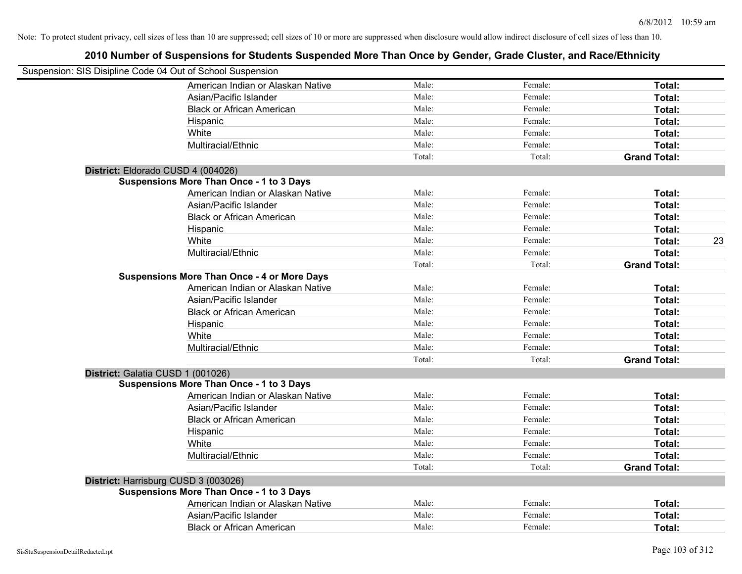| Suspension: SIS Disipline Code 04 Out of School Suspension |        |         |                     |    |
|------------------------------------------------------------|--------|---------|---------------------|----|
| American Indian or Alaskan Native                          | Male:  | Female: | Total:              |    |
| Asian/Pacific Islander                                     | Male:  | Female: | Total:              |    |
| <b>Black or African American</b>                           | Male:  | Female: | Total:              |    |
| Hispanic                                                   | Male:  | Female: | Total:              |    |
| White                                                      | Male:  | Female: | Total:              |    |
| Multiracial/Ethnic                                         | Male:  | Female: | Total:              |    |
|                                                            | Total: | Total:  | <b>Grand Total:</b> |    |
| District: Eldorado CUSD 4 (004026)                         |        |         |                     |    |
| <b>Suspensions More Than Once - 1 to 3 Days</b>            |        |         |                     |    |
| American Indian or Alaskan Native                          | Male:  | Female: | Total:              |    |
| Asian/Pacific Islander                                     | Male:  | Female: | Total:              |    |
| <b>Black or African American</b>                           | Male:  | Female: | Total:              |    |
| Hispanic                                                   | Male:  | Female: | Total:              |    |
| White                                                      | Male:  | Female: | Total:              | 23 |
| Multiracial/Ethnic                                         | Male:  | Female: | Total:              |    |
|                                                            | Total: | Total:  | <b>Grand Total:</b> |    |
| <b>Suspensions More Than Once - 4 or More Days</b>         |        |         |                     |    |
| American Indian or Alaskan Native                          | Male:  | Female: | Total:              |    |
| Asian/Pacific Islander                                     | Male:  | Female: | Total:              |    |
| <b>Black or African American</b>                           | Male:  | Female: | Total:              |    |
| Hispanic                                                   | Male:  | Female: | Total:              |    |
| White                                                      | Male:  | Female: | Total:              |    |
| Multiracial/Ethnic                                         | Male:  | Female: | Total:              |    |
|                                                            | Total: | Total:  | <b>Grand Total:</b> |    |
| District: Galatia CUSD 1 (001026)                          |        |         |                     |    |
| <b>Suspensions More Than Once - 1 to 3 Days</b>            |        |         |                     |    |
| American Indian or Alaskan Native                          | Male:  | Female: | Total:              |    |
| Asian/Pacific Islander                                     | Male:  | Female: | Total:              |    |
| <b>Black or African American</b>                           | Male:  | Female: | Total:              |    |
| Hispanic                                                   | Male:  | Female: | Total:              |    |
| White                                                      | Male:  | Female: | Total:              |    |
| Multiracial/Ethnic                                         | Male:  | Female: | Total:              |    |
|                                                            | Total: | Total:  | <b>Grand Total:</b> |    |
| District: Harrisburg CUSD 3 (003026)                       |        |         |                     |    |
| <b>Suspensions More Than Once - 1 to 3 Days</b>            |        |         |                     |    |
| American Indian or Alaskan Native                          | Male:  | Female: | Total:              |    |
| Asian/Pacific Islander                                     | Male:  | Female: | <b>Total:</b>       |    |
| <b>Black or African American</b>                           | Male:  | Female: | Total:              |    |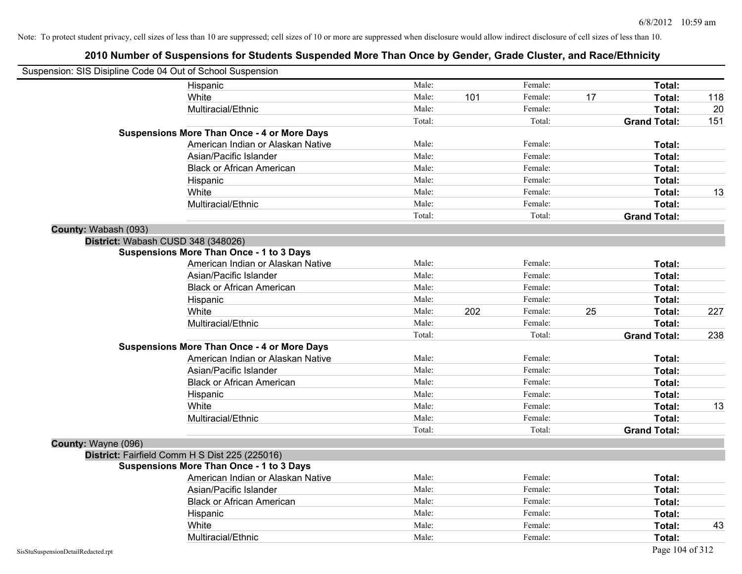| Suspension: SIS Disipline Code 04 Out of School Suspension |                                                    |        |     |         |    |                     |     |
|------------------------------------------------------------|----------------------------------------------------|--------|-----|---------|----|---------------------|-----|
|                                                            | Hispanic                                           | Male:  |     | Female: |    | Total:              |     |
|                                                            | White                                              | Male:  | 101 | Female: | 17 | Total:              | 118 |
|                                                            | Multiracial/Ethnic                                 | Male:  |     | Female: |    | Total:              | 20  |
|                                                            |                                                    | Total: |     | Total:  |    | <b>Grand Total:</b> | 151 |
|                                                            | <b>Suspensions More Than Once - 4 or More Days</b> |        |     |         |    |                     |     |
|                                                            | American Indian or Alaskan Native                  | Male:  |     | Female: |    | Total:              |     |
|                                                            | Asian/Pacific Islander                             | Male:  |     | Female: |    | Total:              |     |
|                                                            | <b>Black or African American</b>                   | Male:  |     | Female: |    | Total:              |     |
|                                                            | Hispanic                                           | Male:  |     | Female: |    | Total:              |     |
|                                                            | White                                              | Male:  |     | Female: |    | Total:              | 13  |
|                                                            | Multiracial/Ethnic                                 | Male:  |     | Female: |    | Total:              |     |
|                                                            |                                                    | Total: |     | Total:  |    | <b>Grand Total:</b> |     |
| County: Wabash (093)                                       |                                                    |        |     |         |    |                     |     |
|                                                            | District: Wabash CUSD 348 (348026)                 |        |     |         |    |                     |     |
|                                                            | <b>Suspensions More Than Once - 1 to 3 Days</b>    |        |     |         |    |                     |     |
|                                                            | American Indian or Alaskan Native                  | Male:  |     | Female: |    | Total:              |     |
|                                                            | Asian/Pacific Islander                             | Male:  |     | Female: |    | Total:              |     |
|                                                            | <b>Black or African American</b>                   | Male:  |     | Female: |    | Total:              |     |
|                                                            | Hispanic                                           | Male:  |     | Female: |    | Total:              |     |
|                                                            | White                                              | Male:  | 202 | Female: | 25 | Total:              | 227 |
|                                                            | Multiracial/Ethnic                                 | Male:  |     | Female: |    | Total:              |     |
|                                                            |                                                    | Total: |     | Total:  |    | <b>Grand Total:</b> | 238 |
|                                                            | <b>Suspensions More Than Once - 4 or More Days</b> |        |     |         |    |                     |     |
|                                                            | American Indian or Alaskan Native                  | Male:  |     | Female: |    | Total:              |     |
|                                                            | Asian/Pacific Islander                             | Male:  |     | Female: |    | Total:              |     |
|                                                            | <b>Black or African American</b>                   | Male:  |     | Female: |    | Total:              |     |
|                                                            | Hispanic                                           | Male:  |     | Female: |    | Total:              |     |
|                                                            | White                                              | Male:  |     | Female: |    | Total:              | 13  |
|                                                            | Multiracial/Ethnic                                 | Male:  |     | Female: |    | Total:              |     |
|                                                            |                                                    | Total: |     | Total:  |    | <b>Grand Total:</b> |     |
| County: Wayne (096)                                        |                                                    |        |     |         |    |                     |     |
|                                                            | District: Fairfield Comm H S Dist 225 (225016)     |        |     |         |    |                     |     |
|                                                            | <b>Suspensions More Than Once - 1 to 3 Days</b>    |        |     |         |    |                     |     |
|                                                            | American Indian or Alaskan Native                  | Male:  |     | Female: |    | Total:              |     |
|                                                            | Asian/Pacific Islander                             | Male:  |     | Female: |    | Total:              |     |
|                                                            | <b>Black or African American</b>                   | Male:  |     | Female: |    | Total:              |     |
|                                                            | Hispanic                                           | Male:  |     | Female: |    | Total:              |     |
|                                                            | White                                              | Male:  |     | Female: |    | Total:              | 43  |
|                                                            | Multiracial/Ethnic                                 | Male:  |     | Female: |    | Total:              |     |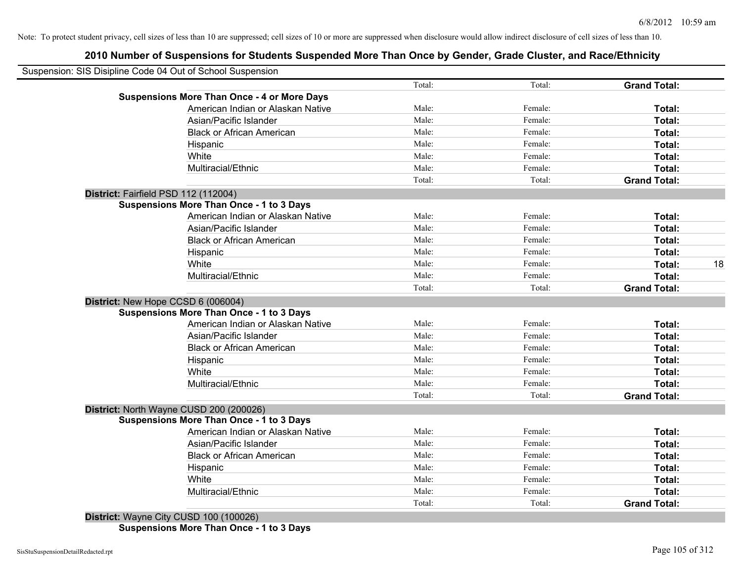#### **2010 Number of Suspensions for Students Suspended More Than Once by Gender, Grade Cluster, and Race/Ethnicity**

|                                                    | Total: | Total:  | <b>Grand Total:</b> |
|----------------------------------------------------|--------|---------|---------------------|
| <b>Suspensions More Than Once - 4 or More Days</b> |        |         |                     |
| American Indian or Alaskan Native                  | Male:  | Female: | Total:              |
| Asian/Pacific Islander                             | Male:  | Female: | Total:              |
| <b>Black or African American</b>                   | Male:  | Female: | Total:              |
| Hispanic                                           | Male:  | Female: | Total:              |
| White                                              | Male:  | Female: | Total:              |
| Multiracial/Ethnic                                 | Male:  | Female: | Total:              |
|                                                    | Total: | Total:  | <b>Grand Total:</b> |
| District: Fairfield PSD 112 (112004)               |        |         |                     |
| <b>Suspensions More Than Once - 1 to 3 Days</b>    |        |         |                     |
| American Indian or Alaskan Native                  | Male:  | Female: | Total:              |
| Asian/Pacific Islander                             | Male:  | Female: | Total:              |
| <b>Black or African American</b>                   | Male:  | Female: | Total:              |
| Hispanic                                           | Male:  | Female: | Total:              |
| White                                              | Male:  | Female: | Total:              |
| Multiracial/Ethnic                                 | Male:  | Female: | Total:              |
|                                                    | Total: | Total:  | <b>Grand Total:</b> |
| District: New Hope CCSD 6 (006004)                 |        |         |                     |
| <b>Suspensions More Than Once - 1 to 3 Days</b>    |        |         |                     |
| American Indian or Alaskan Native                  | Male:  | Female: | Total:              |
| Asian/Pacific Islander                             | Male:  | Female: | Total:              |
| <b>Black or African American</b>                   | Male:  | Female: | Total:              |
| Hispanic                                           | Male:  | Female: | Total:              |
| White                                              | Male:  | Female: | Total:              |
| Multiracial/Ethnic                                 | Male:  | Female: | Total:              |
|                                                    | Total: | Total:  | <b>Grand Total:</b> |
| District: North Wayne CUSD 200 (200026)            |        |         |                     |
| <b>Suspensions More Than Once - 1 to 3 Days</b>    |        |         |                     |
| American Indian or Alaskan Native                  | Male:  | Female: | Total:              |
| Asian/Pacific Islander                             | Male:  | Female: | Total:              |
| <b>Black or African American</b>                   | Male:  | Female: | Total:              |
| Hispanic                                           | Male:  | Female: | Total:              |
| White                                              | Male:  | Female: | Total:              |
| Multiracial/Ethnic                                 | Male:  | Female: | Total:              |
|                                                    | Total: | Total:  | <b>Grand Total:</b> |

**Suspensions More Than Once - 1 to 3 Days**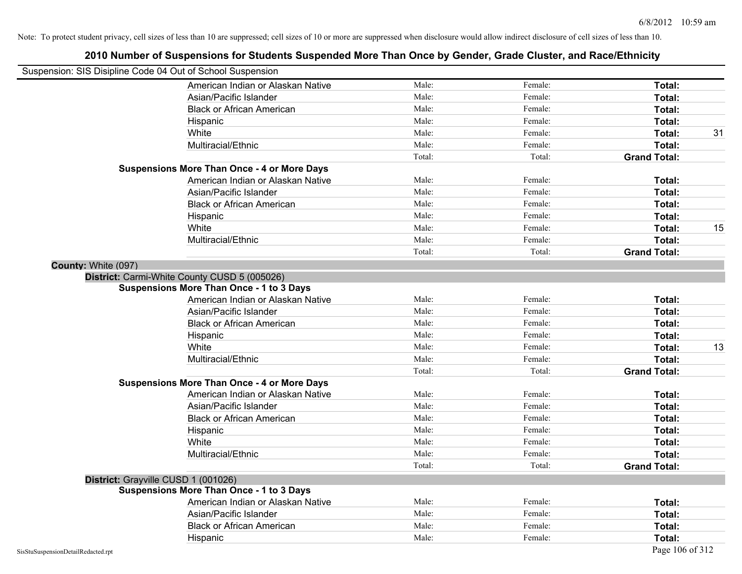| Suspension: SIS Disipline Code 04 Out of School Suspension |                                                    |        |         |                     |
|------------------------------------------------------------|----------------------------------------------------|--------|---------|---------------------|
|                                                            | American Indian or Alaskan Native                  | Male:  | Female: | Total:              |
|                                                            | Asian/Pacific Islander                             | Male:  | Female: | Total:              |
|                                                            | <b>Black or African American</b>                   | Male:  | Female: | Total:              |
|                                                            | Hispanic                                           | Male:  | Female: | Total:              |
|                                                            | White                                              | Male:  | Female: | Total:              |
|                                                            | Multiracial/Ethnic                                 | Male:  | Female: | Total:              |
|                                                            |                                                    | Total: | Total:  | <b>Grand Total:</b> |
|                                                            | <b>Suspensions More Than Once - 4 or More Days</b> |        |         |                     |
|                                                            | American Indian or Alaskan Native                  | Male:  | Female: | Total:              |
|                                                            | Asian/Pacific Islander                             | Male:  | Female: | Total:              |
|                                                            | <b>Black or African American</b>                   | Male:  | Female: | Total:              |
|                                                            | Hispanic                                           | Male:  | Female: | Total:              |
|                                                            | White                                              | Male:  | Female: | Total:              |
|                                                            | Multiracial/Ethnic                                 | Male:  | Female: | Total:              |
|                                                            |                                                    | Total: | Total:  | <b>Grand Total:</b> |
| County: White (097)                                        |                                                    |        |         |                     |
|                                                            | District: Carmi-White County CUSD 5 (005026)       |        |         |                     |
|                                                            | <b>Suspensions More Than Once - 1 to 3 Days</b>    |        |         |                     |
|                                                            | American Indian or Alaskan Native                  | Male:  | Female: | Total:              |
|                                                            | Asian/Pacific Islander                             | Male:  | Female: | Total:              |
|                                                            | <b>Black or African American</b>                   | Male:  | Female: | Total:              |
|                                                            | Hispanic                                           | Male:  | Female: | Total:              |
|                                                            | White                                              | Male:  | Female: | Total:              |
|                                                            | Multiracial/Ethnic                                 | Male:  | Female: | Total:              |
|                                                            |                                                    | Total: | Total:  | <b>Grand Total:</b> |
|                                                            | <b>Suspensions More Than Once - 4 or More Days</b> |        |         |                     |
|                                                            | American Indian or Alaskan Native                  | Male:  | Female: | Total:              |
|                                                            | Asian/Pacific Islander                             | Male:  | Female: | Total:              |
|                                                            | <b>Black or African American</b>                   | Male:  | Female: | Total:              |
|                                                            | Hispanic                                           | Male:  | Female: | Total:              |
|                                                            | White                                              | Male:  | Female: | Total:              |
|                                                            | Multiracial/Ethnic                                 | Male:  | Female: | Total:              |
|                                                            |                                                    | Total: | Total:  | <b>Grand Total:</b> |
| District: Grayville CUSD 1 (001026)                        |                                                    |        |         |                     |
|                                                            | <b>Suspensions More Than Once - 1 to 3 Days</b>    |        |         |                     |
|                                                            | American Indian or Alaskan Native                  | Male:  | Female: | Total:              |
|                                                            | Asian/Pacific Islander                             | Male:  | Female: | Total:              |
|                                                            | <b>Black or African American</b>                   | Male:  | Female: | Total:              |
|                                                            | Hispanic                                           | Male:  | Female: | Total:              |
| SisStuSuspensionDetailRedacted.rpt                         |                                                    |        |         | Page 106 of 312     |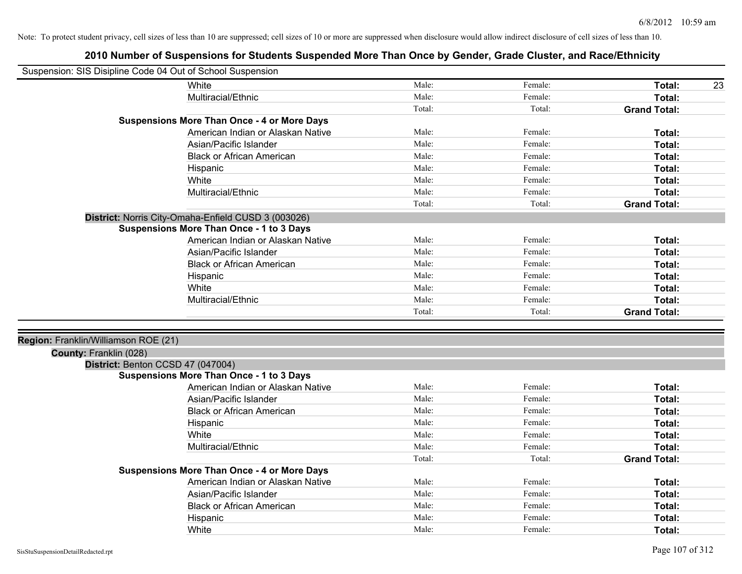| Suspension: SIS Disipline Code 04 Out of School Suspension |                                                     |        |         |                     |
|------------------------------------------------------------|-----------------------------------------------------|--------|---------|---------------------|
|                                                            | White                                               | Male:  | Female: | Total:<br>23        |
|                                                            | Multiracial/Ethnic                                  | Male:  | Female: | Total:              |
|                                                            |                                                     | Total: | Total:  | <b>Grand Total:</b> |
|                                                            | <b>Suspensions More Than Once - 4 or More Days</b>  |        |         |                     |
|                                                            | American Indian or Alaskan Native                   | Male:  | Female: | Total:              |
|                                                            | Asian/Pacific Islander                              | Male:  | Female: | Total:              |
|                                                            | <b>Black or African American</b>                    | Male:  | Female: | Total:              |
|                                                            | Hispanic                                            | Male:  | Female: | Total:              |
|                                                            | White                                               | Male:  | Female: | Total:              |
|                                                            | Multiracial/Ethnic                                  | Male:  | Female: | Total:              |
|                                                            |                                                     | Total: | Total:  | <b>Grand Total:</b> |
|                                                            | District: Norris City-Omaha-Enfield CUSD 3 (003026) |        |         |                     |
|                                                            | <b>Suspensions More Than Once - 1 to 3 Days</b>     |        |         |                     |
|                                                            | American Indian or Alaskan Native                   | Male:  | Female: | Total:              |
|                                                            | Asian/Pacific Islander                              | Male:  | Female: | Total:              |
|                                                            | <b>Black or African American</b>                    | Male:  | Female: | Total:              |
|                                                            | Hispanic                                            | Male:  | Female: | Total:              |
|                                                            | White                                               | Male:  | Female: | Total:              |
|                                                            | Multiracial/Ethnic                                  | Male:  | Female: | Total:              |
|                                                            |                                                     | Total: | Total:  | <b>Grand Total:</b> |
|                                                            |                                                     |        |         |                     |
| Region: Franklin/Williamson ROE (21)                       |                                                     |        |         |                     |
| County: Franklin (028)                                     |                                                     |        |         |                     |
| District: Benton CCSD 47 (047004)                          |                                                     |        |         |                     |
|                                                            | <b>Suspensions More Than Once - 1 to 3 Days</b>     |        |         |                     |
|                                                            | American Indian or Alaskan Native                   | Male:  | Female: | Total:              |
|                                                            | Asian/Pacific Islander                              | Male:  | Female: | Total:              |
|                                                            | <b>Black or African American</b>                    | Male:  | Female: | Total:              |
|                                                            | Hispanic                                            | Male:  | Female: | Total:              |
|                                                            | White                                               | Male:  | Female: | Total:              |
|                                                            | Multiracial/Ethnic                                  | Male:  | Female: | Total:              |
|                                                            |                                                     | Total: | Total:  | <b>Grand Total:</b> |
|                                                            | <b>Suspensions More Than Once - 4 or More Days</b>  |        |         |                     |
|                                                            | American Indian or Alaskan Native                   | Male:  | Female: | Total:              |
|                                                            | Asian/Pacific Islander                              | Male:  | Female: | Total:              |
|                                                            | <b>Black or African American</b>                    | Male:  | Female: | Total:              |
|                                                            | Hispanic                                            | Male:  | Female: | Total:              |
|                                                            | White                                               | Male:  | Female: | Total:              |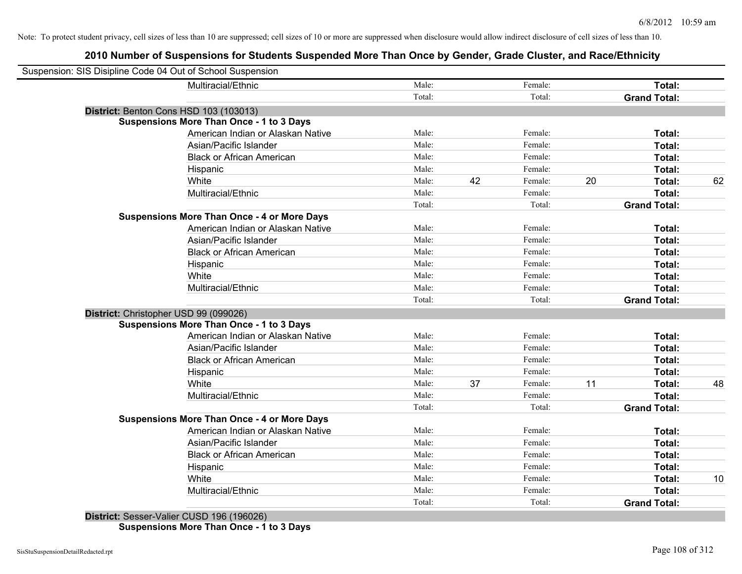| Suspension: SIS Disipline Code 04 Out of School Suspension |        |    |         |    |                     |    |
|------------------------------------------------------------|--------|----|---------|----|---------------------|----|
| Multiracial/Ethnic                                         | Male:  |    | Female: |    | Total:              |    |
|                                                            | Total: |    | Total:  |    | <b>Grand Total:</b> |    |
| District: Benton Cons HSD 103 (103013)                     |        |    |         |    |                     |    |
| <b>Suspensions More Than Once - 1 to 3 Days</b>            |        |    |         |    |                     |    |
| American Indian or Alaskan Native                          | Male:  |    | Female: |    | Total:              |    |
| Asian/Pacific Islander                                     | Male:  |    | Female: |    | Total:              |    |
| <b>Black or African American</b>                           | Male:  |    | Female: |    | Total:              |    |
| Hispanic                                                   | Male:  |    | Female: |    | Total:              |    |
| White                                                      | Male:  | 42 | Female: | 20 | Total:              | 62 |
| Multiracial/Ethnic                                         | Male:  |    | Female: |    | Total:              |    |
|                                                            | Total: |    | Total:  |    | <b>Grand Total:</b> |    |
| <b>Suspensions More Than Once - 4 or More Days</b>         |        |    |         |    |                     |    |
| American Indian or Alaskan Native                          | Male:  |    | Female: |    | Total:              |    |
| Asian/Pacific Islander                                     | Male:  |    | Female: |    | <b>Total:</b>       |    |
| <b>Black or African American</b>                           | Male:  |    | Female: |    | <b>Total:</b>       |    |
| Hispanic                                                   | Male:  |    | Female: |    | Total:              |    |
| White                                                      | Male:  |    | Female: |    | Total:              |    |
| Multiracial/Ethnic                                         | Male:  |    | Female: |    | Total:              |    |
|                                                            | Total: |    | Total:  |    | <b>Grand Total:</b> |    |
| District: Christopher USD 99 (099026)                      |        |    |         |    |                     |    |
| <b>Suspensions More Than Once - 1 to 3 Days</b>            |        |    |         |    |                     |    |
| American Indian or Alaskan Native                          | Male:  |    | Female: |    | Total:              |    |
| Asian/Pacific Islander                                     | Male:  |    | Female: |    | <b>Total:</b>       |    |
| <b>Black or African American</b>                           | Male:  |    | Female: |    | Total:              |    |
| Hispanic                                                   | Male:  |    | Female: |    | Total:              |    |
| White                                                      | Male:  | 37 | Female: | 11 | Total:              | 48 |
| Multiracial/Ethnic                                         | Male:  |    | Female: |    | Total:              |    |
|                                                            | Total: |    | Total:  |    | <b>Grand Total:</b> |    |
| <b>Suspensions More Than Once - 4 or More Days</b>         |        |    |         |    |                     |    |
| American Indian or Alaskan Native                          | Male:  |    | Female: |    | Total:              |    |
| Asian/Pacific Islander                                     | Male:  |    | Female: |    | <b>Total:</b>       |    |
| <b>Black or African American</b>                           | Male:  |    | Female: |    | <b>Total:</b>       |    |
| Hispanic                                                   | Male:  |    | Female: |    | Total:              |    |
| White                                                      | Male:  |    | Female: |    | Total:              | 10 |
| Multiracial/Ethnic                                         | Male:  |    | Female: |    | <b>Total:</b>       |    |
|                                                            | Total: |    | Total:  |    | <b>Grand Total:</b> |    |
|                                                            |        |    |         |    |                     |    |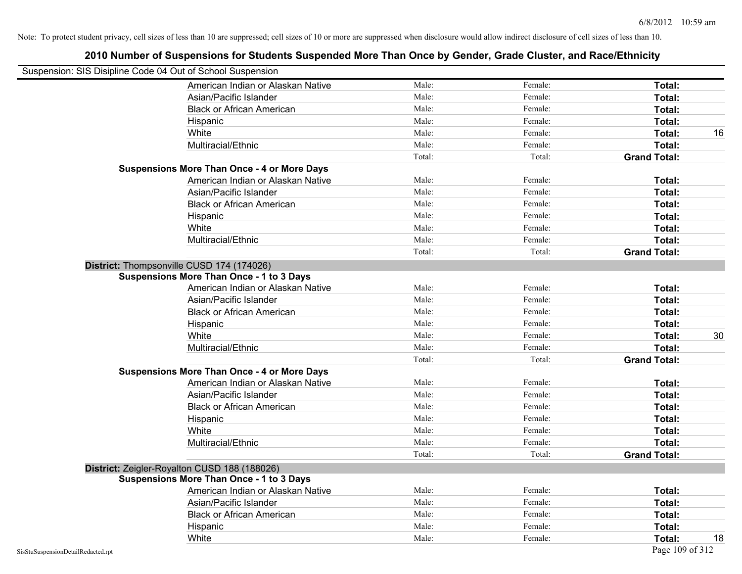| 2010 Number of Suspensions for Students Suspended More Than Once by Gender, Grade Cluster, and Race/Ethnicity |        |         |                     |    |
|---------------------------------------------------------------------------------------------------------------|--------|---------|---------------------|----|
| Suspension: SIS Disipline Code 04 Out of School Suspension                                                    |        |         |                     |    |
| American Indian or Alaskan Native                                                                             | Male:  | Female: | Total:              |    |
| Asian/Pacific Islander                                                                                        | Male:  | Female: | Total:              |    |
| <b>Black or African American</b>                                                                              | Male:  | Female: | Total:              |    |
| Hispanic                                                                                                      | Male:  | Female: | Total:              |    |
| White                                                                                                         | Male:  | Female: | Total:              | 16 |
| Multiracial/Ethnic                                                                                            | Male:  | Female: | Total:              |    |
|                                                                                                               | Total: | Total:  | <b>Grand Total:</b> |    |
| <b>Suspensions More Than Once - 4 or More Days</b>                                                            |        |         |                     |    |
| American Indian or Alaskan Native                                                                             | Male:  | Female: | Total:              |    |
| Asian/Pacific Islander                                                                                        | Male:  | Female: | Total:              |    |
| <b>Black or African American</b>                                                                              | Male:  | Female: | Total:              |    |
| Hispanic                                                                                                      | Male:  | Female: | Total:              |    |
| White                                                                                                         | Male:  | Female: | Total:              |    |
| Multiracial/Ethnic                                                                                            | Male:  | Female: | Total:              |    |
|                                                                                                               | Total: | Total:  | <b>Grand Total:</b> |    |
| District: Thompsonville CUSD 174 (174026)                                                                     |        |         |                     |    |
| <b>Suspensions More Than Once - 1 to 3 Days</b>                                                               |        |         |                     |    |
| American Indian or Alaskan Native                                                                             | Male:  | Female: | Total:              |    |
| Asian/Pacific Islander                                                                                        | Male:  | Female: | Total:              |    |
| <b>Black or African American</b>                                                                              | Male:  | Female: | Total:              |    |
| Hispanic                                                                                                      | Male:  | Female: | Total:              |    |
| White                                                                                                         | Male:  | Female: | Total:              | 30 |
| Multiracial/Ethnic                                                                                            | Male:  | Female: | Total:              |    |
|                                                                                                               | Total: | Total:  | <b>Grand Total:</b> |    |
| <b>Suspensions More Than Once - 4 or More Days</b>                                                            |        |         |                     |    |
| American Indian or Alaskan Native                                                                             | Male:  | Female: | Total:              |    |
| Asian/Pacific Islander                                                                                        | Male:  | Female: | Total:              |    |
| <b>Black or African American</b>                                                                              | Male:  | Female: | Total:              |    |
| Hispanic                                                                                                      | Male:  | Female: | Total:              |    |
| White                                                                                                         | Male:  | Female: | Total:              |    |
| Multiracial/Ethnic                                                                                            | Male:  | Female: | Total:              |    |
|                                                                                                               | Total: | Total:  | <b>Grand Total:</b> |    |
| District: Zeigler-Royalton CUSD 188 (188026)                                                                  |        |         |                     |    |
| <b>Suspensions More Than Once - 1 to 3 Days</b>                                                               |        |         |                     |    |
| American Indian or Alaskan Native                                                                             | Male:  | Female: | Total:              |    |
| Asian/Pacific Islander                                                                                        | Male:  | Female: | Total:              |    |
| <b>Black or African American</b>                                                                              | Male:  | Female: | Total:              |    |
| Hispanic                                                                                                      | Male:  | Female: | Total:              |    |
| White                                                                                                         | Male:  | Female: | Total:              | 18 |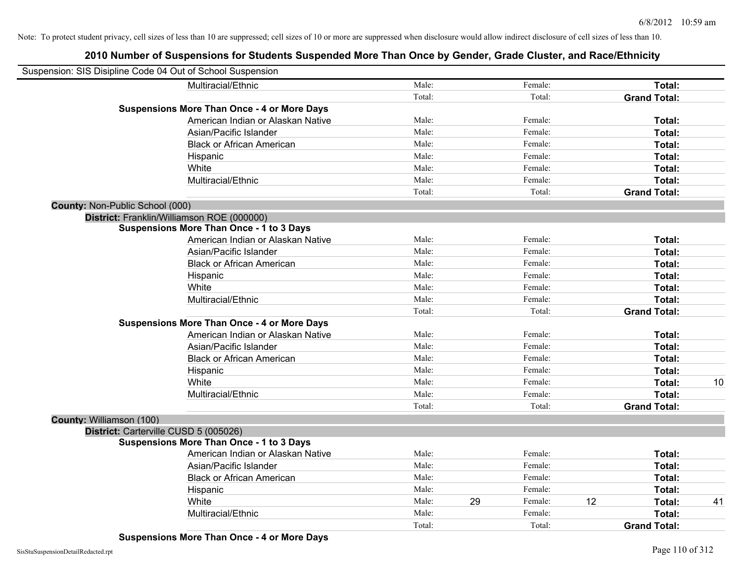## **2010 Number of Suspensions for Students Suspended More Than Once by Gender, Grade Cluster, and Race/Ethnicity**

| Suspension: SIS Disipline Code 04 Out of School Suspension |                                   |        |    |         |    |                     |    |
|------------------------------------------------------------|-----------------------------------|--------|----|---------|----|---------------------|----|
| Multiracial/Ethnic                                         |                                   | Male:  |    | Female: |    | Total:              |    |
|                                                            |                                   | Total: |    | Total:  |    | <b>Grand Total:</b> |    |
| <b>Suspensions More Than Once - 4 or More Days</b>         |                                   |        |    |         |    |                     |    |
|                                                            | American Indian or Alaskan Native | Male:  |    | Female: |    | Total:              |    |
| Asian/Pacific Islander                                     |                                   | Male:  |    | Female: |    | Total:              |    |
| <b>Black or African American</b>                           |                                   | Male:  |    | Female: |    | Total:              |    |
| Hispanic                                                   |                                   | Male:  |    | Female: |    | Total:              |    |
| White                                                      |                                   | Male:  |    | Female: |    | Total:              |    |
| Multiracial/Ethnic                                         |                                   | Male:  |    | Female: |    | Total:              |    |
|                                                            |                                   | Total: |    | Total:  |    | <b>Grand Total:</b> |    |
| County: Non-Public School (000)                            |                                   |        |    |         |    |                     |    |
| District: Franklin/Williamson ROE (000000)                 |                                   |        |    |         |    |                     |    |
| <b>Suspensions More Than Once - 1 to 3 Days</b>            |                                   |        |    |         |    |                     |    |
|                                                            | American Indian or Alaskan Native | Male:  |    | Female: |    | Total:              |    |
| Asian/Pacific Islander                                     |                                   | Male:  |    | Female: |    | Total:              |    |
| <b>Black or African American</b>                           |                                   | Male:  |    | Female: |    | Total:              |    |
| Hispanic                                                   |                                   | Male:  |    | Female: |    | Total:              |    |
| White                                                      |                                   | Male:  |    | Female: |    | Total:              |    |
| Multiracial/Ethnic                                         |                                   | Male:  |    | Female: |    | Total:              |    |
|                                                            |                                   | Total: |    | Total:  |    | <b>Grand Total:</b> |    |
| <b>Suspensions More Than Once - 4 or More Days</b>         |                                   |        |    |         |    |                     |    |
|                                                            | American Indian or Alaskan Native | Male:  |    | Female: |    | Total:              |    |
| Asian/Pacific Islander                                     |                                   | Male:  |    | Female: |    | Total:              |    |
| <b>Black or African American</b>                           |                                   | Male:  |    | Female: |    | Total:              |    |
| Hispanic                                                   |                                   | Male:  |    | Female: |    | Total:              |    |
| White                                                      |                                   | Male:  |    | Female: |    | Total:              | 10 |
| Multiracial/Ethnic                                         |                                   | Male:  |    | Female: |    | Total:              |    |
|                                                            |                                   | Total: |    | Total:  |    | <b>Grand Total:</b> |    |
| <b>County: Williamson (100)</b>                            |                                   |        |    |         |    |                     |    |
| District: Carterville CUSD 5 (005026)                      |                                   |        |    |         |    |                     |    |
| <b>Suspensions More Than Once - 1 to 3 Days</b>            |                                   |        |    |         |    |                     |    |
|                                                            | American Indian or Alaskan Native | Male:  |    | Female: |    | Total:              |    |
| Asian/Pacific Islander                                     |                                   | Male:  |    | Female: |    | Total:              |    |
| <b>Black or African American</b>                           |                                   | Male:  |    | Female: |    | Total:              |    |
| Hispanic                                                   |                                   | Male:  |    | Female: |    | Total:              |    |
| White                                                      |                                   | Male:  | 29 | Female: | 12 | Total:              | 41 |
| Multiracial/Ethnic                                         |                                   | Male:  |    | Female: |    | Total:              |    |
|                                                            |                                   | Total: |    | Total:  |    | <b>Grand Total:</b> |    |

**Suspensions More Than Once - 4 or More Days**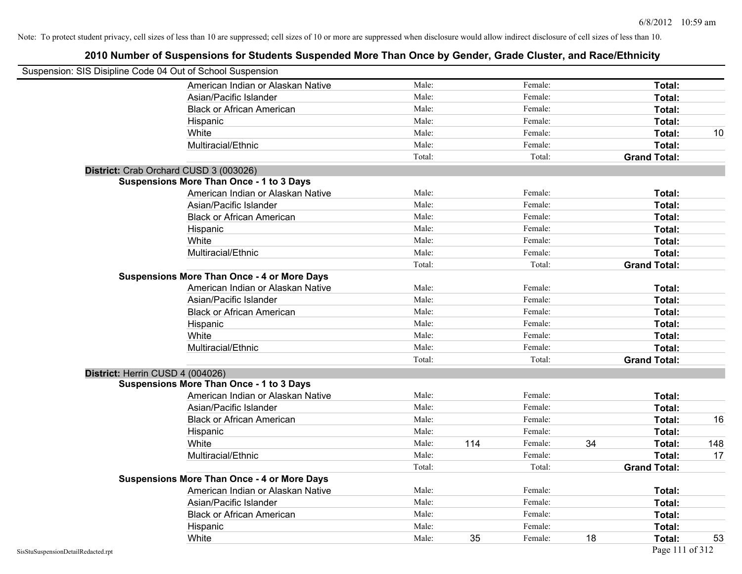| Suspension: SIS Disipline Code 04 Out of School Suspension |        |     |         |    |                     |     |
|------------------------------------------------------------|--------|-----|---------|----|---------------------|-----|
| American Indian or Alaskan Native                          | Male:  |     | Female: |    | Total:              |     |
| Asian/Pacific Islander                                     | Male:  |     | Female: |    | Total:              |     |
| <b>Black or African American</b>                           | Male:  |     | Female: |    | <b>Total:</b>       |     |
| Hispanic                                                   | Male:  |     | Female: |    | Total:              |     |
| White                                                      | Male:  |     | Female: |    | Total:              | 10  |
| Multiracial/Ethnic                                         | Male:  |     | Female: |    | Total:              |     |
|                                                            | Total: |     | Total:  |    | <b>Grand Total:</b> |     |
| District: Crab Orchard CUSD 3 (003026)                     |        |     |         |    |                     |     |
| <b>Suspensions More Than Once - 1 to 3 Days</b>            |        |     |         |    |                     |     |
| American Indian or Alaskan Native                          | Male:  |     | Female: |    | Total:              |     |
| Asian/Pacific Islander                                     | Male:  |     | Female: |    | Total:              |     |
| <b>Black or African American</b>                           | Male:  |     | Female: |    | Total:              |     |
| Hispanic                                                   | Male:  |     | Female: |    | Total:              |     |
| White                                                      | Male:  |     | Female: |    | Total:              |     |
| Multiracial/Ethnic                                         | Male:  |     | Female: |    | Total:              |     |
|                                                            | Total: |     | Total:  |    | <b>Grand Total:</b> |     |
| <b>Suspensions More Than Once - 4 or More Days</b>         |        |     |         |    |                     |     |
| American Indian or Alaskan Native                          | Male:  |     | Female: |    | Total:              |     |
| Asian/Pacific Islander                                     | Male:  |     | Female: |    | Total:              |     |
| <b>Black or African American</b>                           | Male:  |     | Female: |    | Total:              |     |
| Hispanic                                                   | Male:  |     | Female: |    | Total:              |     |
| White                                                      | Male:  |     | Female: |    | Total:              |     |
| Multiracial/Ethnic                                         | Male:  |     | Female: |    | Total:              |     |
|                                                            | Total: |     | Total:  |    | <b>Grand Total:</b> |     |
| District: Herrin CUSD 4 (004026)                           |        |     |         |    |                     |     |
| <b>Suspensions More Than Once - 1 to 3 Days</b>            |        |     |         |    |                     |     |
| American Indian or Alaskan Native                          | Male:  |     | Female: |    | Total:              |     |
| Asian/Pacific Islander                                     | Male:  |     | Female: |    | Total:              |     |
| <b>Black or African American</b>                           | Male:  |     | Female: |    | Total:              | 16  |
| Hispanic                                                   | Male:  |     | Female: |    | Total:              |     |
| White                                                      | Male:  | 114 | Female: | 34 | Total:              | 148 |
| Multiracial/Ethnic                                         | Male:  |     | Female: |    | Total:              | 17  |
|                                                            | Total: |     | Total:  |    | <b>Grand Total:</b> |     |
| <b>Suspensions More Than Once - 4 or More Days</b>         |        |     |         |    |                     |     |
| American Indian or Alaskan Native                          | Male:  |     | Female: |    | Total:              |     |
| Asian/Pacific Islander                                     | Male:  |     | Female: |    | Total:              |     |
| <b>Black or African American</b>                           | Male:  |     | Female: |    | Total:              |     |
| Hispanic                                                   | Male:  |     | Female: |    | Total:              |     |
| White                                                      | Male:  | 35  | Female: | 18 | Total:              | 53  |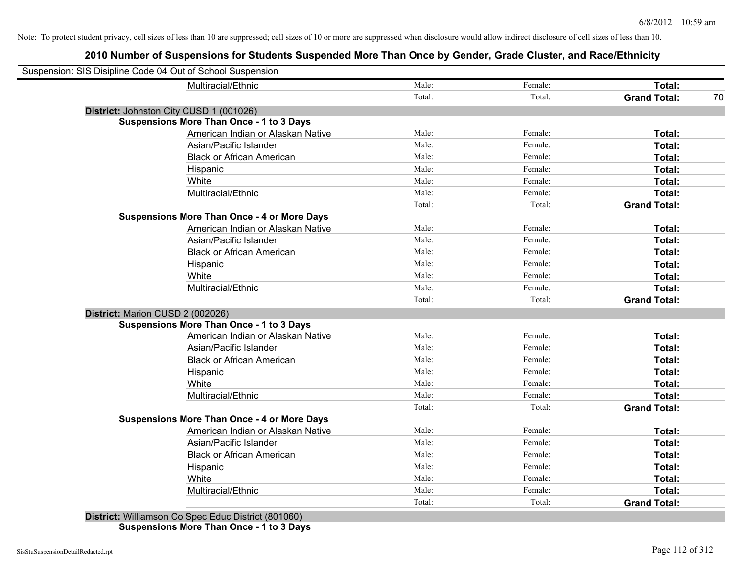## **2010 Number of Suspensions for Students Suspended More Than Once by Gender, Grade Cluster, and Race/Ethnicity**

| Suspension: SIS Disipline Code 04 Out of School Suspension |        |         |                     |    |
|------------------------------------------------------------|--------|---------|---------------------|----|
| Multiracial/Ethnic                                         | Male:  | Female: | Total:              |    |
|                                                            | Total: | Total:  | <b>Grand Total:</b> | 70 |
| District: Johnston City CUSD 1 (001026)                    |        |         |                     |    |
| <b>Suspensions More Than Once - 1 to 3 Days</b>            |        |         |                     |    |
| American Indian or Alaskan Native                          | Male:  | Female: | Total:              |    |
| Asian/Pacific Islander                                     | Male:  | Female: | Total:              |    |
| <b>Black or African American</b>                           | Male:  | Female: | Total:              |    |
| Hispanic                                                   | Male:  | Female: | Total:              |    |
| White                                                      | Male:  | Female: | Total:              |    |
| Multiracial/Ethnic                                         | Male:  | Female: | Total:              |    |
|                                                            | Total: | Total:  | <b>Grand Total:</b> |    |
| <b>Suspensions More Than Once - 4 or More Days</b>         |        |         |                     |    |
| American Indian or Alaskan Native                          | Male:  | Female: | Total:              |    |
| Asian/Pacific Islander                                     | Male:  | Female: | Total:              |    |
| <b>Black or African American</b>                           | Male:  | Female: | Total:              |    |
| Hispanic                                                   | Male:  | Female: | Total:              |    |
| White                                                      | Male:  | Female: | Total:              |    |
| Multiracial/Ethnic                                         | Male:  | Female: | Total:              |    |
|                                                            | Total: | Total:  | <b>Grand Total:</b> |    |
| District: Marion CUSD 2 (002026)                           |        |         |                     |    |
| <b>Suspensions More Than Once - 1 to 3 Days</b>            |        |         |                     |    |
| American Indian or Alaskan Native                          | Male:  | Female: | Total:              |    |
| Asian/Pacific Islander                                     | Male:  | Female: | Total:              |    |
| <b>Black or African American</b>                           | Male:  | Female: | Total:              |    |
| Hispanic                                                   | Male:  | Female: | Total:              |    |
| White                                                      | Male:  | Female: | Total:              |    |
| Multiracial/Ethnic                                         | Male:  | Female: | Total:              |    |
|                                                            | Total: | Total:  | <b>Grand Total:</b> |    |
| <b>Suspensions More Than Once - 4 or More Days</b>         |        |         |                     |    |
| American Indian or Alaskan Native                          | Male:  | Female: | Total:              |    |
| Asian/Pacific Islander                                     | Male:  | Female: | Total:              |    |
| <b>Black or African American</b>                           | Male:  | Female: | Total:              |    |
| Hispanic                                                   | Male:  | Female: | Total:              |    |
| White                                                      | Male:  | Female: | <b>Total:</b>       |    |
| Multiracial/Ethnic                                         | Male:  | Female: | <b>Total:</b>       |    |
|                                                            | Total: | Total:  | <b>Grand Total:</b> |    |

**District:** Williamson Co Spec Educ District (801060) **Suspensions More Than Once - 1 to 3 Days**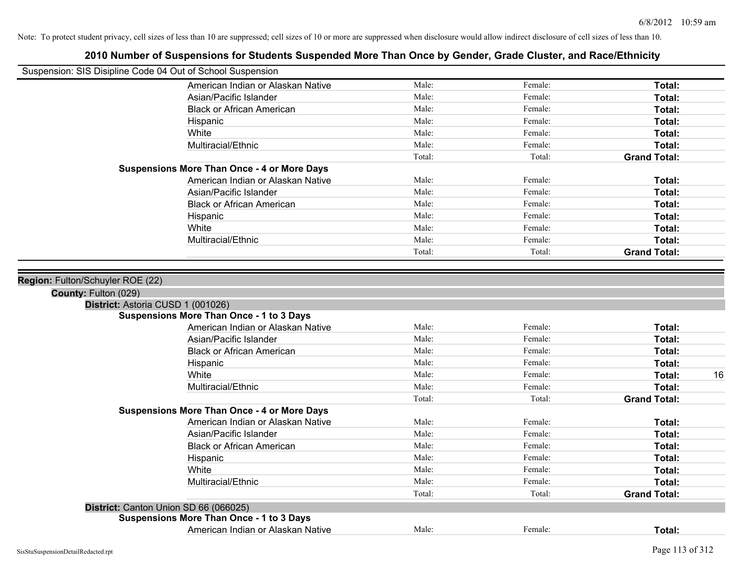| Suspension: SIS Disipline Code 04 Out of School Suspension |                                                    |        |         |                     |    |
|------------------------------------------------------------|----------------------------------------------------|--------|---------|---------------------|----|
|                                                            | American Indian or Alaskan Native                  | Male:  | Female: | Total:              |    |
|                                                            | Asian/Pacific Islander                             | Male:  | Female: | Total:              |    |
|                                                            | <b>Black or African American</b>                   | Male:  | Female: | Total:              |    |
|                                                            | Hispanic                                           | Male:  | Female: | Total:              |    |
|                                                            | White                                              | Male:  | Female: | Total:              |    |
|                                                            | Multiracial/Ethnic                                 | Male:  | Female: | Total:              |    |
|                                                            |                                                    | Total: | Total:  | <b>Grand Total:</b> |    |
|                                                            | <b>Suspensions More Than Once - 4 or More Days</b> |        |         |                     |    |
|                                                            | American Indian or Alaskan Native                  | Male:  | Female: | Total:              |    |
|                                                            | Asian/Pacific Islander                             | Male:  | Female: | Total:              |    |
|                                                            | <b>Black or African American</b>                   | Male:  | Female: | Total:              |    |
|                                                            | Hispanic                                           | Male:  | Female: | Total:              |    |
|                                                            | White                                              | Male:  | Female: | Total:              |    |
|                                                            | Multiracial/Ethnic                                 | Male:  | Female: | Total:              |    |
|                                                            |                                                    | Total: | Total:  | <b>Grand Total:</b> |    |
|                                                            |                                                    |        |         |                     |    |
| Region: Fulton/Schuyler ROE (22)                           |                                                    |        |         |                     |    |
| County: Fulton (029)                                       |                                                    |        |         |                     |    |
|                                                            | District: Astoria CUSD 1 (001026)                  |        |         |                     |    |
|                                                            | <b>Suspensions More Than Once - 1 to 3 Days</b>    |        |         |                     |    |
|                                                            | American Indian or Alaskan Native                  | Male:  | Female: | Total:              |    |
|                                                            | Asian/Pacific Islander                             | Male:  | Female: | Total:              |    |
|                                                            | <b>Black or African American</b>                   | Male:  | Female: | Total:              |    |
|                                                            | Hispanic                                           | Male:  | Female: | Total:              |    |
|                                                            | White                                              | Male:  | Female: | Total:              | 16 |
|                                                            | Multiracial/Ethnic                                 | Male:  | Female: | Total:              |    |
|                                                            |                                                    | Total: | Total:  | <b>Grand Total:</b> |    |
|                                                            | <b>Suspensions More Than Once - 4 or More Days</b> |        |         |                     |    |
|                                                            | American Indian or Alaskan Native                  | Male:  | Female: | Total:              |    |
|                                                            | Asian/Pacific Islander                             | Male:  | Female: | Total:              |    |
|                                                            | <b>Black or African American</b>                   | Male:  | Female: | Total:              |    |
|                                                            | Hispanic                                           | Male:  | Female: | Total:              |    |
|                                                            | White                                              | Male:  | Female: | Total:              |    |
|                                                            | Multiracial/Ethnic                                 | Male:  | Female: | Total:              |    |
|                                                            |                                                    | Total: | Total:  | <b>Grand Total:</b> |    |
|                                                            | District: Canton Union SD 66 (066025)              |        |         |                     |    |
|                                                            | <b>Suspensions More Than Once - 1 to 3 Days</b>    |        |         |                     |    |
|                                                            | American Indian or Alaskan Native                  | Male:  | Female: | Total:              |    |
|                                                            |                                                    |        |         |                     |    |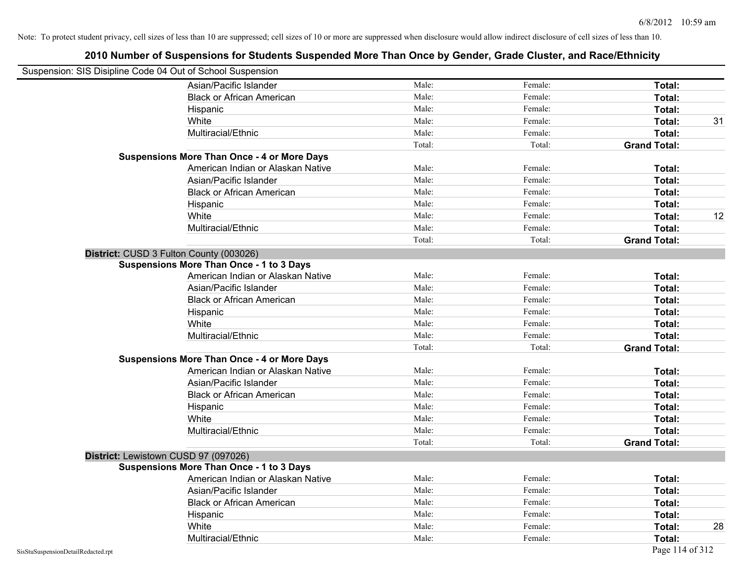| Suspension: SIS Disipline Code 04 Out of School Suspension |                                                    |        |         |                     |    |
|------------------------------------------------------------|----------------------------------------------------|--------|---------|---------------------|----|
|                                                            | Asian/Pacific Islander                             | Male:  | Female: | Total:              |    |
|                                                            | <b>Black or African American</b>                   | Male:  | Female: | Total:              |    |
|                                                            | Hispanic                                           | Male:  | Female: | Total:              |    |
|                                                            | White                                              | Male:  | Female: | Total:              | 31 |
|                                                            | Multiracial/Ethnic                                 | Male:  | Female: | Total:              |    |
|                                                            |                                                    | Total: | Total:  | <b>Grand Total:</b> |    |
|                                                            | <b>Suspensions More Than Once - 4 or More Days</b> |        |         |                     |    |
|                                                            | American Indian or Alaskan Native                  | Male:  | Female: | Total:              |    |
|                                                            | Asian/Pacific Islander                             | Male:  | Female: | Total:              |    |
|                                                            | <b>Black or African American</b>                   | Male:  | Female: | Total:              |    |
|                                                            | Hispanic                                           | Male:  | Female: | Total:              |    |
|                                                            | White                                              | Male:  | Female: | Total:              | 12 |
|                                                            | Multiracial/Ethnic                                 | Male:  | Female: | Total:              |    |
|                                                            |                                                    | Total: | Total:  | <b>Grand Total:</b> |    |
| District: CUSD 3 Fulton County (003026)                    |                                                    |        |         |                     |    |
|                                                            | <b>Suspensions More Than Once - 1 to 3 Days</b>    |        |         |                     |    |
|                                                            | American Indian or Alaskan Native                  | Male:  | Female: | Total:              |    |
|                                                            | Asian/Pacific Islander                             | Male:  | Female: | Total:              |    |
|                                                            | <b>Black or African American</b>                   | Male:  | Female: | Total:              |    |
|                                                            | Hispanic                                           | Male:  | Female: | Total:              |    |
|                                                            | White                                              | Male:  | Female: | Total:              |    |
|                                                            | Multiracial/Ethnic                                 | Male:  | Female: | Total:              |    |
|                                                            |                                                    | Total: | Total:  | <b>Grand Total:</b> |    |
|                                                            | <b>Suspensions More Than Once - 4 or More Days</b> |        |         |                     |    |
|                                                            | American Indian or Alaskan Native                  | Male:  | Female: | Total:              |    |
|                                                            | Asian/Pacific Islander                             | Male:  | Female: | Total:              |    |
|                                                            | <b>Black or African American</b>                   | Male:  | Female: | Total:              |    |
|                                                            | Hispanic                                           | Male:  | Female: | Total:              |    |
|                                                            | White                                              | Male:  | Female: | Total:              |    |
|                                                            | Multiracial/Ethnic                                 | Male:  | Female: | Total:              |    |
|                                                            |                                                    | Total: | Total:  | <b>Grand Total:</b> |    |
| District: Lewistown CUSD 97 (097026)                       |                                                    |        |         |                     |    |
|                                                            | <b>Suspensions More Than Once - 1 to 3 Days</b>    |        |         |                     |    |
|                                                            | American Indian or Alaskan Native                  | Male:  | Female: | Total:              |    |
|                                                            | Asian/Pacific Islander                             | Male:  | Female: | Total:              |    |
|                                                            | <b>Black or African American</b>                   | Male:  | Female: | Total:              |    |
|                                                            | Hispanic                                           | Male:  | Female: | Total:              |    |
|                                                            | White                                              | Male:  | Female: | Total:              | 28 |
|                                                            | Multiracial/Ethnic                                 | Male:  | Female: | Total:              |    |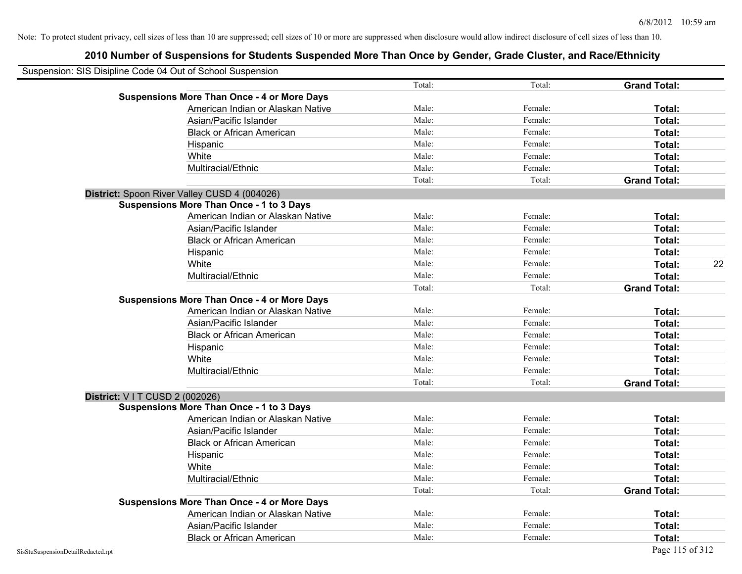| Suspension: SIS Disipline Code 04 Out of School Suspension |        |         |                     |    |
|------------------------------------------------------------|--------|---------|---------------------|----|
|                                                            | Total: | Total:  | <b>Grand Total:</b> |    |
| <b>Suspensions More Than Once - 4 or More Days</b>         |        |         |                     |    |
| American Indian or Alaskan Native                          | Male:  | Female: | Total:              |    |
| Asian/Pacific Islander                                     | Male:  | Female: | Total:              |    |
| <b>Black or African American</b>                           | Male:  | Female: | Total:              |    |
| Hispanic                                                   | Male:  | Female: | Total:              |    |
| White                                                      | Male:  | Female: | Total:              |    |
| Multiracial/Ethnic                                         | Male:  | Female: | Total:              |    |
|                                                            | Total: | Total:  | <b>Grand Total:</b> |    |
| District: Spoon River Valley CUSD 4 (004026)               |        |         |                     |    |
| <b>Suspensions More Than Once - 1 to 3 Days</b>            |        |         |                     |    |
| American Indian or Alaskan Native                          | Male:  | Female: | Total:              |    |
| Asian/Pacific Islander                                     | Male:  | Female: | Total:              |    |
| <b>Black or African American</b>                           | Male:  | Female: | Total:              |    |
| Hispanic                                                   | Male:  | Female: | Total:              |    |
| White                                                      | Male:  | Female: | Total:              | 22 |
| Multiracial/Ethnic                                         | Male:  | Female: | Total:              |    |
|                                                            | Total: | Total:  | <b>Grand Total:</b> |    |
| <b>Suspensions More Than Once - 4 or More Days</b>         |        |         |                     |    |
| American Indian or Alaskan Native                          | Male:  | Female: | Total:              |    |
| Asian/Pacific Islander                                     | Male:  | Female: | Total:              |    |
| <b>Black or African American</b>                           | Male:  | Female: | Total:              |    |
| Hispanic                                                   | Male:  | Female: | Total:              |    |
| White                                                      | Male:  | Female: | Total:              |    |
| Multiracial/Ethnic                                         | Male:  | Female: | Total:              |    |
|                                                            | Total: | Total:  | <b>Grand Total:</b> |    |
| District: V I T CUSD 2 (002026)                            |        |         |                     |    |
| <b>Suspensions More Than Once - 1 to 3 Days</b>            |        |         |                     |    |
| American Indian or Alaskan Native                          | Male:  | Female: | <b>Total:</b>       |    |
| Asian/Pacific Islander                                     | Male:  | Female: | Total:              |    |
| <b>Black or African American</b>                           | Male:  | Female: | Total:              |    |
| Hispanic                                                   | Male:  | Female: | Total:              |    |
| White                                                      | Male:  | Female: | Total:              |    |
| Multiracial/Ethnic                                         | Male:  | Female: | Total:              |    |
|                                                            | Total: | Total:  | <b>Grand Total:</b> |    |
| <b>Suspensions More Than Once - 4 or More Days</b>         |        |         |                     |    |
| American Indian or Alaskan Native                          | Male:  | Female: | Total:              |    |
| Asian/Pacific Islander                                     | Male:  | Female: | Total:              |    |
| <b>Black or African American</b>                           | Male:  | Female: | Total:              |    |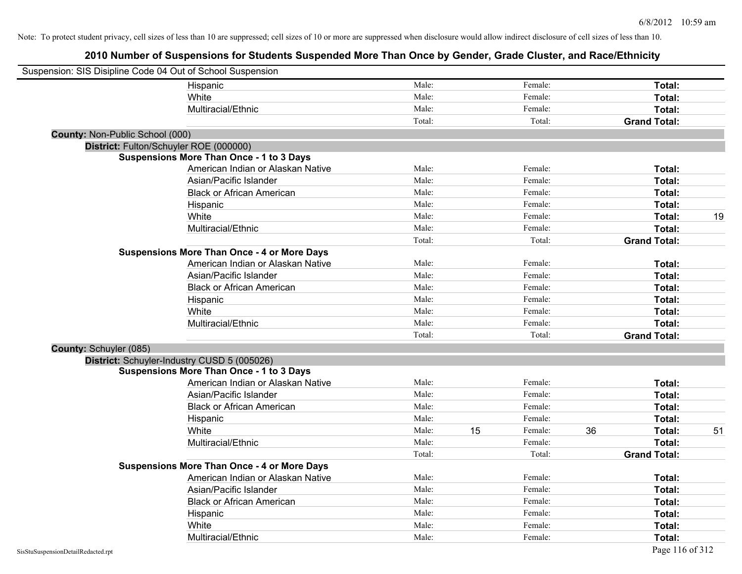| Suspension: SIS Disipline Code 04 Out of School Suspension |                                                    |        |    |         |    |                     |    |
|------------------------------------------------------------|----------------------------------------------------|--------|----|---------|----|---------------------|----|
|                                                            | Hispanic                                           | Male:  |    | Female: |    | Total:              |    |
|                                                            | White                                              | Male:  |    | Female: |    | Total:              |    |
|                                                            | Multiracial/Ethnic                                 | Male:  |    | Female: |    | Total:              |    |
|                                                            |                                                    | Total: |    | Total:  |    | <b>Grand Total:</b> |    |
| County: Non-Public School (000)                            |                                                    |        |    |         |    |                     |    |
|                                                            | District: Fulton/Schuyler ROE (000000)             |        |    |         |    |                     |    |
|                                                            | <b>Suspensions More Than Once - 1 to 3 Days</b>    |        |    |         |    |                     |    |
|                                                            | American Indian or Alaskan Native                  | Male:  |    | Female: |    | Total:              |    |
|                                                            | Asian/Pacific Islander                             | Male:  |    | Female: |    | Total:              |    |
|                                                            | <b>Black or African American</b>                   | Male:  |    | Female: |    | Total:              |    |
|                                                            | Hispanic                                           | Male:  |    | Female: |    | Total:              |    |
|                                                            | White                                              | Male:  |    | Female: |    | Total:              | 19 |
|                                                            | Multiracial/Ethnic                                 | Male:  |    | Female: |    | Total:              |    |
|                                                            |                                                    | Total: |    | Total:  |    | <b>Grand Total:</b> |    |
|                                                            | <b>Suspensions More Than Once - 4 or More Days</b> |        |    |         |    |                     |    |
|                                                            | American Indian or Alaskan Native                  | Male:  |    | Female: |    | Total:              |    |
|                                                            | Asian/Pacific Islander                             | Male:  |    | Female: |    | Total:              |    |
|                                                            | <b>Black or African American</b>                   | Male:  |    | Female: |    | Total:              |    |
|                                                            | Hispanic                                           | Male:  |    | Female: |    | Total:              |    |
|                                                            | White                                              | Male:  |    | Female: |    | Total:              |    |
|                                                            | Multiracial/Ethnic                                 | Male:  |    | Female: |    | Total:              |    |
|                                                            |                                                    | Total: |    | Total:  |    | <b>Grand Total:</b> |    |
| County: Schuyler (085)                                     |                                                    |        |    |         |    |                     |    |
|                                                            | District: Schuyler-Industry CUSD 5 (005026)        |        |    |         |    |                     |    |
|                                                            | <b>Suspensions More Than Once - 1 to 3 Days</b>    |        |    |         |    |                     |    |
|                                                            | American Indian or Alaskan Native                  | Male:  |    | Female: |    | Total:              |    |
|                                                            | Asian/Pacific Islander                             | Male:  |    | Female: |    | Total:              |    |
|                                                            | <b>Black or African American</b>                   | Male:  |    | Female: |    | Total:              |    |
|                                                            | Hispanic                                           | Male:  |    | Female: |    | Total:              |    |
|                                                            | White                                              | Male:  | 15 | Female: | 36 | Total:              | 51 |
|                                                            | Multiracial/Ethnic                                 | Male:  |    | Female: |    | Total:              |    |
|                                                            |                                                    | Total: |    | Total:  |    | <b>Grand Total:</b> |    |
|                                                            | <b>Suspensions More Than Once - 4 or More Days</b> |        |    |         |    |                     |    |
|                                                            | American Indian or Alaskan Native                  | Male:  |    | Female: |    | Total:              |    |
|                                                            | Asian/Pacific Islander                             | Male:  |    | Female: |    | Total:              |    |
|                                                            | <b>Black or African American</b>                   | Male:  |    | Female: |    | Total:              |    |
|                                                            | Hispanic                                           | Male:  |    | Female: |    | Total:              |    |
|                                                            | White                                              | Male:  |    | Female: |    | Total:              |    |
|                                                            | Multiracial/Ethnic                                 | Male:  |    | Female: |    | Total:              |    |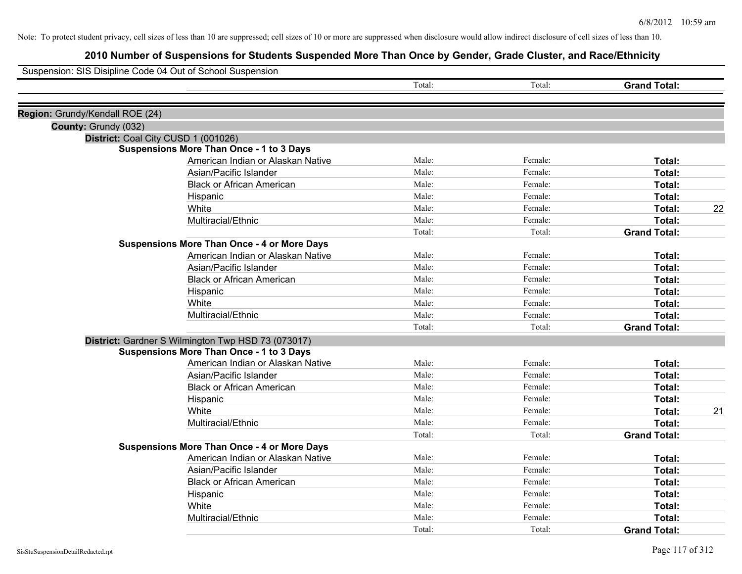|                                 | Suspension: SIS Disipline Code 04 Out of School Suspension |        |         |                     |    |
|---------------------------------|------------------------------------------------------------|--------|---------|---------------------|----|
|                                 |                                                            | Total: | Total:  | <b>Grand Total:</b> |    |
| Region: Grundy/Kendall ROE (24) |                                                            |        |         |                     |    |
| County: Grundy (032)            |                                                            |        |         |                     |    |
|                                 | District: Coal City CUSD 1 (001026)                        |        |         |                     |    |
|                                 | <b>Suspensions More Than Once - 1 to 3 Days</b>            |        |         |                     |    |
|                                 | American Indian or Alaskan Native                          | Male:  | Female: | Total:              |    |
|                                 | Asian/Pacific Islander                                     | Male:  | Female: | Total:              |    |
|                                 | <b>Black or African American</b>                           | Male:  | Female: | Total:              |    |
|                                 | Hispanic                                                   | Male:  | Female: | Total:              |    |
|                                 | White                                                      | Male:  | Female: | Total:              | 22 |
|                                 | Multiracial/Ethnic                                         | Male:  | Female: | Total:              |    |
|                                 |                                                            | Total: | Total:  | <b>Grand Total:</b> |    |
|                                 | <b>Suspensions More Than Once - 4 or More Days</b>         |        |         |                     |    |
|                                 | American Indian or Alaskan Native                          | Male:  | Female: | Total:              |    |
|                                 | Asian/Pacific Islander                                     | Male:  | Female: | Total:              |    |
|                                 | <b>Black or African American</b>                           | Male:  | Female: | Total:              |    |
|                                 | Hispanic                                                   | Male:  | Female: | Total:              |    |
|                                 | White                                                      | Male:  | Female: | Total:              |    |
|                                 | Multiracial/Ethnic                                         | Male:  | Female: | Total:              |    |
|                                 |                                                            | Total: | Total:  | <b>Grand Total:</b> |    |
|                                 | District: Gardner S Wilmington Twp HSD 73 (073017)         |        |         |                     |    |
|                                 | <b>Suspensions More Than Once - 1 to 3 Days</b>            |        |         |                     |    |
|                                 | American Indian or Alaskan Native                          | Male:  | Female: | Total:              |    |
|                                 | Asian/Pacific Islander                                     | Male:  | Female: | Total:              |    |
|                                 | <b>Black or African American</b>                           | Male:  | Female: | Total:              |    |
|                                 | Hispanic                                                   | Male:  | Female: | Total:              |    |
|                                 | White                                                      | Male:  | Female: | Total:              | 21 |
|                                 | Multiracial/Ethnic                                         | Male:  | Female: | Total:              |    |
|                                 |                                                            | Total: | Total:  | <b>Grand Total:</b> |    |
|                                 | <b>Suspensions More Than Once - 4 or More Days</b>         |        |         |                     |    |
|                                 | American Indian or Alaskan Native                          | Male:  | Female: | Total:              |    |
|                                 | Asian/Pacific Islander                                     | Male:  | Female: | Total:              |    |
|                                 | <b>Black or African American</b>                           | Male:  | Female: | Total:              |    |
|                                 | Hispanic                                                   | Male:  | Female: | Total:              |    |
|                                 | White                                                      | Male:  | Female: | Total:              |    |
|                                 | Multiracial/Ethnic                                         | Male:  | Female: | Total:              |    |
|                                 |                                                            | Total: | Total:  | <b>Grand Total:</b> |    |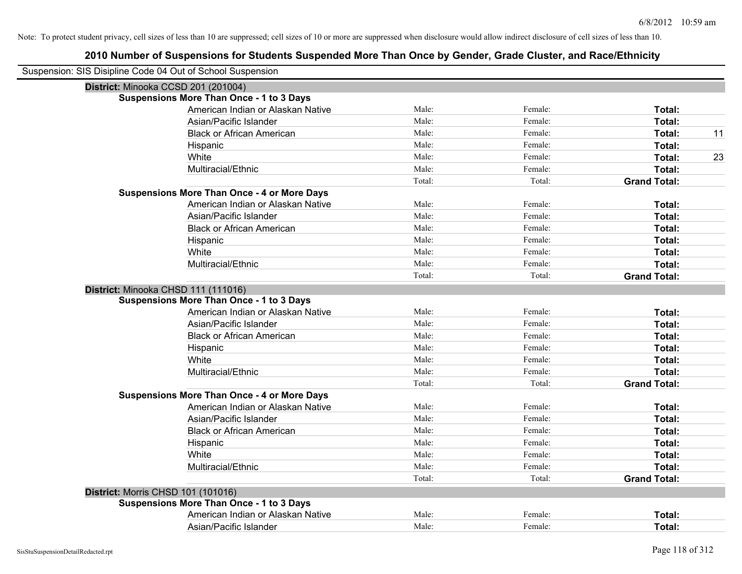| Suspension: SIS Disipline Code 04 Out of School Suspension |                                                    |        |         |                     |    |
|------------------------------------------------------------|----------------------------------------------------|--------|---------|---------------------|----|
|                                                            | District: Minooka CCSD 201 (201004)                |        |         |                     |    |
|                                                            | <b>Suspensions More Than Once - 1 to 3 Days</b>    |        |         |                     |    |
|                                                            | American Indian or Alaskan Native                  | Male:  | Female: | Total:              |    |
|                                                            | Asian/Pacific Islander                             | Male:  | Female: | Total:              |    |
|                                                            | <b>Black or African American</b>                   | Male:  | Female: | Total:              | 11 |
|                                                            | Hispanic                                           | Male:  | Female: | Total:              |    |
|                                                            | White                                              | Male:  | Female: | Total:              | 23 |
|                                                            | Multiracial/Ethnic                                 | Male:  | Female: | Total:              |    |
|                                                            |                                                    | Total: | Total:  | <b>Grand Total:</b> |    |
|                                                            | <b>Suspensions More Than Once - 4 or More Days</b> |        |         |                     |    |
|                                                            | American Indian or Alaskan Native                  | Male:  | Female: | Total:              |    |
|                                                            | Asian/Pacific Islander                             | Male:  | Female: | Total:              |    |
|                                                            | <b>Black or African American</b>                   | Male:  | Female: | Total:              |    |
|                                                            | Hispanic                                           | Male:  | Female: | <b>Total:</b>       |    |
|                                                            | White                                              | Male:  | Female: | Total:              |    |
|                                                            | Multiracial/Ethnic                                 | Male:  | Female: | Total:              |    |
|                                                            |                                                    | Total: | Total:  | <b>Grand Total:</b> |    |
|                                                            | District: Minooka CHSD 111 (111016)                |        |         |                     |    |
|                                                            | <b>Suspensions More Than Once - 1 to 3 Days</b>    |        |         |                     |    |
|                                                            | American Indian or Alaskan Native                  | Male:  | Female: | Total:              |    |
|                                                            | Asian/Pacific Islander                             | Male:  | Female: | Total:              |    |
|                                                            | <b>Black or African American</b>                   | Male:  | Female: | Total:              |    |
|                                                            | Hispanic                                           | Male:  | Female: | Total:              |    |
|                                                            | White                                              | Male:  | Female: | Total:              |    |
|                                                            | Multiracial/Ethnic                                 | Male:  | Female: | Total:              |    |
|                                                            |                                                    | Total: | Total:  | <b>Grand Total:</b> |    |
|                                                            | <b>Suspensions More Than Once - 4 or More Days</b> |        |         |                     |    |
|                                                            | American Indian or Alaskan Native                  | Male:  | Female: | Total:              |    |
|                                                            | Asian/Pacific Islander                             | Male:  | Female: | Total:              |    |
|                                                            | <b>Black or African American</b>                   | Male:  | Female: | Total:              |    |
|                                                            | Hispanic                                           | Male:  | Female: | Total:              |    |
|                                                            | White                                              | Male:  | Female: | Total:              |    |
|                                                            | Multiracial/Ethnic                                 | Male:  | Female: | Total:              |    |
|                                                            |                                                    | Total: | Total:  | <b>Grand Total:</b> |    |
| District: Morris CHSD 101 (101016)                         |                                                    |        |         |                     |    |
|                                                            | <b>Suspensions More Than Once - 1 to 3 Days</b>    |        |         |                     |    |
|                                                            | American Indian or Alaskan Native                  | Male:  | Female: | Total:              |    |
|                                                            | Asian/Pacific Islander                             | Male:  | Female: | Total:              |    |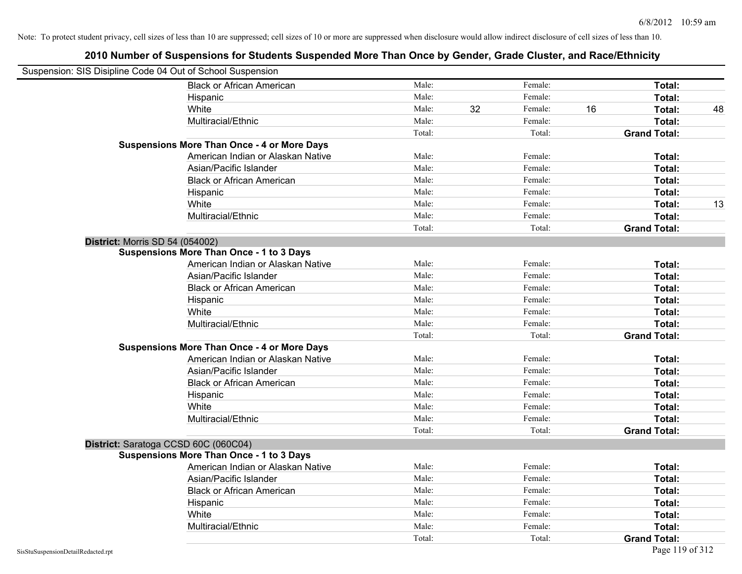| Suspension: SIS Disipline Code 04 Out of School Suspension |                                                    |        |    |         |    |                     |    |
|------------------------------------------------------------|----------------------------------------------------|--------|----|---------|----|---------------------|----|
|                                                            | <b>Black or African American</b>                   | Male:  |    | Female: |    | Total:              |    |
|                                                            | Hispanic                                           | Male:  |    | Female: |    | Total:              |    |
|                                                            | White                                              | Male:  | 32 | Female: | 16 | Total:              | 48 |
|                                                            | Multiracial/Ethnic                                 | Male:  |    | Female: |    | Total:              |    |
|                                                            |                                                    | Total: |    | Total:  |    | <b>Grand Total:</b> |    |
|                                                            | <b>Suspensions More Than Once - 4 or More Days</b> |        |    |         |    |                     |    |
|                                                            | American Indian or Alaskan Native                  | Male:  |    | Female: |    | Total:              |    |
|                                                            | Asian/Pacific Islander                             | Male:  |    | Female: |    | Total:              |    |
|                                                            | <b>Black or African American</b>                   | Male:  |    | Female: |    | Total:              |    |
|                                                            | Hispanic                                           | Male:  |    | Female: |    | Total:              |    |
|                                                            | White                                              | Male:  |    | Female: |    | Total:              | 13 |
|                                                            | Multiracial/Ethnic                                 | Male:  |    | Female: |    | Total:              |    |
|                                                            |                                                    | Total: |    | Total:  |    | <b>Grand Total:</b> |    |
| <b>District: Morris SD 54 (054002)</b>                     |                                                    |        |    |         |    |                     |    |
|                                                            | <b>Suspensions More Than Once - 1 to 3 Days</b>    |        |    |         |    |                     |    |
|                                                            | American Indian or Alaskan Native                  | Male:  |    | Female: |    | Total:              |    |
|                                                            | Asian/Pacific Islander                             | Male:  |    | Female: |    | Total:              |    |
|                                                            | <b>Black or African American</b>                   | Male:  |    | Female: |    | Total:              |    |
|                                                            | Hispanic                                           | Male:  |    | Female: |    | Total:              |    |
|                                                            | White                                              | Male:  |    | Female: |    | Total:              |    |
|                                                            | Multiracial/Ethnic                                 | Male:  |    | Female: |    | Total:              |    |
|                                                            |                                                    | Total: |    | Total:  |    | <b>Grand Total:</b> |    |
|                                                            | <b>Suspensions More Than Once - 4 or More Days</b> |        |    |         |    |                     |    |
|                                                            | American Indian or Alaskan Native                  | Male:  |    | Female: |    | Total:              |    |
|                                                            | Asian/Pacific Islander                             | Male:  |    | Female: |    | Total:              |    |
|                                                            | <b>Black or African American</b>                   | Male:  |    | Female: |    | Total:              |    |
|                                                            | Hispanic                                           | Male:  |    | Female: |    | Total:              |    |
|                                                            | White                                              | Male:  |    | Female: |    | Total:              |    |
|                                                            | Multiracial/Ethnic                                 | Male:  |    | Female: |    | Total:              |    |
|                                                            |                                                    | Total: |    | Total:  |    | <b>Grand Total:</b> |    |
|                                                            | District: Saratoga CCSD 60C (060C04)               |        |    |         |    |                     |    |
|                                                            | <b>Suspensions More Than Once - 1 to 3 Days</b>    |        |    |         |    |                     |    |
|                                                            | American Indian or Alaskan Native                  | Male:  |    | Female: |    | Total:              |    |
|                                                            | Asian/Pacific Islander                             | Male:  |    | Female: |    | Total:              |    |
|                                                            | <b>Black or African American</b>                   | Male:  |    | Female: |    | Total:              |    |
|                                                            | Hispanic                                           | Male:  |    | Female: |    | Total:              |    |
|                                                            | White                                              | Male:  |    | Female: |    | Total:              |    |
|                                                            | Multiracial/Ethnic                                 | Male:  |    | Female: |    | Total:              |    |
|                                                            |                                                    | Total: |    | Total:  |    | <b>Grand Total:</b> |    |
| SisStuSuspensionDetailRedacted.rpt                         |                                                    |        |    |         |    | Page 119 of 312     |    |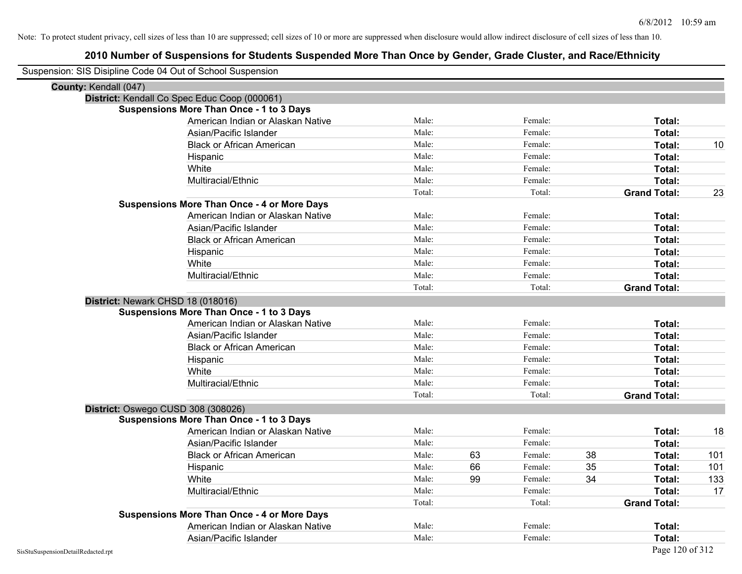| Suspension: SIS Disipline Code 04 Out of School Suspension |                                                    |        |    |         |    |                     |     |
|------------------------------------------------------------|----------------------------------------------------|--------|----|---------|----|---------------------|-----|
| County: Kendall (047)                                      |                                                    |        |    |         |    |                     |     |
|                                                            | District: Kendall Co Spec Educ Coop (000061)       |        |    |         |    |                     |     |
|                                                            | <b>Suspensions More Than Once - 1 to 3 Days</b>    |        |    |         |    |                     |     |
|                                                            | American Indian or Alaskan Native                  | Male:  |    | Female: |    | Total:              |     |
|                                                            | Asian/Pacific Islander                             | Male:  |    | Female: |    | Total:              |     |
|                                                            | <b>Black or African American</b>                   | Male:  |    | Female: |    | Total:              | 10  |
|                                                            | Hispanic                                           | Male:  |    | Female: |    | Total:              |     |
|                                                            | White                                              | Male:  |    | Female: |    | Total:              |     |
|                                                            | Multiracial/Ethnic                                 | Male:  |    | Female: |    | Total:              |     |
|                                                            |                                                    | Total: |    | Total:  |    | <b>Grand Total:</b> | 23  |
|                                                            | <b>Suspensions More Than Once - 4 or More Days</b> |        |    |         |    |                     |     |
|                                                            | American Indian or Alaskan Native                  | Male:  |    | Female: |    | Total:              |     |
|                                                            | Asian/Pacific Islander                             | Male:  |    | Female: |    | Total:              |     |
|                                                            | <b>Black or African American</b>                   | Male:  |    | Female: |    | Total:              |     |
|                                                            | Hispanic                                           | Male:  |    | Female: |    | Total:              |     |
|                                                            | White                                              | Male:  |    | Female: |    | Total:              |     |
|                                                            | Multiracial/Ethnic                                 | Male:  |    | Female: |    | Total:              |     |
|                                                            |                                                    | Total: |    | Total:  |    | <b>Grand Total:</b> |     |
|                                                            | District: Newark CHSD 18 (018016)                  |        |    |         |    |                     |     |
|                                                            | <b>Suspensions More Than Once - 1 to 3 Days</b>    |        |    |         |    |                     |     |
|                                                            | American Indian or Alaskan Native                  | Male:  |    | Female: |    | Total:              |     |
|                                                            | Asian/Pacific Islander                             | Male:  |    | Female: |    | Total:              |     |
|                                                            | <b>Black or African American</b>                   | Male:  |    | Female: |    | Total:              |     |
|                                                            | Hispanic                                           | Male:  |    | Female: |    | Total:              |     |
|                                                            | White                                              | Male:  |    | Female: |    | Total:              |     |
|                                                            | Multiracial/Ethnic                                 | Male:  |    | Female: |    | Total:              |     |
|                                                            |                                                    | Total: |    | Total:  |    | <b>Grand Total:</b> |     |
|                                                            | District: Oswego CUSD 308 (308026)                 |        |    |         |    |                     |     |
|                                                            | <b>Suspensions More Than Once - 1 to 3 Days</b>    |        |    |         |    |                     |     |
|                                                            | American Indian or Alaskan Native                  | Male:  |    | Female: |    | Total:              | 18  |
|                                                            | Asian/Pacific Islander                             | Male:  |    | Female: |    | Total:              |     |
|                                                            | <b>Black or African American</b>                   | Male:  | 63 | Female: | 38 | Total:              | 101 |
|                                                            | Hispanic                                           | Male:  | 66 | Female: | 35 | Total:              | 101 |
|                                                            | White                                              | Male:  | 99 | Female: | 34 | Total:              | 133 |
|                                                            | Multiracial/Ethnic                                 | Male:  |    | Female: |    | Total:              | 17  |
|                                                            |                                                    | Total: |    | Total:  |    | <b>Grand Total:</b> |     |
|                                                            | <b>Suspensions More Than Once - 4 or More Days</b> |        |    |         |    |                     |     |
|                                                            | American Indian or Alaskan Native                  | Male:  |    | Female: |    | Total:              |     |
|                                                            | Asian/Pacific Islander                             | Male:  |    | Female: |    | Total:              |     |
| SisStuSuspensionDetailRedacted.rpt                         |                                                    |        |    |         |    | Page 120 of 312     |     |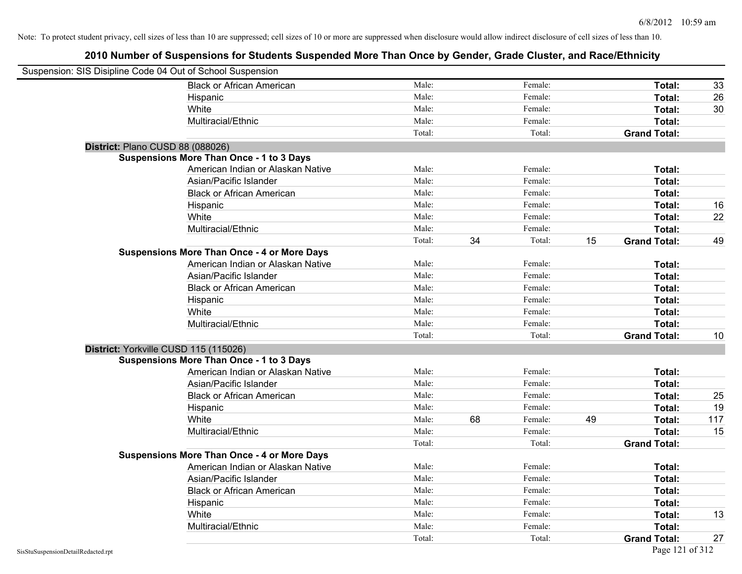| Suspension: SIS Disipline Code 04 Out of School Suspension |                                                    |        |    |         |    |                     |     |
|------------------------------------------------------------|----------------------------------------------------|--------|----|---------|----|---------------------|-----|
|                                                            | <b>Black or African American</b>                   | Male:  |    | Female: |    | Total:              | 33  |
|                                                            | Hispanic                                           | Male:  |    | Female: |    | Total:              | 26  |
|                                                            | White                                              | Male:  |    | Female: |    | Total:              | 30  |
|                                                            | Multiracial/Ethnic                                 | Male:  |    | Female: |    | Total:              |     |
|                                                            |                                                    | Total: |    | Total:  |    | <b>Grand Total:</b> |     |
| District: Plano CUSD 88 (088026)                           |                                                    |        |    |         |    |                     |     |
|                                                            | <b>Suspensions More Than Once - 1 to 3 Days</b>    |        |    |         |    |                     |     |
|                                                            | American Indian or Alaskan Native                  | Male:  |    | Female: |    | Total:              |     |
|                                                            | Asian/Pacific Islander                             | Male:  |    | Female: |    | Total:              |     |
|                                                            | <b>Black or African American</b>                   | Male:  |    | Female: |    | <b>Total:</b>       |     |
|                                                            | Hispanic                                           | Male:  |    | Female: |    | Total:              | 16  |
|                                                            | White                                              | Male:  |    | Female: |    | Total:              | 22  |
|                                                            | Multiracial/Ethnic                                 | Male:  |    | Female: |    | Total:              |     |
|                                                            |                                                    | Total: | 34 | Total:  | 15 | <b>Grand Total:</b> | 49  |
|                                                            | <b>Suspensions More Than Once - 4 or More Days</b> |        |    |         |    |                     |     |
|                                                            | American Indian or Alaskan Native                  | Male:  |    | Female: |    | Total:              |     |
|                                                            | Asian/Pacific Islander                             | Male:  |    | Female: |    | Total:              |     |
|                                                            | <b>Black or African American</b>                   | Male:  |    | Female: |    | Total:              |     |
|                                                            | Hispanic                                           | Male:  |    | Female: |    | Total:              |     |
|                                                            | White                                              | Male:  |    | Female: |    | Total:              |     |
|                                                            | Multiracial/Ethnic                                 | Male:  |    | Female: |    | Total:              |     |
|                                                            |                                                    | Total: |    | Total:  |    | <b>Grand Total:</b> | 10  |
| District: Yorkville CUSD 115 (115026)                      |                                                    |        |    |         |    |                     |     |
|                                                            | <b>Suspensions More Than Once - 1 to 3 Days</b>    |        |    |         |    |                     |     |
|                                                            | American Indian or Alaskan Native                  | Male:  |    | Female: |    | Total:              |     |
|                                                            | Asian/Pacific Islander                             | Male:  |    | Female: |    | Total:              |     |
|                                                            | <b>Black or African American</b>                   | Male:  |    | Female: |    | Total:              | 25  |
|                                                            | Hispanic                                           | Male:  |    | Female: |    | Total:              | 19  |
|                                                            | White                                              | Male:  | 68 | Female: | 49 | Total:              | 117 |
|                                                            | Multiracial/Ethnic                                 | Male:  |    | Female: |    | Total:              | 15  |
|                                                            |                                                    | Total: |    | Total:  |    | <b>Grand Total:</b> |     |
|                                                            | <b>Suspensions More Than Once - 4 or More Days</b> |        |    |         |    |                     |     |
|                                                            | American Indian or Alaskan Native                  | Male:  |    | Female: |    | Total:              |     |
|                                                            | Asian/Pacific Islander                             | Male:  |    | Female: |    | Total:              |     |
|                                                            | <b>Black or African American</b>                   | Male:  |    | Female: |    | Total:              |     |
|                                                            | Hispanic                                           | Male:  |    | Female: |    | Total:              |     |
|                                                            | White                                              | Male:  |    | Female: |    | Total:              | 13  |
|                                                            | Multiracial/Ethnic                                 | Male:  |    | Female: |    | Total:              |     |
|                                                            |                                                    | Total: |    | Total:  |    | <b>Grand Total:</b> | 27  |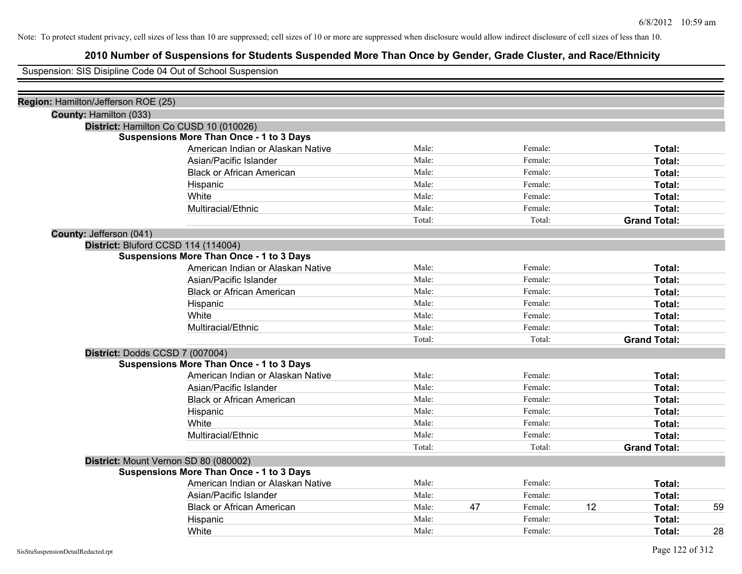## **2010 Number of Suspensions for Students Suspended More Than Once by Gender, Grade Cluster, and Race/Ethnicity**

Suspension: SIS Disipline Code 04 Out of School Suspension

| Region: Hamilton/Jefferson ROE (25)    |                                                 |        |    |         |    |                     |    |
|----------------------------------------|-------------------------------------------------|--------|----|---------|----|---------------------|----|
| County: Hamilton (033)                 |                                                 |        |    |         |    |                     |    |
| District: Hamilton Co CUSD 10 (010026) |                                                 |        |    |         |    |                     |    |
|                                        | <b>Suspensions More Than Once - 1 to 3 Days</b> |        |    |         |    |                     |    |
|                                        | American Indian or Alaskan Native               | Male:  |    | Female: |    | Total:              |    |
|                                        | Asian/Pacific Islander                          | Male:  |    | Female: |    | Total:              |    |
|                                        | <b>Black or African American</b>                | Male:  |    | Female: |    | Total:              |    |
|                                        | Hispanic                                        | Male:  |    | Female: |    | Total:              |    |
|                                        | White                                           | Male:  |    | Female: |    | Total:              |    |
|                                        | Multiracial/Ethnic                              | Male:  |    | Female: |    | Total:              |    |
|                                        |                                                 | Total: |    | Total:  |    | <b>Grand Total:</b> |    |
| County: Jefferson (041)                |                                                 |        |    |         |    |                     |    |
| District: Bluford CCSD 114 (114004)    |                                                 |        |    |         |    |                     |    |
|                                        | <b>Suspensions More Than Once - 1 to 3 Days</b> |        |    |         |    |                     |    |
|                                        | American Indian or Alaskan Native               | Male:  |    | Female: |    | Total:              |    |
|                                        | Asian/Pacific Islander                          | Male:  |    | Female: |    | Total:              |    |
|                                        | <b>Black or African American</b>                | Male:  |    | Female: |    | Total:              |    |
|                                        | Hispanic                                        | Male:  |    | Female: |    | Total:              |    |
|                                        | White                                           | Male:  |    | Female: |    | Total:              |    |
|                                        | Multiracial/Ethnic                              | Male:  |    | Female: |    | Total:              |    |
|                                        |                                                 | Total: |    | Total:  |    | <b>Grand Total:</b> |    |
| District: Dodds CCSD 7 (007004)        |                                                 |        |    |         |    |                     |    |
|                                        | <b>Suspensions More Than Once - 1 to 3 Days</b> |        |    |         |    |                     |    |
|                                        | American Indian or Alaskan Native               | Male:  |    | Female: |    | Total:              |    |
|                                        | Asian/Pacific Islander                          | Male:  |    | Female: |    | Total:              |    |
|                                        | <b>Black or African American</b>                | Male:  |    | Female: |    | Total:              |    |
|                                        | Hispanic                                        | Male:  |    | Female: |    | Total:              |    |
|                                        | White                                           | Male:  |    | Female: |    | Total:              |    |
|                                        | Multiracial/Ethnic                              | Male:  |    | Female: |    | Total:              |    |
|                                        |                                                 | Total: |    | Total:  |    | <b>Grand Total:</b> |    |
| District: Mount Vernon SD 80 (080002)  |                                                 |        |    |         |    |                     |    |
|                                        | Suspensions More Than Once - 1 to 3 Days        |        |    |         |    |                     |    |
|                                        | American Indian or Alaskan Native               | Male:  |    | Female: |    | Total:              |    |
|                                        | Asian/Pacific Islander                          | Male:  |    | Female: |    | Total:              |    |
|                                        | <b>Black or African American</b>                | Male:  | 47 | Female: | 12 | Total:              | 59 |
|                                        | Hispanic                                        | Male:  |    | Female: |    | Total:              |    |
|                                        | White                                           | Male:  |    | Female: |    | Total:              | 28 |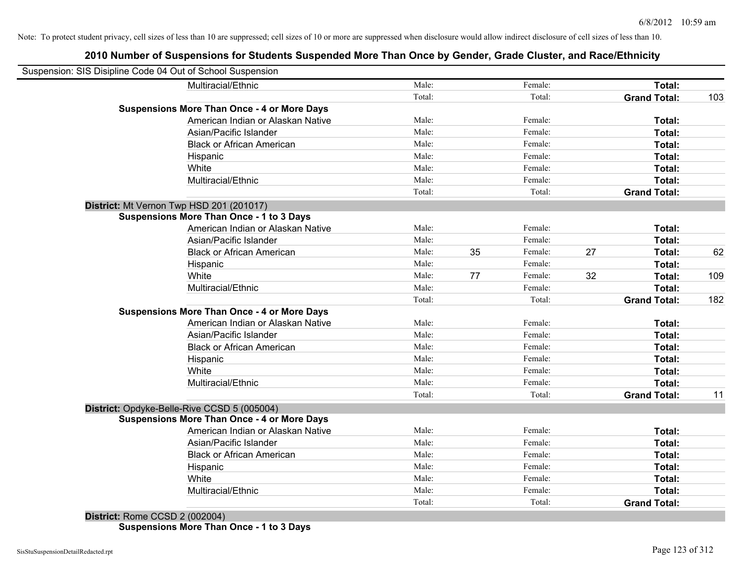## **2010 Number of Suspensions for Students Suspended More Than Once by Gender, Grade Cluster, and Race/Ethnicity**

| Suspension: SIS Disipline Code 04 Out of School Suspension |                                                    |        |    |         |    |                     |     |
|------------------------------------------------------------|----------------------------------------------------|--------|----|---------|----|---------------------|-----|
|                                                            | Multiracial/Ethnic                                 | Male:  |    | Female: |    | Total:              |     |
|                                                            |                                                    | Total: |    | Total:  |    | <b>Grand Total:</b> | 103 |
|                                                            | <b>Suspensions More Than Once - 4 or More Days</b> |        |    |         |    |                     |     |
|                                                            | American Indian or Alaskan Native                  | Male:  |    | Female: |    | Total:              |     |
|                                                            | Asian/Pacific Islander                             | Male:  |    | Female: |    | <b>Total:</b>       |     |
|                                                            | <b>Black or African American</b>                   | Male:  |    | Female: |    | <b>Total:</b>       |     |
|                                                            | Hispanic                                           | Male:  |    | Female: |    | Total:              |     |
|                                                            | White                                              | Male:  |    | Female: |    | Total:              |     |
|                                                            | Multiracial/Ethnic                                 | Male:  |    | Female: |    | Total:              |     |
|                                                            |                                                    | Total: |    | Total:  |    | <b>Grand Total:</b> |     |
| District: Mt Vernon Twp HSD 201 (201017)                   |                                                    |        |    |         |    |                     |     |
|                                                            | <b>Suspensions More Than Once - 1 to 3 Days</b>    |        |    |         |    |                     |     |
|                                                            | American Indian or Alaskan Native                  | Male:  |    | Female: |    | Total:              |     |
|                                                            | Asian/Pacific Islander                             | Male:  |    | Female: |    | Total:              |     |
|                                                            | <b>Black or African American</b>                   | Male:  | 35 | Female: | 27 | Total:              | 62  |
|                                                            | Hispanic                                           | Male:  |    | Female: |    | Total:              |     |
|                                                            | White                                              | Male:  | 77 | Female: | 32 | Total:              | 109 |
|                                                            | Multiracial/Ethnic                                 | Male:  |    | Female: |    | <b>Total:</b>       |     |
|                                                            |                                                    | Total: |    | Total:  |    | <b>Grand Total:</b> | 182 |
|                                                            | <b>Suspensions More Than Once - 4 or More Days</b> |        |    |         |    |                     |     |
|                                                            | American Indian or Alaskan Native                  | Male:  |    | Female: |    | Total:              |     |
|                                                            | Asian/Pacific Islander                             | Male:  |    | Female: |    | Total:              |     |
|                                                            | <b>Black or African American</b>                   | Male:  |    | Female: |    | Total:              |     |
|                                                            | Hispanic                                           | Male:  |    | Female: |    | Total:              |     |
|                                                            | White                                              | Male:  |    | Female: |    | <b>Total:</b>       |     |
|                                                            | Multiracial/Ethnic                                 | Male:  |    | Female: |    | <b>Total:</b>       |     |
|                                                            |                                                    | Total: |    | Total:  |    | <b>Grand Total:</b> | 11  |
|                                                            | District: Opdyke-Belle-Rive CCSD 5 (005004)        |        |    |         |    |                     |     |
|                                                            | <b>Suspensions More Than Once - 4 or More Days</b> |        |    |         |    |                     |     |
|                                                            | American Indian or Alaskan Native                  | Male:  |    | Female: |    | <b>Total:</b>       |     |
|                                                            | Asian/Pacific Islander                             | Male:  |    | Female: |    | <b>Total:</b>       |     |
|                                                            | <b>Black or African American</b>                   | Male:  |    | Female: |    | <b>Total:</b>       |     |
|                                                            | Hispanic                                           | Male:  |    | Female: |    | <b>Total:</b>       |     |
|                                                            | White                                              | Male:  |    | Female: |    | Total:              |     |
|                                                            | Multiracial/Ethnic                                 | Male:  |    | Female: |    | Total:              |     |
|                                                            |                                                    | Total: |    | Total:  |    | <b>Grand Total:</b> |     |

**District:** Rome CCSD 2 (002004) **Suspensions More Than Once - 1 to 3 Days**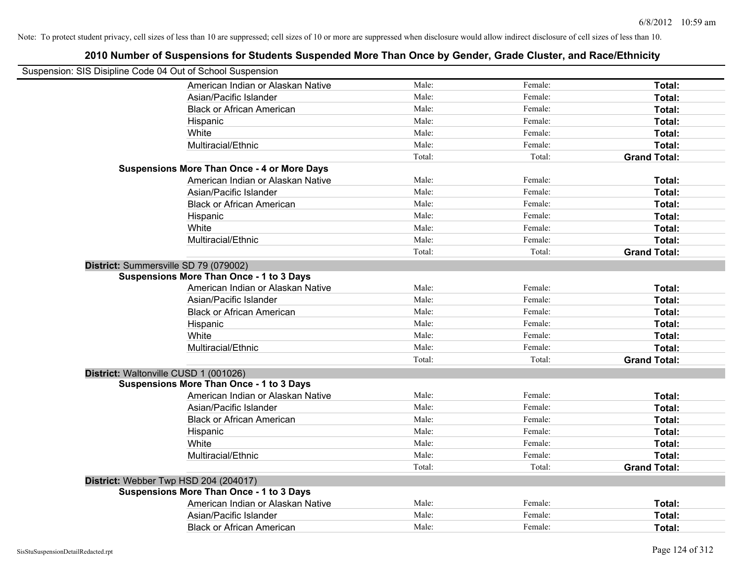| Suspension: SIS Disipline Code 04 Out of School Suspension |                                                    |        |         |                     |
|------------------------------------------------------------|----------------------------------------------------|--------|---------|---------------------|
|                                                            | American Indian or Alaskan Native                  | Male:  | Female: | Total:              |
|                                                            | Asian/Pacific Islander                             | Male:  | Female: | Total:              |
|                                                            | <b>Black or African American</b>                   | Male:  | Female: | Total:              |
|                                                            | Hispanic                                           | Male:  | Female: | Total:              |
|                                                            | White                                              | Male:  | Female: | Total:              |
|                                                            | Multiracial/Ethnic                                 | Male:  | Female: | Total:              |
|                                                            |                                                    | Total: | Total:  | <b>Grand Total:</b> |
|                                                            | <b>Suspensions More Than Once - 4 or More Days</b> |        |         |                     |
|                                                            | American Indian or Alaskan Native                  | Male:  | Female: | Total:              |
|                                                            | Asian/Pacific Islander                             | Male:  | Female: | Total:              |
|                                                            | <b>Black or African American</b>                   | Male:  | Female: | Total:              |
|                                                            | Hispanic                                           | Male:  | Female: | Total:              |
|                                                            | White                                              | Male:  | Female: | Total:              |
|                                                            | Multiracial/Ethnic                                 | Male:  | Female: | Total:              |
|                                                            |                                                    | Total: | Total:  | <b>Grand Total:</b> |
|                                                            | District: Summersville SD 79 (079002)              |        |         |                     |
|                                                            | <b>Suspensions More Than Once - 1 to 3 Days</b>    |        |         |                     |
|                                                            | American Indian or Alaskan Native                  | Male:  | Female: | Total:              |
|                                                            | Asian/Pacific Islander                             | Male:  | Female: | Total:              |
|                                                            | <b>Black or African American</b>                   | Male:  | Female: | Total:              |
|                                                            | Hispanic                                           | Male:  | Female: | Total:              |
|                                                            | White                                              | Male:  | Female: | Total:              |
|                                                            | Multiracial/Ethnic                                 | Male:  | Female: | Total:              |
|                                                            |                                                    | Total: | Total:  | <b>Grand Total:</b> |
|                                                            | District: Waltonville CUSD 1 (001026)              |        |         |                     |
|                                                            | <b>Suspensions More Than Once - 1 to 3 Days</b>    |        |         |                     |
|                                                            | American Indian or Alaskan Native                  | Male:  | Female: | Total:              |
|                                                            | Asian/Pacific Islander                             | Male:  | Female: | Total:              |
|                                                            | <b>Black or African American</b>                   | Male:  | Female: | Total:              |
|                                                            | Hispanic                                           | Male:  | Female: | Total:              |
|                                                            | White                                              | Male:  | Female: | Total:              |
|                                                            | Multiracial/Ethnic                                 | Male:  | Female: | Total:              |
|                                                            |                                                    | Total: | Total:  | <b>Grand Total:</b> |
|                                                            | District: Webber Twp HSD 204 (204017)              |        |         |                     |
|                                                            | <b>Suspensions More Than Once - 1 to 3 Days</b>    |        |         |                     |
|                                                            | American Indian or Alaskan Native                  | Male:  | Female: | Total:              |
|                                                            | Asian/Pacific Islander                             | Male:  | Female: | Total:              |
|                                                            | <b>Black or African American</b>                   | Male:  | Female: | Total:              |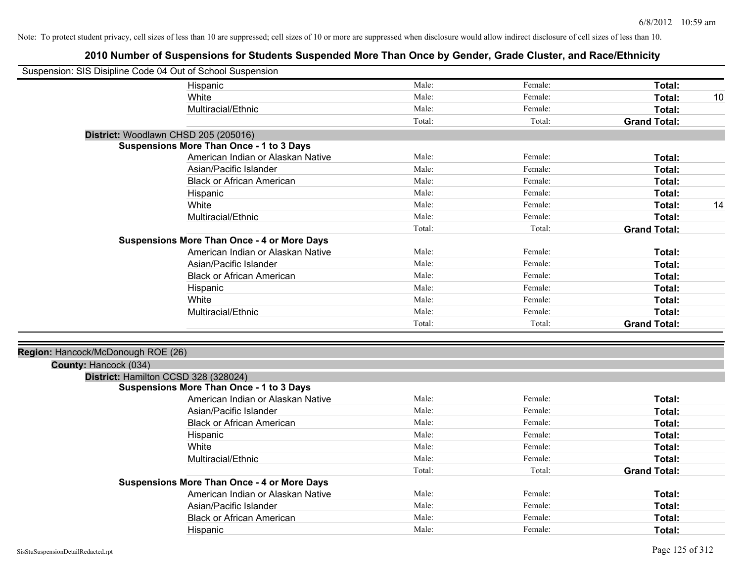| Suspension: SIS Disipline Code 04 Out of School Suspension |                                                    |        |         |                     |    |
|------------------------------------------------------------|----------------------------------------------------|--------|---------|---------------------|----|
|                                                            | Hispanic                                           | Male:  | Female: | Total:              |    |
|                                                            | White                                              | Male:  | Female: | Total:              | 10 |
|                                                            | Multiracial/Ethnic                                 | Male:  | Female: | Total:              |    |
|                                                            |                                                    | Total: | Total:  | <b>Grand Total:</b> |    |
|                                                            | District: Woodlawn CHSD 205 (205016)               |        |         |                     |    |
|                                                            | Suspensions More Than Once - 1 to 3 Days           |        |         |                     |    |
|                                                            | American Indian or Alaskan Native                  | Male:  | Female: | Total:              |    |
|                                                            | Asian/Pacific Islander                             | Male:  | Female: | Total:              |    |
|                                                            | <b>Black or African American</b>                   | Male:  | Female: | Total:              |    |
|                                                            | Hispanic                                           | Male:  | Female: | Total:              |    |
|                                                            | White                                              | Male:  | Female: | Total:              | 14 |
|                                                            | Multiracial/Ethnic                                 | Male:  | Female: | Total:              |    |
|                                                            |                                                    | Total: | Total:  | <b>Grand Total:</b> |    |
|                                                            | <b>Suspensions More Than Once - 4 or More Days</b> |        |         |                     |    |
|                                                            | American Indian or Alaskan Native                  | Male:  | Female: | Total:              |    |
|                                                            | Asian/Pacific Islander                             | Male:  | Female: | Total:              |    |
|                                                            | <b>Black or African American</b>                   | Male:  | Female: | Total:              |    |
|                                                            | Hispanic                                           | Male:  | Female: | Total:              |    |
|                                                            | White                                              | Male:  | Female: | Total:              |    |
|                                                            | Multiracial/Ethnic                                 | Male:  | Female: | Total:              |    |
|                                                            |                                                    | Total: | Total:  | <b>Grand Total:</b> |    |
|                                                            |                                                    |        |         |                     |    |
| Region: Hancock/McDonough ROE (26)                         |                                                    |        |         |                     |    |
| County: Hancock (034)                                      |                                                    |        |         |                     |    |
|                                                            | District: Hamilton CCSD 328 (328024)               |        |         |                     |    |
|                                                            | <b>Suspensions More Than Once - 1 to 3 Days</b>    |        |         |                     |    |
|                                                            | American Indian or Alaskan Native                  | Male:  | Female: | Total:              |    |
|                                                            | Asian/Pacific Islander                             | Male:  | Female: | Total:              |    |
|                                                            | <b>Black or African American</b>                   | Male:  | Female: | Total:              |    |
|                                                            | Hispanic                                           | Male:  | Female: | Total:              |    |
|                                                            | White                                              | Male:  | Female: | Total:              |    |
|                                                            | Multiracial/Ethnic                                 | Male:  | Female: | Total:              |    |
|                                                            |                                                    | Total: | Total:  | <b>Grand Total:</b> |    |
|                                                            | <b>Suspensions More Than Once - 4 or More Days</b> |        |         |                     |    |
|                                                            | American Indian or Alaskan Native                  | Male:  | Female: | Total:              |    |
|                                                            | Asian/Pacific Islander                             | Male:  | Female: | Total:              |    |
|                                                            | <b>Black or African American</b>                   | Male:  | Female: | Total:              |    |
|                                                            | Hispanic                                           | Male:  | Female: | Total:              |    |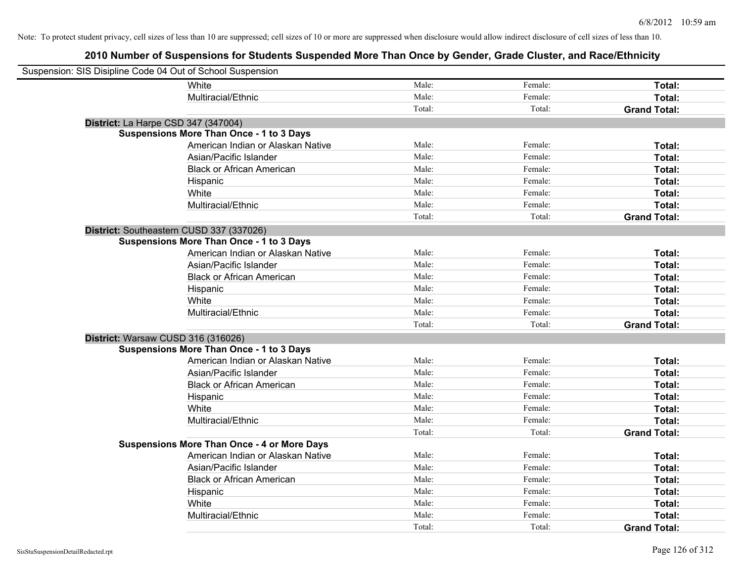| Suspension: SIS Disipline Code 04 Out of School Suspension |                                                    |        |         |                     |
|------------------------------------------------------------|----------------------------------------------------|--------|---------|---------------------|
|                                                            | White                                              | Male:  | Female: | Total:              |
|                                                            | Multiracial/Ethnic                                 | Male:  | Female: | Total:              |
|                                                            |                                                    | Total: | Total:  | <b>Grand Total:</b> |
| District: La Harpe CSD 347 (347004)                        |                                                    |        |         |                     |
|                                                            | <b>Suspensions More Than Once - 1 to 3 Days</b>    |        |         |                     |
|                                                            | American Indian or Alaskan Native                  | Male:  | Female: | Total:              |
|                                                            | Asian/Pacific Islander                             | Male:  | Female: | Total:              |
|                                                            | <b>Black or African American</b>                   | Male:  | Female: | Total:              |
|                                                            | Hispanic                                           | Male:  | Female: | Total:              |
|                                                            | White                                              | Male:  | Female: | Total:              |
|                                                            | Multiracial/Ethnic                                 | Male:  | Female: | Total:              |
|                                                            |                                                    | Total: | Total:  | <b>Grand Total:</b> |
| District: Southeastern CUSD 337 (337026)                   |                                                    |        |         |                     |
|                                                            | <b>Suspensions More Than Once - 1 to 3 Days</b>    |        |         |                     |
|                                                            | American Indian or Alaskan Native                  | Male:  | Female: | Total:              |
|                                                            | Asian/Pacific Islander                             | Male:  | Female: | Total:              |
|                                                            | <b>Black or African American</b>                   | Male:  | Female: | Total:              |
|                                                            | Hispanic                                           | Male:  | Female: | Total:              |
|                                                            | White                                              | Male:  | Female: | Total:              |
|                                                            | Multiracial/Ethnic                                 | Male:  | Female: | Total:              |
|                                                            |                                                    | Total: | Total:  | <b>Grand Total:</b> |
| District: Warsaw CUSD 316 (316026)                         |                                                    |        |         |                     |
|                                                            | <b>Suspensions More Than Once - 1 to 3 Days</b>    |        |         |                     |
|                                                            | American Indian or Alaskan Native                  | Male:  | Female: | Total:              |
|                                                            | Asian/Pacific Islander                             | Male:  | Female: | Total:              |
|                                                            | <b>Black or African American</b>                   | Male:  | Female: | Total:              |
|                                                            | Hispanic                                           | Male:  | Female: | Total:              |
|                                                            | White                                              | Male:  | Female: | Total:              |
|                                                            | Multiracial/Ethnic                                 | Male:  | Female: | Total:              |
|                                                            |                                                    | Total: | Total:  | <b>Grand Total:</b> |
|                                                            | <b>Suspensions More Than Once - 4 or More Days</b> |        |         |                     |
|                                                            | American Indian or Alaskan Native                  | Male:  | Female: | Total:              |
|                                                            | Asian/Pacific Islander                             | Male:  | Female: | Total:              |
|                                                            | <b>Black or African American</b>                   | Male:  | Female: | Total:              |
|                                                            | Hispanic                                           | Male:  | Female: | Total:              |
|                                                            | White                                              | Male:  | Female: | Total:              |
|                                                            | Multiracial/Ethnic                                 | Male:  | Female: | Total:              |
|                                                            |                                                    | Total: | Total:  | <b>Grand Total:</b> |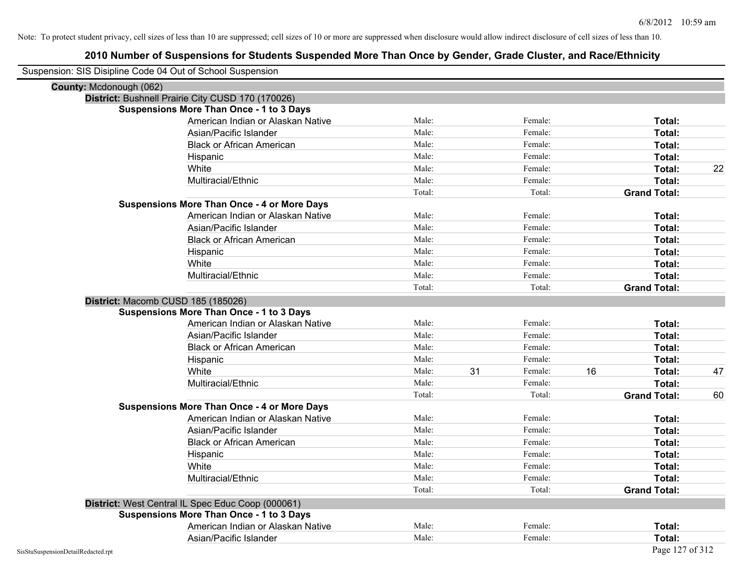| Suspension: SIS Disipline Code 04 Out of School Suspension |                                                    |        |    |         |                     |                 |
|------------------------------------------------------------|----------------------------------------------------|--------|----|---------|---------------------|-----------------|
| County: Mcdonough (062)                                    |                                                    |        |    |         |                     |                 |
|                                                            | District: Bushnell Prairie City CUSD 170 (170026)  |        |    |         |                     |                 |
|                                                            | <b>Suspensions More Than Once - 1 to 3 Days</b>    |        |    |         |                     |                 |
|                                                            | American Indian or Alaskan Native                  | Male:  |    | Female: | Total:              |                 |
|                                                            | Asian/Pacific Islander                             | Male:  |    | Female: | Total:              |                 |
|                                                            | <b>Black or African American</b>                   | Male:  |    | Female: | Total:              |                 |
|                                                            | Hispanic                                           | Male:  |    | Female: | Total:              |                 |
|                                                            | White                                              | Male:  |    | Female: | Total:              | 22              |
|                                                            | Multiracial/Ethnic                                 | Male:  |    | Female: | Total:              |                 |
|                                                            |                                                    | Total: |    | Total:  | <b>Grand Total:</b> |                 |
|                                                            | <b>Suspensions More Than Once - 4 or More Days</b> |        |    |         |                     |                 |
|                                                            | American Indian or Alaskan Native                  | Male:  |    | Female: | Total:              |                 |
|                                                            | Asian/Pacific Islander                             | Male:  |    | Female: | Total:              |                 |
|                                                            | <b>Black or African American</b>                   | Male:  |    | Female: | Total:              |                 |
|                                                            | Hispanic                                           | Male:  |    | Female: | Total:              |                 |
|                                                            | White                                              | Male:  |    | Female: | Total:              |                 |
|                                                            | Multiracial/Ethnic                                 | Male:  |    | Female: | Total:              |                 |
|                                                            |                                                    | Total: |    | Total:  | <b>Grand Total:</b> |                 |
|                                                            | District: Macomb CUSD 185 (185026)                 |        |    |         |                     |                 |
|                                                            | <b>Suspensions More Than Once - 1 to 3 Days</b>    |        |    |         |                     |                 |
|                                                            | American Indian or Alaskan Native                  | Male:  |    | Female: | Total:              |                 |
|                                                            | Asian/Pacific Islander                             | Male:  |    | Female: | Total:              |                 |
|                                                            | <b>Black or African American</b>                   | Male:  |    | Female: | Total:              |                 |
|                                                            | Hispanic                                           | Male:  |    | Female: | Total:              |                 |
|                                                            | White                                              | Male:  | 31 | Female: | 16<br>Total:        | 47              |
|                                                            | Multiracial/Ethnic                                 | Male:  |    | Female: | Total:              |                 |
|                                                            |                                                    | Total: |    | Total:  | <b>Grand Total:</b> | 60              |
|                                                            | <b>Suspensions More Than Once - 4 or More Days</b> |        |    |         |                     |                 |
|                                                            | American Indian or Alaskan Native                  | Male:  |    | Female: | Total:              |                 |
|                                                            | Asian/Pacific Islander                             | Male:  |    | Female: | Total:              |                 |
|                                                            | <b>Black or African American</b>                   | Male:  |    | Female: | Total:              |                 |
|                                                            | Hispanic                                           | Male:  |    | Female: | Total:              |                 |
|                                                            | White                                              | Male:  |    | Female: | Total:              |                 |
|                                                            | Multiracial/Ethnic                                 | Male:  |    | Female: | Total:              |                 |
|                                                            |                                                    | Total: |    | Total:  | <b>Grand Total:</b> |                 |
|                                                            | District: West Central IL Spec Educ Coop (000061)  |        |    |         |                     |                 |
|                                                            | <b>Suspensions More Than Once - 1 to 3 Days</b>    |        |    |         |                     |                 |
|                                                            | American Indian or Alaskan Native                  | Male:  |    | Female: | Total:              |                 |
|                                                            | Asian/Pacific Islander                             | Male:  |    | Female: | Total:              |                 |
| SisStuSuspensionDetailRedacted.rpt                         |                                                    |        |    |         |                     | Page 127 of 312 |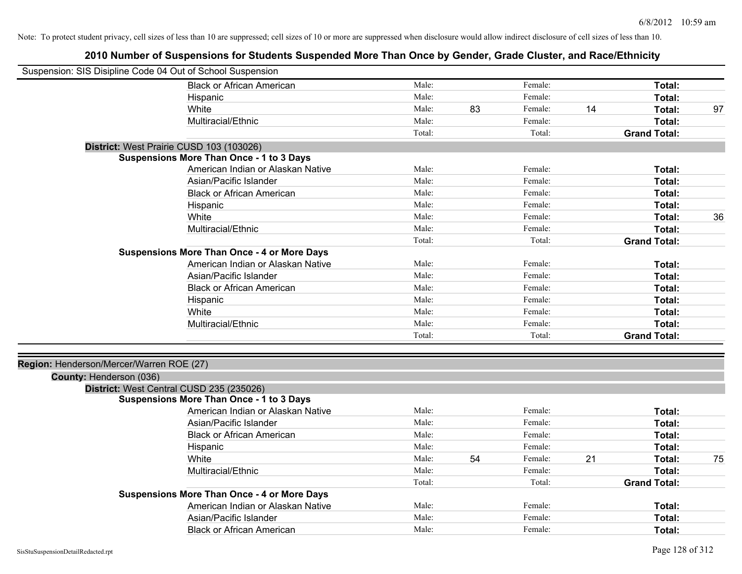| Suspension: SIS Disipline Code 04 Out of School Suspension |                                                                                      |        |    |         |    |                     |    |
|------------------------------------------------------------|--------------------------------------------------------------------------------------|--------|----|---------|----|---------------------|----|
|                                                            | <b>Black or African American</b>                                                     | Male:  |    | Female: |    | Total:              |    |
|                                                            | Hispanic                                                                             | Male:  |    | Female: |    | Total:              |    |
|                                                            | White                                                                                | Male:  | 83 | Female: | 14 | Total:              | 97 |
|                                                            | Multiracial/Ethnic                                                                   | Male:  |    | Female: |    | Total:              |    |
|                                                            |                                                                                      | Total: |    | Total:  |    | <b>Grand Total:</b> |    |
|                                                            | District: West Prairie CUSD 103 (103026)                                             |        |    |         |    |                     |    |
|                                                            | <b>Suspensions More Than Once - 1 to 3 Days</b>                                      |        |    |         |    |                     |    |
|                                                            | American Indian or Alaskan Native                                                    | Male:  |    | Female: |    | Total:              |    |
|                                                            | Asian/Pacific Islander                                                               | Male:  |    | Female: |    | Total:              |    |
|                                                            | <b>Black or African American</b>                                                     | Male:  |    | Female: |    | Total:              |    |
|                                                            | Hispanic                                                                             | Male:  |    | Female: |    | Total:              |    |
|                                                            | White                                                                                | Male:  |    | Female: |    | Total:              | 36 |
|                                                            | Multiracial/Ethnic                                                                   | Male:  |    | Female: |    | Total:              |    |
|                                                            |                                                                                      | Total: |    | Total:  |    | <b>Grand Total:</b> |    |
|                                                            | <b>Suspensions More Than Once - 4 or More Days</b>                                   |        |    |         |    |                     |    |
|                                                            | American Indian or Alaskan Native                                                    | Male:  |    | Female: |    | Total:              |    |
|                                                            | Asian/Pacific Islander                                                               | Male:  |    | Female: |    | Total:              |    |
|                                                            | <b>Black or African American</b>                                                     | Male:  |    | Female: |    | Total:              |    |
|                                                            | Hispanic                                                                             | Male:  |    | Female: |    | Total:              |    |
|                                                            | White                                                                                | Male:  |    | Female: |    | Total:              |    |
|                                                            | Multiracial/Ethnic                                                                   | Male:  |    | Female: |    | Total:              |    |
|                                                            |                                                                                      | Total: |    | Total:  |    | <b>Grand Total:</b> |    |
|                                                            |                                                                                      |        |    |         |    |                     |    |
| Region: Henderson/Mercer/Warren ROE (27)                   |                                                                                      |        |    |         |    |                     |    |
| County: Henderson (036)                                    |                                                                                      |        |    |         |    |                     |    |
|                                                            | District: West Central CUSD 235 (235026)                                             |        |    |         |    |                     |    |
|                                                            | <b>Suspensions More Than Once - 1 to 3 Days</b><br>American Indian or Alaskan Native | Male:  |    | Female: |    | Total:              |    |
|                                                            | Asian/Pacific Islander                                                               | Male:  |    | Female: |    | Total:              |    |
|                                                            | <b>Black or African American</b>                                                     | Male:  |    | Female: |    | Total:              |    |
|                                                            |                                                                                      | Male:  |    | Female: |    | Total:              |    |
|                                                            | Hispanic<br>White                                                                    | Male:  | 54 | Female: | 21 | Total:              | 75 |
|                                                            | Multiracial/Ethnic                                                                   | Male:  |    | Female: |    | Total:              |    |
|                                                            |                                                                                      |        |    |         |    |                     |    |
|                                                            | <b>Suspensions More Than Once - 4 or More Days</b>                                   | Total: |    | Total:  |    | <b>Grand Total:</b> |    |
|                                                            | American Indian or Alaskan Native                                                    | Male:  |    | Female: |    | Total:              |    |
|                                                            | Asian/Pacific Islander                                                               | Male:  |    | Female: |    | Total:              |    |
|                                                            | <b>Black or African American</b>                                                     | Male:  |    | Female: |    | Total:              |    |
|                                                            |                                                                                      |        |    |         |    |                     |    |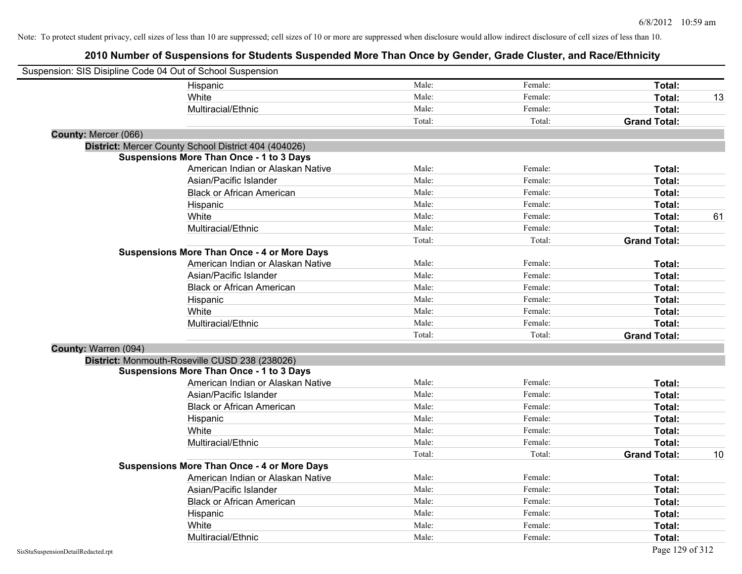| Suspension: SIS Disipline Code 04 Out of School Suspension |                                                      |        |         |                     |    |
|------------------------------------------------------------|------------------------------------------------------|--------|---------|---------------------|----|
|                                                            | Hispanic                                             | Male:  | Female: | Total:              |    |
|                                                            | White                                                | Male:  | Female: | Total:              | 13 |
|                                                            | Multiracial/Ethnic                                   | Male:  | Female: | Total:              |    |
|                                                            |                                                      | Total: | Total:  | <b>Grand Total:</b> |    |
| County: Mercer (066)                                       |                                                      |        |         |                     |    |
|                                                            | District: Mercer County School District 404 (404026) |        |         |                     |    |
|                                                            | <b>Suspensions More Than Once - 1 to 3 Days</b>      |        |         |                     |    |
|                                                            | American Indian or Alaskan Native                    | Male:  | Female: | Total:              |    |
|                                                            | Asian/Pacific Islander                               | Male:  | Female: | Total:              |    |
|                                                            | <b>Black or African American</b>                     | Male:  | Female: | Total:              |    |
|                                                            | Hispanic                                             | Male:  | Female: | Total:              |    |
|                                                            | White                                                | Male:  | Female: | Total:              | 61 |
|                                                            | Multiracial/Ethnic                                   | Male:  | Female: | Total:              |    |
|                                                            |                                                      | Total: | Total:  | <b>Grand Total:</b> |    |
|                                                            | <b>Suspensions More Than Once - 4 or More Days</b>   |        |         |                     |    |
|                                                            | American Indian or Alaskan Native                    | Male:  | Female: | Total:              |    |
|                                                            | Asian/Pacific Islander                               | Male:  | Female: | Total:              |    |
|                                                            | <b>Black or African American</b>                     | Male:  | Female: | Total:              |    |
|                                                            | Hispanic                                             | Male:  | Female: | Total:              |    |
|                                                            | White                                                | Male:  | Female: | Total:              |    |
|                                                            | Multiracial/Ethnic                                   | Male:  | Female: | Total:              |    |
|                                                            |                                                      | Total: | Total:  | <b>Grand Total:</b> |    |
| County: Warren (094)                                       |                                                      |        |         |                     |    |
|                                                            | District: Monmouth-Roseville CUSD 238 (238026)       |        |         |                     |    |
|                                                            | Suspensions More Than Once - 1 to 3 Days             |        |         |                     |    |
|                                                            | American Indian or Alaskan Native                    | Male:  | Female: | Total:              |    |
|                                                            | Asian/Pacific Islander                               | Male:  | Female: | Total:              |    |
|                                                            | <b>Black or African American</b>                     | Male:  | Female: | Total:              |    |
|                                                            | Hispanic                                             | Male:  | Female: | Total:              |    |
|                                                            | White                                                | Male:  | Female: | Total:              |    |
|                                                            | Multiracial/Ethnic                                   | Male:  | Female: | Total:              |    |
|                                                            |                                                      | Total: | Total:  | <b>Grand Total:</b> | 10 |
|                                                            | <b>Suspensions More Than Once - 4 or More Days</b>   |        |         |                     |    |
|                                                            | American Indian or Alaskan Native                    | Male:  | Female: | Total:              |    |
|                                                            | Asian/Pacific Islander                               | Male:  | Female: | Total:              |    |
|                                                            | <b>Black or African American</b>                     | Male:  | Female: | Total:              |    |
|                                                            | Hispanic                                             | Male:  | Female: | Total:              |    |
|                                                            | White                                                | Male:  | Female: | Total:              |    |
|                                                            | Multiracial/Ethnic                                   | Male:  | Female: | Total:              |    |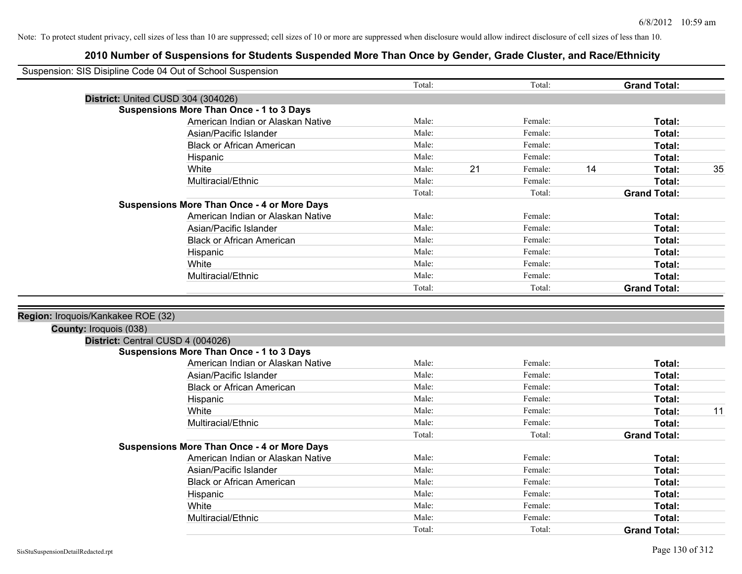|                                    | Suspension: SIS Disipline Code 04 Out of School Suspension |                 |    |                   |                                      |    |
|------------------------------------|------------------------------------------------------------|-----------------|----|-------------------|--------------------------------------|----|
|                                    |                                                            | Total:          |    | Total:            | <b>Grand Total:</b>                  |    |
|                                    | District: United CUSD 304 (304026)                         |                 |    |                   |                                      |    |
|                                    | <b>Suspensions More Than Once - 1 to 3 Days</b>            |                 |    |                   |                                      |    |
|                                    | American Indian or Alaskan Native                          | Male:           |    | Female:           | Total:                               |    |
|                                    | Asian/Pacific Islander                                     | Male:           |    | Female:           | Total:                               |    |
|                                    | <b>Black or African American</b>                           | Male:           |    | Female:           | Total:                               |    |
|                                    | Hispanic                                                   | Male:           |    | Female:           | Total:                               |    |
|                                    | White                                                      | Male:           | 21 | Female:           | 14<br>Total:                         | 35 |
|                                    | Multiracial/Ethnic                                         | Male:           |    | Female:           | Total:                               |    |
|                                    |                                                            | Total:          |    | Total:            | <b>Grand Total:</b>                  |    |
|                                    | <b>Suspensions More Than Once - 4 or More Days</b>         |                 |    |                   |                                      |    |
|                                    | American Indian or Alaskan Native                          | Male:           |    | Female:           | Total:                               |    |
|                                    | Asian/Pacific Islander                                     | Male:           |    | Female:           | Total:                               |    |
|                                    | <b>Black or African American</b>                           | Male:           |    | Female:           | Total:                               |    |
|                                    | Hispanic                                                   | Male:           |    | Female:           | Total:                               |    |
|                                    | White                                                      | Male:           |    | Female:           | Total:                               |    |
|                                    | Multiracial/Ethnic                                         | Male:           |    | Female:           | Total:                               |    |
|                                    |                                                            | Total:          |    | Total:            | <b>Grand Total:</b>                  |    |
|                                    |                                                            |                 |    |                   |                                      |    |
| Region: Iroquois/Kankakee ROE (32) |                                                            |                 |    |                   |                                      |    |
| County: Iroquois (038)             |                                                            |                 |    |                   |                                      |    |
|                                    |                                                            |                 |    |                   |                                      |    |
|                                    | District: Central CUSD 4 (004026)                          |                 |    |                   |                                      |    |
|                                    | <b>Suspensions More Than Once - 1 to 3 Days</b>            |                 |    |                   |                                      |    |
|                                    | American Indian or Alaskan Native                          | Male:           |    | Female:           | Total:                               |    |
|                                    | Asian/Pacific Islander                                     | Male:           |    | Female:           | Total:                               |    |
|                                    | <b>Black or African American</b>                           | Male:           |    | Female:           | Total:                               |    |
|                                    | Hispanic                                                   | Male:           |    | Female:           | Total:                               |    |
|                                    | White                                                      | Male:           |    | Female:           | Total:                               | 11 |
|                                    | Multiracial/Ethnic                                         | Male:           |    | Female:           | Total:                               |    |
|                                    |                                                            | Total:          |    | Total:            | <b>Grand Total:</b>                  |    |
|                                    | <b>Suspensions More Than Once - 4 or More Days</b>         |                 |    |                   |                                      |    |
|                                    | American Indian or Alaskan Native                          | Male:           |    | Female:           | Total:                               |    |
|                                    | Asian/Pacific Islander                                     | Male:           |    | Female:           | Total:                               |    |
|                                    | <b>Black or African American</b>                           | Male:           |    | Female:           | Total:                               |    |
|                                    | Hispanic                                                   | Male:           |    | Female:           | Total:                               |    |
|                                    | White                                                      | Male:           |    | Female:           | Total:                               |    |
|                                    | Multiracial/Ethnic                                         | Male:<br>Total: |    | Female:<br>Total: | <b>Total:</b><br><b>Grand Total:</b> |    |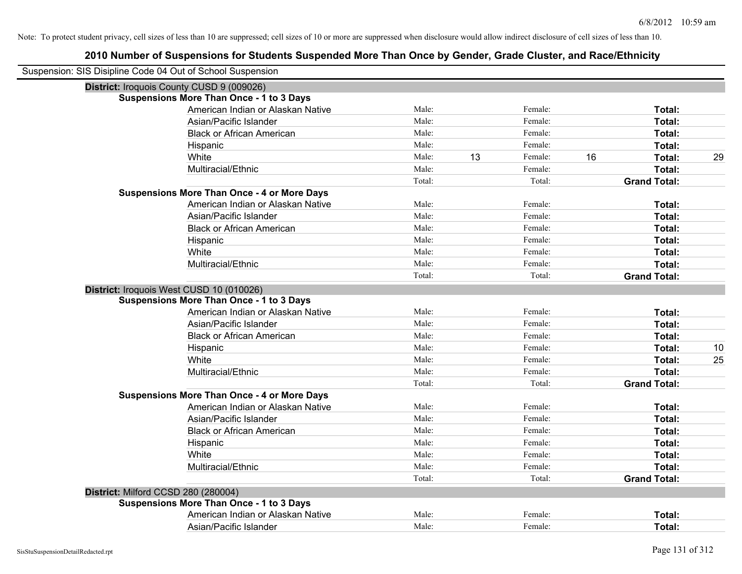| Suspension: SIS Disipline Code 04 Out of School Suspension |                                                    |        |    |         |    |                     |    |
|------------------------------------------------------------|----------------------------------------------------|--------|----|---------|----|---------------------|----|
| District: Iroquois County CUSD 9 (009026)                  |                                                    |        |    |         |    |                     |    |
|                                                            | <b>Suspensions More Than Once - 1 to 3 Days</b>    |        |    |         |    |                     |    |
|                                                            | American Indian or Alaskan Native                  | Male:  |    | Female: |    | Total:              |    |
|                                                            | Asian/Pacific Islander                             | Male:  |    | Female: |    | <b>Total:</b>       |    |
|                                                            | <b>Black or African American</b>                   | Male:  |    | Female: |    | Total:              |    |
|                                                            | Hispanic                                           | Male:  |    | Female: |    | Total:              |    |
|                                                            | White                                              | Male:  | 13 | Female: | 16 | Total:              | 29 |
|                                                            | Multiracial/Ethnic                                 | Male:  |    | Female: |    | Total:              |    |
|                                                            |                                                    | Total: |    | Total:  |    | <b>Grand Total:</b> |    |
|                                                            | <b>Suspensions More Than Once - 4 or More Days</b> |        |    |         |    |                     |    |
|                                                            | American Indian or Alaskan Native                  | Male:  |    | Female: |    | Total:              |    |
|                                                            | Asian/Pacific Islander                             | Male:  |    | Female: |    | Total:              |    |
|                                                            | <b>Black or African American</b>                   | Male:  |    | Female: |    | Total:              |    |
|                                                            | Hispanic                                           | Male:  |    | Female: |    | Total:              |    |
|                                                            | White                                              | Male:  |    | Female: |    | Total:              |    |
|                                                            | Multiracial/Ethnic                                 | Male:  |    | Female: |    | Total:              |    |
|                                                            |                                                    | Total: |    | Total:  |    | <b>Grand Total:</b> |    |
| District: Iroquois West CUSD 10 (010026)                   |                                                    |        |    |         |    |                     |    |
|                                                            | <b>Suspensions More Than Once - 1 to 3 Days</b>    |        |    |         |    |                     |    |
|                                                            | American Indian or Alaskan Native                  | Male:  |    | Female: |    | Total:              |    |
|                                                            | Asian/Pacific Islander                             | Male:  |    | Female: |    | Total:              |    |
|                                                            | <b>Black or African American</b>                   | Male:  |    | Female: |    | Total:              |    |
|                                                            | Hispanic                                           | Male:  |    | Female: |    | Total:              | 10 |
|                                                            | White                                              | Male:  |    | Female: |    | Total:              | 25 |
|                                                            | Multiracial/Ethnic                                 | Male:  |    | Female: |    | Total:              |    |
|                                                            |                                                    | Total: |    | Total:  |    | <b>Grand Total:</b> |    |
|                                                            | <b>Suspensions More Than Once - 4 or More Days</b> |        |    |         |    |                     |    |
|                                                            | American Indian or Alaskan Native                  | Male:  |    | Female: |    | Total:              |    |
|                                                            | Asian/Pacific Islander                             | Male:  |    | Female: |    | Total:              |    |
|                                                            | <b>Black or African American</b>                   | Male:  |    | Female: |    | Total:              |    |
|                                                            | Hispanic                                           | Male:  |    | Female: |    | Total:              |    |
|                                                            | White                                              | Male:  |    | Female: |    | Total:              |    |
|                                                            | Multiracial/Ethnic                                 | Male:  |    | Female: |    | Total:              |    |
|                                                            |                                                    | Total: |    | Total:  |    | <b>Grand Total:</b> |    |
| District: Milford CCSD 280 (280004)                        |                                                    |        |    |         |    |                     |    |
|                                                            | <b>Suspensions More Than Once - 1 to 3 Days</b>    |        |    |         |    |                     |    |
|                                                            | American Indian or Alaskan Native                  | Male:  |    | Female: |    | Total:              |    |
|                                                            | Asian/Pacific Islander                             | Male:  |    | Female: |    | Total:              |    |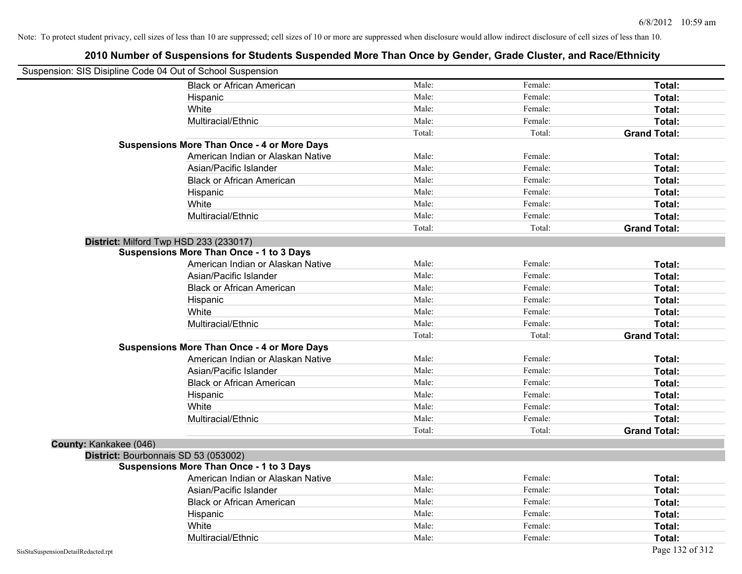| Suspension: SIS Disipline Code 04 Out of School Suspension |                                                    |        |         |                     |
|------------------------------------------------------------|----------------------------------------------------|--------|---------|---------------------|
|                                                            | <b>Black or African American</b>                   | Male:  | Female: | Total:              |
|                                                            | Hispanic                                           | Male:  | Female: | Total:              |
|                                                            | White                                              | Male:  | Female: | Total:              |
|                                                            | Multiracial/Ethnic                                 | Male:  | Female: | Total:              |
|                                                            |                                                    | Total: | Total:  | <b>Grand Total:</b> |
|                                                            | <b>Suspensions More Than Once - 4 or More Days</b> |        |         |                     |
|                                                            | American Indian or Alaskan Native                  | Male:  | Female: | Total:              |
|                                                            | Asian/Pacific Islander                             | Male:  | Female: | Total:              |
|                                                            | <b>Black or African American</b>                   | Male:  | Female: | Total:              |
|                                                            | Hispanic                                           | Male:  | Female: | Total:              |
|                                                            | White                                              | Male:  | Female: | Total:              |
|                                                            | Multiracial/Ethnic                                 | Male:  | Female: | Total:              |
|                                                            |                                                    | Total: | Total:  | <b>Grand Total:</b> |
| District: Milford Twp HSD 233 (233017)                     |                                                    |        |         |                     |
|                                                            | <b>Suspensions More Than Once - 1 to 3 Days</b>    |        |         |                     |
|                                                            | American Indian or Alaskan Native                  | Male:  | Female: | Total:              |
|                                                            | Asian/Pacific Islander                             | Male:  | Female: | Total:              |
|                                                            | <b>Black or African American</b>                   | Male:  | Female: | Total:              |
|                                                            | Hispanic                                           | Male:  | Female: | Total:              |
|                                                            | White                                              | Male:  | Female: | Total:              |
|                                                            | Multiracial/Ethnic                                 | Male:  | Female: | Total:              |
|                                                            |                                                    | Total: | Total:  | <b>Grand Total:</b> |
|                                                            | <b>Suspensions More Than Once - 4 or More Days</b> |        |         |                     |
|                                                            | American Indian or Alaskan Native                  | Male:  | Female: | Total:              |
|                                                            | Asian/Pacific Islander                             | Male:  | Female: | Total:              |
|                                                            | <b>Black or African American</b>                   | Male:  | Female: | Total:              |
|                                                            | Hispanic                                           | Male:  | Female: | Total:              |
|                                                            | White                                              | Male:  | Female: | Total:              |
|                                                            | Multiracial/Ethnic                                 | Male:  | Female: | Total:              |
|                                                            |                                                    | Total: | Total:  | <b>Grand Total:</b> |
| County: Kankakee (046)                                     |                                                    |        |         |                     |
| District: Bourbonnais SD 53 (053002)                       |                                                    |        |         |                     |
|                                                            | <b>Suspensions More Than Once - 1 to 3 Days</b>    |        |         |                     |
|                                                            | American Indian or Alaskan Native                  | Male:  | Female: | Total:              |
|                                                            | Asian/Pacific Islander                             | Male:  | Female: | Total:              |
|                                                            | <b>Black or African American</b>                   | Male:  | Female: | Total:              |
|                                                            | Hispanic                                           | Male:  | Female: | Total:              |
|                                                            | White                                              | Male:  | Female: | Total:              |
|                                                            | Multiracial/Ethnic                                 | Male:  | Female: | Total:              |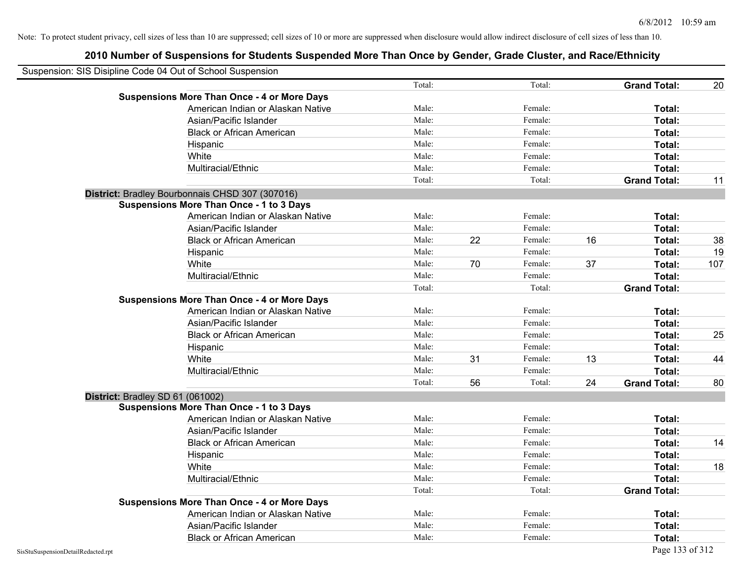| Suspension: SIS Disipline Code 04 Out of School Suspension |        |    |         |    |                     |     |
|------------------------------------------------------------|--------|----|---------|----|---------------------|-----|
|                                                            | Total: |    | Total:  |    | <b>Grand Total:</b> | 20  |
| <b>Suspensions More Than Once - 4 or More Days</b>         |        |    |         |    |                     |     |
| American Indian or Alaskan Native                          | Male:  |    | Female: |    | Total:              |     |
| Asian/Pacific Islander                                     | Male:  |    | Female: |    | Total:              |     |
| <b>Black or African American</b>                           | Male:  |    | Female: |    | Total:              |     |
| Hispanic                                                   | Male:  |    | Female: |    | Total:              |     |
| White                                                      | Male:  |    | Female: |    | Total:              |     |
| Multiracial/Ethnic                                         | Male:  |    | Female: |    | Total:              |     |
|                                                            | Total: |    | Total:  |    | <b>Grand Total:</b> | 11  |
| District: Bradley Bourbonnais CHSD 307 (307016)            |        |    |         |    |                     |     |
| <b>Suspensions More Than Once - 1 to 3 Days</b>            |        |    |         |    |                     |     |
| American Indian or Alaskan Native                          | Male:  |    | Female: |    | Total:              |     |
| Asian/Pacific Islander                                     | Male:  |    | Female: |    | Total:              |     |
| <b>Black or African American</b>                           | Male:  | 22 | Female: | 16 | Total:              | 38  |
| Hispanic                                                   | Male:  |    | Female: |    | Total:              | 19  |
| White                                                      | Male:  | 70 | Female: | 37 | Total:              | 107 |
| Multiracial/Ethnic                                         | Male:  |    | Female: |    | Total:              |     |
|                                                            | Total: |    | Total:  |    | <b>Grand Total:</b> |     |
| <b>Suspensions More Than Once - 4 or More Days</b>         |        |    |         |    |                     |     |
| American Indian or Alaskan Native                          | Male:  |    | Female: |    | Total:              |     |
| Asian/Pacific Islander                                     | Male:  |    | Female: |    | Total:              |     |
| <b>Black or African American</b>                           | Male:  |    | Female: |    | Total:              | 25  |
| Hispanic                                                   | Male:  |    | Female: |    | Total:              |     |
| White                                                      | Male:  | 31 | Female: | 13 | Total:              | 44  |
| Multiracial/Ethnic                                         | Male:  |    | Female: |    | Total:              |     |
|                                                            | Total: | 56 | Total:  | 24 | <b>Grand Total:</b> | 80  |
| District: Bradley SD 61 (061002)                           |        |    |         |    |                     |     |
| <b>Suspensions More Than Once - 1 to 3 Days</b>            |        |    |         |    |                     |     |
| American Indian or Alaskan Native                          | Male:  |    | Female: |    | Total:              |     |
| Asian/Pacific Islander                                     | Male:  |    | Female: |    | Total:              |     |
| <b>Black or African American</b>                           | Male:  |    | Female: |    | Total:              | 14  |
| Hispanic                                                   | Male:  |    | Female: |    | Total:              |     |
| White                                                      | Male:  |    | Female: |    | Total:              | 18  |
| Multiracial/Ethnic                                         | Male:  |    | Female: |    | Total:              |     |
|                                                            | Total: |    | Total:  |    | <b>Grand Total:</b> |     |
| <b>Suspensions More Than Once - 4 or More Days</b>         |        |    |         |    |                     |     |
| American Indian or Alaskan Native                          | Male:  |    | Female: |    | Total:              |     |
| Asian/Pacific Islander                                     | Male:  |    | Female: |    | Total:              |     |
| <b>Black or African American</b>                           | Male:  |    | Female: |    | Total:              |     |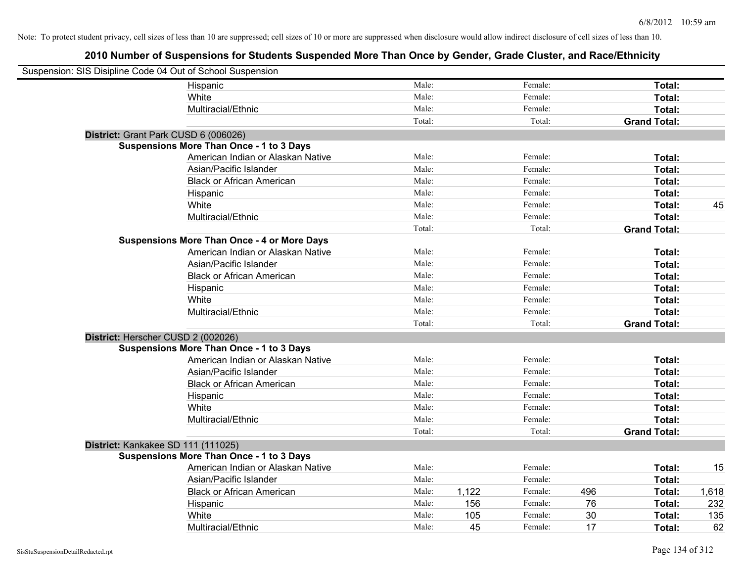| Suspension: SIS Disipline Code 04 Out of School Suspension |                                                    |        |       |         |     |                     |       |
|------------------------------------------------------------|----------------------------------------------------|--------|-------|---------|-----|---------------------|-------|
|                                                            | Hispanic                                           | Male:  |       | Female: |     | Total:              |       |
|                                                            | White                                              | Male:  |       | Female: |     | Total:              |       |
|                                                            | Multiracial/Ethnic                                 | Male:  |       | Female: |     | Total:              |       |
|                                                            |                                                    | Total: |       | Total:  |     | <b>Grand Total:</b> |       |
| District: Grant Park CUSD 6 (006026)                       |                                                    |        |       |         |     |                     |       |
|                                                            | <b>Suspensions More Than Once - 1 to 3 Days</b>    |        |       |         |     |                     |       |
|                                                            | American Indian or Alaskan Native                  | Male:  |       | Female: |     | Total:              |       |
|                                                            | Asian/Pacific Islander                             | Male:  |       | Female: |     | Total:              |       |
|                                                            | <b>Black or African American</b>                   | Male:  |       | Female: |     | Total:              |       |
|                                                            | Hispanic                                           | Male:  |       | Female: |     | Total:              |       |
|                                                            | White                                              | Male:  |       | Female: |     | Total:              | 45    |
|                                                            | Multiracial/Ethnic                                 | Male:  |       | Female: |     | Total:              |       |
|                                                            |                                                    | Total: |       | Total:  |     | <b>Grand Total:</b> |       |
|                                                            | <b>Suspensions More Than Once - 4 or More Days</b> |        |       |         |     |                     |       |
|                                                            | American Indian or Alaskan Native                  | Male:  |       | Female: |     | Total:              |       |
|                                                            | Asian/Pacific Islander                             | Male:  |       | Female: |     | Total:              |       |
|                                                            | <b>Black or African American</b>                   | Male:  |       | Female: |     | Total:              |       |
|                                                            | Hispanic                                           | Male:  |       | Female: |     | Total:              |       |
|                                                            | White                                              | Male:  |       | Female: |     | Total:              |       |
|                                                            | Multiracial/Ethnic                                 | Male:  |       | Female: |     | Total:              |       |
|                                                            |                                                    | Total: |       | Total:  |     | <b>Grand Total:</b> |       |
| District: Herscher CUSD 2 (002026)                         |                                                    |        |       |         |     |                     |       |
|                                                            | <b>Suspensions More Than Once - 1 to 3 Days</b>    |        |       |         |     |                     |       |
|                                                            | American Indian or Alaskan Native                  | Male:  |       | Female: |     | Total:              |       |
|                                                            | Asian/Pacific Islander                             | Male:  |       | Female: |     | Total:              |       |
|                                                            | <b>Black or African American</b>                   | Male:  |       | Female: |     | Total:              |       |
|                                                            | Hispanic                                           | Male:  |       | Female: |     | Total:              |       |
|                                                            | White                                              | Male:  |       | Female: |     | Total:              |       |
|                                                            | Multiracial/Ethnic                                 | Male:  |       | Female: |     | Total:              |       |
|                                                            |                                                    | Total: |       | Total:  |     | <b>Grand Total:</b> |       |
| District: Kankakee SD 111 (111025)                         |                                                    |        |       |         |     |                     |       |
|                                                            | <b>Suspensions More Than Once - 1 to 3 Days</b>    |        |       |         |     |                     |       |
|                                                            | American Indian or Alaskan Native                  | Male:  |       | Female: |     | Total:              | 15    |
|                                                            | Asian/Pacific Islander                             | Male:  |       | Female: |     | Total:              |       |
|                                                            | <b>Black or African American</b>                   | Male:  | 1,122 | Female: | 496 | Total:              | 1,618 |
|                                                            | Hispanic                                           | Male:  | 156   | Female: | 76  | Total:              | 232   |
|                                                            | White                                              | Male:  | 105   | Female: | 30  | Total:              | 135   |
|                                                            | Multiracial/Ethnic                                 | Male:  | 45    | Female: | 17  | Total:              | 62    |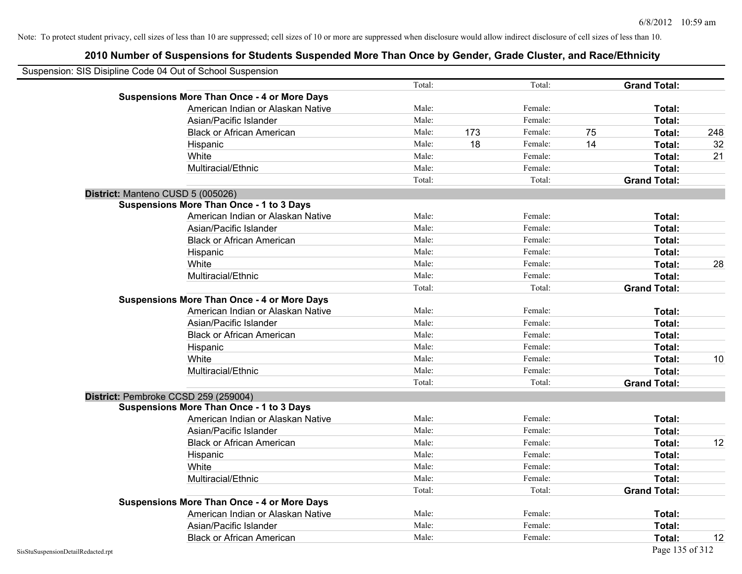|                                    | Suspension: SIS Disipline Code 04 Out of School Suspension |        |     |         |    |                     |     |
|------------------------------------|------------------------------------------------------------|--------|-----|---------|----|---------------------|-----|
|                                    |                                                            | Total: |     | Total:  |    | <b>Grand Total:</b> |     |
|                                    | <b>Suspensions More Than Once - 4 or More Days</b>         |        |     |         |    |                     |     |
|                                    | American Indian or Alaskan Native                          | Male:  |     | Female: |    | Total:              |     |
|                                    | Asian/Pacific Islander                                     | Male:  |     | Female: |    | Total:              |     |
|                                    | <b>Black or African American</b>                           | Male:  | 173 | Female: | 75 | Total:              | 248 |
|                                    | Hispanic                                                   | Male:  | 18  | Female: | 14 | Total:              | 32  |
|                                    | White                                                      | Male:  |     | Female: |    | Total:              | 21  |
|                                    | Multiracial/Ethnic                                         | Male:  |     | Female: |    | Total:              |     |
|                                    |                                                            | Total: |     | Total:  |    | <b>Grand Total:</b> |     |
|                                    | District: Manteno CUSD 5 (005026)                          |        |     |         |    |                     |     |
|                                    | <b>Suspensions More Than Once - 1 to 3 Days</b>            |        |     |         |    |                     |     |
|                                    | American Indian or Alaskan Native                          | Male:  |     | Female: |    | Total:              |     |
|                                    | Asian/Pacific Islander                                     | Male:  |     | Female: |    | Total:              |     |
|                                    | <b>Black or African American</b>                           | Male:  |     | Female: |    | Total:              |     |
|                                    | Hispanic                                                   | Male:  |     | Female: |    | Total:              |     |
|                                    | White                                                      | Male:  |     | Female: |    | Total:              | 28  |
|                                    | Multiracial/Ethnic                                         | Male:  |     | Female: |    | Total:              |     |
|                                    |                                                            | Total: |     | Total:  |    | <b>Grand Total:</b> |     |
|                                    | <b>Suspensions More Than Once - 4 or More Days</b>         |        |     |         |    |                     |     |
|                                    | American Indian or Alaskan Native                          | Male:  |     | Female: |    | Total:              |     |
|                                    | Asian/Pacific Islander                                     | Male:  |     | Female: |    | Total:              |     |
|                                    | <b>Black or African American</b>                           | Male:  |     | Female: |    | Total:              |     |
|                                    | Hispanic                                                   | Male:  |     | Female: |    | Total:              |     |
|                                    | White                                                      | Male:  |     | Female: |    | Total:              | 10  |
|                                    | Multiracial/Ethnic                                         | Male:  |     | Female: |    | Total:              |     |
|                                    |                                                            | Total: |     | Total:  |    | <b>Grand Total:</b> |     |
|                                    | District: Pembroke CCSD 259 (259004)                       |        |     |         |    |                     |     |
|                                    | <b>Suspensions More Than Once - 1 to 3 Days</b>            |        |     |         |    |                     |     |
|                                    | American Indian or Alaskan Native                          | Male:  |     | Female: |    | Total:              |     |
|                                    | Asian/Pacific Islander                                     | Male:  |     | Female: |    | Total:              |     |
|                                    | <b>Black or African American</b>                           | Male:  |     | Female: |    | Total:              | 12  |
|                                    | Hispanic                                                   | Male:  |     | Female: |    | Total:              |     |
|                                    | White                                                      | Male:  |     | Female: |    | Total:              |     |
|                                    | Multiracial/Ethnic                                         | Male:  |     | Female: |    | Total:              |     |
|                                    |                                                            | Total: |     | Total:  |    | <b>Grand Total:</b> |     |
|                                    | <b>Suspensions More Than Once - 4 or More Days</b>         |        |     |         |    |                     |     |
|                                    | American Indian or Alaskan Native                          | Male:  |     | Female: |    | Total:              |     |
|                                    | Asian/Pacific Islander                                     | Male:  |     | Female: |    | Total:              |     |
|                                    | <b>Black or African American</b>                           | Male:  |     | Female: |    | Total:              | 12  |
| SisStuSuspensionDetailRedacted.rpt |                                                            |        |     |         |    | Page 135 of 312     |     |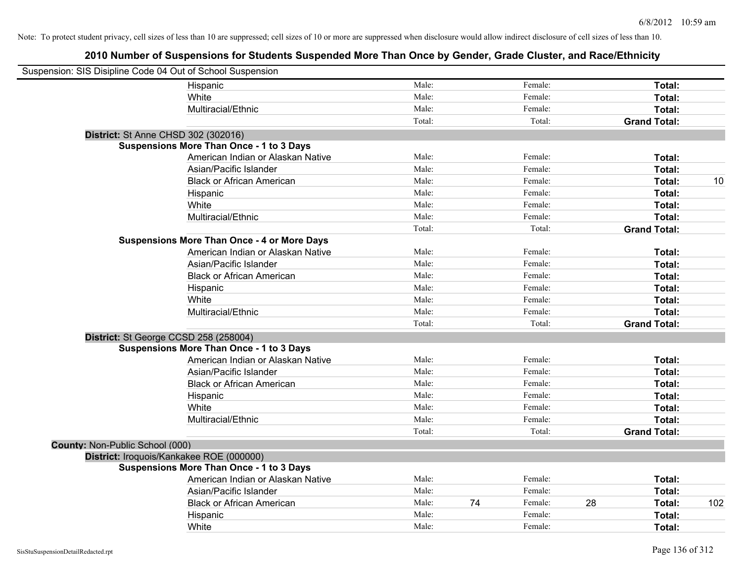| Suspension: SIS Disipline Code 04 Out of School Suspension |                                                    |        |    |         |    |                     |     |
|------------------------------------------------------------|----------------------------------------------------|--------|----|---------|----|---------------------|-----|
|                                                            | Hispanic                                           | Male:  |    | Female: |    | Total:              |     |
|                                                            | White                                              | Male:  |    | Female: |    | <b>Total:</b>       |     |
|                                                            | Multiracial/Ethnic                                 | Male:  |    | Female: |    | Total:              |     |
|                                                            |                                                    | Total: |    | Total:  |    | <b>Grand Total:</b> |     |
|                                                            | District: St Anne CHSD 302 (302016)                |        |    |         |    |                     |     |
|                                                            | <b>Suspensions More Than Once - 1 to 3 Days</b>    |        |    |         |    |                     |     |
|                                                            | American Indian or Alaskan Native                  | Male:  |    | Female: |    | Total:              |     |
|                                                            | Asian/Pacific Islander                             | Male:  |    | Female: |    | Total:              |     |
|                                                            | <b>Black or African American</b>                   | Male:  |    | Female: |    | Total:              | 10  |
|                                                            | Hispanic                                           | Male:  |    | Female: |    | Total:              |     |
|                                                            | White                                              | Male:  |    | Female: |    | Total:              |     |
|                                                            | Multiracial/Ethnic                                 | Male:  |    | Female: |    | Total:              |     |
|                                                            |                                                    | Total: |    | Total:  |    | <b>Grand Total:</b> |     |
|                                                            | <b>Suspensions More Than Once - 4 or More Days</b> |        |    |         |    |                     |     |
|                                                            | American Indian or Alaskan Native                  | Male:  |    | Female: |    | Total:              |     |
|                                                            | Asian/Pacific Islander                             | Male:  |    | Female: |    | Total:              |     |
|                                                            | <b>Black or African American</b>                   | Male:  |    | Female: |    | Total:              |     |
|                                                            | Hispanic                                           | Male:  |    | Female: |    | Total:              |     |
|                                                            | White                                              | Male:  |    | Female: |    | Total:              |     |
|                                                            | Multiracial/Ethnic                                 | Male:  |    | Female: |    | Total:              |     |
|                                                            |                                                    | Total: |    | Total:  |    | <b>Grand Total:</b> |     |
|                                                            | District: St George CCSD 258 (258004)              |        |    |         |    |                     |     |
|                                                            | <b>Suspensions More Than Once - 1 to 3 Days</b>    |        |    |         |    |                     |     |
|                                                            | American Indian or Alaskan Native                  | Male:  |    | Female: |    | Total:              |     |
|                                                            | Asian/Pacific Islander                             | Male:  |    | Female: |    | Total:              |     |
|                                                            | <b>Black or African American</b>                   | Male:  |    | Female: |    | Total:              |     |
|                                                            | Hispanic                                           | Male:  |    | Female: |    | Total:              |     |
|                                                            | White                                              | Male:  |    | Female: |    | Total:              |     |
|                                                            | Multiracial/Ethnic                                 | Male:  |    | Female: |    | Total:              |     |
|                                                            |                                                    | Total: |    | Total:  |    | <b>Grand Total:</b> |     |
| County: Non-Public School (000)                            |                                                    |        |    |         |    |                     |     |
|                                                            | District: Iroquois/Kankakee ROE (000000)           |        |    |         |    |                     |     |
|                                                            | Suspensions More Than Once - 1 to 3 Days           |        |    |         |    |                     |     |
|                                                            | American Indian or Alaskan Native                  | Male:  |    | Female: |    | Total:              |     |
|                                                            | Asian/Pacific Islander                             | Male:  |    | Female: |    | Total:              |     |
|                                                            | <b>Black or African American</b>                   | Male:  | 74 | Female: | 28 | Total:              | 102 |
|                                                            | Hispanic                                           | Male:  |    | Female: |    | Total:              |     |
|                                                            | White                                              | Male:  |    | Female: |    | Total:              |     |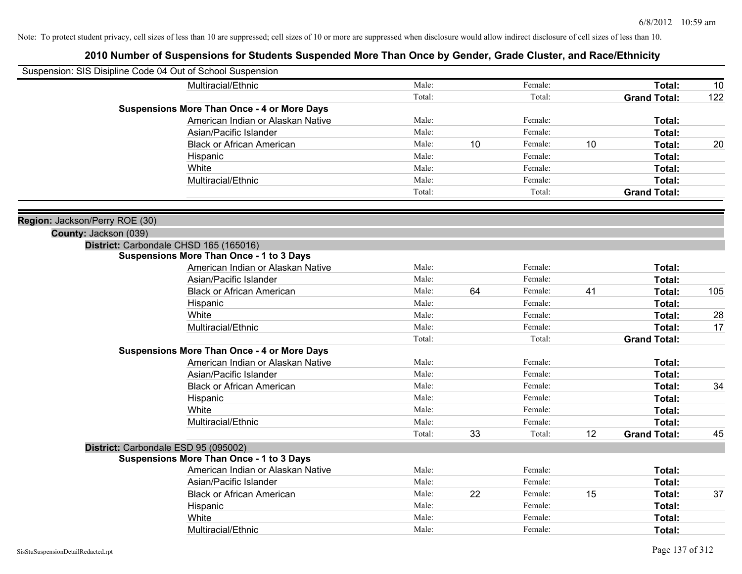| Suspension: SIS Disipline Code 04 Out of School Suspension |                                                    |        |    |         |    |                     |     |
|------------------------------------------------------------|----------------------------------------------------|--------|----|---------|----|---------------------|-----|
|                                                            | Multiracial/Ethnic                                 | Male:  |    | Female: |    | Total:              | 10  |
|                                                            |                                                    | Total: |    | Total:  |    | <b>Grand Total:</b> | 122 |
|                                                            | <b>Suspensions More Than Once - 4 or More Days</b> |        |    |         |    |                     |     |
|                                                            | American Indian or Alaskan Native                  | Male:  |    | Female: |    | Total:              |     |
|                                                            | Asian/Pacific Islander                             | Male:  |    | Female: |    | Total:              |     |
|                                                            | <b>Black or African American</b>                   | Male:  | 10 | Female: | 10 | Total:              | 20  |
|                                                            | Hispanic                                           | Male:  |    | Female: |    | Total:              |     |
|                                                            | White                                              | Male:  |    | Female: |    | Total:              |     |
|                                                            | Multiracial/Ethnic                                 | Male:  |    | Female: |    | Total:              |     |
|                                                            |                                                    | Total: |    | Total:  |    | <b>Grand Total:</b> |     |
| Region: Jackson/Perry ROE (30)                             |                                                    |        |    |         |    |                     |     |
| County: Jackson (039)                                      |                                                    |        |    |         |    |                     |     |
|                                                            | District: Carbondale CHSD 165 (165016)             |        |    |         |    |                     |     |
|                                                            | <b>Suspensions More Than Once - 1 to 3 Days</b>    |        |    |         |    |                     |     |
|                                                            | American Indian or Alaskan Native                  | Male:  |    | Female: |    | Total:              |     |
|                                                            | Asian/Pacific Islander                             | Male:  |    | Female: |    | Total:              |     |
|                                                            | <b>Black or African American</b>                   | Male:  | 64 | Female: | 41 | Total:              | 105 |
|                                                            | Hispanic                                           | Male:  |    | Female: |    | Total:              |     |
|                                                            | White                                              | Male:  |    | Female: |    | Total:              | 28  |
|                                                            | Multiracial/Ethnic                                 | Male:  |    | Female: |    | Total:              | 17  |
|                                                            |                                                    | Total: |    | Total:  |    | <b>Grand Total:</b> |     |
|                                                            | <b>Suspensions More Than Once - 4 or More Days</b> |        |    |         |    |                     |     |
|                                                            | American Indian or Alaskan Native                  | Male:  |    | Female: |    | Total:              |     |
|                                                            | Asian/Pacific Islander                             | Male:  |    | Female: |    | Total:              |     |
|                                                            | <b>Black or African American</b>                   | Male:  |    | Female: |    | Total:              | 34  |
|                                                            | Hispanic                                           | Male:  |    | Female: |    | Total:              |     |
|                                                            | White                                              | Male:  |    | Female: |    | Total:              |     |
|                                                            | Multiracial/Ethnic                                 | Male:  |    | Female: |    | Total:              |     |
|                                                            |                                                    | Total: | 33 | Total:  | 12 | <b>Grand Total:</b> | 45  |
|                                                            | District: Carbondale ESD 95 (095002)               |        |    |         |    |                     |     |
|                                                            | <b>Suspensions More Than Once - 1 to 3 Days</b>    |        |    |         |    |                     |     |
|                                                            | American Indian or Alaskan Native                  | Male:  |    | Female: |    | Total:              |     |
|                                                            | Asian/Pacific Islander                             | Male:  |    | Female: |    | Total:              |     |
|                                                            | <b>Black or African American</b>                   | Male:  | 22 | Female: | 15 | Total:              | 37  |
|                                                            | Hispanic                                           | Male:  |    | Female: |    | Total:              |     |
|                                                            | White                                              | Male:  |    | Female: |    | Total:              |     |
|                                                            | Multiracial/Ethnic                                 | Male:  |    | Female: |    | Total:              |     |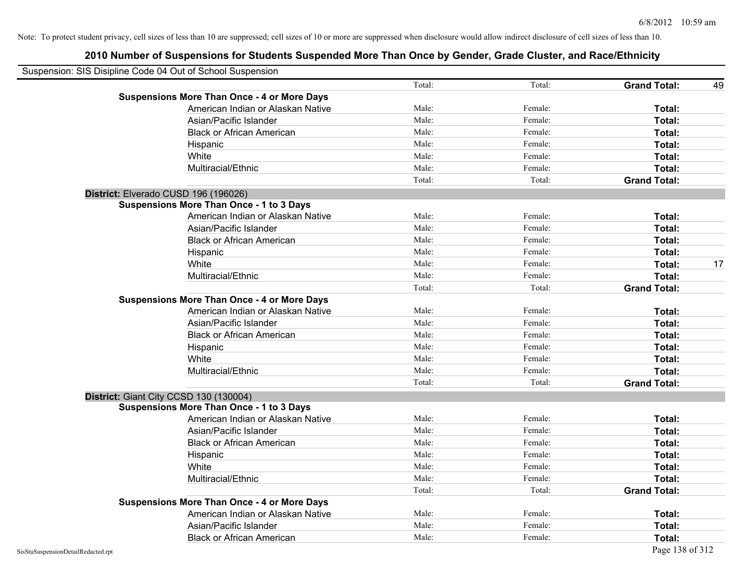| Suspension: SIS Disipline Code 04 Out of School Suspension |        |         |                     |    |
|------------------------------------------------------------|--------|---------|---------------------|----|
|                                                            | Total: | Total:  | <b>Grand Total:</b> | 49 |
| <b>Suspensions More Than Once - 4 or More Days</b>         |        |         |                     |    |
| American Indian or Alaskan Native                          | Male:  | Female: | Total:              |    |
| Asian/Pacific Islander                                     | Male:  | Female: | Total:              |    |
| <b>Black or African American</b>                           | Male:  | Female: | Total:              |    |
| Hispanic                                                   | Male:  | Female: | Total:              |    |
| White                                                      | Male:  | Female: | Total:              |    |
| Multiracial/Ethnic                                         | Male:  | Female: | Total:              |    |
|                                                            | Total: | Total:  | <b>Grand Total:</b> |    |
| District: Elverado CUSD 196 (196026)                       |        |         |                     |    |
| Suspensions More Than Once - 1 to 3 Days                   |        |         |                     |    |
| American Indian or Alaskan Native                          | Male:  | Female: | Total:              |    |
| Asian/Pacific Islander                                     | Male:  | Female: | Total:              |    |
| <b>Black or African American</b>                           | Male:  | Female: | Total:              |    |
| Hispanic                                                   | Male:  | Female: | Total:              |    |
| White                                                      | Male:  | Female: | Total:              | 17 |
| Multiracial/Ethnic                                         | Male:  | Female: | Total:              |    |
|                                                            | Total: | Total:  | <b>Grand Total:</b> |    |
| <b>Suspensions More Than Once - 4 or More Days</b>         |        |         |                     |    |
| American Indian or Alaskan Native                          | Male:  | Female: | Total:              |    |
| Asian/Pacific Islander                                     | Male:  | Female: | Total:              |    |
| <b>Black or African American</b>                           | Male:  | Female: | Total:              |    |
| Hispanic                                                   | Male:  | Female: | Total:              |    |
| White                                                      | Male:  | Female: | Total:              |    |
| Multiracial/Ethnic                                         | Male:  | Female: | Total:              |    |
|                                                            | Total: | Total:  | <b>Grand Total:</b> |    |
| District: Giant City CCSD 130 (130004)                     |        |         |                     |    |
| <b>Suspensions More Than Once - 1 to 3 Days</b>            |        |         |                     |    |
| American Indian or Alaskan Native                          | Male:  | Female: | Total:              |    |
| Asian/Pacific Islander                                     | Male:  | Female: | Total:              |    |
| <b>Black or African American</b>                           | Male:  | Female: | Total:              |    |
| Hispanic                                                   | Male:  | Female: | Total:              |    |
| White                                                      | Male:  | Female: | Total:              |    |
| Multiracial/Ethnic                                         | Male:  | Female: | Total:              |    |
|                                                            | Total: | Total:  | <b>Grand Total:</b> |    |
| <b>Suspensions More Than Once - 4 or More Days</b>         |        |         |                     |    |
| American Indian or Alaskan Native                          | Male:  | Female: | Total:              |    |
| Asian/Pacific Islander                                     | Male:  | Female: | Total:              |    |
| <b>Black or African American</b>                           | Male:  | Female: | Total:              |    |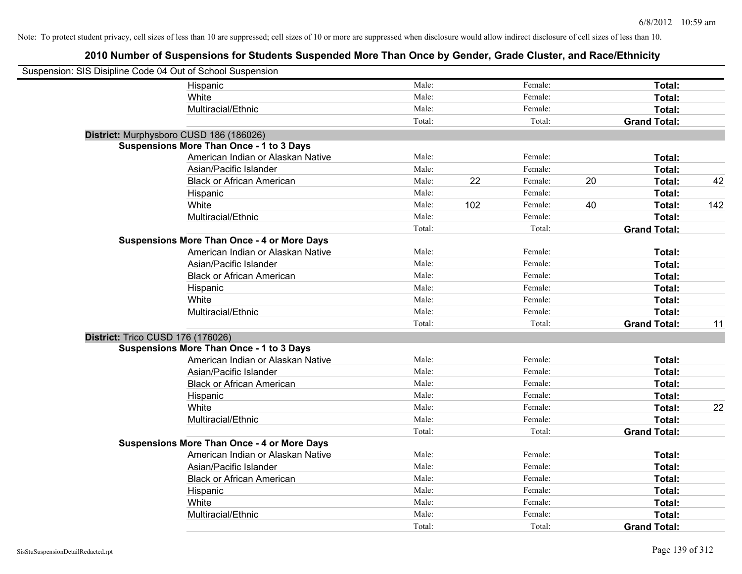| Suspension: SIS Disipline Code 04 Out of School Suspension |                                                    |        |     |         |    |                     |     |
|------------------------------------------------------------|----------------------------------------------------|--------|-----|---------|----|---------------------|-----|
|                                                            | Hispanic                                           | Male:  |     | Female: |    | Total:              |     |
|                                                            | White                                              | Male:  |     | Female: |    | Total:              |     |
|                                                            | Multiracial/Ethnic                                 | Male:  |     | Female: |    | Total:              |     |
|                                                            |                                                    | Total: |     | Total:  |    | <b>Grand Total:</b> |     |
| District: Murphysboro CUSD 186 (186026)                    |                                                    |        |     |         |    |                     |     |
|                                                            | <b>Suspensions More Than Once - 1 to 3 Days</b>    |        |     |         |    |                     |     |
|                                                            | American Indian or Alaskan Native                  | Male:  |     | Female: |    | Total:              |     |
|                                                            | Asian/Pacific Islander                             | Male:  |     | Female: |    | Total:              |     |
|                                                            | <b>Black or African American</b>                   | Male:  | 22  | Female: | 20 | Total:              | 42  |
|                                                            | Hispanic                                           | Male:  |     | Female: |    | Total:              |     |
|                                                            | White                                              | Male:  | 102 | Female: | 40 | Total:              | 142 |
|                                                            | Multiracial/Ethnic                                 | Male:  |     | Female: |    | Total:              |     |
|                                                            |                                                    | Total: |     | Total:  |    | <b>Grand Total:</b> |     |
|                                                            | <b>Suspensions More Than Once - 4 or More Days</b> |        |     |         |    |                     |     |
|                                                            | American Indian or Alaskan Native                  | Male:  |     | Female: |    | Total:              |     |
|                                                            | Asian/Pacific Islander                             | Male:  |     | Female: |    | Total:              |     |
|                                                            | <b>Black or African American</b>                   | Male:  |     | Female: |    | Total:              |     |
|                                                            | Hispanic                                           | Male:  |     | Female: |    | Total:              |     |
|                                                            | White                                              | Male:  |     | Female: |    | Total:              |     |
|                                                            | Multiracial/Ethnic                                 | Male:  |     | Female: |    | Total:              |     |
|                                                            |                                                    | Total: |     | Total:  |    | <b>Grand Total:</b> | 11  |
| District: Trico CUSD 176 (176026)                          |                                                    |        |     |         |    |                     |     |
|                                                            | <b>Suspensions More Than Once - 1 to 3 Days</b>    |        |     |         |    |                     |     |
|                                                            | American Indian or Alaskan Native                  | Male:  |     | Female: |    | Total:              |     |
|                                                            | Asian/Pacific Islander                             | Male:  |     | Female: |    | Total:              |     |
|                                                            | <b>Black or African American</b>                   | Male:  |     | Female: |    | Total:              |     |
|                                                            | Hispanic                                           | Male:  |     | Female: |    | Total:              |     |
|                                                            | White                                              | Male:  |     | Female: |    | Total:              | 22  |
|                                                            | Multiracial/Ethnic                                 | Male:  |     | Female: |    | Total:              |     |
|                                                            |                                                    | Total: |     | Total:  |    | <b>Grand Total:</b> |     |
|                                                            | <b>Suspensions More Than Once - 4 or More Days</b> |        |     |         |    |                     |     |
|                                                            | American Indian or Alaskan Native                  | Male:  |     | Female: |    | Total:              |     |
|                                                            | Asian/Pacific Islander                             | Male:  |     | Female: |    | Total:              |     |
|                                                            | <b>Black or African American</b>                   | Male:  |     | Female: |    | Total:              |     |
|                                                            | Hispanic                                           | Male:  |     | Female: |    | Total:              |     |
|                                                            | White                                              | Male:  |     | Female: |    | Total:              |     |
|                                                            | Multiracial/Ethnic                                 | Male:  |     | Female: |    | Total:              |     |
|                                                            |                                                    | Total: |     | Total:  |    | <b>Grand Total:</b> |     |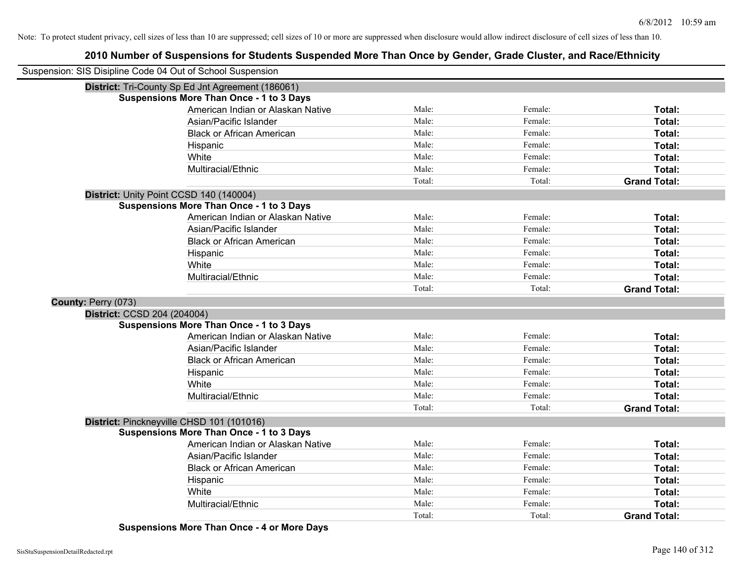## **2010 Number of Suspensions for Students Suspended More Than Once by Gender, Grade Cluster, and Race/Ethnicity**

| Suspension: SIS Disipline Code 04 Out of School Suspension |                                                   |        |         |                     |
|------------------------------------------------------------|---------------------------------------------------|--------|---------|---------------------|
|                                                            | District: Tri-County Sp Ed Jnt Agreement (186061) |        |         |                     |
|                                                            | <b>Suspensions More Than Once - 1 to 3 Days</b>   |        |         |                     |
|                                                            | American Indian or Alaskan Native                 | Male:  | Female: | Total:              |
|                                                            | Asian/Pacific Islander                            | Male:  | Female: | Total:              |
|                                                            | <b>Black or African American</b>                  | Male:  | Female: | Total:              |
|                                                            | Hispanic                                          | Male:  | Female: | Total:              |
|                                                            | White                                             | Male:  | Female: | Total:              |
|                                                            | Multiracial/Ethnic                                | Male:  | Female: | Total:              |
|                                                            |                                                   | Total: | Total:  | <b>Grand Total:</b> |
|                                                            | District: Unity Point CCSD 140 (140004)           |        |         |                     |
|                                                            | <b>Suspensions More Than Once - 1 to 3 Days</b>   |        |         |                     |
|                                                            | American Indian or Alaskan Native                 | Male:  | Female: | Total:              |
|                                                            | Asian/Pacific Islander                            | Male:  | Female: | Total:              |
|                                                            | <b>Black or African American</b>                  | Male:  | Female: | Total:              |
|                                                            | Hispanic                                          | Male:  | Female: | Total:              |
|                                                            | White                                             | Male:  | Female: | Total:              |
|                                                            | Multiracial/Ethnic                                | Male:  | Female: | Total:              |
|                                                            |                                                   | Total: | Total:  | <b>Grand Total:</b> |
| County: Perry (073)                                        |                                                   |        |         |                     |
| District: CCSD 204 (204004)                                |                                                   |        |         |                     |
|                                                            | <b>Suspensions More Than Once - 1 to 3 Days</b>   |        |         |                     |
|                                                            | American Indian or Alaskan Native                 | Male:  | Female: | Total:              |
|                                                            | Asian/Pacific Islander                            | Male:  | Female: | Total:              |
|                                                            | <b>Black or African American</b>                  | Male:  | Female: | Total:              |
|                                                            | Hispanic                                          | Male:  | Female: | Total:              |
|                                                            | White                                             | Male:  | Female: | Total:              |
|                                                            | Multiracial/Ethnic                                | Male:  | Female: | Total:              |
|                                                            |                                                   | Total: | Total:  | <b>Grand Total:</b> |
|                                                            | District: Pinckneyville CHSD 101 (101016)         |        |         |                     |
|                                                            | <b>Suspensions More Than Once - 1 to 3 Days</b>   |        |         |                     |
|                                                            | American Indian or Alaskan Native                 | Male:  | Female: | Total:              |
|                                                            | Asian/Pacific Islander                            | Male:  | Female: | Total:              |
|                                                            | <b>Black or African American</b>                  | Male:  | Female: | Total:              |
|                                                            | Hispanic                                          | Male:  | Female: | Total:              |
|                                                            | White                                             | Male:  | Female: | Total:              |
|                                                            | Multiracial/Ethnic                                | Male:  | Female: | Total:              |
|                                                            |                                                   | Total: | Total:  | <b>Grand Total:</b> |

**Suspensions More Than Once - 4 or More Days**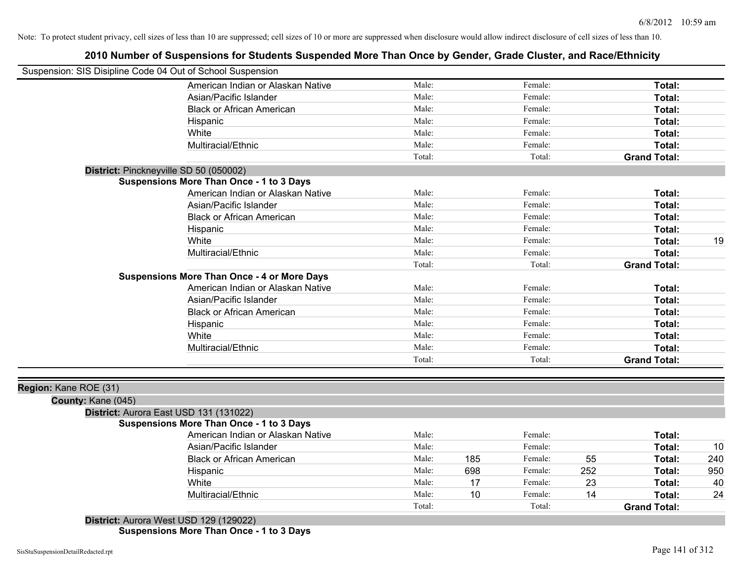| <u>, a hamaal ol oadponoloho lol otaashto oadponasa more Than Ohoe ey Oshash, Olaas Olaster, aha Nassi-timishti</u><br>Suspension: SIS Disipline Code 04 Out of School Suspension |        |     |         |     |                     |     |
|-----------------------------------------------------------------------------------------------------------------------------------------------------------------------------------|--------|-----|---------|-----|---------------------|-----|
| American Indian or Alaskan Native                                                                                                                                                 | Male:  |     | Female: |     | Total:              |     |
| Asian/Pacific Islander                                                                                                                                                            | Male:  |     | Female: |     | Total:              |     |
| <b>Black or African American</b>                                                                                                                                                  | Male:  |     | Female: |     | Total:              |     |
| Hispanic                                                                                                                                                                          | Male:  |     | Female: |     | Total:              |     |
| White                                                                                                                                                                             | Male:  |     | Female: |     | Total:              |     |
| Multiracial/Ethnic                                                                                                                                                                | Male:  |     | Female: |     | Total:              |     |
|                                                                                                                                                                                   | Total: |     | Total:  |     | <b>Grand Total:</b> |     |
| District: Pinckneyville SD 50 (050002)                                                                                                                                            |        |     |         |     |                     |     |
| <b>Suspensions More Than Once - 1 to 3 Days</b>                                                                                                                                   |        |     |         |     |                     |     |
| American Indian or Alaskan Native                                                                                                                                                 | Male:  |     | Female: |     | Total:              |     |
| Asian/Pacific Islander                                                                                                                                                            | Male:  |     | Female: |     | Total:              |     |
| <b>Black or African American</b>                                                                                                                                                  | Male:  |     | Female: |     | Total:              |     |
| Hispanic                                                                                                                                                                          | Male:  |     | Female: |     | Total:              |     |
| White                                                                                                                                                                             | Male:  |     | Female: |     | Total:              | 19  |
| Multiracial/Ethnic                                                                                                                                                                | Male:  |     | Female: |     | Total:              |     |
|                                                                                                                                                                                   | Total: |     | Total:  |     | <b>Grand Total:</b> |     |
| <b>Suspensions More Than Once - 4 or More Days</b>                                                                                                                                |        |     |         |     |                     |     |
| American Indian or Alaskan Native                                                                                                                                                 | Male:  |     | Female: |     | Total:              |     |
| Asian/Pacific Islander                                                                                                                                                            | Male:  |     | Female: |     | Total:              |     |
| <b>Black or African American</b>                                                                                                                                                  | Male:  |     | Female: |     | Total:              |     |
| Hispanic                                                                                                                                                                          | Male:  |     | Female: |     | Total:              |     |
| White                                                                                                                                                                             | Male:  |     | Female: |     | Total:              |     |
| Multiracial/Ethnic                                                                                                                                                                | Male:  |     | Female: |     | Total:              |     |
|                                                                                                                                                                                   | Total: |     | Total:  |     | <b>Grand Total:</b> |     |
|                                                                                                                                                                                   |        |     |         |     |                     |     |
| Region: Kane ROE (31)                                                                                                                                                             |        |     |         |     |                     |     |
| County: Kane (045)                                                                                                                                                                |        |     |         |     |                     |     |
| District: Aurora East USD 131 (131022)                                                                                                                                            |        |     |         |     |                     |     |
| <b>Suspensions More Than Once - 1 to 3 Days</b>                                                                                                                                   |        |     |         |     |                     |     |
| American Indian or Alaskan Native                                                                                                                                                 | Male:  |     | Female: |     | Total:              |     |
| Asian/Pacific Islander                                                                                                                                                            | Male:  |     | Female: |     | Total:              | 10  |
| <b>Black or African American</b>                                                                                                                                                  | Male:  | 185 | Female: | 55  | Total:              | 240 |
| Hispanic                                                                                                                                                                          | Male:  | 698 | Female: | 252 | Total:              | 950 |
| White                                                                                                                                                                             | Male:  | 17  | Female: | 23  | Total:              | 40  |
| Multiracial/Ethnic                                                                                                                                                                | Male:  | 10  | Female: | 14  | Total:              | 24  |
| District: Aurora West LICD 420 (420022)                                                                                                                                           | Total: |     | Total:  |     | <b>Grand Total:</b> |     |

#### **2010 Number of Suspensions for Students Suspended More Than Once by Gender, Grade Cluster, and Race/Ethnicity**

**District:** Aurora West USD 129 (129022) **Suspensions More Than Once - 1 to 3 Days**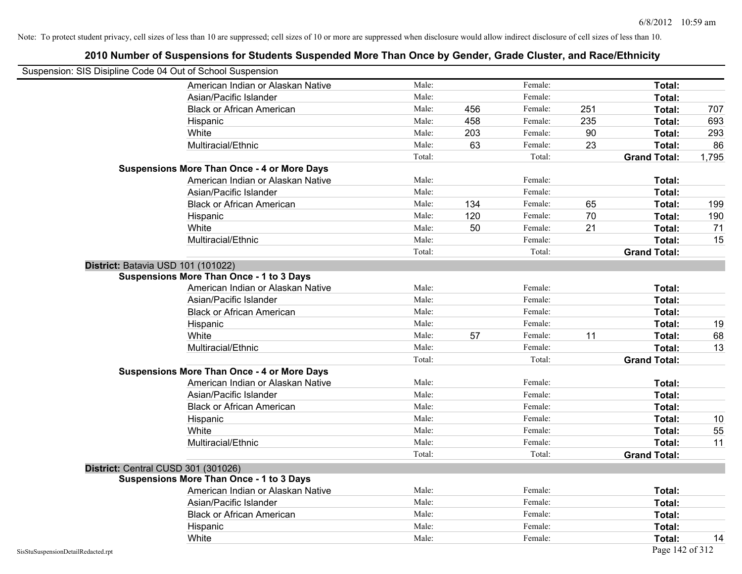| Suspension: SIS Disipline Code 04 Out of School Suspension |                                                    |        |     |         |     |                     |       |
|------------------------------------------------------------|----------------------------------------------------|--------|-----|---------|-----|---------------------|-------|
|                                                            | American Indian or Alaskan Native                  | Male:  |     | Female: |     | Total:              |       |
|                                                            | Asian/Pacific Islander                             | Male:  |     | Female: |     | Total:              |       |
|                                                            | <b>Black or African American</b>                   | Male:  | 456 | Female: | 251 | Total:              | 707   |
|                                                            | Hispanic                                           | Male:  | 458 | Female: | 235 | Total:              | 693   |
|                                                            | White                                              | Male:  | 203 | Female: | 90  | Total:              | 293   |
|                                                            | Multiracial/Ethnic                                 | Male:  | 63  | Female: | 23  | Total:              | 86    |
|                                                            |                                                    | Total: |     | Total:  |     | <b>Grand Total:</b> | 1,795 |
|                                                            | <b>Suspensions More Than Once - 4 or More Days</b> |        |     |         |     |                     |       |
|                                                            | American Indian or Alaskan Native                  | Male:  |     | Female: |     | Total:              |       |
|                                                            | Asian/Pacific Islander                             | Male:  |     | Female: |     | Total:              |       |
|                                                            | <b>Black or African American</b>                   | Male:  | 134 | Female: | 65  | Total:              | 199   |
|                                                            | Hispanic                                           | Male:  | 120 | Female: | 70  | Total:              | 190   |
|                                                            | White                                              | Male:  | 50  | Female: | 21  | Total:              | 71    |
|                                                            | Multiracial/Ethnic                                 | Male:  |     | Female: |     | Total:              | 15    |
|                                                            |                                                    | Total: |     | Total:  |     | <b>Grand Total:</b> |       |
|                                                            | District: Batavia USD 101 (101022)                 |        |     |         |     |                     |       |
|                                                            | <b>Suspensions More Than Once - 1 to 3 Days</b>    |        |     |         |     |                     |       |
|                                                            | American Indian or Alaskan Native                  | Male:  |     | Female: |     | Total:              |       |
|                                                            | Asian/Pacific Islander                             | Male:  |     | Female: |     | Total:              |       |
|                                                            | <b>Black or African American</b>                   | Male:  |     | Female: |     | Total:              |       |
|                                                            | Hispanic                                           | Male:  |     | Female: |     | Total:              | 19    |
|                                                            | White                                              | Male:  | 57  | Female: | 11  | Total:              | 68    |
|                                                            | Multiracial/Ethnic                                 | Male:  |     | Female: |     | Total:              | 13    |
|                                                            |                                                    | Total: |     | Total:  |     | <b>Grand Total:</b> |       |
|                                                            | <b>Suspensions More Than Once - 4 or More Days</b> |        |     |         |     |                     |       |
|                                                            | American Indian or Alaskan Native                  | Male:  |     | Female: |     | Total:              |       |
|                                                            | Asian/Pacific Islander                             | Male:  |     | Female: |     | Total:              |       |
|                                                            | <b>Black or African American</b>                   | Male:  |     | Female: |     | Total:              |       |
|                                                            | Hispanic                                           | Male:  |     | Female: |     | Total:              | 10    |
|                                                            | White                                              | Male:  |     | Female: |     | Total:              | 55    |
|                                                            | Multiracial/Ethnic                                 | Male:  |     | Female: |     | Total:              | 11    |
|                                                            |                                                    | Total: |     | Total:  |     | <b>Grand Total:</b> |       |
|                                                            | District: Central CUSD 301 (301026)                |        |     |         |     |                     |       |
|                                                            | <b>Suspensions More Than Once - 1 to 3 Days</b>    |        |     |         |     |                     |       |
|                                                            | American Indian or Alaskan Native                  | Male:  |     | Female: |     | Total:              |       |
|                                                            | Asian/Pacific Islander                             | Male:  |     | Female: |     | Total:              |       |
|                                                            | <b>Black or African American</b>                   | Male:  |     | Female: |     | Total:              |       |
|                                                            | Hispanic                                           | Male:  |     | Female: |     | Total:              |       |
|                                                            | White                                              | Male:  |     | Female: |     | Total:              | 14    |
| SisStuSuspensionDetailRedacted.rpt                         |                                                    |        |     |         |     | Page 142 of 312     |       |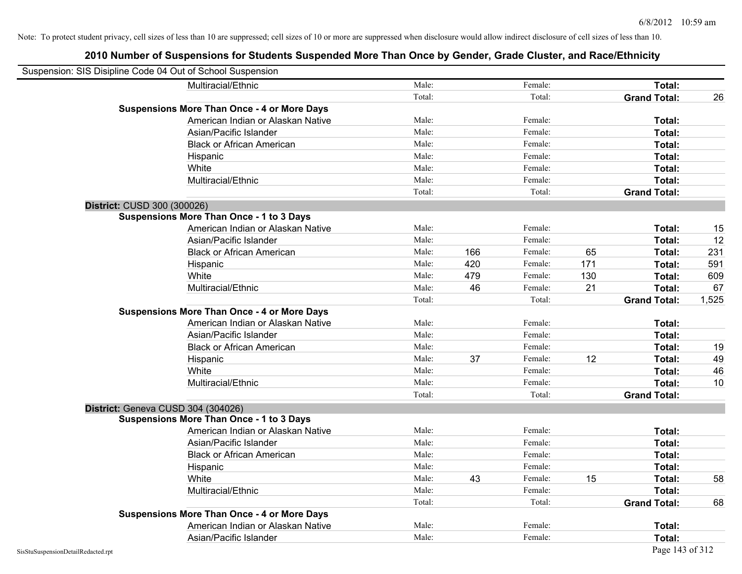| Suspension: SIS Disipline Code 04 Out of School Suspension |                                                    |        |     |         |     |                     |       |
|------------------------------------------------------------|----------------------------------------------------|--------|-----|---------|-----|---------------------|-------|
|                                                            | Multiracial/Ethnic                                 | Male:  |     | Female: |     | Total:              |       |
|                                                            |                                                    | Total: |     | Total:  |     | <b>Grand Total:</b> | 26    |
|                                                            | <b>Suspensions More Than Once - 4 or More Days</b> |        |     |         |     |                     |       |
|                                                            | American Indian or Alaskan Native                  | Male:  |     | Female: |     | Total:              |       |
|                                                            | Asian/Pacific Islander                             | Male:  |     | Female: |     | Total:              |       |
|                                                            | <b>Black or African American</b>                   | Male:  |     | Female: |     | Total:              |       |
|                                                            | Hispanic                                           | Male:  |     | Female: |     | Total:              |       |
|                                                            | White                                              | Male:  |     | Female: |     | Total:              |       |
|                                                            | Multiracial/Ethnic                                 | Male:  |     | Female: |     | Total:              |       |
|                                                            |                                                    | Total: |     | Total:  |     | <b>Grand Total:</b> |       |
| District: CUSD 300 (300026)                                |                                                    |        |     |         |     |                     |       |
|                                                            | <b>Suspensions More Than Once - 1 to 3 Days</b>    |        |     |         |     |                     |       |
|                                                            | American Indian or Alaskan Native                  | Male:  |     | Female: |     | Total:              | 15    |
|                                                            | Asian/Pacific Islander                             | Male:  |     | Female: |     | Total:              | 12    |
|                                                            | <b>Black or African American</b>                   | Male:  | 166 | Female: | 65  | Total:              | 231   |
|                                                            | Hispanic                                           | Male:  | 420 | Female: | 171 | Total:              | 591   |
|                                                            | White                                              | Male:  | 479 | Female: | 130 | Total:              | 609   |
|                                                            | Multiracial/Ethnic                                 | Male:  | 46  | Female: | 21  | Total:              | 67    |
|                                                            |                                                    | Total: |     | Total:  |     | <b>Grand Total:</b> | 1,525 |
|                                                            | <b>Suspensions More Than Once - 4 or More Days</b> |        |     |         |     |                     |       |
|                                                            | American Indian or Alaskan Native                  | Male:  |     | Female: |     | Total:              |       |
|                                                            | Asian/Pacific Islander                             | Male:  |     | Female: |     | Total:              |       |
|                                                            | <b>Black or African American</b>                   | Male:  |     | Female: |     | Total:              | 19    |
|                                                            | Hispanic                                           | Male:  | 37  | Female: | 12  | Total:              | 49    |
|                                                            | White                                              | Male:  |     | Female: |     | Total:              | 46    |
|                                                            | Multiracial/Ethnic                                 | Male:  |     | Female: |     | Total:              | 10    |
|                                                            |                                                    | Total: |     | Total:  |     | <b>Grand Total:</b> |       |
| District: Geneva CUSD 304 (304026)                         |                                                    |        |     |         |     |                     |       |
|                                                            | <b>Suspensions More Than Once - 1 to 3 Days</b>    |        |     |         |     |                     |       |
|                                                            | American Indian or Alaskan Native                  | Male:  |     | Female: |     | Total:              |       |
|                                                            | Asian/Pacific Islander                             | Male:  |     | Female: |     | Total:              |       |
|                                                            | <b>Black or African American</b>                   | Male:  |     | Female: |     | Total:              |       |
|                                                            | Hispanic                                           | Male:  |     | Female: |     | Total:              |       |
|                                                            | White                                              | Male:  | 43  | Female: | 15  | Total:              | 58    |
|                                                            | Multiracial/Ethnic                                 | Male:  |     | Female: |     | Total:              |       |
|                                                            |                                                    | Total: |     | Total:  |     | <b>Grand Total:</b> | 68    |
|                                                            | <b>Suspensions More Than Once - 4 or More Days</b> |        |     |         |     |                     |       |
|                                                            | American Indian or Alaskan Native                  | Male:  |     | Female: |     | Total:              |       |
|                                                            | Asian/Pacific Islander                             | Male:  |     | Female: |     | Total:              |       |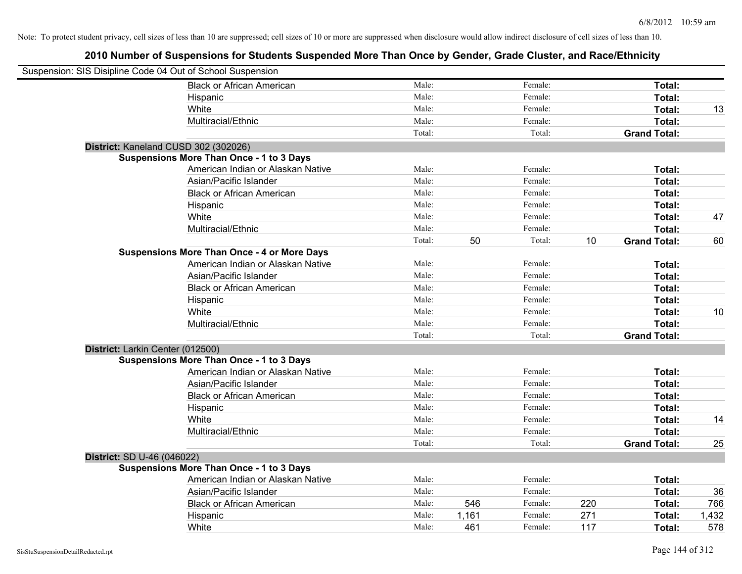| Suspension: SIS Disipline Code 04 Out of School Suspension |                                                    |        |       |         |     |                     |       |
|------------------------------------------------------------|----------------------------------------------------|--------|-------|---------|-----|---------------------|-------|
|                                                            | <b>Black or African American</b>                   | Male:  |       | Female: |     | Total:              |       |
|                                                            | Hispanic                                           | Male:  |       | Female: |     | Total:              |       |
|                                                            | White                                              | Male:  |       | Female: |     | Total:              | 13    |
|                                                            | Multiracial/Ethnic                                 | Male:  |       | Female: |     | Total:              |       |
|                                                            |                                                    | Total: |       | Total:  |     | <b>Grand Total:</b> |       |
| District: Kaneland CUSD 302 (302026)                       |                                                    |        |       |         |     |                     |       |
|                                                            | <b>Suspensions More Than Once - 1 to 3 Days</b>    |        |       |         |     |                     |       |
|                                                            | American Indian or Alaskan Native                  | Male:  |       | Female: |     | Total:              |       |
|                                                            | Asian/Pacific Islander                             | Male:  |       | Female: |     | Total:              |       |
|                                                            | <b>Black or African American</b>                   | Male:  |       | Female: |     | Total:              |       |
|                                                            | Hispanic                                           | Male:  |       | Female: |     | Total:              |       |
|                                                            | White                                              | Male:  |       | Female: |     | Total:              | 47    |
|                                                            | Multiracial/Ethnic                                 | Male:  |       | Female: |     | Total:              |       |
|                                                            |                                                    | Total: | 50    | Total:  | 10  | <b>Grand Total:</b> | 60    |
|                                                            | <b>Suspensions More Than Once - 4 or More Days</b> |        |       |         |     |                     |       |
|                                                            | American Indian or Alaskan Native                  | Male:  |       | Female: |     | Total:              |       |
|                                                            | Asian/Pacific Islander                             | Male:  |       | Female: |     | Total:              |       |
|                                                            | <b>Black or African American</b>                   | Male:  |       | Female: |     | Total:              |       |
|                                                            | Hispanic                                           | Male:  |       | Female: |     | Total:              |       |
|                                                            | White                                              | Male:  |       | Female: |     | Total:              | 10    |
|                                                            | Multiracial/Ethnic                                 | Male:  |       | Female: |     | Total:              |       |
|                                                            |                                                    | Total: |       | Total:  |     | <b>Grand Total:</b> |       |
| District: Larkin Center (012500)                           |                                                    |        |       |         |     |                     |       |
|                                                            | <b>Suspensions More Than Once - 1 to 3 Days</b>    |        |       |         |     |                     |       |
|                                                            | American Indian or Alaskan Native                  | Male:  |       | Female: |     | Total:              |       |
|                                                            | Asian/Pacific Islander                             | Male:  |       | Female: |     | Total:              |       |
|                                                            | <b>Black or African American</b>                   | Male:  |       | Female: |     | Total:              |       |
|                                                            | Hispanic                                           | Male:  |       | Female: |     | Total:              |       |
|                                                            | White                                              | Male:  |       | Female: |     | Total:              | 14    |
|                                                            | Multiracial/Ethnic                                 | Male:  |       | Female: |     | Total:              |       |
|                                                            |                                                    | Total: |       | Total:  |     | <b>Grand Total:</b> | 25    |
| District: SD U-46 (046022)                                 |                                                    |        |       |         |     |                     |       |
|                                                            | <b>Suspensions More Than Once - 1 to 3 Days</b>    |        |       |         |     |                     |       |
|                                                            | American Indian or Alaskan Native                  | Male:  |       | Female: |     | Total:              |       |
|                                                            | Asian/Pacific Islander                             | Male:  |       | Female: |     | Total:              | 36    |
|                                                            | <b>Black or African American</b>                   | Male:  | 546   | Female: | 220 | Total:              | 766   |
|                                                            | Hispanic                                           | Male:  | 1,161 | Female: | 271 | Total:              | 1,432 |
|                                                            | White                                              | Male:  | 461   | Female: | 117 | Total:              | 578   |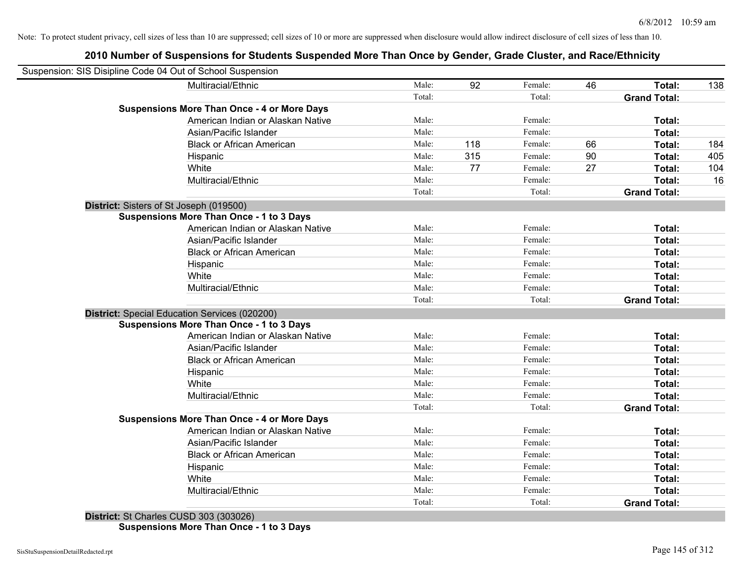### **2010 Number of Suspensions for Students Suspended More Than Once by Gender, Grade Cluster, and Race/Ethnicity**

| Suspension: SIS Disipline Code 04 Out of School Suspension |                                                    |        |     |         |    |                     |     |
|------------------------------------------------------------|----------------------------------------------------|--------|-----|---------|----|---------------------|-----|
|                                                            | Multiracial/Ethnic                                 | Male:  | 92  | Female: | 46 | Total:              | 138 |
|                                                            |                                                    | Total: |     | Total:  |    | <b>Grand Total:</b> |     |
|                                                            | <b>Suspensions More Than Once - 4 or More Days</b> |        |     |         |    |                     |     |
|                                                            | American Indian or Alaskan Native                  | Male:  |     | Female: |    | Total:              |     |
|                                                            | Asian/Pacific Islander                             | Male:  |     | Female: |    | Total:              |     |
|                                                            | <b>Black or African American</b>                   | Male:  | 118 | Female: | 66 | Total:              | 184 |
|                                                            | Hispanic                                           | Male:  | 315 | Female: | 90 | Total:              | 405 |
|                                                            | White                                              | Male:  | 77  | Female: | 27 | Total:              | 104 |
|                                                            | Multiracial/Ethnic                                 | Male:  |     | Female: |    | Total:              | 16  |
|                                                            |                                                    | Total: |     | Total:  |    | <b>Grand Total:</b> |     |
| District: Sisters of St Joseph (019500)                    |                                                    |        |     |         |    |                     |     |
|                                                            | <b>Suspensions More Than Once - 1 to 3 Days</b>    |        |     |         |    |                     |     |
|                                                            | American Indian or Alaskan Native                  | Male:  |     | Female: |    | Total:              |     |
|                                                            | Asian/Pacific Islander                             | Male:  |     | Female: |    | Total:              |     |
|                                                            | <b>Black or African American</b>                   | Male:  |     | Female: |    | Total:              |     |
|                                                            | Hispanic                                           | Male:  |     | Female: |    | Total:              |     |
|                                                            | White                                              | Male:  |     | Female: |    | Total:              |     |
|                                                            | Multiracial/Ethnic                                 | Male:  |     | Female: |    | Total:              |     |
|                                                            |                                                    | Total: |     | Total:  |    | <b>Grand Total:</b> |     |
|                                                            | District: Special Education Services (020200)      |        |     |         |    |                     |     |
|                                                            | <b>Suspensions More Than Once - 1 to 3 Days</b>    |        |     |         |    |                     |     |
|                                                            | American Indian or Alaskan Native                  | Male:  |     | Female: |    | Total:              |     |
|                                                            | Asian/Pacific Islander                             | Male:  |     | Female: |    | Total:              |     |
|                                                            | <b>Black or African American</b>                   | Male:  |     | Female: |    | Total:              |     |
|                                                            | Hispanic                                           | Male:  |     | Female: |    | Total:              |     |
|                                                            | White                                              | Male:  |     | Female: |    | Total:              |     |
|                                                            | Multiracial/Ethnic                                 | Male:  |     | Female: |    | Total:              |     |
|                                                            |                                                    | Total: |     | Total:  |    | <b>Grand Total:</b> |     |
|                                                            | <b>Suspensions More Than Once - 4 or More Days</b> |        |     |         |    |                     |     |
|                                                            | American Indian or Alaskan Native                  | Male:  |     | Female: |    | Total:              |     |
|                                                            | Asian/Pacific Islander                             | Male:  |     | Female: |    | Total:              |     |
|                                                            | <b>Black or African American</b>                   | Male:  |     | Female: |    | Total:              |     |
|                                                            | Hispanic                                           | Male:  |     | Female: |    | Total:              |     |
|                                                            | White                                              | Male:  |     | Female: |    | Total:              |     |
|                                                            | Multiracial/Ethnic                                 | Male:  |     | Female: |    | Total:              |     |
|                                                            |                                                    | Total: |     | Total:  |    | <b>Grand Total:</b> |     |

**District:** St Charles CUSD 303 (303026) **Suspensions More Than Once - 1 to 3 Days**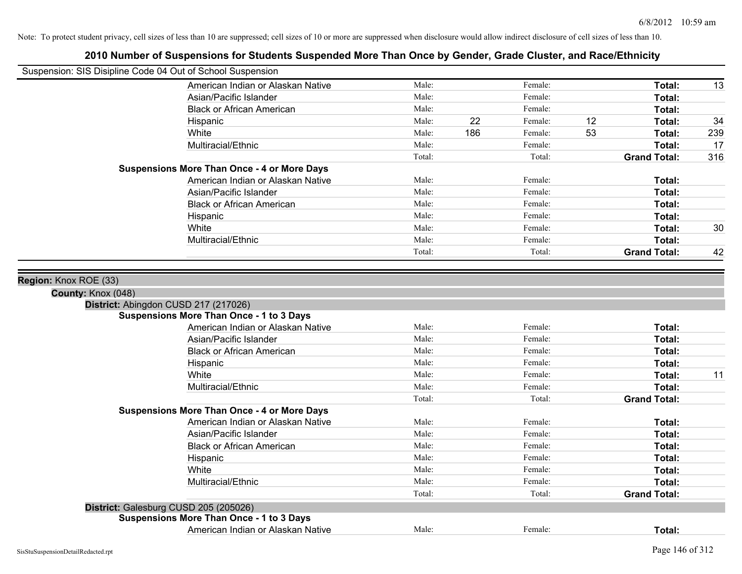| Suspension: SIS Disipline Code 04 Out of School Suspension |        |     |         |    |                     |     |
|------------------------------------------------------------|--------|-----|---------|----|---------------------|-----|
| American Indian or Alaskan Native                          | Male:  |     | Female: |    | Total:              | 13  |
| Asian/Pacific Islander                                     | Male:  |     | Female: |    | Total:              |     |
| <b>Black or African American</b>                           | Male:  |     | Female: |    | Total:              |     |
| Hispanic                                                   | Male:  | 22  | Female: | 12 | Total:              | 34  |
| White                                                      | Male:  | 186 | Female: | 53 | Total:              | 239 |
| Multiracial/Ethnic                                         | Male:  |     | Female: |    | Total:              | 17  |
|                                                            | Total: |     | Total:  |    | <b>Grand Total:</b> | 316 |
| <b>Suspensions More Than Once - 4 or More Days</b>         |        |     |         |    |                     |     |
| American Indian or Alaskan Native                          | Male:  |     | Female: |    | Total:              |     |
| Asian/Pacific Islander                                     | Male:  |     | Female: |    | Total:              |     |
| <b>Black or African American</b>                           | Male:  |     | Female: |    | Total:              |     |
| Hispanic                                                   | Male:  |     | Female: |    | Total:              |     |
| White                                                      | Male:  |     | Female: |    | Total:              | 30  |
| Multiracial/Ethnic                                         | Male:  |     | Female: |    | Total:              |     |
|                                                            | Total: |     | Total:  |    | <b>Grand Total:</b> | 42  |
|                                                            |        |     |         |    |                     |     |
| County: Knox (048)<br>District: Abingdon CUSD 217 (217026) |        |     |         |    |                     |     |
| <b>Suspensions More Than Once - 1 to 3 Days</b>            |        |     |         |    |                     |     |
| American Indian or Alaskan Native                          | Male:  |     | Female: |    | Total:              |     |
| Asian/Pacific Islander                                     | Male:  |     | Female: |    | Total:              |     |
| <b>Black or African American</b>                           | Male:  |     | Female: |    | Total:              |     |
| Hispanic                                                   | Male:  |     | Female: |    | Total:              |     |
| White                                                      | Male:  |     | Female: |    | Total:              | 11  |
| Multiracial/Ethnic                                         | Male:  |     | Female: |    | Total:              |     |
|                                                            | Total: |     | Total:  |    | <b>Grand Total:</b> |     |
| <b>Suspensions More Than Once - 4 or More Days</b>         |        |     |         |    |                     |     |
| American Indian or Alaskan Native                          | Male:  |     | Female: |    | Total:              |     |
| Asian/Pacific Islander                                     | Male:  |     | Female: |    | Total:              |     |
| <b>Black or African American</b>                           | Male:  |     | Female: |    | Total:              |     |
| Hispanic                                                   | Male:  |     | Female: |    | Total:              |     |
| White                                                      | Male:  |     | Female: |    | Total:              |     |
| Multiracial/Ethnic                                         | Male:  |     | Female: |    | Total:              |     |
|                                                            | Total: |     | Total:  |    | <b>Grand Total:</b> |     |
| District: Galesburg CUSD 205 (205026)                      |        |     |         |    |                     |     |
| <b>Suspensions More Than Once - 1 to 3 Days</b>            |        |     |         |    |                     |     |
| American Indian or Alaskan Native                          | Male:  |     | Female: |    | Total:              |     |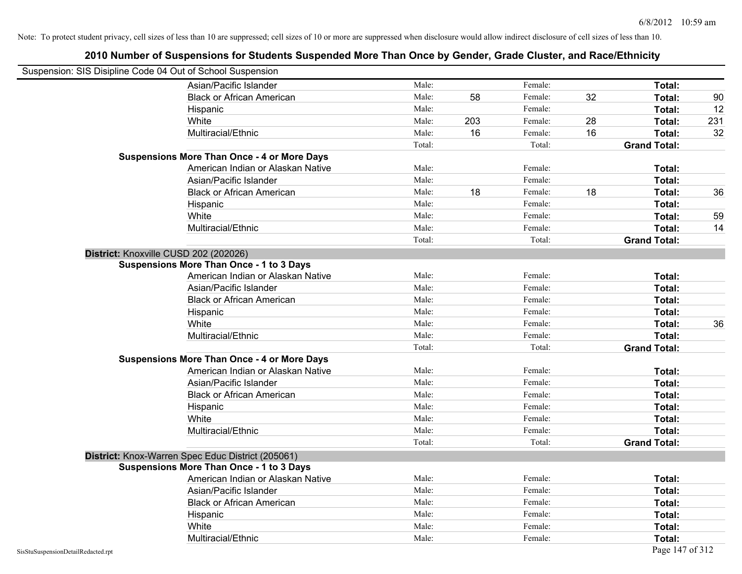| Suspension: SIS Disipline Code 04 Out of School Suspension |                                                    |        |     |         |    |                     |     |
|------------------------------------------------------------|----------------------------------------------------|--------|-----|---------|----|---------------------|-----|
|                                                            | Asian/Pacific Islander                             | Male:  |     | Female: |    | Total:              |     |
|                                                            | <b>Black or African American</b>                   | Male:  | 58  | Female: | 32 | Total:              | 90  |
|                                                            | Hispanic                                           | Male:  |     | Female: |    | Total:              | 12  |
|                                                            | White                                              | Male:  | 203 | Female: | 28 | Total:              | 231 |
|                                                            | Multiracial/Ethnic                                 | Male:  | 16  | Female: | 16 | Total:              | 32  |
|                                                            |                                                    | Total: |     | Total:  |    | <b>Grand Total:</b> |     |
|                                                            | <b>Suspensions More Than Once - 4 or More Days</b> |        |     |         |    |                     |     |
|                                                            | American Indian or Alaskan Native                  | Male:  |     | Female: |    | Total:              |     |
|                                                            | Asian/Pacific Islander                             | Male:  |     | Female: |    | Total:              |     |
|                                                            | <b>Black or African American</b>                   | Male:  | 18  | Female: | 18 | Total:              | 36  |
|                                                            | Hispanic                                           | Male:  |     | Female: |    | Total:              |     |
|                                                            | White                                              | Male:  |     | Female: |    | Total:              | 59  |
|                                                            | Multiracial/Ethnic                                 | Male:  |     | Female: |    | Total:              | 14  |
|                                                            |                                                    | Total: |     | Total:  |    | <b>Grand Total:</b> |     |
| District: Knoxville CUSD 202 (202026)                      |                                                    |        |     |         |    |                     |     |
|                                                            | <b>Suspensions More Than Once - 1 to 3 Days</b>    |        |     |         |    |                     |     |
|                                                            | American Indian or Alaskan Native                  | Male:  |     | Female: |    | Total:              |     |
|                                                            | Asian/Pacific Islander                             | Male:  |     | Female: |    | Total:              |     |
|                                                            | <b>Black or African American</b>                   | Male:  |     | Female: |    | Total:              |     |
|                                                            | Hispanic                                           | Male:  |     | Female: |    | Total:              |     |
|                                                            | White                                              | Male:  |     | Female: |    | Total:              | 36  |
|                                                            | Multiracial/Ethnic                                 | Male:  |     | Female: |    | Total:              |     |
|                                                            |                                                    | Total: |     | Total:  |    | <b>Grand Total:</b> |     |
|                                                            | <b>Suspensions More Than Once - 4 or More Days</b> |        |     |         |    |                     |     |
|                                                            | American Indian or Alaskan Native                  | Male:  |     | Female: |    | Total:              |     |
|                                                            | Asian/Pacific Islander                             | Male:  |     | Female: |    | Total:              |     |
|                                                            | <b>Black or African American</b>                   | Male:  |     | Female: |    | Total:              |     |
|                                                            | Hispanic                                           | Male:  |     | Female: |    | Total:              |     |
|                                                            | White                                              | Male:  |     | Female: |    | Total:              |     |
|                                                            | Multiracial/Ethnic                                 | Male:  |     | Female: |    | Total:              |     |
|                                                            |                                                    | Total: |     | Total:  |    | <b>Grand Total:</b> |     |
|                                                            | District: Knox-Warren Spec Educ District (205061)  |        |     |         |    |                     |     |
|                                                            | Suspensions More Than Once - 1 to 3 Days           |        |     |         |    |                     |     |
|                                                            | American Indian or Alaskan Native                  | Male:  |     | Female: |    | Total:              |     |
|                                                            | Asian/Pacific Islander                             | Male:  |     | Female: |    | Total:              |     |
|                                                            | <b>Black or African American</b>                   | Male:  |     | Female: |    | Total:              |     |
|                                                            | Hispanic                                           | Male:  |     | Female: |    | Total:              |     |
|                                                            | White                                              | Male:  |     | Female: |    | Total:              |     |
|                                                            | Multiracial/Ethnic                                 | Male:  |     | Female: |    | Total:              |     |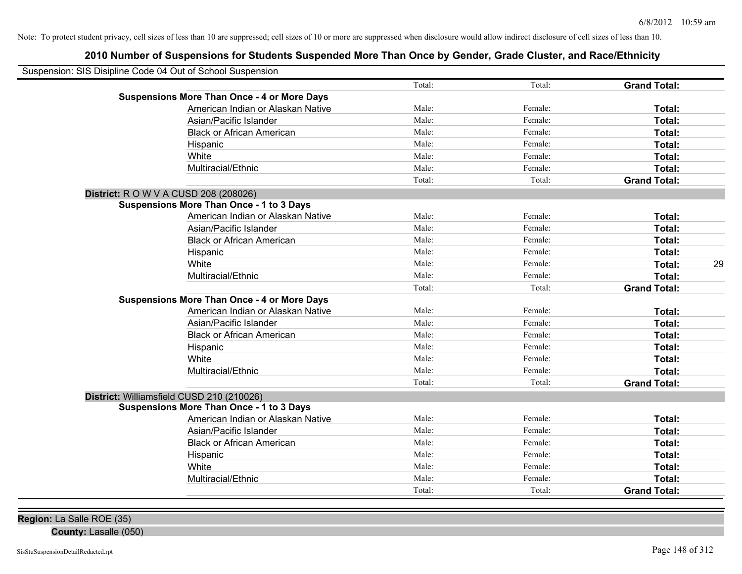| Suspension: SIS Disipline Code 04 Out of School Suspension |        |         |                     |    |
|------------------------------------------------------------|--------|---------|---------------------|----|
|                                                            | Total: | Total:  | <b>Grand Total:</b> |    |
| <b>Suspensions More Than Once - 4 or More Days</b>         |        |         |                     |    |
| American Indian or Alaskan Native                          | Male:  | Female: | Total:              |    |
| Asian/Pacific Islander                                     | Male:  | Female: | Total:              |    |
| <b>Black or African American</b>                           | Male:  | Female: | Total:              |    |
| Hispanic                                                   | Male:  | Female: | Total:              |    |
| White                                                      | Male:  | Female: | Total:              |    |
| Multiracial/Ethnic                                         | Male:  | Female: | Total:              |    |
|                                                            | Total: | Total:  | <b>Grand Total:</b> |    |
| <b>District:</b> R O W V A CUSD 208 (208026)               |        |         |                     |    |
| <b>Suspensions More Than Once - 1 to 3 Days</b>            |        |         |                     |    |
| American Indian or Alaskan Native                          | Male:  | Female: | Total:              |    |
| Asian/Pacific Islander                                     | Male:  | Female: | Total:              |    |
| <b>Black or African American</b>                           | Male:  | Female: | Total:              |    |
| Hispanic                                                   | Male:  | Female: | Total:              |    |
| White                                                      | Male:  | Female: | Total:              | 29 |
| Multiracial/Ethnic                                         | Male:  | Female: | <b>Total:</b>       |    |
|                                                            | Total: | Total:  | <b>Grand Total:</b> |    |
| <b>Suspensions More Than Once - 4 or More Days</b>         |        |         |                     |    |
| American Indian or Alaskan Native                          | Male:  | Female: | Total:              |    |
| Asian/Pacific Islander                                     | Male:  | Female: | <b>Total:</b>       |    |
| <b>Black or African American</b>                           | Male:  | Female: | Total:              |    |
| Hispanic                                                   | Male:  | Female: | Total:              |    |
| White                                                      | Male:  | Female: | Total:              |    |
| Multiracial/Ethnic                                         | Male:  | Female: | Total:              |    |
|                                                            | Total: | Total:  | <b>Grand Total:</b> |    |
| District: Williamsfield CUSD 210 (210026)                  |        |         |                     |    |
| <b>Suspensions More Than Once - 1 to 3 Days</b>            |        |         |                     |    |
| American Indian or Alaskan Native                          | Male:  | Female: | Total:              |    |
| Asian/Pacific Islander                                     | Male:  | Female: | Total:              |    |
| <b>Black or African American</b>                           | Male:  | Female: | Total:              |    |
| Hispanic                                                   | Male:  | Female: | Total:              |    |
| White                                                      | Male:  | Female: | Total:              |    |
| Multiracial/Ethnic                                         | Male:  | Female: | <b>Total:</b>       |    |
|                                                            | Total: | Total:  | <b>Grand Total:</b> |    |
|                                                            |        |         |                     |    |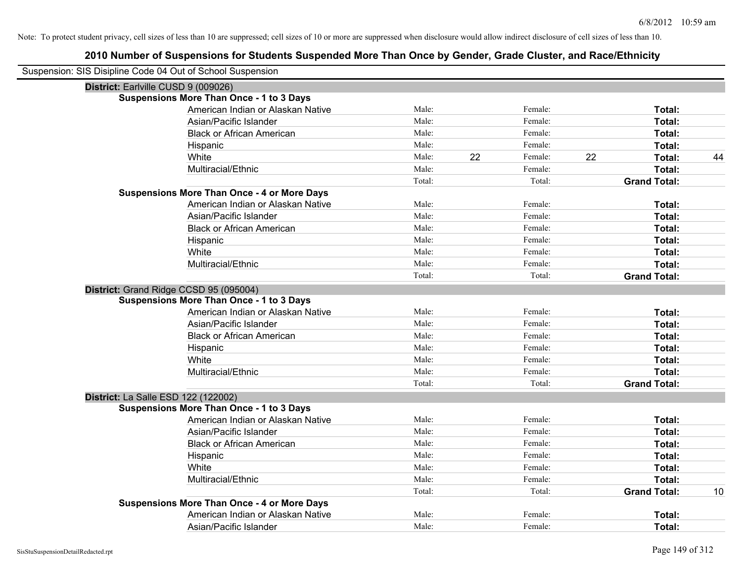| Suspension: SIS Disipline Code 04 Out of School Suspension |                                                    |        |    |         |    |                     |    |
|------------------------------------------------------------|----------------------------------------------------|--------|----|---------|----|---------------------|----|
| District: Earlville CUSD 9 (009026)                        |                                                    |        |    |         |    |                     |    |
|                                                            | <b>Suspensions More Than Once - 1 to 3 Days</b>    |        |    |         |    |                     |    |
|                                                            | American Indian or Alaskan Native                  | Male:  |    | Female: |    | Total:              |    |
|                                                            | Asian/Pacific Islander                             | Male:  |    | Female: |    | Total:              |    |
|                                                            | <b>Black or African American</b>                   | Male:  |    | Female: |    | Total:              |    |
|                                                            | Hispanic                                           | Male:  |    | Female: |    | Total:              |    |
|                                                            | White                                              | Male:  | 22 | Female: | 22 | Total:              | 44 |
|                                                            | Multiracial/Ethnic                                 | Male:  |    | Female: |    | Total:              |    |
|                                                            |                                                    | Total: |    | Total:  |    | <b>Grand Total:</b> |    |
|                                                            | <b>Suspensions More Than Once - 4 or More Days</b> |        |    |         |    |                     |    |
|                                                            | American Indian or Alaskan Native                  | Male:  |    | Female: |    | Total:              |    |
|                                                            | Asian/Pacific Islander                             | Male:  |    | Female: |    | Total:              |    |
|                                                            | <b>Black or African American</b>                   | Male:  |    | Female: |    | Total:              |    |
|                                                            | Hispanic                                           | Male:  |    | Female: |    | Total:              |    |
|                                                            | White                                              | Male:  |    | Female: |    | Total:              |    |
|                                                            | Multiracial/Ethnic                                 | Male:  |    | Female: |    | Total:              |    |
|                                                            |                                                    | Total: |    | Total:  |    | <b>Grand Total:</b> |    |
|                                                            | District: Grand Ridge CCSD 95 (095004)             |        |    |         |    |                     |    |
|                                                            | <b>Suspensions More Than Once - 1 to 3 Days</b>    |        |    |         |    |                     |    |
|                                                            | American Indian or Alaskan Native                  | Male:  |    | Female: |    | Total:              |    |
|                                                            | Asian/Pacific Islander                             | Male:  |    | Female: |    | Total:              |    |
|                                                            | <b>Black or African American</b>                   | Male:  |    | Female: |    | Total:              |    |
|                                                            | Hispanic                                           | Male:  |    | Female: |    | Total:              |    |
|                                                            | White                                              | Male:  |    | Female: |    | Total:              |    |
|                                                            | Multiracial/Ethnic                                 | Male:  |    | Female: |    | Total:              |    |
|                                                            |                                                    | Total: |    | Total:  |    | <b>Grand Total:</b> |    |
| <b>District: La Salle ESD 122 (122002)</b>                 |                                                    |        |    |         |    |                     |    |
|                                                            | <b>Suspensions More Than Once - 1 to 3 Days</b>    |        |    |         |    |                     |    |
|                                                            | American Indian or Alaskan Native                  | Male:  |    | Female: |    | Total:              |    |
|                                                            | Asian/Pacific Islander                             | Male:  |    | Female: |    | Total:              |    |
|                                                            | <b>Black or African American</b>                   | Male:  |    | Female: |    | Total:              |    |
|                                                            | Hispanic                                           | Male:  |    | Female: |    | Total:              |    |
|                                                            | White                                              | Male:  |    | Female: |    | Total:              |    |
|                                                            | Multiracial/Ethnic                                 | Male:  |    | Female: |    | Total:              |    |
|                                                            |                                                    | Total: |    | Total:  |    | <b>Grand Total:</b> | 10 |
|                                                            | <b>Suspensions More Than Once - 4 or More Days</b> |        |    |         |    |                     |    |
|                                                            | American Indian or Alaskan Native                  | Male:  |    | Female: |    | Total:              |    |
|                                                            | Asian/Pacific Islander                             | Male:  |    | Female: |    | Total:              |    |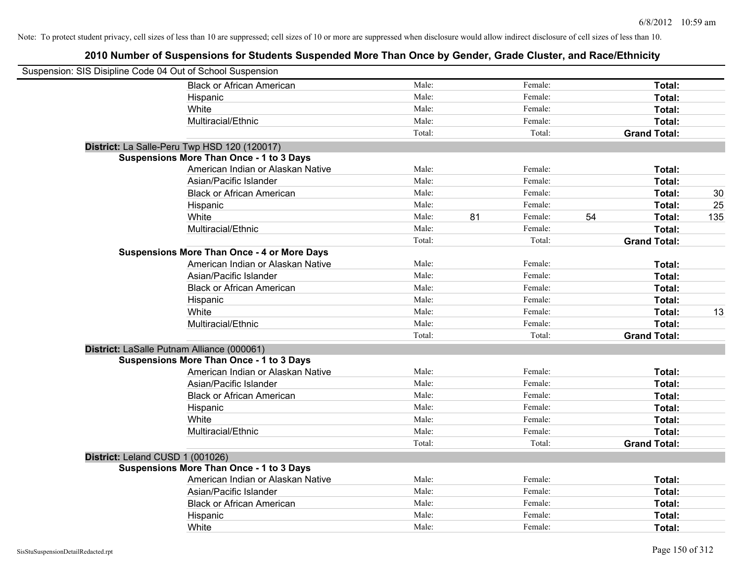| Suspension: SIS Disipline Code 04 Out of School Suspension |                                                    |        |               |    |                     |     |
|------------------------------------------------------------|----------------------------------------------------|--------|---------------|----|---------------------|-----|
|                                                            | <b>Black or African American</b>                   | Male:  | Female:       |    | Total:              |     |
|                                                            | Hispanic                                           | Male:  | Female:       |    | Total:              |     |
|                                                            | White                                              | Male:  | Female:       |    | Total:              |     |
|                                                            | Multiracial/Ethnic                                 | Male:  | Female:       |    | Total:              |     |
|                                                            |                                                    | Total: | Total:        |    | <b>Grand Total:</b> |     |
|                                                            | District: La Salle-Peru Twp HSD 120 (120017)       |        |               |    |                     |     |
|                                                            | <b>Suspensions More Than Once - 1 to 3 Days</b>    |        |               |    |                     |     |
|                                                            | American Indian or Alaskan Native                  | Male:  | Female:       |    | Total:              |     |
|                                                            | Asian/Pacific Islander                             | Male:  | Female:       |    | Total:              |     |
|                                                            | <b>Black or African American</b>                   | Male:  | Female:       |    | Total:              | 30  |
|                                                            | Hispanic                                           | Male:  | Female:       |    | Total:              | 25  |
|                                                            | White                                              | Male:  | 81<br>Female: | 54 | Total:              | 135 |
|                                                            | Multiracial/Ethnic                                 | Male:  | Female:       |    | Total:              |     |
|                                                            |                                                    | Total: | Total:        |    | <b>Grand Total:</b> |     |
|                                                            | <b>Suspensions More Than Once - 4 or More Days</b> |        |               |    |                     |     |
|                                                            | American Indian or Alaskan Native                  | Male:  | Female:       |    | Total:              |     |
|                                                            | Asian/Pacific Islander                             | Male:  | Female:       |    | Total:              |     |
|                                                            | <b>Black or African American</b>                   | Male:  | Female:       |    | Total:              |     |
|                                                            | Hispanic                                           | Male:  | Female:       |    | Total:              |     |
|                                                            | White                                              | Male:  | Female:       |    | Total:              | 13  |
|                                                            | Multiracial/Ethnic                                 | Male:  | Female:       |    | Total:              |     |
|                                                            |                                                    | Total: | Total:        |    | <b>Grand Total:</b> |     |
| District: LaSalle Putnam Alliance (000061)                 |                                                    |        |               |    |                     |     |
|                                                            | <b>Suspensions More Than Once - 1 to 3 Days</b>    |        |               |    |                     |     |
|                                                            | American Indian or Alaskan Native                  | Male:  | Female:       |    | Total:              |     |
|                                                            | Asian/Pacific Islander                             | Male:  | Female:       |    | Total:              |     |
|                                                            | <b>Black or African American</b>                   | Male:  | Female:       |    | Total:              |     |
|                                                            | Hispanic                                           | Male:  | Female:       |    | Total:              |     |
|                                                            | White                                              | Male:  | Female:       |    | Total:              |     |
|                                                            | Multiracial/Ethnic                                 | Male:  | Female:       |    | Total:              |     |
|                                                            |                                                    | Total: | Total:        |    | <b>Grand Total:</b> |     |
| District: Leland CUSD 1 (001026)                           |                                                    |        |               |    |                     |     |
|                                                            | <b>Suspensions More Than Once - 1 to 3 Days</b>    |        |               |    |                     |     |
|                                                            | American Indian or Alaskan Native                  | Male:  | Female:       |    | Total:              |     |
|                                                            | Asian/Pacific Islander                             | Male:  | Female:       |    | Total:              |     |
|                                                            | <b>Black or African American</b>                   | Male:  | Female:       |    | Total:              |     |
|                                                            | Hispanic                                           | Male:  | Female:       |    | Total:              |     |
|                                                            | White                                              | Male:  | Female:       |    | Total:              |     |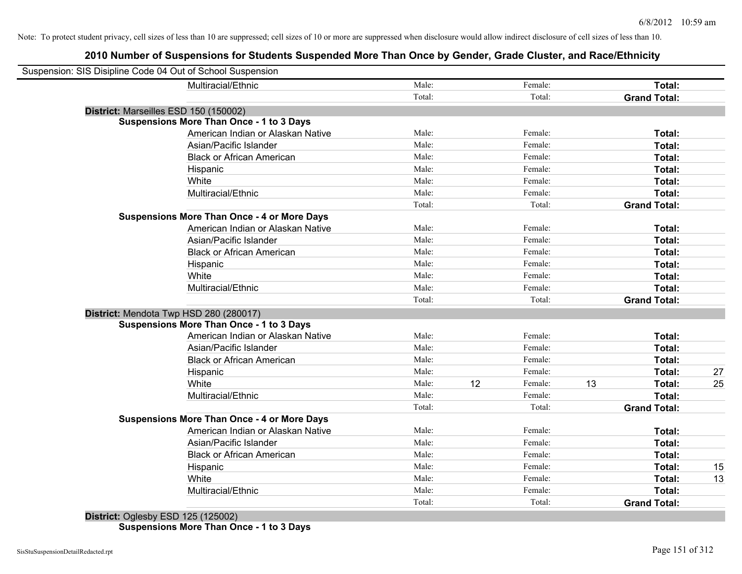### **2010 Number of Suspensions for Students Suspended More Than Once by Gender, Grade Cluster, and Race/Ethnicity**

| Suspension: SIS Disipline Code 04 Out of School Suspension |        |    |         |    |                     |    |
|------------------------------------------------------------|--------|----|---------|----|---------------------|----|
| Multiracial/Ethnic                                         | Male:  |    | Female: |    | Total:              |    |
|                                                            | Total: |    | Total:  |    | <b>Grand Total:</b> |    |
| District: Marseilles ESD 150 (150002)                      |        |    |         |    |                     |    |
| <b>Suspensions More Than Once - 1 to 3 Days</b>            |        |    |         |    |                     |    |
| American Indian or Alaskan Native                          | Male:  |    | Female: |    | Total:              |    |
| Asian/Pacific Islander                                     | Male:  |    | Female: |    | Total:              |    |
| <b>Black or African American</b>                           | Male:  |    | Female: |    | Total:              |    |
| Hispanic                                                   | Male:  |    | Female: |    | Total:              |    |
| White                                                      | Male:  |    | Female: |    | Total:              |    |
| Multiracial/Ethnic                                         | Male:  |    | Female: |    | Total:              |    |
|                                                            | Total: |    | Total:  |    | <b>Grand Total:</b> |    |
| <b>Suspensions More Than Once - 4 or More Days</b>         |        |    |         |    |                     |    |
| American Indian or Alaskan Native                          | Male:  |    | Female: |    | Total:              |    |
| Asian/Pacific Islander                                     | Male:  |    | Female: |    | Total:              |    |
| <b>Black or African American</b>                           | Male:  |    | Female: |    | Total:              |    |
| Hispanic                                                   | Male:  |    | Female: |    | Total:              |    |
| White                                                      | Male:  |    | Female: |    | Total:              |    |
| Multiracial/Ethnic                                         | Male:  |    | Female: |    | Total:              |    |
|                                                            | Total: |    | Total:  |    | <b>Grand Total:</b> |    |
| District: Mendota Twp HSD 280 (280017)                     |        |    |         |    |                     |    |
| <b>Suspensions More Than Once - 1 to 3 Days</b>            |        |    |         |    |                     |    |
| American Indian or Alaskan Native                          | Male:  |    | Female: |    | Total:              |    |
| Asian/Pacific Islander                                     | Male:  |    | Female: |    | Total:              |    |
| <b>Black or African American</b>                           | Male:  |    | Female: |    | Total:              |    |
| Hispanic                                                   | Male:  |    | Female: |    | Total:              | 27 |
| White                                                      | Male:  | 12 | Female: | 13 | Total:              | 25 |
| Multiracial/Ethnic                                         | Male:  |    | Female: |    | Total:              |    |
|                                                            | Total: |    | Total:  |    | <b>Grand Total:</b> |    |
| <b>Suspensions More Than Once - 4 or More Days</b>         |        |    |         |    |                     |    |
| American Indian or Alaskan Native                          | Male:  |    | Female: |    | Total:              |    |
| Asian/Pacific Islander                                     | Male:  |    | Female: |    | Total:              |    |
| <b>Black or African American</b>                           | Male:  |    | Female: |    | Total:              |    |
| Hispanic                                                   | Male:  |    | Female: |    | Total:              | 15 |
| White                                                      | Male:  |    | Female: |    | Total:              | 13 |
| Multiracial/Ethnic                                         | Male:  |    | Female: |    | Total:              |    |
|                                                            | Total: |    | Total:  |    | <b>Grand Total:</b> |    |
|                                                            |        |    |         |    |                     |    |

**District:** Oglesby ESD 125 (125002) **Suspensions More Than Once - 1 to 3 Days**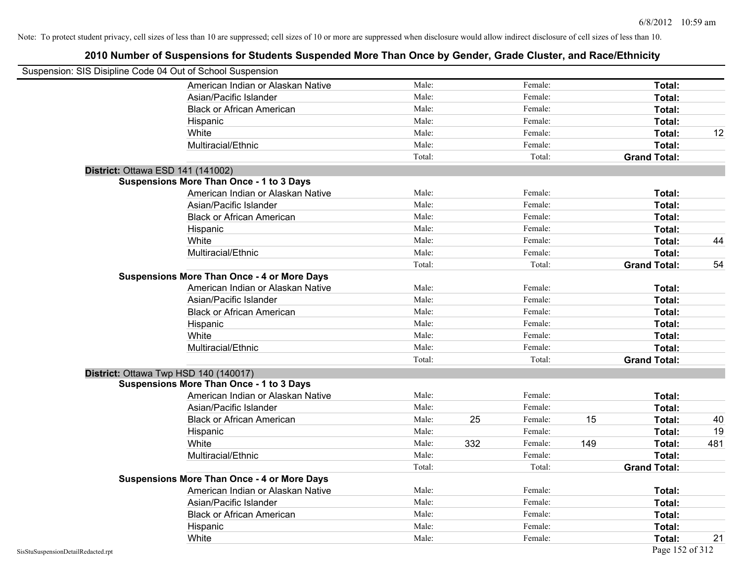|                                    | Suspension: SIS Disipline Code 04 Out of School Suspension |        |     |         |     |                     |     |
|------------------------------------|------------------------------------------------------------|--------|-----|---------|-----|---------------------|-----|
|                                    | American Indian or Alaskan Native                          | Male:  |     | Female: |     | Total:              |     |
|                                    | Asian/Pacific Islander                                     | Male:  |     | Female: |     | Total:              |     |
|                                    | <b>Black or African American</b>                           | Male:  |     | Female: |     | Total:              |     |
|                                    | Hispanic                                                   | Male:  |     | Female: |     | Total:              |     |
|                                    | White                                                      | Male:  |     | Female: |     | Total:              | 12  |
|                                    | Multiracial/Ethnic                                         | Male:  |     | Female: |     | Total:              |     |
|                                    |                                                            | Total: |     | Total:  |     | <b>Grand Total:</b> |     |
|                                    | District: Ottawa ESD 141 (141002)                          |        |     |         |     |                     |     |
|                                    | <b>Suspensions More Than Once - 1 to 3 Days</b>            |        |     |         |     |                     |     |
|                                    | American Indian or Alaskan Native                          | Male:  |     | Female: |     | Total:              |     |
|                                    | Asian/Pacific Islander                                     | Male:  |     | Female: |     | Total:              |     |
|                                    | <b>Black or African American</b>                           | Male:  |     | Female: |     | Total:              |     |
|                                    | Hispanic                                                   | Male:  |     | Female: |     | Total:              |     |
|                                    | White                                                      | Male:  |     | Female: |     | Total:              | 44  |
|                                    | Multiracial/Ethnic                                         | Male:  |     | Female: |     | Total:              |     |
|                                    |                                                            | Total: |     | Total:  |     | <b>Grand Total:</b> | 54  |
|                                    | <b>Suspensions More Than Once - 4 or More Days</b>         |        |     |         |     |                     |     |
|                                    | American Indian or Alaskan Native                          | Male:  |     | Female: |     | Total:              |     |
|                                    | Asian/Pacific Islander                                     | Male:  |     | Female: |     | Total:              |     |
|                                    | <b>Black or African American</b>                           | Male:  |     | Female: |     | Total:              |     |
|                                    | Hispanic                                                   | Male:  |     | Female: |     | Total:              |     |
|                                    | White                                                      | Male:  |     | Female: |     | Total:              |     |
|                                    | Multiracial/Ethnic                                         | Male:  |     | Female: |     | Total:              |     |
|                                    |                                                            | Total: |     | Total:  |     | <b>Grand Total:</b> |     |
|                                    | District: Ottawa Twp HSD 140 (140017)                      |        |     |         |     |                     |     |
|                                    | <b>Suspensions More Than Once - 1 to 3 Days</b>            |        |     |         |     |                     |     |
|                                    | American Indian or Alaskan Native                          | Male:  |     | Female: |     | Total:              |     |
|                                    | Asian/Pacific Islander                                     | Male:  |     | Female: |     | Total:              |     |
|                                    | <b>Black or African American</b>                           | Male:  | 25  | Female: | 15  | Total:              | 40  |
|                                    | Hispanic                                                   | Male:  |     | Female: |     | Total:              | 19  |
|                                    | White                                                      | Male:  | 332 | Female: | 149 | Total:              | 481 |
|                                    | Multiracial/Ethnic                                         | Male:  |     | Female: |     | Total:              |     |
|                                    |                                                            | Total: |     | Total:  |     | <b>Grand Total:</b> |     |
|                                    | <b>Suspensions More Than Once - 4 or More Days</b>         |        |     |         |     |                     |     |
|                                    | American Indian or Alaskan Native                          | Male:  |     | Female: |     | Total:              |     |
|                                    | Asian/Pacific Islander                                     | Male:  |     | Female: |     | Total:              |     |
|                                    | <b>Black or African American</b>                           | Male:  |     | Female: |     | Total:              |     |
|                                    | Hispanic                                                   | Male:  |     | Female: |     | Total:              |     |
|                                    | White                                                      | Male:  |     | Female: |     | Total:              | 21  |
| SisStuSuspensionDetailRedacted.rpt |                                                            |        |     |         |     | Page 152 of 312     |     |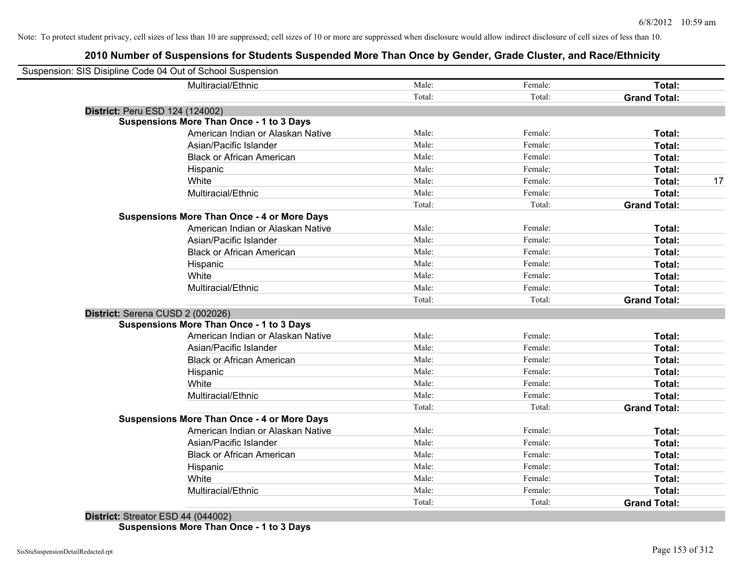### **2010 Number of Suspensions for Students Suspended More Than Once by Gender, Grade Cluster, and Race/Ethnicity**

| Male:<br>Multiracial/Ethnic<br>Female:<br>Total:<br>Total:<br>Total:<br><b>Grand Total:</b><br>District: Peru ESD 124 (124002)<br><b>Suspensions More Than Once - 1 to 3 Days</b><br>American Indian or Alaskan Native<br>Male:<br>Female:<br>Total:<br>Asian/Pacific Islander<br>Male:<br>Female:<br>Total:<br><b>Black or African American</b><br>Male:<br>Female:<br>Total:<br>Male:<br>Female:<br>Hispanic<br>Total:<br>Female:<br>White<br>Male:<br>Total:<br>Multiracial/Ethnic<br>Male:<br>Female:<br>Total:<br>Total:<br>Total:<br><b>Grand Total:</b><br><b>Suspensions More Than Once - 4 or More Days</b><br>American Indian or Alaskan Native<br>Male:<br>Female:<br>Total:<br>Asian/Pacific Islander<br>Male:<br>Female:<br>Total:<br><b>Black or African American</b><br>Male:<br>Female:<br>Total:<br>Male:<br>Female:<br>Total:<br>Hispanic<br>White<br>Male:<br>Female:<br>Total:<br>Multiracial/Ethnic<br>Male:<br>Female:<br>Total:<br>Total:<br>Total:<br><b>Grand Total:</b><br>District: Serena CUSD 2 (002026)<br><b>Suspensions More Than Once - 1 to 3 Days</b><br>American Indian or Alaskan Native<br>Male:<br>Female:<br>Total:<br>Male:<br>Female:<br>Asian/Pacific Islander<br>Total:<br>Male:<br>Female:<br><b>Black or African American</b><br>Total:<br>Male:<br>Female:<br>Total:<br>Hispanic<br>Male:<br>Female:<br>White<br>Total:<br>Male:<br>Multiracial/Ethnic<br>Female:<br>Total:<br>Total:<br>Total:<br><b>Grand Total:</b><br><b>Suspensions More Than Once - 4 or More Days</b><br>Male:<br>Female:<br>American Indian or Alaskan Native<br>Total:<br>Male:<br>Female:<br>Asian/Pacific Islander<br>Total:<br>Male:<br>Female:<br><b>Black or African American</b><br>Total:<br>Male:<br>Female:<br>Total:<br>Hispanic<br>Male:<br>Female:<br>White<br>Total:<br>Male:<br>Multiracial/Ethnic<br>Female:<br>Total:<br>Total:<br>Total:<br><b>Grand Total:</b> | Suspension: SIS Disipline Code 04 Out of School Suspension |  |  |    |
|----------------------------------------------------------------------------------------------------------------------------------------------------------------------------------------------------------------------------------------------------------------------------------------------------------------------------------------------------------------------------------------------------------------------------------------------------------------------------------------------------------------------------------------------------------------------------------------------------------------------------------------------------------------------------------------------------------------------------------------------------------------------------------------------------------------------------------------------------------------------------------------------------------------------------------------------------------------------------------------------------------------------------------------------------------------------------------------------------------------------------------------------------------------------------------------------------------------------------------------------------------------------------------------------------------------------------------------------------------------------------------------------------------------------------------------------------------------------------------------------------------------------------------------------------------------------------------------------------------------------------------------------------------------------------------------------------------------------------------------------------------------------------------------------------------------------------------------------------------------------------------------------------------|------------------------------------------------------------|--|--|----|
|                                                                                                                                                                                                                                                                                                                                                                                                                                                                                                                                                                                                                                                                                                                                                                                                                                                                                                                                                                                                                                                                                                                                                                                                                                                                                                                                                                                                                                                                                                                                                                                                                                                                                                                                                                                                                                                                                                          |                                                            |  |  |    |
|                                                                                                                                                                                                                                                                                                                                                                                                                                                                                                                                                                                                                                                                                                                                                                                                                                                                                                                                                                                                                                                                                                                                                                                                                                                                                                                                                                                                                                                                                                                                                                                                                                                                                                                                                                                                                                                                                                          |                                                            |  |  |    |
|                                                                                                                                                                                                                                                                                                                                                                                                                                                                                                                                                                                                                                                                                                                                                                                                                                                                                                                                                                                                                                                                                                                                                                                                                                                                                                                                                                                                                                                                                                                                                                                                                                                                                                                                                                                                                                                                                                          |                                                            |  |  |    |
|                                                                                                                                                                                                                                                                                                                                                                                                                                                                                                                                                                                                                                                                                                                                                                                                                                                                                                                                                                                                                                                                                                                                                                                                                                                                                                                                                                                                                                                                                                                                                                                                                                                                                                                                                                                                                                                                                                          |                                                            |  |  |    |
|                                                                                                                                                                                                                                                                                                                                                                                                                                                                                                                                                                                                                                                                                                                                                                                                                                                                                                                                                                                                                                                                                                                                                                                                                                                                                                                                                                                                                                                                                                                                                                                                                                                                                                                                                                                                                                                                                                          |                                                            |  |  |    |
|                                                                                                                                                                                                                                                                                                                                                                                                                                                                                                                                                                                                                                                                                                                                                                                                                                                                                                                                                                                                                                                                                                                                                                                                                                                                                                                                                                                                                                                                                                                                                                                                                                                                                                                                                                                                                                                                                                          |                                                            |  |  |    |
|                                                                                                                                                                                                                                                                                                                                                                                                                                                                                                                                                                                                                                                                                                                                                                                                                                                                                                                                                                                                                                                                                                                                                                                                                                                                                                                                                                                                                                                                                                                                                                                                                                                                                                                                                                                                                                                                                                          |                                                            |  |  |    |
|                                                                                                                                                                                                                                                                                                                                                                                                                                                                                                                                                                                                                                                                                                                                                                                                                                                                                                                                                                                                                                                                                                                                                                                                                                                                                                                                                                                                                                                                                                                                                                                                                                                                                                                                                                                                                                                                                                          |                                                            |  |  |    |
|                                                                                                                                                                                                                                                                                                                                                                                                                                                                                                                                                                                                                                                                                                                                                                                                                                                                                                                                                                                                                                                                                                                                                                                                                                                                                                                                                                                                                                                                                                                                                                                                                                                                                                                                                                                                                                                                                                          |                                                            |  |  | 17 |
|                                                                                                                                                                                                                                                                                                                                                                                                                                                                                                                                                                                                                                                                                                                                                                                                                                                                                                                                                                                                                                                                                                                                                                                                                                                                                                                                                                                                                                                                                                                                                                                                                                                                                                                                                                                                                                                                                                          |                                                            |  |  |    |
|                                                                                                                                                                                                                                                                                                                                                                                                                                                                                                                                                                                                                                                                                                                                                                                                                                                                                                                                                                                                                                                                                                                                                                                                                                                                                                                                                                                                                                                                                                                                                                                                                                                                                                                                                                                                                                                                                                          |                                                            |  |  |    |
|                                                                                                                                                                                                                                                                                                                                                                                                                                                                                                                                                                                                                                                                                                                                                                                                                                                                                                                                                                                                                                                                                                                                                                                                                                                                                                                                                                                                                                                                                                                                                                                                                                                                                                                                                                                                                                                                                                          |                                                            |  |  |    |
|                                                                                                                                                                                                                                                                                                                                                                                                                                                                                                                                                                                                                                                                                                                                                                                                                                                                                                                                                                                                                                                                                                                                                                                                                                                                                                                                                                                                                                                                                                                                                                                                                                                                                                                                                                                                                                                                                                          |                                                            |  |  |    |
|                                                                                                                                                                                                                                                                                                                                                                                                                                                                                                                                                                                                                                                                                                                                                                                                                                                                                                                                                                                                                                                                                                                                                                                                                                                                                                                                                                                                                                                                                                                                                                                                                                                                                                                                                                                                                                                                                                          |                                                            |  |  |    |
|                                                                                                                                                                                                                                                                                                                                                                                                                                                                                                                                                                                                                                                                                                                                                                                                                                                                                                                                                                                                                                                                                                                                                                                                                                                                                                                                                                                                                                                                                                                                                                                                                                                                                                                                                                                                                                                                                                          |                                                            |  |  |    |
|                                                                                                                                                                                                                                                                                                                                                                                                                                                                                                                                                                                                                                                                                                                                                                                                                                                                                                                                                                                                                                                                                                                                                                                                                                                                                                                                                                                                                                                                                                                                                                                                                                                                                                                                                                                                                                                                                                          |                                                            |  |  |    |
|                                                                                                                                                                                                                                                                                                                                                                                                                                                                                                                                                                                                                                                                                                                                                                                                                                                                                                                                                                                                                                                                                                                                                                                                                                                                                                                                                                                                                                                                                                                                                                                                                                                                                                                                                                                                                                                                                                          |                                                            |  |  |    |
|                                                                                                                                                                                                                                                                                                                                                                                                                                                                                                                                                                                                                                                                                                                                                                                                                                                                                                                                                                                                                                                                                                                                                                                                                                                                                                                                                                                                                                                                                                                                                                                                                                                                                                                                                                                                                                                                                                          |                                                            |  |  |    |
|                                                                                                                                                                                                                                                                                                                                                                                                                                                                                                                                                                                                                                                                                                                                                                                                                                                                                                                                                                                                                                                                                                                                                                                                                                                                                                                                                                                                                                                                                                                                                                                                                                                                                                                                                                                                                                                                                                          |                                                            |  |  |    |
|                                                                                                                                                                                                                                                                                                                                                                                                                                                                                                                                                                                                                                                                                                                                                                                                                                                                                                                                                                                                                                                                                                                                                                                                                                                                                                                                                                                                                                                                                                                                                                                                                                                                                                                                                                                                                                                                                                          |                                                            |  |  |    |
|                                                                                                                                                                                                                                                                                                                                                                                                                                                                                                                                                                                                                                                                                                                                                                                                                                                                                                                                                                                                                                                                                                                                                                                                                                                                                                                                                                                                                                                                                                                                                                                                                                                                                                                                                                                                                                                                                                          |                                                            |  |  |    |
|                                                                                                                                                                                                                                                                                                                                                                                                                                                                                                                                                                                                                                                                                                                                                                                                                                                                                                                                                                                                                                                                                                                                                                                                                                                                                                                                                                                                                                                                                                                                                                                                                                                                                                                                                                                                                                                                                                          |                                                            |  |  |    |
|                                                                                                                                                                                                                                                                                                                                                                                                                                                                                                                                                                                                                                                                                                                                                                                                                                                                                                                                                                                                                                                                                                                                                                                                                                                                                                                                                                                                                                                                                                                                                                                                                                                                                                                                                                                                                                                                                                          |                                                            |  |  |    |
|                                                                                                                                                                                                                                                                                                                                                                                                                                                                                                                                                                                                                                                                                                                                                                                                                                                                                                                                                                                                                                                                                                                                                                                                                                                                                                                                                                                                                                                                                                                                                                                                                                                                                                                                                                                                                                                                                                          |                                                            |  |  |    |
|                                                                                                                                                                                                                                                                                                                                                                                                                                                                                                                                                                                                                                                                                                                                                                                                                                                                                                                                                                                                                                                                                                                                                                                                                                                                                                                                                                                                                                                                                                                                                                                                                                                                                                                                                                                                                                                                                                          |                                                            |  |  |    |
|                                                                                                                                                                                                                                                                                                                                                                                                                                                                                                                                                                                                                                                                                                                                                                                                                                                                                                                                                                                                                                                                                                                                                                                                                                                                                                                                                                                                                                                                                                                                                                                                                                                                                                                                                                                                                                                                                                          |                                                            |  |  |    |
|                                                                                                                                                                                                                                                                                                                                                                                                                                                                                                                                                                                                                                                                                                                                                                                                                                                                                                                                                                                                                                                                                                                                                                                                                                                                                                                                                                                                                                                                                                                                                                                                                                                                                                                                                                                                                                                                                                          |                                                            |  |  |    |
|                                                                                                                                                                                                                                                                                                                                                                                                                                                                                                                                                                                                                                                                                                                                                                                                                                                                                                                                                                                                                                                                                                                                                                                                                                                                                                                                                                                                                                                                                                                                                                                                                                                                                                                                                                                                                                                                                                          |                                                            |  |  |    |
|                                                                                                                                                                                                                                                                                                                                                                                                                                                                                                                                                                                                                                                                                                                                                                                                                                                                                                                                                                                                                                                                                                                                                                                                                                                                                                                                                                                                                                                                                                                                                                                                                                                                                                                                                                                                                                                                                                          |                                                            |  |  |    |
|                                                                                                                                                                                                                                                                                                                                                                                                                                                                                                                                                                                                                                                                                                                                                                                                                                                                                                                                                                                                                                                                                                                                                                                                                                                                                                                                                                                                                                                                                                                                                                                                                                                                                                                                                                                                                                                                                                          |                                                            |  |  |    |
|                                                                                                                                                                                                                                                                                                                                                                                                                                                                                                                                                                                                                                                                                                                                                                                                                                                                                                                                                                                                                                                                                                                                                                                                                                                                                                                                                                                                                                                                                                                                                                                                                                                                                                                                                                                                                                                                                                          |                                                            |  |  |    |
|                                                                                                                                                                                                                                                                                                                                                                                                                                                                                                                                                                                                                                                                                                                                                                                                                                                                                                                                                                                                                                                                                                                                                                                                                                                                                                                                                                                                                                                                                                                                                                                                                                                                                                                                                                                                                                                                                                          |                                                            |  |  |    |
|                                                                                                                                                                                                                                                                                                                                                                                                                                                                                                                                                                                                                                                                                                                                                                                                                                                                                                                                                                                                                                                                                                                                                                                                                                                                                                                                                                                                                                                                                                                                                                                                                                                                                                                                                                                                                                                                                                          |                                                            |  |  |    |
|                                                                                                                                                                                                                                                                                                                                                                                                                                                                                                                                                                                                                                                                                                                                                                                                                                                                                                                                                                                                                                                                                                                                                                                                                                                                                                                                                                                                                                                                                                                                                                                                                                                                                                                                                                                                                                                                                                          |                                                            |  |  |    |
|                                                                                                                                                                                                                                                                                                                                                                                                                                                                                                                                                                                                                                                                                                                                                                                                                                                                                                                                                                                                                                                                                                                                                                                                                                                                                                                                                                                                                                                                                                                                                                                                                                                                                                                                                                                                                                                                                                          |                                                            |  |  |    |
|                                                                                                                                                                                                                                                                                                                                                                                                                                                                                                                                                                                                                                                                                                                                                                                                                                                                                                                                                                                                                                                                                                                                                                                                                                                                                                                                                                                                                                                                                                                                                                                                                                                                                                                                                                                                                                                                                                          |                                                            |  |  |    |

**District:** Streator ESD 44 (044002) **Suspensions More Than Once - 1 to 3 Days**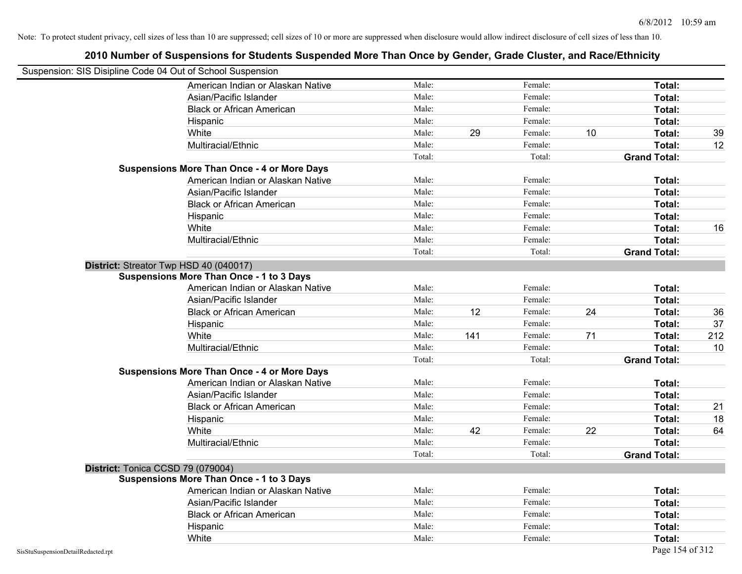| Suspension: SIS Disipline Code 04 Out of School Suspension<br>American Indian or Alaskan Native<br>Male:<br>Female:<br>Total:<br>Male:<br>Female:<br>Asian/Pacific Islander<br>Total:<br>Male:<br>Female:<br>Total:<br><b>Black or African American</b><br>Male:<br>Female:<br>Total:<br>Hispanic<br>White<br>Male:<br>29<br>Female:<br>10<br>Total:<br>39<br>Male:<br>Female:<br>Total:<br>Multiracial/Ethnic<br>12<br>Total:<br>Total:<br><b>Grand Total:</b><br><b>Suspensions More Than Once - 4 or More Days</b><br>Male:<br>Female:<br>Total:<br>American Indian or Alaskan Native<br>Male:<br>Female:<br>Asian/Pacific Islander<br>Total:<br>Male:<br>Female:<br>Total:<br><b>Black or African American</b><br>Male:<br>Female:<br>Total:<br>Hispanic<br>Male:<br>Female:<br>White<br>Total:<br>16<br>Male:<br>Total:<br>Multiracial/Ethnic<br>Female:<br>Total:<br>Total:<br><b>Grand Total:</b><br>District: Streator Twp HSD 40 (040017)<br><b>Suspensions More Than Once - 1 to 3 Days</b><br>American Indian or Alaskan Native<br>Male:<br>Female:<br>Total:<br>Asian/Pacific Islander<br>Male:<br>Female:<br>Total:<br>12<br>24<br>36<br><b>Black or African American</b><br>Male:<br>Female:<br>Total:<br>37<br>Hispanic<br>Male:<br>Female:<br>Total:<br>White<br>141<br>71<br>212<br>Male:<br>Female:<br>Total:<br>Multiracial/Ethnic<br>Male:<br>10<br>Female:<br>Total:<br>Total:<br>Total:<br><b>Grand Total:</b><br><b>Suspensions More Than Once - 4 or More Days</b><br>American Indian or Alaskan Native<br>Male:<br>Female:<br>Total:<br>Asian/Pacific Islander<br>Male:<br>Female:<br>Total:<br>Female:<br><b>Black or African American</b><br>Male:<br>Total:<br>21<br>Male:<br>Female:<br>18<br>Hispanic<br>Total:<br>White<br>42<br>Female:<br>22<br>Male:<br>Total:<br>64<br>Female:<br>Multiracial/Ethnic<br>Male:<br>Total:<br>Total:<br>Total:<br><b>Grand Total:</b><br>District: Tonica CCSD 79 (079004)<br><b>Suspensions More Than Once - 1 to 3 Days</b><br>Male:<br>American Indian or Alaskan Native<br>Female:<br>Total:<br>Female:<br>Asian/Pacific Islander<br>Male:<br>Total:<br>Male:<br>Female:<br>Total:<br><b>Black or African American</b><br>Male:<br>Female:<br>Total:<br>Hispanic<br>Male:<br>Female: |       |  |  |        |  |
|----------------------------------------------------------------------------------------------------------------------------------------------------------------------------------------------------------------------------------------------------------------------------------------------------------------------------------------------------------------------------------------------------------------------------------------------------------------------------------------------------------------------------------------------------------------------------------------------------------------------------------------------------------------------------------------------------------------------------------------------------------------------------------------------------------------------------------------------------------------------------------------------------------------------------------------------------------------------------------------------------------------------------------------------------------------------------------------------------------------------------------------------------------------------------------------------------------------------------------------------------------------------------------------------------------------------------------------------------------------------------------------------------------------------------------------------------------------------------------------------------------------------------------------------------------------------------------------------------------------------------------------------------------------------------------------------------------------------------------------------------------------------------------------------------------------------------------------------------------------------------------------------------------------------------------------------------------------------------------------------------------------------------------------------------------------------------------------------------------------------------------------------------------------------------------------------------------------------------------------------------------|-------|--|--|--------|--|
|                                                                                                                                                                                                                                                                                                                                                                                                                                                                                                                                                                                                                                                                                                                                                                                                                                                                                                                                                                                                                                                                                                                                                                                                                                                                                                                                                                                                                                                                                                                                                                                                                                                                                                                                                                                                                                                                                                                                                                                                                                                                                                                                                                                                                                                          |       |  |  |        |  |
|                                                                                                                                                                                                                                                                                                                                                                                                                                                                                                                                                                                                                                                                                                                                                                                                                                                                                                                                                                                                                                                                                                                                                                                                                                                                                                                                                                                                                                                                                                                                                                                                                                                                                                                                                                                                                                                                                                                                                                                                                                                                                                                                                                                                                                                          |       |  |  |        |  |
|                                                                                                                                                                                                                                                                                                                                                                                                                                                                                                                                                                                                                                                                                                                                                                                                                                                                                                                                                                                                                                                                                                                                                                                                                                                                                                                                                                                                                                                                                                                                                                                                                                                                                                                                                                                                                                                                                                                                                                                                                                                                                                                                                                                                                                                          |       |  |  |        |  |
|                                                                                                                                                                                                                                                                                                                                                                                                                                                                                                                                                                                                                                                                                                                                                                                                                                                                                                                                                                                                                                                                                                                                                                                                                                                                                                                                                                                                                                                                                                                                                                                                                                                                                                                                                                                                                                                                                                                                                                                                                                                                                                                                                                                                                                                          |       |  |  |        |  |
|                                                                                                                                                                                                                                                                                                                                                                                                                                                                                                                                                                                                                                                                                                                                                                                                                                                                                                                                                                                                                                                                                                                                                                                                                                                                                                                                                                                                                                                                                                                                                                                                                                                                                                                                                                                                                                                                                                                                                                                                                                                                                                                                                                                                                                                          |       |  |  |        |  |
|                                                                                                                                                                                                                                                                                                                                                                                                                                                                                                                                                                                                                                                                                                                                                                                                                                                                                                                                                                                                                                                                                                                                                                                                                                                                                                                                                                                                                                                                                                                                                                                                                                                                                                                                                                                                                                                                                                                                                                                                                                                                                                                                                                                                                                                          |       |  |  |        |  |
|                                                                                                                                                                                                                                                                                                                                                                                                                                                                                                                                                                                                                                                                                                                                                                                                                                                                                                                                                                                                                                                                                                                                                                                                                                                                                                                                                                                                                                                                                                                                                                                                                                                                                                                                                                                                                                                                                                                                                                                                                                                                                                                                                                                                                                                          |       |  |  |        |  |
|                                                                                                                                                                                                                                                                                                                                                                                                                                                                                                                                                                                                                                                                                                                                                                                                                                                                                                                                                                                                                                                                                                                                                                                                                                                                                                                                                                                                                                                                                                                                                                                                                                                                                                                                                                                                                                                                                                                                                                                                                                                                                                                                                                                                                                                          |       |  |  |        |  |
|                                                                                                                                                                                                                                                                                                                                                                                                                                                                                                                                                                                                                                                                                                                                                                                                                                                                                                                                                                                                                                                                                                                                                                                                                                                                                                                                                                                                                                                                                                                                                                                                                                                                                                                                                                                                                                                                                                                                                                                                                                                                                                                                                                                                                                                          |       |  |  |        |  |
|                                                                                                                                                                                                                                                                                                                                                                                                                                                                                                                                                                                                                                                                                                                                                                                                                                                                                                                                                                                                                                                                                                                                                                                                                                                                                                                                                                                                                                                                                                                                                                                                                                                                                                                                                                                                                                                                                                                                                                                                                                                                                                                                                                                                                                                          |       |  |  |        |  |
|                                                                                                                                                                                                                                                                                                                                                                                                                                                                                                                                                                                                                                                                                                                                                                                                                                                                                                                                                                                                                                                                                                                                                                                                                                                                                                                                                                                                                                                                                                                                                                                                                                                                                                                                                                                                                                                                                                                                                                                                                                                                                                                                                                                                                                                          |       |  |  |        |  |
|                                                                                                                                                                                                                                                                                                                                                                                                                                                                                                                                                                                                                                                                                                                                                                                                                                                                                                                                                                                                                                                                                                                                                                                                                                                                                                                                                                                                                                                                                                                                                                                                                                                                                                                                                                                                                                                                                                                                                                                                                                                                                                                                                                                                                                                          |       |  |  |        |  |
|                                                                                                                                                                                                                                                                                                                                                                                                                                                                                                                                                                                                                                                                                                                                                                                                                                                                                                                                                                                                                                                                                                                                                                                                                                                                                                                                                                                                                                                                                                                                                                                                                                                                                                                                                                                                                                                                                                                                                                                                                                                                                                                                                                                                                                                          |       |  |  |        |  |
|                                                                                                                                                                                                                                                                                                                                                                                                                                                                                                                                                                                                                                                                                                                                                                                                                                                                                                                                                                                                                                                                                                                                                                                                                                                                                                                                                                                                                                                                                                                                                                                                                                                                                                                                                                                                                                                                                                                                                                                                                                                                                                                                                                                                                                                          |       |  |  |        |  |
|                                                                                                                                                                                                                                                                                                                                                                                                                                                                                                                                                                                                                                                                                                                                                                                                                                                                                                                                                                                                                                                                                                                                                                                                                                                                                                                                                                                                                                                                                                                                                                                                                                                                                                                                                                                                                                                                                                                                                                                                                                                                                                                                                                                                                                                          |       |  |  |        |  |
|                                                                                                                                                                                                                                                                                                                                                                                                                                                                                                                                                                                                                                                                                                                                                                                                                                                                                                                                                                                                                                                                                                                                                                                                                                                                                                                                                                                                                                                                                                                                                                                                                                                                                                                                                                                                                                                                                                                                                                                                                                                                                                                                                                                                                                                          |       |  |  |        |  |
|                                                                                                                                                                                                                                                                                                                                                                                                                                                                                                                                                                                                                                                                                                                                                                                                                                                                                                                                                                                                                                                                                                                                                                                                                                                                                                                                                                                                                                                                                                                                                                                                                                                                                                                                                                                                                                                                                                                                                                                                                                                                                                                                                                                                                                                          |       |  |  |        |  |
|                                                                                                                                                                                                                                                                                                                                                                                                                                                                                                                                                                                                                                                                                                                                                                                                                                                                                                                                                                                                                                                                                                                                                                                                                                                                                                                                                                                                                                                                                                                                                                                                                                                                                                                                                                                                                                                                                                                                                                                                                                                                                                                                                                                                                                                          |       |  |  |        |  |
|                                                                                                                                                                                                                                                                                                                                                                                                                                                                                                                                                                                                                                                                                                                                                                                                                                                                                                                                                                                                                                                                                                                                                                                                                                                                                                                                                                                                                                                                                                                                                                                                                                                                                                                                                                                                                                                                                                                                                                                                                                                                                                                                                                                                                                                          |       |  |  |        |  |
|                                                                                                                                                                                                                                                                                                                                                                                                                                                                                                                                                                                                                                                                                                                                                                                                                                                                                                                                                                                                                                                                                                                                                                                                                                                                                                                                                                                                                                                                                                                                                                                                                                                                                                                                                                                                                                                                                                                                                                                                                                                                                                                                                                                                                                                          |       |  |  |        |  |
|                                                                                                                                                                                                                                                                                                                                                                                                                                                                                                                                                                                                                                                                                                                                                                                                                                                                                                                                                                                                                                                                                                                                                                                                                                                                                                                                                                                                                                                                                                                                                                                                                                                                                                                                                                                                                                                                                                                                                                                                                                                                                                                                                                                                                                                          |       |  |  |        |  |
|                                                                                                                                                                                                                                                                                                                                                                                                                                                                                                                                                                                                                                                                                                                                                                                                                                                                                                                                                                                                                                                                                                                                                                                                                                                                                                                                                                                                                                                                                                                                                                                                                                                                                                                                                                                                                                                                                                                                                                                                                                                                                                                                                                                                                                                          |       |  |  |        |  |
|                                                                                                                                                                                                                                                                                                                                                                                                                                                                                                                                                                                                                                                                                                                                                                                                                                                                                                                                                                                                                                                                                                                                                                                                                                                                                                                                                                                                                                                                                                                                                                                                                                                                                                                                                                                                                                                                                                                                                                                                                                                                                                                                                                                                                                                          |       |  |  |        |  |
|                                                                                                                                                                                                                                                                                                                                                                                                                                                                                                                                                                                                                                                                                                                                                                                                                                                                                                                                                                                                                                                                                                                                                                                                                                                                                                                                                                                                                                                                                                                                                                                                                                                                                                                                                                                                                                                                                                                                                                                                                                                                                                                                                                                                                                                          |       |  |  |        |  |
|                                                                                                                                                                                                                                                                                                                                                                                                                                                                                                                                                                                                                                                                                                                                                                                                                                                                                                                                                                                                                                                                                                                                                                                                                                                                                                                                                                                                                                                                                                                                                                                                                                                                                                                                                                                                                                                                                                                                                                                                                                                                                                                                                                                                                                                          |       |  |  |        |  |
|                                                                                                                                                                                                                                                                                                                                                                                                                                                                                                                                                                                                                                                                                                                                                                                                                                                                                                                                                                                                                                                                                                                                                                                                                                                                                                                                                                                                                                                                                                                                                                                                                                                                                                                                                                                                                                                                                                                                                                                                                                                                                                                                                                                                                                                          |       |  |  |        |  |
|                                                                                                                                                                                                                                                                                                                                                                                                                                                                                                                                                                                                                                                                                                                                                                                                                                                                                                                                                                                                                                                                                                                                                                                                                                                                                                                                                                                                                                                                                                                                                                                                                                                                                                                                                                                                                                                                                                                                                                                                                                                                                                                                                                                                                                                          |       |  |  |        |  |
|                                                                                                                                                                                                                                                                                                                                                                                                                                                                                                                                                                                                                                                                                                                                                                                                                                                                                                                                                                                                                                                                                                                                                                                                                                                                                                                                                                                                                                                                                                                                                                                                                                                                                                                                                                                                                                                                                                                                                                                                                                                                                                                                                                                                                                                          |       |  |  |        |  |
|                                                                                                                                                                                                                                                                                                                                                                                                                                                                                                                                                                                                                                                                                                                                                                                                                                                                                                                                                                                                                                                                                                                                                                                                                                                                                                                                                                                                                                                                                                                                                                                                                                                                                                                                                                                                                                                                                                                                                                                                                                                                                                                                                                                                                                                          |       |  |  |        |  |
|                                                                                                                                                                                                                                                                                                                                                                                                                                                                                                                                                                                                                                                                                                                                                                                                                                                                                                                                                                                                                                                                                                                                                                                                                                                                                                                                                                                                                                                                                                                                                                                                                                                                                                                                                                                                                                                                                                                                                                                                                                                                                                                                                                                                                                                          |       |  |  |        |  |
|                                                                                                                                                                                                                                                                                                                                                                                                                                                                                                                                                                                                                                                                                                                                                                                                                                                                                                                                                                                                                                                                                                                                                                                                                                                                                                                                                                                                                                                                                                                                                                                                                                                                                                                                                                                                                                                                                                                                                                                                                                                                                                                                                                                                                                                          |       |  |  |        |  |
|                                                                                                                                                                                                                                                                                                                                                                                                                                                                                                                                                                                                                                                                                                                                                                                                                                                                                                                                                                                                                                                                                                                                                                                                                                                                                                                                                                                                                                                                                                                                                                                                                                                                                                                                                                                                                                                                                                                                                                                                                                                                                                                                                                                                                                                          |       |  |  |        |  |
|                                                                                                                                                                                                                                                                                                                                                                                                                                                                                                                                                                                                                                                                                                                                                                                                                                                                                                                                                                                                                                                                                                                                                                                                                                                                                                                                                                                                                                                                                                                                                                                                                                                                                                                                                                                                                                                                                                                                                                                                                                                                                                                                                                                                                                                          |       |  |  |        |  |
|                                                                                                                                                                                                                                                                                                                                                                                                                                                                                                                                                                                                                                                                                                                                                                                                                                                                                                                                                                                                                                                                                                                                                                                                                                                                                                                                                                                                                                                                                                                                                                                                                                                                                                                                                                                                                                                                                                                                                                                                                                                                                                                                                                                                                                                          |       |  |  |        |  |
|                                                                                                                                                                                                                                                                                                                                                                                                                                                                                                                                                                                                                                                                                                                                                                                                                                                                                                                                                                                                                                                                                                                                                                                                                                                                                                                                                                                                                                                                                                                                                                                                                                                                                                                                                                                                                                                                                                                                                                                                                                                                                                                                                                                                                                                          |       |  |  |        |  |
|                                                                                                                                                                                                                                                                                                                                                                                                                                                                                                                                                                                                                                                                                                                                                                                                                                                                                                                                                                                                                                                                                                                                                                                                                                                                                                                                                                                                                                                                                                                                                                                                                                                                                                                                                                                                                                                                                                                                                                                                                                                                                                                                                                                                                                                          |       |  |  |        |  |
|                                                                                                                                                                                                                                                                                                                                                                                                                                                                                                                                                                                                                                                                                                                                                                                                                                                                                                                                                                                                                                                                                                                                                                                                                                                                                                                                                                                                                                                                                                                                                                                                                                                                                                                                                                                                                                                                                                                                                                                                                                                                                                                                                                                                                                                          |       |  |  |        |  |
|                                                                                                                                                                                                                                                                                                                                                                                                                                                                                                                                                                                                                                                                                                                                                                                                                                                                                                                                                                                                                                                                                                                                                                                                                                                                                                                                                                                                                                                                                                                                                                                                                                                                                                                                                                                                                                                                                                                                                                                                                                                                                                                                                                                                                                                          |       |  |  |        |  |
|                                                                                                                                                                                                                                                                                                                                                                                                                                                                                                                                                                                                                                                                                                                                                                                                                                                                                                                                                                                                                                                                                                                                                                                                                                                                                                                                                                                                                                                                                                                                                                                                                                                                                                                                                                                                                                                                                                                                                                                                                                                                                                                                                                                                                                                          |       |  |  |        |  |
|                                                                                                                                                                                                                                                                                                                                                                                                                                                                                                                                                                                                                                                                                                                                                                                                                                                                                                                                                                                                                                                                                                                                                                                                                                                                                                                                                                                                                                                                                                                                                                                                                                                                                                                                                                                                                                                                                                                                                                                                                                                                                                                                                                                                                                                          | White |  |  | Total: |  |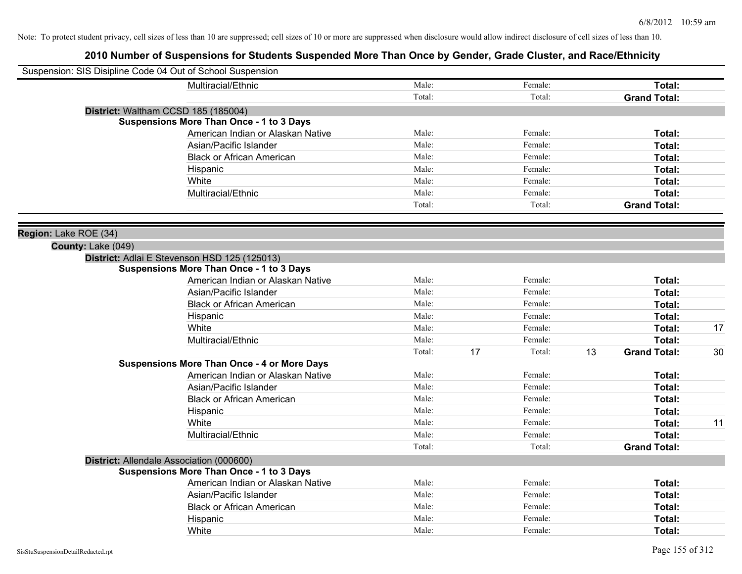| Suspension: SIS Disipline Code 04 Out of School Suspension |                                                    |        |    |         |    |                     |    |
|------------------------------------------------------------|----------------------------------------------------|--------|----|---------|----|---------------------|----|
|                                                            | Multiracial/Ethnic                                 | Male:  |    | Female: |    | Total:              |    |
|                                                            |                                                    | Total: |    | Total:  |    | <b>Grand Total:</b> |    |
|                                                            | District: Waltham CCSD 185 (185004)                |        |    |         |    |                     |    |
|                                                            | <b>Suspensions More Than Once - 1 to 3 Days</b>    |        |    |         |    |                     |    |
|                                                            | American Indian or Alaskan Native                  | Male:  |    | Female: |    | Total:              |    |
|                                                            | Asian/Pacific Islander                             | Male:  |    | Female: |    | Total:              |    |
|                                                            | <b>Black or African American</b>                   | Male:  |    | Female: |    | Total:              |    |
|                                                            | Hispanic                                           | Male:  |    | Female: |    | Total:              |    |
|                                                            | White                                              | Male:  |    | Female: |    | Total:              |    |
|                                                            | Multiracial/Ethnic                                 | Male:  |    | Female: |    | Total:              |    |
|                                                            |                                                    | Total: |    | Total:  |    | <b>Grand Total:</b> |    |
| Region: Lake ROE (34)                                      |                                                    |        |    |         |    |                     |    |
| County: Lake (049)                                         |                                                    |        |    |         |    |                     |    |
|                                                            | District: Adlai E Stevenson HSD 125 (125013)       |        |    |         |    |                     |    |
|                                                            | <b>Suspensions More Than Once - 1 to 3 Days</b>    |        |    |         |    |                     |    |
|                                                            | American Indian or Alaskan Native                  | Male:  |    | Female: |    | Total:              |    |
|                                                            | Asian/Pacific Islander                             | Male:  |    | Female: |    | Total:              |    |
|                                                            | <b>Black or African American</b>                   | Male:  |    | Female: |    | Total:              |    |
|                                                            | Hispanic                                           | Male:  |    | Female: |    | Total:              |    |
|                                                            | White                                              | Male:  |    | Female: |    | Total:              | 17 |
|                                                            | Multiracial/Ethnic                                 | Male:  |    | Female: |    | Total:              |    |
|                                                            |                                                    | Total: | 17 | Total:  | 13 | <b>Grand Total:</b> | 30 |
|                                                            | <b>Suspensions More Than Once - 4 or More Days</b> |        |    |         |    |                     |    |
|                                                            | American Indian or Alaskan Native                  | Male:  |    | Female: |    | Total:              |    |
|                                                            | Asian/Pacific Islander                             | Male:  |    | Female: |    | Total:              |    |
|                                                            | <b>Black or African American</b>                   | Male:  |    | Female: |    | Total:              |    |
|                                                            | Hispanic                                           | Male:  |    | Female: |    | Total:              |    |
|                                                            | White                                              | Male:  |    | Female: |    | Total:              | 11 |
|                                                            | Multiracial/Ethnic                                 | Male:  |    | Female: |    | Total:              |    |
|                                                            |                                                    | Total: |    | Total:  |    | <b>Grand Total:</b> |    |
|                                                            | District: Allendale Association (000600)           |        |    |         |    |                     |    |
|                                                            | <b>Suspensions More Than Once - 1 to 3 Days</b>    |        |    |         |    |                     |    |
|                                                            | American Indian or Alaskan Native                  | Male:  |    | Female: |    | Total:              |    |
|                                                            | Asian/Pacific Islander                             | Male:  |    | Female: |    | Total:              |    |
|                                                            | <b>Black or African American</b>                   | Male:  |    | Female: |    | Total:              |    |
|                                                            | Hispanic                                           | Male:  |    | Female: |    | <b>Total:</b>       |    |
|                                                            | White                                              | Male:  |    | Female: |    | Total:              |    |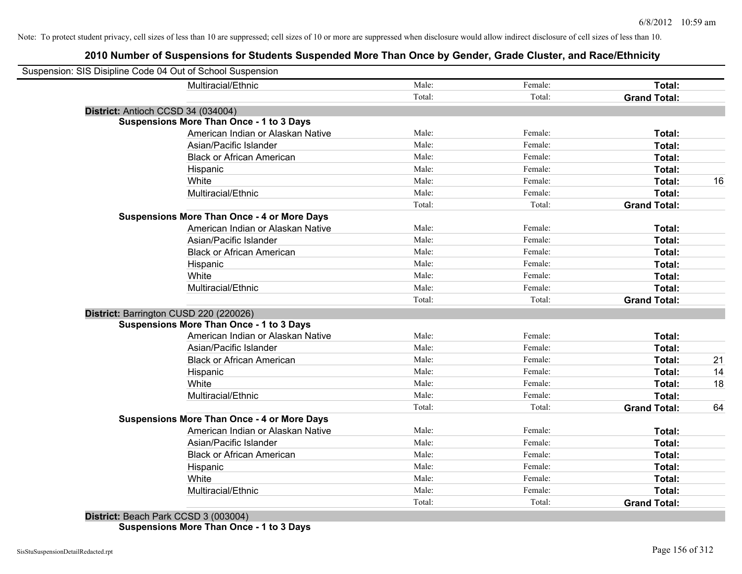| Suspension: SIS Disipline Code 04 Out of School Suspension |        |         |                     |    |
|------------------------------------------------------------|--------|---------|---------------------|----|
| Multiracial/Ethnic                                         | Male:  | Female: | Total:              |    |
|                                                            | Total: | Total:  | <b>Grand Total:</b> |    |
| District: Antioch CCSD 34 (034004)                         |        |         |                     |    |
| <b>Suspensions More Than Once - 1 to 3 Days</b>            |        |         |                     |    |
| American Indian or Alaskan Native                          | Male:  | Female: | Total:              |    |
| Asian/Pacific Islander                                     | Male:  | Female: | Total:              |    |
| <b>Black or African American</b>                           | Male:  | Female: | Total:              |    |
| Hispanic                                                   | Male:  | Female: | Total:              |    |
| White                                                      | Male:  | Female: | Total:              | 16 |
| Multiracial/Ethnic                                         | Male:  | Female: | Total:              |    |
|                                                            | Total: | Total:  | <b>Grand Total:</b> |    |
| <b>Suspensions More Than Once - 4 or More Days</b>         |        |         |                     |    |
| American Indian or Alaskan Native                          | Male:  | Female: | Total:              |    |
| Asian/Pacific Islander                                     | Male:  | Female: | Total:              |    |
| <b>Black or African American</b>                           | Male:  | Female: | Total:              |    |
| Hispanic                                                   | Male:  | Female: | Total:              |    |
| White                                                      | Male:  | Female: | Total:              |    |
| Multiracial/Ethnic                                         | Male:  | Female: | Total:              |    |
|                                                            | Total: | Total:  | <b>Grand Total:</b> |    |
| District: Barrington CUSD 220 (220026)                     |        |         |                     |    |
| <b>Suspensions More Than Once - 1 to 3 Days</b>            |        |         |                     |    |
| American Indian or Alaskan Native                          | Male:  | Female: | Total:              |    |
| Asian/Pacific Islander                                     | Male:  | Female: | Total:              |    |
| <b>Black or African American</b>                           | Male:  | Female: | Total:              | 21 |
| Hispanic                                                   | Male:  | Female: | <b>Total:</b>       | 14 |
| White                                                      | Male:  | Female: | <b>Total:</b>       | 18 |
| Multiracial/Ethnic                                         | Male:  | Female: | Total:              |    |
|                                                            | Total: | Total:  | <b>Grand Total:</b> | 64 |
| <b>Suspensions More Than Once - 4 or More Days</b>         |        |         |                     |    |
| American Indian or Alaskan Native                          | Male:  | Female: | Total:              |    |
| Asian/Pacific Islander                                     | Male:  | Female: | Total:              |    |
| <b>Black or African American</b>                           | Male:  | Female: | Total:              |    |
| Hispanic                                                   | Male:  | Female: | Total:              |    |
| White                                                      | Male:  | Female: | Total:              |    |
| Multiracial/Ethnic                                         | Male:  | Female: | Total:              |    |
|                                                            | Total: | Total:  | <b>Grand Total:</b> |    |
|                                                            |        |         |                     |    |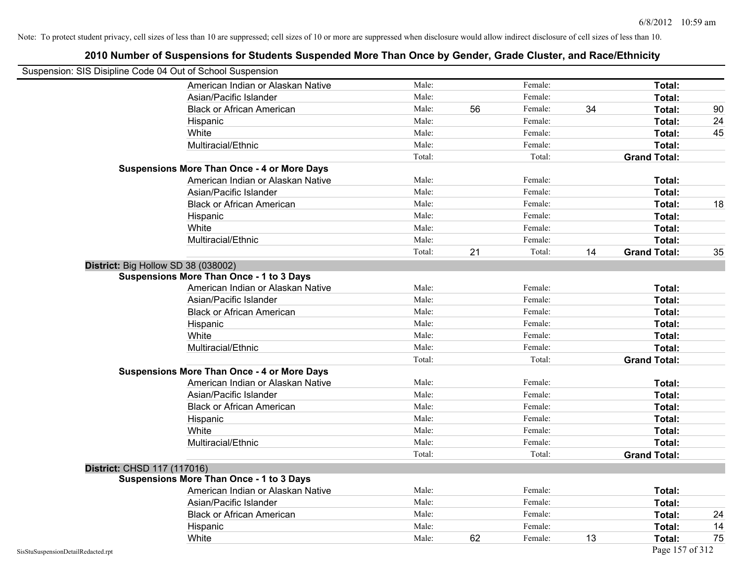|                                    | Suspension: SIS Disipline Code 04 Out of School Suspension |        |    |         |    |                     |    |
|------------------------------------|------------------------------------------------------------|--------|----|---------|----|---------------------|----|
|                                    | American Indian or Alaskan Native                          | Male:  |    | Female: |    | Total:              |    |
|                                    | Asian/Pacific Islander                                     | Male:  |    | Female: |    | Total:              |    |
|                                    | <b>Black or African American</b>                           | Male:  | 56 | Female: | 34 | Total:              | 90 |
|                                    | Hispanic                                                   | Male:  |    | Female: |    | Total:              | 24 |
|                                    | White                                                      | Male:  |    | Female: |    | Total:              | 45 |
|                                    | Multiracial/Ethnic                                         | Male:  |    | Female: |    | <b>Total:</b>       |    |
|                                    |                                                            | Total: |    | Total:  |    | <b>Grand Total:</b> |    |
|                                    | <b>Suspensions More Than Once - 4 or More Days</b>         |        |    |         |    |                     |    |
|                                    | American Indian or Alaskan Native                          | Male:  |    | Female: |    | Total:              |    |
|                                    | Asian/Pacific Islander                                     | Male:  |    | Female: |    | <b>Total:</b>       |    |
|                                    | <b>Black or African American</b>                           | Male:  |    | Female: |    | Total:              | 18 |
|                                    | Hispanic                                                   | Male:  |    | Female: |    | Total:              |    |
|                                    | White                                                      | Male:  |    | Female: |    | Total:              |    |
|                                    | Multiracial/Ethnic                                         | Male:  |    | Female: |    | Total:              |    |
|                                    |                                                            | Total: | 21 | Total:  | 14 | <b>Grand Total:</b> | 35 |
|                                    | District: Big Hollow SD 38 (038002)                        |        |    |         |    |                     |    |
|                                    | Suspensions More Than Once - 1 to 3 Days                   |        |    |         |    |                     |    |
|                                    | American Indian or Alaskan Native                          | Male:  |    | Female: |    | Total:              |    |
|                                    | Asian/Pacific Islander                                     | Male:  |    | Female: |    | Total:              |    |
|                                    | <b>Black or African American</b>                           | Male:  |    | Female: |    | Total:              |    |
|                                    | Hispanic                                                   | Male:  |    | Female: |    | Total:              |    |
|                                    | White                                                      | Male:  |    | Female: |    | Total:              |    |
|                                    | Multiracial/Ethnic                                         | Male:  |    | Female: |    | <b>Total:</b>       |    |
|                                    |                                                            | Total: |    | Total:  |    | <b>Grand Total:</b> |    |
|                                    | <b>Suspensions More Than Once - 4 or More Days</b>         |        |    |         |    |                     |    |
|                                    | American Indian or Alaskan Native                          | Male:  |    | Female: |    | Total:              |    |
|                                    | Asian/Pacific Islander                                     | Male:  |    | Female: |    | Total:              |    |
|                                    | <b>Black or African American</b>                           | Male:  |    | Female: |    | Total:              |    |
|                                    | Hispanic                                                   | Male:  |    | Female: |    | Total:              |    |
|                                    | White                                                      | Male:  |    | Female: |    | Total:              |    |
|                                    | Multiracial/Ethnic                                         | Male:  |    | Female: |    | <b>Total:</b>       |    |
|                                    |                                                            | Total: |    | Total:  |    | <b>Grand Total:</b> |    |
| District: CHSD 117 (117016)        |                                                            |        |    |         |    |                     |    |
|                                    | <b>Suspensions More Than Once - 1 to 3 Days</b>            |        |    |         |    |                     |    |
|                                    | American Indian or Alaskan Native                          | Male:  |    | Female: |    | Total:              |    |
|                                    | Asian/Pacific Islander                                     | Male:  |    | Female: |    | Total:              |    |
|                                    | <b>Black or African American</b>                           | Male:  |    | Female: |    | Total:              | 24 |
|                                    | Hispanic                                                   | Male:  |    | Female: |    | Total:              | 14 |
|                                    | White                                                      | Male:  | 62 | Female: | 13 | Total:              | 75 |
| SisStuSuspensionDetailRedacted.rpt |                                                            |        |    |         |    | Page 157 of 312     |    |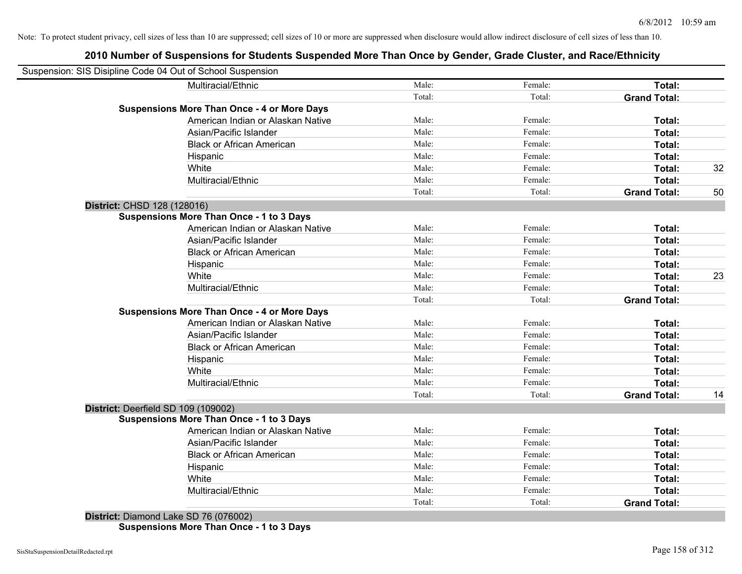### **2010 Number of Suspensions for Students Suspended More Than Once by Gender, Grade Cluster, and Race/Ethnicity**

|                                     | Suspension: SIS Disipline Code 04 Out of School Suspension |        |         |                     |    |
|-------------------------------------|------------------------------------------------------------|--------|---------|---------------------|----|
|                                     | Multiracial/Ethnic                                         | Male:  | Female: | Total:              |    |
|                                     |                                                            | Total: | Total:  | <b>Grand Total:</b> |    |
|                                     | <b>Suspensions More Than Once - 4 or More Days</b>         |        |         |                     |    |
|                                     | American Indian or Alaskan Native                          | Male:  | Female: | Total:              |    |
|                                     | Asian/Pacific Islander                                     | Male:  | Female: | Total:              |    |
|                                     | <b>Black or African American</b>                           | Male:  | Female: | Total:              |    |
|                                     | Hispanic                                                   | Male:  | Female: | Total:              |    |
|                                     | White                                                      | Male:  | Female: | Total:              | 32 |
|                                     | Multiracial/Ethnic                                         | Male:  | Female: | Total:              |    |
|                                     |                                                            | Total: | Total:  | <b>Grand Total:</b> | 50 |
| District: CHSD 128 (128016)         |                                                            |        |         |                     |    |
|                                     | <b>Suspensions More Than Once - 1 to 3 Days</b>            |        |         |                     |    |
|                                     | American Indian or Alaskan Native                          | Male:  | Female: | Total:              |    |
|                                     | Asian/Pacific Islander                                     | Male:  | Female: | Total:              |    |
|                                     | <b>Black or African American</b>                           | Male:  | Female: | Total:              |    |
|                                     | Hispanic                                                   | Male:  | Female: | Total:              |    |
|                                     | White                                                      | Male:  | Female: | Total:              | 23 |
|                                     | Multiracial/Ethnic                                         | Male:  | Female: | Total:              |    |
|                                     |                                                            | Total: | Total:  | <b>Grand Total:</b> |    |
|                                     | <b>Suspensions More Than Once - 4 or More Days</b>         |        |         |                     |    |
|                                     | American Indian or Alaskan Native                          | Male:  | Female: | Total:              |    |
|                                     | Asian/Pacific Islander                                     | Male:  | Female: | Total:              |    |
|                                     | <b>Black or African American</b>                           | Male:  | Female: | Total:              |    |
|                                     | Hispanic                                                   | Male:  | Female: | Total:              |    |
|                                     | White                                                      | Male:  | Female: | Total:              |    |
|                                     | Multiracial/Ethnic                                         | Male:  | Female: | Total:              |    |
|                                     |                                                            | Total: | Total:  | <b>Grand Total:</b> | 14 |
| District: Deerfield SD 109 (109002) |                                                            |        |         |                     |    |
|                                     | <b>Suspensions More Than Once - 1 to 3 Days</b>            |        |         |                     |    |
|                                     | American Indian or Alaskan Native                          | Male:  | Female: | Total:              |    |
|                                     | Asian/Pacific Islander                                     | Male:  | Female: | Total:              |    |
|                                     | <b>Black or African American</b>                           | Male:  | Female: | Total:              |    |
|                                     | Hispanic                                                   | Male:  | Female: | Total:              |    |
|                                     | White                                                      | Male:  | Female: | Total:              |    |
|                                     | Multiracial/Ethnic                                         | Male:  | Female: | Total:              |    |
|                                     |                                                            | Total: | Total:  | <b>Grand Total:</b> |    |

**Suspensions More Than Once - 1 to 3 Days**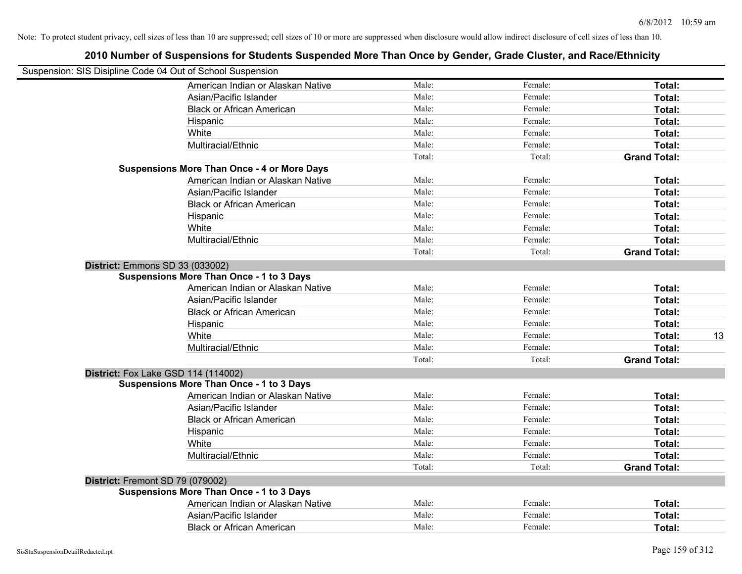|                                                            | 2010 Number of Suspensions for Students Suspended More Than Once by Gender, Grade Cluster, and Race/Ethnicity |        |         |                     |    |
|------------------------------------------------------------|---------------------------------------------------------------------------------------------------------------|--------|---------|---------------------|----|
| Suspension: SIS Disipline Code 04 Out of School Suspension |                                                                                                               |        |         |                     |    |
|                                                            | American Indian or Alaskan Native                                                                             | Male:  | Female: | Total:              |    |
|                                                            | Asian/Pacific Islander                                                                                        | Male:  | Female: | Total:              |    |
|                                                            | <b>Black or African American</b>                                                                              | Male:  | Female: | Total:              |    |
|                                                            | Hispanic                                                                                                      | Male:  | Female: | Total:              |    |
|                                                            | White                                                                                                         | Male:  | Female: | Total:              |    |
|                                                            | Multiracial/Ethnic                                                                                            | Male:  | Female: | Total:              |    |
|                                                            |                                                                                                               | Total: | Total:  | <b>Grand Total:</b> |    |
|                                                            | <b>Suspensions More Than Once - 4 or More Days</b>                                                            |        |         |                     |    |
|                                                            | American Indian or Alaskan Native                                                                             | Male:  | Female: | Total:              |    |
|                                                            | Asian/Pacific Islander                                                                                        | Male:  | Female: | Total:              |    |
|                                                            | <b>Black or African American</b>                                                                              | Male:  | Female: | Total:              |    |
|                                                            | Hispanic                                                                                                      | Male:  | Female: | Total:              |    |
|                                                            | White                                                                                                         | Male:  | Female: | Total:              |    |
|                                                            | Multiracial/Ethnic                                                                                            | Male:  | Female: | Total:              |    |
|                                                            |                                                                                                               | Total: | Total:  | <b>Grand Total:</b> |    |
|                                                            | District: Emmons SD 33 (033002)                                                                               |        |         |                     |    |
|                                                            | <b>Suspensions More Than Once - 1 to 3 Days</b>                                                               |        |         |                     |    |
|                                                            | American Indian or Alaskan Native                                                                             | Male:  | Female: | Total:              |    |
|                                                            | Asian/Pacific Islander                                                                                        | Male:  | Female: | Total:              |    |
|                                                            | <b>Black or African American</b>                                                                              | Male:  | Female: | Total:              |    |
|                                                            | Hispanic                                                                                                      | Male:  | Female: | Total:              |    |
|                                                            | White                                                                                                         | Male:  | Female: | Total:              | 13 |
|                                                            | Multiracial/Ethnic                                                                                            | Male:  | Female: | Total:              |    |
|                                                            |                                                                                                               | Total: | Total:  | <b>Grand Total:</b> |    |
|                                                            | District: Fox Lake GSD 114 (114002)                                                                           |        |         |                     |    |
|                                                            | <b>Suspensions More Than Once - 1 to 3 Days</b>                                                               |        |         |                     |    |
|                                                            | American Indian or Alaskan Native                                                                             | Male:  | Female: | Total:              |    |
|                                                            | Asian/Pacific Islander                                                                                        | Male:  | Female: | Total:              |    |
|                                                            | <b>Black or African American</b>                                                                              | Male:  | Female: | Total:              |    |
|                                                            | Hispanic                                                                                                      | Male:  | Female: | Total:              |    |
|                                                            | White                                                                                                         | Male:  | Female: | Total:              |    |
|                                                            | Multiracial/Ethnic                                                                                            | Male:  | Female: | Total:              |    |
|                                                            |                                                                                                               | Total: | Total:  | <b>Grand Total:</b> |    |
| District: Fremont SD 79 (079002)                           |                                                                                                               |        |         |                     |    |
|                                                            | <b>Suspensions More Than Once - 1 to 3 Days</b>                                                               |        |         |                     |    |
|                                                            | American Indian or Alaskan Native                                                                             | Male:  | Female: | Total:              |    |
|                                                            | Asian/Pacific Islander                                                                                        | Male:  | Female: | Total:              |    |
|                                                            | <b>Black or African American</b>                                                                              | Male:  | Female: | Total:              |    |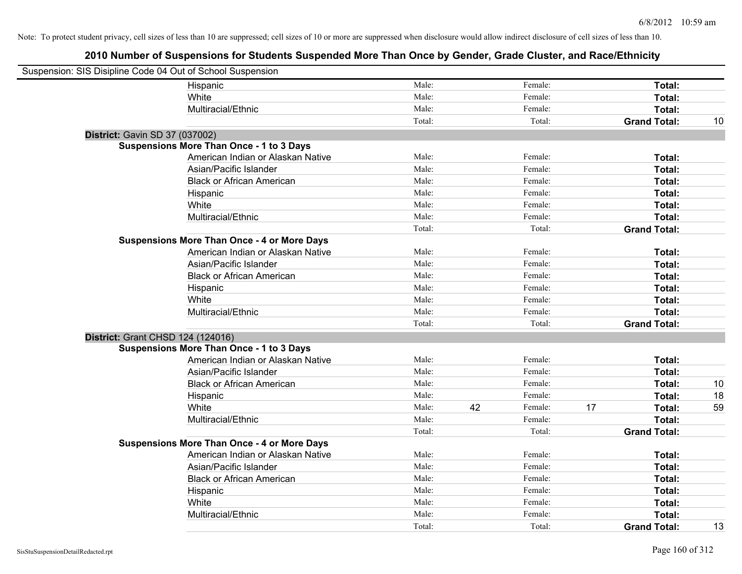| Suspension: SIS Disipline Code 04 Out of School Suspension |                                                    |        |    |         |    |                     |    |
|------------------------------------------------------------|----------------------------------------------------|--------|----|---------|----|---------------------|----|
|                                                            | Hispanic                                           | Male:  |    | Female: |    | Total:              |    |
|                                                            | White                                              | Male:  |    | Female: |    | Total:              |    |
|                                                            | Multiracial/Ethnic                                 | Male:  |    | Female: |    | Total:              |    |
|                                                            |                                                    | Total: |    | Total:  |    | <b>Grand Total:</b> | 10 |
| District: Gavin SD 37 (037002)                             |                                                    |        |    |         |    |                     |    |
|                                                            | <b>Suspensions More Than Once - 1 to 3 Days</b>    |        |    |         |    |                     |    |
|                                                            | American Indian or Alaskan Native                  | Male:  |    | Female: |    | Total:              |    |
|                                                            | Asian/Pacific Islander                             | Male:  |    | Female: |    | Total:              |    |
|                                                            | <b>Black or African American</b>                   | Male:  |    | Female: |    | Total:              |    |
|                                                            | Hispanic                                           | Male:  |    | Female: |    | Total:              |    |
|                                                            | White                                              | Male:  |    | Female: |    | Total:              |    |
|                                                            | Multiracial/Ethnic                                 | Male:  |    | Female: |    | Total:              |    |
|                                                            |                                                    | Total: |    | Total:  |    | <b>Grand Total:</b> |    |
|                                                            | <b>Suspensions More Than Once - 4 or More Days</b> |        |    |         |    |                     |    |
|                                                            | American Indian or Alaskan Native                  | Male:  |    | Female: |    | Total:              |    |
|                                                            | Asian/Pacific Islander                             | Male:  |    | Female: |    | Total:              |    |
|                                                            | <b>Black or African American</b>                   | Male:  |    | Female: |    | Total:              |    |
|                                                            | Hispanic                                           | Male:  |    | Female: |    | Total:              |    |
|                                                            | White                                              | Male:  |    | Female: |    | Total:              |    |
|                                                            | Multiracial/Ethnic                                 | Male:  |    | Female: |    | Total:              |    |
|                                                            |                                                    | Total: |    | Total:  |    | <b>Grand Total:</b> |    |
| District: Grant CHSD 124 (124016)                          |                                                    |        |    |         |    |                     |    |
|                                                            | <b>Suspensions More Than Once - 1 to 3 Days</b>    |        |    |         |    |                     |    |
|                                                            | American Indian or Alaskan Native                  | Male:  |    | Female: |    | Total:              |    |
|                                                            | Asian/Pacific Islander                             | Male:  |    | Female: |    | <b>Total:</b>       |    |
|                                                            | <b>Black or African American</b>                   | Male:  |    | Female: |    | Total:              | 10 |
|                                                            | Hispanic                                           | Male:  |    | Female: |    | Total:              | 18 |
|                                                            | White                                              | Male:  | 42 | Female: | 17 | Total:              | 59 |
|                                                            | Multiracial/Ethnic                                 | Male:  |    | Female: |    | Total:              |    |
|                                                            |                                                    | Total: |    | Total:  |    | <b>Grand Total:</b> |    |
|                                                            | <b>Suspensions More Than Once - 4 or More Days</b> |        |    |         |    |                     |    |
|                                                            | American Indian or Alaskan Native                  | Male:  |    | Female: |    | Total:              |    |
|                                                            | Asian/Pacific Islander                             | Male:  |    | Female: |    | Total:              |    |
|                                                            | <b>Black or African American</b>                   | Male:  |    | Female: |    | Total:              |    |
|                                                            | Hispanic                                           | Male:  |    | Female: |    | Total:              |    |
|                                                            | White                                              | Male:  |    | Female: |    | Total:              |    |
|                                                            | Multiracial/Ethnic                                 | Male:  |    | Female: |    | Total:              |    |
|                                                            |                                                    | Total: |    | Total:  |    | <b>Grand Total:</b> | 13 |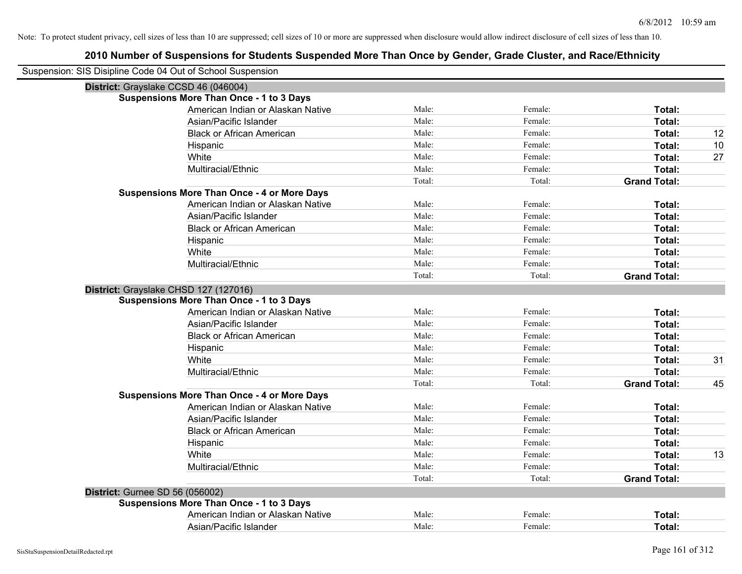| Suspension: SIS Disipline Code 04 Out of School Suspension |                                                    |        |         |                     |    |
|------------------------------------------------------------|----------------------------------------------------|--------|---------|---------------------|----|
|                                                            | District: Grayslake CCSD 46 (046004)               |        |         |                     |    |
|                                                            | <b>Suspensions More Than Once - 1 to 3 Days</b>    |        |         |                     |    |
|                                                            | American Indian or Alaskan Native                  | Male:  | Female: | Total:              |    |
|                                                            | Asian/Pacific Islander                             | Male:  | Female: | <b>Total:</b>       |    |
|                                                            | <b>Black or African American</b>                   | Male:  | Female: | Total:              | 12 |
|                                                            | Hispanic                                           | Male:  | Female: | Total:              | 10 |
|                                                            | White                                              | Male:  | Female: | Total:              | 27 |
|                                                            | Multiracial/Ethnic                                 | Male:  | Female: | Total:              |    |
|                                                            |                                                    | Total: | Total:  | <b>Grand Total:</b> |    |
|                                                            | <b>Suspensions More Than Once - 4 or More Days</b> |        |         |                     |    |
|                                                            | American Indian or Alaskan Native                  | Male:  | Female: | Total:              |    |
|                                                            | Asian/Pacific Islander                             | Male:  | Female: | Total:              |    |
|                                                            | <b>Black or African American</b>                   | Male:  | Female: | Total:              |    |
|                                                            | Hispanic                                           | Male:  | Female: | <b>Total:</b>       |    |
|                                                            | White                                              | Male:  | Female: | Total:              |    |
|                                                            | Multiracial/Ethnic                                 | Male:  | Female: | Total:              |    |
|                                                            |                                                    | Total: | Total:  | <b>Grand Total:</b> |    |
|                                                            | District: Grayslake CHSD 127 (127016)              |        |         |                     |    |
|                                                            | <b>Suspensions More Than Once - 1 to 3 Days</b>    |        |         |                     |    |
|                                                            | American Indian or Alaskan Native                  | Male:  | Female: | Total:              |    |
|                                                            | Asian/Pacific Islander                             | Male:  | Female: | Total:              |    |
|                                                            | <b>Black or African American</b>                   | Male:  | Female: | Total:              |    |
|                                                            | Hispanic                                           | Male:  | Female: | Total:              |    |
|                                                            | White                                              | Male:  | Female: | Total:              | 31 |
|                                                            | Multiracial/Ethnic                                 | Male:  | Female: | Total:              |    |
|                                                            |                                                    | Total: | Total:  | <b>Grand Total:</b> | 45 |
|                                                            | <b>Suspensions More Than Once - 4 or More Days</b> |        |         |                     |    |
|                                                            | American Indian or Alaskan Native                  | Male:  | Female: | Total:              |    |
|                                                            | Asian/Pacific Islander                             | Male:  | Female: | Total:              |    |
|                                                            | <b>Black or African American</b>                   | Male:  | Female: | Total:              |    |
|                                                            | Hispanic                                           | Male:  | Female: | Total:              |    |
|                                                            | White                                              | Male:  | Female: | Total:              | 13 |
|                                                            | Multiracial/Ethnic                                 | Male:  | Female: | Total:              |    |
|                                                            |                                                    | Total: | Total:  | <b>Grand Total:</b> |    |
| <b>District: Gurnee SD 56 (056002)</b>                     |                                                    |        |         |                     |    |
|                                                            | <b>Suspensions More Than Once - 1 to 3 Days</b>    |        |         |                     |    |
|                                                            | American Indian or Alaskan Native                  | Male:  | Female: | Total:              |    |
|                                                            | Asian/Pacific Islander                             | Male:  | Female: | Total:              |    |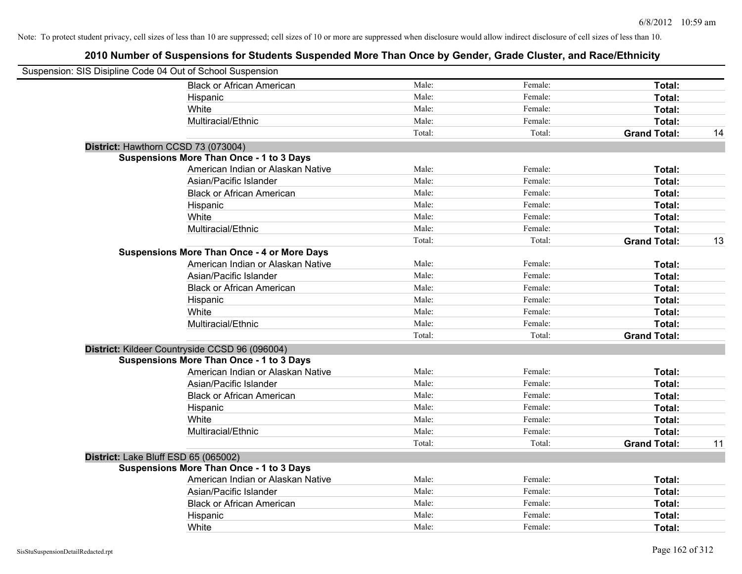| Suspension: SIS Disipline Code 04 Out of School Suspension |                                                    |        |         |                     |    |
|------------------------------------------------------------|----------------------------------------------------|--------|---------|---------------------|----|
|                                                            | <b>Black or African American</b>                   | Male:  | Female: | Total:              |    |
|                                                            | Hispanic                                           | Male:  | Female: | Total:              |    |
|                                                            | White                                              | Male:  | Female: | Total:              |    |
|                                                            | Multiracial/Ethnic                                 | Male:  | Female: | Total:              |    |
|                                                            |                                                    | Total: | Total:  | <b>Grand Total:</b> | 14 |
| District: Hawthorn CCSD 73 (073004)                        |                                                    |        |         |                     |    |
|                                                            | <b>Suspensions More Than Once - 1 to 3 Days</b>    |        |         |                     |    |
|                                                            | American Indian or Alaskan Native                  | Male:  | Female: | Total:              |    |
|                                                            | Asian/Pacific Islander                             | Male:  | Female: | Total:              |    |
|                                                            | <b>Black or African American</b>                   | Male:  | Female: | Total:              |    |
|                                                            | Hispanic                                           | Male:  | Female: | Total:              |    |
|                                                            | White                                              | Male:  | Female: | Total:              |    |
|                                                            | Multiracial/Ethnic                                 | Male:  | Female: | Total:              |    |
|                                                            |                                                    | Total: | Total:  | <b>Grand Total:</b> | 13 |
|                                                            | <b>Suspensions More Than Once - 4 or More Days</b> |        |         |                     |    |
|                                                            | American Indian or Alaskan Native                  | Male:  | Female: | Total:              |    |
|                                                            | Asian/Pacific Islander                             | Male:  | Female: | Total:              |    |
|                                                            | <b>Black or African American</b>                   | Male:  | Female: | Total:              |    |
|                                                            | Hispanic                                           | Male:  | Female: | Total:              |    |
|                                                            | White                                              | Male:  | Female: | Total:              |    |
|                                                            | Multiracial/Ethnic                                 | Male:  | Female: | Total:              |    |
|                                                            |                                                    | Total: | Total:  | <b>Grand Total:</b> |    |
|                                                            | District: Kildeer Countryside CCSD 96 (096004)     |        |         |                     |    |
|                                                            | <b>Suspensions More Than Once - 1 to 3 Days</b>    |        |         |                     |    |
|                                                            | American Indian or Alaskan Native                  | Male:  | Female: | Total:              |    |
|                                                            | Asian/Pacific Islander                             | Male:  | Female: | Total:              |    |
|                                                            | <b>Black or African American</b>                   | Male:  | Female: | Total:              |    |
|                                                            | Hispanic                                           | Male:  | Female: | Total:              |    |
|                                                            | White                                              | Male:  | Female: | Total:              |    |
|                                                            | Multiracial/Ethnic                                 | Male:  | Female: | Total:              |    |
|                                                            |                                                    | Total: | Total:  | <b>Grand Total:</b> | 11 |
| District: Lake Bluff ESD 65 (065002)                       |                                                    |        |         |                     |    |
|                                                            | <b>Suspensions More Than Once - 1 to 3 Days</b>    |        |         |                     |    |
|                                                            | American Indian or Alaskan Native                  | Male:  | Female: | Total:              |    |
|                                                            | Asian/Pacific Islander                             | Male:  | Female: | Total:              |    |
|                                                            | <b>Black or African American</b>                   | Male:  | Female: | Total:              |    |
|                                                            | Hispanic                                           | Male:  | Female: | Total:              |    |
|                                                            | White                                              | Male:  | Female: | Total:              |    |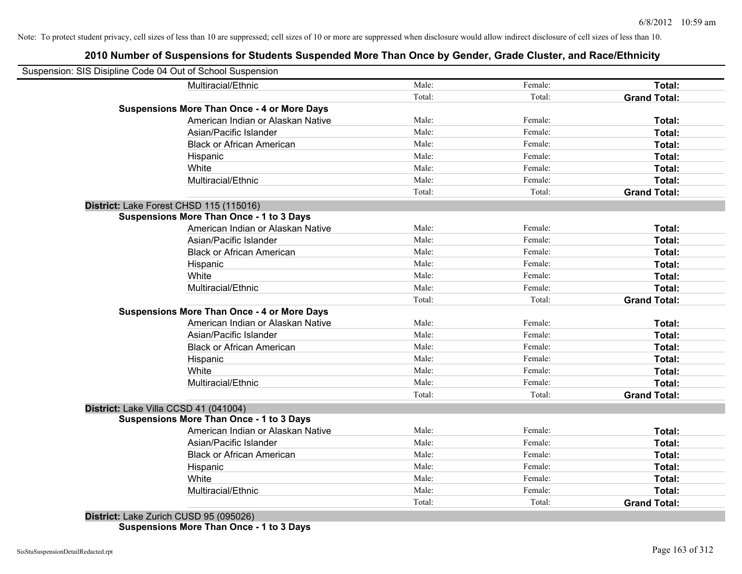### **2010 Number of Suspensions for Students Suspended More Than Once by Gender, Grade Cluster, and Race/Ethnicity**

| Suspension: SIS Disipline Code 04 Out of School Suspension |        |         |                     |
|------------------------------------------------------------|--------|---------|---------------------|
| Multiracial/Ethnic                                         | Male:  | Female: | Total:              |
|                                                            | Total: | Total:  | <b>Grand Total:</b> |
| <b>Suspensions More Than Once - 4 or More Days</b>         |        |         |                     |
| American Indian or Alaskan Native                          | Male:  | Female: | Total:              |
| Asian/Pacific Islander                                     | Male:  | Female: | Total:              |
| <b>Black or African American</b>                           | Male:  | Female: | Total:              |
| Hispanic                                                   | Male:  | Female: | Total:              |
| White                                                      | Male:  | Female: | Total:              |
| Multiracial/Ethnic                                         | Male:  | Female: | Total:              |
|                                                            | Total: | Total:  | <b>Grand Total:</b> |
| District: Lake Forest CHSD 115 (115016)                    |        |         |                     |
| <b>Suspensions More Than Once - 1 to 3 Days</b>            |        |         |                     |
| American Indian or Alaskan Native                          | Male:  | Female: | Total:              |
| Asian/Pacific Islander                                     | Male:  | Female: | Total:              |
| <b>Black or African American</b>                           | Male:  | Female: | Total:              |
| Hispanic                                                   | Male:  | Female: | Total:              |
| White                                                      | Male:  | Female: | Total:              |
| Multiracial/Ethnic                                         | Male:  | Female: | Total:              |
|                                                            | Total: | Total:  | <b>Grand Total:</b> |
| <b>Suspensions More Than Once - 4 or More Days</b>         |        |         |                     |
| American Indian or Alaskan Native                          | Male:  | Female: | Total:              |
| Asian/Pacific Islander                                     | Male:  | Female: | Total:              |
| <b>Black or African American</b>                           | Male:  | Female: | Total:              |
| Hispanic                                                   | Male:  | Female: | Total:              |
| White                                                      | Male:  | Female: | Total:              |
| Multiracial/Ethnic                                         | Male:  | Female: | Total:              |
|                                                            | Total: | Total:  | <b>Grand Total:</b> |
| District: Lake Villa CCSD 41 (041004)                      |        |         |                     |
| <b>Suspensions More Than Once - 1 to 3 Days</b>            |        |         |                     |
| American Indian or Alaskan Native                          | Male:  | Female: | Total:              |
| Asian/Pacific Islander                                     | Male:  | Female: | Total:              |
| <b>Black or African American</b>                           | Male:  | Female: | Total:              |
| Hispanic                                                   | Male:  | Female: | Total:              |
| White                                                      | Male:  | Female: | Total:              |
| Multiracial/Ethnic                                         | Male:  | Female: | Total:              |
|                                                            | Total: | Total:  | <b>Grand Total:</b> |

**District:** Lake Zurich CUSD 95 (095026) **Suspensions More Than Once - 1 to 3 Days**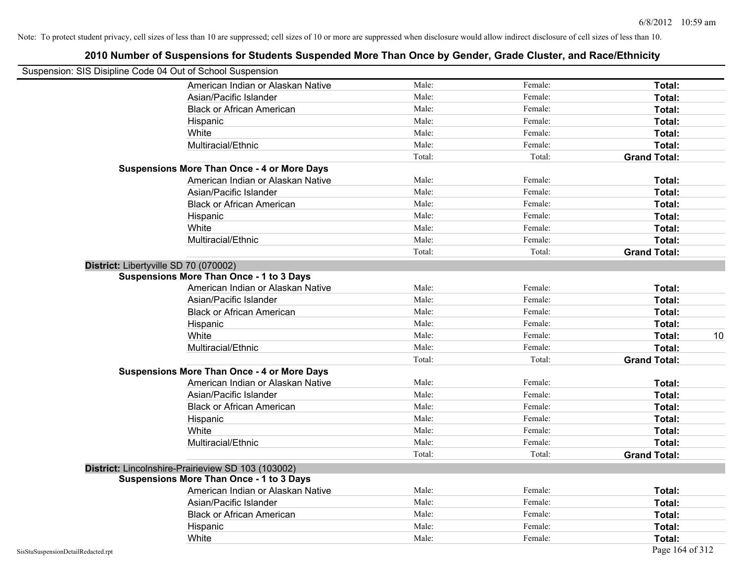|                                                            | 2010 Number of Suspensions for Students Suspended More Than Once by Gender, Grade Cluster, and Race/Ethnicity |        |         |                     |    |
|------------------------------------------------------------|---------------------------------------------------------------------------------------------------------------|--------|---------|---------------------|----|
| Suspension: SIS Disipline Code 04 Out of School Suspension |                                                                                                               |        |         |                     |    |
|                                                            | American Indian or Alaskan Native                                                                             | Male:  | Female: | Total:              |    |
|                                                            | Asian/Pacific Islander                                                                                        | Male:  | Female: | Total:              |    |
|                                                            | <b>Black or African American</b>                                                                              | Male:  | Female: | Total:              |    |
|                                                            | Hispanic                                                                                                      | Male:  | Female: | Total:              |    |
|                                                            | White                                                                                                         | Male:  | Female: | Total:              |    |
|                                                            | Multiracial/Ethnic                                                                                            | Male:  | Female: | Total:              |    |
|                                                            |                                                                                                               | Total: | Total:  | <b>Grand Total:</b> |    |
|                                                            | <b>Suspensions More Than Once - 4 or More Days</b>                                                            |        |         |                     |    |
|                                                            | American Indian or Alaskan Native                                                                             | Male:  | Female: | Total:              |    |
|                                                            | Asian/Pacific Islander                                                                                        | Male:  | Female: | Total:              |    |
|                                                            | <b>Black or African American</b>                                                                              | Male:  | Female: | Total:              |    |
|                                                            | Hispanic                                                                                                      | Male:  | Female: | Total:              |    |
|                                                            | White                                                                                                         | Male:  | Female: | Total:              |    |
|                                                            | Multiracial/Ethnic                                                                                            | Male:  | Female: | Total:              |    |
|                                                            |                                                                                                               | Total: | Total:  | <b>Grand Total:</b> |    |
|                                                            | District: Libertyville SD 70 (070002)                                                                         |        |         |                     |    |
|                                                            | <b>Suspensions More Than Once - 1 to 3 Days</b>                                                               |        |         |                     |    |
|                                                            | American Indian or Alaskan Native                                                                             | Male:  | Female: | Total:              |    |
|                                                            | Asian/Pacific Islander                                                                                        | Male:  | Female: | Total:              |    |
|                                                            | <b>Black or African American</b>                                                                              | Male:  | Female: | Total:              |    |
|                                                            | Hispanic                                                                                                      | Male:  | Female: | Total:              |    |
|                                                            | White                                                                                                         | Male:  | Female: | Total:              | 10 |
|                                                            | Multiracial/Ethnic                                                                                            | Male:  | Female: | Total:              |    |
|                                                            |                                                                                                               | Total: | Total:  | <b>Grand Total:</b> |    |
|                                                            | <b>Suspensions More Than Once - 4 or More Days</b>                                                            |        |         |                     |    |
|                                                            | American Indian or Alaskan Native                                                                             | Male:  | Female: | Total:              |    |
|                                                            | Asian/Pacific Islander                                                                                        | Male:  | Female: | Total:              |    |
|                                                            | <b>Black or African American</b>                                                                              | Male:  | Female: | Total:              |    |
|                                                            | Hispanic                                                                                                      | Male:  | Female: | Total:              |    |
|                                                            | White                                                                                                         | Male:  | Female: | Total:              |    |
|                                                            | Multiracial/Ethnic                                                                                            | Male:  | Female: | Total:              |    |
|                                                            |                                                                                                               | Total: | Total:  | <b>Grand Total:</b> |    |
|                                                            | District: Lincolnshire-Prairieview SD 103 (103002)                                                            |        |         |                     |    |
|                                                            | <b>Suspensions More Than Once - 1 to 3 Days</b>                                                               |        |         |                     |    |
|                                                            | American Indian or Alaskan Native                                                                             | Male:  | Female: | Total:              |    |
|                                                            | Asian/Pacific Islander                                                                                        | Male:  | Female: | Total:              |    |
|                                                            | <b>Black or African American</b>                                                                              | Male:  | Female: | Total:              |    |
|                                                            | Hispanic                                                                                                      | Male:  | Female: | Total:              |    |
|                                                            | White                                                                                                         | Male:  | Female: | Total:              |    |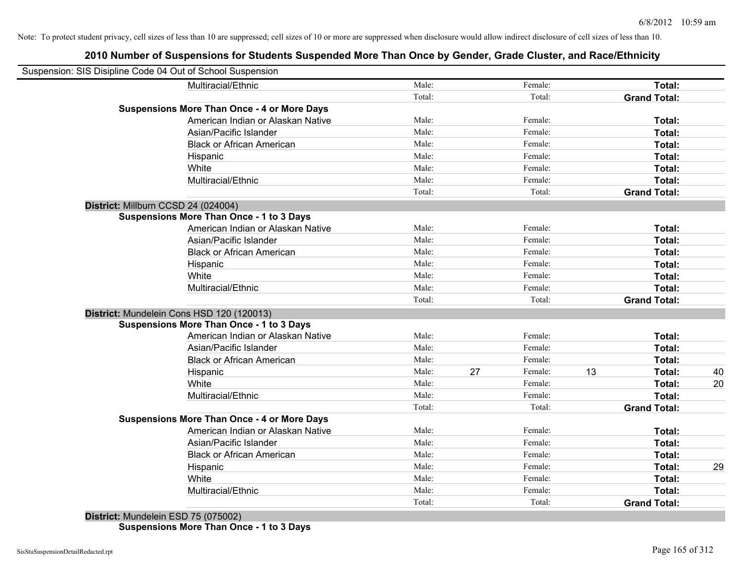### **2010 Number of Suspensions for Students Suspended More Than Once by Gender, Grade Cluster, and Race/Ethnicity**

| Male:  |                                                                                                                                                                            | Female: |                                                                                                                                                                                      | Total:              |                                                                                                                                                                                           |
|--------|----------------------------------------------------------------------------------------------------------------------------------------------------------------------------|---------|--------------------------------------------------------------------------------------------------------------------------------------------------------------------------------------|---------------------|-------------------------------------------------------------------------------------------------------------------------------------------------------------------------------------------|
| Total: |                                                                                                                                                                            | Total:  |                                                                                                                                                                                      | <b>Grand Total:</b> |                                                                                                                                                                                           |
|        |                                                                                                                                                                            |         |                                                                                                                                                                                      |                     |                                                                                                                                                                                           |
| Male:  |                                                                                                                                                                            | Female: |                                                                                                                                                                                      | Total:              |                                                                                                                                                                                           |
| Male:  |                                                                                                                                                                            | Female: |                                                                                                                                                                                      | Total:              |                                                                                                                                                                                           |
| Male:  |                                                                                                                                                                            | Female: |                                                                                                                                                                                      | Total:              |                                                                                                                                                                                           |
| Male:  |                                                                                                                                                                            | Female: |                                                                                                                                                                                      | Total:              |                                                                                                                                                                                           |
| Male:  |                                                                                                                                                                            | Female: |                                                                                                                                                                                      | Total:              |                                                                                                                                                                                           |
| Male:  |                                                                                                                                                                            | Female: |                                                                                                                                                                                      | Total:              |                                                                                                                                                                                           |
| Total: |                                                                                                                                                                            | Total:  |                                                                                                                                                                                      | <b>Grand Total:</b> |                                                                                                                                                                                           |
|        |                                                                                                                                                                            |         |                                                                                                                                                                                      |                     |                                                                                                                                                                                           |
|        |                                                                                                                                                                            |         |                                                                                                                                                                                      |                     |                                                                                                                                                                                           |
| Male:  |                                                                                                                                                                            | Female: |                                                                                                                                                                                      | Total:              |                                                                                                                                                                                           |
| Male:  |                                                                                                                                                                            | Female: |                                                                                                                                                                                      | Total:              |                                                                                                                                                                                           |
|        |                                                                                                                                                                            | Female: |                                                                                                                                                                                      | Total:              |                                                                                                                                                                                           |
|        |                                                                                                                                                                            | Female: |                                                                                                                                                                                      | Total:              |                                                                                                                                                                                           |
|        |                                                                                                                                                                            |         |                                                                                                                                                                                      | Total:              |                                                                                                                                                                                           |
|        |                                                                                                                                                                            |         |                                                                                                                                                                                      | <b>Total:</b>       |                                                                                                                                                                                           |
|        |                                                                                                                                                                            |         |                                                                                                                                                                                      |                     |                                                                                                                                                                                           |
|        |                                                                                                                                                                            |         |                                                                                                                                                                                      |                     |                                                                                                                                                                                           |
|        |                                                                                                                                                                            |         |                                                                                                                                                                                      |                     |                                                                                                                                                                                           |
|        |                                                                                                                                                                            |         |                                                                                                                                                                                      |                     |                                                                                                                                                                                           |
|        |                                                                                                                                                                            |         |                                                                                                                                                                                      |                     |                                                                                                                                                                                           |
|        |                                                                                                                                                                            |         |                                                                                                                                                                                      |                     |                                                                                                                                                                                           |
|        |                                                                                                                                                                            |         |                                                                                                                                                                                      |                     | 40                                                                                                                                                                                        |
|        |                                                                                                                                                                            |         |                                                                                                                                                                                      |                     | 20                                                                                                                                                                                        |
|        |                                                                                                                                                                            |         |                                                                                                                                                                                      |                     |                                                                                                                                                                                           |
|        |                                                                                                                                                                            |         |                                                                                                                                                                                      |                     |                                                                                                                                                                                           |
|        |                                                                                                                                                                            |         |                                                                                                                                                                                      |                     |                                                                                                                                                                                           |
|        |                                                                                                                                                                            |         |                                                                                                                                                                                      |                     |                                                                                                                                                                                           |
|        |                                                                                                                                                                            |         |                                                                                                                                                                                      |                     |                                                                                                                                                                                           |
|        |                                                                                                                                                                            |         |                                                                                                                                                                                      |                     |                                                                                                                                                                                           |
|        |                                                                                                                                                                            |         |                                                                                                                                                                                      |                     | 29                                                                                                                                                                                        |
|        |                                                                                                                                                                            |         |                                                                                                                                                                                      |                     |                                                                                                                                                                                           |
|        |                                                                                                                                                                            |         |                                                                                                                                                                                      |                     |                                                                                                                                                                                           |
|        |                                                                                                                                                                            |         |                                                                                                                                                                                      |                     |                                                                                                                                                                                           |
|        | Male:<br>Male:<br>Male:<br>Male:<br>Total:<br>Male:<br>Male:<br>Male:<br>Male:<br>Male:<br>Male:<br>Total:<br>Male:<br>Male:<br>Male:<br>Male:<br>Male:<br>Male:<br>Total: | 27      | Female:<br>Female:<br>Total:<br>Female:<br>Female:<br>Female:<br>Female:<br>Female:<br>Female:<br>Total:<br>Female:<br>Female:<br>Female:<br>Female:<br>Female:<br>Female:<br>Total: | 13                  | <b>Grand Total:</b><br>Total:<br>Total:<br>Total:<br>Total:<br>Total:<br>Total:<br><b>Grand Total:</b><br>Total:<br>Total:<br>Total:<br>Total:<br>Total:<br>Total:<br><b>Grand Total:</b> |

**District:** Mundelein ESD 75 (075002) **Suspensions More Than Once - 1 to 3 Days**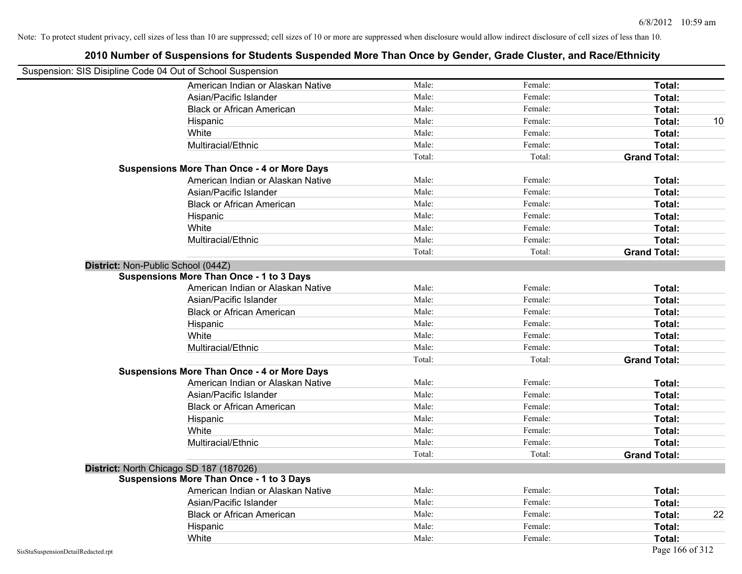| Suspension: SIS Disipline Code 04 Out of School Suspension |                                                    |        |         |                     |
|------------------------------------------------------------|----------------------------------------------------|--------|---------|---------------------|
|                                                            | American Indian or Alaskan Native                  | Male:  | Female: | Total:              |
|                                                            | Asian/Pacific Islander                             | Male:  | Female: | Total:              |
|                                                            | <b>Black or African American</b>                   | Male:  | Female: | Total:              |
|                                                            | Hispanic                                           | Male:  | Female: | Total:              |
|                                                            | White                                              | Male:  | Female: | Total:              |
|                                                            | Multiracial/Ethnic                                 | Male:  | Female: | Total:              |
|                                                            |                                                    | Total: | Total:  | <b>Grand Total:</b> |
|                                                            | <b>Suspensions More Than Once - 4 or More Days</b> |        |         |                     |
|                                                            | American Indian or Alaskan Native                  | Male:  | Female: | Total:              |
|                                                            | Asian/Pacific Islander                             | Male:  | Female: | Total:              |
|                                                            | <b>Black or African American</b>                   | Male:  | Female: | Total:              |
|                                                            | Hispanic                                           | Male:  | Female: | Total:              |
|                                                            | White                                              | Male:  | Female: | Total:              |
|                                                            | Multiracial/Ethnic                                 | Male:  | Female: | Total:              |
|                                                            |                                                    | Total: | Total:  | <b>Grand Total:</b> |
| District: Non-Public School (044Z)                         |                                                    |        |         |                     |
|                                                            | <b>Suspensions More Than Once - 1 to 3 Days</b>    |        |         |                     |
|                                                            | American Indian or Alaskan Native                  | Male:  | Female: | Total:              |
|                                                            | Asian/Pacific Islander                             | Male:  | Female: | Total:              |
|                                                            | <b>Black or African American</b>                   | Male:  | Female: | Total:              |
|                                                            | Hispanic                                           | Male:  | Female: | Total:              |
|                                                            | White                                              | Male:  | Female: | Total:              |
|                                                            | Multiracial/Ethnic                                 | Male:  | Female: | Total:              |
|                                                            |                                                    | Total: | Total:  | <b>Grand Total:</b> |
|                                                            | <b>Suspensions More Than Once - 4 or More Days</b> |        |         |                     |
|                                                            | American Indian or Alaskan Native                  | Male:  | Female: | Total:              |
|                                                            | Asian/Pacific Islander                             | Male:  | Female: | Total:              |
|                                                            | <b>Black or African American</b>                   | Male:  | Female: | Total:              |
|                                                            | Hispanic                                           | Male:  | Female: | Total:              |
|                                                            | White                                              | Male:  | Female: | Total:              |
|                                                            | Multiracial/Ethnic                                 | Male:  | Female: | Total:              |
|                                                            |                                                    | Total: | Total:  | <b>Grand Total:</b> |
| District: North Chicago SD 187 (187026)                    |                                                    |        |         |                     |
|                                                            | <b>Suspensions More Than Once - 1 to 3 Days</b>    |        |         |                     |
|                                                            | American Indian or Alaskan Native                  | Male:  | Female: | Total:              |
|                                                            | Asian/Pacific Islander                             | Male:  | Female: | Total:              |
|                                                            | <b>Black or African American</b>                   | Male:  | Female: | Total:              |
|                                                            | Hispanic                                           | Male:  | Female: | Total:              |
|                                                            | White                                              | Male:  | Female: | Total:              |
| SisStuSuspensionDetailRedacted.rpt                         |                                                    |        |         | Page 166 of 312     |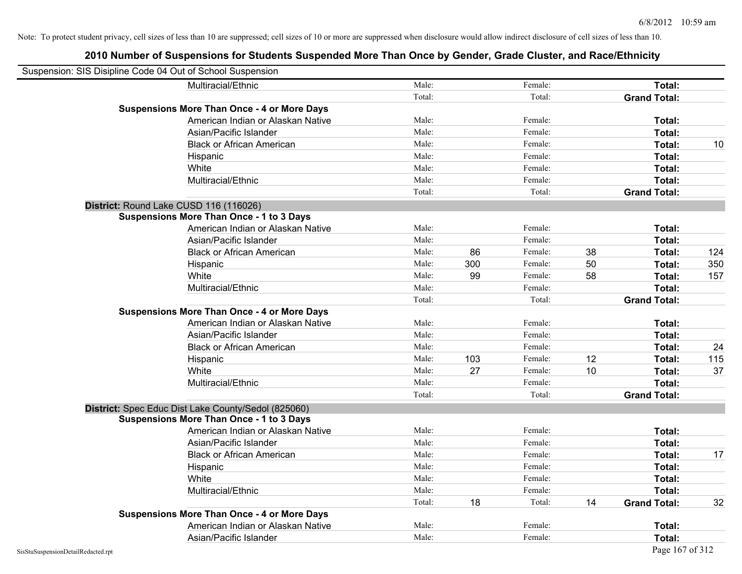| Suspension: SIS Disipline Code 04 Out of School Suspension |                                                     |        |     |         |    |                     |     |
|------------------------------------------------------------|-----------------------------------------------------|--------|-----|---------|----|---------------------|-----|
|                                                            | Multiracial/Ethnic                                  | Male:  |     | Female: |    | Total:              |     |
|                                                            |                                                     | Total: |     | Total:  |    | <b>Grand Total:</b> |     |
|                                                            | <b>Suspensions More Than Once - 4 or More Days</b>  |        |     |         |    |                     |     |
|                                                            | American Indian or Alaskan Native                   | Male:  |     | Female: |    | Total:              |     |
|                                                            | Asian/Pacific Islander                              | Male:  |     | Female: |    | Total:              |     |
|                                                            | <b>Black or African American</b>                    | Male:  |     | Female: |    | Total:              | 10  |
|                                                            | Hispanic                                            | Male:  |     | Female: |    | Total:              |     |
|                                                            | White                                               | Male:  |     | Female: |    | Total:              |     |
|                                                            | Multiracial/Ethnic                                  | Male:  |     | Female: |    | Total:              |     |
|                                                            |                                                     | Total: |     | Total:  |    | <b>Grand Total:</b> |     |
| District: Round Lake CUSD 116 (116026)                     |                                                     |        |     |         |    |                     |     |
|                                                            | <b>Suspensions More Than Once - 1 to 3 Days</b>     |        |     |         |    |                     |     |
|                                                            | American Indian or Alaskan Native                   | Male:  |     | Female: |    | Total:              |     |
|                                                            | Asian/Pacific Islander                              | Male:  |     | Female: |    | Total:              |     |
|                                                            | <b>Black or African American</b>                    | Male:  | 86  | Female: | 38 | Total:              | 124 |
|                                                            | Hispanic                                            | Male:  | 300 | Female: | 50 | Total:              | 350 |
|                                                            | White                                               | Male:  | 99  | Female: | 58 | Total:              | 157 |
|                                                            | Multiracial/Ethnic                                  | Male:  |     | Female: |    | Total:              |     |
|                                                            |                                                     | Total: |     | Total:  |    | <b>Grand Total:</b> |     |
|                                                            | <b>Suspensions More Than Once - 4 or More Days</b>  |        |     |         |    |                     |     |
|                                                            | American Indian or Alaskan Native                   | Male:  |     | Female: |    | Total:              |     |
|                                                            | Asian/Pacific Islander                              | Male:  |     | Female: |    | Total:              |     |
|                                                            | <b>Black or African American</b>                    | Male:  |     | Female: |    | Total:              | 24  |
|                                                            | Hispanic                                            | Male:  | 103 | Female: | 12 | Total:              | 115 |
|                                                            | White                                               | Male:  | 27  | Female: | 10 | Total:              | 37  |
|                                                            | Multiracial/Ethnic                                  | Male:  |     | Female: |    | Total:              |     |
|                                                            |                                                     | Total: |     | Total:  |    | <b>Grand Total:</b> |     |
|                                                            | District: Spec Educ Dist Lake County/Sedol (825060) |        |     |         |    |                     |     |
|                                                            | <b>Suspensions More Than Once - 1 to 3 Days</b>     |        |     |         |    |                     |     |
|                                                            | American Indian or Alaskan Native                   | Male:  |     | Female: |    | Total:              |     |
|                                                            | Asian/Pacific Islander                              | Male:  |     | Female: |    | Total:              |     |
|                                                            | <b>Black or African American</b>                    | Male:  |     | Female: |    | Total:              | 17  |
|                                                            | Hispanic                                            | Male:  |     | Female: |    | Total:              |     |
|                                                            | White                                               | Male:  |     | Female: |    | Total:              |     |
|                                                            | Multiracial/Ethnic                                  | Male:  |     | Female: |    | Total:              |     |
|                                                            |                                                     | Total: | 18  | Total:  | 14 | <b>Grand Total:</b> | 32  |
|                                                            | <b>Suspensions More Than Once - 4 or More Days</b>  |        |     |         |    |                     |     |
|                                                            | American Indian or Alaskan Native                   | Male:  |     | Female: |    | Total:              |     |
|                                                            | Asian/Pacific Islander                              | Male:  |     | Female: |    | Total:              |     |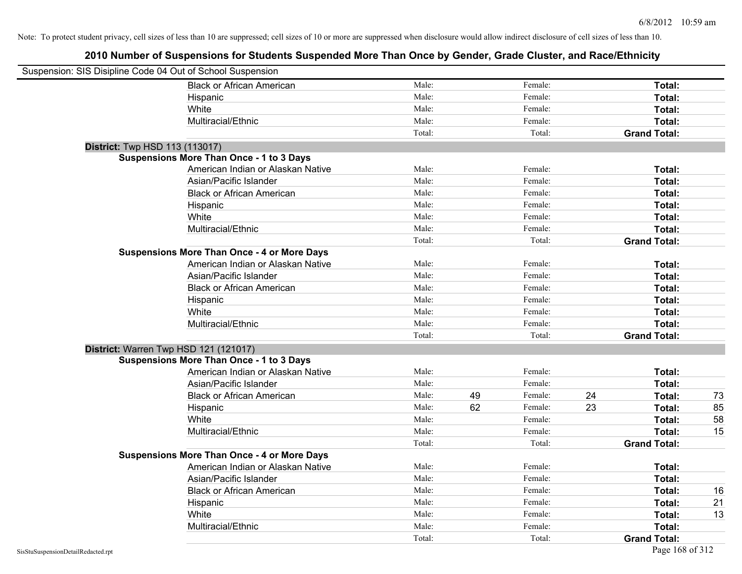| Suspension: SIS Disipline Code 04 Out of School Suspension |                                                    |        |    |         |    |                     |    |
|------------------------------------------------------------|----------------------------------------------------|--------|----|---------|----|---------------------|----|
|                                                            | <b>Black or African American</b>                   | Male:  |    | Female: |    | Total:              |    |
|                                                            | Hispanic                                           | Male:  |    | Female: |    | Total:              |    |
|                                                            | White                                              | Male:  |    | Female: |    | Total:              |    |
|                                                            | Multiracial/Ethnic                                 | Male:  |    | Female: |    | Total:              |    |
|                                                            |                                                    | Total: |    | Total:  |    | <b>Grand Total:</b> |    |
| <b>District:</b> Twp HSD 113 (113017)                      |                                                    |        |    |         |    |                     |    |
|                                                            | <b>Suspensions More Than Once - 1 to 3 Days</b>    |        |    |         |    |                     |    |
|                                                            | American Indian or Alaskan Native                  | Male:  |    | Female: |    | Total:              |    |
|                                                            | Asian/Pacific Islander                             | Male:  |    | Female: |    | Total:              |    |
|                                                            | <b>Black or African American</b>                   | Male:  |    | Female: |    | Total:              |    |
|                                                            | Hispanic                                           | Male:  |    | Female: |    | Total:              |    |
|                                                            | White                                              | Male:  |    | Female: |    | Total:              |    |
|                                                            | Multiracial/Ethnic                                 | Male:  |    | Female: |    | Total:              |    |
|                                                            |                                                    | Total: |    | Total:  |    | <b>Grand Total:</b> |    |
|                                                            | <b>Suspensions More Than Once - 4 or More Days</b> |        |    |         |    |                     |    |
|                                                            | American Indian or Alaskan Native                  | Male:  |    | Female: |    | Total:              |    |
|                                                            | Asian/Pacific Islander                             | Male:  |    | Female: |    | Total:              |    |
|                                                            | <b>Black or African American</b>                   | Male:  |    | Female: |    | Total:              |    |
|                                                            | Hispanic                                           | Male:  |    | Female: |    | Total:              |    |
|                                                            | White                                              | Male:  |    | Female: |    | Total:              |    |
|                                                            | Multiracial/Ethnic                                 | Male:  |    | Female: |    | Total:              |    |
|                                                            |                                                    | Total: |    | Total:  |    | <b>Grand Total:</b> |    |
| District: Warren Twp HSD 121 (121017)                      |                                                    |        |    |         |    |                     |    |
|                                                            | <b>Suspensions More Than Once - 1 to 3 Days</b>    |        |    |         |    |                     |    |
|                                                            | American Indian or Alaskan Native                  | Male:  |    | Female: |    | Total:              |    |
|                                                            | Asian/Pacific Islander                             | Male:  |    | Female: |    | Total:              |    |
|                                                            | <b>Black or African American</b>                   | Male:  | 49 | Female: | 24 | Total:              | 73 |
|                                                            | Hispanic                                           | Male:  | 62 | Female: | 23 | Total:              | 85 |
|                                                            | White                                              | Male:  |    | Female: |    | Total:              | 58 |
|                                                            | Multiracial/Ethnic                                 | Male:  |    | Female: |    | Total:              | 15 |
|                                                            |                                                    | Total: |    | Total:  |    | <b>Grand Total:</b> |    |
|                                                            | <b>Suspensions More Than Once - 4 or More Days</b> |        |    |         |    |                     |    |
|                                                            | American Indian or Alaskan Native                  | Male:  |    | Female: |    | Total:              |    |
|                                                            | Asian/Pacific Islander                             | Male:  |    | Female: |    | Total:              |    |
|                                                            | <b>Black or African American</b>                   | Male:  |    | Female: |    | Total:              | 16 |
|                                                            | Hispanic                                           | Male:  |    | Female: |    | Total:              | 21 |
|                                                            | White                                              | Male:  |    | Female: |    | Total:              | 13 |
|                                                            | Multiracial/Ethnic                                 | Male:  |    | Female: |    | Total:              |    |
|                                                            |                                                    | Total: |    | Total:  |    | <b>Grand Total:</b> |    |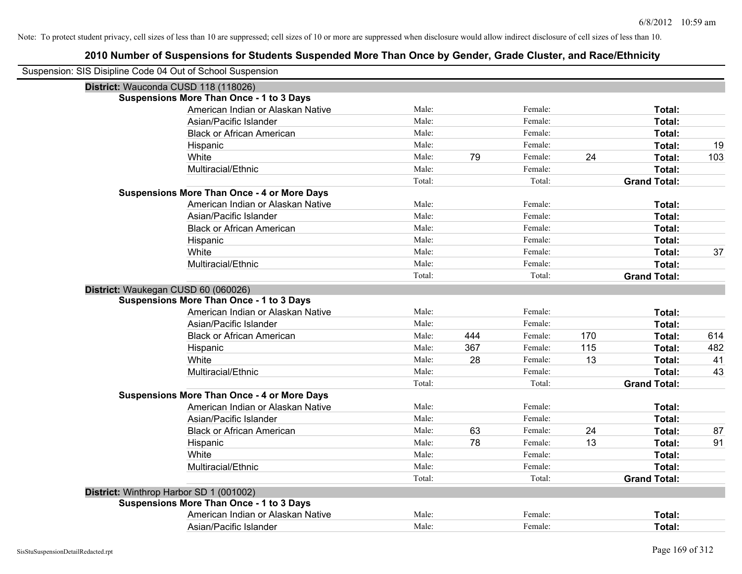| Suspension: SIS Disipline Code 04 Out of School Suspension |                                                    |        |     |         |     |                     |     |
|------------------------------------------------------------|----------------------------------------------------|--------|-----|---------|-----|---------------------|-----|
|                                                            | District: Wauconda CUSD 118 (118026)               |        |     |         |     |                     |     |
|                                                            | <b>Suspensions More Than Once - 1 to 3 Days</b>    |        |     |         |     |                     |     |
|                                                            | American Indian or Alaskan Native                  | Male:  |     | Female: |     | Total:              |     |
|                                                            | Asian/Pacific Islander                             | Male:  |     | Female: |     | <b>Total:</b>       |     |
|                                                            | <b>Black or African American</b>                   | Male:  |     | Female: |     | <b>Total:</b>       |     |
|                                                            | Hispanic                                           | Male:  |     | Female: |     | Total:              | 19  |
|                                                            | White                                              | Male:  | 79  | Female: | 24  | Total:              | 103 |
|                                                            | Multiracial/Ethnic                                 | Male:  |     | Female: |     | Total:              |     |
|                                                            |                                                    | Total: |     | Total:  |     | <b>Grand Total:</b> |     |
|                                                            | <b>Suspensions More Than Once - 4 or More Days</b> |        |     |         |     |                     |     |
|                                                            | American Indian or Alaskan Native                  | Male:  |     | Female: |     | Total:              |     |
|                                                            | Asian/Pacific Islander                             | Male:  |     | Female: |     | Total:              |     |
|                                                            | <b>Black or African American</b>                   | Male:  |     | Female: |     | Total:              |     |
|                                                            | Hispanic                                           | Male:  |     | Female: |     | Total:              |     |
|                                                            | White                                              | Male:  |     | Female: |     | Total:              | 37  |
|                                                            | Multiracial/Ethnic                                 | Male:  |     | Female: |     | Total:              |     |
|                                                            |                                                    | Total: |     | Total:  |     | <b>Grand Total:</b> |     |
| District: Waukegan CUSD 60 (060026)                        |                                                    |        |     |         |     |                     |     |
|                                                            | <b>Suspensions More Than Once - 1 to 3 Days</b>    |        |     |         |     |                     |     |
|                                                            | American Indian or Alaskan Native                  | Male:  |     | Female: |     | Total:              |     |
|                                                            | Asian/Pacific Islander                             | Male:  |     | Female: |     | Total:              |     |
|                                                            | <b>Black or African American</b>                   | Male:  | 444 | Female: | 170 | Total:              | 614 |
|                                                            | Hispanic                                           | Male:  | 367 | Female: | 115 | Total:              | 482 |
|                                                            | White                                              | Male:  | 28  | Female: | 13  | Total:              | 41  |
|                                                            | Multiracial/Ethnic                                 | Male:  |     | Female: |     | Total:              | 43  |
|                                                            |                                                    | Total: |     | Total:  |     | <b>Grand Total:</b> |     |
|                                                            | <b>Suspensions More Than Once - 4 or More Days</b> |        |     |         |     |                     |     |
|                                                            | American Indian or Alaskan Native                  | Male:  |     | Female: |     | Total:              |     |
|                                                            | Asian/Pacific Islander                             | Male:  |     | Female: |     | Total:              |     |
|                                                            | <b>Black or African American</b>                   | Male:  | 63  | Female: | 24  | Total:              | 87  |
|                                                            | Hispanic                                           | Male:  | 78  | Female: | 13  | Total:              | 91  |
|                                                            | White                                              | Male:  |     | Female: |     | Total:              |     |
|                                                            | Multiracial/Ethnic                                 | Male:  |     | Female: |     | Total:              |     |
|                                                            |                                                    | Total: |     | Total:  |     | <b>Grand Total:</b> |     |
|                                                            | District: Winthrop Harbor SD 1 (001002)            |        |     |         |     |                     |     |
|                                                            | <b>Suspensions More Than Once - 1 to 3 Days</b>    |        |     |         |     |                     |     |
|                                                            | American Indian or Alaskan Native                  | Male:  |     | Female: |     | Total:              |     |
|                                                            | Asian/Pacific Islander                             | Male:  |     | Female: |     | Total:              |     |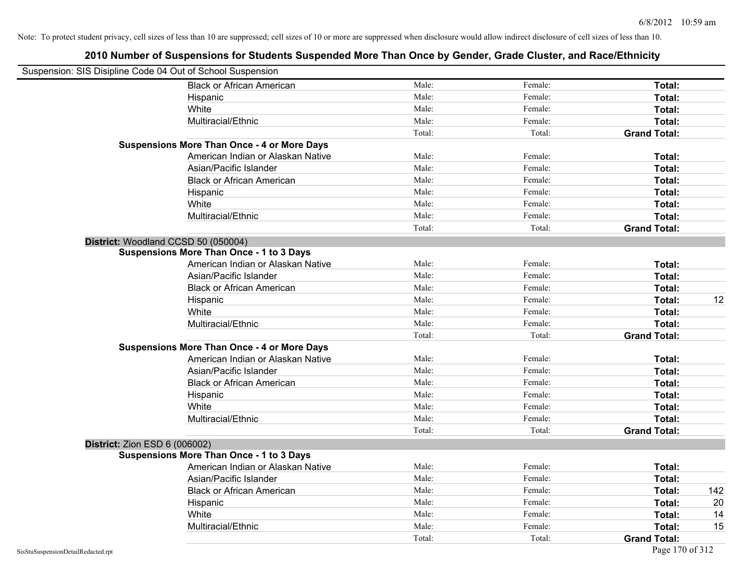| Suspension: SIS Disipline Code 04 Out of School Suspension |        |         |                     |     |
|------------------------------------------------------------|--------|---------|---------------------|-----|
| <b>Black or African American</b>                           | Male:  | Female: | Total:              |     |
| Hispanic                                                   | Male:  | Female: | Total:              |     |
| White                                                      | Male:  | Female: | Total:              |     |
| Multiracial/Ethnic                                         | Male:  | Female: | Total:              |     |
|                                                            | Total: | Total:  | <b>Grand Total:</b> |     |
| <b>Suspensions More Than Once - 4 or More Days</b>         |        |         |                     |     |
| American Indian or Alaskan Native                          | Male:  | Female: | Total:              |     |
| Asian/Pacific Islander                                     | Male:  | Female: | Total:              |     |
| <b>Black or African American</b>                           | Male:  | Female: | Total:              |     |
| Hispanic                                                   | Male:  | Female: | Total:              |     |
| White                                                      | Male:  | Female: | Total:              |     |
| Multiracial/Ethnic                                         | Male:  | Female: | Total:              |     |
|                                                            | Total: | Total:  | <b>Grand Total:</b> |     |
| District: Woodland CCSD 50 (050004)                        |        |         |                     |     |
| <b>Suspensions More Than Once - 1 to 3 Days</b>            |        |         |                     |     |
| American Indian or Alaskan Native                          | Male:  | Female: | Total:              |     |
| Asian/Pacific Islander                                     | Male:  | Female: | Total:              |     |
| <b>Black or African American</b>                           | Male:  | Female: | Total:              |     |
| Hispanic                                                   | Male:  | Female: | Total:              | 12  |
| White                                                      | Male:  | Female: | Total:              |     |
| Multiracial/Ethnic                                         | Male:  | Female: | Total:              |     |
|                                                            | Total: | Total:  | <b>Grand Total:</b> |     |
| <b>Suspensions More Than Once - 4 or More Days</b>         |        |         |                     |     |
| American Indian or Alaskan Native                          | Male:  | Female: | Total:              |     |
| Asian/Pacific Islander                                     | Male:  | Female: | Total:              |     |
| <b>Black or African American</b>                           | Male:  | Female: | Total:              |     |
| Hispanic                                                   | Male:  | Female: | Total:              |     |
| White                                                      | Male:  | Female: | Total:              |     |
| Multiracial/Ethnic                                         | Male:  | Female: | Total:              |     |
|                                                            | Total: | Total:  | <b>Grand Total:</b> |     |
| District: Zion ESD 6 (006002)                              |        |         |                     |     |
| <b>Suspensions More Than Once - 1 to 3 Days</b>            |        |         |                     |     |
| American Indian or Alaskan Native                          | Male:  | Female: | Total:              |     |
| Asian/Pacific Islander                                     | Male:  | Female: | Total:              |     |
| <b>Black or African American</b>                           | Male:  | Female: | Total:              | 142 |
| Hispanic                                                   | Male:  | Female: | Total:              | 20  |
| White                                                      | Male:  | Female: | Total:              | 14  |
| Multiracial/Ethnic                                         | Male:  | Female: | Total:              | 15  |
|                                                            | Total: | Total:  | <b>Grand Total:</b> |     |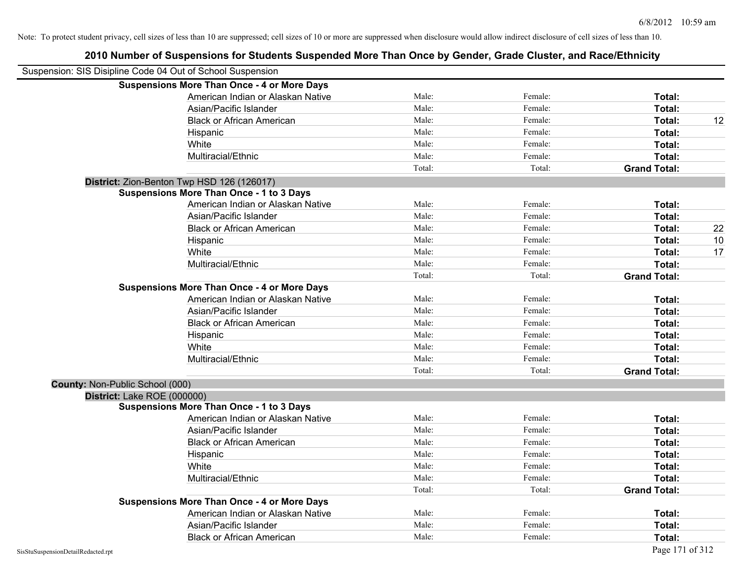| 2010 Number of Suspensions for Students Suspended More Than Once by Gender, Grade Cluster, and Race/Ethnicity |        |         |                     |    |
|---------------------------------------------------------------------------------------------------------------|--------|---------|---------------------|----|
| Suspension: SIS Disipline Code 04 Out of School Suspension                                                    |        |         |                     |    |
| <b>Suspensions More Than Once - 4 or More Days</b>                                                            |        |         |                     |    |
| American Indian or Alaskan Native                                                                             | Male:  | Female: | Total:              |    |
| Asian/Pacific Islander                                                                                        | Male:  | Female: | Total:              |    |
| <b>Black or African American</b>                                                                              | Male:  | Female: | Total:              | 12 |
| Hispanic                                                                                                      | Male:  | Female: | Total:              |    |
| White                                                                                                         | Male:  | Female: | Total:              |    |
| Multiracial/Ethnic                                                                                            | Male:  | Female: | Total:              |    |
|                                                                                                               | Total: | Total:  | <b>Grand Total:</b> |    |
| District: Zion-Benton Twp HSD 126 (126017)                                                                    |        |         |                     |    |
| <b>Suspensions More Than Once - 1 to 3 Days</b>                                                               |        |         |                     |    |
| American Indian or Alaskan Native                                                                             | Male:  | Female: | Total:              |    |
| Asian/Pacific Islander                                                                                        | Male:  | Female: | Total:              |    |
| <b>Black or African American</b>                                                                              | Male:  | Female: | Total:              | 22 |
| Hispanic                                                                                                      | Male:  | Female: | Total:              | 10 |
| White                                                                                                         | Male:  | Female: | Total:              | 17 |
| Multiracial/Ethnic                                                                                            | Male:  | Female: | Total:              |    |
|                                                                                                               | Total: | Total:  | <b>Grand Total:</b> |    |
| <b>Suspensions More Than Once - 4 or More Days</b>                                                            |        |         |                     |    |
| American Indian or Alaskan Native                                                                             | Male:  | Female: | Total:              |    |
| Asian/Pacific Islander                                                                                        | Male:  | Female: | Total:              |    |
| <b>Black or African American</b>                                                                              | Male:  | Female: | Total:              |    |
| Hispanic                                                                                                      | Male:  | Female: | Total:              |    |
| White                                                                                                         | Male:  | Female: | Total:              |    |
| Multiracial/Ethnic                                                                                            | Male:  | Female: | Total:              |    |
|                                                                                                               | Total: | Total:  | <b>Grand Total:</b> |    |
| <b>County: Non-Public School (000)</b>                                                                        |        |         |                     |    |
| District: Lake ROE (000000)                                                                                   |        |         |                     |    |
| <b>Suspensions More Than Once - 1 to 3 Days</b>                                                               |        |         |                     |    |
| American Indian or Alaskan Native                                                                             | Male:  | Female: | Total:              |    |
| Asian/Pacific Islander                                                                                        | Male:  | Female: | Total:              |    |
| <b>Black or African American</b>                                                                              | Male:  | Female: | Total:              |    |
| Hispanic                                                                                                      | Male:  | Female: | Total:              |    |
| White                                                                                                         | Male:  | Female: | Total:              |    |
| Multiracial/Ethnic                                                                                            | Male:  | Female: | Total:              |    |
|                                                                                                               | Total: | Total:  | <b>Grand Total:</b> |    |
| <b>Suspensions More Than Once - 4 or More Days</b>                                                            |        |         |                     |    |
| American Indian or Alaskan Native                                                                             | Male:  | Female: | Total:              |    |
| Asian/Pacific Islander                                                                                        | Male:  | Female: | Total:              |    |
| <b>Black or African American</b>                                                                              | Male:  | Female: | Total:              |    |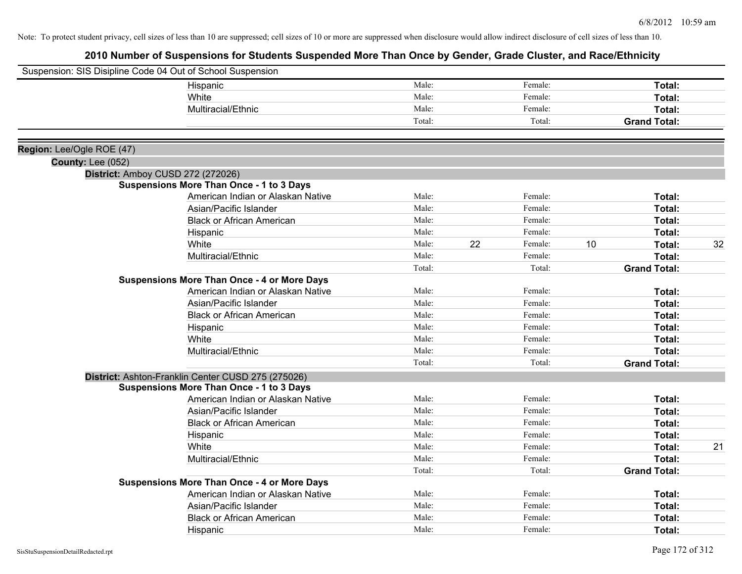|                           | Suspension: SIS Disipline Code 04 Out of School Suspension |        |    |         |    |                     |    |
|---------------------------|------------------------------------------------------------|--------|----|---------|----|---------------------|----|
|                           | Hispanic                                                   | Male:  |    | Female: |    | Total:              |    |
|                           | White                                                      | Male:  |    | Female: |    | Total:              |    |
|                           | Multiracial/Ethnic                                         | Male:  |    | Female: |    | Total:              |    |
|                           |                                                            | Total: |    | Total:  |    | <b>Grand Total:</b> |    |
|                           |                                                            |        |    |         |    |                     |    |
| Region: Lee/Ogle ROE (47) |                                                            |        |    |         |    |                     |    |
| <b>County: Lee (052)</b>  |                                                            |        |    |         |    |                     |    |
|                           | District: Amboy CUSD 272 (272026)                          |        |    |         |    |                     |    |
|                           | <b>Suspensions More Than Once - 1 to 3 Days</b>            |        |    |         |    |                     |    |
|                           | American Indian or Alaskan Native                          | Male:  |    | Female: |    | Total:              |    |
|                           | Asian/Pacific Islander                                     | Male:  |    | Female: |    | Total:              |    |
|                           | <b>Black or African American</b>                           | Male:  |    | Female: |    | Total:              |    |
|                           | Hispanic                                                   | Male:  |    | Female: |    | Total:              |    |
|                           | White                                                      | Male:  | 22 | Female: | 10 | Total:              | 32 |
|                           | Multiracial/Ethnic                                         | Male:  |    | Female: |    | Total:              |    |
|                           |                                                            | Total: |    | Total:  |    | <b>Grand Total:</b> |    |
|                           | <b>Suspensions More Than Once - 4 or More Days</b>         |        |    |         |    |                     |    |
|                           | American Indian or Alaskan Native                          | Male:  |    | Female: |    | Total:              |    |
|                           | Asian/Pacific Islander                                     | Male:  |    | Female: |    | Total:              |    |
|                           | <b>Black or African American</b>                           | Male:  |    | Female: |    | Total:              |    |
|                           | Hispanic                                                   | Male:  |    | Female: |    | Total:              |    |
|                           | White                                                      | Male:  |    | Female: |    | Total:              |    |
|                           | Multiracial/Ethnic                                         | Male:  |    | Female: |    | Total:              |    |
|                           |                                                            | Total: |    | Total:  |    | <b>Grand Total:</b> |    |
|                           | District: Ashton-Franklin Center CUSD 275 (275026)         |        |    |         |    |                     |    |
|                           | <b>Suspensions More Than Once - 1 to 3 Days</b>            |        |    |         |    |                     |    |
|                           | American Indian or Alaskan Native                          | Male:  |    | Female: |    | Total:              |    |
|                           | Asian/Pacific Islander                                     | Male:  |    | Female: |    | Total:              |    |
|                           | <b>Black or African American</b>                           | Male:  |    | Female: |    | Total:              |    |
|                           | Hispanic                                                   | Male:  |    | Female: |    | Total:              |    |
|                           | White                                                      | Male:  |    | Female: |    | Total:              | 21 |
|                           | Multiracial/Ethnic                                         | Male:  |    | Female: |    | Total:              |    |
|                           |                                                            | Total: |    | Total:  |    | <b>Grand Total:</b> |    |
|                           | <b>Suspensions More Than Once - 4 or More Days</b>         |        |    |         |    |                     |    |
|                           | American Indian or Alaskan Native                          | Male:  |    | Female: |    | Total:              |    |
|                           | Asian/Pacific Islander                                     | Male:  |    | Female: |    | Total:              |    |
|                           | <b>Black or African American</b>                           | Male:  |    | Female: |    | <b>Total:</b>       |    |
|                           | Hispanic                                                   | Male:  |    | Female: |    | Total:              |    |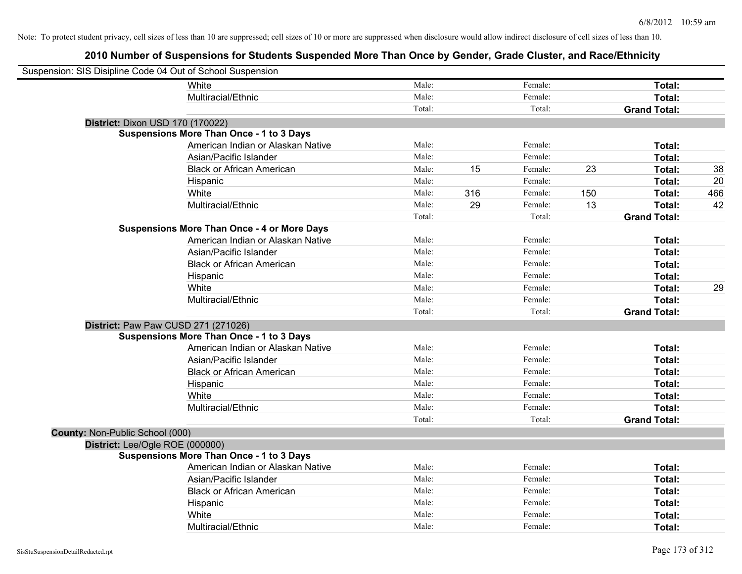| Suspension: SIS Disipline Code 04 Out of School Suspension |                                                    |        |     |         |     |                     |     |
|------------------------------------------------------------|----------------------------------------------------|--------|-----|---------|-----|---------------------|-----|
|                                                            | <b>White</b>                                       | Male:  |     | Female: |     | Total:              |     |
|                                                            | Multiracial/Ethnic                                 | Male:  |     | Female: |     | Total:              |     |
|                                                            |                                                    | Total: |     | Total:  |     | <b>Grand Total:</b> |     |
| District: Dixon USD 170 (170022)                           |                                                    |        |     |         |     |                     |     |
|                                                            | <b>Suspensions More Than Once - 1 to 3 Days</b>    |        |     |         |     |                     |     |
|                                                            | American Indian or Alaskan Native                  | Male:  |     | Female: |     | Total:              |     |
|                                                            | Asian/Pacific Islander                             | Male:  |     | Female: |     | Total:              |     |
|                                                            | <b>Black or African American</b>                   | Male:  | 15  | Female: | 23  | Total:              | 38  |
|                                                            | Hispanic                                           | Male:  |     | Female: |     | Total:              | 20  |
|                                                            | White                                              | Male:  | 316 | Female: | 150 | Total:              | 466 |
|                                                            | Multiracial/Ethnic                                 | Male:  | 29  | Female: | 13  | Total:              | 42  |
|                                                            |                                                    | Total: |     | Total:  |     | <b>Grand Total:</b> |     |
|                                                            | <b>Suspensions More Than Once - 4 or More Days</b> |        |     |         |     |                     |     |
|                                                            | American Indian or Alaskan Native                  | Male:  |     | Female: |     | Total:              |     |
|                                                            | Asian/Pacific Islander                             | Male:  |     | Female: |     | Total:              |     |
|                                                            | <b>Black or African American</b>                   | Male:  |     | Female: |     | Total:              |     |
|                                                            | Hispanic                                           | Male:  |     | Female: |     | Total:              |     |
|                                                            | White                                              | Male:  |     | Female: |     | Total:              | 29  |
|                                                            | Multiracial/Ethnic                                 | Male:  |     | Female: |     | Total:              |     |
|                                                            |                                                    | Total: |     | Total:  |     | <b>Grand Total:</b> |     |
|                                                            | District: Paw Paw CUSD 271 (271026)                |        |     |         |     |                     |     |
|                                                            | <b>Suspensions More Than Once - 1 to 3 Days</b>    |        |     |         |     |                     |     |
|                                                            | American Indian or Alaskan Native                  | Male:  |     | Female: |     | Total:              |     |
|                                                            | Asian/Pacific Islander                             | Male:  |     | Female: |     | Total:              |     |
|                                                            | <b>Black or African American</b>                   | Male:  |     | Female: |     | Total:              |     |
|                                                            | Hispanic                                           | Male:  |     | Female: |     | Total:              |     |
|                                                            | White                                              | Male:  |     | Female: |     | Total:              |     |
|                                                            | Multiracial/Ethnic                                 | Male:  |     | Female: |     | Total:              |     |
|                                                            |                                                    | Total: |     | Total:  |     | <b>Grand Total:</b> |     |
| County: Non-Public School (000)                            |                                                    |        |     |         |     |                     |     |
| District: Lee/Ogle ROE (000000)                            |                                                    |        |     |         |     |                     |     |
|                                                            | <b>Suspensions More Than Once - 1 to 3 Days</b>    |        |     |         |     |                     |     |
|                                                            | American Indian or Alaskan Native                  | Male:  |     | Female: |     | Total:              |     |
|                                                            | Asian/Pacific Islander                             | Male:  |     | Female: |     | Total:              |     |
|                                                            | <b>Black or African American</b>                   | Male:  |     | Female: |     | Total:              |     |
|                                                            | Hispanic                                           | Male:  |     | Female: |     | Total:              |     |
|                                                            | White                                              | Male:  |     | Female: |     | Total:              |     |
|                                                            | Multiracial/Ethnic                                 | Male:  |     | Female: |     | Total:              |     |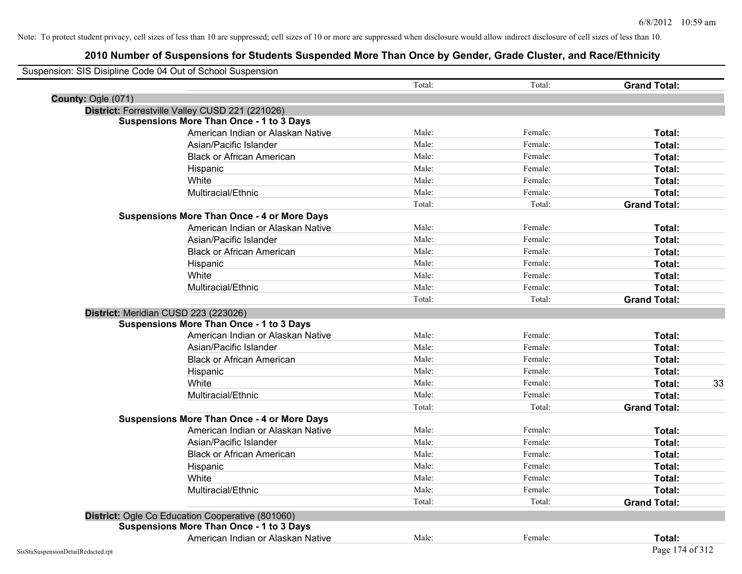| Suspension: SIS Disipline Code 04 Out of School Suspension |                                                         |        |         |                     |
|------------------------------------------------------------|---------------------------------------------------------|--------|---------|---------------------|
|                                                            |                                                         | Total: | Total:  | <b>Grand Total:</b> |
| County: Ogle (071)                                         |                                                         |        |         |                     |
|                                                            | District: Forrestville Valley CUSD 221 (221026)         |        |         |                     |
|                                                            | <b>Suspensions More Than Once - 1 to 3 Days</b>         |        |         |                     |
|                                                            | American Indian or Alaskan Native                       | Male:  | Female: | Total:              |
|                                                            | Asian/Pacific Islander                                  | Male:  | Female: | Total:              |
|                                                            | <b>Black or African American</b>                        | Male:  | Female: | Total:              |
|                                                            | Hispanic                                                | Male:  | Female: | Total:              |
|                                                            | White                                                   | Male:  | Female: | Total:              |
|                                                            | Multiracial/Ethnic                                      | Male:  | Female: | Total:              |
|                                                            |                                                         | Total: | Total:  | <b>Grand Total:</b> |
|                                                            | <b>Suspensions More Than Once - 4 or More Days</b>      |        |         |                     |
|                                                            | American Indian or Alaskan Native                       | Male:  | Female: | Total:              |
|                                                            | Asian/Pacific Islander                                  | Male:  | Female: | Total:              |
|                                                            | <b>Black or African American</b>                        | Male:  | Female: | Total:              |
|                                                            | Hispanic                                                | Male:  | Female: | Total:              |
|                                                            | White                                                   | Male:  | Female: | Total:              |
|                                                            | Multiracial/Ethnic                                      | Male:  | Female: | Total:              |
|                                                            |                                                         | Total: | Total:  | <b>Grand Total:</b> |
| District: Meridian CUSD 223 (223026)                       |                                                         |        |         |                     |
|                                                            | <b>Suspensions More Than Once - 1 to 3 Days</b>         |        |         |                     |
|                                                            | American Indian or Alaskan Native                       | Male:  | Female: | Total:              |
|                                                            | Asian/Pacific Islander                                  | Male:  | Female: | Total:              |
|                                                            | <b>Black or African American</b>                        | Male:  | Female: | Total:              |
|                                                            | Hispanic                                                | Male:  | Female: | Total:              |
|                                                            | White                                                   | Male:  | Female: | 33<br>Total:        |
|                                                            | Multiracial/Ethnic                                      | Male:  | Female: | Total:              |
|                                                            |                                                         | Total: | Total:  | <b>Grand Total:</b> |
|                                                            | <b>Suspensions More Than Once - 4 or More Days</b>      |        |         |                     |
|                                                            | American Indian or Alaskan Native                       | Male:  | Female: | Total:              |
|                                                            | Asian/Pacific Islander                                  | Male:  | Female: | Total:              |
|                                                            | <b>Black or African American</b>                        | Male:  | Female: | Total:              |
|                                                            | Hispanic                                                | Male:  | Female: | Total:              |
|                                                            | White                                                   | Male:  | Female: | Total:              |
|                                                            | Multiracial/Ethnic                                      | Male:  | Female: | Total:              |
|                                                            |                                                         | Total: | Total:  | <b>Grand Total:</b> |
|                                                            | <b>District:</b> Ogle Co Education Cooperative (801060) |        |         |                     |
|                                                            | <b>Suspensions More Than Once - 1 to 3 Days</b>         |        |         |                     |
|                                                            | American Indian or Alaskan Native                       | Male:  | Female: | Total:              |
| SisStuSuspensionDetailRedacted.rpt                         |                                                         |        |         | Page 174 of 312     |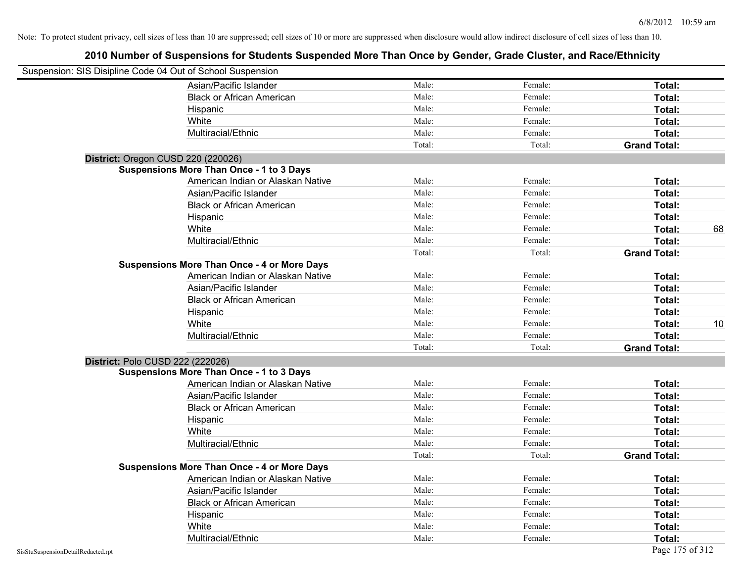| Suspension: SIS Disipline Code 04 Out of School Suspension |                                                    |        |         |                     |    |
|------------------------------------------------------------|----------------------------------------------------|--------|---------|---------------------|----|
|                                                            | Asian/Pacific Islander                             | Male:  | Female: | Total:              |    |
|                                                            | <b>Black or African American</b>                   | Male:  | Female: | Total:              |    |
|                                                            | Hispanic                                           | Male:  | Female: | Total:              |    |
|                                                            | White                                              | Male:  | Female: | Total:              |    |
|                                                            | Multiracial/Ethnic                                 | Male:  | Female: | Total:              |    |
|                                                            |                                                    | Total: | Total:  | <b>Grand Total:</b> |    |
| District: Oregon CUSD 220 (220026)                         |                                                    |        |         |                     |    |
|                                                            | <b>Suspensions More Than Once - 1 to 3 Days</b>    |        |         |                     |    |
|                                                            | American Indian or Alaskan Native                  | Male:  | Female: | Total:              |    |
|                                                            | Asian/Pacific Islander                             | Male:  | Female: | Total:              |    |
|                                                            | <b>Black or African American</b>                   | Male:  | Female: | Total:              |    |
|                                                            | Hispanic                                           | Male:  | Female: | Total:              |    |
|                                                            | White                                              | Male:  | Female: | Total:              | 68 |
|                                                            | Multiracial/Ethnic                                 | Male:  | Female: | Total:              |    |
|                                                            |                                                    | Total: | Total:  | <b>Grand Total:</b> |    |
|                                                            | <b>Suspensions More Than Once - 4 or More Days</b> |        |         |                     |    |
|                                                            | American Indian or Alaskan Native                  | Male:  | Female: | Total:              |    |
|                                                            | Asian/Pacific Islander                             | Male:  | Female: | Total:              |    |
|                                                            | <b>Black or African American</b>                   | Male:  | Female: | Total:              |    |
|                                                            | Hispanic                                           | Male:  | Female: | Total:              |    |
|                                                            | White                                              | Male:  | Female: | Total:              | 10 |
|                                                            | Multiracial/Ethnic                                 | Male:  | Female: | Total:              |    |
|                                                            |                                                    | Total: | Total:  | <b>Grand Total:</b> |    |
| District: Polo CUSD 222 (222026)                           |                                                    |        |         |                     |    |
|                                                            | <b>Suspensions More Than Once - 1 to 3 Days</b>    |        |         |                     |    |
|                                                            | American Indian or Alaskan Native                  | Male:  | Female: | Total:              |    |
|                                                            | Asian/Pacific Islander                             | Male:  | Female: | Total:              |    |
|                                                            | <b>Black or African American</b>                   | Male:  | Female: | Total:              |    |
|                                                            | Hispanic                                           | Male:  | Female: | Total:              |    |
|                                                            | White                                              | Male:  | Female: | Total:              |    |
|                                                            | Multiracial/Ethnic                                 | Male:  | Female: | Total:              |    |
|                                                            |                                                    | Total: | Total:  | <b>Grand Total:</b> |    |
|                                                            | <b>Suspensions More Than Once - 4 or More Days</b> |        |         |                     |    |
|                                                            | American Indian or Alaskan Native                  | Male:  | Female: | Total:              |    |
|                                                            | Asian/Pacific Islander                             | Male:  | Female: | Total:              |    |
|                                                            | <b>Black or African American</b>                   | Male:  | Female: | Total:              |    |
|                                                            | Hispanic                                           | Male:  | Female: | Total:              |    |
|                                                            | White                                              | Male:  | Female: | Total:              |    |
|                                                            | Multiracial/Ethnic                                 | Male:  | Female: | Total:              |    |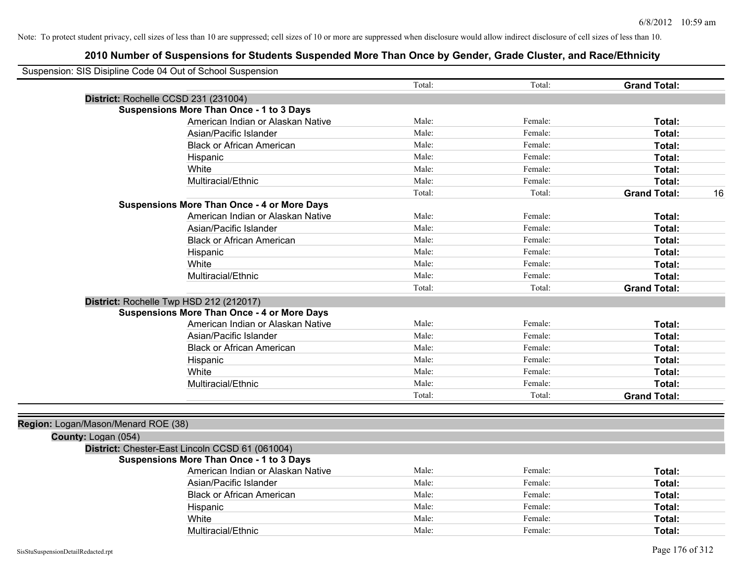| Suspension: SIS Disipline Code 04 Out of School Suspension |                                                    |        |         |                           |
|------------------------------------------------------------|----------------------------------------------------|--------|---------|---------------------------|
|                                                            |                                                    | Total: | Total:  | <b>Grand Total:</b>       |
| District: Rochelle CCSD 231 (231004)                       |                                                    |        |         |                           |
|                                                            | <b>Suspensions More Than Once - 1 to 3 Days</b>    |        |         |                           |
|                                                            | American Indian or Alaskan Native                  | Male:  | Female: | Total:                    |
|                                                            | Asian/Pacific Islander                             | Male:  | Female: | Total:                    |
|                                                            | <b>Black or African American</b>                   | Male:  | Female: | Total:                    |
|                                                            | Hispanic                                           | Male:  | Female: | Total:                    |
|                                                            | White                                              | Male:  | Female: | Total:                    |
|                                                            | Multiracial/Ethnic                                 | Male:  | Female: | Total:                    |
|                                                            |                                                    | Total: | Total:  | <b>Grand Total:</b><br>16 |
|                                                            | <b>Suspensions More Than Once - 4 or More Days</b> |        |         |                           |
|                                                            | American Indian or Alaskan Native                  | Male:  | Female: | Total:                    |
|                                                            | Asian/Pacific Islander                             | Male:  | Female: | Total:                    |
|                                                            | <b>Black or African American</b>                   | Male:  | Female: | Total:                    |
|                                                            | Hispanic                                           | Male:  | Female: | Total:                    |
|                                                            | White                                              | Male:  | Female: | Total:                    |
|                                                            | Multiracial/Ethnic                                 | Male:  | Female: | Total:                    |
|                                                            |                                                    | Total: | Total:  | <b>Grand Total:</b>       |
| District: Rochelle Twp HSD 212 (212017)                    |                                                    |        |         |                           |
|                                                            | <b>Suspensions More Than Once - 4 or More Days</b> |        |         |                           |
|                                                            | American Indian or Alaskan Native                  | Male:  | Female: | Total:                    |
|                                                            | Asian/Pacific Islander                             | Male:  | Female: | Total:                    |
|                                                            | <b>Black or African American</b>                   | Male:  | Female: | Total:                    |
|                                                            | Hispanic                                           | Male:  | Female: | Total:                    |
|                                                            | White                                              | Male:  | Female: | Total:                    |
|                                                            | Multiracial/Ethnic                                 | Male:  | Female: | Total:                    |
|                                                            |                                                    | Total: | Total:  | <b>Grand Total:</b>       |
| Region: Logan/Mason/Menard ROE (38)                        |                                                    |        |         |                           |
| County: Logan (054)                                        |                                                    |        |         |                           |
|                                                            | District: Chester-East Lincoln CCSD 61 (061004)    |        |         |                           |
|                                                            | <b>Suspensions More Than Once - 1 to 3 Days</b>    |        |         |                           |
|                                                            | American Indian or Alaskan Native                  | Male:  | Female: | Total:                    |
|                                                            | Asian/Pacific Islander                             | Male:  | Female: | Total:                    |
|                                                            | <b>Black or African American</b>                   | Male:  | Female: | Total:                    |
|                                                            | Hispanic                                           | Male:  | Female: | Total:                    |
|                                                            | White                                              | Male:  | Female: | Total:                    |
|                                                            | Multiracial/Ethnic                                 | Male:  | Female: | Total:                    |
|                                                            |                                                    |        |         |                           |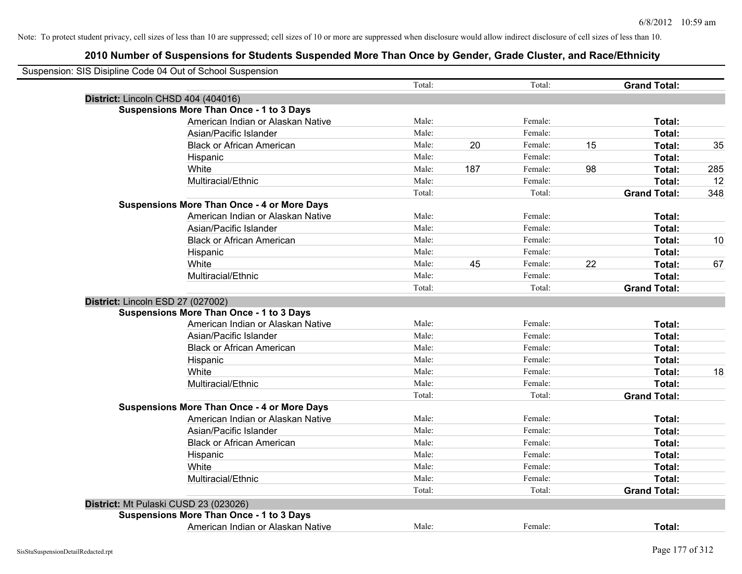| District: Lincoln CHSD 404 (404016)<br><b>Suspensions More Than Once - 1 to 3 Days</b><br>American Indian or Alaskan Native<br>Asian/Pacific Islander | Total: |     | Total:  |    | <b>Grand Total:</b> |     |
|-------------------------------------------------------------------------------------------------------------------------------------------------------|--------|-----|---------|----|---------------------|-----|
|                                                                                                                                                       |        |     |         |    |                     |     |
|                                                                                                                                                       |        |     |         |    |                     |     |
|                                                                                                                                                       |        |     |         |    |                     |     |
|                                                                                                                                                       | Male:  |     | Female: |    | Total:              |     |
|                                                                                                                                                       | Male:  |     | Female: |    | Total:              |     |
| <b>Black or African American</b>                                                                                                                      | Male:  | 20  | Female: | 15 | Total:              | 35  |
| Hispanic                                                                                                                                              | Male:  |     | Female: |    | Total:              |     |
| White                                                                                                                                                 | Male:  | 187 | Female: | 98 | Total:              | 285 |
| Multiracial/Ethnic                                                                                                                                    | Male:  |     | Female: |    | Total:              | 12  |
|                                                                                                                                                       | Total: |     | Total:  |    | <b>Grand Total:</b> | 348 |
| <b>Suspensions More Than Once - 4 or More Days</b>                                                                                                    |        |     |         |    |                     |     |
| American Indian or Alaskan Native                                                                                                                     | Male:  |     | Female: |    | Total:              |     |
| Asian/Pacific Islander                                                                                                                                | Male:  |     | Female: |    | Total:              |     |
| <b>Black or African American</b>                                                                                                                      | Male:  |     | Female: |    | Total:              | 10  |
| Hispanic                                                                                                                                              | Male:  |     | Female: |    | Total:              |     |
| White                                                                                                                                                 | Male:  | 45  | Female: | 22 | Total:              | 67  |
| Multiracial/Ethnic                                                                                                                                    | Male:  |     | Female: |    | Total:              |     |
|                                                                                                                                                       | Total: |     | Total:  |    | <b>Grand Total:</b> |     |
| District: Lincoln ESD 27 (027002)                                                                                                                     |        |     |         |    |                     |     |
| <b>Suspensions More Than Once - 1 to 3 Days</b>                                                                                                       |        |     |         |    |                     |     |
| American Indian or Alaskan Native                                                                                                                     | Male:  |     | Female: |    | Total:              |     |
| Asian/Pacific Islander                                                                                                                                | Male:  |     | Female: |    | Total:              |     |
| <b>Black or African American</b>                                                                                                                      | Male:  |     | Female: |    | Total:              |     |
| Hispanic                                                                                                                                              | Male:  |     | Female: |    | Total:              |     |
| White                                                                                                                                                 | Male:  |     | Female: |    | Total:              | 18  |
| Multiracial/Ethnic                                                                                                                                    | Male:  |     | Female: |    | Total:              |     |
|                                                                                                                                                       | Total: |     | Total:  |    | <b>Grand Total:</b> |     |
| <b>Suspensions More Than Once - 4 or More Days</b>                                                                                                    |        |     |         |    |                     |     |
| American Indian or Alaskan Native                                                                                                                     | Male:  |     | Female: |    | Total:              |     |
| Asian/Pacific Islander                                                                                                                                | Male:  |     | Female: |    | Total:              |     |
| <b>Black or African American</b>                                                                                                                      | Male:  |     | Female: |    | Total:              |     |
| Hispanic                                                                                                                                              | Male:  |     | Female: |    | Total:              |     |
| White                                                                                                                                                 | Male:  |     | Female: |    | Total:              |     |
| Multiracial/Ethnic                                                                                                                                    | Male:  |     | Female: |    | Total:              |     |
|                                                                                                                                                       | Total: |     | Total:  |    | <b>Grand Total:</b> |     |
| District: Mt Pulaski CUSD 23 (023026)                                                                                                                 |        |     |         |    |                     |     |
| <b>Suspensions More Than Once - 1 to 3 Days</b>                                                                                                       |        |     |         |    |                     |     |
| American Indian or Alaskan Native                                                                                                                     | Male:  |     | Female: |    | Total:              |     |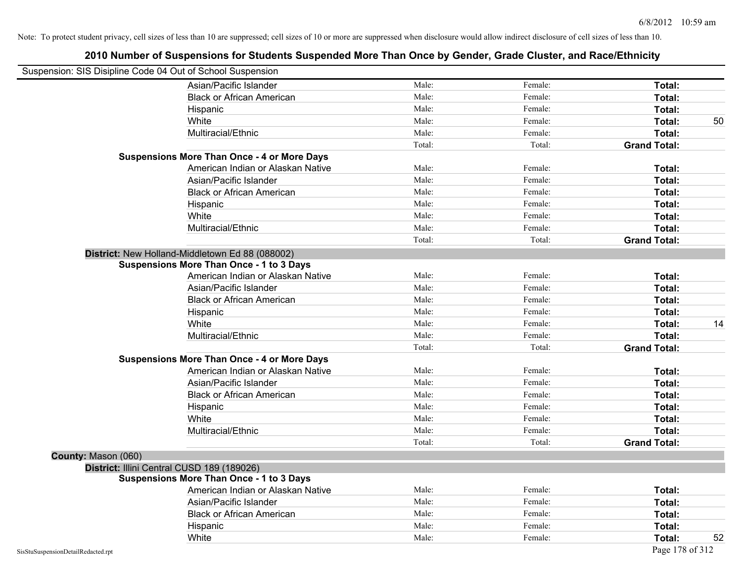| Suspension: SIS Disipline Code 04 Out of School Suspension |                                                    |        |         |                     |    |
|------------------------------------------------------------|----------------------------------------------------|--------|---------|---------------------|----|
|                                                            | Asian/Pacific Islander                             | Male:  | Female: | Total:              |    |
|                                                            | <b>Black or African American</b>                   | Male:  | Female: | Total:              |    |
|                                                            | Hispanic                                           | Male:  | Female: | Total:              |    |
|                                                            | White                                              | Male:  | Female: | Total:              | 50 |
|                                                            | Multiracial/Ethnic                                 | Male:  | Female: | Total:              |    |
|                                                            |                                                    | Total: | Total:  | <b>Grand Total:</b> |    |
|                                                            | <b>Suspensions More Than Once - 4 or More Days</b> |        |         |                     |    |
|                                                            | American Indian or Alaskan Native                  | Male:  | Female: | Total:              |    |
|                                                            | Asian/Pacific Islander                             | Male:  | Female: | Total:              |    |
|                                                            | <b>Black or African American</b>                   | Male:  | Female: | Total:              |    |
|                                                            | Hispanic                                           | Male:  | Female: | Total:              |    |
|                                                            | White                                              | Male:  | Female: | Total:              |    |
|                                                            | Multiracial/Ethnic                                 | Male:  | Female: | Total:              |    |
|                                                            |                                                    | Total: | Total:  | <b>Grand Total:</b> |    |
|                                                            | District: New Holland-Middletown Ed 88 (088002)    |        |         |                     |    |
|                                                            | <b>Suspensions More Than Once - 1 to 3 Days</b>    |        |         |                     |    |
|                                                            | American Indian or Alaskan Native                  | Male:  | Female: | Total:              |    |
|                                                            | Asian/Pacific Islander                             | Male:  | Female: | Total:              |    |
|                                                            | <b>Black or African American</b>                   | Male:  | Female: | Total:              |    |
|                                                            | Hispanic                                           | Male:  | Female: | Total:              |    |
|                                                            | White                                              | Male:  | Female: | Total:              | 14 |
|                                                            | Multiracial/Ethnic                                 | Male:  | Female: | Total:              |    |
|                                                            |                                                    | Total: | Total:  | <b>Grand Total:</b> |    |
|                                                            | <b>Suspensions More Than Once - 4 or More Days</b> |        |         |                     |    |
|                                                            | American Indian or Alaskan Native                  | Male:  | Female: | Total:              |    |
|                                                            | Asian/Pacific Islander                             | Male:  | Female: | Total:              |    |
|                                                            | <b>Black or African American</b>                   | Male:  | Female: | Total:              |    |
|                                                            | Hispanic                                           | Male:  | Female: | Total:              |    |
|                                                            | White                                              | Male:  | Female: | Total:              |    |
|                                                            | Multiracial/Ethnic                                 | Male:  | Female: | Total:              |    |
|                                                            |                                                    | Total: | Total:  | <b>Grand Total:</b> |    |
| County: Mason (060)                                        |                                                    |        |         |                     |    |
|                                                            | District: Illini Central CUSD 189 (189026)         |        |         |                     |    |
|                                                            | <b>Suspensions More Than Once - 1 to 3 Days</b>    |        |         |                     |    |
|                                                            | American Indian or Alaskan Native                  | Male:  | Female: | Total:              |    |
|                                                            | Asian/Pacific Islander                             | Male:  | Female: | Total:              |    |
|                                                            | <b>Black or African American</b>                   | Male:  | Female: | Total:              |    |
|                                                            | Hispanic                                           | Male:  | Female: | Total:              |    |
|                                                            | White                                              | Male:  | Female: | Total:              | 52 |
| SisStuSuspensionDetailRedacted.rpt                         |                                                    |        |         | Page 178 of 312     |    |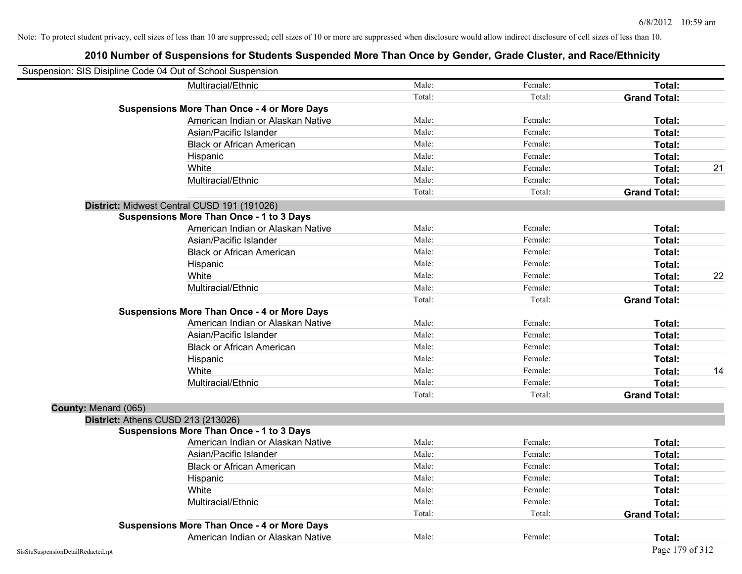|                      | Suspension: SIS Disipline Code 04 Out of School Suspension |        |         |                     |    |
|----------------------|------------------------------------------------------------|--------|---------|---------------------|----|
|                      | Multiracial/Ethnic                                         | Male:  | Female: | Total:              |    |
|                      |                                                            | Total: | Total:  | <b>Grand Total:</b> |    |
|                      | <b>Suspensions More Than Once - 4 or More Days</b>         |        |         |                     |    |
|                      | American Indian or Alaskan Native                          | Male:  | Female: | Total:              |    |
|                      | Asian/Pacific Islander                                     | Male:  | Female: | Total:              |    |
|                      | <b>Black or African American</b>                           | Male:  | Female: | Total:              |    |
|                      | Hispanic                                                   | Male:  | Female: | Total:              |    |
|                      | White                                                      | Male:  | Female: | Total:              | 21 |
|                      | Multiracial/Ethnic                                         | Male:  | Female: | Total:              |    |
|                      |                                                            | Total: | Total:  | <b>Grand Total:</b> |    |
|                      | District: Midwest Central CUSD 191 (191026)                |        |         |                     |    |
|                      | <b>Suspensions More Than Once - 1 to 3 Days</b>            |        |         |                     |    |
|                      | American Indian or Alaskan Native                          | Male:  | Female: | Total:              |    |
|                      | Asian/Pacific Islander                                     | Male:  | Female: | Total:              |    |
|                      | <b>Black or African American</b>                           | Male:  | Female: | Total:              |    |
|                      | Hispanic                                                   | Male:  | Female: | Total:              |    |
|                      | White                                                      | Male:  | Female: | Total:              | 22 |
|                      | Multiracial/Ethnic                                         | Male:  | Female: | Total:              |    |
|                      |                                                            | Total: | Total:  | <b>Grand Total:</b> |    |
|                      | <b>Suspensions More Than Once - 4 or More Days</b>         |        |         |                     |    |
|                      | American Indian or Alaskan Native                          | Male:  | Female: | Total:              |    |
|                      | Asian/Pacific Islander                                     | Male:  | Female: | Total:              |    |
|                      | <b>Black or African American</b>                           | Male:  | Female: | Total:              |    |
|                      | Hispanic                                                   | Male:  | Female: | Total:              |    |
|                      | White                                                      | Male:  | Female: | Total:              | 14 |
|                      | Multiracial/Ethnic                                         | Male:  | Female: | Total:              |    |
|                      |                                                            | Total: | Total:  | <b>Grand Total:</b> |    |
| County: Menard (065) |                                                            |        |         |                     |    |
|                      | District: Athens CUSD 213 (213026)                         |        |         |                     |    |
|                      | <b>Suspensions More Than Once - 1 to 3 Days</b>            |        |         |                     |    |
|                      | American Indian or Alaskan Native                          | Male:  | Female: | Total:              |    |
|                      | Asian/Pacific Islander                                     | Male:  | Female: | Total:              |    |
|                      | <b>Black or African American</b>                           | Male:  | Female: | Total:              |    |
|                      | Hispanic                                                   | Male:  | Female: | Total:              |    |
|                      | White                                                      | Male:  | Female: | Total:              |    |
|                      | Multiracial/Ethnic                                         | Male:  | Female: | Total:              |    |
|                      |                                                            | Total: | Total:  | <b>Grand Total:</b> |    |
|                      | <b>Suspensions More Than Once - 4 or More Days</b>         |        |         |                     |    |
|                      | American Indian or Alaskan Native                          | Male:  | Female: | Total:              |    |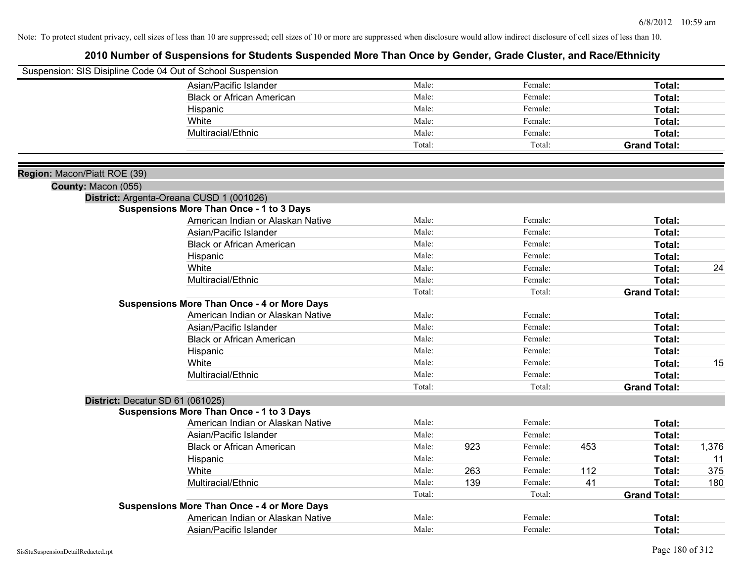|                              | Suspension: SIS Disipline Code 04 Out of School Suspension                                  |        |     |         |     |                     |       |
|------------------------------|---------------------------------------------------------------------------------------------|--------|-----|---------|-----|---------------------|-------|
|                              | Asian/Pacific Islander                                                                      | Male:  |     | Female: |     | Total:              |       |
|                              | <b>Black or African American</b>                                                            | Male:  |     | Female: |     | Total:              |       |
|                              | Hispanic                                                                                    | Male:  |     | Female: |     | Total:              |       |
|                              | White                                                                                       | Male:  |     | Female: |     | Total:              |       |
|                              | Multiracial/Ethnic                                                                          | Male:  |     | Female: |     | Total:              |       |
|                              |                                                                                             | Total: |     | Total:  |     | <b>Grand Total:</b> |       |
|                              |                                                                                             |        |     |         |     |                     |       |
| Region: Macon/Piatt ROE (39) |                                                                                             |        |     |         |     |                     |       |
| County: Macon (055)          |                                                                                             |        |     |         |     |                     |       |
|                              | District: Argenta-Oreana CUSD 1 (001026)<br><b>Suspensions More Than Once - 1 to 3 Days</b> |        |     |         |     |                     |       |
|                              | American Indian or Alaskan Native                                                           | Male:  |     | Female: |     | Total:              |       |
|                              | Asian/Pacific Islander                                                                      | Male:  |     | Female: |     | Total:              |       |
|                              | <b>Black or African American</b>                                                            | Male:  |     | Female: |     | Total:              |       |
|                              | Hispanic                                                                                    | Male:  |     | Female: |     | Total:              |       |
|                              | White                                                                                       | Male:  |     | Female: |     | Total:              | 24    |
|                              | Multiracial/Ethnic                                                                          | Male:  |     | Female: |     | Total:              |       |
|                              |                                                                                             | Total: |     | Total:  |     | <b>Grand Total:</b> |       |
|                              | <b>Suspensions More Than Once - 4 or More Days</b>                                          |        |     |         |     |                     |       |
|                              | American Indian or Alaskan Native                                                           | Male:  |     | Female: |     | Total:              |       |
|                              | Asian/Pacific Islander                                                                      | Male:  |     | Female: |     | Total:              |       |
|                              | <b>Black or African American</b>                                                            | Male:  |     | Female: |     | Total:              |       |
|                              | Hispanic                                                                                    | Male:  |     | Female: |     | Total:              |       |
|                              | White                                                                                       | Male:  |     | Female: |     | Total:              | 15    |
|                              | Multiracial/Ethnic                                                                          | Male:  |     | Female: |     | Total:              |       |
|                              |                                                                                             | Total: |     | Total:  |     | <b>Grand Total:</b> |       |
|                              | District: Decatur SD 61 (061025)                                                            |        |     |         |     |                     |       |
|                              | <b>Suspensions More Than Once - 1 to 3 Days</b>                                             |        |     |         |     |                     |       |
|                              | American Indian or Alaskan Native                                                           | Male:  |     | Female: |     | Total:              |       |
|                              | Asian/Pacific Islander                                                                      | Male:  |     | Female: |     | Total:              |       |
|                              | <b>Black or African American</b>                                                            | Male:  | 923 | Female: | 453 | Total:              | 1,376 |
|                              | Hispanic                                                                                    | Male:  |     | Female: |     | Total:              | 11    |
|                              | White                                                                                       | Male:  | 263 | Female: | 112 | Total:              | 375   |
|                              | Multiracial/Ethnic                                                                          | Male:  | 139 | Female: | 41  | Total:              | 180   |
|                              |                                                                                             | Total: |     | Total:  |     | <b>Grand Total:</b> |       |
|                              | <b>Suspensions More Than Once - 4 or More Days</b>                                          |        |     |         |     |                     |       |
|                              | American Indian or Alaskan Native                                                           | Male:  |     | Female: |     | Total:              |       |
|                              | Asian/Pacific Islander                                                                      | Male:  |     | Female: |     | Total:              |       |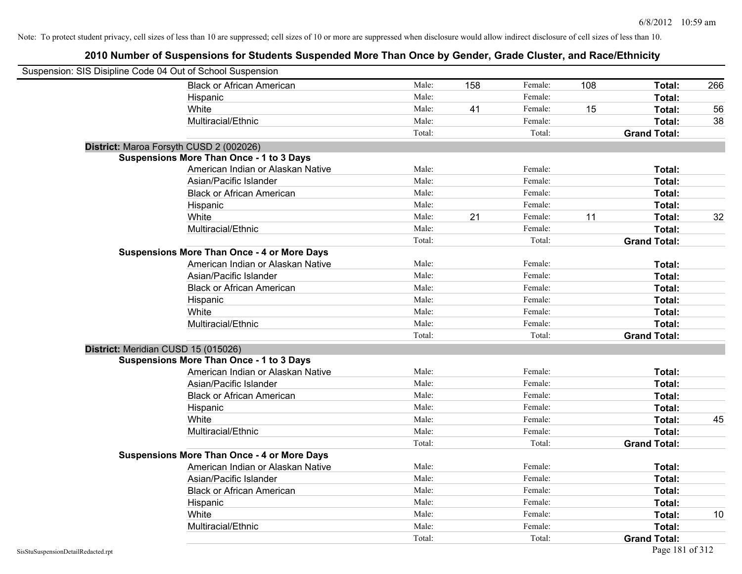| Suspension: SIS Disipline Code 04 Out of School Suspension |                                                    |        |     |         |     |                     |     |
|------------------------------------------------------------|----------------------------------------------------|--------|-----|---------|-----|---------------------|-----|
|                                                            | <b>Black or African American</b>                   | Male:  | 158 | Female: | 108 | Total:              | 266 |
|                                                            | Hispanic                                           | Male:  |     | Female: |     | Total:              |     |
|                                                            | White                                              | Male:  | 41  | Female: | 15  | Total:              | 56  |
|                                                            | Multiracial/Ethnic                                 | Male:  |     | Female: |     | Total:              | 38  |
|                                                            |                                                    | Total: |     | Total:  |     | <b>Grand Total:</b> |     |
| District: Maroa Forsyth CUSD 2 (002026)                    |                                                    |        |     |         |     |                     |     |
|                                                            | <b>Suspensions More Than Once - 1 to 3 Days</b>    |        |     |         |     |                     |     |
|                                                            | American Indian or Alaskan Native                  | Male:  |     | Female: |     | Total:              |     |
|                                                            | Asian/Pacific Islander                             | Male:  |     | Female: |     | Total:              |     |
|                                                            | <b>Black or African American</b>                   | Male:  |     | Female: |     | Total:              |     |
|                                                            | Hispanic                                           | Male:  |     | Female: |     | Total:              |     |
|                                                            | White                                              | Male:  | 21  | Female: | 11  | Total:              | 32  |
|                                                            | Multiracial/Ethnic                                 | Male:  |     | Female: |     | Total:              |     |
|                                                            |                                                    | Total: |     | Total:  |     | <b>Grand Total:</b> |     |
|                                                            | <b>Suspensions More Than Once - 4 or More Days</b> |        |     |         |     |                     |     |
|                                                            | American Indian or Alaskan Native                  | Male:  |     | Female: |     | Total:              |     |
|                                                            | Asian/Pacific Islander                             | Male:  |     | Female: |     | Total:              |     |
|                                                            | <b>Black or African American</b>                   | Male:  |     | Female: |     | Total:              |     |
|                                                            | Hispanic                                           | Male:  |     | Female: |     | Total:              |     |
|                                                            | White                                              | Male:  |     | Female: |     | Total:              |     |
|                                                            | Multiracial/Ethnic                                 | Male:  |     | Female: |     | Total:              |     |
|                                                            |                                                    | Total: |     | Total:  |     | <b>Grand Total:</b> |     |
| District: Meridian CUSD 15 (015026)                        |                                                    |        |     |         |     |                     |     |
|                                                            | <b>Suspensions More Than Once - 1 to 3 Days</b>    |        |     |         |     |                     |     |
|                                                            | American Indian or Alaskan Native                  | Male:  |     | Female: |     | Total:              |     |
|                                                            | Asian/Pacific Islander                             | Male:  |     | Female: |     | Total:              |     |
|                                                            | <b>Black or African American</b>                   | Male:  |     | Female: |     | Total:              |     |
|                                                            | Hispanic                                           | Male:  |     | Female: |     | Total:              |     |
|                                                            | White                                              | Male:  |     | Female: |     | Total:              | 45  |
|                                                            | Multiracial/Ethnic                                 | Male:  |     | Female: |     | Total:              |     |
|                                                            |                                                    | Total: |     | Total:  |     | <b>Grand Total:</b> |     |
|                                                            | <b>Suspensions More Than Once - 4 or More Days</b> |        |     |         |     |                     |     |
|                                                            | American Indian or Alaskan Native                  | Male:  |     | Female: |     | Total:              |     |
|                                                            | Asian/Pacific Islander                             | Male:  |     | Female: |     | Total:              |     |
|                                                            | <b>Black or African American</b>                   | Male:  |     | Female: |     | Total:              |     |
|                                                            | Hispanic                                           | Male:  |     | Female: |     | Total:              |     |
|                                                            | White                                              | Male:  |     | Female: |     | Total:              | 10  |
|                                                            | Multiracial/Ethnic                                 | Male:  |     | Female: |     | Total:              |     |
|                                                            |                                                    | Total: |     | Total:  |     | <b>Grand Total:</b> |     |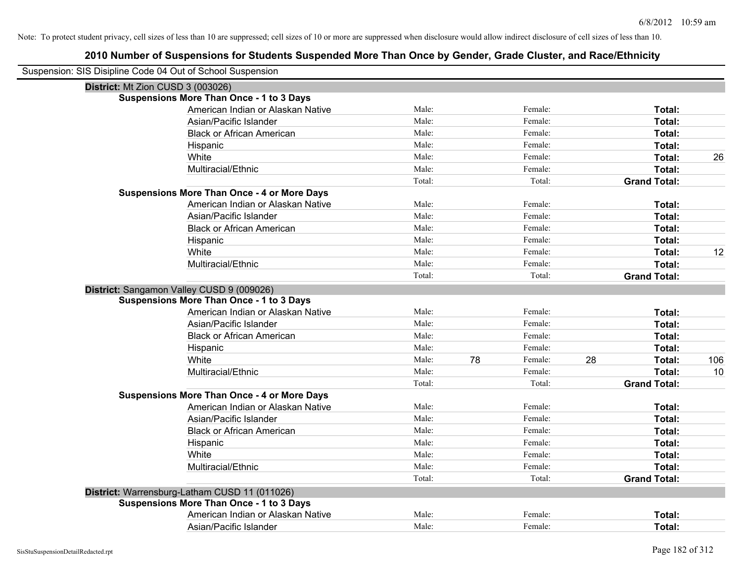| Suspension: SIS Disipline Code 04 Out of School Suspension |        |    |         |    |                     |     |
|------------------------------------------------------------|--------|----|---------|----|---------------------|-----|
| District: Mt Zion CUSD 3 (003026)                          |        |    |         |    |                     |     |
| Suspensions More Than Once - 1 to 3 Days                   |        |    |         |    |                     |     |
| American Indian or Alaskan Native                          | Male:  |    | Female: |    | Total:              |     |
| Asian/Pacific Islander                                     | Male:  |    | Female: |    | Total:              |     |
| <b>Black or African American</b>                           | Male:  |    | Female: |    | Total:              |     |
| Hispanic                                                   | Male:  |    | Female: |    | Total:              |     |
| White                                                      | Male:  |    | Female: |    | Total:              | 26  |
| Multiracial/Ethnic                                         | Male:  |    | Female: |    | Total:              |     |
|                                                            | Total: |    | Total:  |    | <b>Grand Total:</b> |     |
| <b>Suspensions More Than Once - 4 or More Days</b>         |        |    |         |    |                     |     |
| American Indian or Alaskan Native                          | Male:  |    | Female: |    | Total:              |     |
| Asian/Pacific Islander                                     | Male:  |    | Female: |    | Total:              |     |
| <b>Black or African American</b>                           | Male:  |    | Female: |    | Total:              |     |
| Hispanic                                                   | Male:  |    | Female: |    | Total:              |     |
| White                                                      | Male:  |    | Female: |    | Total:              | 12  |
| Multiracial/Ethnic                                         | Male:  |    | Female: |    | Total:              |     |
|                                                            | Total: |    | Total:  |    | <b>Grand Total:</b> |     |
| District: Sangamon Valley CUSD 9 (009026)                  |        |    |         |    |                     |     |
| <b>Suspensions More Than Once - 1 to 3 Days</b>            |        |    |         |    |                     |     |
| American Indian or Alaskan Native                          | Male:  |    | Female: |    | Total:              |     |
| Asian/Pacific Islander                                     | Male:  |    | Female: |    | Total:              |     |
| <b>Black or African American</b>                           | Male:  |    | Female: |    | Total:              |     |
| Hispanic                                                   | Male:  |    | Female: |    | Total:              |     |
| White                                                      | Male:  | 78 | Female: | 28 | Total:              | 106 |
| Multiracial/Ethnic                                         | Male:  |    | Female: |    | Total:              | 10  |
|                                                            | Total: |    | Total:  |    | <b>Grand Total:</b> |     |
| <b>Suspensions More Than Once - 4 or More Days</b>         |        |    |         |    |                     |     |
| American Indian or Alaskan Native                          | Male:  |    | Female: |    | Total:              |     |
| Asian/Pacific Islander                                     | Male:  |    | Female: |    | Total:              |     |
| <b>Black or African American</b>                           | Male:  |    | Female: |    | Total:              |     |
| Hispanic                                                   | Male:  |    | Female: |    | Total:              |     |
| White                                                      | Male:  |    | Female: |    | Total:              |     |
| Multiracial/Ethnic                                         | Male:  |    | Female: |    | Total:              |     |
|                                                            | Total: |    | Total:  |    | <b>Grand Total:</b> |     |
| District: Warrensburg-Latham CUSD 11 (011026)              |        |    |         |    |                     |     |
| <b>Suspensions More Than Once - 1 to 3 Days</b>            |        |    |         |    |                     |     |
| American Indian or Alaskan Native                          | Male:  |    | Female: |    | Total:              |     |
| Asian/Pacific Islander                                     | Male:  |    | Female: |    | Total:              |     |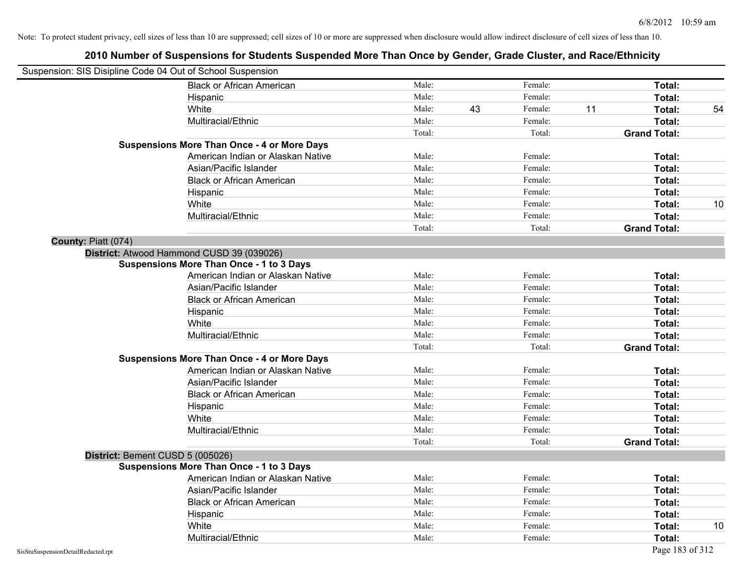| Suspension: SIS Disipline Code 04 Out of School Suspension |                                                    |        |    |         |    |                     |    |
|------------------------------------------------------------|----------------------------------------------------|--------|----|---------|----|---------------------|----|
|                                                            | <b>Black or African American</b>                   | Male:  |    | Female: |    | Total:              |    |
|                                                            | Hispanic                                           | Male:  |    | Female: |    | Total:              |    |
|                                                            | White                                              | Male:  | 43 | Female: | 11 | Total:              | 54 |
|                                                            | Multiracial/Ethnic                                 | Male:  |    | Female: |    | Total:              |    |
|                                                            |                                                    | Total: |    | Total:  |    | <b>Grand Total:</b> |    |
|                                                            | <b>Suspensions More Than Once - 4 or More Days</b> |        |    |         |    |                     |    |
|                                                            | American Indian or Alaskan Native                  | Male:  |    | Female: |    | Total:              |    |
|                                                            | Asian/Pacific Islander                             | Male:  |    | Female: |    | Total:              |    |
|                                                            | <b>Black or African American</b>                   | Male:  |    | Female: |    | Total:              |    |
|                                                            | Hispanic                                           | Male:  |    | Female: |    | Total:              |    |
|                                                            | White                                              | Male:  |    | Female: |    | Total:              | 10 |
|                                                            | Multiracial/Ethnic                                 | Male:  |    | Female: |    | Total:              |    |
|                                                            |                                                    | Total: |    | Total:  |    | <b>Grand Total:</b> |    |
| County: Piatt (074)                                        |                                                    |        |    |         |    |                     |    |
|                                                            | District: Atwood Hammond CUSD 39 (039026)          |        |    |         |    |                     |    |
|                                                            | <b>Suspensions More Than Once - 1 to 3 Days</b>    |        |    |         |    |                     |    |
|                                                            | American Indian or Alaskan Native                  | Male:  |    | Female: |    | Total:              |    |
|                                                            | Asian/Pacific Islander                             | Male:  |    | Female: |    | Total:              |    |
|                                                            | <b>Black or African American</b>                   | Male:  |    | Female: |    | Total:              |    |
|                                                            | Hispanic                                           | Male:  |    | Female: |    | Total:              |    |
|                                                            | White                                              | Male:  |    | Female: |    | Total:              |    |
|                                                            | Multiracial/Ethnic                                 | Male:  |    | Female: |    | Total:              |    |
|                                                            |                                                    | Total: |    | Total:  |    | <b>Grand Total:</b> |    |
|                                                            | <b>Suspensions More Than Once - 4 or More Days</b> |        |    |         |    |                     |    |
|                                                            | American Indian or Alaskan Native                  | Male:  |    | Female: |    | Total:              |    |
|                                                            | Asian/Pacific Islander                             | Male:  |    | Female: |    | Total:              |    |
|                                                            | <b>Black or African American</b>                   | Male:  |    | Female: |    | Total:              |    |
|                                                            | Hispanic                                           | Male:  |    | Female: |    | Total:              |    |
|                                                            | White                                              | Male:  |    | Female: |    | Total:              |    |
|                                                            | Multiracial/Ethnic                                 | Male:  |    | Female: |    | Total:              |    |
|                                                            |                                                    | Total: |    | Total:  |    | <b>Grand Total:</b> |    |
| District: Bement CUSD 5 (005026)                           |                                                    |        |    |         |    |                     |    |
|                                                            | <b>Suspensions More Than Once - 1 to 3 Days</b>    |        |    |         |    |                     |    |
|                                                            | American Indian or Alaskan Native                  | Male:  |    | Female: |    | Total:              |    |
|                                                            | Asian/Pacific Islander                             | Male:  |    | Female: |    | Total:              |    |
|                                                            | <b>Black or African American</b>                   | Male:  |    | Female: |    | Total:              |    |
|                                                            | Hispanic                                           | Male:  |    | Female: |    | Total:              |    |
|                                                            | White                                              | Male:  |    | Female: |    | Total:              | 10 |
|                                                            | Multiracial/Ethnic                                 | Male:  |    | Female: |    | Total:              |    |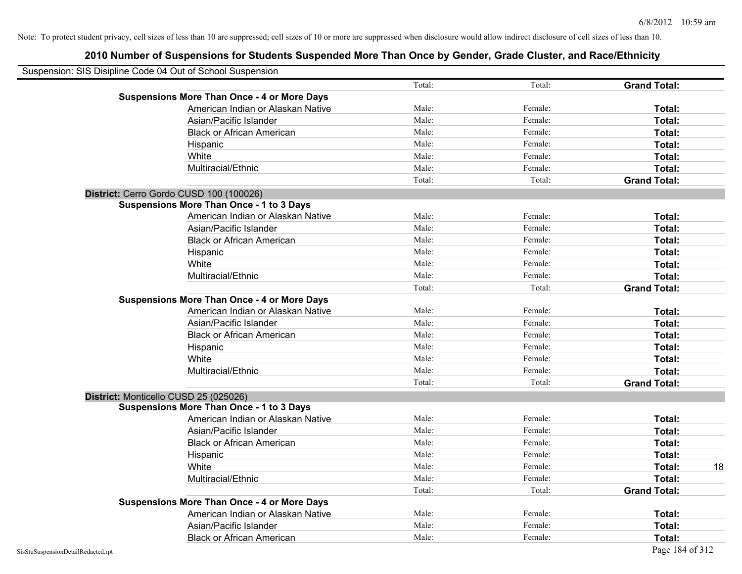| Suspension: SIS Disipline Code 04 Out of School Suspension |                                                    |        |         |                     |  |
|------------------------------------------------------------|----------------------------------------------------|--------|---------|---------------------|--|
|                                                            |                                                    | Total: | Total:  | <b>Grand Total:</b> |  |
|                                                            | <b>Suspensions More Than Once - 4 or More Days</b> |        |         |                     |  |
|                                                            | American Indian or Alaskan Native                  | Male:  | Female: | Total:              |  |
|                                                            | Asian/Pacific Islander                             | Male:  | Female: | Total:              |  |
|                                                            | <b>Black or African American</b>                   | Male:  | Female: | Total:              |  |
|                                                            | Hispanic                                           | Male:  | Female: | Total:              |  |
|                                                            | White                                              | Male:  | Female: | Total:              |  |
|                                                            | Multiracial/Ethnic                                 | Male:  | Female: | Total:              |  |
|                                                            |                                                    | Total: | Total:  | <b>Grand Total:</b> |  |
| District: Cerro Gordo CUSD 100 (100026)                    |                                                    |        |         |                     |  |
|                                                            | <b>Suspensions More Than Once - 1 to 3 Days</b>    |        |         |                     |  |
|                                                            | American Indian or Alaskan Native                  | Male:  | Female: | Total:              |  |
|                                                            | Asian/Pacific Islander                             | Male:  | Female: | Total:              |  |
|                                                            | <b>Black or African American</b>                   | Male:  | Female: | Total:              |  |
|                                                            | Hispanic                                           | Male:  | Female: | Total:              |  |
|                                                            | White                                              | Male:  | Female: | Total:              |  |
|                                                            | Multiracial/Ethnic                                 | Male:  | Female: | Total:              |  |
|                                                            |                                                    | Total: | Total:  | <b>Grand Total:</b> |  |
|                                                            | <b>Suspensions More Than Once - 4 or More Days</b> |        |         |                     |  |
|                                                            | American Indian or Alaskan Native                  | Male:  | Female: | Total:              |  |
|                                                            | Asian/Pacific Islander                             | Male:  | Female: | Total:              |  |
|                                                            | <b>Black or African American</b>                   | Male:  | Female: | Total:              |  |
|                                                            | Hispanic                                           | Male:  | Female: | Total:              |  |
|                                                            | White                                              | Male:  | Female: | Total:              |  |
|                                                            | Multiracial/Ethnic                                 | Male:  | Female: | Total:              |  |
|                                                            |                                                    | Total: | Total:  | <b>Grand Total:</b> |  |
| District: Monticello CUSD 25 (025026)                      |                                                    |        |         |                     |  |
|                                                            | <b>Suspensions More Than Once - 1 to 3 Days</b>    |        |         |                     |  |
|                                                            | American Indian or Alaskan Native                  | Male:  | Female: | Total:              |  |
|                                                            | Asian/Pacific Islander                             | Male:  | Female: | Total:              |  |
|                                                            | <b>Black or African American</b>                   | Male:  | Female: | Total:              |  |
|                                                            | Hispanic                                           | Male:  | Female: | Total:              |  |
|                                                            | White                                              | Male:  | Female: | Total:              |  |
|                                                            | Multiracial/Ethnic                                 | Male:  | Female: | Total:              |  |
|                                                            |                                                    | Total: | Total:  | <b>Grand Total:</b> |  |
|                                                            | <b>Suspensions More Than Once - 4 or More Days</b> |        |         |                     |  |
|                                                            | American Indian or Alaskan Native                  | Male:  | Female: | Total:              |  |
|                                                            | Asian/Pacific Islander                             | Male:  | Female: | Total:              |  |
|                                                            | <b>Black or African American</b>                   | Male:  | Female: | Total:              |  |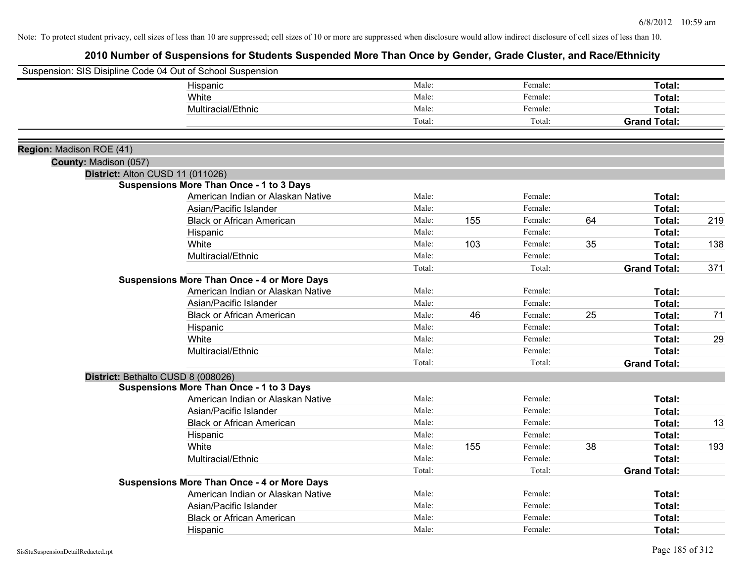|                          | Suspension: SIS Disipline Code 04 Out of School Suspension |        |     |         |    |                     |     |
|--------------------------|------------------------------------------------------------|--------|-----|---------|----|---------------------|-----|
|                          | Hispanic                                                   | Male:  |     | Female: |    | Total:              |     |
|                          | White                                                      | Male:  |     | Female: |    | Total:              |     |
|                          | Multiracial/Ethnic                                         | Male:  |     | Female: |    | Total:              |     |
|                          |                                                            | Total: |     | Total:  |    | <b>Grand Total:</b> |     |
|                          |                                                            |        |     |         |    |                     |     |
| Region: Madison ROE (41) |                                                            |        |     |         |    |                     |     |
| County: Madison (057)    |                                                            |        |     |         |    |                     |     |
|                          | District: Alton CUSD 11 (011026)                           |        |     |         |    |                     |     |
|                          | <b>Suspensions More Than Once - 1 to 3 Days</b>            |        |     |         |    |                     |     |
|                          | American Indian or Alaskan Native                          | Male:  |     | Female: |    | Total:              |     |
|                          | Asian/Pacific Islander                                     | Male:  |     | Female: |    | Total:              |     |
|                          | <b>Black or African American</b>                           | Male:  | 155 | Female: | 64 | Total:              | 219 |
|                          | Hispanic                                                   | Male:  |     | Female: |    | Total:              |     |
|                          | White                                                      | Male:  | 103 | Female: | 35 | Total:              | 138 |
|                          | Multiracial/Ethnic                                         | Male:  |     | Female: |    | Total:              |     |
|                          |                                                            | Total: |     | Total:  |    | <b>Grand Total:</b> | 371 |
|                          | <b>Suspensions More Than Once - 4 or More Days</b>         |        |     |         |    |                     |     |
|                          | American Indian or Alaskan Native                          | Male:  |     | Female: |    | Total:              |     |
|                          | Asian/Pacific Islander                                     | Male:  |     | Female: |    | Total:              |     |
|                          | <b>Black or African American</b>                           | Male:  | 46  | Female: | 25 | Total:              | 71  |
|                          | Hispanic                                                   | Male:  |     | Female: |    | Total:              |     |
|                          | White                                                      | Male:  |     | Female: |    | Total:              | 29  |
|                          | Multiracial/Ethnic                                         | Male:  |     | Female: |    | Total:              |     |
|                          |                                                            | Total: |     | Total:  |    | <b>Grand Total:</b> |     |
|                          | District: Bethalto CUSD 8 (008026)                         |        |     |         |    |                     |     |
|                          | <b>Suspensions More Than Once - 1 to 3 Days</b>            |        |     |         |    |                     |     |
|                          | American Indian or Alaskan Native                          | Male:  |     | Female: |    | Total:              |     |
|                          | Asian/Pacific Islander                                     | Male:  |     | Female: |    | Total:              |     |
|                          | <b>Black or African American</b>                           | Male:  |     | Female: |    | Total:              | 13  |
|                          | Hispanic                                                   | Male:  |     | Female: |    | Total:              |     |
|                          | White                                                      | Male:  | 155 | Female: | 38 | Total:              | 193 |
|                          | Multiracial/Ethnic                                         | Male:  |     | Female: |    | Total:              |     |
|                          |                                                            | Total: |     | Total:  |    | <b>Grand Total:</b> |     |
|                          | <b>Suspensions More Than Once - 4 or More Days</b>         |        |     |         |    |                     |     |
|                          | American Indian or Alaskan Native                          | Male:  |     | Female: |    | Total:              |     |
|                          | Asian/Pacific Islander                                     | Male:  |     | Female: |    | Total:              |     |
|                          | <b>Black or African American</b>                           | Male:  |     | Female: |    | Total:              |     |
|                          | Hispanic                                                   | Male:  |     | Female: |    | Total:              |     |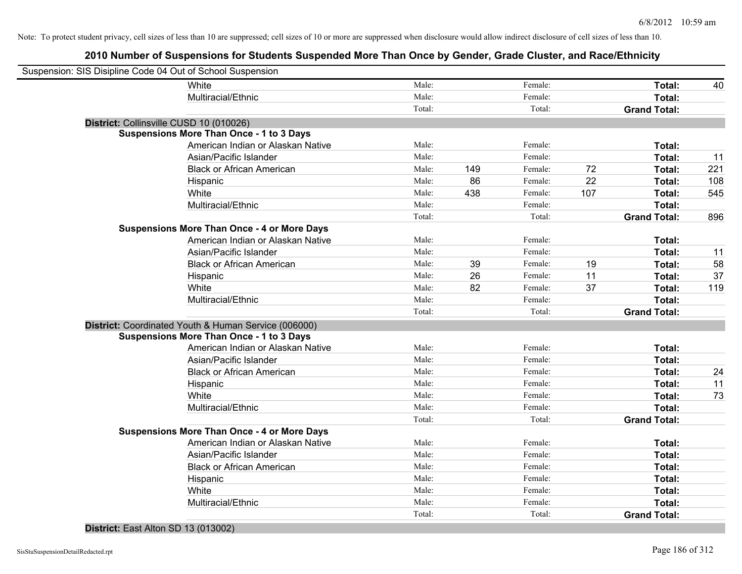# **2010 Number of Suspensions for Students Suspended More Than Once by Gender, Grade Cluster, and Race/Ethnicity**

| Suspension: SIS Disipline Code 04 Out of School Suspension |                                                      |        |     |         |     |                     |     |
|------------------------------------------------------------|------------------------------------------------------|--------|-----|---------|-----|---------------------|-----|
|                                                            | White                                                | Male:  |     | Female: |     | Total:              | 40  |
|                                                            | Multiracial/Ethnic                                   | Male:  |     | Female: |     | Total:              |     |
|                                                            |                                                      | Total: |     | Total:  |     | <b>Grand Total:</b> |     |
|                                                            | District: Collinsville CUSD 10 (010026)              |        |     |         |     |                     |     |
|                                                            | <b>Suspensions More Than Once - 1 to 3 Days</b>      |        |     |         |     |                     |     |
|                                                            | American Indian or Alaskan Native                    | Male:  |     | Female: |     | Total:              |     |
|                                                            | Asian/Pacific Islander                               | Male:  |     | Female: |     | Total:              | 11  |
|                                                            | <b>Black or African American</b>                     | Male:  | 149 | Female: | 72  | Total:              | 221 |
|                                                            | Hispanic                                             | Male:  | 86  | Female: | 22  | Total:              | 108 |
|                                                            | White                                                | Male:  | 438 | Female: | 107 | Total:              | 545 |
|                                                            | Multiracial/Ethnic                                   | Male:  |     | Female: |     | Total:              |     |
|                                                            |                                                      | Total: |     | Total:  |     | <b>Grand Total:</b> | 896 |
|                                                            | <b>Suspensions More Than Once - 4 or More Days</b>   |        |     |         |     |                     |     |
|                                                            | American Indian or Alaskan Native                    | Male:  |     | Female: |     | Total:              |     |
|                                                            | Asian/Pacific Islander                               | Male:  |     | Female: |     | Total:              | 11  |
|                                                            | <b>Black or African American</b>                     | Male:  | 39  | Female: | 19  | Total:              | 58  |
|                                                            | Hispanic                                             | Male:  | 26  | Female: | 11  | Total:              | 37  |
|                                                            | White                                                | Male:  | 82  | Female: | 37  | Total:              | 119 |
|                                                            | Multiracial/Ethnic                                   | Male:  |     | Female: |     | Total:              |     |
|                                                            |                                                      | Total: |     | Total:  |     | <b>Grand Total:</b> |     |
|                                                            | District: Coordinated Youth & Human Service (006000) |        |     |         |     |                     |     |
|                                                            | <b>Suspensions More Than Once - 1 to 3 Days</b>      |        |     |         |     |                     |     |
|                                                            | American Indian or Alaskan Native                    | Male:  |     | Female: |     | Total:              |     |
|                                                            | Asian/Pacific Islander                               | Male:  |     | Female: |     | Total:              |     |
|                                                            | <b>Black or African American</b>                     | Male:  |     | Female: |     | Total:              | 24  |
|                                                            | Hispanic                                             | Male:  |     | Female: |     | Total:              | 11  |
|                                                            | White                                                | Male:  |     | Female: |     | Total:              | 73  |
|                                                            | Multiracial/Ethnic                                   | Male:  |     | Female: |     | Total:              |     |
|                                                            |                                                      | Total: |     | Total:  |     | <b>Grand Total:</b> |     |
|                                                            | <b>Suspensions More Than Once - 4 or More Days</b>   |        |     |         |     |                     |     |
|                                                            | American Indian or Alaskan Native                    | Male:  |     | Female: |     | Total:              |     |
|                                                            | Asian/Pacific Islander                               | Male:  |     | Female: |     | Total:              |     |
|                                                            | <b>Black or African American</b>                     | Male:  |     | Female: |     | Total:              |     |
|                                                            | Hispanic                                             | Male:  |     | Female: |     | Total:              |     |
|                                                            | White                                                | Male:  |     | Female: |     | Total:              |     |
|                                                            | Multiracial/Ethnic                                   | Male:  |     | Female: |     | Total:              |     |
|                                                            |                                                      | Total: |     | Total:  |     | <b>Grand Total:</b> |     |
|                                                            |                                                      |        |     |         |     |                     |     |

#### **District:** East Alton SD 13 (013002)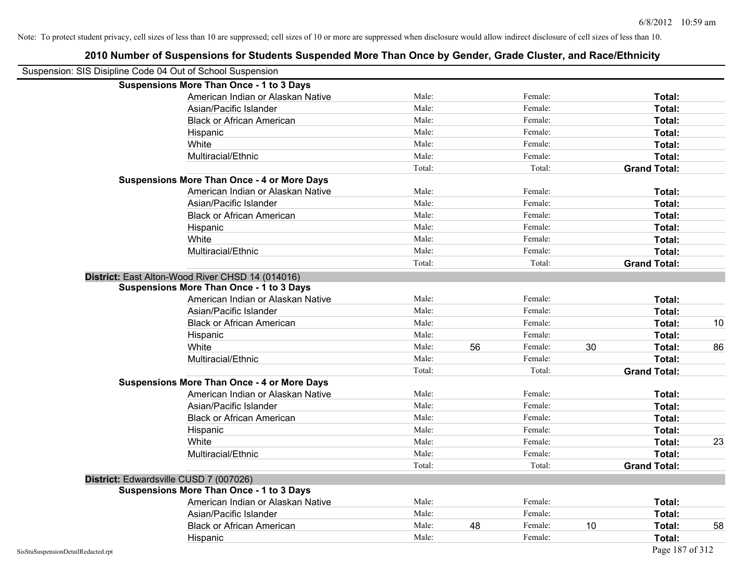|                                    | Suspension: SIS Disipline Code 04 Out of School Suspension |        |    |         |    |                     |    |
|------------------------------------|------------------------------------------------------------|--------|----|---------|----|---------------------|----|
|                                    | <b>Suspensions More Than Once - 1 to 3 Days</b>            |        |    |         |    |                     |    |
|                                    | American Indian or Alaskan Native                          | Male:  |    | Female: |    | Total:              |    |
|                                    | Asian/Pacific Islander                                     | Male:  |    | Female: |    | Total:              |    |
|                                    | <b>Black or African American</b>                           | Male:  |    | Female: |    | Total:              |    |
|                                    | Hispanic                                                   | Male:  |    | Female: |    | Total:              |    |
|                                    | White                                                      | Male:  |    | Female: |    | Total:              |    |
|                                    | Multiracial/Ethnic                                         | Male:  |    | Female: |    | Total:              |    |
|                                    |                                                            | Total: |    | Total:  |    | <b>Grand Total:</b> |    |
|                                    | <b>Suspensions More Than Once - 4 or More Days</b>         |        |    |         |    |                     |    |
|                                    | American Indian or Alaskan Native                          | Male:  |    | Female: |    | Total:              |    |
|                                    | Asian/Pacific Islander                                     | Male:  |    | Female: |    | Total:              |    |
|                                    | <b>Black or African American</b>                           | Male:  |    | Female: |    | Total:              |    |
|                                    | Hispanic                                                   | Male:  |    | Female: |    | Total:              |    |
|                                    | White                                                      | Male:  |    | Female: |    | Total:              |    |
|                                    | Multiracial/Ethnic                                         | Male:  |    | Female: |    | Total:              |    |
|                                    |                                                            | Total: |    | Total:  |    | <b>Grand Total:</b> |    |
|                                    | District: East Alton-Wood River CHSD 14 (014016)           |        |    |         |    |                     |    |
|                                    | <b>Suspensions More Than Once - 1 to 3 Days</b>            |        |    |         |    |                     |    |
|                                    | American Indian or Alaskan Native                          | Male:  |    | Female: |    | Total:              |    |
|                                    | Asian/Pacific Islander                                     | Male:  |    | Female: |    | Total:              |    |
|                                    | <b>Black or African American</b>                           | Male:  |    | Female: |    | Total:              | 10 |
|                                    | Hispanic                                                   | Male:  |    | Female: |    | Total:              |    |
|                                    | White                                                      | Male:  | 56 | Female: | 30 | Total:              | 86 |
|                                    | Multiracial/Ethnic                                         | Male:  |    | Female: |    | Total:              |    |
|                                    |                                                            | Total: |    | Total:  |    | <b>Grand Total:</b> |    |
|                                    | <b>Suspensions More Than Once - 4 or More Days</b>         |        |    |         |    |                     |    |
|                                    | American Indian or Alaskan Native                          | Male:  |    | Female: |    | Total:              |    |
|                                    | Asian/Pacific Islander                                     | Male:  |    | Female: |    | Total:              |    |
|                                    | <b>Black or African American</b>                           | Male:  |    | Female: |    | Total:              |    |
|                                    | Hispanic                                                   | Male:  |    | Female: |    | Total:              |    |
|                                    | White                                                      | Male:  |    | Female: |    | Total:              | 23 |
|                                    | Multiracial/Ethnic                                         | Male:  |    | Female: |    | Total:              |    |
|                                    |                                                            | Total: |    | Total:  |    | <b>Grand Total:</b> |    |
|                                    | District: Edwardsville CUSD 7 (007026)                     |        |    |         |    |                     |    |
|                                    | <b>Suspensions More Than Once - 1 to 3 Days</b>            |        |    |         |    |                     |    |
|                                    | American Indian or Alaskan Native                          | Male:  |    | Female: |    | Total:              |    |
|                                    | Asian/Pacific Islander                                     | Male:  |    | Female: |    | Total:              |    |
|                                    | <b>Black or African American</b>                           | Male:  | 48 | Female: | 10 | Total:              | 58 |
|                                    | Hispanic                                                   | Male:  |    | Female: |    | Total:              |    |
| SisStuSuspensionDetailRedacted.rpt |                                                            |        |    |         |    | Page 187 of 312     |    |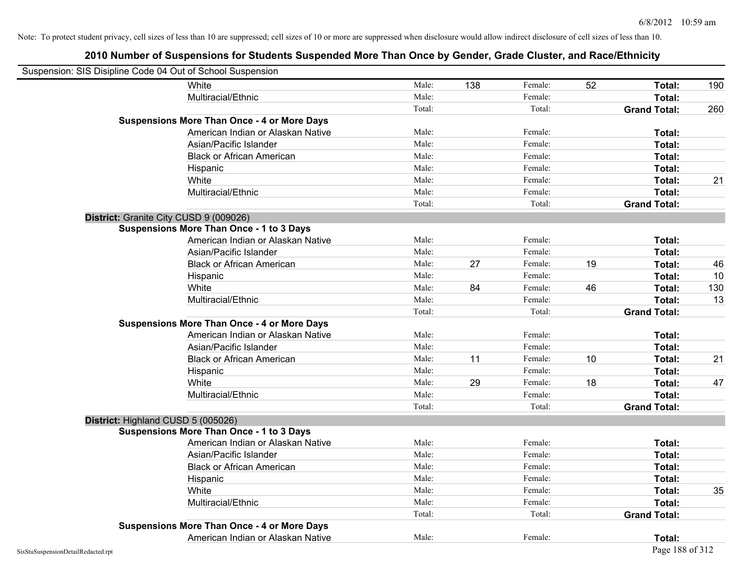| Suspension: SIS Disipline Code 04 Out of School Suspension |                                                    |        |     |         |    |                     |     |
|------------------------------------------------------------|----------------------------------------------------|--------|-----|---------|----|---------------------|-----|
|                                                            | White                                              | Male:  | 138 | Female: | 52 | Total:              | 190 |
|                                                            | Multiracial/Ethnic                                 | Male:  |     | Female: |    | Total:              |     |
|                                                            |                                                    | Total: |     | Total:  |    | <b>Grand Total:</b> | 260 |
|                                                            | <b>Suspensions More Than Once - 4 or More Days</b> |        |     |         |    |                     |     |
|                                                            | American Indian or Alaskan Native                  | Male:  |     | Female: |    | Total:              |     |
|                                                            | Asian/Pacific Islander                             | Male:  |     | Female: |    | Total:              |     |
|                                                            | <b>Black or African American</b>                   | Male:  |     | Female: |    | Total:              |     |
|                                                            | Hispanic                                           | Male:  |     | Female: |    | Total:              |     |
|                                                            | White                                              | Male:  |     | Female: |    | Total:              | 21  |
|                                                            | Multiracial/Ethnic                                 | Male:  |     | Female: |    | Total:              |     |
|                                                            |                                                    | Total: |     | Total:  |    | <b>Grand Total:</b> |     |
| District: Granite City CUSD 9 (009026)                     |                                                    |        |     |         |    |                     |     |
|                                                            | <b>Suspensions More Than Once - 1 to 3 Days</b>    |        |     |         |    |                     |     |
|                                                            | American Indian or Alaskan Native                  | Male:  |     | Female: |    | Total:              |     |
|                                                            | Asian/Pacific Islander                             | Male:  |     | Female: |    | Total:              |     |
|                                                            | <b>Black or African American</b>                   | Male:  | 27  | Female: | 19 | Total:              | 46  |
|                                                            | Hispanic                                           | Male:  |     | Female: |    | Total:              | 10  |
|                                                            | White                                              | Male:  | 84  | Female: | 46 | Total:              | 130 |
|                                                            | Multiracial/Ethnic                                 | Male:  |     | Female: |    | Total:              | 13  |
|                                                            |                                                    | Total: |     | Total:  |    | <b>Grand Total:</b> |     |
|                                                            | <b>Suspensions More Than Once - 4 or More Days</b> |        |     |         |    |                     |     |
|                                                            | American Indian or Alaskan Native                  | Male:  |     | Female: |    | Total:              |     |
|                                                            | Asian/Pacific Islander                             | Male:  |     | Female: |    | Total:              |     |
|                                                            | <b>Black or African American</b>                   | Male:  | 11  | Female: | 10 | Total:              | 21  |
|                                                            | Hispanic                                           | Male:  |     | Female: |    | Total:              |     |
|                                                            | White                                              | Male:  | 29  | Female: | 18 | Total:              | 47  |
|                                                            | Multiracial/Ethnic                                 | Male:  |     | Female: |    | Total:              |     |
|                                                            |                                                    | Total: |     | Total:  |    | <b>Grand Total:</b> |     |
| District: Highland CUSD 5 (005026)                         |                                                    |        |     |         |    |                     |     |
|                                                            | <b>Suspensions More Than Once - 1 to 3 Days</b>    |        |     |         |    |                     |     |
|                                                            | American Indian or Alaskan Native                  | Male:  |     | Female: |    | Total:              |     |
|                                                            | Asian/Pacific Islander                             | Male:  |     | Female: |    | Total:              |     |
|                                                            | <b>Black or African American</b>                   | Male:  |     | Female: |    | Total:              |     |
|                                                            | Hispanic                                           | Male:  |     | Female: |    | Total:              |     |
|                                                            | White                                              | Male:  |     | Female: |    | Total:              | 35  |
|                                                            | Multiracial/Ethnic                                 | Male:  |     | Female: |    | Total:              |     |
|                                                            |                                                    | Total: |     | Total:  |    | <b>Grand Total:</b> |     |
|                                                            | <b>Suspensions More Than Once - 4 or More Days</b> |        |     |         |    |                     |     |
|                                                            | American Indian or Alaskan Native                  | Male:  |     | Female: |    | Total:              |     |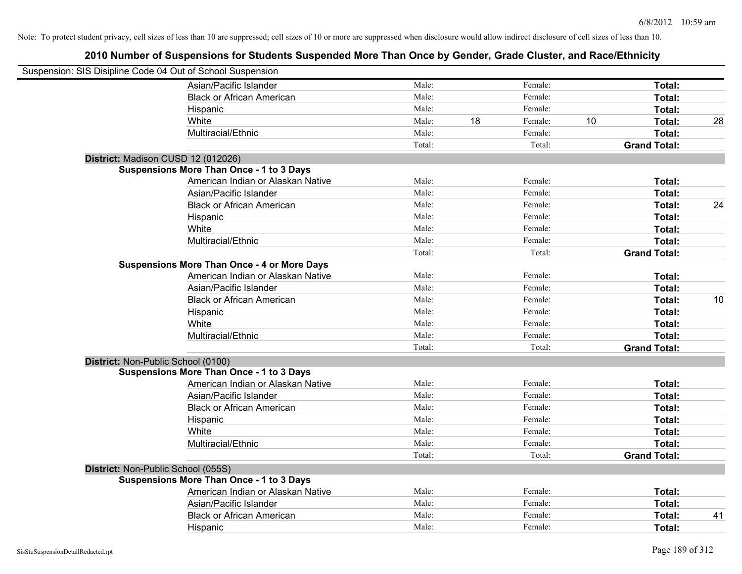| Suspension: SIS Disipline Code 04 Out of School Suspension |        |    |         |    |                     |    |
|------------------------------------------------------------|--------|----|---------|----|---------------------|----|
| Asian/Pacific Islander                                     | Male:  |    | Female: |    | Total:              |    |
| <b>Black or African American</b>                           | Male:  |    | Female: |    | Total:              |    |
| Hispanic                                                   | Male:  |    | Female: |    | Total:              |    |
| White                                                      | Male:  | 18 | Female: | 10 | Total:              | 28 |
| Multiracial/Ethnic                                         | Male:  |    | Female: |    | Total:              |    |
|                                                            | Total: |    | Total:  |    | <b>Grand Total:</b> |    |
| District: Madison CUSD 12 (012026)                         |        |    |         |    |                     |    |
| Suspensions More Than Once - 1 to 3 Days                   |        |    |         |    |                     |    |
| American Indian or Alaskan Native                          | Male:  |    | Female: |    | Total:              |    |
| Asian/Pacific Islander                                     | Male:  |    | Female: |    | Total:              |    |
| <b>Black or African American</b>                           | Male:  |    | Female: |    | Total:              | 24 |
| Hispanic                                                   | Male:  |    | Female: |    | Total:              |    |
| White                                                      | Male:  |    | Female: |    | Total:              |    |
| Multiracial/Ethnic                                         | Male:  |    | Female: |    | Total:              |    |
|                                                            | Total: |    | Total:  |    | <b>Grand Total:</b> |    |
| <b>Suspensions More Than Once - 4 or More Days</b>         |        |    |         |    |                     |    |
| American Indian or Alaskan Native                          | Male:  |    | Female: |    | Total:              |    |
| Asian/Pacific Islander                                     | Male:  |    | Female: |    | Total:              |    |
| <b>Black or African American</b>                           | Male:  |    | Female: |    | Total:              | 10 |
| Hispanic                                                   | Male:  |    | Female: |    | Total:              |    |
| White                                                      | Male:  |    | Female: |    | Total:              |    |
| Multiracial/Ethnic                                         | Male:  |    | Female: |    | Total:              |    |
|                                                            | Total: |    | Total:  |    | <b>Grand Total:</b> |    |
| District: Non-Public School (0100)                         |        |    |         |    |                     |    |
| <b>Suspensions More Than Once - 1 to 3 Days</b>            |        |    |         |    |                     |    |
| American Indian or Alaskan Native                          | Male:  |    | Female: |    | Total:              |    |
| Asian/Pacific Islander                                     | Male:  |    | Female: |    | Total:              |    |
| <b>Black or African American</b>                           | Male:  |    | Female: |    | Total:              |    |
| Hispanic                                                   | Male:  |    | Female: |    | Total:              |    |
| White                                                      | Male:  |    | Female: |    | Total:              |    |
| Multiracial/Ethnic                                         | Male:  |    | Female: |    | Total:              |    |
|                                                            | Total: |    | Total:  |    | <b>Grand Total:</b> |    |
| District: Non-Public School (055S)                         |        |    |         |    |                     |    |
| <b>Suspensions More Than Once - 1 to 3 Days</b>            |        |    |         |    |                     |    |
| American Indian or Alaskan Native                          | Male:  |    | Female: |    | Total:              |    |
| Asian/Pacific Islander                                     | Male:  |    | Female: |    | Total:              |    |
| <b>Black or African American</b>                           | Male:  |    | Female: |    | Total:              | 41 |
| Hispanic                                                   | Male:  |    | Female: |    | Total:              |    |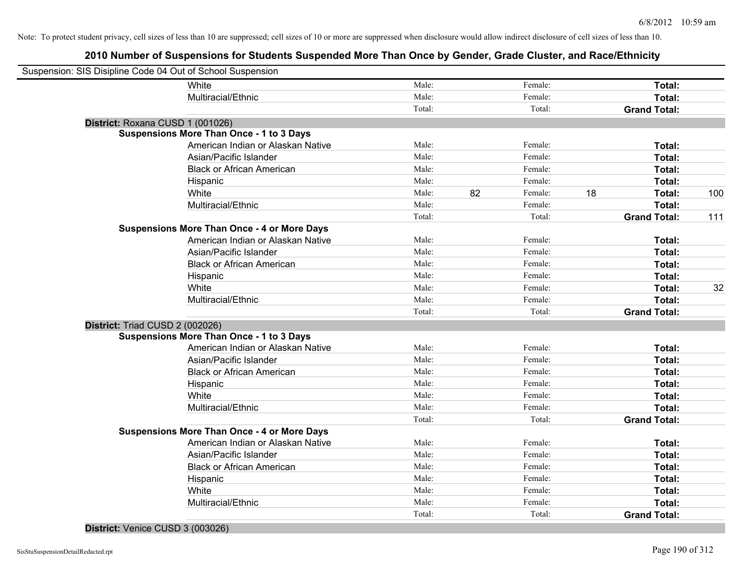# **2010 Number of Suspensions for Students Suspended More Than Once by Gender, Grade Cluster, and Race/Ethnicity**

| Suspension: SIS Disipline Code 04 Out of School Suspension |                                                    |        |    |         |    |                     |     |
|------------------------------------------------------------|----------------------------------------------------|--------|----|---------|----|---------------------|-----|
|                                                            | White                                              | Male:  |    | Female: |    | Total:              |     |
|                                                            | Multiracial/Ethnic                                 | Male:  |    | Female: |    | Total:              |     |
|                                                            |                                                    | Total: |    | Total:  |    | <b>Grand Total:</b> |     |
| District: Roxana CUSD 1 (001026)                           |                                                    |        |    |         |    |                     |     |
|                                                            | <b>Suspensions More Than Once - 1 to 3 Days</b>    |        |    |         |    |                     |     |
|                                                            | American Indian or Alaskan Native                  | Male:  |    | Female: |    | Total:              |     |
|                                                            | Asian/Pacific Islander                             | Male:  |    | Female: |    | Total:              |     |
|                                                            | <b>Black or African American</b>                   | Male:  |    | Female: |    | Total:              |     |
|                                                            | Hispanic                                           | Male:  |    | Female: |    | Total:              |     |
|                                                            | White                                              | Male:  | 82 | Female: | 18 | Total:              | 100 |
|                                                            | Multiracial/Ethnic                                 | Male:  |    | Female: |    | Total:              |     |
|                                                            |                                                    | Total: |    | Total:  |    | <b>Grand Total:</b> | 111 |
|                                                            | <b>Suspensions More Than Once - 4 or More Days</b> |        |    |         |    |                     |     |
|                                                            | American Indian or Alaskan Native                  | Male:  |    | Female: |    | Total:              |     |
|                                                            | Asian/Pacific Islander                             | Male:  |    | Female: |    | Total:              |     |
|                                                            | <b>Black or African American</b>                   | Male:  |    | Female: |    | Total:              |     |
|                                                            | Hispanic                                           | Male:  |    | Female: |    | Total:              |     |
|                                                            | White                                              | Male:  |    | Female: |    | Total:              | 32  |
|                                                            | Multiracial/Ethnic                                 | Male:  |    | Female: |    | Total:              |     |
|                                                            |                                                    | Total: |    | Total:  |    | <b>Grand Total:</b> |     |
| District: Triad CUSD 2 (002026)                            |                                                    |        |    |         |    |                     |     |
|                                                            | <b>Suspensions More Than Once - 1 to 3 Days</b>    |        |    |         |    |                     |     |
|                                                            | American Indian or Alaskan Native                  | Male:  |    | Female: |    | Total:              |     |
|                                                            | Asian/Pacific Islander                             | Male:  |    | Female: |    | Total:              |     |
|                                                            | <b>Black or African American</b>                   | Male:  |    | Female: |    | Total:              |     |
|                                                            | Hispanic                                           | Male:  |    | Female: |    | Total:              |     |
|                                                            | White                                              | Male:  |    | Female: |    | Total:              |     |
|                                                            | Multiracial/Ethnic                                 | Male:  |    | Female: |    | Total:              |     |
|                                                            |                                                    | Total: |    | Total:  |    | <b>Grand Total:</b> |     |
|                                                            | <b>Suspensions More Than Once - 4 or More Days</b> |        |    |         |    |                     |     |
|                                                            | American Indian or Alaskan Native                  | Male:  |    | Female: |    | Total:              |     |
|                                                            | Asian/Pacific Islander                             | Male:  |    | Female: |    | Total:              |     |
|                                                            | <b>Black or African American</b>                   | Male:  |    | Female: |    | Total:              |     |
|                                                            | Hispanic                                           | Male:  |    | Female: |    | Total:              |     |
|                                                            | White                                              | Male:  |    | Female: |    | Total:              |     |
|                                                            | Multiracial/Ethnic                                 | Male:  |    | Female: |    | Total:              |     |
|                                                            |                                                    | Total: |    | Total:  |    | <b>Grand Total:</b> |     |
|                                                            |                                                    |        |    |         |    |                     |     |

#### **District:** Venice CUSD 3 (003026)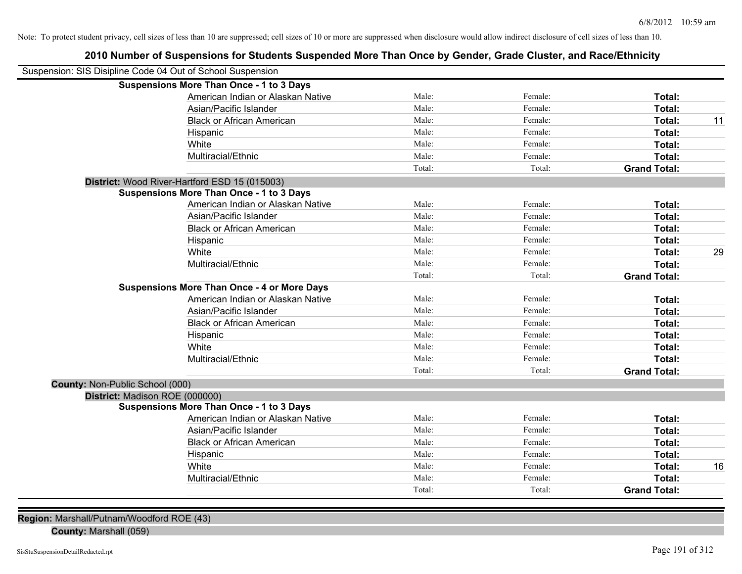| Suspension: SIS Disipline Code 04 Out of School Suspension |                                                    |        |         |                     |    |
|------------------------------------------------------------|----------------------------------------------------|--------|---------|---------------------|----|
|                                                            | <b>Suspensions More Than Once - 1 to 3 Days</b>    |        |         |                     |    |
|                                                            | American Indian or Alaskan Native                  | Male:  | Female: | Total:              |    |
|                                                            | Asian/Pacific Islander                             | Male:  | Female: | Total:              |    |
|                                                            | <b>Black or African American</b>                   | Male:  | Female: | Total:              | 11 |
|                                                            | Hispanic                                           | Male:  | Female: | Total:              |    |
|                                                            | White                                              | Male:  | Female: | Total:              |    |
|                                                            | Multiracial/Ethnic                                 | Male:  | Female: | Total:              |    |
|                                                            |                                                    | Total: | Total:  | <b>Grand Total:</b> |    |
|                                                            | District: Wood River-Hartford ESD 15 (015003)      |        |         |                     |    |
|                                                            | <b>Suspensions More Than Once - 1 to 3 Days</b>    |        |         |                     |    |
|                                                            | American Indian or Alaskan Native                  | Male:  | Female: | Total:              |    |
|                                                            | Asian/Pacific Islander                             | Male:  | Female: | Total:              |    |
|                                                            | <b>Black or African American</b>                   | Male:  | Female: | Total:              |    |
|                                                            | Hispanic                                           | Male:  | Female: | Total:              |    |
|                                                            | White                                              | Male:  | Female: | Total:              | 29 |
|                                                            | Multiracial/Ethnic                                 | Male:  | Female: | Total:              |    |
|                                                            |                                                    | Total: | Total:  | <b>Grand Total:</b> |    |
|                                                            | <b>Suspensions More Than Once - 4 or More Days</b> |        |         |                     |    |
|                                                            | American Indian or Alaskan Native                  | Male:  | Female: | Total:              |    |
|                                                            | Asian/Pacific Islander                             | Male:  | Female: | Total:              |    |
|                                                            | <b>Black or African American</b>                   | Male:  | Female: | Total:              |    |
|                                                            | Hispanic                                           | Male:  | Female: | Total:              |    |
|                                                            | White                                              | Male:  | Female: | Total:              |    |
|                                                            | Multiracial/Ethnic                                 | Male:  | Female: | Total:              |    |
|                                                            |                                                    | Total: | Total:  | <b>Grand Total:</b> |    |
| <b>County: Non-Public School (000)</b>                     |                                                    |        |         |                     |    |
| District: Madison ROE (000000)                             |                                                    |        |         |                     |    |
|                                                            | <b>Suspensions More Than Once - 1 to 3 Days</b>    |        |         |                     |    |
|                                                            | American Indian or Alaskan Native                  | Male:  | Female: | Total:              |    |
|                                                            | Asian/Pacific Islander                             | Male:  | Female: | Total:              |    |
|                                                            | <b>Black or African American</b>                   | Male:  | Female: | Total:              |    |
|                                                            | Hispanic                                           | Male:  | Female: | Total:              |    |
|                                                            | White                                              | Male:  | Female: | Total:              | 16 |
|                                                            | Multiracial/Ethnic                                 | Male:  | Female: | Total:              |    |
|                                                            |                                                    | Total: | Total:  | <b>Grand Total:</b> |    |

**2010 Number of Suspensions for Students Suspended More Than Once by Gender, Grade Cluster, and Race/Ethnicity**

**Region:** Marshall/Putnam/Woodford ROE (43)

**County:** Marshall (059)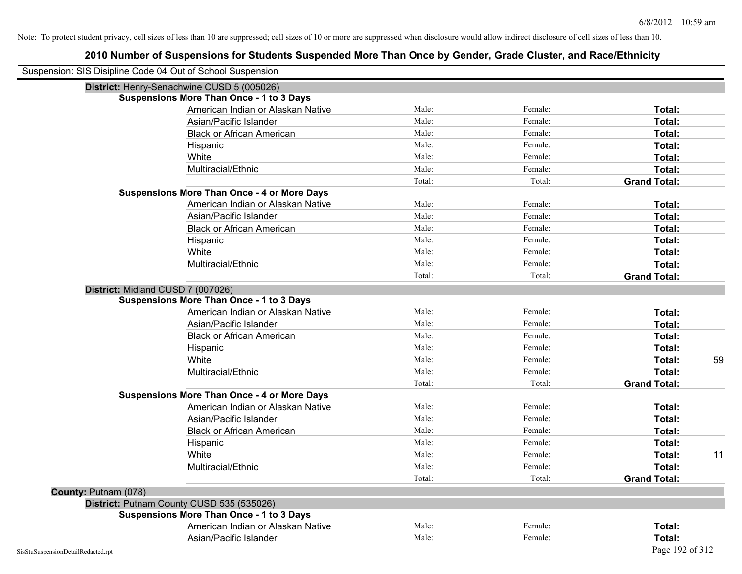| Suspension: SIS Disipline Code 04 Out of School Suspension |                                                    |        |         |                     |    |
|------------------------------------------------------------|----------------------------------------------------|--------|---------|---------------------|----|
|                                                            | District: Henry-Senachwine CUSD 5 (005026)         |        |         |                     |    |
|                                                            | <b>Suspensions More Than Once - 1 to 3 Days</b>    |        |         |                     |    |
|                                                            | American Indian or Alaskan Native                  | Male:  | Female: | Total:              |    |
|                                                            | Asian/Pacific Islander                             | Male:  | Female: | Total:              |    |
|                                                            | <b>Black or African American</b>                   | Male:  | Female: | Total:              |    |
|                                                            | Hispanic                                           | Male:  | Female: | Total:              |    |
|                                                            | White                                              | Male:  | Female: | Total:              |    |
|                                                            | Multiracial/Ethnic                                 | Male:  | Female: | Total:              |    |
|                                                            |                                                    | Total: | Total:  | <b>Grand Total:</b> |    |
|                                                            | <b>Suspensions More Than Once - 4 or More Days</b> |        |         |                     |    |
|                                                            | American Indian or Alaskan Native                  | Male:  | Female: | Total:              |    |
|                                                            | Asian/Pacific Islander                             | Male:  | Female: | Total:              |    |
|                                                            | <b>Black or African American</b>                   | Male:  | Female: | Total:              |    |
|                                                            | Hispanic                                           | Male:  | Female: | Total:              |    |
|                                                            | White                                              | Male:  | Female: | Total:              |    |
|                                                            | Multiracial/Ethnic                                 | Male:  | Female: | Total:              |    |
|                                                            |                                                    | Total: | Total:  | <b>Grand Total:</b> |    |
| District: Midland CUSD 7 (007026)                          |                                                    |        |         |                     |    |
|                                                            | <b>Suspensions More Than Once - 1 to 3 Days</b>    |        |         |                     |    |
|                                                            | American Indian or Alaskan Native                  | Male:  | Female: | Total:              |    |
|                                                            | Asian/Pacific Islander                             | Male:  | Female: | Total:              |    |
|                                                            | <b>Black or African American</b>                   | Male:  | Female: | Total:              |    |
|                                                            | Hispanic                                           | Male:  | Female: | Total:              |    |
|                                                            | White                                              | Male:  | Female: | Total:              | 59 |
|                                                            | Multiracial/Ethnic                                 | Male:  | Female: | Total:              |    |
|                                                            |                                                    | Total: | Total:  | <b>Grand Total:</b> |    |
|                                                            | <b>Suspensions More Than Once - 4 or More Days</b> |        |         |                     |    |
|                                                            | American Indian or Alaskan Native                  | Male:  | Female: | Total:              |    |
|                                                            | Asian/Pacific Islander                             | Male:  | Female: | Total:              |    |
|                                                            | <b>Black or African American</b>                   | Male:  | Female: | Total:              |    |
|                                                            | Hispanic                                           | Male:  | Female: | Total:              |    |
|                                                            | White                                              | Male:  | Female: | Total:              | 11 |
|                                                            | Multiracial/Ethnic                                 | Male:  | Female: | Total:              |    |
|                                                            |                                                    | Total: | Total:  | <b>Grand Total:</b> |    |
| County: Putnam (078)                                       |                                                    |        |         |                     |    |
|                                                            | District: Putnam County CUSD 535 (535026)          |        |         |                     |    |
|                                                            | <b>Suspensions More Than Once - 1 to 3 Days</b>    |        |         |                     |    |
|                                                            | American Indian or Alaskan Native                  | Male:  | Female: | Total:              |    |
|                                                            | Asian/Pacific Islander                             | Male:  | Female: | Total:              |    |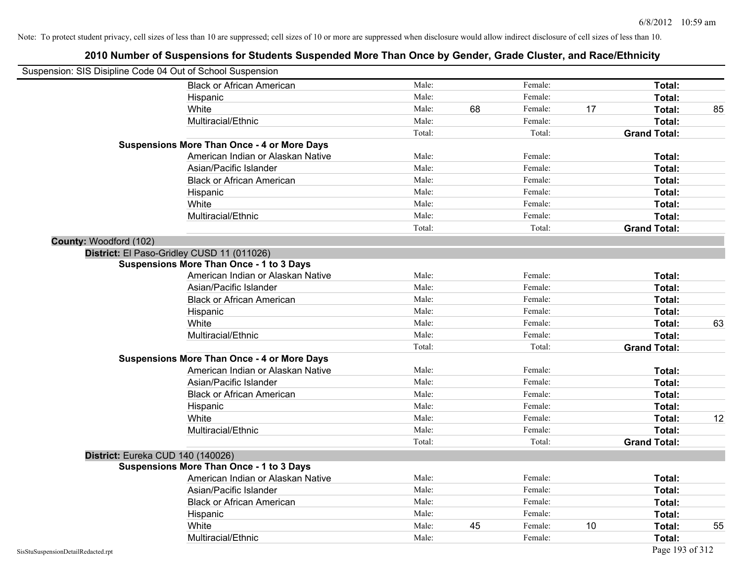| Suspension: SIS Disipline Code 04 Out of School Suspension |                                                    |        |    |         |    |                     |    |
|------------------------------------------------------------|----------------------------------------------------|--------|----|---------|----|---------------------|----|
|                                                            | <b>Black or African American</b>                   | Male:  |    | Female: |    | Total:              |    |
|                                                            | Hispanic                                           | Male:  |    | Female: |    | Total:              |    |
|                                                            | White                                              | Male:  | 68 | Female: | 17 | Total:              | 85 |
|                                                            | Multiracial/Ethnic                                 | Male:  |    | Female: |    | Total:              |    |
|                                                            |                                                    | Total: |    | Total:  |    | <b>Grand Total:</b> |    |
|                                                            | <b>Suspensions More Than Once - 4 or More Days</b> |        |    |         |    |                     |    |
|                                                            | American Indian or Alaskan Native                  | Male:  |    | Female: |    | Total:              |    |
|                                                            | Asian/Pacific Islander                             | Male:  |    | Female: |    | Total:              |    |
|                                                            | <b>Black or African American</b>                   | Male:  |    | Female: |    | Total:              |    |
|                                                            | Hispanic                                           | Male:  |    | Female: |    | Total:              |    |
|                                                            | White                                              | Male:  |    | Female: |    | Total:              |    |
|                                                            | Multiracial/Ethnic                                 | Male:  |    | Female: |    | Total:              |    |
|                                                            |                                                    | Total: |    | Total:  |    | <b>Grand Total:</b> |    |
| County: Woodford (102)                                     |                                                    |        |    |         |    |                     |    |
|                                                            | District: El Paso-Gridley CUSD 11 (011026)         |        |    |         |    |                     |    |
|                                                            | <b>Suspensions More Than Once - 1 to 3 Days</b>    |        |    |         |    |                     |    |
|                                                            | American Indian or Alaskan Native                  | Male:  |    | Female: |    | Total:              |    |
|                                                            | Asian/Pacific Islander                             | Male:  |    | Female: |    | Total:              |    |
|                                                            | <b>Black or African American</b>                   | Male:  |    | Female: |    | Total:              |    |
|                                                            | Hispanic                                           | Male:  |    | Female: |    | Total:              |    |
|                                                            | White                                              | Male:  |    | Female: |    | Total:              | 63 |
|                                                            | Multiracial/Ethnic                                 | Male:  |    | Female: |    | Total:              |    |
|                                                            |                                                    | Total: |    | Total:  |    | <b>Grand Total:</b> |    |
|                                                            | <b>Suspensions More Than Once - 4 or More Days</b> |        |    |         |    |                     |    |
|                                                            | American Indian or Alaskan Native                  | Male:  |    | Female: |    | Total:              |    |
|                                                            | Asian/Pacific Islander                             | Male:  |    | Female: |    | Total:              |    |
|                                                            | <b>Black or African American</b>                   | Male:  |    | Female: |    | Total:              |    |
|                                                            | Hispanic                                           | Male:  |    | Female: |    | Total:              |    |
|                                                            | White                                              | Male:  |    | Female: |    | Total:              | 12 |
|                                                            | Multiracial/Ethnic                                 | Male:  |    | Female: |    | Total:              |    |
|                                                            |                                                    | Total: |    | Total:  |    | <b>Grand Total:</b> |    |
| District: Eureka CUD 140 (140026)                          |                                                    |        |    |         |    |                     |    |
|                                                            | <b>Suspensions More Than Once - 1 to 3 Days</b>    |        |    |         |    |                     |    |
|                                                            | American Indian or Alaskan Native                  | Male:  |    | Female: |    | Total:              |    |
|                                                            | Asian/Pacific Islander                             | Male:  |    | Female: |    | Total:              |    |
|                                                            | <b>Black or African American</b>                   | Male:  |    | Female: |    | Total:              |    |
|                                                            | Hispanic                                           | Male:  |    | Female: |    | Total:              |    |
|                                                            | White                                              | Male:  | 45 | Female: | 10 | Total:              | 55 |
|                                                            | Multiracial/Ethnic                                 | Male:  |    | Female: |    | Total:              |    |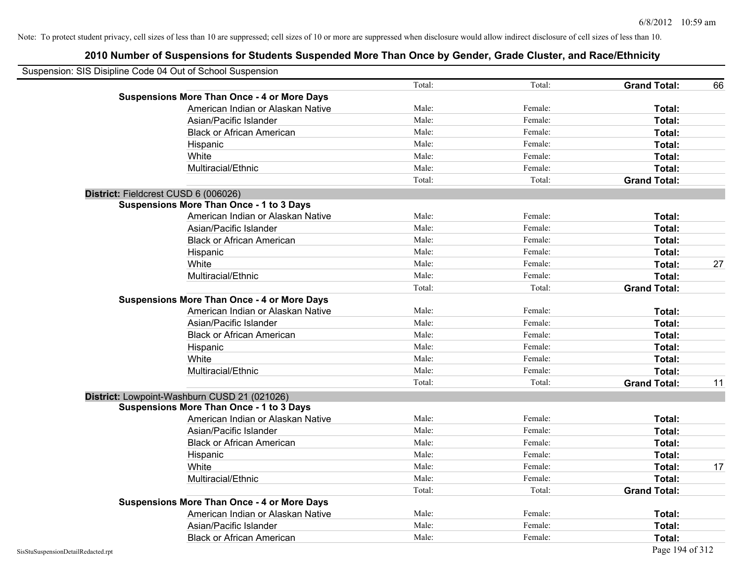| Suspension: SIS Disipline Code 04 Out of School Suspension |                                                    |        |         |                     |    |
|------------------------------------------------------------|----------------------------------------------------|--------|---------|---------------------|----|
|                                                            |                                                    | Total: | Total:  | <b>Grand Total:</b> | 66 |
|                                                            | <b>Suspensions More Than Once - 4 or More Days</b> |        |         |                     |    |
|                                                            | American Indian or Alaskan Native                  | Male:  | Female: | Total:              |    |
|                                                            | Asian/Pacific Islander                             | Male:  | Female: | Total:              |    |
|                                                            | <b>Black or African American</b>                   | Male:  | Female: | Total:              |    |
|                                                            | Hispanic                                           | Male:  | Female: | Total:              |    |
|                                                            | White                                              | Male:  | Female: | Total:              |    |
|                                                            | Multiracial/Ethnic                                 | Male:  | Female: | Total:              |    |
|                                                            |                                                    | Total: | Total:  | <b>Grand Total:</b> |    |
| District: Fieldcrest CUSD 6 (006026)                       |                                                    |        |         |                     |    |
|                                                            | <b>Suspensions More Than Once - 1 to 3 Days</b>    |        |         |                     |    |
|                                                            | American Indian or Alaskan Native                  | Male:  | Female: | Total:              |    |
|                                                            | Asian/Pacific Islander                             | Male:  | Female: | Total:              |    |
|                                                            | <b>Black or African American</b>                   | Male:  | Female: | Total:              |    |
|                                                            | Hispanic                                           | Male:  | Female: | Total:              |    |
|                                                            | White                                              | Male:  | Female: | Total:              | 27 |
|                                                            | Multiracial/Ethnic                                 | Male:  | Female: | Total:              |    |
|                                                            |                                                    | Total: | Total:  | <b>Grand Total:</b> |    |
|                                                            | <b>Suspensions More Than Once - 4 or More Days</b> |        |         |                     |    |
|                                                            | American Indian or Alaskan Native                  | Male:  | Female: | Total:              |    |
|                                                            | Asian/Pacific Islander                             | Male:  | Female: | Total:              |    |
|                                                            | <b>Black or African American</b>                   | Male:  | Female: | Total:              |    |
|                                                            | Hispanic                                           | Male:  | Female: | Total:              |    |
|                                                            | White                                              | Male:  | Female: | Total:              |    |
|                                                            | Multiracial/Ethnic                                 | Male:  | Female: | Total:              |    |
|                                                            |                                                    | Total: | Total:  | <b>Grand Total:</b> | 11 |
|                                                            | District: Lowpoint-Washburn CUSD 21 (021026)       |        |         |                     |    |
|                                                            | <b>Suspensions More Than Once - 1 to 3 Days</b>    |        |         |                     |    |
|                                                            | American Indian or Alaskan Native                  | Male:  | Female: | Total:              |    |
|                                                            | Asian/Pacific Islander                             | Male:  | Female: | Total:              |    |
|                                                            | <b>Black or African American</b>                   | Male:  | Female: | Total:              |    |
|                                                            | Hispanic                                           | Male:  | Female: | Total:              |    |
|                                                            | White                                              | Male:  | Female: | Total:              | 17 |
|                                                            | Multiracial/Ethnic                                 | Male:  | Female: | Total:              |    |
|                                                            |                                                    | Total: | Total:  | <b>Grand Total:</b> |    |
|                                                            | <b>Suspensions More Than Once - 4 or More Days</b> |        |         |                     |    |
|                                                            | American Indian or Alaskan Native                  | Male:  | Female: | Total:              |    |
|                                                            | Asian/Pacific Islander                             | Male:  | Female: | Total:              |    |
|                                                            | <b>Black or African American</b>                   | Male:  | Female: | Total:              |    |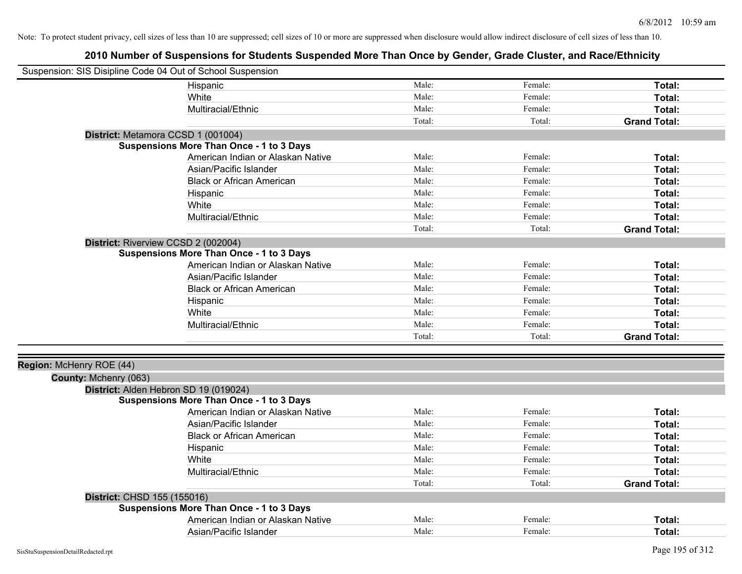| Suspension: SIS Disipline Code 04 Out of School Suspension |                                                 |        |         |                     |
|------------------------------------------------------------|-------------------------------------------------|--------|---------|---------------------|
|                                                            | Hispanic                                        | Male:  | Female: | Total:              |
|                                                            | White                                           | Male:  | Female: | Total:              |
|                                                            | Multiracial/Ethnic                              | Male:  | Female: | Total:              |
|                                                            |                                                 | Total: | Total:  | <b>Grand Total:</b> |
| District: Metamora CCSD 1 (001004)                         |                                                 |        |         |                     |
|                                                            | <b>Suspensions More Than Once - 1 to 3 Days</b> |        |         |                     |
|                                                            | American Indian or Alaskan Native               | Male:  | Female: | Total:              |
|                                                            | Asian/Pacific Islander                          | Male:  | Female: | Total:              |
|                                                            | <b>Black or African American</b>                | Male:  | Female: | Total:              |
|                                                            | Hispanic                                        | Male:  | Female: | Total:              |
|                                                            | White                                           | Male:  | Female: | Total:              |
|                                                            | Multiracial/Ethnic                              | Male:  | Female: | Total:              |
|                                                            |                                                 | Total: | Total:  | <b>Grand Total:</b> |
| District: Riverview CCSD 2 (002004)                        |                                                 |        |         |                     |
|                                                            | <b>Suspensions More Than Once - 1 to 3 Days</b> |        |         |                     |
|                                                            | American Indian or Alaskan Native               | Male:  | Female: | Total:              |
|                                                            | Asian/Pacific Islander                          | Male:  | Female: | Total:              |
|                                                            | <b>Black or African American</b>                | Male:  | Female: | Total:              |
|                                                            | Hispanic                                        | Male:  | Female: | Total:              |
|                                                            | White                                           | Male:  | Female: | Total:              |
|                                                            | Multiracial/Ethnic                              | Male:  | Female: | Total:              |
|                                                            |                                                 | Total: | Total:  | <b>Grand Total:</b> |
|                                                            |                                                 |        |         |                     |
| Region: McHenry ROE (44)                                   |                                                 |        |         |                     |
| County: Mchenry (063)                                      |                                                 |        |         |                     |
| District: Alden Hebron SD 19 (019024)                      |                                                 |        |         |                     |
|                                                            | Suspensions More Than Once - 1 to 3 Days        |        |         |                     |
|                                                            | American Indian or Alaskan Native               | Male:  | Female: | Total:              |
|                                                            | Asian/Pacific Islander                          | Male:  | Female: | Total:              |
|                                                            | <b>Black or African American</b>                | Male:  | Female: | Total:              |
|                                                            | Hispanic                                        | Male:  | Female: | Total:              |
|                                                            | White                                           | Male:  | Female: | Total:              |
|                                                            | Multiracial/Ethnic                              | Male:  | Female: | Total:              |
|                                                            |                                                 | Total: | Total:  | <b>Grand Total:</b> |
| District: CHSD 155 (155016)                                |                                                 |        |         |                     |
|                                                            | <b>Suspensions More Than Once - 1 to 3 Days</b> |        |         |                     |
|                                                            | American Indian or Alaskan Native               | Male:  | Female: | Total:              |
|                                                            | Asian/Pacific Islander                          | Male:  | Female: | Total:              |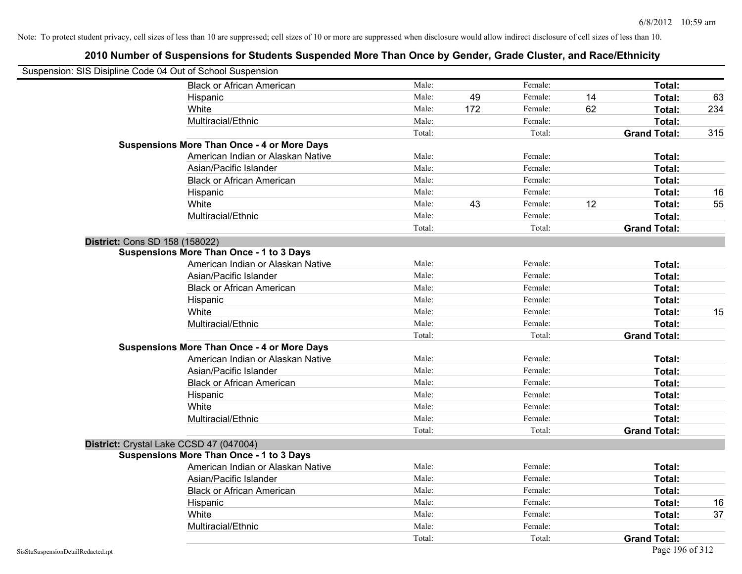| Suspension: SIS Disipline Code 04 Out of School Suspension |                                                    |        |     |         |    |                     |     |
|------------------------------------------------------------|----------------------------------------------------|--------|-----|---------|----|---------------------|-----|
|                                                            | <b>Black or African American</b>                   | Male:  |     | Female: |    | Total:              |     |
|                                                            | Hispanic                                           | Male:  | 49  | Female: | 14 | Total:              | 63  |
|                                                            | White                                              | Male:  | 172 | Female: | 62 | Total:              | 234 |
|                                                            | Multiracial/Ethnic                                 | Male:  |     | Female: |    | Total:              |     |
|                                                            |                                                    | Total: |     | Total:  |    | <b>Grand Total:</b> | 315 |
|                                                            | <b>Suspensions More Than Once - 4 or More Days</b> |        |     |         |    |                     |     |
|                                                            | American Indian or Alaskan Native                  | Male:  |     | Female: |    | Total:              |     |
|                                                            | Asian/Pacific Islander                             | Male:  |     | Female: |    | Total:              |     |
|                                                            | <b>Black or African American</b>                   | Male:  |     | Female: |    | Total:              |     |
|                                                            | Hispanic                                           | Male:  |     | Female: |    | Total:              | 16  |
|                                                            | White                                              | Male:  | 43  | Female: | 12 | Total:              | 55  |
|                                                            | Multiracial/Ethnic                                 | Male:  |     | Female: |    | Total:              |     |
|                                                            |                                                    | Total: |     | Total:  |    | <b>Grand Total:</b> |     |
| District: Cons SD 158 (158022)                             |                                                    |        |     |         |    |                     |     |
|                                                            | <b>Suspensions More Than Once - 1 to 3 Days</b>    |        |     |         |    |                     |     |
|                                                            | American Indian or Alaskan Native                  | Male:  |     | Female: |    | Total:              |     |
|                                                            | Asian/Pacific Islander                             | Male:  |     | Female: |    | Total:              |     |
|                                                            | <b>Black or African American</b>                   | Male:  |     | Female: |    | Total:              |     |
|                                                            | Hispanic                                           | Male:  |     | Female: |    | Total:              |     |
|                                                            | White                                              | Male:  |     | Female: |    | Total:              | 15  |
|                                                            | Multiracial/Ethnic                                 | Male:  |     | Female: |    | Total:              |     |
|                                                            |                                                    | Total: |     | Total:  |    | <b>Grand Total:</b> |     |
|                                                            | <b>Suspensions More Than Once - 4 or More Days</b> |        |     |         |    |                     |     |
|                                                            | American Indian or Alaskan Native                  | Male:  |     | Female: |    | Total:              |     |
|                                                            | Asian/Pacific Islander                             | Male:  |     | Female: |    | Total:              |     |
|                                                            | <b>Black or African American</b>                   | Male:  |     | Female: |    | Total:              |     |
|                                                            | Hispanic                                           | Male:  |     | Female: |    | Total:              |     |
|                                                            | White                                              | Male:  |     | Female: |    | Total:              |     |
|                                                            | Multiracial/Ethnic                                 | Male:  |     | Female: |    | Total:              |     |
|                                                            |                                                    | Total: |     | Total:  |    | <b>Grand Total:</b> |     |
| District: Crystal Lake CCSD 47 (047004)                    |                                                    |        |     |         |    |                     |     |
|                                                            | <b>Suspensions More Than Once - 1 to 3 Days</b>    |        |     |         |    |                     |     |
|                                                            | American Indian or Alaskan Native                  | Male:  |     | Female: |    | Total:              |     |
|                                                            | Asian/Pacific Islander                             | Male:  |     | Female: |    | Total:              |     |
|                                                            | <b>Black or African American</b>                   | Male:  |     | Female: |    | Total:              |     |
|                                                            | Hispanic                                           | Male:  |     | Female: |    | Total:              | 16  |
|                                                            | White                                              | Male:  |     | Female: |    | Total:              | 37  |
|                                                            | Multiracial/Ethnic                                 | Male:  |     | Female: |    | Total:              |     |
|                                                            |                                                    | Total: |     | Total:  |    | <b>Grand Total:</b> |     |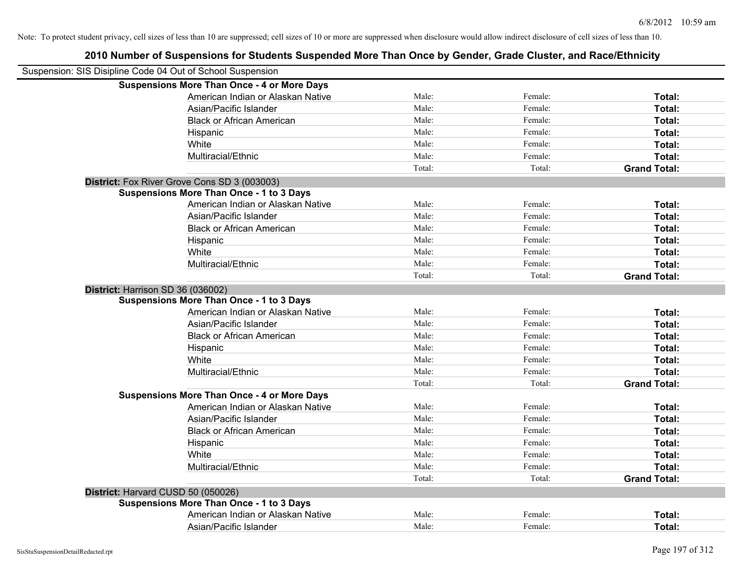# **2010 Number of Suspensions for Students Suspended More Than Once by Gender, Grade Cluster, and Race/Ethnicity** Suspension: SIS Disipline Code 04 Out of School Suspension **Suspensions More Than Once - 4 or More Days** American Indian or Alaskan Native **Male:** Male: Female: Female: **Total:** Total: Asian/Pacific Islander **Figure 1.1 Contact Contact Contact Contact Contact Contact Contact Contact Contact Conta** Black or African American **American** Male: Male: Female: **Female: Total: Total: Total: Female: Total: Total: Total: Total: Total: Total: Total: Total: Total: Total: Total: Total: Total:** Hispanic **Total:** Male: Female: **Total:** Female: **Total:** Total: **Total:** Female: **Total:** Total: **Total:** Total: **Total:** Total: **Total:** Total: **Total:** Total: **Total:** Total: **Total:** Total: **Total:** Total: **Total:** Tot White **Total:** Male: Female: **Total:** Female: **Total:** Total: Multiracial/Ethnic **Total:** Male: Female: **Total:** Female: **Total:** Female: **Total:** Female: **Total:** Female: **Total:** Female: **Total:** Female: **Total:** Female: **Total:** Female: **Total:** Female: **Total:** Female: **Total:** F Total: Total: **Grand Total: District:** Fox River Grove Cons SD 3 (003003) **Suspensions More Than Once - 1 to 3 Days** American Indian or Alaskan Native **Male:** Male: Female: Female: **Total:** Total: Asian/Pacific Islander **Figure 1.1 Contained Asian** Male: Female: **Female: Total: Total: Total: Total: Total: Total: Total: Total: Total: Total: Total: Total: Total: Total: Total: Total: T** Black or African American **American** Male: Male: Female: **Female: Total: Total: Total: Female: Total: Total: Total: Total: Total: Total: Total: Total: Total: Total: Total: Total: Total:** Hispanic **Total:** Male: Female: **Total:** Female: **Total:** Total: White **Total:** Male: Female: **Total:** Total: **Total:** Female: **Total:** Total: Multiracial/Ethnic **Total:** Male: Female: **Female: Total:** Total: **Total:** Female: **Total:** Total: Total: Total: **Grand Total: District:** Harrison SD 36 (036002) **Suspensions More Than Once - 1 to 3 Days** American Indian or Alaskan Native **Male:** Male: Female: Female: **Total:** Total: Asian/Pacific Islander **Figure 1.1 Contained Asian** Male: Female: **Female: Total: Total: Total: Total: Total: Total: Total: Total: Total: Total: Total: Total: Total: Total: Total: Total: T** Black or African American **Figure 1.1 and Total:** Male: Female: Female: **Total:** Total: Hispanic **Total:** Male: Female: **Total:** Female: **Total:** Total: **Total:** Female: **Total:** Total: **Total:** Total: **Total:** Total: **Total:** Total: **Total:** Total: **Total:** Total: **Total:** Total: **Total:** Total: **Total:** Tot White **Total:** Male: Female: **Total:** Female: **Total:** Total: Multiracial/Ethnic **Total:** Male: Female: **Female: Total:** Total: **Total:** Female: **Total:** Total: **Female:** Total: **Total:** Total: **Total:** Total: **Total:** Total: **Total:** Total: **Total:** Total: **Total:** Total: **Total:** Total: Total: **Grand Total: Suspensions More Than Once - 4 or More Days** American Indian or Alaskan Native **Male:** Male: Female: Female: **Total:** Total: Asian/Pacific Islander **Figure 1.1 Contained Asian** Male: Female: **Female: Total: Total: Total: Total: Total: Total: Total: Total: Total: Total: Total: Total: Total: Total: Total: Total: T** Black or African American **Male:** Male: Female: Female: **Total:** Total: Hispanic **Total:** Male: Female: **Total:** Female: **Total:** Total: **Total:** Female: **Total:** Total: **Total:** Total: **Total:** Total: **Total:** Total: **Total:** Total: **Total:** Total: **Total:** Total: **Total:** Total: **Total:** Tot White **Total:** Male: Female: **Total:** Female: **Total:** Total: Multiracial/Ethnic **Total:** Male: Male: Female: **Total:** Total: Total: Total: **Grand Total: District:** Harvard CUSD 50 (050026) **Suspensions More Than Once - 1 to 3 Days** American Indian or Alaskan Native **Male:** Male: Female: Female: **Total:** Total: Asian/Pacific Islander **Figure 1.1 Contained Asian** Male: Female: **Female: Total: Total: Total: Total: Total: Total: Total: Total: Total: Total: Total: Total: Total: Total: Total: Total: T**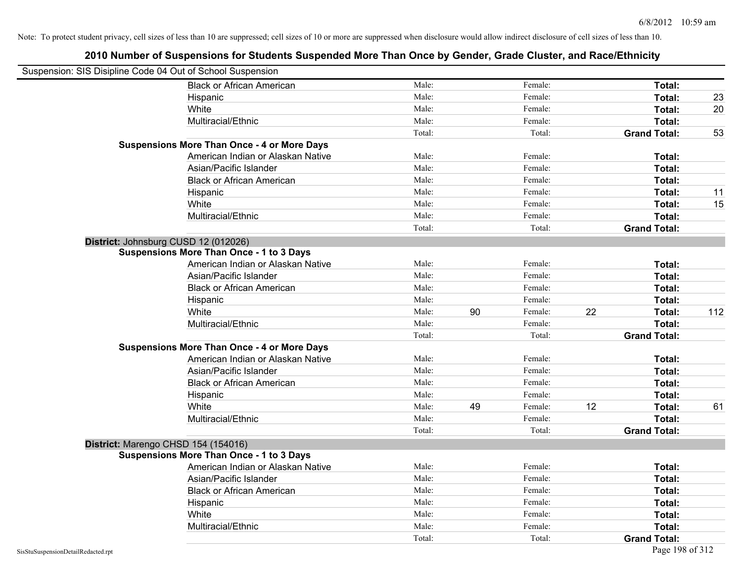|                                    | Suspension: SIS Disipline Code 04 Out of School Suspension |        |    |         |    |                     |     |
|------------------------------------|------------------------------------------------------------|--------|----|---------|----|---------------------|-----|
|                                    | <b>Black or African American</b>                           | Male:  |    | Female: |    | Total:              |     |
|                                    | Hispanic                                                   | Male:  |    | Female: |    | Total:              | 23  |
|                                    | White                                                      | Male:  |    | Female: |    | Total:              | 20  |
|                                    | Multiracial/Ethnic                                         | Male:  |    | Female: |    | Total:              |     |
|                                    |                                                            | Total: |    | Total:  |    | <b>Grand Total:</b> | 53  |
|                                    | <b>Suspensions More Than Once - 4 or More Days</b>         |        |    |         |    |                     |     |
|                                    | American Indian or Alaskan Native                          | Male:  |    | Female: |    | Total:              |     |
|                                    | Asian/Pacific Islander                                     | Male:  |    | Female: |    | Total:              |     |
|                                    | <b>Black or African American</b>                           | Male:  |    | Female: |    | Total:              |     |
|                                    | Hispanic                                                   | Male:  |    | Female: |    | Total:              | 11  |
|                                    | White                                                      | Male:  |    | Female: |    | Total:              | 15  |
|                                    | Multiracial/Ethnic                                         | Male:  |    | Female: |    | Total:              |     |
|                                    |                                                            | Total: |    | Total:  |    | <b>Grand Total:</b> |     |
|                                    | District: Johnsburg CUSD 12 (012026)                       |        |    |         |    |                     |     |
|                                    | Suspensions More Than Once - 1 to 3 Days                   |        |    |         |    |                     |     |
|                                    | American Indian or Alaskan Native                          | Male:  |    | Female: |    | Total:              |     |
|                                    | Asian/Pacific Islander                                     | Male:  |    | Female: |    | Total:              |     |
|                                    | <b>Black or African American</b>                           | Male:  |    | Female: |    | Total:              |     |
|                                    | Hispanic                                                   | Male:  |    | Female: |    | Total:              |     |
|                                    | White                                                      | Male:  | 90 | Female: | 22 | Total:              | 112 |
|                                    | Multiracial/Ethnic                                         | Male:  |    | Female: |    | Total:              |     |
|                                    |                                                            | Total: |    | Total:  |    | <b>Grand Total:</b> |     |
|                                    | <b>Suspensions More Than Once - 4 or More Days</b>         |        |    |         |    |                     |     |
|                                    | American Indian or Alaskan Native                          | Male:  |    | Female: |    | Total:              |     |
|                                    | Asian/Pacific Islander                                     | Male:  |    | Female: |    | Total:              |     |
|                                    | <b>Black or African American</b>                           | Male:  |    | Female: |    | Total:              |     |
|                                    | Hispanic                                                   | Male:  |    | Female: |    | Total:              |     |
|                                    | White                                                      | Male:  | 49 | Female: | 12 | Total:              | 61  |
|                                    | Multiracial/Ethnic                                         | Male:  |    | Female: |    | Total:              |     |
|                                    |                                                            | Total: |    | Total:  |    | <b>Grand Total:</b> |     |
|                                    | District: Marengo CHSD 154 (154016)                        |        |    |         |    |                     |     |
|                                    | <b>Suspensions More Than Once - 1 to 3 Days</b>            |        |    |         |    |                     |     |
|                                    | American Indian or Alaskan Native                          | Male:  |    | Female: |    | Total:              |     |
|                                    | Asian/Pacific Islander                                     | Male:  |    | Female: |    | Total:              |     |
|                                    | <b>Black or African American</b>                           | Male:  |    | Female: |    | Total:              |     |
|                                    | Hispanic                                                   | Male:  |    | Female: |    | Total:              |     |
|                                    | White                                                      | Male:  |    | Female: |    | Total:              |     |
|                                    | Multiracial/Ethnic                                         | Male:  |    | Female: |    | Total:              |     |
|                                    |                                                            | Total: |    | Total:  |    | <b>Grand Total:</b> |     |
| SisStuSuspensionDetailRedacted.rpt |                                                            |        |    |         |    | Page 198 of 312     |     |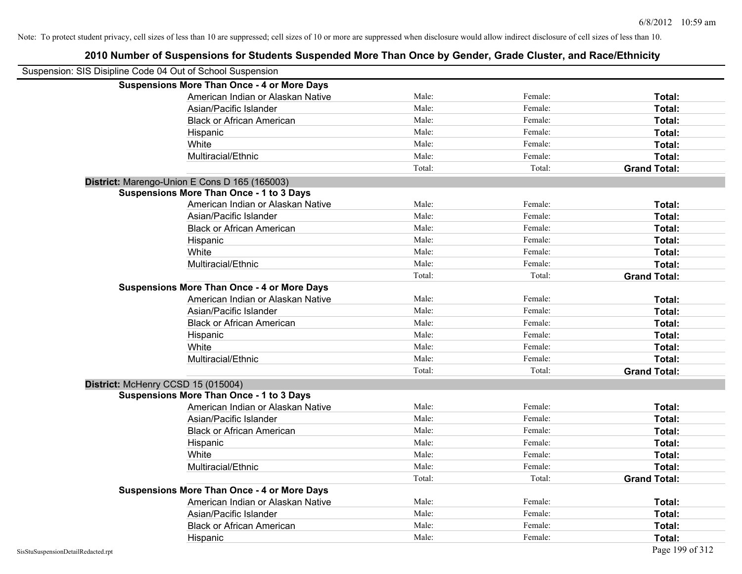# **2010 Number of Suspensions for Students Suspended More Than Once by Gender, Grade Cluster, and Race/Ethnicity** Suspension: SIS Disipline Code 04 Out of School Suspension **Suspensions More Than Once - 4 or More Days** American Indian or Alaskan Native **Male:** Male: Female: Female: **Total:** Total: Asian/Pacific Islander **Figure 1.1 Contact Contact Contact Contact Contact Contact Contact Contact Contact Conta** Black or African American **American** Male: Male: Female: **Female: Total: Total: Total: Female: Total: Total: Total: Total: Total: Total: Total: Total: Total: Total: Total: Total: Total:** Hispanic **Total:** Male: Female: **Total:** Female: **Total:** Total: White **Total:** Male: Female: **Total:** Female: **Total:** Total: Multiracial/Ethnic **Total:** Male: Female: **Total:** Female: **Total:** Female: **Total:** Female: **Total:** Female: **Total:** Female: **Total:** Female: **Total:** Female: **Total:** Female: **Total:** Female: **Total:** Female: **Total:** F Total: Total: **Grand Total: District:** Marengo-Union E Cons D 165 (165003) **Suspensions More Than Once - 1 to 3 Days** American Indian or Alaskan Native **Male:** Male: Female: Female: **Total:** Total: Asian/Pacific Islander **Figure 1.1 Contained Asian** Male: Female: **Female: Total: Total: Total: Total: Total: Total: Total: Total: Total: Total: Total: Total: Total: Total: Total: Total: T** Black or African American **American** Male: Male: Female: **Female: Total: Total: Total: Female: Total: Total: Total: Total: Total: Total: Total: Total: Total: Total: Total: Total: Total:** Hispanic **Total:** Male: Female: **Total:** Female: **Total:** Total: White **Total:** Male: Female: **Total:** Total: **Total:** Female: **Total:** Total: Multiracial/Ethnic **Total:** Male: Female: **Female: Total:** Total: **Total:** Female: **Total:** Total: Total: Total: **Grand Total: Suspensions More Than Once - 4 or More Days** American Indian or Alaskan Native **Male:** Male: Female: Female: **Total:** Total: Asian/Pacific Islander **Figure 1.1 Contact Contact Contact Contact Contact Contact Contact Contact Contact Conta** Black or African American **American** Male: Male: Female: **Female: Total: Total: Total: Female: Total: Total: Female: Total: Total: Female: Total: Total: Total: Total: Total: Total: Total:** Hispanic **Total:** Male: Female: **Total:** Female: **Total:** Total: White **Total:** Male: Female: **Total:** Total: **Total:** Female: **Total:** Total: Multiracial/Ethnic **Total:** Male: Female: **Total:** Female: **Total:** Female: **Total:** Total: Total: Total: **Grand Total: District:** McHenry CCSD 15 (015004) **Suspensions More Than Once - 1 to 3 Days** American Indian or Alaskan Native **Male:** Male: Female: Female: **Total:** Total: Asian/Pacific Islander **Figure 1.1 Contained Asian** Male: Female: **Female: Total: Total: Total: Total: Total: Total: Total: Total: Total: Total: Total: Total: Total: Total: Total: Total: T** Black or African American **Male:** Male: Female: Female: **Total:** Total: Hispanic **Total:** Male: Female: **Total:** Female: **Total:** Total: **Total:** Female: **Total:** Total: **Total:** Total: **Total:** Total: **Total:** Total: **Total:** Total: **Total:** Total: **Total:** Total: **Total:** Total: **Total:** Tot White **Total:** Male: Female: **Total:** Female: **Total:** Total: Multiracial/Ethnic **Total:** Male: Female: **Female: Total:** Total: **Total:** Female: **Total:** Total: **Female:** Total: **Total:** Total: **Total:** Total: **Total:** Total: **Total:** Total: **Total:** Total: **Total:** Total: **Total:** Total: Total: **Grand Total: Suspensions More Than Once - 4 or More Days** American Indian or Alaskan Native **Male:** Male: Female: Female: **Total:** Total: Asian/Pacific Islander **Figure 1.1 Contact Contact Contact Contact Contact Contact Contact Contact Contact Conta** Black or African American **Male:** Male: Female: Female: **Total:** Total:

Hispanic **Total:** Male: Female: **Total:** Female: **Total:** Total: **Total:** Female: **Total:** Total: **Total:** Total: **Total:** Total: **Total:** Total: **Total:** Total: **Total:** Total: **Total:** Total: **Total:** Total: **Total:** Tot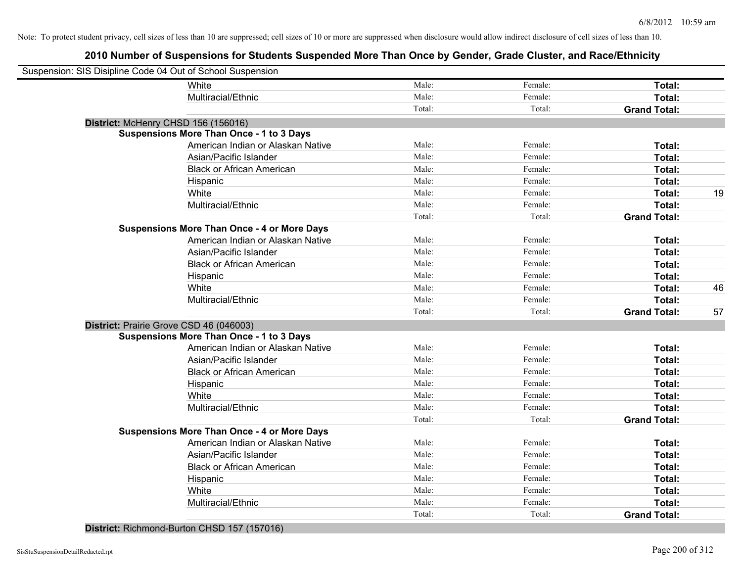# **2010 Number of Suspensions for Students Suspended More Than Once by Gender, Grade Cluster, and Race/Ethnicity**

| Suspension: SIS Disipline Code 04 Out of School Suspension |        |         |                     |    |
|------------------------------------------------------------|--------|---------|---------------------|----|
| White                                                      | Male:  | Female: | Total:              |    |
| Multiracial/Ethnic                                         | Male:  | Female: | Total:              |    |
|                                                            | Total: | Total:  | <b>Grand Total:</b> |    |
| District: McHenry CHSD 156 (156016)                        |        |         |                     |    |
| <b>Suspensions More Than Once - 1 to 3 Days</b>            |        |         |                     |    |
| American Indian or Alaskan Native                          | Male:  | Female: | Total:              |    |
| Asian/Pacific Islander                                     | Male:  | Female: | Total:              |    |
| <b>Black or African American</b>                           | Male:  | Female: | Total:              |    |
| Hispanic                                                   | Male:  | Female: | Total:              |    |
| White                                                      | Male:  | Female: | Total:              | 19 |
| Multiracial/Ethnic                                         | Male:  | Female: | Total:              |    |
|                                                            | Total: | Total:  | <b>Grand Total:</b> |    |
| <b>Suspensions More Than Once - 4 or More Days</b>         |        |         |                     |    |
| American Indian or Alaskan Native                          | Male:  | Female: | Total:              |    |
| Asian/Pacific Islander                                     | Male:  | Female: | Total:              |    |
| <b>Black or African American</b>                           | Male:  | Female: | Total:              |    |
| Hispanic                                                   | Male:  | Female: | Total:              |    |
| White                                                      | Male:  | Female: | Total:              | 46 |
| Multiracial/Ethnic                                         | Male:  | Female: | Total:              |    |
|                                                            | Total: | Total:  | <b>Grand Total:</b> | 57 |
| District: Prairie Grove CSD 46 (046003)                    |        |         |                     |    |
| <b>Suspensions More Than Once - 1 to 3 Days</b>            |        |         |                     |    |
| American Indian or Alaskan Native                          | Male:  | Female: | Total:              |    |
| Asian/Pacific Islander                                     | Male:  | Female: | Total:              |    |
| <b>Black or African American</b>                           | Male:  | Female: | Total:              |    |
| Hispanic                                                   | Male:  | Female: | Total:              |    |
| White                                                      | Male:  | Female: | Total:              |    |
| Multiracial/Ethnic                                         | Male:  | Female: | Total:              |    |
|                                                            | Total: | Total:  | <b>Grand Total:</b> |    |
| <b>Suspensions More Than Once - 4 or More Days</b>         |        |         |                     |    |
| American Indian or Alaskan Native                          | Male:  | Female: | Total:              |    |
| Asian/Pacific Islander                                     | Male:  | Female: | Total:              |    |
| <b>Black or African American</b>                           | Male:  | Female: | Total:              |    |
| Hispanic                                                   | Male:  | Female: | Total:              |    |
| White                                                      | Male:  | Female: | Total:              |    |
| Multiracial/Ethnic                                         | Male:  | Female: | Total:              |    |
|                                                            | Total: | Total:  | <b>Grand Total:</b> |    |
|                                                            |        |         |                     |    |

#### **District:** Richmond-Burton CHSD 157 (157016)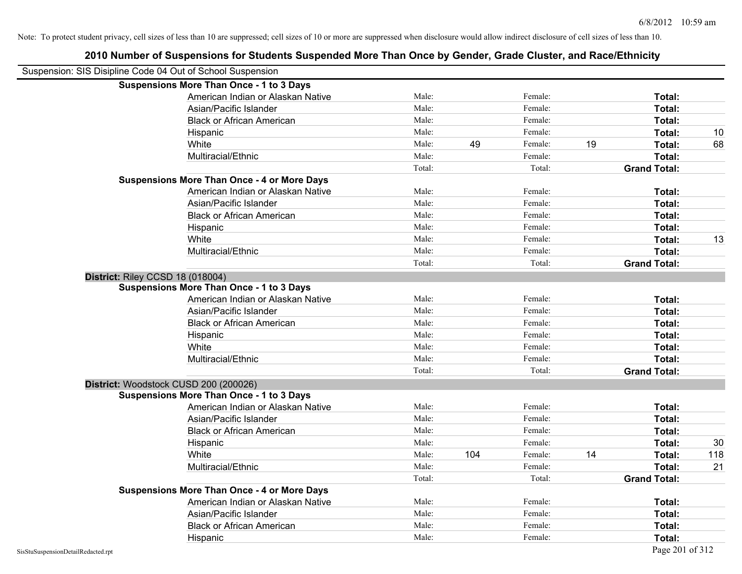|                                                            | 2010 Number of Suspensions for Students Suspended More Than Once by Gender, Grade Cluster, and Race/Ethnicity |        |     |         |    |                     |     |
|------------------------------------------------------------|---------------------------------------------------------------------------------------------------------------|--------|-----|---------|----|---------------------|-----|
| Suspension: SIS Disipline Code 04 Out of School Suspension |                                                                                                               |        |     |         |    |                     |     |
|                                                            | <b>Suspensions More Than Once - 1 to 3 Days</b>                                                               |        |     |         |    |                     |     |
|                                                            | American Indian or Alaskan Native                                                                             | Male:  |     | Female: |    | Total:              |     |
|                                                            | Asian/Pacific Islander                                                                                        | Male:  |     | Female: |    | Total:              |     |
|                                                            | <b>Black or African American</b>                                                                              | Male:  |     | Female: |    | Total:              |     |
|                                                            | Hispanic                                                                                                      | Male:  |     | Female: |    | Total:              | 10  |
|                                                            | White                                                                                                         | Male:  | 49  | Female: | 19 | Total:              | 68  |
|                                                            | Multiracial/Ethnic                                                                                            | Male:  |     | Female: |    | Total:              |     |
|                                                            |                                                                                                               | Total: |     | Total:  |    | <b>Grand Total:</b> |     |
|                                                            | <b>Suspensions More Than Once - 4 or More Days</b>                                                            |        |     |         |    |                     |     |
|                                                            | American Indian or Alaskan Native                                                                             | Male:  |     | Female: |    | Total:              |     |
|                                                            | Asian/Pacific Islander                                                                                        | Male:  |     | Female: |    | Total:              |     |
|                                                            | <b>Black or African American</b>                                                                              | Male:  |     | Female: |    | Total:              |     |
|                                                            | Hispanic                                                                                                      | Male:  |     | Female: |    | Total:              |     |
|                                                            | White                                                                                                         | Male:  |     | Female: |    | Total:              | 13  |
|                                                            | Multiracial/Ethnic                                                                                            | Male:  |     | Female: |    | Total:              |     |
|                                                            |                                                                                                               | Total: |     | Total:  |    | <b>Grand Total:</b> |     |
| District: Riley CCSD 18 (018004)                           |                                                                                                               |        |     |         |    |                     |     |
|                                                            | <b>Suspensions More Than Once - 1 to 3 Days</b>                                                               |        |     |         |    |                     |     |
|                                                            | American Indian or Alaskan Native                                                                             | Male:  |     | Female: |    | Total:              |     |
|                                                            | Asian/Pacific Islander                                                                                        | Male:  |     | Female: |    | Total:              |     |
|                                                            | <b>Black or African American</b>                                                                              | Male:  |     | Female: |    | Total:              |     |
|                                                            | Hispanic                                                                                                      | Male:  |     | Female: |    | Total:              |     |
|                                                            | White                                                                                                         | Male:  |     | Female: |    | Total:              |     |
|                                                            | Multiracial/Ethnic                                                                                            | Male:  |     | Female: |    | Total:              |     |
|                                                            |                                                                                                               | Total: |     | Total:  |    | <b>Grand Total:</b> |     |
|                                                            | District: Woodstock CUSD 200 (200026)                                                                         |        |     |         |    |                     |     |
|                                                            | <b>Suspensions More Than Once - 1 to 3 Days</b>                                                               |        |     |         |    |                     |     |
|                                                            | American Indian or Alaskan Native                                                                             | Male:  |     | Female: |    | Total:              |     |
|                                                            | Asian/Pacific Islander                                                                                        | Male:  |     | Female: |    | Total:              |     |
|                                                            | <b>Black or African American</b>                                                                              | Male:  |     | Female: |    | Total:              |     |
|                                                            | Hispanic                                                                                                      | Male:  |     | Female: |    | Total:              | 30  |
|                                                            | White                                                                                                         | Male:  | 104 | Female: | 14 | Total:              | 118 |
|                                                            | Multiracial/Ethnic                                                                                            | Male:  |     | Female: |    | Total:              | 21  |
|                                                            |                                                                                                               | Total: |     | Total:  |    | <b>Grand Total:</b> |     |
|                                                            | <b>Suspensions More Than Once - 4 or More Days</b>                                                            |        |     |         |    |                     |     |
|                                                            | American Indian or Alaskan Native                                                                             | Male:  |     | Female: |    | Total:              |     |
|                                                            | Asian/Pacific Islander                                                                                        | Male:  |     | Female: |    | Total:              |     |
|                                                            | <b>Black or African American</b>                                                                              | Male:  |     | Female: |    | Total:              |     |
|                                                            | Hispanic                                                                                                      | Male:  |     | Female: |    | Total:              |     |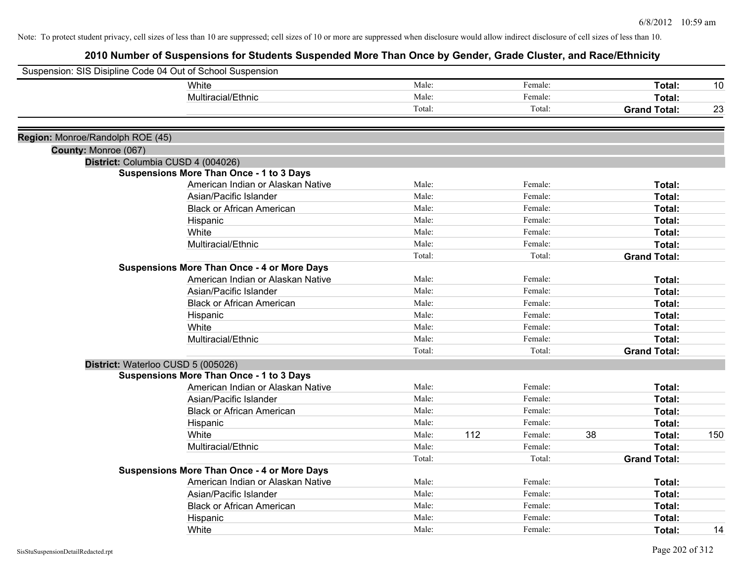|                                  | Suspension: SIS Disipline Code 04 Out of School Suspension |        |     |         |    |                     |     |
|----------------------------------|------------------------------------------------------------|--------|-----|---------|----|---------------------|-----|
|                                  | White                                                      | Male:  |     | Female: |    | Total:              | 10  |
|                                  | Multiracial/Ethnic                                         | Male:  |     | Female: |    | Total:              |     |
|                                  |                                                            | Total: |     | Total:  |    | <b>Grand Total:</b> | 23  |
| Region: Monroe/Randolph ROE (45) |                                                            |        |     |         |    |                     |     |
| County: Monroe (067)             |                                                            |        |     |         |    |                     |     |
|                                  | District: Columbia CUSD 4 (004026)                         |        |     |         |    |                     |     |
|                                  | <b>Suspensions More Than Once - 1 to 3 Days</b>            |        |     |         |    |                     |     |
|                                  | American Indian or Alaskan Native                          | Male:  |     | Female: |    | Total:              |     |
|                                  | Asian/Pacific Islander                                     | Male:  |     | Female: |    | Total:              |     |
|                                  | <b>Black or African American</b>                           | Male:  |     | Female: |    | Total:              |     |
|                                  | Hispanic                                                   | Male:  |     | Female: |    | Total:              |     |
|                                  | White                                                      | Male:  |     | Female: |    | Total:              |     |
|                                  | Multiracial/Ethnic                                         | Male:  |     | Female: |    | Total:              |     |
|                                  |                                                            | Total: |     | Total:  |    | <b>Grand Total:</b> |     |
|                                  | <b>Suspensions More Than Once - 4 or More Days</b>         |        |     |         |    |                     |     |
|                                  | American Indian or Alaskan Native                          | Male:  |     | Female: |    | Total:              |     |
|                                  | Asian/Pacific Islander                                     | Male:  |     | Female: |    | Total:              |     |
|                                  | <b>Black or African American</b>                           | Male:  |     | Female: |    | Total:              |     |
|                                  | Hispanic                                                   | Male:  |     | Female: |    | Total:              |     |
|                                  | White                                                      | Male:  |     | Female: |    | Total:              |     |
|                                  | Multiracial/Ethnic                                         | Male:  |     | Female: |    | Total:              |     |
|                                  |                                                            | Total: |     | Total:  |    | <b>Grand Total:</b> |     |
|                                  | District: Waterloo CUSD 5 (005026)                         |        |     |         |    |                     |     |
|                                  | <b>Suspensions More Than Once - 1 to 3 Days</b>            |        |     |         |    |                     |     |
|                                  | American Indian or Alaskan Native                          | Male:  |     | Female: |    | Total:              |     |
|                                  | Asian/Pacific Islander                                     | Male:  |     | Female: |    | Total:              |     |
|                                  | <b>Black or African American</b>                           | Male:  |     | Female: |    | Total:              |     |
|                                  | Hispanic                                                   | Male:  |     | Female: |    | Total:              |     |
|                                  | White                                                      | Male:  | 112 | Female: | 38 | Total:              | 150 |
|                                  | Multiracial/Ethnic                                         | Male:  |     | Female: |    | Total:              |     |
|                                  |                                                            | Total: |     | Total:  |    | <b>Grand Total:</b> |     |
|                                  | <b>Suspensions More Than Once - 4 or More Days</b>         |        |     |         |    |                     |     |
|                                  | American Indian or Alaskan Native                          | Male:  |     | Female: |    | Total:              |     |
|                                  | Asian/Pacific Islander                                     | Male:  |     | Female: |    | Total:              |     |
|                                  | <b>Black or African American</b>                           | Male:  |     | Female: |    | Total:              |     |
|                                  | Hispanic                                                   | Male:  |     | Female: |    | Total:              |     |
|                                  | White                                                      | Male:  |     | Female: |    | Total:              | 14  |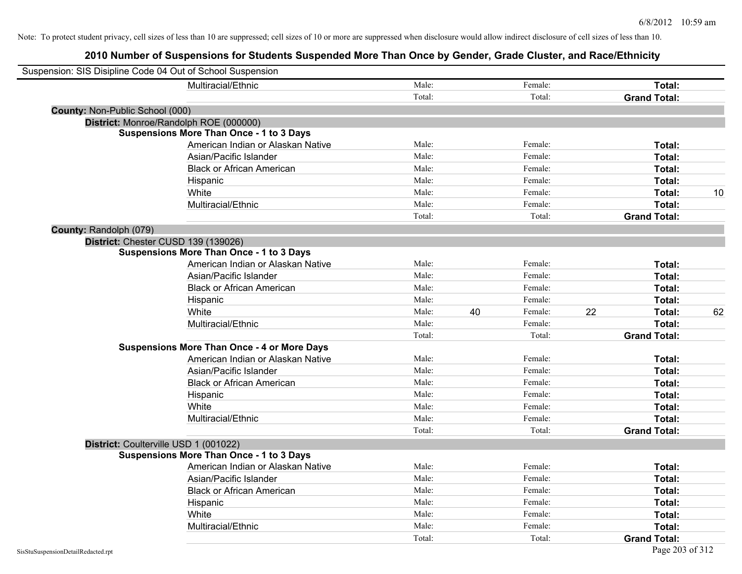| Suspension: SIS Disipline Code 04 Out of School Suspension |                                                    |        |               |                     |    |
|------------------------------------------------------------|----------------------------------------------------|--------|---------------|---------------------|----|
|                                                            | Multiracial/Ethnic                                 | Male:  | Female:       | Total:              |    |
|                                                            |                                                    | Total: | Total:        | <b>Grand Total:</b> |    |
| County: Non-Public School (000)                            |                                                    |        |               |                     |    |
| District: Monroe/Randolph ROE (000000)                     |                                                    |        |               |                     |    |
|                                                            | <b>Suspensions More Than Once - 1 to 3 Days</b>    |        |               |                     |    |
|                                                            | American Indian or Alaskan Native                  | Male:  | Female:       | Total:              |    |
|                                                            | Asian/Pacific Islander                             | Male:  | Female:       | Total:              |    |
|                                                            | <b>Black or African American</b>                   | Male:  | Female:       | Total:              |    |
|                                                            | Hispanic                                           | Male:  | Female:       | Total:              |    |
|                                                            | White                                              | Male:  | Female:       | Total:              | 10 |
|                                                            | Multiracial/Ethnic                                 | Male:  | Female:       | Total:              |    |
|                                                            |                                                    | Total: | Total:        | <b>Grand Total:</b> |    |
| County: Randolph (079)                                     |                                                    |        |               |                     |    |
| District: Chester CUSD 139 (139026)                        |                                                    |        |               |                     |    |
|                                                            | <b>Suspensions More Than Once - 1 to 3 Days</b>    |        |               |                     |    |
|                                                            | American Indian or Alaskan Native                  | Male:  | Female:       | Total:              |    |
|                                                            | Asian/Pacific Islander                             | Male:  | Female:       | Total:              |    |
|                                                            | <b>Black or African American</b>                   | Male:  | Female:       | Total:              |    |
|                                                            | Hispanic                                           | Male:  | Female:       | Total:              |    |
|                                                            | White                                              | Male:  | 40<br>Female: | 22<br>Total:        | 62 |
|                                                            | Multiracial/Ethnic                                 | Male:  | Female:       | Total:              |    |
|                                                            |                                                    | Total: | Total:        | <b>Grand Total:</b> |    |
|                                                            | <b>Suspensions More Than Once - 4 or More Days</b> |        |               |                     |    |
|                                                            | American Indian or Alaskan Native                  | Male:  | Female:       | Total:              |    |
|                                                            | Asian/Pacific Islander                             | Male:  | Female:       | Total:              |    |
|                                                            | <b>Black or African American</b>                   | Male:  | Female:       | Total:              |    |
|                                                            | Hispanic                                           | Male:  | Female:       | Total:              |    |
|                                                            | White                                              | Male:  | Female:       | Total:              |    |
|                                                            | Multiracial/Ethnic                                 | Male:  | Female:       | Total:              |    |
|                                                            |                                                    | Total: | Total:        | <b>Grand Total:</b> |    |
| District: Coulterville USD 1 (001022)                      |                                                    |        |               |                     |    |
|                                                            | <b>Suspensions More Than Once - 1 to 3 Days</b>    |        |               |                     |    |
|                                                            | American Indian or Alaskan Native                  | Male:  | Female:       | Total:              |    |
|                                                            | Asian/Pacific Islander                             | Male:  | Female:       | Total:              |    |
|                                                            | <b>Black or African American</b>                   | Male:  | Female:       | Total:              |    |
|                                                            | Hispanic                                           | Male:  | Female:       | Total:              |    |
|                                                            | White                                              | Male:  | Female:       | Total:              |    |
|                                                            | Multiracial/Ethnic                                 | Male:  | Female:       | Total:              |    |
|                                                            |                                                    | Total: | Total:        | <b>Grand Total:</b> |    |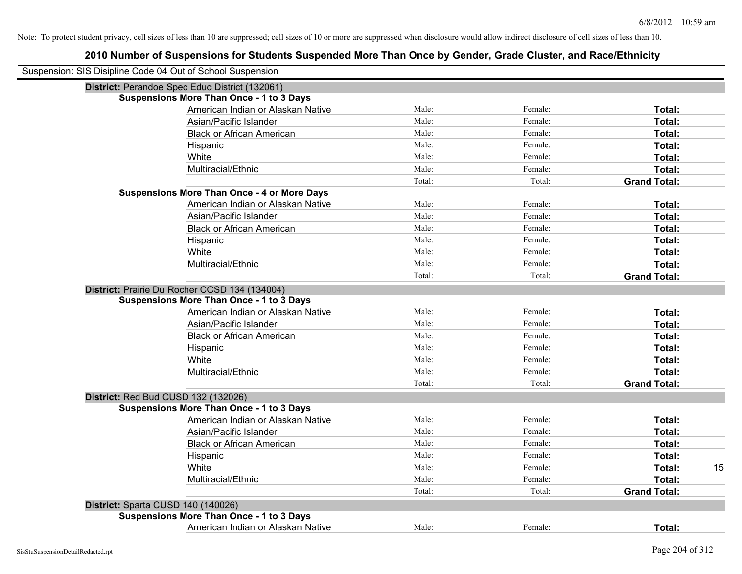| Suspension: SIS Disipline Code 04 Out of School Suspension |        |         |                     |
|------------------------------------------------------------|--------|---------|---------------------|
| District: Perandoe Spec Educ District (132061)             |        |         |                     |
| <b>Suspensions More Than Once - 1 to 3 Days</b>            |        |         |                     |
| American Indian or Alaskan Native                          | Male:  | Female: | Total:              |
| Asian/Pacific Islander                                     | Male:  | Female: | Total:              |
| <b>Black or African American</b>                           | Male:  | Female: | Total:              |
| Hispanic                                                   | Male:  | Female: | Total:              |
| White                                                      | Male:  | Female: | Total:              |
| Multiracial/Ethnic                                         | Male:  | Female: | Total:              |
|                                                            | Total: | Total:  | <b>Grand Total:</b> |
| <b>Suspensions More Than Once - 4 or More Days</b>         |        |         |                     |
| American Indian or Alaskan Native                          | Male:  | Female: | Total:              |
| Asian/Pacific Islander                                     | Male:  | Female: | Total:              |
| <b>Black or African American</b>                           | Male:  | Female: | Total:              |
| Hispanic                                                   | Male:  | Female: | Total:              |
| White                                                      | Male:  | Female: | Total:              |
| Multiracial/Ethnic                                         | Male:  | Female: | Total:              |
|                                                            | Total: | Total:  | <b>Grand Total:</b> |
| District: Prairie Du Rocher CCSD 134 (134004)              |        |         |                     |
| <b>Suspensions More Than Once - 1 to 3 Days</b>            |        |         |                     |
| American Indian or Alaskan Native                          | Male:  | Female: | Total:              |
| Asian/Pacific Islander                                     | Male:  | Female: | Total:              |
| <b>Black or African American</b>                           | Male:  | Female: | Total:              |
| Hispanic                                                   | Male:  | Female: | Total:              |
| White                                                      | Male:  | Female: | Total:              |
| Multiracial/Ethnic                                         | Male:  | Female: | Total:              |
|                                                            | Total: | Total:  | <b>Grand Total:</b> |
| District: Red Bud CUSD 132 (132026)                        |        |         |                     |
| <b>Suspensions More Than Once - 1 to 3 Days</b>            |        |         |                     |
| American Indian or Alaskan Native                          | Male:  | Female: | Total:              |
| Asian/Pacific Islander                                     | Male:  | Female: | Total:              |
| <b>Black or African American</b>                           | Male:  | Female: | Total:              |
| Hispanic                                                   | Male:  | Female: | Total:              |
| White                                                      | Male:  | Female: | 15<br>Total:        |
| Multiracial/Ethnic                                         | Male:  | Female: | Total:              |
|                                                            | Total: | Total:  | <b>Grand Total:</b> |
| District: Sparta CUSD 140 (140026)                         |        |         |                     |
| <b>Suspensions More Than Once - 1 to 3 Days</b>            |        |         |                     |
| American Indian or Alaskan Native                          | Male:  | Female: | Total:              |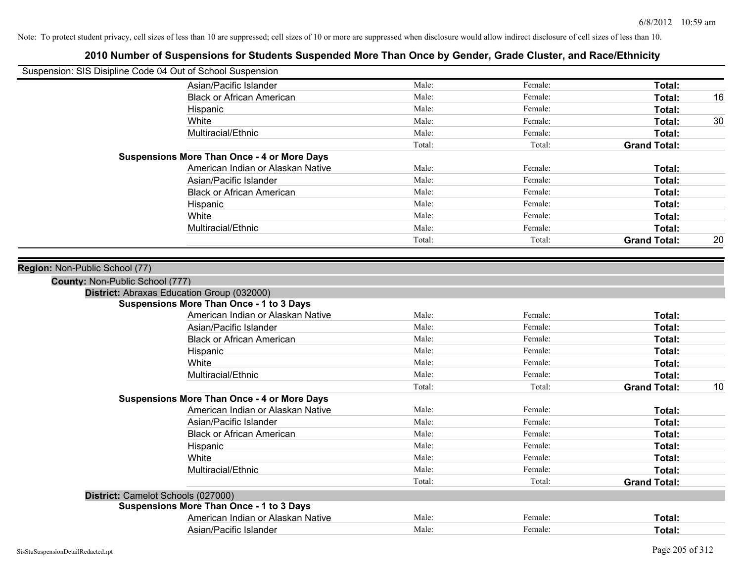|                                 | Suspension: SIS Disipline Code 04 Out of School Suspension                                    |        |         |                     |    |
|---------------------------------|-----------------------------------------------------------------------------------------------|--------|---------|---------------------|----|
|                                 | Asian/Pacific Islander                                                                        | Male:  | Female: | Total:              |    |
|                                 | <b>Black or African American</b>                                                              | Male:  | Female: | Total:              | 16 |
|                                 | Hispanic                                                                                      | Male:  | Female: | Total:              |    |
|                                 | White                                                                                         | Male:  | Female: | Total:              | 30 |
|                                 | Multiracial/Ethnic                                                                            | Male:  | Female: | Total:              |    |
|                                 |                                                                                               | Total: | Total:  | <b>Grand Total:</b> |    |
|                                 | <b>Suspensions More Than Once - 4 or More Days</b>                                            |        |         |                     |    |
|                                 | American Indian or Alaskan Native                                                             | Male:  | Female: | Total:              |    |
|                                 | Asian/Pacific Islander                                                                        | Male:  | Female: | Total:              |    |
|                                 | <b>Black or African American</b>                                                              | Male:  | Female: | Total:              |    |
|                                 | Hispanic                                                                                      | Male:  | Female: | Total:              |    |
|                                 | White                                                                                         | Male:  | Female: | Total:              |    |
|                                 | Multiracial/Ethnic                                                                            | Male:  | Female: | Total:              |    |
|                                 |                                                                                               | Total: | Total:  | <b>Grand Total:</b> | 20 |
| Region: Non-Public School (77)  |                                                                                               |        |         |                     |    |
| County: Non-Public School (777) |                                                                                               |        |         |                     |    |
|                                 | District: Abraxas Education Group (032000)<br><b>Suspensions More Than Once - 1 to 3 Days</b> |        |         |                     |    |
|                                 | American Indian or Alaskan Native                                                             | Male:  | Female: | Total:              |    |
|                                 | Asian/Pacific Islander                                                                        | Male:  | Female: | Total:              |    |
|                                 | <b>Black or African American</b>                                                              | Male:  | Female: | Total:              |    |
|                                 |                                                                                               | Male:  | Female: | Total:              |    |
|                                 | Hispanic<br>White                                                                             | Male:  | Female: | Total:              |    |
|                                 | Multiracial/Ethnic                                                                            | Male:  | Female: |                     |    |
|                                 |                                                                                               |        |         | Total:              |    |
|                                 | <b>Suspensions More Than Once - 4 or More Days</b>                                            | Total: | Total:  | <b>Grand Total:</b> | 10 |
|                                 | American Indian or Alaskan Native                                                             | Male:  | Female: | Total:              |    |
|                                 | Asian/Pacific Islander                                                                        | Male:  | Female: | Total:              |    |
|                                 | <b>Black or African American</b>                                                              | Male:  | Female: | Total:              |    |
|                                 |                                                                                               | Male:  | Female: | Total:              |    |
|                                 | Hispanic<br>White                                                                             | Male:  | Female: | Total:              |    |
|                                 |                                                                                               | Male:  | Female: |                     |    |
|                                 | Multiracial/Ethnic                                                                            |        |         | Total:              |    |
|                                 |                                                                                               | Total: | Total:  | <b>Grand Total:</b> |    |
|                                 | District: Camelot Schools (027000)                                                            |        |         |                     |    |
|                                 | <b>Suspensions More Than Once - 1 to 3 Days</b>                                               |        |         |                     |    |
|                                 | American Indian or Alaskan Native                                                             | Male:  | Female: | Total:              |    |
|                                 | Asian/Pacific Islander                                                                        | Male:  | Female: | Total:              |    |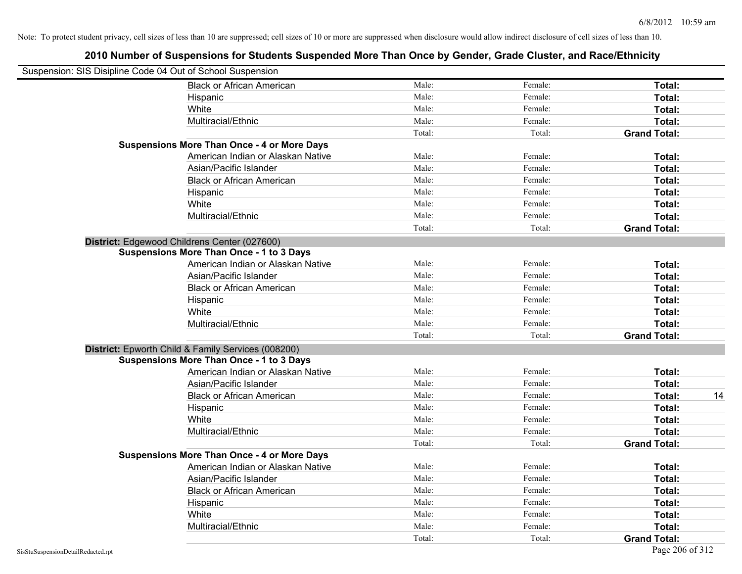| Suspension: SIS Disipline Code 04 Out of School Suspension |                                                    |        |         |                     |    |
|------------------------------------------------------------|----------------------------------------------------|--------|---------|---------------------|----|
|                                                            | <b>Black or African American</b>                   | Male:  | Female: | Total:              |    |
|                                                            | Hispanic                                           | Male:  | Female: | Total:              |    |
|                                                            | White                                              | Male:  | Female: | Total:              |    |
|                                                            | Multiracial/Ethnic                                 | Male:  | Female: | Total:              |    |
|                                                            |                                                    | Total: | Total:  | <b>Grand Total:</b> |    |
|                                                            | <b>Suspensions More Than Once - 4 or More Days</b> |        |         |                     |    |
|                                                            | American Indian or Alaskan Native                  | Male:  | Female: | Total:              |    |
|                                                            | Asian/Pacific Islander                             | Male:  | Female: | Total:              |    |
|                                                            | <b>Black or African American</b>                   | Male:  | Female: | Total:              |    |
|                                                            | Hispanic                                           | Male:  | Female: | Total:              |    |
|                                                            | White                                              | Male:  | Female: | Total:              |    |
|                                                            | Multiracial/Ethnic                                 | Male:  | Female: | Total:              |    |
|                                                            |                                                    | Total: | Total:  | <b>Grand Total:</b> |    |
|                                                            | District: Edgewood Childrens Center (027600)       |        |         |                     |    |
|                                                            | <b>Suspensions More Than Once - 1 to 3 Days</b>    |        |         |                     |    |
|                                                            | American Indian or Alaskan Native                  | Male:  | Female: | Total:              |    |
|                                                            | Asian/Pacific Islander                             | Male:  | Female: | Total:              |    |
|                                                            | <b>Black or African American</b>                   | Male:  | Female: | Total:              |    |
|                                                            | Hispanic                                           | Male:  | Female: | Total:              |    |
|                                                            | White                                              | Male:  | Female: | Total:              |    |
|                                                            | Multiracial/Ethnic                                 | Male:  | Female: | Total:              |    |
|                                                            |                                                    | Total: | Total:  | <b>Grand Total:</b> |    |
|                                                            | District: Epworth Child & Family Services (008200) |        |         |                     |    |
|                                                            | <b>Suspensions More Than Once - 1 to 3 Days</b>    |        |         |                     |    |
|                                                            | American Indian or Alaskan Native                  | Male:  | Female: | Total:              |    |
|                                                            | Asian/Pacific Islander                             | Male:  | Female: | Total:              |    |
|                                                            | <b>Black or African American</b>                   | Male:  | Female: | Total:              | 14 |
|                                                            | Hispanic                                           | Male:  | Female: | Total:              |    |
|                                                            | White                                              | Male:  | Female: | Total:              |    |
|                                                            | Multiracial/Ethnic                                 | Male:  | Female: | Total:              |    |
|                                                            |                                                    | Total: | Total:  | <b>Grand Total:</b> |    |
|                                                            | <b>Suspensions More Than Once - 4 or More Days</b> |        |         |                     |    |
|                                                            | American Indian or Alaskan Native                  | Male:  | Female: | Total:              |    |
|                                                            | Asian/Pacific Islander                             | Male:  | Female: | Total:              |    |
|                                                            | <b>Black or African American</b>                   | Male:  | Female: | Total:              |    |
|                                                            | Hispanic                                           | Male:  | Female: | Total:              |    |
|                                                            | White                                              | Male:  | Female: | Total:              |    |
|                                                            | Multiracial/Ethnic                                 | Male:  | Female: | <b>Total:</b>       |    |
|                                                            |                                                    | Total: | Total:  | <b>Grand Total:</b> |    |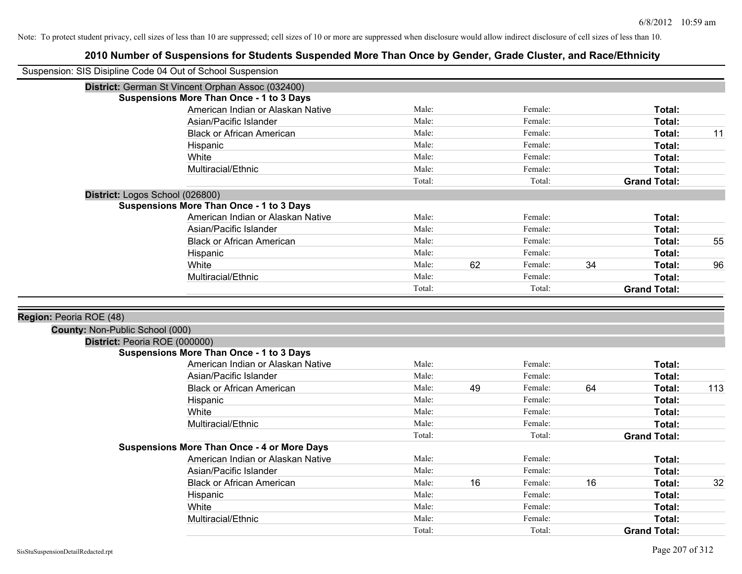| Suspension: SIS Disipline Code 04 Out of School Suspension |                                                    |        |    |         |    |                     |     |
|------------------------------------------------------------|----------------------------------------------------|--------|----|---------|----|---------------------|-----|
|                                                            | District: German St Vincent Orphan Assoc (032400)  |        |    |         |    |                     |     |
|                                                            | <b>Suspensions More Than Once - 1 to 3 Days</b>    |        |    |         |    |                     |     |
|                                                            | American Indian or Alaskan Native                  | Male:  |    | Female: |    | Total:              |     |
|                                                            | Asian/Pacific Islander                             | Male:  |    | Female: |    | Total:              |     |
|                                                            | <b>Black or African American</b>                   | Male:  |    | Female: |    | Total:              | 11  |
|                                                            | Hispanic                                           | Male:  |    | Female: |    | Total:              |     |
|                                                            | White                                              | Male:  |    | Female: |    | Total:              |     |
|                                                            | Multiracial/Ethnic                                 | Male:  |    | Female: |    | Total:              |     |
|                                                            |                                                    | Total: |    | Total:  |    | <b>Grand Total:</b> |     |
| District: Logos School (026800)                            |                                                    |        |    |         |    |                     |     |
|                                                            | <b>Suspensions More Than Once - 1 to 3 Days</b>    |        |    |         |    |                     |     |
|                                                            | American Indian or Alaskan Native                  | Male:  |    | Female: |    | Total:              |     |
|                                                            | Asian/Pacific Islander                             | Male:  |    | Female: |    | Total:              |     |
|                                                            | <b>Black or African American</b>                   | Male:  |    | Female: |    | Total:              | 55  |
|                                                            | Hispanic                                           | Male:  |    | Female: |    | Total:              |     |
|                                                            | White                                              | Male:  | 62 | Female: | 34 | Total:              | 96  |
|                                                            | Multiracial/Ethnic                                 | Male:  |    | Female: |    | Total:              |     |
|                                                            |                                                    | Total: |    | Total:  |    | <b>Grand Total:</b> |     |
|                                                            |                                                    |        |    |         |    |                     |     |
| Region: Peoria ROE (48)                                    |                                                    |        |    |         |    |                     |     |
| County: Non-Public School (000)                            |                                                    |        |    |         |    |                     |     |
| District: Peoria ROE (000000)                              |                                                    |        |    |         |    |                     |     |
|                                                            | <b>Suspensions More Than Once - 1 to 3 Days</b>    |        |    |         |    |                     |     |
|                                                            | American Indian or Alaskan Native                  | Male:  |    | Female: |    | Total:              |     |
|                                                            | Asian/Pacific Islander                             | Male:  |    | Female: |    | Total:              |     |
|                                                            | <b>Black or African American</b>                   | Male:  | 49 | Female: | 64 | Total:              | 113 |
|                                                            | Hispanic                                           | Male:  |    | Female: |    | Total:              |     |
|                                                            | White                                              | Male:  |    | Female: |    | Total:              |     |
|                                                            | Multiracial/Ethnic                                 | Male:  |    | Female: |    | Total:              |     |
|                                                            |                                                    | Total: |    | Total:  |    | <b>Grand Total:</b> |     |
|                                                            | <b>Suspensions More Than Once - 4 or More Days</b> |        |    |         |    |                     |     |
|                                                            | American Indian or Alaskan Native                  | Male:  |    | Female: |    | Total:              |     |
|                                                            | Asian/Pacific Islander                             | Male:  |    | Female: |    | Total:              |     |
|                                                            | <b>Black or African American</b>                   | Male:  | 16 | Female: | 16 | Total:              | 32  |
|                                                            | Hispanic                                           | Male:  |    | Female: |    | Total:              |     |
|                                                            | White                                              | Male:  |    | Female: |    | Total:              |     |
|                                                            | Multiracial/Ethnic                                 | Male:  |    | Female: |    | Total:              |     |
|                                                            |                                                    | Total: |    | Total:  |    | <b>Grand Total:</b> |     |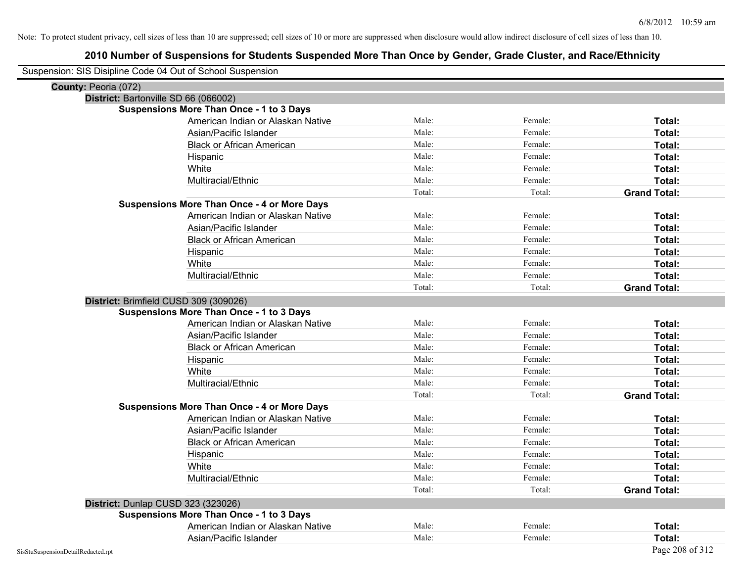| Suspension: SIS Disipline Code 04 Out of School Suspension |        |         |                     |
|------------------------------------------------------------|--------|---------|---------------------|
| County: Peoria (072)                                       |        |         |                     |
| District: Bartonville SD 66 (066002)                       |        |         |                     |
| <b>Suspensions More Than Once - 1 to 3 Days</b>            |        |         |                     |
| American Indian or Alaskan Native                          | Male:  | Female: | Total:              |
| Asian/Pacific Islander                                     | Male:  | Female: | Total:              |
| <b>Black or African American</b>                           | Male:  | Female: | Total:              |
| Hispanic                                                   | Male:  | Female: | Total:              |
| White                                                      | Male:  | Female: | Total:              |
| Multiracial/Ethnic                                         | Male:  | Female: | Total:              |
|                                                            | Total: | Total:  | <b>Grand Total:</b> |
| <b>Suspensions More Than Once - 4 or More Days</b>         |        |         |                     |
| American Indian or Alaskan Native                          | Male:  | Female: | Total:              |
| Asian/Pacific Islander                                     | Male:  | Female: | Total:              |
| <b>Black or African American</b>                           | Male:  | Female: | Total:              |
| Hispanic                                                   | Male:  | Female: | Total:              |
| White                                                      | Male:  | Female: | Total:              |
| Multiracial/Ethnic                                         | Male:  | Female: | Total:              |
|                                                            | Total: | Total:  | <b>Grand Total:</b> |
| District: Brimfield CUSD 309 (309026)                      |        |         |                     |
| <b>Suspensions More Than Once - 1 to 3 Days</b>            |        |         |                     |
| American Indian or Alaskan Native                          | Male:  | Female: | Total:              |
| Asian/Pacific Islander                                     | Male:  | Female: | Total:              |
| <b>Black or African American</b>                           | Male:  | Female: | Total:              |
| Hispanic                                                   | Male:  | Female: | Total:              |
| White                                                      | Male:  | Female: | Total:              |
| Multiracial/Ethnic                                         | Male:  | Female: | Total:              |
|                                                            | Total: | Total:  | <b>Grand Total:</b> |
| <b>Suspensions More Than Once - 4 or More Days</b>         |        |         |                     |
| American Indian or Alaskan Native                          | Male:  | Female: | Total:              |
| Asian/Pacific Islander                                     | Male:  | Female: | Total:              |
| <b>Black or African American</b>                           | Male:  | Female: | Total:              |
| Hispanic                                                   | Male:  | Female: | Total:              |
| White                                                      | Male:  | Female: | Total:              |
| Multiracial/Ethnic                                         | Male:  | Female: | Total:              |
|                                                            | Total: | Total:  | <b>Grand Total:</b> |
| District: Dunlap CUSD 323 (323026)                         |        |         |                     |
| <b>Suspensions More Than Once - 1 to 3 Days</b>            |        |         |                     |
| American Indian or Alaskan Native                          | Male:  | Female: | Total:              |
| Asian/Pacific Islander                                     | Male:  | Female: | Total:              |
| SisStuSuspensionDetailRedacted.rpt                         |        |         | Page 208 of 312     |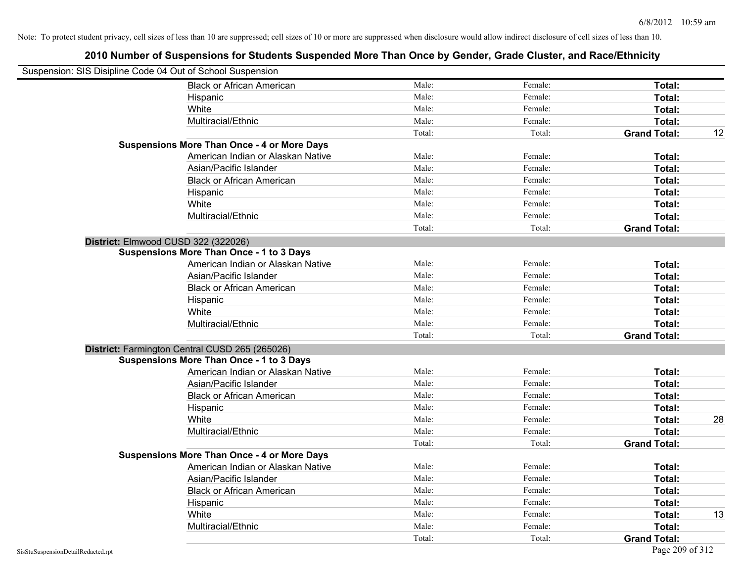| Suspension: SIS Disipline Code 04 Out of School Suspension |                                                    |        |         |                     |    |
|------------------------------------------------------------|----------------------------------------------------|--------|---------|---------------------|----|
|                                                            | <b>Black or African American</b>                   | Male:  | Female: | Total:              |    |
|                                                            | Hispanic                                           | Male:  | Female: | Total:              |    |
|                                                            | White                                              | Male:  | Female: | Total:              |    |
|                                                            | Multiracial/Ethnic                                 | Male:  | Female: | Total:              |    |
|                                                            |                                                    | Total: | Total:  | <b>Grand Total:</b> | 12 |
|                                                            | <b>Suspensions More Than Once - 4 or More Days</b> |        |         |                     |    |
|                                                            | American Indian or Alaskan Native                  | Male:  | Female: | Total:              |    |
|                                                            | Asian/Pacific Islander                             | Male:  | Female: | Total:              |    |
|                                                            | <b>Black or African American</b>                   | Male:  | Female: | Total:              |    |
|                                                            | Hispanic                                           | Male:  | Female: | Total:              |    |
|                                                            | White                                              | Male:  | Female: | Total:              |    |
|                                                            | Multiracial/Ethnic                                 | Male:  | Female: | Total:              |    |
|                                                            |                                                    | Total: | Total:  | <b>Grand Total:</b> |    |
| District: Elmwood CUSD 322 (322026)                        |                                                    |        |         |                     |    |
|                                                            | <b>Suspensions More Than Once - 1 to 3 Days</b>    |        |         |                     |    |
|                                                            | American Indian or Alaskan Native                  | Male:  | Female: | Total:              |    |
|                                                            | Asian/Pacific Islander                             | Male:  | Female: | Total:              |    |
|                                                            | <b>Black or African American</b>                   | Male:  | Female: | Total:              |    |
|                                                            | Hispanic                                           | Male:  | Female: | Total:              |    |
|                                                            | White                                              | Male:  | Female: | Total:              |    |
|                                                            | Multiracial/Ethnic                                 | Male:  | Female: | Total:              |    |
|                                                            |                                                    | Total: | Total:  | <b>Grand Total:</b> |    |
|                                                            | District: Farmington Central CUSD 265 (265026)     |        |         |                     |    |
|                                                            | <b>Suspensions More Than Once - 1 to 3 Days</b>    |        |         |                     |    |
|                                                            | American Indian or Alaskan Native                  | Male:  | Female: | Total:              |    |
|                                                            | Asian/Pacific Islander                             | Male:  | Female: | Total:              |    |
|                                                            | <b>Black or African American</b>                   | Male:  | Female: | Total:              |    |
|                                                            | Hispanic                                           | Male:  | Female: | Total:              |    |
|                                                            | White                                              | Male:  | Female: | Total:              | 28 |
|                                                            | Multiracial/Ethnic                                 | Male:  | Female: | Total:              |    |
|                                                            |                                                    | Total: | Total:  | <b>Grand Total:</b> |    |
|                                                            | <b>Suspensions More Than Once - 4 or More Days</b> |        |         |                     |    |
|                                                            | American Indian or Alaskan Native                  | Male:  | Female: | Total:              |    |
|                                                            | Asian/Pacific Islander                             | Male:  | Female: | Total:              |    |
|                                                            | <b>Black or African American</b>                   | Male:  | Female: | Total:              |    |
|                                                            | Hispanic                                           | Male:  | Female: | Total:              |    |
|                                                            | White                                              | Male:  | Female: | Total:              | 13 |
|                                                            | Multiracial/Ethnic                                 | Male:  | Female: | Total:              |    |
|                                                            |                                                    | Total: | Total:  | <b>Grand Total:</b> |    |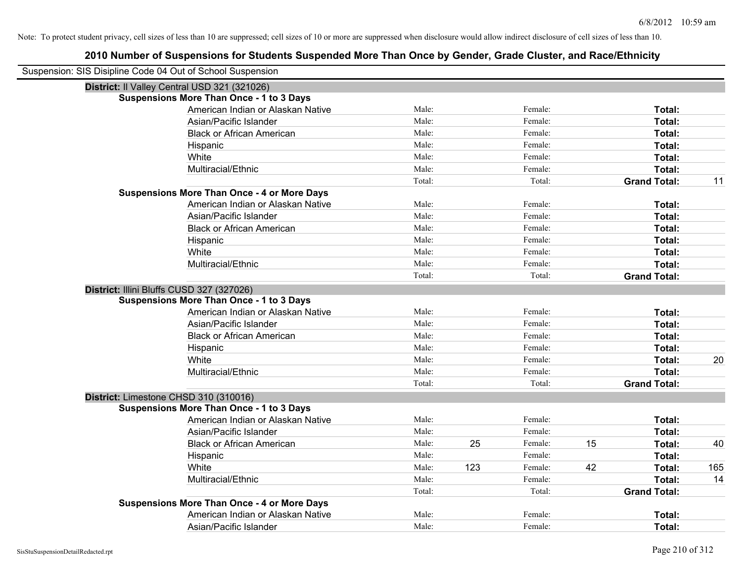| Suspension: SIS Disipline Code 04 Out of School Suspension |                                                    |        |     |         |    |                     |     |
|------------------------------------------------------------|----------------------------------------------------|--------|-----|---------|----|---------------------|-----|
| District: Il Valley Central USD 321 (321026)               |                                                    |        |     |         |    |                     |     |
|                                                            | <b>Suspensions More Than Once - 1 to 3 Days</b>    |        |     |         |    |                     |     |
|                                                            | American Indian or Alaskan Native                  | Male:  |     | Female: |    | Total:              |     |
|                                                            | Asian/Pacific Islander                             | Male:  |     | Female: |    | Total:              |     |
|                                                            | <b>Black or African American</b>                   | Male:  |     | Female: |    | Total:              |     |
|                                                            | Hispanic                                           | Male:  |     | Female: |    | Total:              |     |
|                                                            | White                                              | Male:  |     | Female: |    | Total:              |     |
|                                                            | Multiracial/Ethnic                                 | Male:  |     | Female: |    | Total:              |     |
|                                                            |                                                    | Total: |     | Total:  |    | <b>Grand Total:</b> | 11  |
|                                                            | <b>Suspensions More Than Once - 4 or More Days</b> |        |     |         |    |                     |     |
|                                                            | American Indian or Alaskan Native                  | Male:  |     | Female: |    | Total:              |     |
|                                                            | Asian/Pacific Islander                             | Male:  |     | Female: |    | Total:              |     |
|                                                            | <b>Black or African American</b>                   | Male:  |     | Female: |    | Total:              |     |
|                                                            | Hispanic                                           | Male:  |     | Female: |    | Total:              |     |
|                                                            | White                                              | Male:  |     | Female: |    | Total:              |     |
|                                                            | Multiracial/Ethnic                                 | Male:  |     | Female: |    | Total:              |     |
|                                                            |                                                    | Total: |     | Total:  |    | <b>Grand Total:</b> |     |
| District: Illini Bluffs CUSD 327 (327026)                  |                                                    |        |     |         |    |                     |     |
|                                                            | <b>Suspensions More Than Once - 1 to 3 Days</b>    |        |     |         |    |                     |     |
|                                                            | American Indian or Alaskan Native                  | Male:  |     | Female: |    | Total:              |     |
|                                                            | Asian/Pacific Islander                             | Male:  |     | Female: |    | Total:              |     |
|                                                            | <b>Black or African American</b>                   | Male:  |     | Female: |    | Total:              |     |
|                                                            | Hispanic                                           | Male:  |     | Female: |    | Total:              |     |
|                                                            | White                                              | Male:  |     | Female: |    | Total:              | 20  |
|                                                            | Multiracial/Ethnic                                 | Male:  |     | Female: |    | Total:              |     |
|                                                            |                                                    | Total: |     | Total:  |    | <b>Grand Total:</b> |     |
| District: Limestone CHSD 310 (310016)                      |                                                    |        |     |         |    |                     |     |
|                                                            | <b>Suspensions More Than Once - 1 to 3 Days</b>    |        |     |         |    |                     |     |
|                                                            | American Indian or Alaskan Native                  | Male:  |     | Female: |    | Total:              |     |
|                                                            | Asian/Pacific Islander                             | Male:  |     | Female: |    | Total:              |     |
|                                                            | <b>Black or African American</b>                   | Male:  | 25  | Female: | 15 | Total:              | 40  |
|                                                            | Hispanic                                           | Male:  |     | Female: |    | Total:              |     |
|                                                            | White                                              | Male:  | 123 | Female: | 42 | Total:              | 165 |
|                                                            | Multiracial/Ethnic                                 | Male:  |     | Female: |    | Total:              | 14  |
|                                                            |                                                    | Total: |     | Total:  |    | <b>Grand Total:</b> |     |
|                                                            | <b>Suspensions More Than Once - 4 or More Days</b> |        |     |         |    |                     |     |
|                                                            | American Indian or Alaskan Native                  | Male:  |     | Female: |    | Total:              |     |
|                                                            | Asian/Pacific Islander                             | Male:  |     | Female: |    | Total:              |     |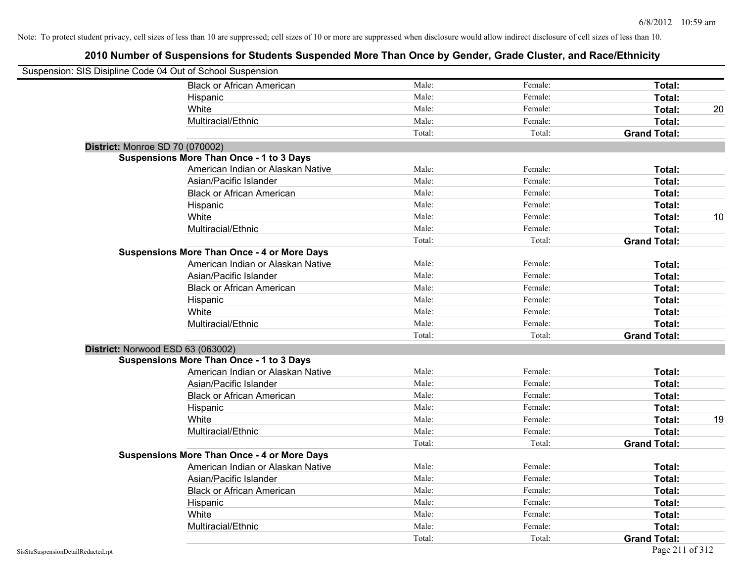| Suspension: SIS Disipline Code 04 Out of School Suspension |                                                    |        |         |                     |    |
|------------------------------------------------------------|----------------------------------------------------|--------|---------|---------------------|----|
|                                                            | <b>Black or African American</b>                   | Male:  | Female: | Total:              |    |
|                                                            | Hispanic                                           | Male:  | Female: | Total:              |    |
|                                                            | White                                              | Male:  | Female: | Total:              | 20 |
|                                                            | Multiracial/Ethnic                                 | Male:  | Female: | Total:              |    |
|                                                            |                                                    | Total: | Total:  | <b>Grand Total:</b> |    |
| District: Monroe SD 70 (070002)                            |                                                    |        |         |                     |    |
|                                                            | <b>Suspensions More Than Once - 1 to 3 Days</b>    |        |         |                     |    |
|                                                            | American Indian or Alaskan Native                  | Male:  | Female: | Total:              |    |
|                                                            | Asian/Pacific Islander                             | Male:  | Female: | Total:              |    |
|                                                            | <b>Black or African American</b>                   | Male:  | Female: | Total:              |    |
|                                                            | Hispanic                                           | Male:  | Female: | Total:              |    |
|                                                            | White                                              | Male:  | Female: | Total:              | 10 |
|                                                            | Multiracial/Ethnic                                 | Male:  | Female: | Total:              |    |
|                                                            |                                                    | Total: | Total:  | <b>Grand Total:</b> |    |
|                                                            | <b>Suspensions More Than Once - 4 or More Days</b> |        |         |                     |    |
|                                                            | American Indian or Alaskan Native                  | Male:  | Female: | Total:              |    |
|                                                            | Asian/Pacific Islander                             | Male:  | Female: | Total:              |    |
|                                                            | <b>Black or African American</b>                   | Male:  | Female: | Total:              |    |
|                                                            | Hispanic                                           | Male:  | Female: | Total:              |    |
|                                                            | White                                              | Male:  | Female: | Total:              |    |
|                                                            | Multiracial/Ethnic                                 | Male:  | Female: | Total:              |    |
|                                                            |                                                    | Total: | Total:  | <b>Grand Total:</b> |    |
|                                                            | District: Norwood ESD 63 (063002)                  |        |         |                     |    |
|                                                            | <b>Suspensions More Than Once - 1 to 3 Days</b>    |        |         |                     |    |
|                                                            | American Indian or Alaskan Native                  | Male:  | Female: | Total:              |    |
|                                                            | Asian/Pacific Islander                             | Male:  | Female: | Total:              |    |
|                                                            | <b>Black or African American</b>                   | Male:  | Female: | Total:              |    |
|                                                            | Hispanic                                           | Male:  | Female: | Total:              |    |
|                                                            | White                                              | Male:  | Female: | Total:              | 19 |
|                                                            | Multiracial/Ethnic                                 | Male:  | Female: | Total:              |    |
|                                                            |                                                    | Total: | Total:  | <b>Grand Total:</b> |    |
|                                                            | <b>Suspensions More Than Once - 4 or More Days</b> |        |         |                     |    |
|                                                            | American Indian or Alaskan Native                  | Male:  | Female: | Total:              |    |
|                                                            | Asian/Pacific Islander                             | Male:  | Female: | Total:              |    |
|                                                            | <b>Black or African American</b>                   | Male:  | Female: | Total:              |    |
|                                                            | Hispanic                                           | Male:  | Female: | Total:              |    |
|                                                            | White                                              | Male:  | Female: | Total:              |    |
|                                                            | Multiracial/Ethnic                                 | Male:  | Female: | Total:              |    |
|                                                            |                                                    | Total: | Total:  | <b>Grand Total:</b> |    |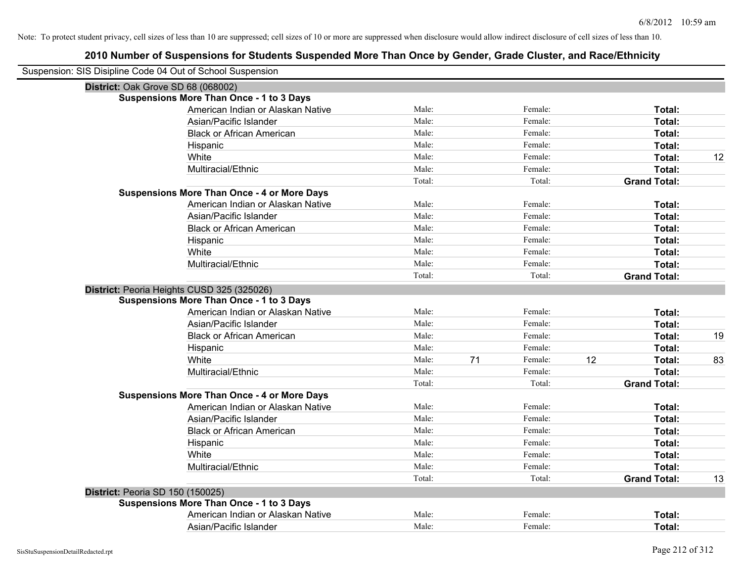| Suspension: SIS Disipline Code 04 Out of School Suspension |                                                    |        |    |         |    |                     |    |
|------------------------------------------------------------|----------------------------------------------------|--------|----|---------|----|---------------------|----|
| District: Oak Grove SD 68 (068002)                         |                                                    |        |    |         |    |                     |    |
|                                                            | <b>Suspensions More Than Once - 1 to 3 Days</b>    |        |    |         |    |                     |    |
|                                                            | American Indian or Alaskan Native                  | Male:  |    | Female: |    | Total:              |    |
|                                                            | Asian/Pacific Islander                             | Male:  |    | Female: |    | Total:              |    |
|                                                            | <b>Black or African American</b>                   | Male:  |    | Female: |    | <b>Total:</b>       |    |
|                                                            | Hispanic                                           | Male:  |    | Female: |    | Total:              |    |
|                                                            | White                                              | Male:  |    | Female: |    | Total:              | 12 |
|                                                            | Multiracial/Ethnic                                 | Male:  |    | Female: |    | Total:              |    |
|                                                            |                                                    | Total: |    | Total:  |    | <b>Grand Total:</b> |    |
|                                                            | <b>Suspensions More Than Once - 4 or More Days</b> |        |    |         |    |                     |    |
|                                                            | American Indian or Alaskan Native                  | Male:  |    | Female: |    | Total:              |    |
|                                                            | Asian/Pacific Islander                             | Male:  |    | Female: |    | Total:              |    |
|                                                            | <b>Black or African American</b>                   | Male:  |    | Female: |    | Total:              |    |
|                                                            | Hispanic                                           | Male:  |    | Female: |    | Total:              |    |
|                                                            | White                                              | Male:  |    | Female: |    | Total:              |    |
|                                                            | Multiracial/Ethnic                                 | Male:  |    | Female: |    | Total:              |    |
|                                                            |                                                    | Total: |    | Total:  |    | <b>Grand Total:</b> |    |
|                                                            | District: Peoria Heights CUSD 325 (325026)         |        |    |         |    |                     |    |
|                                                            | <b>Suspensions More Than Once - 1 to 3 Days</b>    |        |    |         |    |                     |    |
|                                                            | American Indian or Alaskan Native                  | Male:  |    | Female: |    | Total:              |    |
|                                                            | Asian/Pacific Islander                             | Male:  |    | Female: |    | Total:              |    |
|                                                            | <b>Black or African American</b>                   | Male:  |    | Female: |    | Total:              | 19 |
|                                                            | Hispanic                                           | Male:  |    | Female: |    | Total:              |    |
|                                                            | White                                              | Male:  | 71 | Female: | 12 | Total:              | 83 |
|                                                            | Multiracial/Ethnic                                 | Male:  |    | Female: |    | Total:              |    |
|                                                            |                                                    | Total: |    | Total:  |    | <b>Grand Total:</b> |    |
|                                                            | <b>Suspensions More Than Once - 4 or More Days</b> |        |    |         |    |                     |    |
|                                                            | American Indian or Alaskan Native                  | Male:  |    | Female: |    | Total:              |    |
|                                                            | Asian/Pacific Islander                             | Male:  |    | Female: |    | Total:              |    |
|                                                            | <b>Black or African American</b>                   | Male:  |    | Female: |    | Total:              |    |
|                                                            | Hispanic                                           | Male:  |    | Female: |    | Total:              |    |
|                                                            | White                                              | Male:  |    | Female: |    | Total:              |    |
|                                                            | Multiracial/Ethnic                                 | Male:  |    | Female: |    | Total:              |    |
|                                                            |                                                    | Total: |    | Total:  |    | <b>Grand Total:</b> | 13 |
| District: Peoria SD 150 (150025)                           |                                                    |        |    |         |    |                     |    |
|                                                            | <b>Suspensions More Than Once - 1 to 3 Days</b>    |        |    |         |    |                     |    |
|                                                            | American Indian or Alaskan Native                  | Male:  |    | Female: |    | Total:              |    |
|                                                            | Asian/Pacific Islander                             | Male:  |    | Female: |    | Total:              |    |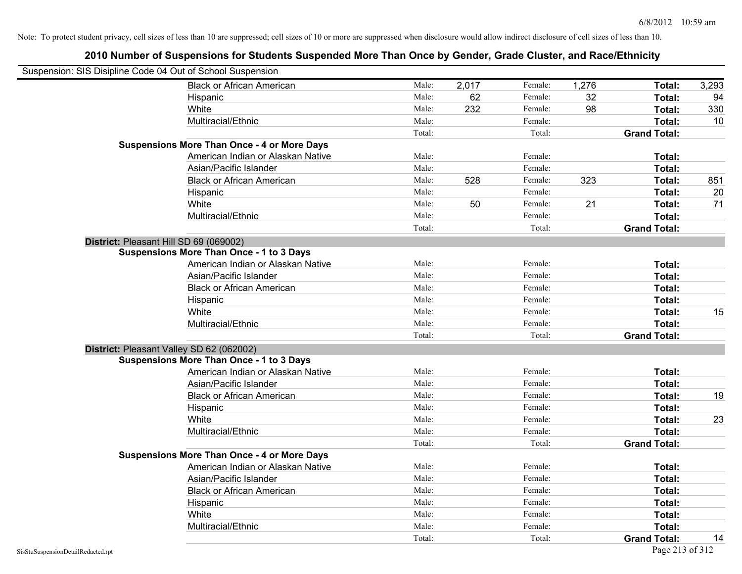|                                    | Suspension: SIS Disipline Code 04 Out of School Suspension |        |       |         |       |                     |       |
|------------------------------------|------------------------------------------------------------|--------|-------|---------|-------|---------------------|-------|
|                                    | <b>Black or African American</b>                           | Male:  | 2,017 | Female: | 1,276 | Total:              | 3,293 |
|                                    | Hispanic                                                   | Male:  | 62    | Female: | 32    | Total:              | 94    |
|                                    | White                                                      | Male:  | 232   | Female: | 98    | Total:              | 330   |
|                                    | Multiracial/Ethnic                                         | Male:  |       | Female: |       | Total:              | 10    |
|                                    |                                                            | Total: |       | Total:  |       | <b>Grand Total:</b> |       |
|                                    | <b>Suspensions More Than Once - 4 or More Days</b>         |        |       |         |       |                     |       |
|                                    | American Indian or Alaskan Native                          | Male:  |       | Female: |       | <b>Total:</b>       |       |
|                                    | Asian/Pacific Islander                                     | Male:  |       | Female: |       | Total:              |       |
|                                    | <b>Black or African American</b>                           | Male:  | 528   | Female: | 323   | Total:              | 851   |
|                                    | Hispanic                                                   | Male:  |       | Female: |       | Total:              | 20    |
|                                    | White                                                      | Male:  | 50    | Female: | 21    | <b>Total:</b>       | 71    |
|                                    | Multiracial/Ethnic                                         | Male:  |       | Female: |       | <b>Total:</b>       |       |
|                                    |                                                            | Total: |       | Total:  |       | <b>Grand Total:</b> |       |
|                                    | District: Pleasant Hill SD 69 (069002)                     |        |       |         |       |                     |       |
|                                    | <b>Suspensions More Than Once - 1 to 3 Days</b>            |        |       |         |       |                     |       |
|                                    | American Indian or Alaskan Native                          | Male:  |       | Female: |       | <b>Total:</b>       |       |
|                                    | Asian/Pacific Islander                                     | Male:  |       | Female: |       | Total:              |       |
|                                    | <b>Black or African American</b>                           | Male:  |       | Female: |       | <b>Total:</b>       |       |
|                                    | Hispanic                                                   | Male:  |       | Female: |       | <b>Total:</b>       |       |
|                                    | White                                                      | Male:  |       | Female: |       | Total:              | 15    |
|                                    | Multiracial/Ethnic                                         | Male:  |       | Female: |       | Total:              |       |
|                                    |                                                            | Total: |       | Total:  |       | <b>Grand Total:</b> |       |
|                                    | District: Pleasant Valley SD 62 (062002)                   |        |       |         |       |                     |       |
|                                    | <b>Suspensions More Than Once - 1 to 3 Days</b>            |        |       |         |       |                     |       |
|                                    | American Indian or Alaskan Native                          | Male:  |       | Female: |       | Total:              |       |
|                                    | Asian/Pacific Islander                                     | Male:  |       | Female: |       | Total:              |       |
|                                    | <b>Black or African American</b>                           | Male:  |       | Female: |       | Total:              | 19    |
|                                    | Hispanic                                                   | Male:  |       | Female: |       | <b>Total:</b>       |       |
|                                    | White                                                      | Male:  |       | Female: |       | <b>Total:</b>       | 23    |
|                                    | Multiracial/Ethnic                                         | Male:  |       | Female: |       | Total:              |       |
|                                    |                                                            | Total: |       | Total:  |       | <b>Grand Total:</b> |       |
|                                    | <b>Suspensions More Than Once - 4 or More Days</b>         |        |       |         |       |                     |       |
|                                    | American Indian or Alaskan Native                          | Male:  |       | Female: |       | <b>Total:</b>       |       |
|                                    | Asian/Pacific Islander                                     | Male:  |       | Female: |       | <b>Total:</b>       |       |
|                                    | <b>Black or African American</b>                           | Male:  |       | Female: |       | Total:              |       |
|                                    | Hispanic                                                   | Male:  |       | Female: |       | Total:              |       |
|                                    | White                                                      | Male:  |       | Female: |       | Total:              |       |
|                                    | Multiracial/Ethnic                                         | Male:  |       | Female: |       | Total:              |       |
|                                    |                                                            | Total: |       | Total:  |       | <b>Grand Total:</b> | 14    |
| SisStuSuspensionDetailRedacted.rpt |                                                            |        |       |         |       | Page 213 of 312     |       |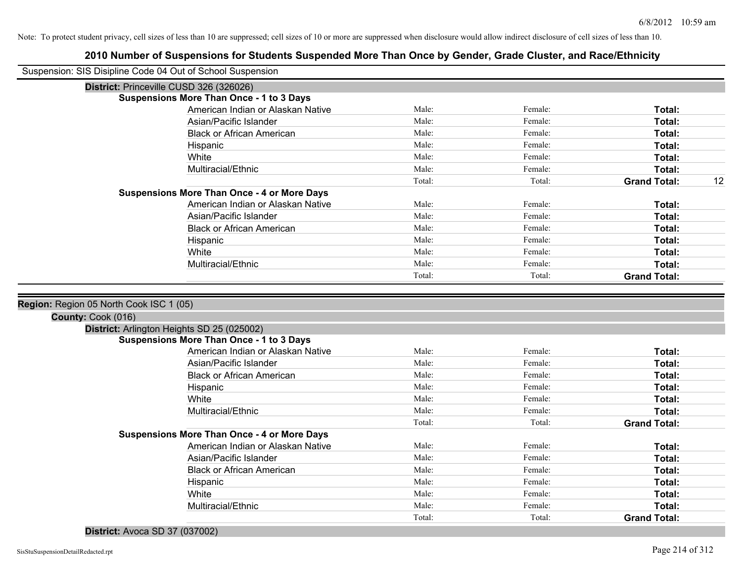# **2010 Number of Suspensions for Students Suspended More Than Once by Gender, Grade Cluster, and Race/Ethnicity**

|                    | Suspension: SIS Disipline Code 04 Out of School Suspension |                 |                   |                               |
|--------------------|------------------------------------------------------------|-----------------|-------------------|-------------------------------|
|                    | District: Princeville CUSD 326 (326026)                    |                 |                   |                               |
|                    | <b>Suspensions More Than Once - 1 to 3 Days</b>            |                 |                   |                               |
|                    | American Indian or Alaskan Native                          | Male:           | Female:           | Total:                        |
|                    | Asian/Pacific Islander                                     | Male:           | Female:           | Total:                        |
|                    | <b>Black or African American</b>                           | Male:           | Female:           | Total:                        |
|                    | Hispanic                                                   | Male:           | Female:           | Total:                        |
|                    | White                                                      | Male:           | Female:           | Total:                        |
|                    | Multiracial/Ethnic                                         | Male:           | Female:           | Total:                        |
|                    |                                                            | Total:          | Total:            | <b>Grand Total:</b><br>12     |
|                    | <b>Suspensions More Than Once - 4 or More Days</b>         |                 |                   |                               |
|                    | American Indian or Alaskan Native                          | Male:           | Female:           | Total:                        |
|                    | Asian/Pacific Islander                                     | Male:           | Female:           | Total:                        |
|                    | <b>Black or African American</b>                           | Male:           | Female:           | Total:                        |
|                    | Hispanic                                                   | Male:           | Female:           | Total:                        |
|                    | White                                                      | Male:           | Female:           | Total:                        |
|                    | Multiracial/Ethnic                                         | Male:           | Female:           | Total:                        |
|                    |                                                            | Total:          | Total:            | <b>Grand Total:</b>           |
|                    |                                                            |                 |                   |                               |
| County: Cook (016) | Region: Region 05 North Cook ISC 1 (05)                    |                 |                   |                               |
|                    | District: Arlington Heights SD 25 (025002)                 |                 |                   |                               |
|                    | <b>Suspensions More Than Once - 1 to 3 Days</b>            |                 |                   |                               |
|                    | American Indian or Alaskan Native                          | Male:           | Female:           | Total:                        |
|                    | Asian/Pacific Islander                                     | Male:           | Female:           | Total:                        |
|                    | <b>Black or African American</b>                           | Male:           | Female:           | Total:                        |
|                    | Hispanic                                                   | Male:           | Female:           | Total:                        |
|                    | White                                                      | Male:           | Female:           | Total:                        |
|                    | Multiracial/Ethnic                                         | Male:           | Female:           | Total:                        |
|                    |                                                            | Total:          | Total:            | <b>Grand Total:</b>           |
|                    | <b>Suspensions More Than Once - 4 or More Days</b>         |                 |                   |                               |
|                    | American Indian or Alaskan Native                          | Male:           | Female:           | Total:                        |
|                    | Asian/Pacific Islander                                     | Male:           | Female:           | Total:                        |
|                    | <b>Black or African American</b>                           | Male:           | Female:           | Total:                        |
|                    | Hispanic                                                   | Male:           | Female:           | Total:                        |
|                    | White                                                      | Male:           | Female:           | Total:                        |
|                    | Multiracial/Ethnic                                         | Male:<br>Total: | Female:<br>Total: | Total:<br><b>Grand Total:</b> |

#### **District:** Avoca SD 37 (037002)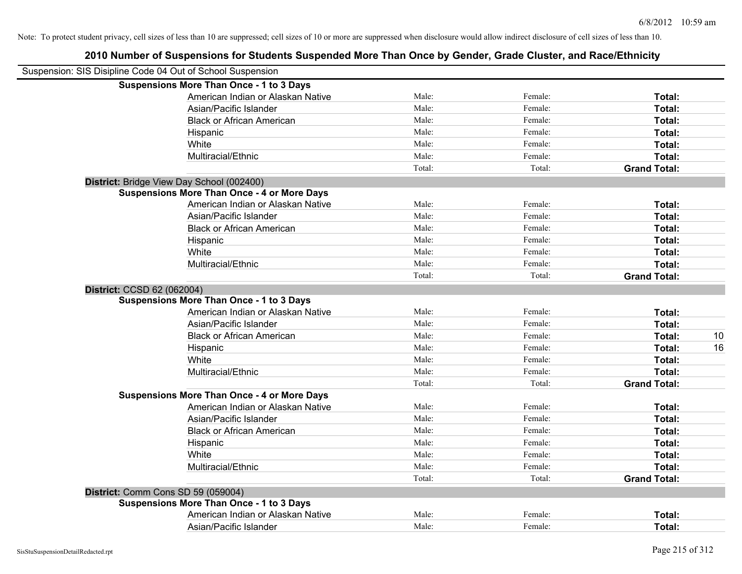|                            | 2010 Number of Suspensions for Students Suspended More Than Once by Gender, Grade Cluster, and Race/Ethnicity |        |         |                     |
|----------------------------|---------------------------------------------------------------------------------------------------------------|--------|---------|---------------------|
|                            | Suspension: SIS Disipline Code 04 Out of School Suspension                                                    |        |         |                     |
|                            | <b>Suspensions More Than Once - 1 to 3 Days</b>                                                               |        |         |                     |
|                            | American Indian or Alaskan Native                                                                             | Male:  | Female: | Total:              |
|                            | Asian/Pacific Islander                                                                                        | Male:  | Female: | Total:              |
|                            | <b>Black or African American</b>                                                                              | Male:  | Female: | Total:              |
|                            | Hispanic                                                                                                      | Male:  | Female: | Total:              |
|                            | White                                                                                                         | Male:  | Female: | Total:              |
|                            | Multiracial/Ethnic                                                                                            | Male:  | Female: | Total:              |
|                            |                                                                                                               | Total: | Total:  | <b>Grand Total:</b> |
|                            | District: Bridge View Day School (002400)                                                                     |        |         |                     |
|                            | <b>Suspensions More Than Once - 4 or More Days</b>                                                            |        |         |                     |
|                            | American Indian or Alaskan Native                                                                             | Male:  | Female: | Total:              |
|                            | Asian/Pacific Islander                                                                                        | Male:  | Female: | Total:              |
|                            | <b>Black or African American</b>                                                                              | Male:  | Female: | Total:              |
|                            | Hispanic                                                                                                      | Male:  | Female: | Total:              |
|                            | White                                                                                                         | Male:  | Female: | Total:              |
|                            | Multiracial/Ethnic                                                                                            | Male:  | Female: | Total:              |
|                            |                                                                                                               | Total: | Total:  | <b>Grand Total:</b> |
| District: CCSD 62 (062004) |                                                                                                               |        |         |                     |
|                            | <b>Suspensions More Than Once - 1 to 3 Days</b>                                                               |        |         |                     |
|                            | American Indian or Alaskan Native                                                                             | Male:  | Female: | Total:              |
|                            | Asian/Pacific Islander                                                                                        | Male:  | Female: | Total:              |
|                            | <b>Black or African American</b>                                                                              | Male:  | Female: | Total:<br>10        |
|                            | Hispanic                                                                                                      | Male:  | Female: | Total:<br>16        |
|                            | White                                                                                                         | Male:  | Female: | Total:              |
|                            | Multiracial/Ethnic                                                                                            | Male:  | Female: | Total:              |
|                            |                                                                                                               | Total: | Total:  | <b>Grand Total:</b> |
|                            | <b>Suspensions More Than Once - 4 or More Days</b>                                                            |        |         |                     |
|                            | American Indian or Alaskan Native                                                                             | Male:  | Female: | Total:              |
|                            | Asian/Pacific Islander                                                                                        | Male:  | Female: | Total:              |
|                            | <b>Black or African American</b>                                                                              | Male:  | Female: | Total:              |
|                            | Hispanic                                                                                                      | Male:  | Female: | Total:              |
|                            | White                                                                                                         | Male:  | Female: | Total:              |
|                            | Multiracial/Ethnic                                                                                            | Male:  | Female: | Total:              |
|                            |                                                                                                               | Total: | Total:  | <b>Grand Total:</b> |
|                            | District: Comm Cons SD 59 (059004)                                                                            |        |         |                     |
|                            | <b>Suspensions More Than Once - 1 to 3 Days</b>                                                               |        |         |                     |
|                            | American Indian or Alaskan Native                                                                             | Male:  | Female: | Total:              |
|                            | Asian/Pacific Islander                                                                                        | Male:  | Female: | Total:              |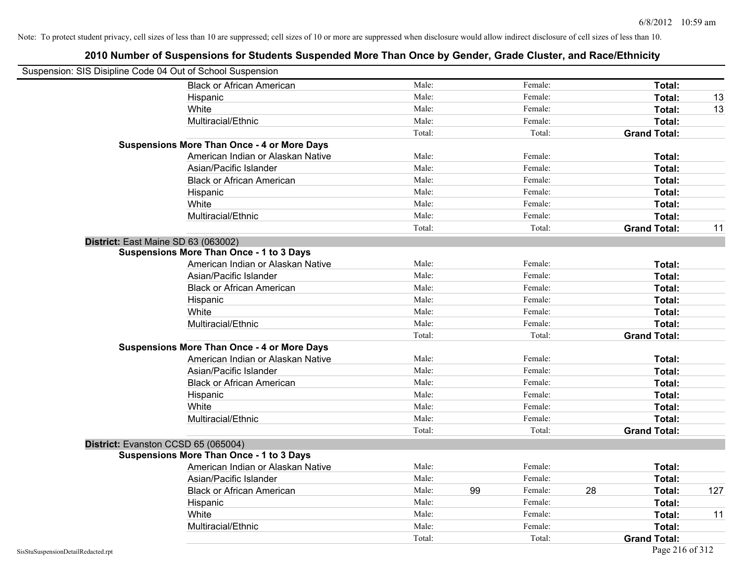| Suspension: SIS Disipline Code 04 Out of School Suspension |                                                    |        |    |         |    |                     |     |
|------------------------------------------------------------|----------------------------------------------------|--------|----|---------|----|---------------------|-----|
|                                                            | <b>Black or African American</b>                   | Male:  |    | Female: |    | Total:              |     |
|                                                            | Hispanic                                           | Male:  |    | Female: |    | Total:              | 13  |
|                                                            | White                                              | Male:  |    | Female: |    | Total:              | 13  |
|                                                            | Multiracial/Ethnic                                 | Male:  |    | Female: |    | Total:              |     |
|                                                            |                                                    | Total: |    | Total:  |    | <b>Grand Total:</b> |     |
|                                                            | <b>Suspensions More Than Once - 4 or More Days</b> |        |    |         |    |                     |     |
|                                                            | American Indian or Alaskan Native                  | Male:  |    | Female: |    | Total:              |     |
|                                                            | Asian/Pacific Islander                             | Male:  |    | Female: |    | Total:              |     |
|                                                            | <b>Black or African American</b>                   | Male:  |    | Female: |    | Total:              |     |
|                                                            | Hispanic                                           | Male:  |    | Female: |    | Total:              |     |
|                                                            | White                                              | Male:  |    | Female: |    | Total:              |     |
|                                                            | Multiracial/Ethnic                                 | Male:  |    | Female: |    | Total:              |     |
|                                                            |                                                    | Total: |    | Total:  |    | <b>Grand Total:</b> | 11  |
|                                                            | District: East Maine SD 63 (063002)                |        |    |         |    |                     |     |
|                                                            | <b>Suspensions More Than Once - 1 to 3 Days</b>    |        |    |         |    |                     |     |
|                                                            | American Indian or Alaskan Native                  | Male:  |    | Female: |    | Total:              |     |
|                                                            | Asian/Pacific Islander                             | Male:  |    | Female: |    | Total:              |     |
|                                                            | <b>Black or African American</b>                   | Male:  |    | Female: |    | Total:              |     |
|                                                            | Hispanic                                           | Male:  |    | Female: |    | Total:              |     |
|                                                            | White                                              | Male:  |    | Female: |    | Total:              |     |
|                                                            | Multiracial/Ethnic                                 | Male:  |    | Female: |    | Total:              |     |
|                                                            |                                                    | Total: |    | Total:  |    | <b>Grand Total:</b> |     |
|                                                            | <b>Suspensions More Than Once - 4 or More Days</b> |        |    |         |    |                     |     |
|                                                            | American Indian or Alaskan Native                  | Male:  |    | Female: |    | Total:              |     |
|                                                            | Asian/Pacific Islander                             | Male:  |    | Female: |    | Total:              |     |
|                                                            | <b>Black or African American</b>                   | Male:  |    | Female: |    | Total:              |     |
|                                                            | Hispanic                                           | Male:  |    | Female: |    | Total:              |     |
|                                                            | White                                              | Male:  |    | Female: |    | Total:              |     |
|                                                            | Multiracial/Ethnic                                 | Male:  |    | Female: |    | Total:              |     |
|                                                            |                                                    | Total: |    | Total:  |    | <b>Grand Total:</b> |     |
|                                                            | District: Evanston CCSD 65 (065004)                |        |    |         |    |                     |     |
|                                                            | <b>Suspensions More Than Once - 1 to 3 Days</b>    |        |    |         |    |                     |     |
|                                                            | American Indian or Alaskan Native                  | Male:  |    | Female: |    | Total:              |     |
|                                                            | Asian/Pacific Islander                             | Male:  |    | Female: |    | Total:              |     |
|                                                            | <b>Black or African American</b>                   | Male:  | 99 | Female: | 28 | Total:              | 127 |
|                                                            | Hispanic                                           | Male:  |    | Female: |    | Total:              |     |
|                                                            | White                                              | Male:  |    | Female: |    | Total:              | 11  |
|                                                            | Multiracial/Ethnic                                 | Male:  |    | Female: |    | Total:              |     |
|                                                            |                                                    | Total: |    | Total:  |    | <b>Grand Total:</b> |     |
| SisStuSuspensionDetailRedacted.rpt                         |                                                    |        |    |         |    | Page 216 of 312     |     |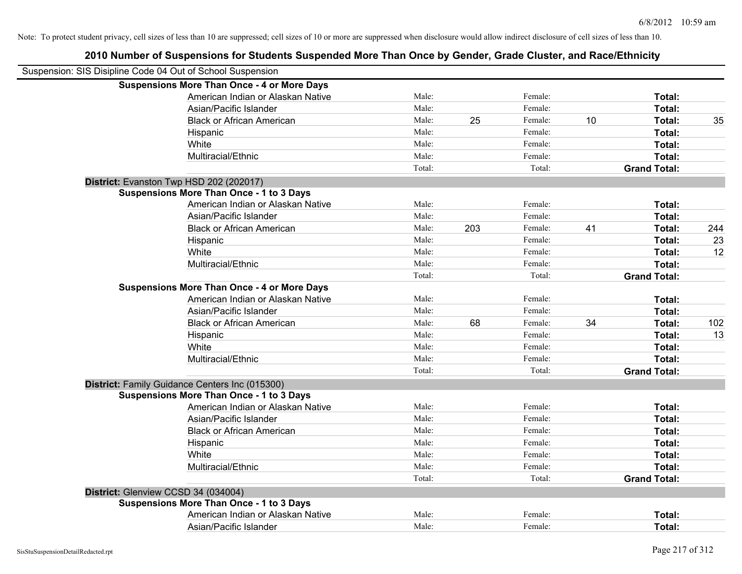| 2010 Number of Suspensions for Students Suspended More Than Once by Gender, Grade Cluster, and Race/Ethnicity |        |     |         |    |                     |     |
|---------------------------------------------------------------------------------------------------------------|--------|-----|---------|----|---------------------|-----|
| Suspension: SIS Disipline Code 04 Out of School Suspension                                                    |        |     |         |    |                     |     |
| <b>Suspensions More Than Once - 4 or More Days</b>                                                            |        |     |         |    |                     |     |
| American Indian or Alaskan Native                                                                             | Male:  |     | Female: |    | Total:              |     |
| Asian/Pacific Islander                                                                                        | Male:  |     | Female: |    | Total:              |     |
| <b>Black or African American</b>                                                                              | Male:  | 25  | Female: | 10 | Total:              | 35  |
| Hispanic                                                                                                      | Male:  |     | Female: |    | Total:              |     |
| White                                                                                                         | Male:  |     | Female: |    | Total:              |     |
| Multiracial/Ethnic                                                                                            | Male:  |     | Female: |    | Total:              |     |
|                                                                                                               | Total: |     | Total:  |    | <b>Grand Total:</b> |     |
| District: Evanston Twp HSD 202 (202017)                                                                       |        |     |         |    |                     |     |
| <b>Suspensions More Than Once - 1 to 3 Days</b>                                                               |        |     |         |    |                     |     |
| American Indian or Alaskan Native                                                                             | Male:  |     | Female: |    | Total:              |     |
| Asian/Pacific Islander                                                                                        | Male:  |     | Female: |    | Total:              |     |
| <b>Black or African American</b>                                                                              | Male:  | 203 | Female: | 41 | Total:              | 244 |
| Hispanic                                                                                                      | Male:  |     | Female: |    | Total:              | 23  |
| White                                                                                                         | Male:  |     | Female: |    | Total:              | 12  |
| Multiracial/Ethnic                                                                                            | Male:  |     | Female: |    | Total:              |     |
|                                                                                                               | Total: |     | Total:  |    | <b>Grand Total:</b> |     |
| <b>Suspensions More Than Once - 4 or More Days</b>                                                            |        |     |         |    |                     |     |
| American Indian or Alaskan Native                                                                             | Male:  |     | Female: |    | Total:              |     |
| Asian/Pacific Islander                                                                                        | Male:  |     | Female: |    | Total:              |     |
| <b>Black or African American</b>                                                                              | Male:  | 68  | Female: | 34 | Total:              | 102 |
| Hispanic                                                                                                      | Male:  |     | Female: |    | Total:              | 13  |
| White                                                                                                         | Male:  |     | Female: |    | Total:              |     |
| Multiracial/Ethnic                                                                                            | Male:  |     | Female: |    | Total:              |     |
|                                                                                                               | Total: |     | Total:  |    | <b>Grand Total:</b> |     |
| District: Family Guidance Centers Inc (015300)                                                                |        |     |         |    |                     |     |
| <b>Suspensions More Than Once - 1 to 3 Days</b>                                                               |        |     |         |    |                     |     |
| American Indian or Alaskan Native                                                                             | Male:  |     | Female: |    | Total:              |     |
| Asian/Pacific Islander                                                                                        | Male:  |     | Female: |    | Total:              |     |
| <b>Black or African American</b>                                                                              | Male:  |     | Female: |    | Total:              |     |
| Hispanic                                                                                                      | Male:  |     | Female: |    | Total:              |     |
| White                                                                                                         | Male:  |     | Female: |    | Total:              |     |
| Multiracial/Ethnic                                                                                            | Male:  |     | Female: |    | Total:              |     |
|                                                                                                               | Total: |     | Total:  |    | <b>Grand Total:</b> |     |
| District: Glenview CCSD 34 (034004)                                                                           |        |     |         |    |                     |     |
| <b>Suspensions More Than Once - 1 to 3 Days</b>                                                               |        |     |         |    |                     |     |
| American Indian or Alaskan Native                                                                             | Male:  |     | Female: |    | Total:              |     |
| Asian/Pacific Islander                                                                                        | Male:  |     | Female: |    | Total:              |     |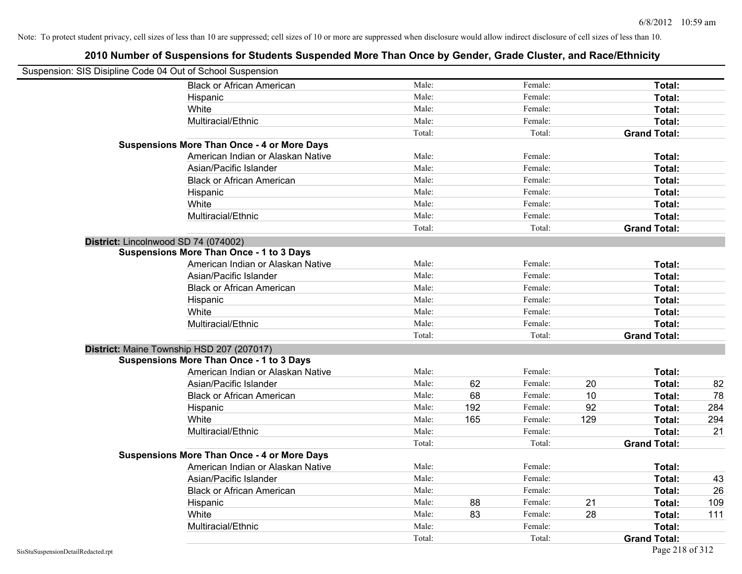| Suspension: SIS Disipline Code 04 Out of School Suspension |                                                    |        |     |         |     |                     |     |
|------------------------------------------------------------|----------------------------------------------------|--------|-----|---------|-----|---------------------|-----|
|                                                            | <b>Black or African American</b>                   | Male:  |     | Female: |     | Total:              |     |
|                                                            | Hispanic                                           | Male:  |     | Female: |     | Total:              |     |
|                                                            | White                                              | Male:  |     | Female: |     | Total:              |     |
|                                                            | Multiracial/Ethnic                                 | Male:  |     | Female: |     | Total:              |     |
|                                                            |                                                    | Total: |     | Total:  |     | <b>Grand Total:</b> |     |
|                                                            | <b>Suspensions More Than Once - 4 or More Days</b> |        |     |         |     |                     |     |
|                                                            | American Indian or Alaskan Native                  | Male:  |     | Female: |     | Total:              |     |
|                                                            | Asian/Pacific Islander                             | Male:  |     | Female: |     | Total:              |     |
|                                                            | <b>Black or African American</b>                   | Male:  |     | Female: |     | Total:              |     |
|                                                            | Hispanic                                           | Male:  |     | Female: |     | Total:              |     |
|                                                            | White                                              | Male:  |     | Female: |     | Total:              |     |
|                                                            | Multiracial/Ethnic                                 | Male:  |     | Female: |     | Total:              |     |
|                                                            |                                                    | Total: |     | Total:  |     | <b>Grand Total:</b> |     |
| District: Lincolnwood SD 74 (074002)                       |                                                    |        |     |         |     |                     |     |
|                                                            | <b>Suspensions More Than Once - 1 to 3 Days</b>    |        |     |         |     |                     |     |
|                                                            | American Indian or Alaskan Native                  | Male:  |     | Female: |     | Total:              |     |
|                                                            | Asian/Pacific Islander                             | Male:  |     | Female: |     | Total:              |     |
|                                                            | <b>Black or African American</b>                   | Male:  |     | Female: |     | Total:              |     |
|                                                            | Hispanic                                           | Male:  |     | Female: |     | Total:              |     |
|                                                            | White                                              | Male:  |     | Female: |     | Total:              |     |
|                                                            | Multiracial/Ethnic                                 | Male:  |     | Female: |     | Total:              |     |
|                                                            |                                                    | Total: |     | Total:  |     | <b>Grand Total:</b> |     |
|                                                            | District: Maine Township HSD 207 (207017)          |        |     |         |     |                     |     |
|                                                            | <b>Suspensions More Than Once - 1 to 3 Days</b>    |        |     |         |     |                     |     |
|                                                            | American Indian or Alaskan Native                  | Male:  |     | Female: |     | Total:              |     |
|                                                            | Asian/Pacific Islander                             | Male:  | 62  | Female: | 20  | Total:              | 82  |
|                                                            | <b>Black or African American</b>                   | Male:  | 68  | Female: | 10  | Total:              | 78  |
|                                                            | Hispanic                                           | Male:  | 192 | Female: | 92  | Total:              | 284 |
|                                                            | White                                              | Male:  | 165 | Female: | 129 | Total:              | 294 |
|                                                            | Multiracial/Ethnic                                 | Male:  |     | Female: |     | Total:              | 21  |
|                                                            |                                                    | Total: |     | Total:  |     | <b>Grand Total:</b> |     |
|                                                            | <b>Suspensions More Than Once - 4 or More Days</b> |        |     |         |     |                     |     |
|                                                            | American Indian or Alaskan Native                  | Male:  |     | Female: |     | Total:              |     |
|                                                            | Asian/Pacific Islander                             | Male:  |     | Female: |     | Total:              | 43  |
|                                                            | <b>Black or African American</b>                   | Male:  |     | Female: |     | Total:              | 26  |
|                                                            | Hispanic                                           | Male:  | 88  | Female: | 21  | Total:              | 109 |
|                                                            | White                                              | Male:  | 83  | Female: | 28  | Total:              | 111 |
|                                                            | Multiracial/Ethnic                                 | Male:  |     | Female: |     | Total:              |     |
|                                                            |                                                    | Total: |     | Total:  |     | <b>Grand Total:</b> |     |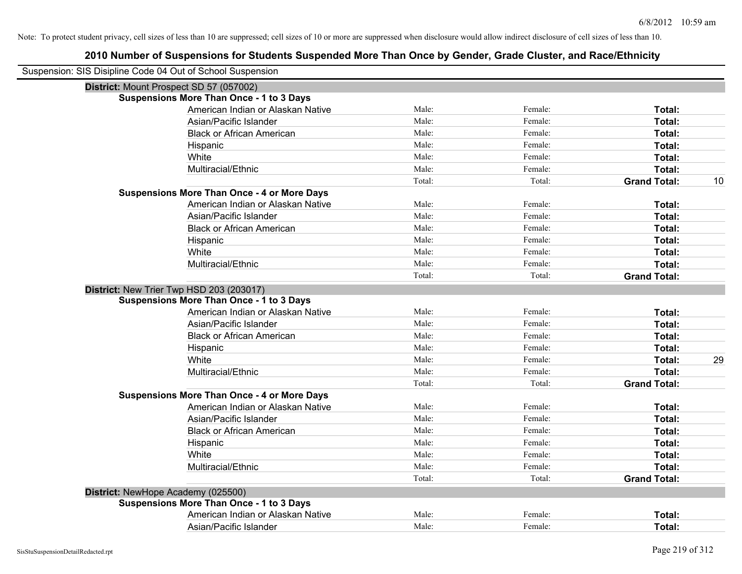| Suspension: SIS Disipline Code 04 Out of School Suspension |                                                    |        |         |                           |
|------------------------------------------------------------|----------------------------------------------------|--------|---------|---------------------------|
|                                                            | District: Mount Prospect SD 57 (057002)            |        |         |                           |
|                                                            | <b>Suspensions More Than Once - 1 to 3 Days</b>    |        |         |                           |
|                                                            | American Indian or Alaskan Native                  | Male:  | Female: | Total:                    |
|                                                            | Asian/Pacific Islander                             | Male:  | Female: | Total:                    |
|                                                            | <b>Black or African American</b>                   | Male:  | Female: | Total:                    |
|                                                            | Hispanic                                           | Male:  | Female: | Total:                    |
|                                                            | White                                              | Male:  | Female: | Total:                    |
|                                                            | Multiracial/Ethnic                                 | Male:  | Female: | Total:                    |
|                                                            |                                                    | Total: | Total:  | 10<br><b>Grand Total:</b> |
|                                                            | <b>Suspensions More Than Once - 4 or More Days</b> |        |         |                           |
|                                                            | American Indian or Alaskan Native                  | Male:  | Female: | Total:                    |
|                                                            | Asian/Pacific Islander                             | Male:  | Female: | Total:                    |
|                                                            | <b>Black or African American</b>                   | Male:  | Female: | Total:                    |
|                                                            | Hispanic                                           | Male:  | Female: | Total:                    |
|                                                            | White                                              | Male:  | Female: | Total:                    |
|                                                            | Multiracial/Ethnic                                 | Male:  | Female: | Total:                    |
|                                                            |                                                    | Total: | Total:  | <b>Grand Total:</b>       |
|                                                            | District: New Trier Twp HSD 203 (203017)           |        |         |                           |
|                                                            | <b>Suspensions More Than Once - 1 to 3 Days</b>    |        |         |                           |
|                                                            | American Indian or Alaskan Native                  | Male:  | Female: | Total:                    |
|                                                            | Asian/Pacific Islander                             | Male:  | Female: | Total:                    |
|                                                            | <b>Black or African American</b>                   | Male:  | Female: | Total:                    |
|                                                            | Hispanic                                           | Male:  | Female: | Total:                    |
|                                                            | White                                              | Male:  | Female: | Total:<br>29              |
|                                                            | Multiracial/Ethnic                                 | Male:  | Female: | Total:                    |
|                                                            |                                                    | Total: | Total:  | <b>Grand Total:</b>       |
|                                                            | <b>Suspensions More Than Once - 4 or More Days</b> |        |         |                           |
|                                                            | American Indian or Alaskan Native                  | Male:  | Female: | Total:                    |
|                                                            | Asian/Pacific Islander                             | Male:  | Female: | Total:                    |
|                                                            | <b>Black or African American</b>                   | Male:  | Female: | Total:                    |
|                                                            | Hispanic                                           | Male:  | Female: | Total:                    |
|                                                            | White                                              | Male:  | Female: | Total:                    |
|                                                            | Multiracial/Ethnic                                 | Male:  | Female: | Total:                    |
|                                                            |                                                    | Total: | Total:  | <b>Grand Total:</b>       |
|                                                            | District: NewHope Academy (025500)                 |        |         |                           |
|                                                            | <b>Suspensions More Than Once - 1 to 3 Days</b>    |        |         |                           |
|                                                            | American Indian or Alaskan Native                  | Male:  | Female: | Total:                    |
|                                                            | Asian/Pacific Islander                             | Male:  | Female: | Total:                    |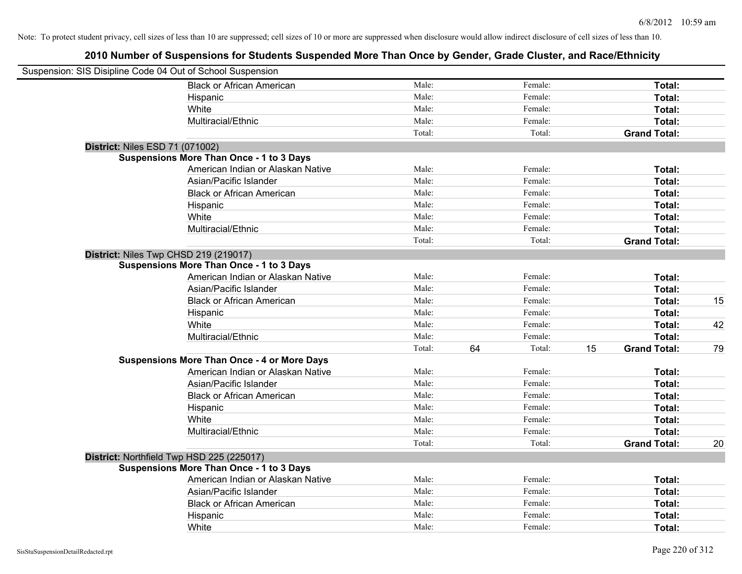| Suspension: SIS Disipline Code 04 Out of School Suspension |                                                    |        |              |                           |    |
|------------------------------------------------------------|----------------------------------------------------|--------|--------------|---------------------------|----|
|                                                            | <b>Black or African American</b>                   | Male:  | Female:      | Total:                    |    |
|                                                            | Hispanic                                           | Male:  | Female:      | Total:                    |    |
|                                                            | White                                              | Male:  | Female:      | Total:                    |    |
|                                                            | Multiracial/Ethnic                                 | Male:  | Female:      | Total:                    |    |
|                                                            |                                                    | Total: | Total:       | <b>Grand Total:</b>       |    |
| District: Niles ESD 71 (071002)                            |                                                    |        |              |                           |    |
|                                                            | Suspensions More Than Once - 1 to 3 Days           |        |              |                           |    |
|                                                            | American Indian or Alaskan Native                  | Male:  | Female:      | Total:                    |    |
|                                                            | Asian/Pacific Islander                             | Male:  | Female:      | Total:                    |    |
|                                                            | <b>Black or African American</b>                   | Male:  | Female:      | Total:                    |    |
|                                                            | Hispanic                                           | Male:  | Female:      | Total:                    |    |
|                                                            | White                                              | Male:  | Female:      | Total:                    |    |
|                                                            | Multiracial/Ethnic                                 | Male:  | Female:      | Total:                    |    |
|                                                            |                                                    | Total: | Total:       | <b>Grand Total:</b>       |    |
| District: Niles Twp CHSD 219 (219017)                      |                                                    |        |              |                           |    |
|                                                            | <b>Suspensions More Than Once - 1 to 3 Days</b>    |        |              |                           |    |
|                                                            | American Indian or Alaskan Native                  | Male:  | Female:      | Total:                    |    |
|                                                            | Asian/Pacific Islander                             | Male:  | Female:      | Total:                    |    |
|                                                            | <b>Black or African American</b>                   | Male:  | Female:      | Total:                    | 15 |
|                                                            | Hispanic                                           | Male:  | Female:      | Total:                    |    |
|                                                            | White                                              | Male:  | Female:      | Total:                    | 42 |
|                                                            | Multiracial/Ethnic                                 | Male:  | Female:      | Total:                    |    |
|                                                            |                                                    | Total: | 64<br>Total: | 15<br><b>Grand Total:</b> | 79 |
|                                                            | <b>Suspensions More Than Once - 4 or More Days</b> |        |              |                           |    |
|                                                            | American Indian or Alaskan Native                  | Male:  | Female:      | Total:                    |    |
|                                                            | Asian/Pacific Islander                             | Male:  | Female:      | Total:                    |    |
|                                                            | <b>Black or African American</b>                   | Male:  | Female:      | Total:                    |    |
|                                                            | Hispanic                                           | Male:  | Female:      | Total:                    |    |
|                                                            | White                                              | Male:  | Female:      | Total:                    |    |
|                                                            | Multiracial/Ethnic                                 | Male:  | Female:      | Total:                    |    |
|                                                            |                                                    | Total: | Total:       | <b>Grand Total:</b>       | 20 |
| District: Northfield Twp HSD 225 (225017)                  |                                                    |        |              |                           |    |
|                                                            | <b>Suspensions More Than Once - 1 to 3 Days</b>    |        |              |                           |    |
|                                                            | American Indian or Alaskan Native                  | Male:  | Female:      | Total:                    |    |
|                                                            | Asian/Pacific Islander                             | Male:  | Female:      | Total:                    |    |
|                                                            | <b>Black or African American</b>                   | Male:  | Female:      | Total:                    |    |
|                                                            | Hispanic                                           | Male:  | Female:      | <b>Total:</b>             |    |
|                                                            | White                                              | Male:  | Female:      | Total:                    |    |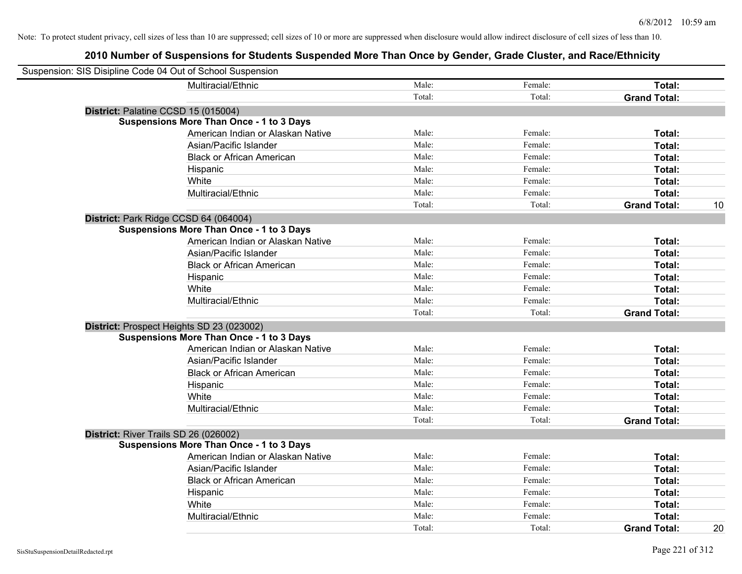| Suspension: SIS Disipline Code 04 Out of School Suspension                           |        |         |                               |    |
|--------------------------------------------------------------------------------------|--------|---------|-------------------------------|----|
|                                                                                      | Male:  | Female: |                               |    |
| Multiracial/Ethnic                                                                   | Total: | Total:  | Total:<br><b>Grand Total:</b> |    |
|                                                                                      |        |         |                               |    |
| District: Palatine CCSD 15 (015004)                                                  |        |         |                               |    |
| <b>Suspensions More Than Once - 1 to 3 Days</b><br>American Indian or Alaskan Native | Male:  | Female: |                               |    |
|                                                                                      | Male:  |         | Total:                        |    |
| Asian/Pacific Islander                                                               |        | Female: | Total:                        |    |
| <b>Black or African American</b>                                                     | Male:  | Female: | Total:                        |    |
| Hispanic                                                                             | Male:  | Female: | Total:                        |    |
| White                                                                                | Male:  | Female: | Total:                        |    |
| Multiracial/Ethnic                                                                   | Male:  | Female: | Total:                        |    |
|                                                                                      | Total: | Total:  | <b>Grand Total:</b>           | 10 |
| District: Park Ridge CCSD 64 (064004)                                                |        |         |                               |    |
| <b>Suspensions More Than Once - 1 to 3 Days</b>                                      |        |         |                               |    |
| American Indian or Alaskan Native                                                    | Male:  | Female: | Total:                        |    |
| Asian/Pacific Islander                                                               | Male:  | Female: | Total:                        |    |
| <b>Black or African American</b>                                                     | Male:  | Female: | Total:                        |    |
| Hispanic                                                                             | Male:  | Female: | Total:                        |    |
| White                                                                                | Male:  | Female: | Total:                        |    |
| Multiracial/Ethnic                                                                   | Male:  | Female: | Total:                        |    |
|                                                                                      | Total: | Total:  | <b>Grand Total:</b>           |    |
| District: Prospect Heights SD 23 (023002)                                            |        |         |                               |    |
| <b>Suspensions More Than Once - 1 to 3 Days</b>                                      |        |         |                               |    |
| American Indian or Alaskan Native                                                    | Male:  | Female: | Total:                        |    |
| Asian/Pacific Islander                                                               | Male:  | Female: | Total:                        |    |
| <b>Black or African American</b>                                                     | Male:  | Female: | Total:                        |    |
| Hispanic                                                                             | Male:  | Female: | Total:                        |    |
| White                                                                                | Male:  | Female: | Total:                        |    |
| Multiracial/Ethnic                                                                   | Male:  | Female: | Total:                        |    |
|                                                                                      | Total: | Total:  | <b>Grand Total:</b>           |    |
| District: River Trails SD 26 (026002)                                                |        |         |                               |    |
| <b>Suspensions More Than Once - 1 to 3 Days</b>                                      |        |         |                               |    |
| American Indian or Alaskan Native                                                    | Male:  | Female: | Total:                        |    |
| Asian/Pacific Islander                                                               | Male:  | Female: | Total:                        |    |
| <b>Black or African American</b>                                                     | Male:  | Female: | Total:                        |    |
| Hispanic                                                                             | Male:  | Female: | Total:                        |    |
| White                                                                                | Male:  | Female: | Total:                        |    |
| Multiracial/Ethnic                                                                   | Male:  | Female: | Total:                        |    |
|                                                                                      | Total: | Total:  | <b>Grand Total:</b>           | 20 |
|                                                                                      |        |         |                               |    |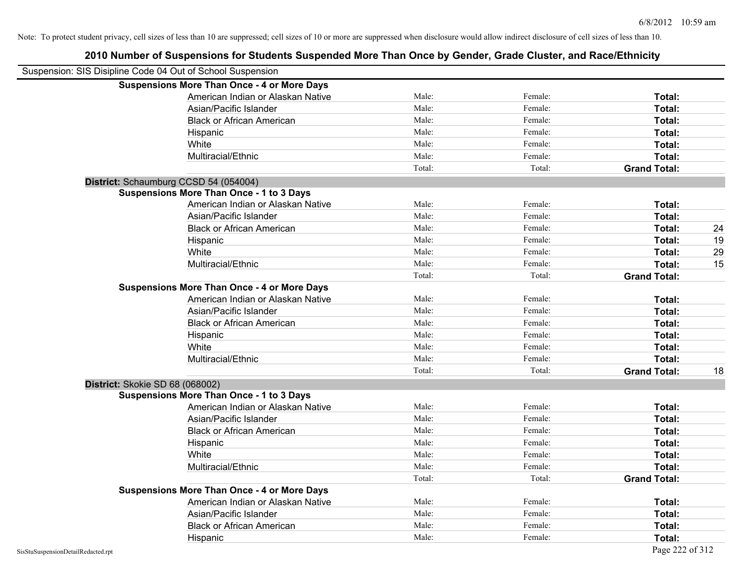| Suspension: SIS Disipline Code 04 Out of School Suspension |                                                    |        |         |                     |    |
|------------------------------------------------------------|----------------------------------------------------|--------|---------|---------------------|----|
|                                                            | <b>Suspensions More Than Once - 4 or More Days</b> |        |         |                     |    |
|                                                            | American Indian or Alaskan Native                  | Male:  | Female: | Total:              |    |
|                                                            | Asian/Pacific Islander                             | Male:  | Female: | Total:              |    |
|                                                            | <b>Black or African American</b>                   | Male:  | Female: | Total:              |    |
|                                                            | Hispanic                                           | Male:  | Female: | Total:              |    |
|                                                            | White                                              | Male:  | Female: | Total:              |    |
|                                                            | Multiracial/Ethnic                                 | Male:  | Female: | Total:              |    |
|                                                            |                                                    | Total: | Total:  | <b>Grand Total:</b> |    |
| District: Schaumburg CCSD 54 (054004)                      |                                                    |        |         |                     |    |
|                                                            | <b>Suspensions More Than Once - 1 to 3 Days</b>    |        |         |                     |    |
|                                                            | American Indian or Alaskan Native                  | Male:  | Female: | Total:              |    |
|                                                            | Asian/Pacific Islander                             | Male:  | Female: | Total:              |    |
|                                                            | <b>Black or African American</b>                   | Male:  | Female: | Total:              | 24 |
|                                                            | Hispanic                                           | Male:  | Female: | Total:              | 19 |
|                                                            | White                                              | Male:  | Female: | Total:              | 29 |
|                                                            | Multiracial/Ethnic                                 | Male:  | Female: | Total:              | 15 |
|                                                            |                                                    | Total: | Total:  | <b>Grand Total:</b> |    |
|                                                            | <b>Suspensions More Than Once - 4 or More Days</b> |        |         |                     |    |
|                                                            | American Indian or Alaskan Native                  | Male:  | Female: | Total:              |    |
|                                                            | Asian/Pacific Islander                             | Male:  | Female: | Total:              |    |
|                                                            | <b>Black or African American</b>                   | Male:  | Female: | Total:              |    |
|                                                            | Hispanic                                           | Male:  | Female: | Total:              |    |
|                                                            | White                                              | Male:  | Female: | Total:              |    |
|                                                            | Multiracial/Ethnic                                 | Male:  | Female: | Total:              |    |
|                                                            |                                                    | Total: | Total:  | <b>Grand Total:</b> | 18 |
| District: Skokie SD 68 (068002)                            |                                                    |        |         |                     |    |
|                                                            | <b>Suspensions More Than Once - 1 to 3 Days</b>    |        |         |                     |    |
|                                                            | American Indian or Alaskan Native                  | Male:  | Female: | Total:              |    |
|                                                            | Asian/Pacific Islander                             | Male:  | Female: | Total:              |    |
|                                                            | <b>Black or African American</b>                   | Male:  | Female: | Total:              |    |
|                                                            | Hispanic                                           | Male:  | Female: | Total:              |    |
|                                                            | White                                              | Male:  | Female: | Total:              |    |
|                                                            | Multiracial/Ethnic                                 | Male:  | Female: | Total:              |    |
|                                                            |                                                    | Total: | Total:  | <b>Grand Total:</b> |    |
|                                                            | <b>Suspensions More Than Once - 4 or More Days</b> |        |         |                     |    |
|                                                            | American Indian or Alaskan Native                  | Male:  | Female: | Total:              |    |
|                                                            | Asian/Pacific Islander                             | Male:  | Female: | Total:              |    |
|                                                            | <b>Black or African American</b>                   | Male:  | Female: | Total:              |    |
|                                                            | Hispanic                                           | Male:  | Female: | Total:              |    |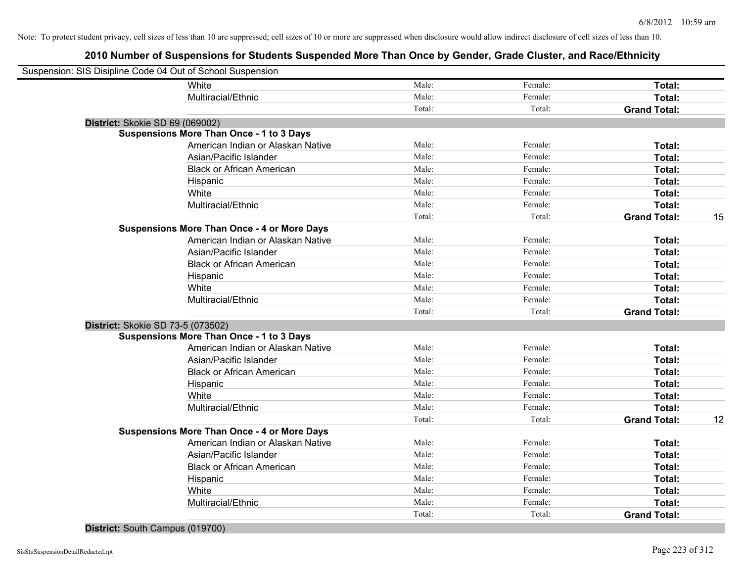### **2010 Number of Suspensions for Students Suspended More Than Once by Gender, Grade Cluster, and Race/Ethnicity**

| Suspension: SIS Disipline Code 04 Out of School Suspension |        |         |                     |    |
|------------------------------------------------------------|--------|---------|---------------------|----|
| White                                                      | Male:  | Female: | Total:              |    |
| Multiracial/Ethnic                                         | Male:  | Female: | Total:              |    |
|                                                            | Total: | Total:  | <b>Grand Total:</b> |    |
| District: Skokie SD 69 (069002)                            |        |         |                     |    |
| <b>Suspensions More Than Once - 1 to 3 Days</b>            |        |         |                     |    |
| American Indian or Alaskan Native                          | Male:  | Female: | Total:              |    |
| Asian/Pacific Islander                                     | Male:  | Female: | Total:              |    |
| <b>Black or African American</b>                           | Male:  | Female: | Total:              |    |
| Hispanic                                                   | Male:  | Female: | Total:              |    |
| White                                                      | Male:  | Female: | Total:              |    |
| Multiracial/Ethnic                                         | Male:  | Female: | Total:              |    |
|                                                            | Total: | Total:  | <b>Grand Total:</b> | 15 |
| <b>Suspensions More Than Once - 4 or More Days</b>         |        |         |                     |    |
| American Indian or Alaskan Native                          | Male:  | Female: | Total:              |    |
| Asian/Pacific Islander                                     | Male:  | Female: | Total:              |    |
| <b>Black or African American</b>                           | Male:  | Female: | Total:              |    |
| Hispanic                                                   | Male:  | Female: | Total:              |    |
| White                                                      | Male:  | Female: | Total:              |    |
| Multiracial/Ethnic                                         | Male:  | Female: | Total:              |    |
|                                                            | Total: | Total:  | <b>Grand Total:</b> |    |
| District: Skokie SD 73-5 (073502)                          |        |         |                     |    |
| <b>Suspensions More Than Once - 1 to 3 Days</b>            |        |         |                     |    |
| American Indian or Alaskan Native                          | Male:  | Female: | Total:              |    |
| Asian/Pacific Islander                                     | Male:  | Female: | Total:              |    |
| <b>Black or African American</b>                           | Male:  | Female: | Total:              |    |
| Hispanic                                                   | Male:  | Female: | Total:              |    |
| White                                                      | Male:  | Female: | Total:              |    |
| Multiracial/Ethnic                                         | Male:  | Female: | Total:              |    |
|                                                            | Total: | Total:  | <b>Grand Total:</b> | 12 |
| <b>Suspensions More Than Once - 4 or More Days</b>         |        |         |                     |    |
| American Indian or Alaskan Native                          | Male:  | Female: | Total:              |    |
| Asian/Pacific Islander                                     | Male:  | Female: | Total:              |    |
| <b>Black or African American</b>                           | Male:  | Female: | Total:              |    |
| Hispanic                                                   | Male:  | Female: | Total:              |    |
| White                                                      | Male:  | Female: | <b>Total:</b>       |    |
| Multiracial/Ethnic                                         | Male:  | Female: | Total:              |    |
|                                                            | Total: | Total:  | <b>Grand Total:</b> |    |
|                                                            |        |         |                     |    |

#### **District:** South Campus (019700)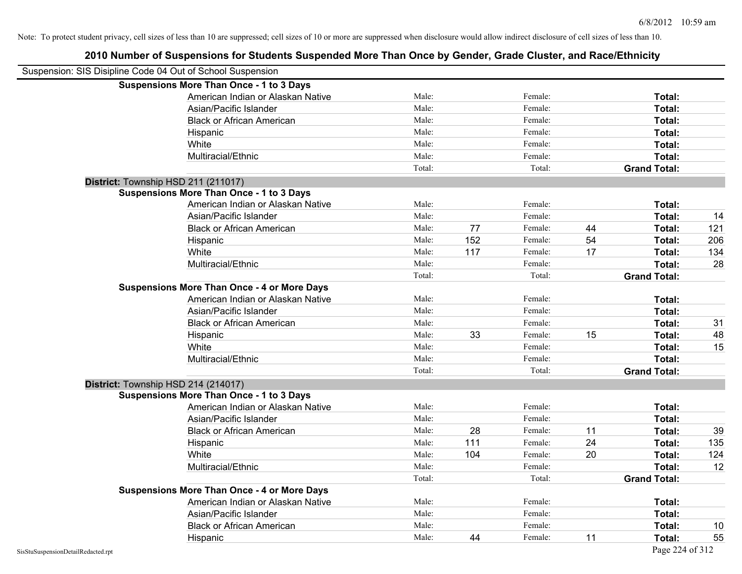| Suspension: SIS Disipline Code 04 Out of School Suspension |                                                    |        |     |         |    |                     |     |
|------------------------------------------------------------|----------------------------------------------------|--------|-----|---------|----|---------------------|-----|
|                                                            | <b>Suspensions More Than Once - 1 to 3 Days</b>    |        |     |         |    |                     |     |
|                                                            | American Indian or Alaskan Native                  | Male:  |     | Female: |    | Total:              |     |
|                                                            | Asian/Pacific Islander                             | Male:  |     | Female: |    | Total:              |     |
|                                                            | <b>Black or African American</b>                   | Male:  |     | Female: |    | Total:              |     |
|                                                            | Hispanic                                           | Male:  |     | Female: |    | Total:              |     |
|                                                            | White                                              | Male:  |     | Female: |    | Total:              |     |
|                                                            | Multiracial/Ethnic                                 | Male:  |     | Female: |    | Total:              |     |
|                                                            |                                                    | Total: |     | Total:  |    | <b>Grand Total:</b> |     |
| District: Township HSD 211 (211017)                        |                                                    |        |     |         |    |                     |     |
|                                                            | <b>Suspensions More Than Once - 1 to 3 Days</b>    |        |     |         |    |                     |     |
|                                                            | American Indian or Alaskan Native                  | Male:  |     | Female: |    | Total:              |     |
|                                                            | Asian/Pacific Islander                             | Male:  |     | Female: |    | Total:              | 14  |
|                                                            | <b>Black or African American</b>                   | Male:  | 77  | Female: | 44 | Total:              | 121 |
|                                                            | Hispanic                                           | Male:  | 152 | Female: | 54 | Total:              | 206 |
|                                                            | White                                              | Male:  | 117 | Female: | 17 | <b>Total:</b>       | 134 |
|                                                            | Multiracial/Ethnic                                 | Male:  |     | Female: |    | Total:              | 28  |
|                                                            |                                                    | Total: |     | Total:  |    | <b>Grand Total:</b> |     |
|                                                            | <b>Suspensions More Than Once - 4 or More Days</b> |        |     |         |    |                     |     |
|                                                            | American Indian or Alaskan Native                  | Male:  |     | Female: |    | Total:              |     |
|                                                            | Asian/Pacific Islander                             | Male:  |     | Female: |    | Total:              |     |
|                                                            | <b>Black or African American</b>                   | Male:  |     | Female: |    | Total:              | 31  |
|                                                            | Hispanic                                           | Male:  | 33  | Female: | 15 | Total:              | 48  |
|                                                            | White                                              | Male:  |     | Female: |    | Total:              | 15  |
|                                                            | Multiracial/Ethnic                                 | Male:  |     | Female: |    | Total:              |     |
|                                                            |                                                    | Total: |     | Total:  |    | <b>Grand Total:</b> |     |
| District: Township HSD 214 (214017)                        |                                                    |        |     |         |    |                     |     |
|                                                            | <b>Suspensions More Than Once - 1 to 3 Days</b>    |        |     |         |    |                     |     |
|                                                            | American Indian or Alaskan Native                  | Male:  |     | Female: |    | Total:              |     |
|                                                            | Asian/Pacific Islander                             | Male:  |     | Female: |    | Total:              |     |
|                                                            | <b>Black or African American</b>                   | Male:  | 28  | Female: | 11 | Total:              | 39  |
|                                                            | Hispanic                                           | Male:  | 111 | Female: | 24 | Total:              | 135 |
|                                                            | White                                              | Male:  | 104 | Female: | 20 | Total:              | 124 |
|                                                            | Multiracial/Ethnic                                 | Male:  |     | Female: |    | Total:              | 12  |
|                                                            |                                                    | Total: |     | Total:  |    | <b>Grand Total:</b> |     |
|                                                            | <b>Suspensions More Than Once - 4 or More Days</b> |        |     |         |    |                     |     |
|                                                            | American Indian or Alaskan Native                  | Male:  |     | Female: |    | Total:              |     |
|                                                            | Asian/Pacific Islander                             | Male:  |     | Female: |    | Total:              |     |
|                                                            | <b>Black or African American</b>                   | Male:  |     | Female: |    | Total:              | 10  |
|                                                            | Hispanic                                           | Male:  | 44  | Female: | 11 | Total:              | 55  |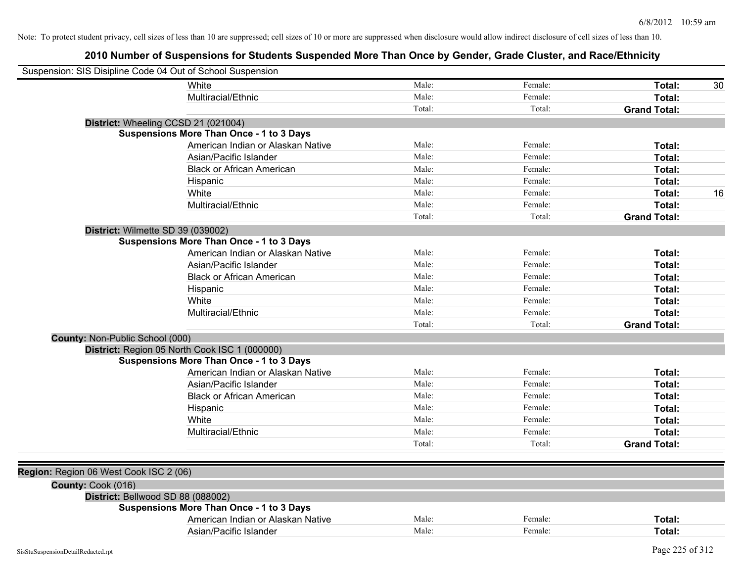| Suspension: SIS Disipline Code 04 Out of School Suspension |        |         |                     |    |
|------------------------------------------------------------|--------|---------|---------------------|----|
| White                                                      | Male:  | Female: | Total:              | 30 |
| Multiracial/Ethnic                                         | Male:  | Female: | Total:              |    |
|                                                            | Total: | Total:  | <b>Grand Total:</b> |    |
| District: Wheeling CCSD 21 (021004)                        |        |         |                     |    |
| <b>Suspensions More Than Once - 1 to 3 Days</b>            |        |         |                     |    |
| American Indian or Alaskan Native                          | Male:  | Female: | Total:              |    |
| Asian/Pacific Islander                                     | Male:  | Female: | Total:              |    |
| <b>Black or African American</b>                           | Male:  | Female: | Total:              |    |
| Hispanic                                                   | Male:  | Female: | Total:              |    |
| White                                                      | Male:  | Female: | Total:              | 16 |
| Multiracial/Ethnic                                         | Male:  | Female: | Total:              |    |
|                                                            | Total: | Total:  | <b>Grand Total:</b> |    |
| District: Wilmette SD 39 (039002)                          |        |         |                     |    |
| <b>Suspensions More Than Once - 1 to 3 Days</b>            |        |         |                     |    |
| American Indian or Alaskan Native                          | Male:  | Female: | Total:              |    |
| Asian/Pacific Islander                                     | Male:  | Female: | Total:              |    |
| <b>Black or African American</b>                           | Male:  | Female: | Total:              |    |
| Hispanic                                                   | Male:  | Female: | Total:              |    |
| White                                                      | Male:  | Female: | Total:              |    |
| Multiracial/Ethnic                                         | Male:  | Female: | Total:              |    |
|                                                            | Total: | Total:  | <b>Grand Total:</b> |    |
| County: Non-Public School (000)                            |        |         |                     |    |
| District: Region 05 North Cook ISC 1 (000000)              |        |         |                     |    |
| <b>Suspensions More Than Once - 1 to 3 Days</b>            |        |         |                     |    |
| American Indian or Alaskan Native                          | Male:  | Female: | Total:              |    |
| Asian/Pacific Islander                                     | Male:  | Female: | Total:              |    |
| <b>Black or African American</b>                           | Male:  | Female: | Total:              |    |
| Hispanic                                                   | Male:  | Female: | Total:              |    |
| White                                                      | Male:  | Female: | Total:              |    |
| Multiracial/Ethnic                                         | Male:  | Female: | Total:              |    |
|                                                            | Total: | Total:  | <b>Grand Total:</b> |    |
|                                                            |        |         |                     |    |
| Region: Region 06 West Cook ISC 2 (06)                     |        |         |                     |    |
| County: Cook (016)                                         |        |         |                     |    |
| District: Bellwood SD 88 (088002)                          |        |         |                     |    |
| <b>Suspensions More Than Once - 1 to 3 Days</b>            |        |         |                     |    |
| American Indian or Alaskan Native                          | Male:  | Female: | Total:              |    |
| Asian/Pacific Islander                                     | Male:  | Female: | Total:              |    |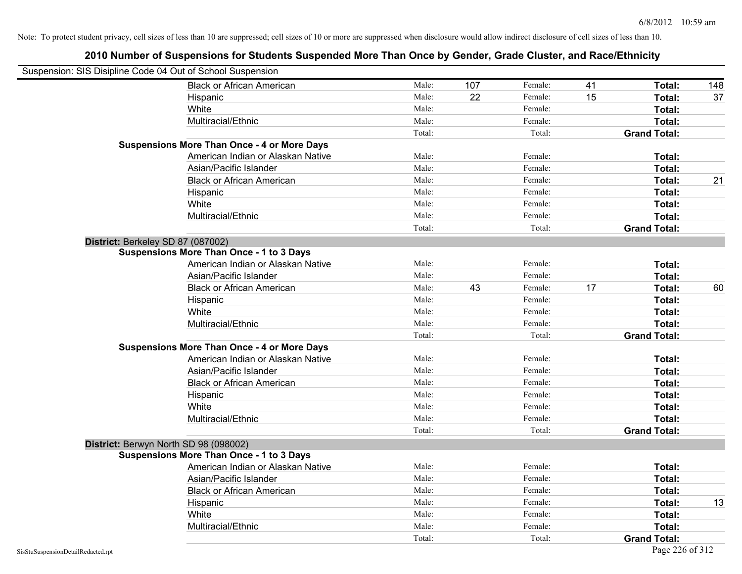|                                    | Suspension: SIS Disipline Code 04 Out of School Suspension |        |     |         |    |                     |     |
|------------------------------------|------------------------------------------------------------|--------|-----|---------|----|---------------------|-----|
|                                    | <b>Black or African American</b>                           | Male:  | 107 | Female: | 41 | Total:              | 148 |
|                                    | Hispanic                                                   | Male:  | 22  | Female: | 15 | Total:              | 37  |
|                                    | White                                                      | Male:  |     | Female: |    | Total:              |     |
|                                    | Multiracial/Ethnic                                         | Male:  |     | Female: |    | Total:              |     |
|                                    |                                                            | Total: |     | Total:  |    | <b>Grand Total:</b> |     |
|                                    | <b>Suspensions More Than Once - 4 or More Days</b>         |        |     |         |    |                     |     |
|                                    | American Indian or Alaskan Native                          | Male:  |     | Female: |    | Total:              |     |
|                                    | Asian/Pacific Islander                                     | Male:  |     | Female: |    | Total:              |     |
|                                    | <b>Black or African American</b>                           | Male:  |     | Female: |    | Total:              | 21  |
|                                    | Hispanic                                                   | Male:  |     | Female: |    | Total:              |     |
|                                    | White                                                      | Male:  |     | Female: |    | Total:              |     |
|                                    | Multiracial/Ethnic                                         | Male:  |     | Female: |    | Total:              |     |
|                                    |                                                            | Total: |     | Total:  |    | <b>Grand Total:</b> |     |
|                                    | District: Berkeley SD 87 (087002)                          |        |     |         |    |                     |     |
|                                    | <b>Suspensions More Than Once - 1 to 3 Days</b>            |        |     |         |    |                     |     |
|                                    | American Indian or Alaskan Native                          | Male:  |     | Female: |    | Total:              |     |
|                                    | Asian/Pacific Islander                                     | Male:  |     | Female: |    | Total:              |     |
|                                    | <b>Black or African American</b>                           | Male:  | 43  | Female: | 17 | Total:              | 60  |
|                                    | Hispanic                                                   | Male:  |     | Female: |    | Total:              |     |
|                                    | White                                                      | Male:  |     | Female: |    | Total:              |     |
|                                    | Multiracial/Ethnic                                         | Male:  |     | Female: |    | Total:              |     |
|                                    |                                                            | Total: |     | Total:  |    | <b>Grand Total:</b> |     |
|                                    | <b>Suspensions More Than Once - 4 or More Days</b>         |        |     |         |    |                     |     |
|                                    | American Indian or Alaskan Native                          | Male:  |     | Female: |    | Total:              |     |
|                                    | Asian/Pacific Islander                                     | Male:  |     | Female: |    | Total:              |     |
|                                    | <b>Black or African American</b>                           | Male:  |     | Female: |    | Total:              |     |
|                                    | Hispanic                                                   | Male:  |     | Female: |    | Total:              |     |
|                                    | White                                                      | Male:  |     | Female: |    | Total:              |     |
|                                    | Multiracial/Ethnic                                         | Male:  |     | Female: |    | Total:              |     |
|                                    |                                                            | Total: |     | Total:  |    | <b>Grand Total:</b> |     |
|                                    | District: Berwyn North SD 98 (098002)                      |        |     |         |    |                     |     |
|                                    | <b>Suspensions More Than Once - 1 to 3 Days</b>            |        |     |         |    |                     |     |
|                                    | American Indian or Alaskan Native                          | Male:  |     | Female: |    | Total:              |     |
|                                    | Asian/Pacific Islander                                     | Male:  |     | Female: |    | Total:              |     |
|                                    | <b>Black or African American</b>                           | Male:  |     | Female: |    | Total:              |     |
|                                    | Hispanic                                                   | Male:  |     | Female: |    | Total:              | 13  |
|                                    | White                                                      | Male:  |     | Female: |    | Total:              |     |
|                                    | Multiracial/Ethnic                                         | Male:  |     | Female: |    | Total:              |     |
|                                    |                                                            | Total: |     | Total:  |    | <b>Grand Total:</b> |     |
| SisStuSuspensionDetailRedacted.rpt |                                                            |        |     |         |    | Page 226 of 312     |     |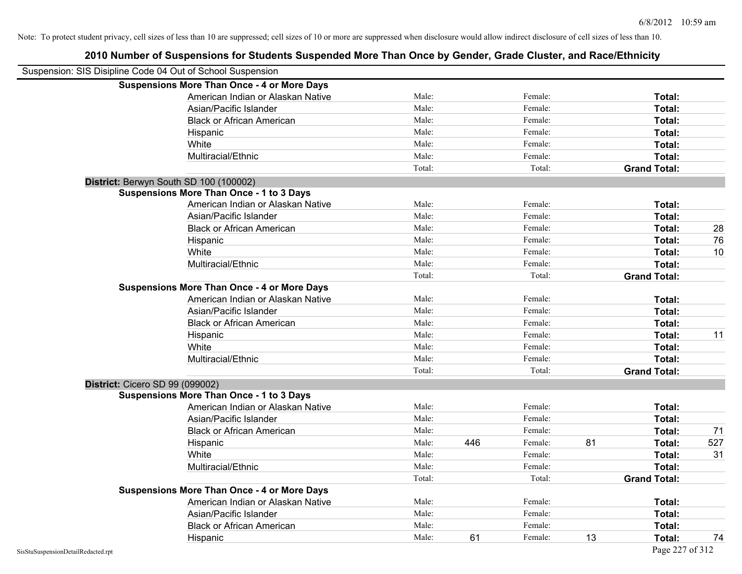# **2010 Number of Suspensions for Students Suspended More Than Once by Gender, Grade Cluster, and Race/Ethnicity** Suspension: SIS Disipline Code 04 Out of School Suspension **Suspensions More Than Once - 4 or More Days** American Indian or Alaskan Native **Male:** Male: Female: Female: **Total:** Total: Asian/Pacific Islander **Figure 1.1 Contact Contact Contact Contact Contact Contact Contact Contact Contact Conta** Black or African American **American** Male: Male: Female: **Female: Total: Total: Total: Female: Total: Total: Total: Total: Total: Total: Total: Total: Total: Total: Total: Total: Total:** Hispanic **Total:** Male: Female: **Total:** Female: **Total:** Total: **Total:** Female: **Total:** Total: **Total:** Total: **Total:** Total: **Total:** Total: **Total:** Total: **Total:** Total: **Total:** Total: **Total:** Total: **Total:** Tot White **Total:** Male: Female: **Total:** Female: **Total:** Total: Multiracial/Ethnic **Total:** Male: Female: **Total:** Female: **Total:** Female: **Total:** Female: **Total:** Female: **Total:** Female: **Total:** Female: **Total:** Female: **Total:** Female: **Total:** Female: **Total:** Female: **Total:** F Total: Total: **Grand Total: District:** Berwyn South SD 100 (100002) **Suspensions More Than Once - 1 to 3 Days** American Indian or Alaskan Native **Male:** Male: Female: Female: **Total:** Total: Asian/Pacific Islander **Figure 1.1 Contained Asian** Male: Female: **Female: Total: Total: Total: Total: Total: Total: Total: Total: Total: Total: Total: Total: Total: Total: Total: Total: T** Black or African American **Male:** Male: Female: Female: **Total:** 28 Hispanic Male: Female: **Total:** 76 White **Male:** Male: **Total: 10** Male: **Total: 10** Male: **Total: 10** Multiracial/Ethnic **Total:** Male: Female: **Female: Total:** Total: **Total:** Female: **Total:** Total: Total: Total: **Grand Total: Suspensions More Than Once - 4 or More Days** American Indian or Alaskan Native **Male:** Male: Female: Female: **Total:** Total: Asian/Pacific Islander **Figure 1.1 Contained Asian** Male: Female: **Female: Total: Total: Total: Total: Total: Total: Total: Total: Total: Total: Total: Total: Total: Total: Total: Total: T** Black or African American **American** Male: Male: **Female:** Female: **Total: Total:** Total: Hispanic Male: Female: **Total:** 11 White **Total:** Male: Female: **Total:** Total: **Total:** Female: **Total:** Total: Multiracial/Ethnic **Total:** Male: Female: **Total:** Female: **Total:** Female: **Total:** Female: **Total:** Female: **Total:** Female: **Total:** Female: **Total:** Female: **Total:** Female: **Total:** Female: **Total:** Female: **Total:** F Total: Total: **Grand Total: District:** Cicero SD 99 (099002) **Suspensions More Than Once - 1 to 3 Days** American Indian or Alaskan Native **Male:** Male: Female: Female: **Total:** Total: Asian/Pacific Islander **Figure 1.1 Contained Asian** Male: Female: **Female: Total: Total: Total: Total: Total: Total: Total: Total: Total: Total: Total: Total: Total: Total: Total: Total: T** Black or African American **Male:** Male: Female: Female: **Total:** 71 Hispanic Male: 446 Female: 81 **Total:** 527 White **Male:** Male: **Total: 31** Male: **Total: 31** Male: **Total: 31** Multiracial/Ethnic **Total:** Male: Female: **Female: Total:** Total: **Total:** Female: **Total:** Total: **Female:** Total: **Total:** Total: **Total:** Total: **Total:** Total: **Total:** Total: **Total:** Total: **Total:** Total: **Total:** Total: Total: **Grand Total: Suspensions More Than Once - 4 or More Days** American Indian or Alaskan Native **Male:** Male: Female: Female: **Total:** Total: Asian/Pacific Islander **Figure 1.1 Contact Contact Contact Contact Contact Contact Contact Contact Contact Conta**

Black or African American **Male:** Male: Female: Female: **Total:** Total:

Hispanic Male: 61 Female: 13 **Total:** 74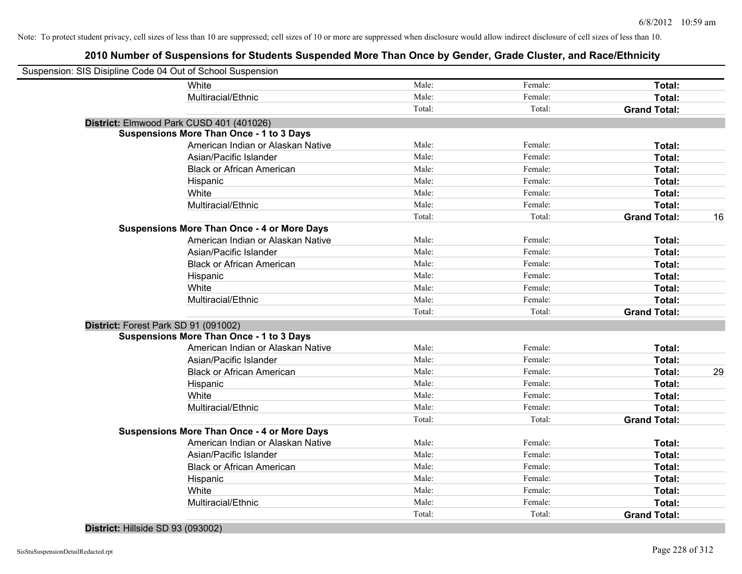### **2010 Number of Suspensions for Students Suspended More Than Once by Gender, Grade Cluster, and Race/Ethnicity**

| Suspension: SIS Disipline Code 04 Out of School Suspension |                                                    |        |         |                     |    |
|------------------------------------------------------------|----------------------------------------------------|--------|---------|---------------------|----|
|                                                            | White                                              | Male:  | Female: | Total:              |    |
|                                                            | Multiracial/Ethnic                                 | Male:  | Female: | Total:              |    |
|                                                            |                                                    | Total: | Total:  | <b>Grand Total:</b> |    |
|                                                            | District: Elmwood Park CUSD 401 (401026)           |        |         |                     |    |
|                                                            | <b>Suspensions More Than Once - 1 to 3 Days</b>    |        |         |                     |    |
|                                                            | American Indian or Alaskan Native                  | Male:  | Female: | Total:              |    |
|                                                            | Asian/Pacific Islander                             | Male:  | Female: | Total:              |    |
|                                                            | <b>Black or African American</b>                   | Male:  | Female: | Total:              |    |
|                                                            | Hispanic                                           | Male:  | Female: | Total:              |    |
|                                                            | White                                              | Male:  | Female: | Total:              |    |
|                                                            | Multiracial/Ethnic                                 | Male:  | Female: | Total:              |    |
|                                                            |                                                    | Total: | Total:  | <b>Grand Total:</b> | 16 |
|                                                            | <b>Suspensions More Than Once - 4 or More Days</b> |        |         |                     |    |
|                                                            | American Indian or Alaskan Native                  | Male:  | Female: | Total:              |    |
|                                                            | Asian/Pacific Islander                             | Male:  | Female: | Total:              |    |
|                                                            | <b>Black or African American</b>                   | Male:  | Female: | Total:              |    |
|                                                            | Hispanic                                           | Male:  | Female: | Total:              |    |
|                                                            | White                                              | Male:  | Female: | Total:              |    |
|                                                            | Multiracial/Ethnic                                 | Male:  | Female: | Total:              |    |
|                                                            |                                                    | Total: | Total:  | <b>Grand Total:</b> |    |
|                                                            | District: Forest Park SD 91 (091002)               |        |         |                     |    |
|                                                            | <b>Suspensions More Than Once - 1 to 3 Days</b>    |        |         |                     |    |
|                                                            | American Indian or Alaskan Native                  | Male:  | Female: | Total:              |    |
|                                                            | Asian/Pacific Islander                             | Male:  | Female: | Total:              |    |
|                                                            | <b>Black or African American</b>                   | Male:  | Female: | Total:              | 29 |
|                                                            | Hispanic                                           | Male:  | Female: | Total:              |    |
|                                                            | White                                              | Male:  | Female: | Total:              |    |
|                                                            | Multiracial/Ethnic                                 | Male:  | Female: | Total:              |    |
|                                                            |                                                    | Total: | Total:  | <b>Grand Total:</b> |    |
|                                                            | <b>Suspensions More Than Once - 4 or More Days</b> |        |         |                     |    |
|                                                            | American Indian or Alaskan Native                  | Male:  | Female: | Total:              |    |
|                                                            | Asian/Pacific Islander                             | Male:  | Female: | Total:              |    |
|                                                            | <b>Black or African American</b>                   | Male:  | Female: | Total:              |    |
|                                                            | Hispanic                                           | Male:  | Female: | Total:              |    |
|                                                            | White                                              | Male:  | Female: | Total:              |    |
|                                                            | Multiracial/Ethnic                                 | Male:  | Female: | Total:              |    |
|                                                            |                                                    | Total: | Total:  | <b>Grand Total:</b> |    |
|                                                            |                                                    |        |         |                     |    |

#### **District:** Hillside SD 93 (093002)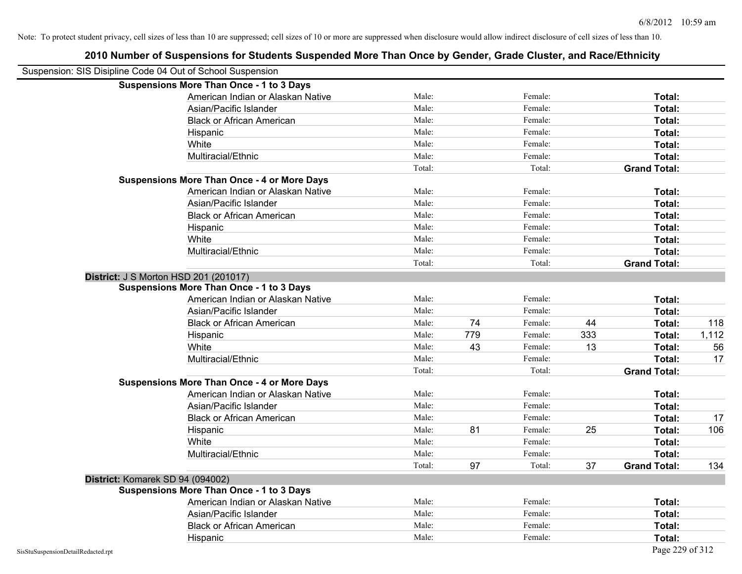|                                    | Suspension: SIS Disipline Code 04 Out of School Suspension |        |     |         |     |                     |       |
|------------------------------------|------------------------------------------------------------|--------|-----|---------|-----|---------------------|-------|
|                                    | <b>Suspensions More Than Once - 1 to 3 Days</b>            |        |     |         |     |                     |       |
|                                    | American Indian or Alaskan Native                          | Male:  |     | Female: |     | Total:              |       |
|                                    | Asian/Pacific Islander                                     | Male:  |     | Female: |     | Total:              |       |
|                                    | <b>Black or African American</b>                           | Male:  |     | Female: |     | Total:              |       |
|                                    | Hispanic                                                   | Male:  |     | Female: |     | Total:              |       |
|                                    | White                                                      | Male:  |     | Female: |     | Total:              |       |
|                                    | Multiracial/Ethnic                                         | Male:  |     | Female: |     | Total:              |       |
|                                    |                                                            | Total: |     | Total:  |     | <b>Grand Total:</b> |       |
|                                    | <b>Suspensions More Than Once - 4 or More Days</b>         |        |     |         |     |                     |       |
|                                    | American Indian or Alaskan Native                          | Male:  |     | Female: |     | Total:              |       |
|                                    | Asian/Pacific Islander                                     | Male:  |     | Female: |     | Total:              |       |
|                                    | <b>Black or African American</b>                           | Male:  |     | Female: |     | Total:              |       |
|                                    | Hispanic                                                   | Male:  |     | Female: |     | Total:              |       |
|                                    | White                                                      | Male:  |     | Female: |     | Total:              |       |
|                                    | Multiracial/Ethnic                                         | Male:  |     | Female: |     | Total:              |       |
|                                    |                                                            | Total: |     | Total:  |     | <b>Grand Total:</b> |       |
|                                    | <b>District: J S Morton HSD 201 (201017)</b>               |        |     |         |     |                     |       |
|                                    | Suspensions More Than Once - 1 to 3 Days                   |        |     |         |     |                     |       |
|                                    | American Indian or Alaskan Native                          | Male:  |     | Female: |     | Total:              |       |
|                                    | Asian/Pacific Islander                                     | Male:  |     | Female: |     | Total:              |       |
|                                    | <b>Black or African American</b>                           | Male:  | 74  | Female: | 44  | Total:              | 118   |
|                                    | Hispanic                                                   | Male:  | 779 | Female: | 333 | Total:              | 1,112 |
|                                    | White                                                      | Male:  | 43  | Female: | 13  | Total:              | 56    |
|                                    | Multiracial/Ethnic                                         | Male:  |     | Female: |     | Total:              | 17    |
|                                    |                                                            | Total: |     | Total:  |     | <b>Grand Total:</b> |       |
|                                    | <b>Suspensions More Than Once - 4 or More Days</b>         |        |     |         |     |                     |       |
|                                    | American Indian or Alaskan Native                          | Male:  |     | Female: |     | Total:              |       |
|                                    | Asian/Pacific Islander                                     | Male:  |     | Female: |     | Total:              |       |
|                                    | <b>Black or African American</b>                           | Male:  |     | Female: |     | Total:              | 17    |
|                                    | Hispanic                                                   | Male:  | 81  | Female: | 25  | Total:              | 106   |
|                                    | White                                                      | Male:  |     | Female: |     | Total:              |       |
|                                    | Multiracial/Ethnic                                         | Male:  |     | Female: |     | Total:              |       |
|                                    |                                                            | Total: | 97  | Total:  | 37  | <b>Grand Total:</b> | 134   |
|                                    | District: Komarek SD 94 (094002)                           |        |     |         |     |                     |       |
|                                    | <b>Suspensions More Than Once - 1 to 3 Days</b>            |        |     |         |     |                     |       |
|                                    | American Indian or Alaskan Native                          | Male:  |     | Female: |     | Total:              |       |
|                                    | Asian/Pacific Islander                                     | Male:  |     | Female: |     | Total:              |       |
|                                    | <b>Black or African American</b>                           | Male:  |     | Female: |     | Total:              |       |
|                                    | Hispanic                                                   | Male:  |     | Female: |     | Total:              |       |
| SisStuSuspensionDetailRedacted.rpt |                                                            |        |     |         |     | Page 229 of 312     |       |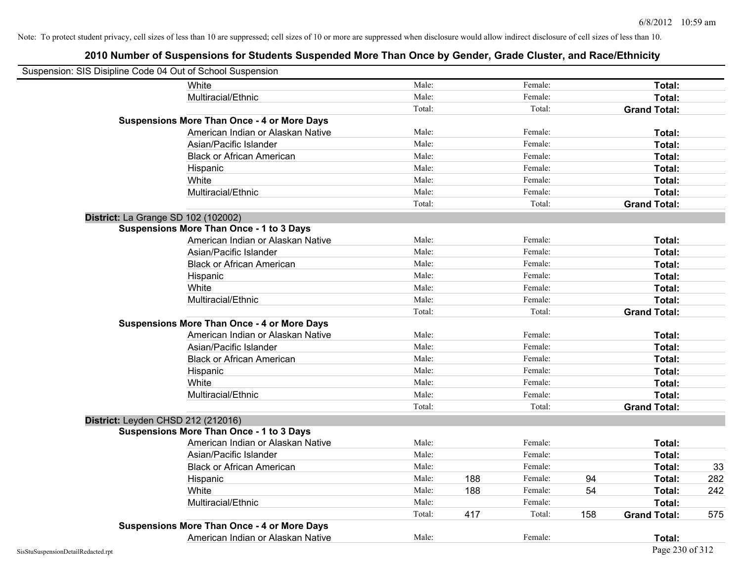| Suspension: SIS Disipline Code 04 Out of School Suspension |                                                    |        |     |         |     |                     |     |
|------------------------------------------------------------|----------------------------------------------------|--------|-----|---------|-----|---------------------|-----|
|                                                            | White                                              | Male:  |     | Female: |     | Total:              |     |
|                                                            | Multiracial/Ethnic                                 | Male:  |     | Female: |     | Total:              |     |
|                                                            |                                                    | Total: |     | Total:  |     | <b>Grand Total:</b> |     |
|                                                            | <b>Suspensions More Than Once - 4 or More Days</b> |        |     |         |     |                     |     |
|                                                            | American Indian or Alaskan Native                  | Male:  |     | Female: |     | Total:              |     |
|                                                            | Asian/Pacific Islander                             | Male:  |     | Female: |     | Total:              |     |
|                                                            | <b>Black or African American</b>                   | Male:  |     | Female: |     | Total:              |     |
|                                                            | Hispanic                                           | Male:  |     | Female: |     | Total:              |     |
|                                                            | White                                              | Male:  |     | Female: |     | Total:              |     |
|                                                            | Multiracial/Ethnic                                 | Male:  |     | Female: |     | Total:              |     |
|                                                            |                                                    | Total: |     | Total:  |     | <b>Grand Total:</b> |     |
| District: La Grange SD 102 (102002)                        |                                                    |        |     |         |     |                     |     |
|                                                            | <b>Suspensions More Than Once - 1 to 3 Days</b>    |        |     |         |     |                     |     |
|                                                            | American Indian or Alaskan Native                  | Male:  |     | Female: |     | Total:              |     |
|                                                            | Asian/Pacific Islander                             | Male:  |     | Female: |     | Total:              |     |
|                                                            | <b>Black or African American</b>                   | Male:  |     | Female: |     | Total:              |     |
|                                                            | Hispanic                                           | Male:  |     | Female: |     | Total:              |     |
|                                                            | White                                              | Male:  |     | Female: |     | Total:              |     |
|                                                            | Multiracial/Ethnic                                 | Male:  |     | Female: |     | Total:              |     |
|                                                            |                                                    | Total: |     | Total:  |     | <b>Grand Total:</b> |     |
|                                                            | <b>Suspensions More Than Once - 4 or More Days</b> |        |     |         |     |                     |     |
|                                                            | American Indian or Alaskan Native                  | Male:  |     | Female: |     | Total:              |     |
|                                                            | Asian/Pacific Islander                             | Male:  |     | Female: |     | Total:              |     |
|                                                            | <b>Black or African American</b>                   | Male:  |     | Female: |     | Total:              |     |
|                                                            | Hispanic                                           | Male:  |     | Female: |     | Total:              |     |
|                                                            | White                                              | Male:  |     | Female: |     | Total:              |     |
|                                                            | Multiracial/Ethnic                                 | Male:  |     | Female: |     | Total:              |     |
|                                                            |                                                    | Total: |     | Total:  |     | <b>Grand Total:</b> |     |
| District: Leyden CHSD 212 (212016)                         |                                                    |        |     |         |     |                     |     |
|                                                            | <b>Suspensions More Than Once - 1 to 3 Days</b>    |        |     |         |     |                     |     |
|                                                            | American Indian or Alaskan Native                  | Male:  |     | Female: |     | Total:              |     |
|                                                            | Asian/Pacific Islander                             | Male:  |     | Female: |     | Total:              |     |
|                                                            | <b>Black or African American</b>                   | Male:  |     | Female: |     | Total:              | 33  |
|                                                            | Hispanic                                           | Male:  | 188 | Female: | 94  | Total:              | 282 |
|                                                            | White                                              | Male:  | 188 | Female: | 54  | Total:              | 242 |
|                                                            | Multiracial/Ethnic                                 | Male:  |     | Female: |     | Total:              |     |
|                                                            |                                                    | Total: | 417 | Total:  | 158 | <b>Grand Total:</b> | 575 |
|                                                            | <b>Suspensions More Than Once - 4 or More Days</b> |        |     |         |     |                     |     |
|                                                            | American Indian or Alaskan Native                  | Male:  |     | Female: |     | Total:              |     |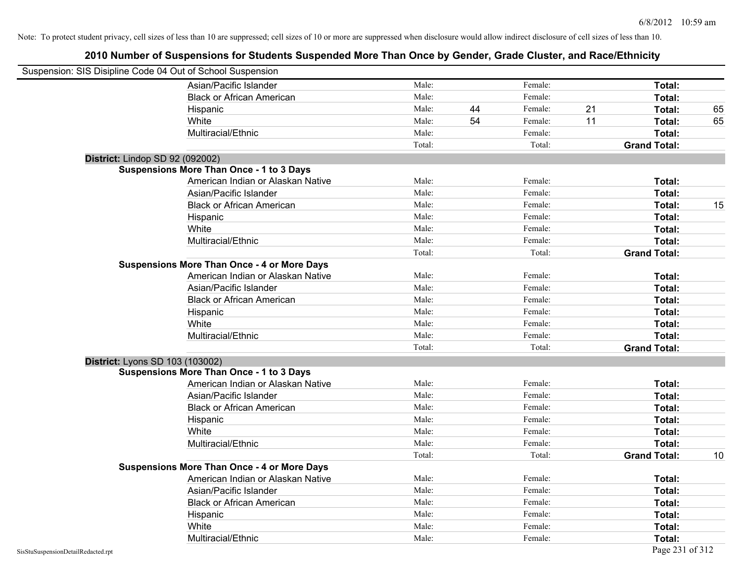| Suspension: SIS Disipline Code 04 Out of School Suspension |                                                    |        |    |         |    |                     |    |
|------------------------------------------------------------|----------------------------------------------------|--------|----|---------|----|---------------------|----|
|                                                            | Asian/Pacific Islander                             | Male:  |    | Female: |    | Total:              |    |
|                                                            | <b>Black or African American</b>                   | Male:  |    | Female: |    | Total:              |    |
|                                                            | Hispanic                                           | Male:  | 44 | Female: | 21 | Total:              | 65 |
|                                                            | White                                              | Male:  | 54 | Female: | 11 | Total:              | 65 |
|                                                            | Multiracial/Ethnic                                 | Male:  |    | Female: |    | Total:              |    |
|                                                            |                                                    | Total: |    | Total:  |    | <b>Grand Total:</b> |    |
| District: Lindop SD 92 (092002)                            |                                                    |        |    |         |    |                     |    |
|                                                            | <b>Suspensions More Than Once - 1 to 3 Days</b>    |        |    |         |    |                     |    |
|                                                            | American Indian or Alaskan Native                  | Male:  |    | Female: |    | Total:              |    |
|                                                            | Asian/Pacific Islander                             | Male:  |    | Female: |    | Total:              |    |
|                                                            | <b>Black or African American</b>                   | Male:  |    | Female: |    | Total:              | 15 |
|                                                            | Hispanic                                           | Male:  |    | Female: |    | Total:              |    |
|                                                            | White                                              | Male:  |    | Female: |    | Total:              |    |
|                                                            | Multiracial/Ethnic                                 | Male:  |    | Female: |    | Total:              |    |
|                                                            |                                                    | Total: |    | Total:  |    | <b>Grand Total:</b> |    |
|                                                            | <b>Suspensions More Than Once - 4 or More Days</b> |        |    |         |    |                     |    |
|                                                            | American Indian or Alaskan Native                  | Male:  |    | Female: |    | Total:              |    |
|                                                            | Asian/Pacific Islander                             | Male:  |    | Female: |    | Total:              |    |
|                                                            | <b>Black or African American</b>                   | Male:  |    | Female: |    | Total:              |    |
|                                                            | Hispanic                                           | Male:  |    | Female: |    | Total:              |    |
|                                                            | White                                              | Male:  |    | Female: |    | Total:              |    |
|                                                            | Multiracial/Ethnic                                 | Male:  |    | Female: |    | Total:              |    |
|                                                            |                                                    | Total: |    | Total:  |    | <b>Grand Total:</b> |    |
| District: Lyons SD 103 (103002)                            |                                                    |        |    |         |    |                     |    |
|                                                            | <b>Suspensions More Than Once - 1 to 3 Days</b>    |        |    |         |    |                     |    |
|                                                            | American Indian or Alaskan Native                  | Male:  |    | Female: |    | Total:              |    |
|                                                            | Asian/Pacific Islander                             | Male:  |    | Female: |    | Total:              |    |
|                                                            | <b>Black or African American</b>                   | Male:  |    | Female: |    | Total:              |    |
|                                                            | Hispanic                                           | Male:  |    | Female: |    | Total:              |    |
|                                                            | White                                              | Male:  |    | Female: |    | Total:              |    |
|                                                            | Multiracial/Ethnic                                 | Male:  |    | Female: |    | Total:              |    |
|                                                            |                                                    | Total: |    | Total:  |    | <b>Grand Total:</b> | 10 |
|                                                            | <b>Suspensions More Than Once - 4 or More Days</b> |        |    |         |    |                     |    |
|                                                            | American Indian or Alaskan Native                  | Male:  |    | Female: |    | Total:              |    |
|                                                            | Asian/Pacific Islander                             | Male:  |    | Female: |    | Total:              |    |
|                                                            | <b>Black or African American</b>                   | Male:  |    | Female: |    | Total:              |    |
|                                                            | Hispanic                                           | Male:  |    | Female: |    | Total:              |    |
|                                                            | White                                              | Male:  |    | Female: |    | Total:              |    |
|                                                            | Multiracial/Ethnic                                 | Male:  |    | Female: |    | Total:              |    |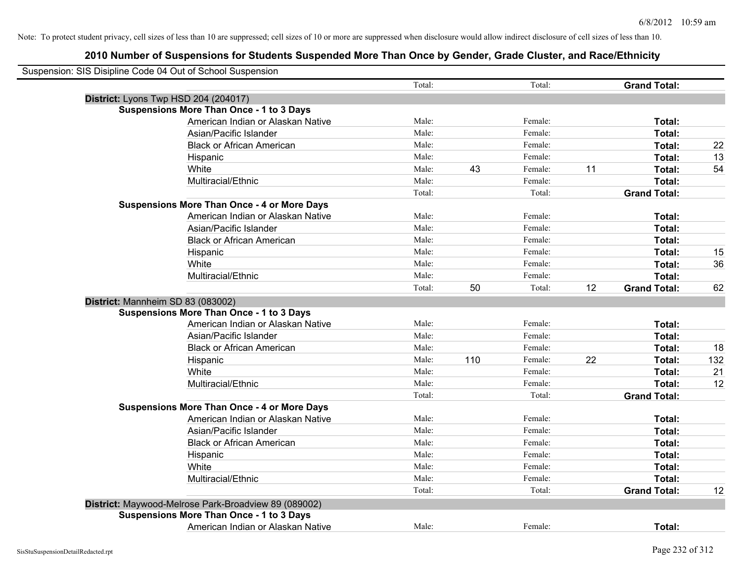| Suspension: SIS Disipline Code 04 Out of School Suspension |                                   | Total: |     | Total:  |    | <b>Grand Total:</b> |     |
|------------------------------------------------------------|-----------------------------------|--------|-----|---------|----|---------------------|-----|
| District: Lyons Twp HSD 204 (204017)                       |                                   |        |     |         |    |                     |     |
| <b>Suspensions More Than Once - 1 to 3 Days</b>            |                                   |        |     |         |    |                     |     |
|                                                            | American Indian or Alaskan Native | Male:  |     | Female: |    | Total:              |     |
| Asian/Pacific Islander                                     |                                   | Male:  |     | Female: |    | Total:              |     |
|                                                            | <b>Black or African American</b>  | Male:  |     | Female: |    | Total:              | 22  |
| Hispanic                                                   |                                   | Male:  |     | Female: |    | Total:              | 13  |
| White                                                      |                                   | Male:  | 43  | Female: | 11 | Total:              | 54  |
| Multiracial/Ethnic                                         |                                   | Male:  |     | Female: |    | Total:              |     |
|                                                            |                                   | Total: |     | Total:  |    | <b>Grand Total:</b> |     |
| <b>Suspensions More Than Once - 4 or More Days</b>         |                                   |        |     |         |    |                     |     |
|                                                            | American Indian or Alaskan Native | Male:  |     | Female: |    | Total:              |     |
| Asian/Pacific Islander                                     |                                   | Male:  |     | Female: |    | Total:              |     |
|                                                            | <b>Black or African American</b>  | Male:  |     | Female: |    | Total:              |     |
| Hispanic                                                   |                                   | Male:  |     | Female: |    | Total:              | 15  |
| White                                                      |                                   | Male:  |     | Female: |    | Total:              | 36  |
| Multiracial/Ethnic                                         |                                   | Male:  |     | Female: |    | Total:              |     |
|                                                            |                                   | Total: | 50  | Total:  | 12 | <b>Grand Total:</b> | 62  |
| District: Mannheim SD 83 (083002)                          |                                   |        |     |         |    |                     |     |
| <b>Suspensions More Than Once - 1 to 3 Days</b>            |                                   |        |     |         |    |                     |     |
|                                                            | American Indian or Alaskan Native | Male:  |     | Female: |    | Total:              |     |
| Asian/Pacific Islander                                     |                                   | Male:  |     | Female: |    | Total:              |     |
|                                                            | <b>Black or African American</b>  | Male:  |     | Female: |    | Total:              | 18  |
| Hispanic                                                   |                                   | Male:  | 110 | Female: | 22 | Total:              | 132 |
| White                                                      |                                   | Male:  |     | Female: |    | Total:              | 21  |
| Multiracial/Ethnic                                         |                                   | Male:  |     | Female: |    | Total:              | 12  |
|                                                            |                                   | Total: |     | Total:  |    | <b>Grand Total:</b> |     |
| <b>Suspensions More Than Once - 4 or More Days</b>         |                                   |        |     |         |    |                     |     |
|                                                            | American Indian or Alaskan Native | Male:  |     | Female: |    | Total:              |     |
| Asian/Pacific Islander                                     |                                   | Male:  |     | Female: |    | Total:              |     |
|                                                            | <b>Black or African American</b>  | Male:  |     | Female: |    | Total:              |     |
| Hispanic                                                   |                                   | Male:  |     | Female: |    | Total:              |     |
| White                                                      |                                   | Male:  |     | Female: |    | Total:              |     |
| Multiracial/Ethnic                                         |                                   | Male:  |     | Female: |    | Total:              |     |
|                                                            |                                   | Total: |     | Total:  |    | <b>Grand Total:</b> | 12  |
| District: Maywood-Melrose Park-Broadview 89 (089002)       |                                   |        |     |         |    |                     |     |
| <b>Suspensions More Than Once - 1 to 3 Days</b>            |                                   |        |     |         |    |                     |     |
|                                                            | American Indian or Alaskan Native | Male:  |     | Female: |    | Total:              |     |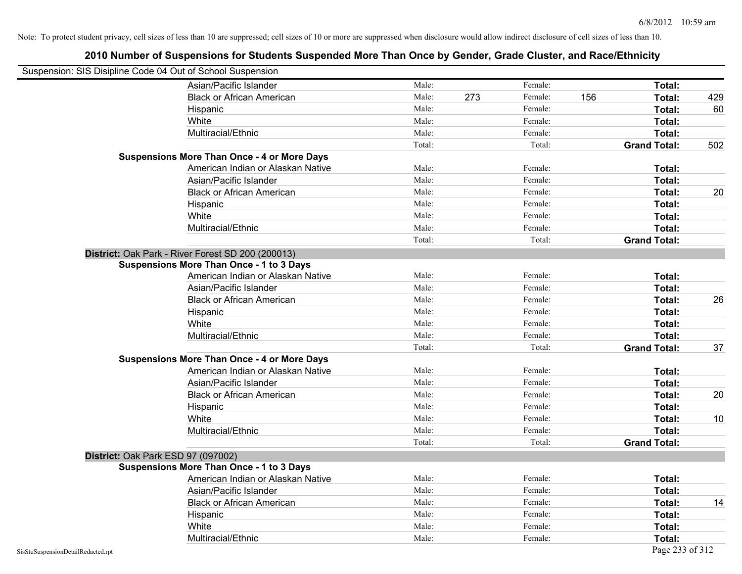| Suspension: SIS Disipline Code 04 Out of School Suspension |                                                    |        |     |         |                     |        |                 |
|------------------------------------------------------------|----------------------------------------------------|--------|-----|---------|---------------------|--------|-----------------|
|                                                            | Asian/Pacific Islander                             | Male:  |     | Female: |                     | Total: |                 |
|                                                            | <b>Black or African American</b>                   | Male:  | 273 | Female: | 156                 | Total: | 429             |
|                                                            | Hispanic                                           | Male:  |     | Female: |                     | Total: | 60              |
|                                                            | White                                              | Male:  |     | Female: |                     | Total: |                 |
|                                                            | Multiracial/Ethnic                                 | Male:  |     | Female: |                     | Total: |                 |
|                                                            |                                                    | Total: |     | Total:  | <b>Grand Total:</b> |        | 502             |
|                                                            | <b>Suspensions More Than Once - 4 or More Days</b> |        |     |         |                     |        |                 |
|                                                            | American Indian or Alaskan Native                  | Male:  |     | Female: |                     | Total: |                 |
|                                                            | Asian/Pacific Islander                             | Male:  |     | Female: |                     | Total: |                 |
|                                                            | <b>Black or African American</b>                   | Male:  |     | Female: |                     | Total: | 20              |
|                                                            | Hispanic                                           | Male:  |     | Female: |                     | Total: |                 |
|                                                            | White                                              | Male:  |     | Female: |                     | Total: |                 |
|                                                            | Multiracial/Ethnic                                 | Male:  |     | Female: |                     | Total: |                 |
|                                                            |                                                    | Total: |     | Total:  | <b>Grand Total:</b> |        |                 |
|                                                            | District: Oak Park - River Forest SD 200 (200013)  |        |     |         |                     |        |                 |
|                                                            | <b>Suspensions More Than Once - 1 to 3 Days</b>    |        |     |         |                     |        |                 |
|                                                            | American Indian or Alaskan Native                  | Male:  |     | Female: |                     | Total: |                 |
|                                                            | Asian/Pacific Islander                             | Male:  |     | Female: |                     | Total: |                 |
|                                                            | <b>Black or African American</b>                   | Male:  |     | Female: |                     | Total: | 26              |
|                                                            | Hispanic                                           | Male:  |     | Female: |                     | Total: |                 |
|                                                            | White                                              | Male:  |     | Female: |                     | Total: |                 |
|                                                            | Multiracial/Ethnic                                 | Male:  |     | Female: |                     | Total: |                 |
|                                                            |                                                    | Total: |     | Total:  | <b>Grand Total:</b> |        | 37              |
|                                                            | <b>Suspensions More Than Once - 4 or More Days</b> |        |     |         |                     |        |                 |
|                                                            | American Indian or Alaskan Native                  | Male:  |     | Female: |                     | Total: |                 |
|                                                            | Asian/Pacific Islander                             | Male:  |     | Female: |                     | Total: |                 |
|                                                            | <b>Black or African American</b>                   | Male:  |     | Female: |                     | Total: | 20              |
|                                                            | Hispanic                                           | Male:  |     | Female: |                     | Total: |                 |
|                                                            | White                                              | Male:  |     | Female: |                     | Total: | 10 <sup>°</sup> |
|                                                            | Multiracial/Ethnic                                 | Male:  |     | Female: |                     | Total: |                 |
|                                                            |                                                    | Total: |     | Total:  | <b>Grand Total:</b> |        |                 |
| District: Oak Park ESD 97 (097002)                         |                                                    |        |     |         |                     |        |                 |
|                                                            | <b>Suspensions More Than Once - 1 to 3 Days</b>    |        |     |         |                     |        |                 |
|                                                            | American Indian or Alaskan Native                  | Male:  |     | Female: |                     | Total: |                 |
|                                                            | Asian/Pacific Islander                             | Male:  |     | Female: |                     | Total: |                 |
|                                                            | <b>Black or African American</b>                   | Male:  |     | Female: |                     | Total: | 14              |
|                                                            | Hispanic                                           | Male:  |     | Female: |                     | Total: |                 |
|                                                            | White                                              | Male:  |     | Female: |                     | Total: |                 |
|                                                            | Multiracial/Ethnic                                 | Male:  |     | Female: |                     | Total: |                 |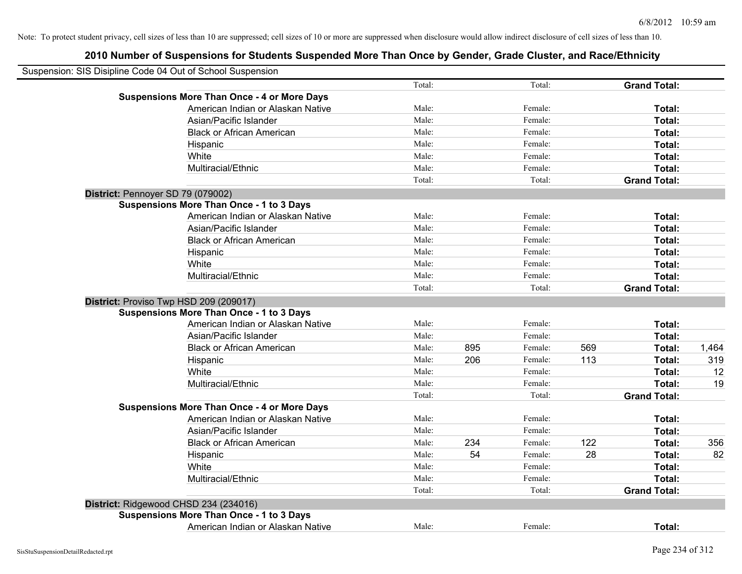| Suspension: SIS Disipline Code 04 Out of School Suspension |        |     |         |     |                     |       |
|------------------------------------------------------------|--------|-----|---------|-----|---------------------|-------|
|                                                            | Total: |     | Total:  |     | <b>Grand Total:</b> |       |
| <b>Suspensions More Than Once - 4 or More Days</b>         |        |     |         |     |                     |       |
| American Indian or Alaskan Native                          | Male:  |     | Female: |     | Total:              |       |
| Asian/Pacific Islander                                     | Male:  |     | Female: |     | Total:              |       |
| <b>Black or African American</b>                           | Male:  |     | Female: |     | Total:              |       |
| Hispanic                                                   | Male:  |     | Female: |     | Total:              |       |
| White                                                      | Male:  |     | Female: |     | Total:              |       |
| Multiracial/Ethnic                                         | Male:  |     | Female: |     | Total:              |       |
|                                                            | Total: |     | Total:  |     | <b>Grand Total:</b> |       |
| District: Pennoyer SD 79 (079002)                          |        |     |         |     |                     |       |
| Suspensions More Than Once - 1 to 3 Days                   |        |     |         |     |                     |       |
| American Indian or Alaskan Native                          | Male:  |     | Female: |     | Total:              |       |
| Asian/Pacific Islander                                     | Male:  |     | Female: |     | Total:              |       |
| <b>Black or African American</b>                           | Male:  |     | Female: |     | Total:              |       |
| Hispanic                                                   | Male:  |     | Female: |     | Total:              |       |
| White                                                      | Male:  |     | Female: |     | Total:              |       |
| Multiracial/Ethnic                                         | Male:  |     | Female: |     | Total:              |       |
|                                                            | Total: |     | Total:  |     | <b>Grand Total:</b> |       |
| District: Proviso Twp HSD 209 (209017)                     |        |     |         |     |                     |       |
| <b>Suspensions More Than Once - 1 to 3 Days</b>            |        |     |         |     |                     |       |
| American Indian or Alaskan Native                          | Male:  |     | Female: |     | Total:              |       |
| Asian/Pacific Islander                                     | Male:  |     | Female: |     | Total:              |       |
| <b>Black or African American</b>                           | Male:  | 895 | Female: | 569 | Total:              | 1,464 |
| Hispanic                                                   | Male:  | 206 | Female: | 113 | Total:              | 319   |
| White                                                      | Male:  |     | Female: |     | Total:              | 12    |
| Multiracial/Ethnic                                         | Male:  |     | Female: |     | Total:              | 19    |
|                                                            | Total: |     | Total:  |     | <b>Grand Total:</b> |       |
| <b>Suspensions More Than Once - 4 or More Days</b>         |        |     |         |     |                     |       |
| American Indian or Alaskan Native                          | Male:  |     | Female: |     | Total:              |       |
| Asian/Pacific Islander                                     | Male:  |     | Female: |     | Total:              |       |
| <b>Black or African American</b>                           | Male:  | 234 | Female: | 122 | Total:              | 356   |
| Hispanic                                                   | Male:  | 54  | Female: | 28  | Total:              | 82    |
| White                                                      | Male:  |     | Female: |     | Total:              |       |
| Multiracial/Ethnic                                         | Male:  |     | Female: |     | Total:              |       |
|                                                            | Total: |     | Total:  |     | <b>Grand Total:</b> |       |
| District: Ridgewood CHSD 234 (234016)                      |        |     |         |     |                     |       |
| <b>Suspensions More Than Once - 1 to 3 Days</b>            |        |     |         |     |                     |       |
| American Indian or Alaskan Native                          | Male:  |     | Female: |     | Total:              |       |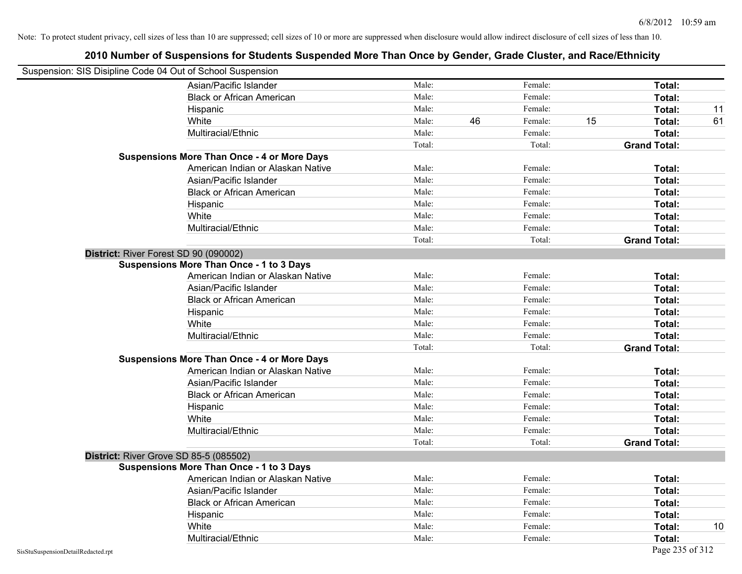| Suspension: SIS Disipline Code 04 Out of School Suspension |                                                    |        |    |         |    |                     |    |
|------------------------------------------------------------|----------------------------------------------------|--------|----|---------|----|---------------------|----|
|                                                            | Asian/Pacific Islander                             | Male:  |    | Female: |    | Total:              |    |
|                                                            | <b>Black or African American</b>                   | Male:  |    | Female: |    | Total:              |    |
|                                                            | Hispanic                                           | Male:  |    | Female: |    | Total:              | 11 |
|                                                            | White                                              | Male:  | 46 | Female: | 15 | Total:              | 61 |
|                                                            | Multiracial/Ethnic                                 | Male:  |    | Female: |    | Total:              |    |
|                                                            |                                                    | Total: |    | Total:  |    | <b>Grand Total:</b> |    |
|                                                            | <b>Suspensions More Than Once - 4 or More Days</b> |        |    |         |    |                     |    |
|                                                            | American Indian or Alaskan Native                  | Male:  |    | Female: |    | Total:              |    |
|                                                            | Asian/Pacific Islander                             | Male:  |    | Female: |    | Total:              |    |
|                                                            | <b>Black or African American</b>                   | Male:  |    | Female: |    | Total:              |    |
|                                                            | Hispanic                                           | Male:  |    | Female: |    | Total:              |    |
|                                                            | White                                              | Male:  |    | Female: |    | Total:              |    |
|                                                            | Multiracial/Ethnic                                 | Male:  |    | Female: |    | Total:              |    |
|                                                            |                                                    | Total: |    | Total:  |    | <b>Grand Total:</b> |    |
| District: River Forest SD 90 (090002)                      |                                                    |        |    |         |    |                     |    |
|                                                            | <b>Suspensions More Than Once - 1 to 3 Days</b>    |        |    |         |    |                     |    |
|                                                            | American Indian or Alaskan Native                  | Male:  |    | Female: |    | Total:              |    |
|                                                            | Asian/Pacific Islander                             | Male:  |    | Female: |    | Total:              |    |
|                                                            | <b>Black or African American</b>                   | Male:  |    | Female: |    | Total:              |    |
|                                                            | Hispanic                                           | Male:  |    | Female: |    | Total:              |    |
|                                                            | White                                              | Male:  |    | Female: |    | Total:              |    |
|                                                            | Multiracial/Ethnic                                 | Male:  |    | Female: |    | Total:              |    |
|                                                            |                                                    | Total: |    | Total:  |    | <b>Grand Total:</b> |    |
|                                                            | <b>Suspensions More Than Once - 4 or More Days</b> |        |    |         |    |                     |    |
|                                                            | American Indian or Alaskan Native                  | Male:  |    | Female: |    | Total:              |    |
|                                                            | Asian/Pacific Islander                             | Male:  |    | Female: |    | Total:              |    |
|                                                            | <b>Black or African American</b>                   | Male:  |    | Female: |    | Total:              |    |
|                                                            | Hispanic                                           | Male:  |    | Female: |    | Total:              |    |
|                                                            | White                                              | Male:  |    | Female: |    | Total:              |    |
|                                                            | Multiracial/Ethnic                                 | Male:  |    | Female: |    | Total:              |    |
|                                                            |                                                    | Total: |    | Total:  |    | <b>Grand Total:</b> |    |
| District: River Grove SD 85-5 (085502)                     |                                                    |        |    |         |    |                     |    |
|                                                            | <b>Suspensions More Than Once - 1 to 3 Days</b>    |        |    |         |    |                     |    |
|                                                            | American Indian or Alaskan Native                  | Male:  |    | Female: |    | Total:              |    |
|                                                            | Asian/Pacific Islander                             | Male:  |    | Female: |    | Total:              |    |
|                                                            | <b>Black or African American</b>                   | Male:  |    | Female: |    | Total:              |    |
|                                                            | Hispanic                                           | Male:  |    | Female: |    | Total:              |    |
|                                                            | White                                              | Male:  |    | Female: |    | Total:              | 10 |
|                                                            | Multiracial/Ethnic                                 | Male:  |    | Female: |    | Total:              |    |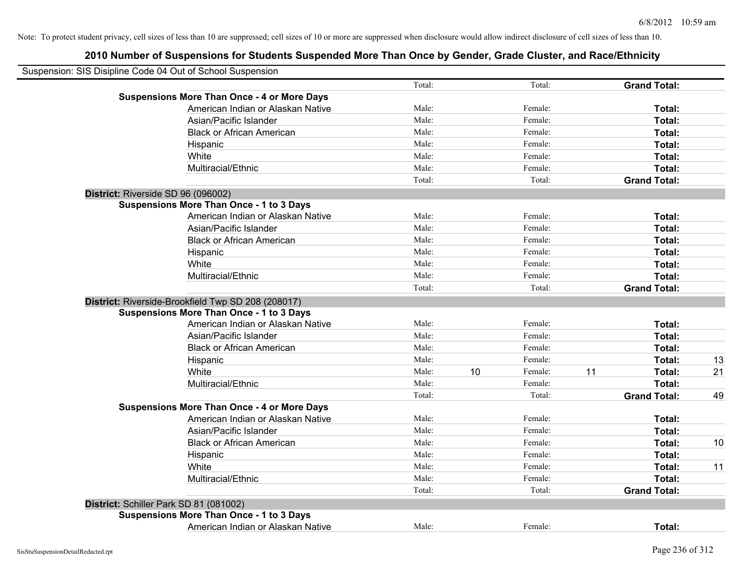| Suspension: SIS Disipline Code 04 Out of School Suspension |        |    |         |    |                     |    |
|------------------------------------------------------------|--------|----|---------|----|---------------------|----|
|                                                            | Total: |    | Total:  |    | <b>Grand Total:</b> |    |
| <b>Suspensions More Than Once - 4 or More Days</b>         |        |    |         |    |                     |    |
| American Indian or Alaskan Native                          | Male:  |    | Female: |    | Total:              |    |
| Asian/Pacific Islander                                     | Male:  |    | Female: |    | Total:              |    |
| <b>Black or African American</b>                           | Male:  |    | Female: |    | Total:              |    |
| Hispanic                                                   | Male:  |    | Female: |    | Total:              |    |
| White                                                      | Male:  |    | Female: |    | Total:              |    |
| Multiracial/Ethnic                                         | Male:  |    | Female: |    | Total:              |    |
|                                                            | Total: |    | Total:  |    | <b>Grand Total:</b> |    |
| District: Riverside SD 96 (096002)                         |        |    |         |    |                     |    |
| <b>Suspensions More Than Once - 1 to 3 Days</b>            |        |    |         |    |                     |    |
| American Indian or Alaskan Native                          | Male:  |    | Female: |    | Total:              |    |
| Asian/Pacific Islander                                     | Male:  |    | Female: |    | Total:              |    |
| <b>Black or African American</b>                           | Male:  |    | Female: |    | Total:              |    |
| Hispanic                                                   | Male:  |    | Female: |    | Total:              |    |
| White                                                      | Male:  |    | Female: |    | Total:              |    |
| Multiracial/Ethnic                                         | Male:  |    | Female: |    | Total:              |    |
|                                                            | Total: |    | Total:  |    | <b>Grand Total:</b> |    |
| District: Riverside-Brookfield Twp SD 208 (208017)         |        |    |         |    |                     |    |
| <b>Suspensions More Than Once - 1 to 3 Days</b>            |        |    |         |    |                     |    |
| American Indian or Alaskan Native                          | Male:  |    | Female: |    | Total:              |    |
| Asian/Pacific Islander                                     | Male:  |    | Female: |    | Total:              |    |
| <b>Black or African American</b>                           | Male:  |    | Female: |    | Total:              |    |
| Hispanic                                                   | Male:  |    | Female: |    | Total:              | 13 |
| White                                                      | Male:  | 10 | Female: | 11 | Total:              | 21 |
| Multiracial/Ethnic                                         | Male:  |    | Female: |    | Total:              |    |
|                                                            | Total: |    | Total:  |    | <b>Grand Total:</b> | 49 |
| <b>Suspensions More Than Once - 4 or More Days</b>         |        |    |         |    |                     |    |
| American Indian or Alaskan Native                          | Male:  |    | Female: |    | Total:              |    |
| Asian/Pacific Islander                                     | Male:  |    | Female: |    | Total:              |    |
| <b>Black or African American</b>                           | Male:  |    | Female: |    | Total:              | 10 |
| Hispanic                                                   | Male:  |    | Female: |    | Total:              |    |
| White                                                      | Male:  |    | Female: |    | Total:              | 11 |
| Multiracial/Ethnic                                         | Male:  |    | Female: |    | Total:              |    |
|                                                            | Total: |    | Total:  |    | <b>Grand Total:</b> |    |
| District: Schiller Park SD 81 (081002)                     |        |    |         |    |                     |    |
| <b>Suspensions More Than Once - 1 to 3 Days</b>            |        |    |         |    |                     |    |
| American Indian or Alaskan Native                          | Male:  |    | Female: |    | <b>Total:</b>       |    |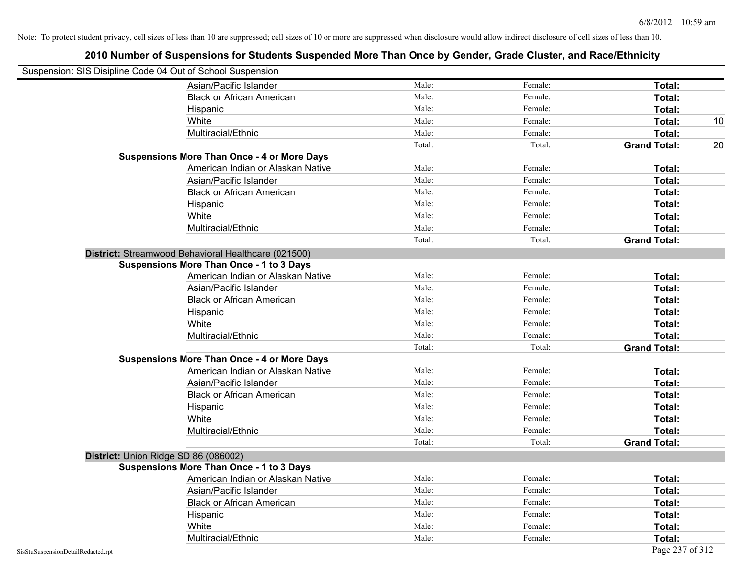| Suspension: SIS Disipline Code 04 Out of School Suspension |                                                     |        |         |                     |    |
|------------------------------------------------------------|-----------------------------------------------------|--------|---------|---------------------|----|
|                                                            | Asian/Pacific Islander                              | Male:  | Female: | Total:              |    |
|                                                            | <b>Black or African American</b>                    | Male:  | Female: | Total:              |    |
|                                                            | Hispanic                                            | Male:  | Female: | Total:              |    |
|                                                            | White                                               | Male:  | Female: | Total:              | 10 |
|                                                            | Multiracial/Ethnic                                  | Male:  | Female: | Total:              |    |
|                                                            |                                                     | Total: | Total:  | <b>Grand Total:</b> | 20 |
|                                                            | <b>Suspensions More Than Once - 4 or More Days</b>  |        |         |                     |    |
|                                                            | American Indian or Alaskan Native                   | Male:  | Female: | Total:              |    |
|                                                            | Asian/Pacific Islander                              | Male:  | Female: | Total:              |    |
|                                                            | <b>Black or African American</b>                    | Male:  | Female: | Total:              |    |
|                                                            | Hispanic                                            | Male:  | Female: | Total:              |    |
|                                                            | White                                               | Male:  | Female: | Total:              |    |
|                                                            | Multiracial/Ethnic                                  | Male:  | Female: | Total:              |    |
|                                                            |                                                     | Total: | Total:  | <b>Grand Total:</b> |    |
|                                                            | District: Streamwood Behavioral Healthcare (021500) |        |         |                     |    |
|                                                            | <b>Suspensions More Than Once - 1 to 3 Days</b>     |        |         |                     |    |
|                                                            | American Indian or Alaskan Native                   | Male:  | Female: | Total:              |    |
|                                                            | Asian/Pacific Islander                              | Male:  | Female: | Total:              |    |
|                                                            | <b>Black or African American</b>                    | Male:  | Female: | Total:              |    |
|                                                            | Hispanic                                            | Male:  | Female: | Total:              |    |
|                                                            | White                                               | Male:  | Female: | Total:              |    |
|                                                            | Multiracial/Ethnic                                  | Male:  | Female: | Total:              |    |
|                                                            |                                                     | Total: | Total:  | <b>Grand Total:</b> |    |
|                                                            | <b>Suspensions More Than Once - 4 or More Days</b>  |        |         |                     |    |
|                                                            | American Indian or Alaskan Native                   | Male:  | Female: | Total:              |    |
|                                                            | Asian/Pacific Islander                              | Male:  | Female: | Total:              |    |
|                                                            | <b>Black or African American</b>                    | Male:  | Female: | Total:              |    |
|                                                            | Hispanic                                            | Male:  | Female: | Total:              |    |
|                                                            | White                                               | Male:  | Female: | Total:              |    |
|                                                            | Multiracial/Ethnic                                  | Male:  | Female: | Total:              |    |
|                                                            |                                                     | Total: | Total:  | <b>Grand Total:</b> |    |
| District: Union Ridge SD 86 (086002)                       |                                                     |        |         |                     |    |
|                                                            | <b>Suspensions More Than Once - 1 to 3 Days</b>     |        |         |                     |    |
|                                                            | American Indian or Alaskan Native                   | Male:  | Female: | Total:              |    |
|                                                            | Asian/Pacific Islander                              | Male:  | Female: | Total:              |    |
|                                                            | <b>Black or African American</b>                    | Male:  | Female: | Total:              |    |
|                                                            | Hispanic                                            | Male:  | Female: | Total:              |    |
|                                                            | White                                               | Male:  | Female: | Total:              |    |
|                                                            | Multiracial/Ethnic                                  | Male:  | Female: | Total:              |    |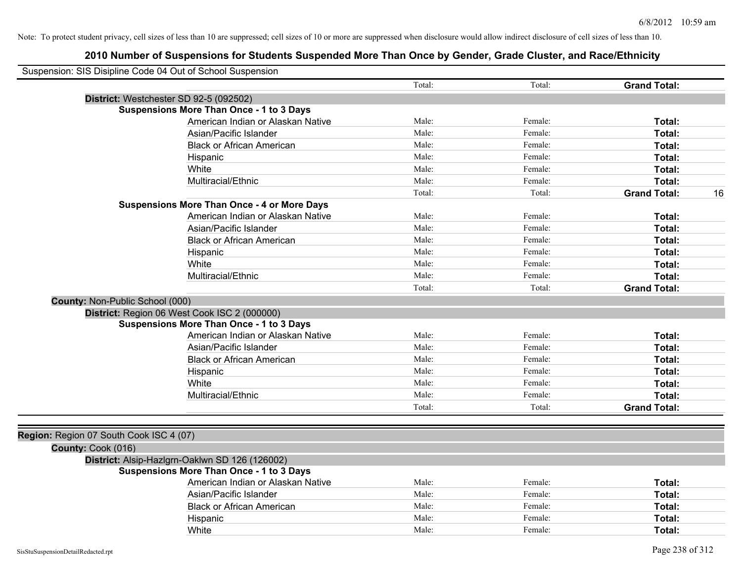| Suspension: SIS Disipline Code 04 Out of School Suspension |                                                    |        |         |                           |
|------------------------------------------------------------|----------------------------------------------------|--------|---------|---------------------------|
|                                                            |                                                    | Total: | Total:  | <b>Grand Total:</b>       |
|                                                            | District: Westchester SD 92-5 (092502)             |        |         |                           |
|                                                            | <b>Suspensions More Than Once - 1 to 3 Days</b>    |        |         |                           |
|                                                            | American Indian or Alaskan Native                  | Male:  | Female: | Total:                    |
|                                                            | Asian/Pacific Islander                             | Male:  | Female: | Total:                    |
|                                                            | <b>Black or African American</b>                   | Male:  | Female: | Total:                    |
|                                                            | Hispanic                                           | Male:  | Female: | Total:                    |
|                                                            | White                                              | Male:  | Female: | Total:                    |
|                                                            | Multiracial/Ethnic                                 | Male:  | Female: | Total:                    |
|                                                            |                                                    | Total: | Total:  | <b>Grand Total:</b><br>16 |
|                                                            | <b>Suspensions More Than Once - 4 or More Days</b> |        |         |                           |
|                                                            | American Indian or Alaskan Native                  | Male:  | Female: | Total:                    |
|                                                            | Asian/Pacific Islander                             | Male:  | Female: | Total:                    |
|                                                            | <b>Black or African American</b>                   | Male:  | Female: | Total:                    |
|                                                            | Hispanic                                           | Male:  | Female: | Total:                    |
|                                                            | White                                              | Male:  | Female: | Total:                    |
|                                                            | Multiracial/Ethnic                                 | Male:  | Female: | Total:                    |
|                                                            |                                                    | Total: | Total:  | <b>Grand Total:</b>       |
| County: Non-Public School (000)                            |                                                    |        |         |                           |
|                                                            | District: Region 06 West Cook ISC 2 (000000)       |        |         |                           |
|                                                            | <b>Suspensions More Than Once - 1 to 3 Days</b>    |        |         |                           |
|                                                            | American Indian or Alaskan Native                  | Male:  | Female: | Total:                    |
|                                                            | Asian/Pacific Islander                             | Male:  | Female: | Total:                    |
|                                                            | <b>Black or African American</b>                   | Male:  | Female: | Total:                    |
|                                                            | Hispanic                                           | Male:  | Female: | Total:                    |
|                                                            | White                                              | Male:  | Female: | Total:                    |
|                                                            | Multiracial/Ethnic                                 | Male:  | Female: | Total:                    |
|                                                            |                                                    | Total: | Total:  | <b>Grand Total:</b>       |
|                                                            |                                                    |        |         |                           |
| Region: Region 07 South Cook ISC 4 (07)                    |                                                    |        |         |                           |
| County: Cook (016)                                         |                                                    |        |         |                           |
|                                                            | District: Alsip-Hazlgrn-Oaklwn SD 126 (126002)     |        |         |                           |
|                                                            | <b>Suspensions More Than Once - 1 to 3 Days</b>    |        |         |                           |
|                                                            | American Indian or Alaskan Native                  | Male:  | Female: | Total:                    |
|                                                            | Asian/Pacific Islander                             | Male:  | Female: | Total:                    |
|                                                            | <b>Black or African American</b>                   | Male:  | Female: | Total:                    |
|                                                            | Hispanic                                           | Male:  | Female: | Total:                    |
|                                                            | White                                              | Male:  | Female: | Total:                    |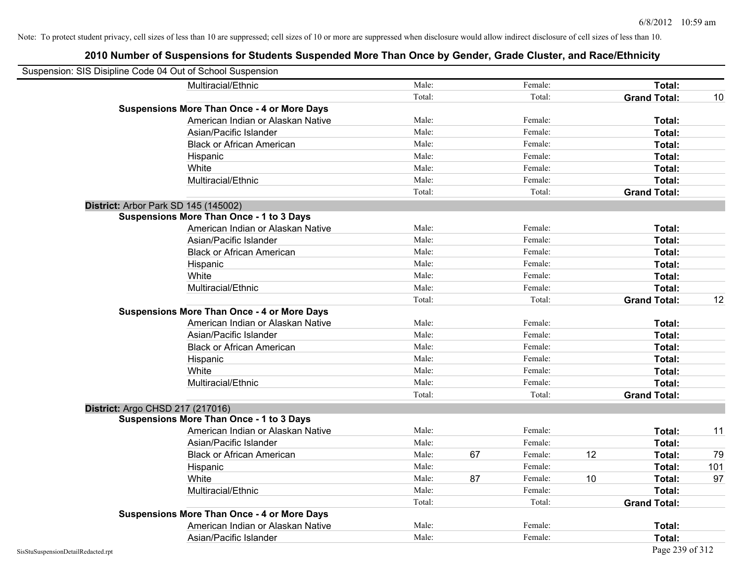| Suspension: SIS Disipline Code 04 Out of School Suspension |                                                    |        |    |         |    |                     |     |
|------------------------------------------------------------|----------------------------------------------------|--------|----|---------|----|---------------------|-----|
|                                                            | Multiracial/Ethnic                                 | Male:  |    | Female: |    | Total:              |     |
|                                                            |                                                    | Total: |    | Total:  |    | <b>Grand Total:</b> | 10  |
|                                                            | <b>Suspensions More Than Once - 4 or More Days</b> |        |    |         |    |                     |     |
|                                                            | American Indian or Alaskan Native                  | Male:  |    | Female: |    | Total:              |     |
|                                                            | Asian/Pacific Islander                             | Male:  |    | Female: |    | Total:              |     |
|                                                            | <b>Black or African American</b>                   | Male:  |    | Female: |    | Total:              |     |
|                                                            | Hispanic                                           | Male:  |    | Female: |    | Total:              |     |
|                                                            | White                                              | Male:  |    | Female: |    | Total:              |     |
|                                                            | Multiracial/Ethnic                                 | Male:  |    | Female: |    | Total:              |     |
|                                                            |                                                    | Total: |    | Total:  |    | <b>Grand Total:</b> |     |
| District: Arbor Park SD 145 (145002)                       |                                                    |        |    |         |    |                     |     |
|                                                            | <b>Suspensions More Than Once - 1 to 3 Days</b>    |        |    |         |    |                     |     |
|                                                            | American Indian or Alaskan Native                  | Male:  |    | Female: |    | Total:              |     |
|                                                            | Asian/Pacific Islander                             | Male:  |    | Female: |    | Total:              |     |
|                                                            | <b>Black or African American</b>                   | Male:  |    | Female: |    | Total:              |     |
|                                                            | Hispanic                                           | Male:  |    | Female: |    | Total:              |     |
|                                                            | White                                              | Male:  |    | Female: |    | Total:              |     |
|                                                            | Multiracial/Ethnic                                 | Male:  |    | Female: |    | Total:              |     |
|                                                            |                                                    | Total: |    | Total:  |    | <b>Grand Total:</b> | 12  |
|                                                            | <b>Suspensions More Than Once - 4 or More Days</b> |        |    |         |    |                     |     |
|                                                            | American Indian or Alaskan Native                  | Male:  |    | Female: |    | Total:              |     |
|                                                            | Asian/Pacific Islander                             | Male:  |    | Female: |    | Total:              |     |
|                                                            | <b>Black or African American</b>                   | Male:  |    | Female: |    | Total:              |     |
|                                                            | Hispanic                                           | Male:  |    | Female: |    | Total:              |     |
|                                                            | White                                              | Male:  |    | Female: |    | Total:              |     |
|                                                            | Multiracial/Ethnic                                 | Male:  |    | Female: |    | Total:              |     |
|                                                            |                                                    | Total: |    | Total:  |    | <b>Grand Total:</b> |     |
| District: Argo CHSD 217 (217016)                           |                                                    |        |    |         |    |                     |     |
|                                                            | <b>Suspensions More Than Once - 1 to 3 Days</b>    |        |    |         |    |                     |     |
|                                                            | American Indian or Alaskan Native                  | Male:  |    | Female: |    | Total:              | 11  |
|                                                            | Asian/Pacific Islander                             | Male:  |    | Female: |    | Total:              |     |
|                                                            | <b>Black or African American</b>                   | Male:  | 67 | Female: | 12 | Total:              | 79  |
|                                                            | Hispanic                                           | Male:  |    | Female: |    | Total:              | 101 |
|                                                            | White                                              | Male:  | 87 | Female: | 10 | Total:              | 97  |
|                                                            | Multiracial/Ethnic                                 | Male:  |    | Female: |    | Total:              |     |
|                                                            |                                                    | Total: |    | Total:  |    | <b>Grand Total:</b> |     |
|                                                            | <b>Suspensions More Than Once - 4 or More Days</b> |        |    |         |    |                     |     |
|                                                            | American Indian or Alaskan Native                  | Male:  |    | Female: |    | <b>Total:</b>       |     |
|                                                            | Asian/Pacific Islander                             | Male:  |    | Female: |    | Total:              |     |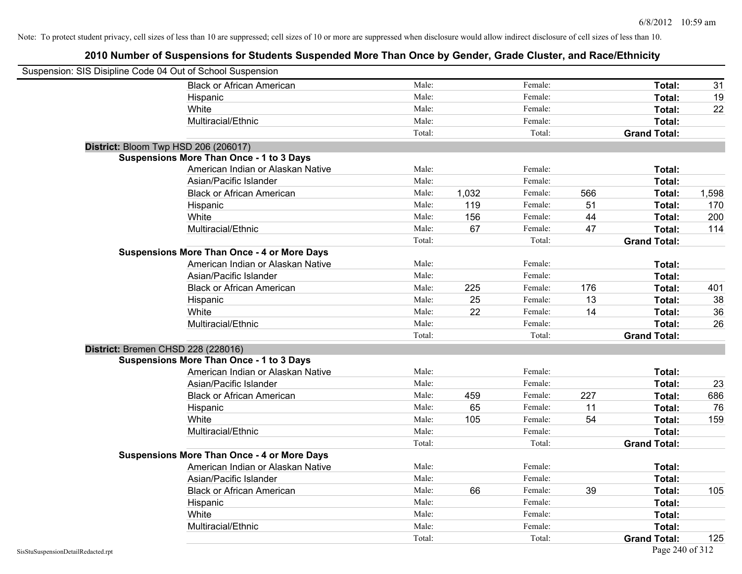| Suspension: SIS Disipline Code 04 Out of School Suspension |                                                    |        |       |         |     |                     |       |
|------------------------------------------------------------|----------------------------------------------------|--------|-------|---------|-----|---------------------|-------|
|                                                            | <b>Black or African American</b>                   | Male:  |       | Female: |     | Total:              | 31    |
|                                                            | Hispanic                                           | Male:  |       | Female: |     | Total:              | 19    |
|                                                            | White                                              | Male:  |       | Female: |     | Total:              | 22    |
|                                                            | Multiracial/Ethnic                                 | Male:  |       | Female: |     | Total:              |       |
|                                                            |                                                    | Total: |       | Total:  |     | <b>Grand Total:</b> |       |
| District: Bloom Twp HSD 206 (206017)                       |                                                    |        |       |         |     |                     |       |
|                                                            | <b>Suspensions More Than Once - 1 to 3 Days</b>    |        |       |         |     |                     |       |
|                                                            | American Indian or Alaskan Native                  | Male:  |       | Female: |     | Total:              |       |
|                                                            | Asian/Pacific Islander                             | Male:  |       | Female: |     | Total:              |       |
|                                                            | <b>Black or African American</b>                   | Male:  | 1,032 | Female: | 566 | Total:              | 1,598 |
|                                                            | Hispanic                                           | Male:  | 119   | Female: | 51  | Total:              | 170   |
|                                                            | White                                              | Male:  | 156   | Female: | 44  | Total:              | 200   |
|                                                            | Multiracial/Ethnic                                 | Male:  | 67    | Female: | 47  | Total:              | 114   |
|                                                            |                                                    | Total: |       | Total:  |     | <b>Grand Total:</b> |       |
|                                                            | <b>Suspensions More Than Once - 4 or More Days</b> |        |       |         |     |                     |       |
|                                                            | American Indian or Alaskan Native                  | Male:  |       | Female: |     | Total:              |       |
|                                                            | Asian/Pacific Islander                             | Male:  |       | Female: |     | Total:              |       |
|                                                            | <b>Black or African American</b>                   | Male:  | 225   | Female: | 176 | Total:              | 401   |
|                                                            | Hispanic                                           | Male:  | 25    | Female: | 13  | Total:              | 38    |
|                                                            | White                                              | Male:  | 22    | Female: | 14  | Total:              | 36    |
|                                                            | Multiracial/Ethnic                                 | Male:  |       | Female: |     | Total:              | 26    |
|                                                            |                                                    | Total: |       | Total:  |     | <b>Grand Total:</b> |       |
| District: Bremen CHSD 228 (228016)                         |                                                    |        |       |         |     |                     |       |
|                                                            | <b>Suspensions More Than Once - 1 to 3 Days</b>    |        |       |         |     |                     |       |
|                                                            | American Indian or Alaskan Native                  | Male:  |       | Female: |     | Total:              |       |
|                                                            | Asian/Pacific Islander                             | Male:  |       | Female: |     | Total:              | 23    |
|                                                            | <b>Black or African American</b>                   | Male:  | 459   | Female: | 227 | Total:              | 686   |
|                                                            | Hispanic                                           | Male:  | 65    | Female: | 11  | Total:              | 76    |
|                                                            | White                                              | Male:  | 105   | Female: | 54  | Total:              | 159   |
|                                                            | Multiracial/Ethnic                                 | Male:  |       | Female: |     | Total:              |       |
|                                                            |                                                    | Total: |       | Total:  |     | <b>Grand Total:</b> |       |
|                                                            | <b>Suspensions More Than Once - 4 or More Days</b> |        |       |         |     |                     |       |
|                                                            | American Indian or Alaskan Native                  | Male:  |       | Female: |     | Total:              |       |
|                                                            | Asian/Pacific Islander                             | Male:  |       | Female: |     | Total:              |       |
|                                                            | <b>Black or African American</b>                   | Male:  | 66    | Female: | 39  | Total:              | 105   |
|                                                            | Hispanic                                           | Male:  |       | Female: |     | Total:              |       |
|                                                            | White                                              | Male:  |       | Female: |     | Total:              |       |
|                                                            | Multiracial/Ethnic                                 | Male:  |       | Female: |     | Total:              |       |
|                                                            |                                                    | Total: |       | Total:  |     | <b>Grand Total:</b> | 125   |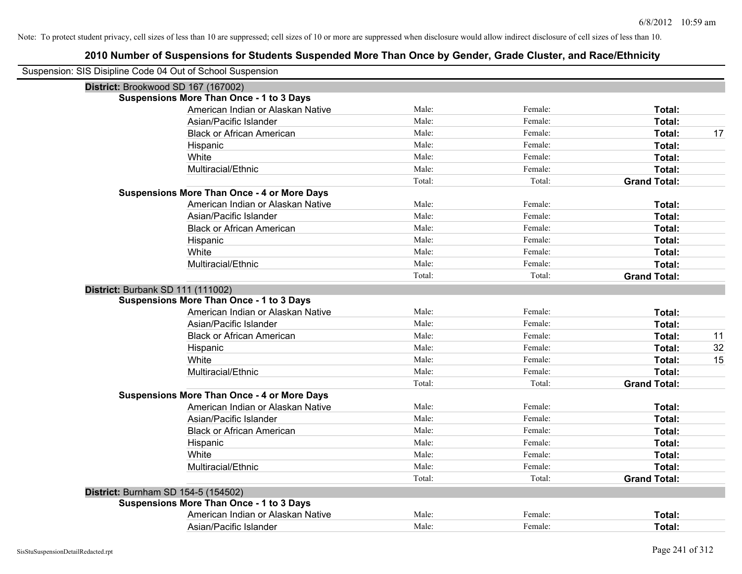| Suspension: SIS Disipline Code 04 Out of School Suspension |        |         |                     |    |
|------------------------------------------------------------|--------|---------|---------------------|----|
| District: Brookwood SD 167 (167002)                        |        |         |                     |    |
| <b>Suspensions More Than Once - 1 to 3 Days</b>            |        |         |                     |    |
| American Indian or Alaskan Native                          | Male:  | Female: | Total:              |    |
| Asian/Pacific Islander                                     | Male:  | Female: | Total:              |    |
| <b>Black or African American</b>                           | Male:  | Female: | Total:              | 17 |
| Hispanic                                                   | Male:  | Female: | Total:              |    |
| White                                                      | Male:  | Female: | Total:              |    |
| Multiracial/Ethnic                                         | Male:  | Female: | Total:              |    |
|                                                            | Total: | Total:  | <b>Grand Total:</b> |    |
| <b>Suspensions More Than Once - 4 or More Days</b>         |        |         |                     |    |
| American Indian or Alaskan Native                          | Male:  | Female: | Total:              |    |
| Asian/Pacific Islander                                     | Male:  | Female: | Total:              |    |
| <b>Black or African American</b>                           | Male:  | Female: | Total:              |    |
| Hispanic                                                   | Male:  | Female: | Total:              |    |
| White                                                      | Male:  | Female: | Total:              |    |
| Multiracial/Ethnic                                         | Male:  | Female: | Total:              |    |
|                                                            | Total: | Total:  | <b>Grand Total:</b> |    |
| District: Burbank SD 111 (111002)                          |        |         |                     |    |
| <b>Suspensions More Than Once - 1 to 3 Days</b>            |        |         |                     |    |
| American Indian or Alaskan Native                          | Male:  | Female: | Total:              |    |
| Asian/Pacific Islander                                     | Male:  | Female: | Total:              |    |
| <b>Black or African American</b>                           | Male:  | Female: | Total:              | 11 |
| Hispanic                                                   | Male:  | Female: | Total:              | 32 |
| White                                                      | Male:  | Female: | Total:              | 15 |
| Multiracial/Ethnic                                         | Male:  | Female: | Total:              |    |
|                                                            | Total: | Total:  | <b>Grand Total:</b> |    |
| <b>Suspensions More Than Once - 4 or More Days</b>         |        |         |                     |    |
| American Indian or Alaskan Native                          | Male:  | Female: | Total:              |    |
| Asian/Pacific Islander                                     | Male:  | Female: | Total:              |    |
| <b>Black or African American</b>                           | Male:  | Female: | Total:              |    |
| Hispanic                                                   | Male:  | Female: | Total:              |    |
| White                                                      | Male:  | Female: | Total:              |    |
| Multiracial/Ethnic                                         | Male:  | Female: | Total:              |    |
|                                                            | Total: | Total:  | <b>Grand Total:</b> |    |
| District: Burnham SD 154-5 (154502)                        |        |         |                     |    |
| Suspensions More Than Once - 1 to 3 Days                   |        |         |                     |    |
| American Indian or Alaskan Native                          | Male:  | Female: | Total:              |    |
| Asian/Pacific Islander                                     | Male:  | Female: | Total:              |    |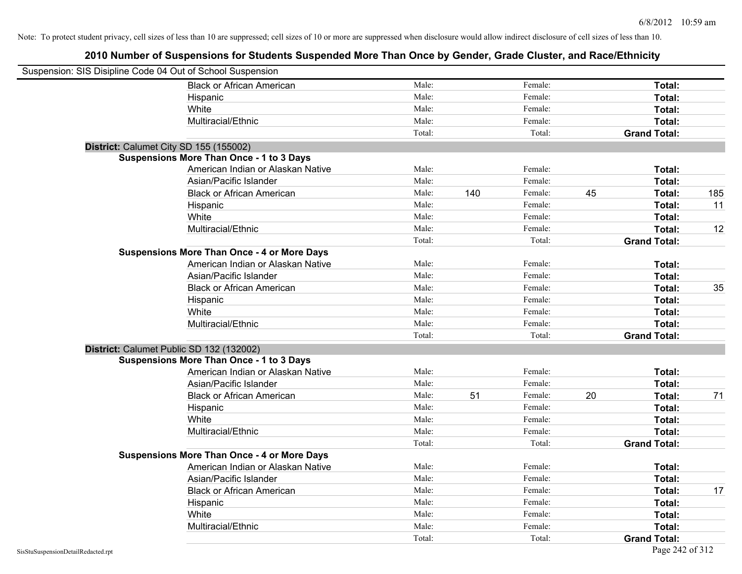| Suspension: SIS Disipline Code 04 Out of School Suspension |                                                    |        |     |         |    |                     |     |
|------------------------------------------------------------|----------------------------------------------------|--------|-----|---------|----|---------------------|-----|
|                                                            | <b>Black or African American</b>                   | Male:  |     | Female: |    | Total:              |     |
|                                                            | Hispanic                                           | Male:  |     | Female: |    | Total:              |     |
|                                                            | White                                              | Male:  |     | Female: |    | Total:              |     |
|                                                            | Multiracial/Ethnic                                 | Male:  |     | Female: |    | Total:              |     |
|                                                            |                                                    | Total: |     | Total:  |    | <b>Grand Total:</b> |     |
| District: Calumet City SD 155 (155002)                     |                                                    |        |     |         |    |                     |     |
|                                                            | <b>Suspensions More Than Once - 1 to 3 Days</b>    |        |     |         |    |                     |     |
|                                                            | American Indian or Alaskan Native                  | Male:  |     | Female: |    | Total:              |     |
|                                                            | Asian/Pacific Islander                             | Male:  |     | Female: |    | Total:              |     |
|                                                            | <b>Black or African American</b>                   | Male:  | 140 | Female: | 45 | Total:              | 185 |
|                                                            | Hispanic                                           | Male:  |     | Female: |    | Total:              | 11  |
|                                                            | White                                              | Male:  |     | Female: |    | Total:              |     |
|                                                            | Multiracial/Ethnic                                 | Male:  |     | Female: |    | Total:              | 12  |
|                                                            |                                                    | Total: |     | Total:  |    | <b>Grand Total:</b> |     |
|                                                            | <b>Suspensions More Than Once - 4 or More Days</b> |        |     |         |    |                     |     |
|                                                            | American Indian or Alaskan Native                  | Male:  |     | Female: |    | Total:              |     |
|                                                            | Asian/Pacific Islander                             | Male:  |     | Female: |    | Total:              |     |
|                                                            | <b>Black or African American</b>                   | Male:  |     | Female: |    | Total:              | 35  |
|                                                            | Hispanic                                           | Male:  |     | Female: |    | Total:              |     |
|                                                            | White                                              | Male:  |     | Female: |    | Total:              |     |
|                                                            | Multiracial/Ethnic                                 | Male:  |     | Female: |    | Total:              |     |
|                                                            |                                                    | Total: |     | Total:  |    | <b>Grand Total:</b> |     |
|                                                            | District: Calumet Public SD 132 (132002)           |        |     |         |    |                     |     |
|                                                            | <b>Suspensions More Than Once - 1 to 3 Days</b>    |        |     |         |    |                     |     |
|                                                            | American Indian or Alaskan Native                  | Male:  |     | Female: |    | Total:              |     |
|                                                            | Asian/Pacific Islander                             | Male:  |     | Female: |    | Total:              |     |
|                                                            | <b>Black or African American</b>                   | Male:  | 51  | Female: | 20 | Total:              | 71  |
|                                                            | Hispanic                                           | Male:  |     | Female: |    | Total:              |     |
|                                                            | White                                              | Male:  |     | Female: |    | Total:              |     |
|                                                            | Multiracial/Ethnic                                 | Male:  |     | Female: |    | Total:              |     |
|                                                            |                                                    | Total: |     | Total:  |    | <b>Grand Total:</b> |     |
|                                                            | <b>Suspensions More Than Once - 4 or More Days</b> |        |     |         |    |                     |     |
|                                                            | American Indian or Alaskan Native                  | Male:  |     | Female: |    | Total:              |     |
|                                                            | Asian/Pacific Islander                             | Male:  |     | Female: |    | Total:              |     |
|                                                            | <b>Black or African American</b>                   | Male:  |     | Female: |    | Total:              | 17  |
|                                                            | Hispanic                                           | Male:  |     | Female: |    | Total:              |     |
|                                                            | White                                              | Male:  |     | Female: |    | Total:              |     |
|                                                            | Multiracial/Ethnic                                 | Male:  |     | Female: |    | Total:              |     |
|                                                            |                                                    | Total: |     | Total:  |    | <b>Grand Total:</b> |     |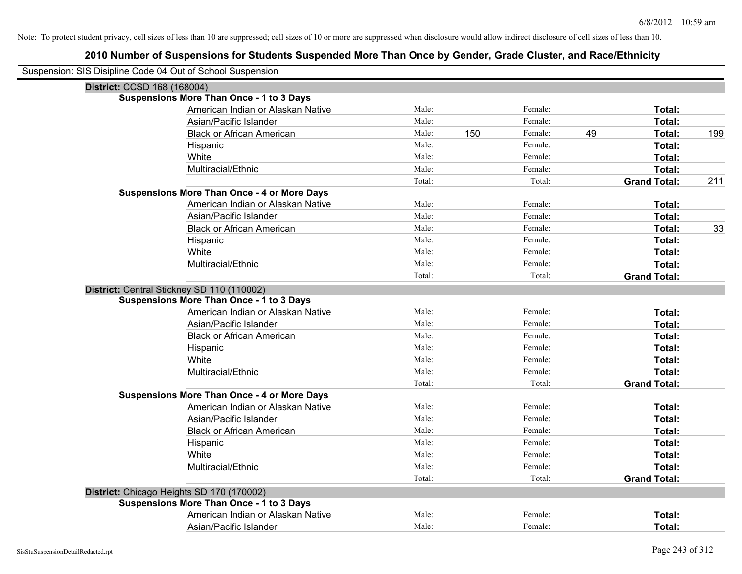| Suspension: SIS Disipline Code 04 Out of School Suspension |        |     |         |    |                     |     |
|------------------------------------------------------------|--------|-----|---------|----|---------------------|-----|
| District: CCSD 168 (168004)                                |        |     |         |    |                     |     |
| <b>Suspensions More Than Once - 1 to 3 Days</b>            |        |     |         |    |                     |     |
| American Indian or Alaskan Native                          | Male:  |     | Female: |    | Total:              |     |
| Asian/Pacific Islander                                     | Male:  |     | Female: |    | Total:              |     |
| <b>Black or African American</b>                           | Male:  | 150 | Female: | 49 | Total:              | 199 |
| Hispanic                                                   | Male:  |     | Female: |    | Total:              |     |
| White                                                      | Male:  |     | Female: |    | Total:              |     |
| Multiracial/Ethnic                                         | Male:  |     | Female: |    | Total:              |     |
|                                                            | Total: |     | Total:  |    | <b>Grand Total:</b> | 211 |
| <b>Suspensions More Than Once - 4 or More Days</b>         |        |     |         |    |                     |     |
| American Indian or Alaskan Native                          | Male:  |     | Female: |    | Total:              |     |
| Asian/Pacific Islander                                     | Male:  |     | Female: |    | Total:              |     |
| <b>Black or African American</b>                           | Male:  |     | Female: |    | Total:              | 33  |
| Hispanic                                                   | Male:  |     | Female: |    | Total:              |     |
| White                                                      | Male:  |     | Female: |    | Total:              |     |
| Multiracial/Ethnic                                         | Male:  |     | Female: |    | Total:              |     |
|                                                            | Total: |     | Total:  |    | <b>Grand Total:</b> |     |
| District: Central Stickney SD 110 (110002)                 |        |     |         |    |                     |     |
| <b>Suspensions More Than Once - 1 to 3 Days</b>            |        |     |         |    |                     |     |
| American Indian or Alaskan Native                          | Male:  |     | Female: |    | Total:              |     |
| Asian/Pacific Islander                                     | Male:  |     | Female: |    | Total:              |     |
| <b>Black or African American</b>                           | Male:  |     | Female: |    | Total:              |     |
| Hispanic                                                   | Male:  |     | Female: |    | Total:              |     |
| White                                                      | Male:  |     | Female: |    | Total:              |     |
| Multiracial/Ethnic                                         | Male:  |     | Female: |    | Total:              |     |
|                                                            | Total: |     | Total:  |    | <b>Grand Total:</b> |     |
| <b>Suspensions More Than Once - 4 or More Days</b>         |        |     |         |    |                     |     |
| American Indian or Alaskan Native                          | Male:  |     | Female: |    | Total:              |     |
| Asian/Pacific Islander                                     | Male:  |     | Female: |    | Total:              |     |
| <b>Black or African American</b>                           | Male:  |     | Female: |    | Total:              |     |
| Hispanic                                                   | Male:  |     | Female: |    | Total:              |     |
| White                                                      | Male:  |     | Female: |    | Total:              |     |
| Multiracial/Ethnic                                         | Male:  |     | Female: |    | Total:              |     |
|                                                            | Total: |     | Total:  |    | <b>Grand Total:</b> |     |
| District: Chicago Heights SD 170 (170002)                  |        |     |         |    |                     |     |
| <b>Suspensions More Than Once - 1 to 3 Days</b>            |        |     |         |    |                     |     |
| American Indian or Alaskan Native                          | Male:  |     | Female: |    | Total:              |     |
| Asian/Pacific Islander                                     | Male:  |     | Female: |    | Total:              |     |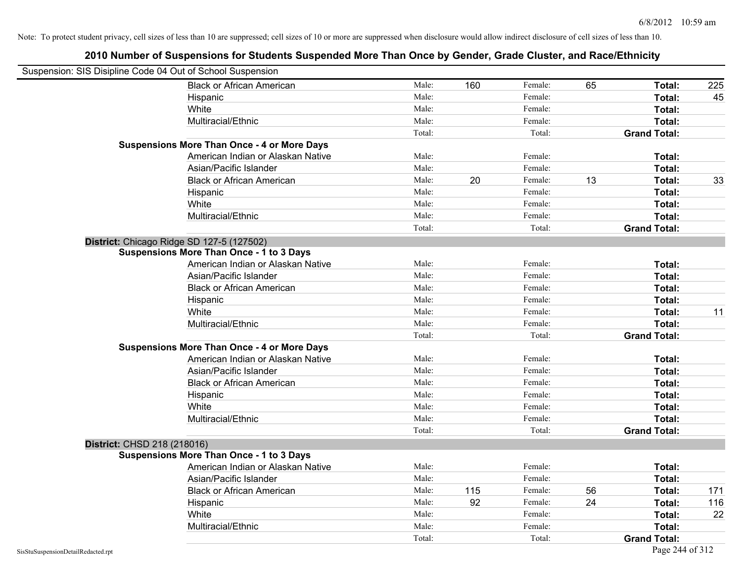|                                    | Suspension: SIS Disipline Code 04 Out of School Suspension |        |     |         |    |                     |     |
|------------------------------------|------------------------------------------------------------|--------|-----|---------|----|---------------------|-----|
|                                    | <b>Black or African American</b>                           | Male:  | 160 | Female: | 65 | Total:              | 225 |
|                                    | Hispanic                                                   | Male:  |     | Female: |    | Total:              | 45  |
|                                    | White                                                      | Male:  |     | Female: |    | Total:              |     |
|                                    | Multiracial/Ethnic                                         | Male:  |     | Female: |    | Total:              |     |
|                                    |                                                            | Total: |     | Total:  |    | <b>Grand Total:</b> |     |
|                                    | <b>Suspensions More Than Once - 4 or More Days</b>         |        |     |         |    |                     |     |
|                                    | American Indian or Alaskan Native                          | Male:  |     | Female: |    | Total:              |     |
|                                    | Asian/Pacific Islander                                     | Male:  |     | Female: |    | Total:              |     |
|                                    | <b>Black or African American</b>                           | Male:  | 20  | Female: | 13 | Total:              | 33  |
|                                    | Hispanic                                                   | Male:  |     | Female: |    | Total:              |     |
|                                    | White                                                      | Male:  |     | Female: |    | Total:              |     |
|                                    | Multiracial/Ethnic                                         | Male:  |     | Female: |    | Total:              |     |
|                                    |                                                            | Total: |     | Total:  |    | <b>Grand Total:</b> |     |
|                                    | District: Chicago Ridge SD 127-5 (127502)                  |        |     |         |    |                     |     |
|                                    | Suspensions More Than Once - 1 to 3 Days                   |        |     |         |    |                     |     |
|                                    | American Indian or Alaskan Native                          | Male:  |     | Female: |    | Total:              |     |
|                                    | Asian/Pacific Islander                                     | Male:  |     | Female: |    | Total:              |     |
|                                    | <b>Black or African American</b>                           | Male:  |     | Female: |    | Total:              |     |
|                                    | Hispanic                                                   | Male:  |     | Female: |    | Total:              |     |
|                                    | White                                                      | Male:  |     | Female: |    | Total:              | 11  |
|                                    | Multiracial/Ethnic                                         | Male:  |     | Female: |    | Total:              |     |
|                                    |                                                            | Total: |     | Total:  |    | <b>Grand Total:</b> |     |
|                                    | <b>Suspensions More Than Once - 4 or More Days</b>         |        |     |         |    |                     |     |
|                                    | American Indian or Alaskan Native                          | Male:  |     | Female: |    | Total:              |     |
|                                    | Asian/Pacific Islander                                     | Male:  |     | Female: |    | Total:              |     |
|                                    | <b>Black or African American</b>                           | Male:  |     | Female: |    | Total:              |     |
|                                    | Hispanic                                                   | Male:  |     | Female: |    | Total:              |     |
|                                    | White                                                      | Male:  |     | Female: |    | Total:              |     |
|                                    | Multiracial/Ethnic                                         | Male:  |     | Female: |    | Total:              |     |
|                                    |                                                            | Total: |     | Total:  |    | <b>Grand Total:</b> |     |
|                                    | District: CHSD 218 (218016)                                |        |     |         |    |                     |     |
|                                    | <b>Suspensions More Than Once - 1 to 3 Days</b>            |        |     |         |    |                     |     |
|                                    | American Indian or Alaskan Native                          | Male:  |     | Female: |    | Total:              |     |
|                                    | Asian/Pacific Islander                                     | Male:  |     | Female: |    | Total:              |     |
|                                    | <b>Black or African American</b>                           | Male:  | 115 | Female: | 56 | Total:              | 171 |
|                                    | Hispanic                                                   | Male:  | 92  | Female: | 24 | Total:              | 116 |
|                                    | White                                                      | Male:  |     | Female: |    | Total:              | 22  |
|                                    | Multiracial/Ethnic                                         | Male:  |     | Female: |    | Total:              |     |
|                                    |                                                            | Total: |     | Total:  |    | <b>Grand Total:</b> |     |
| SisStuSuspensionDetailRedacted.rpt |                                                            |        |     |         |    | Page 244 of 312     |     |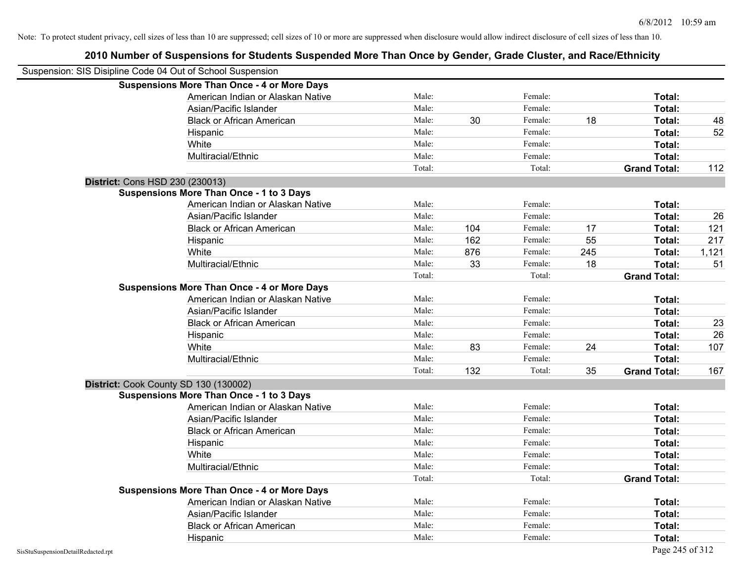### **2010 Number of Suspensions for Students Suspended More Than Once by Gender, Grade Cluster, and Race/Ethnicity** Suspension: SIS Disipline Code 04 Out of School Suspension **Suspensions More Than Once - 4 or More Days** American Indian or Alaskan Native **Male:** Male: Female: Female: **Total:** Total: Asian/Pacific Islander **Figure 1.1 Contained Asian** Male: Female: Female: **Total:** Total: Black or African American **Male:** 130 Female: 18 Total: 48 Hispanic Male: Female: **Total:** 52 White **Total:** Male: Female: **Total:** Female: **Total:** Total: Multiracial/Ethnic **Total:** Male: **Male:** Female: **Total: Total:** Female: **Total:** Female: **Total:** Total: Total: Total: **Grand Total:** 112 **District:** Cons HSD 230 (230013) **Suspensions More Than Once - 1 to 3 Days** American Indian or Alaskan Native **Male:** Male: Female: Female: **Total:** Total: Asian/Pacific Islander **Male:** Male: Female: Female: **Total:** 26 Black or African American Male: 104 Female: 17 **Total:** 121 Hispanic Male: 162 Female: 55 **Total:** 217 White Male: 876 Female: 245 **Total:** 1,121 Multiracial/Ethnic Male: 33 Female: 18 **Total:** 51 Total: Total: **Grand Total: Suspensions More Than Once - 4 or More Days** American Indian or Alaskan Native **Male:** Male: Female: Female: **Total:** Total: Asian/Pacific Islander **Figure 1.1 Contained Asian** Male: Female: **Female: Total: Total: Total: Total: Total: Total: Total: Total: Total: Total: Total: Total: Total: Total: Total: Total: T** Black or African American **Male:** Male: Female: Female: **Total:** 23 Hispanic Male: Female: **Total:** 26 White Male: 83 Female: 24 **Total:** 107 Multiracial/Ethnic **Total:** Male: Male: Female: **Total:** Total: Female: **Total:** Total: Total: 132 Total: 35 **Grand Total:** 167 **District:** Cook County SD 130 (130002) **Suspensions More Than Once - 1 to 3 Days** American Indian or Alaskan Native **Male:** Male: Female: Female: **Total:** Total: Asian/Pacific Islander **Figure 1.1 Contained Asian** Male: Female: **Female: Total: Total: Total: Total: Total: Total: Total: Total: Total: Total: Total: Total: Total: Total: Total: Total: T** Black or African American **Male:** Male: Female: Female: **Total:** Total: Hispanic **Total:** Male: Female: **Total:** Female: **Total:** Total: **Total:** Female: **Total:** Total: **Total:** Total: **Total:** Total: **Total:** Total: **Total:** Total: **Total:** Total: **Total:** Total: **Total:** Total: **Total:** Tot White **Total:** Male: Female: **Total:** Female: **Total:** Total: Multiracial/Ethnic **Total:** Male: Female: **Female: Total:** Total: **Total:** Female: **Total:** Total: **Female:** Total: **Total:** Total: **Total:** Total: **Total:** Total: **Total:** Total: **Total:** Total: **Total:** Total: **Total:** Total: Total: **Grand Total: Suspensions More Than Once - 4 or More Days** American Indian or Alaskan Native **Male:** Male: Female: Female: **Total:** Total: Asian/Pacific Islander **Figure 1.1 Contact Contact Contact Contact Contact Contact Contact Contact Contact Conta** Black or African American **Male:** Male: Female: Female: **Total:** Total: Hispanic **Total:** Male: Female: **Total:** Female: **Total:** Total: **Total:** Female: **Total:** Total: **Total:** Total: **Total:** Total: **Total:** Total: **Total:** Total: **Total:** Total: **Total:** Total: **Total:** Total: **Total:** Tot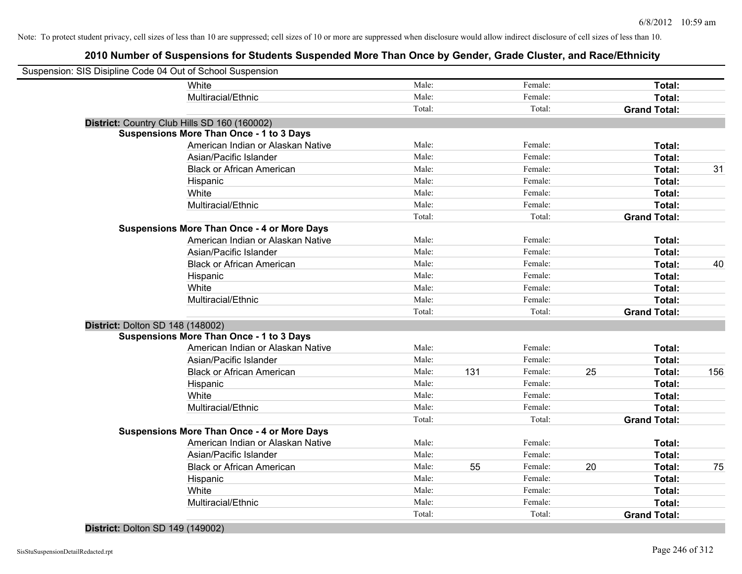### **2010 Number of Suspensions for Students Suspended More Than Once by Gender, Grade Cluster, and Race/Ethnicity**

| Suspension: SIS Disipline Code 04 Out of School Suspension |                                                    |        |     |               |                     |               |
|------------------------------------------------------------|----------------------------------------------------|--------|-----|---------------|---------------------|---------------|
|                                                            | White                                              | Male:  |     | Female:       |                     | Total:        |
|                                                            | Multiracial/Ethnic                                 | Male:  |     | Female:       |                     | Total:        |
|                                                            |                                                    | Total: |     | Total:        | <b>Grand Total:</b> |               |
|                                                            | District: Country Club Hills SD 160 (160002)       |        |     |               |                     |               |
|                                                            | <b>Suspensions More Than Once - 1 to 3 Days</b>    |        |     |               |                     |               |
|                                                            | American Indian or Alaskan Native                  | Male:  |     | Female:       |                     | Total:        |
|                                                            | Asian/Pacific Islander                             | Male:  |     | Female:       |                     | Total:        |
|                                                            | <b>Black or African American</b>                   | Male:  |     | Female:       |                     | Total:<br>31  |
|                                                            | Hispanic                                           | Male:  |     | Female:       |                     | Total:        |
|                                                            | White                                              | Male:  |     | Female:       |                     | Total:        |
|                                                            | Multiracial/Ethnic                                 | Male:  |     | Female:       |                     | Total:        |
|                                                            |                                                    | Total: |     | Total:        | <b>Grand Total:</b> |               |
|                                                            | <b>Suspensions More Than Once - 4 or More Days</b> |        |     |               |                     |               |
|                                                            | American Indian or Alaskan Native                  | Male:  |     | Female:       |                     | Total:        |
|                                                            | Asian/Pacific Islander                             | Male:  |     | Female:       |                     | Total:        |
|                                                            | <b>Black or African American</b>                   | Male:  |     | Female:       |                     | 40<br>Total:  |
|                                                            | Hispanic                                           | Male:  |     | Female:       |                     | Total:        |
|                                                            | White                                              | Male:  |     | Female:       |                     | Total:        |
|                                                            | Multiracial/Ethnic                                 | Male:  |     | Female:       |                     | Total:        |
|                                                            |                                                    | Total: |     | Total:        | <b>Grand Total:</b> |               |
| District: Dolton SD 148 (148002)                           |                                                    |        |     |               |                     |               |
|                                                            | <b>Suspensions More Than Once - 1 to 3 Days</b>    |        |     |               |                     |               |
|                                                            | American Indian or Alaskan Native                  | Male:  |     | Female:       |                     | Total:        |
|                                                            | Asian/Pacific Islander                             | Male:  |     | Female:       |                     | Total:        |
|                                                            | <b>Black or African American</b>                   | Male:  | 131 | Female:<br>25 |                     | 156<br>Total: |
|                                                            | Hispanic                                           | Male:  |     | Female:       |                     | Total:        |
|                                                            | White                                              | Male:  |     | Female:       |                     | Total:        |
|                                                            | Multiracial/Ethnic                                 | Male:  |     | Female:       |                     | Total:        |
|                                                            |                                                    | Total: |     | Total:        | <b>Grand Total:</b> |               |
|                                                            | <b>Suspensions More Than Once - 4 or More Days</b> |        |     |               |                     |               |
|                                                            | American Indian or Alaskan Native                  | Male:  |     | Female:       |                     | Total:        |
|                                                            | Asian/Pacific Islander                             | Male:  |     | Female:       |                     | Total:        |
|                                                            | <b>Black or African American</b>                   | Male:  | 55  | Female:<br>20 |                     | Total:<br>75  |
|                                                            | Hispanic                                           | Male:  |     | Female:       |                     | <b>Total:</b> |
|                                                            | White                                              | Male:  |     | Female:       |                     | Total:        |
|                                                            | Multiracial/Ethnic                                 | Male:  |     | Female:       |                     | Total:        |
|                                                            |                                                    | Total: |     | Total:        | <b>Grand Total:</b> |               |
|                                                            |                                                    |        |     |               |                     |               |

#### **District:** Dolton SD 149 (149002)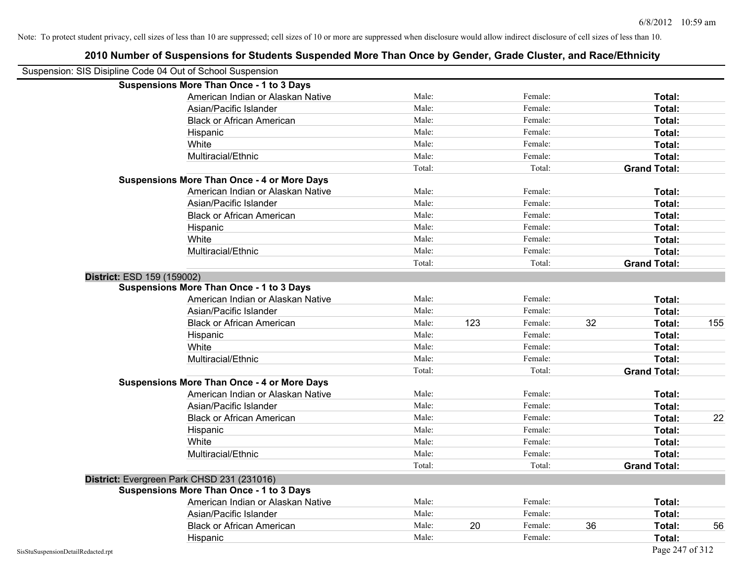| Suspension: SIS Disipline Code 04 Out of School Suspension |                                                    |        |     |         |    |                     |     |
|------------------------------------------------------------|----------------------------------------------------|--------|-----|---------|----|---------------------|-----|
|                                                            | <b>Suspensions More Than Once - 1 to 3 Days</b>    |        |     |         |    |                     |     |
|                                                            | American Indian or Alaskan Native                  | Male:  |     | Female: |    | Total:              |     |
|                                                            | Asian/Pacific Islander                             | Male:  |     | Female: |    | Total:              |     |
|                                                            | <b>Black or African American</b>                   | Male:  |     | Female: |    | Total:              |     |
|                                                            | Hispanic                                           | Male:  |     | Female: |    | Total:              |     |
|                                                            | White                                              | Male:  |     | Female: |    | Total:              |     |
|                                                            | Multiracial/Ethnic                                 | Male:  |     | Female: |    | Total:              |     |
|                                                            |                                                    | Total: |     | Total:  |    | <b>Grand Total:</b> |     |
|                                                            | <b>Suspensions More Than Once - 4 or More Days</b> |        |     |         |    |                     |     |
|                                                            | American Indian or Alaskan Native                  | Male:  |     | Female: |    | Total:              |     |
|                                                            | Asian/Pacific Islander                             | Male:  |     | Female: |    | Total:              |     |
|                                                            | <b>Black or African American</b>                   | Male:  |     | Female: |    | Total:              |     |
|                                                            | Hispanic                                           | Male:  |     | Female: |    | Total:              |     |
|                                                            | White                                              | Male:  |     | Female: |    | Total:              |     |
|                                                            | Multiracial/Ethnic                                 | Male:  |     | Female: |    | Total:              |     |
|                                                            |                                                    | Total: |     | Total:  |    | <b>Grand Total:</b> |     |
| District: ESD 159 (159002)                                 |                                                    |        |     |         |    |                     |     |
|                                                            | <b>Suspensions More Than Once - 1 to 3 Days</b>    |        |     |         |    |                     |     |
|                                                            | American Indian or Alaskan Native                  | Male:  |     | Female: |    | Total:              |     |
|                                                            | Asian/Pacific Islander                             | Male:  |     | Female: |    | Total:              |     |
|                                                            | <b>Black or African American</b>                   | Male:  | 123 | Female: | 32 | Total:              | 155 |
|                                                            | Hispanic                                           | Male:  |     | Female: |    | Total:              |     |
|                                                            | White                                              | Male:  |     | Female: |    | Total:              |     |
|                                                            | Multiracial/Ethnic                                 | Male:  |     | Female: |    | Total:              |     |
|                                                            |                                                    | Total: |     | Total:  |    | <b>Grand Total:</b> |     |
|                                                            | <b>Suspensions More Than Once - 4 or More Days</b> |        |     |         |    |                     |     |
|                                                            | American Indian or Alaskan Native                  | Male:  |     | Female: |    | Total:              |     |
|                                                            | Asian/Pacific Islander                             | Male:  |     | Female: |    | Total:              |     |
|                                                            | <b>Black or African American</b>                   | Male:  |     | Female: |    | Total:              | 22  |
|                                                            | Hispanic                                           | Male:  |     | Female: |    | Total:              |     |
|                                                            | White                                              | Male:  |     | Female: |    | Total:              |     |
|                                                            | Multiracial/Ethnic                                 | Male:  |     | Female: |    | Total:              |     |
|                                                            |                                                    | Total: |     | Total:  |    | <b>Grand Total:</b> |     |
|                                                            | District: Evergreen Park CHSD 231 (231016)         |        |     |         |    |                     |     |
|                                                            | <b>Suspensions More Than Once - 1 to 3 Days</b>    |        |     |         |    |                     |     |
|                                                            | American Indian or Alaskan Native                  | Male:  |     | Female: |    | Total:              |     |
|                                                            | Asian/Pacific Islander                             | Male:  |     | Female: |    | Total:              |     |
|                                                            | <b>Black or African American</b>                   | Male:  | 20  | Female: | 36 | Total:              | 56  |
|                                                            | Hispanic                                           | Male:  |     | Female: |    | Total:              |     |
| SisStuSuspensionDetailRedacted.rpt                         |                                                    |        |     |         |    | Page 247 of 312     |     |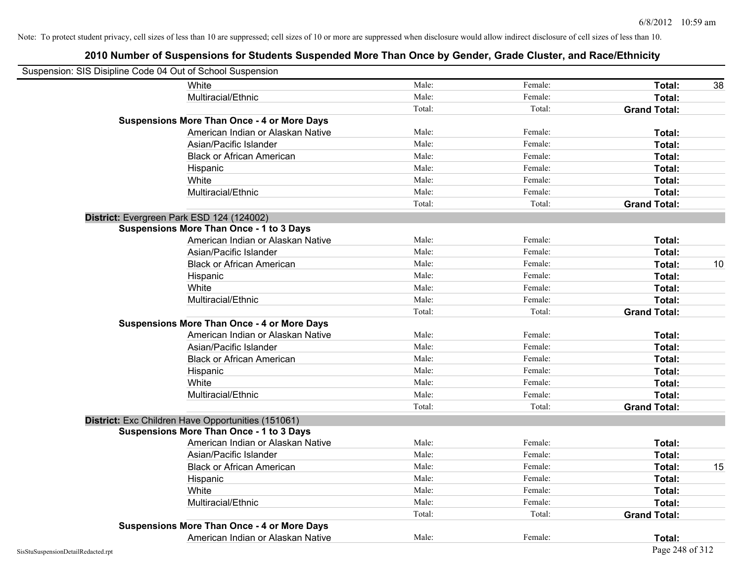| Suspension: SIS Disipline Code 04 Out of School Suspension |                                                    |        |         |                     |    |
|------------------------------------------------------------|----------------------------------------------------|--------|---------|---------------------|----|
|                                                            | White                                              | Male:  | Female: | Total:              | 38 |
|                                                            | Multiracial/Ethnic                                 | Male:  | Female: | <b>Total:</b>       |    |
|                                                            |                                                    | Total: | Total:  | <b>Grand Total:</b> |    |
|                                                            | <b>Suspensions More Than Once - 4 or More Days</b> |        |         |                     |    |
|                                                            | American Indian or Alaskan Native                  | Male:  | Female: | Total:              |    |
|                                                            | Asian/Pacific Islander                             | Male:  | Female: | Total:              |    |
|                                                            | <b>Black or African American</b>                   | Male:  | Female: | Total:              |    |
|                                                            | Hispanic                                           | Male:  | Female: | Total:              |    |
|                                                            | White                                              | Male:  | Female: | Total:              |    |
|                                                            | Multiracial/Ethnic                                 | Male:  | Female: | Total:              |    |
|                                                            |                                                    | Total: | Total:  | <b>Grand Total:</b> |    |
|                                                            | District: Evergreen Park ESD 124 (124002)          |        |         |                     |    |
|                                                            | <b>Suspensions More Than Once - 1 to 3 Days</b>    |        |         |                     |    |
|                                                            | American Indian or Alaskan Native                  | Male:  | Female: | Total:              |    |
|                                                            | Asian/Pacific Islander                             | Male:  | Female: | Total:              |    |
|                                                            | <b>Black or African American</b>                   | Male:  | Female: | Total:              | 10 |
|                                                            | Hispanic                                           | Male:  | Female: | Total:              |    |
|                                                            | White                                              | Male:  | Female: | Total:              |    |
|                                                            | Multiracial/Ethnic                                 | Male:  | Female: | Total:              |    |
|                                                            |                                                    | Total: | Total:  | <b>Grand Total:</b> |    |
|                                                            | <b>Suspensions More Than Once - 4 or More Days</b> |        |         |                     |    |
|                                                            | American Indian or Alaskan Native                  | Male:  | Female: | Total:              |    |
|                                                            | Asian/Pacific Islander                             | Male:  | Female: | Total:              |    |
|                                                            | <b>Black or African American</b>                   | Male:  | Female: | Total:              |    |
|                                                            | Hispanic                                           | Male:  | Female: | Total:              |    |
|                                                            | White                                              | Male:  | Female: | Total:              |    |
|                                                            | Multiracial/Ethnic                                 | Male:  | Female: | Total:              |    |
|                                                            |                                                    | Total: | Total:  | <b>Grand Total:</b> |    |
|                                                            | District: Exc Children Have Opportunities (151061) |        |         |                     |    |
|                                                            | <b>Suspensions More Than Once - 1 to 3 Days</b>    |        |         |                     |    |
|                                                            | American Indian or Alaskan Native                  | Male:  | Female: | Total:              |    |
|                                                            | Asian/Pacific Islander                             | Male:  | Female: | Total:              |    |
|                                                            | <b>Black or African American</b>                   | Male:  | Female: | Total:              | 15 |
|                                                            | Hispanic                                           | Male:  | Female: | Total:              |    |
|                                                            | White                                              | Male:  | Female: | Total:              |    |
|                                                            | Multiracial/Ethnic                                 | Male:  | Female: | Total:              |    |
|                                                            |                                                    | Total: | Total:  | <b>Grand Total:</b> |    |
|                                                            | <b>Suspensions More Than Once - 4 or More Days</b> |        |         |                     |    |
|                                                            | American Indian or Alaskan Native                  | Male:  | Female: | Total:              |    |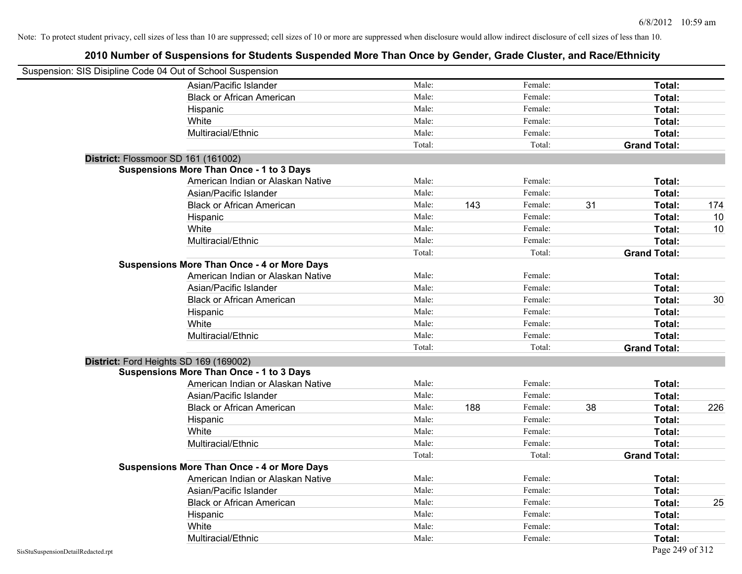| Suspension: SIS Disipline Code 04 Out of School Suspension |                                                    |        |     |         |    |                     |     |
|------------------------------------------------------------|----------------------------------------------------|--------|-----|---------|----|---------------------|-----|
|                                                            | Asian/Pacific Islander                             | Male:  |     | Female: |    | Total:              |     |
|                                                            | <b>Black or African American</b>                   | Male:  |     | Female: |    | Total:              |     |
|                                                            | Hispanic                                           | Male:  |     | Female: |    | Total:              |     |
|                                                            | White                                              | Male:  |     | Female: |    | Total:              |     |
|                                                            | Multiracial/Ethnic                                 | Male:  |     | Female: |    | Total:              |     |
|                                                            |                                                    | Total: |     | Total:  |    | <b>Grand Total:</b> |     |
| District: Flossmoor SD 161 (161002)                        |                                                    |        |     |         |    |                     |     |
|                                                            | <b>Suspensions More Than Once - 1 to 3 Days</b>    |        |     |         |    |                     |     |
|                                                            | American Indian or Alaskan Native                  | Male:  |     | Female: |    | Total:              |     |
|                                                            | Asian/Pacific Islander                             | Male:  |     | Female: |    | Total:              |     |
|                                                            | <b>Black or African American</b>                   | Male:  | 143 | Female: | 31 | Total:              | 174 |
|                                                            | Hispanic                                           | Male:  |     | Female: |    | Total:              | 10  |
|                                                            | White                                              | Male:  |     | Female: |    | Total:              | 10  |
|                                                            | Multiracial/Ethnic                                 | Male:  |     | Female: |    | Total:              |     |
|                                                            |                                                    | Total: |     | Total:  |    | <b>Grand Total:</b> |     |
|                                                            | <b>Suspensions More Than Once - 4 or More Days</b> |        |     |         |    |                     |     |
|                                                            | American Indian or Alaskan Native                  | Male:  |     | Female: |    | Total:              |     |
|                                                            | Asian/Pacific Islander                             | Male:  |     | Female: |    | Total:              |     |
|                                                            | <b>Black or African American</b>                   | Male:  |     | Female: |    | Total:              | 30  |
|                                                            | Hispanic                                           | Male:  |     | Female: |    | Total:              |     |
|                                                            | White                                              | Male:  |     | Female: |    | Total:              |     |
|                                                            | Multiracial/Ethnic                                 | Male:  |     | Female: |    | Total:              |     |
|                                                            |                                                    | Total: |     | Total:  |    | <b>Grand Total:</b> |     |
| District: Ford Heights SD 169 (169002)                     |                                                    |        |     |         |    |                     |     |
|                                                            | <b>Suspensions More Than Once - 1 to 3 Days</b>    |        |     |         |    |                     |     |
|                                                            | American Indian or Alaskan Native                  | Male:  |     | Female: |    | Total:              |     |
|                                                            | Asian/Pacific Islander                             | Male:  |     | Female: |    | Total:              |     |
|                                                            | <b>Black or African American</b>                   | Male:  | 188 | Female: | 38 | Total:              | 226 |
|                                                            | Hispanic                                           | Male:  |     | Female: |    | Total:              |     |
|                                                            | White                                              | Male:  |     | Female: |    | Total:              |     |
|                                                            | Multiracial/Ethnic                                 | Male:  |     | Female: |    | Total:              |     |
|                                                            |                                                    | Total: |     | Total:  |    | <b>Grand Total:</b> |     |
|                                                            | <b>Suspensions More Than Once - 4 or More Days</b> |        |     |         |    |                     |     |
|                                                            | American Indian or Alaskan Native                  | Male:  |     | Female: |    | Total:              |     |
|                                                            | Asian/Pacific Islander                             | Male:  |     | Female: |    | Total:              |     |
|                                                            | <b>Black or African American</b>                   | Male:  |     | Female: |    | Total:              | 25  |
|                                                            | Hispanic                                           | Male:  |     | Female: |    | Total:              |     |
|                                                            | White                                              | Male:  |     | Female: |    | Total:              |     |
|                                                            | Multiracial/Ethnic                                 | Male:  |     | Female: |    | Total:              |     |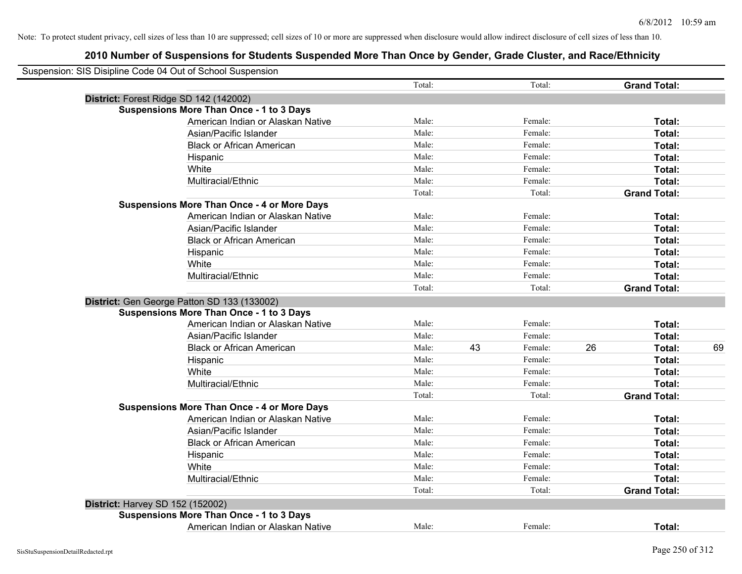|                                  | Suspension: SIS Disipline Code 04 Out of School Suspension |        |    |         |    |                     |    |
|----------------------------------|------------------------------------------------------------|--------|----|---------|----|---------------------|----|
|                                  |                                                            | Total: |    | Total:  |    | <b>Grand Total:</b> |    |
|                                  | District: Forest Ridge SD 142 (142002)                     |        |    |         |    |                     |    |
|                                  | <b>Suspensions More Than Once - 1 to 3 Days</b>            |        |    |         |    |                     |    |
|                                  | American Indian or Alaskan Native                          | Male:  |    | Female: |    | Total:              |    |
|                                  | Asian/Pacific Islander                                     | Male:  |    | Female: |    | Total:              |    |
|                                  | <b>Black or African American</b>                           | Male:  |    | Female: |    | Total:              |    |
|                                  | Hispanic                                                   | Male:  |    | Female: |    | Total:              |    |
|                                  | White                                                      | Male:  |    | Female: |    | Total:              |    |
|                                  | Multiracial/Ethnic                                         | Male:  |    | Female: |    | Total:              |    |
|                                  |                                                            | Total: |    | Total:  |    | <b>Grand Total:</b> |    |
|                                  | <b>Suspensions More Than Once - 4 or More Days</b>         |        |    |         |    |                     |    |
|                                  | American Indian or Alaskan Native                          | Male:  |    | Female: |    | Total:              |    |
|                                  | Asian/Pacific Islander                                     | Male:  |    | Female: |    | Total:              |    |
|                                  | <b>Black or African American</b>                           | Male:  |    | Female: |    | Total:              |    |
|                                  | Hispanic                                                   | Male:  |    | Female: |    | Total:              |    |
|                                  | White                                                      | Male:  |    | Female: |    | Total:              |    |
|                                  | Multiracial/Ethnic                                         | Male:  |    | Female: |    | Total:              |    |
|                                  |                                                            | Total: |    | Total:  |    | <b>Grand Total:</b> |    |
|                                  | District: Gen George Patton SD 133 (133002)                |        |    |         |    |                     |    |
|                                  | <b>Suspensions More Than Once - 1 to 3 Days</b>            |        |    |         |    |                     |    |
|                                  | American Indian or Alaskan Native                          | Male:  |    | Female: |    | Total:              |    |
|                                  | Asian/Pacific Islander                                     | Male:  |    | Female: |    | Total:              |    |
|                                  | <b>Black or African American</b>                           | Male:  | 43 | Female: | 26 | Total:              | 69 |
|                                  | Hispanic                                                   | Male:  |    | Female: |    | Total:              |    |
|                                  | White                                                      | Male:  |    | Female: |    | Total:              |    |
|                                  | Multiracial/Ethnic                                         | Male:  |    | Female: |    | Total:              |    |
|                                  |                                                            | Total: |    | Total:  |    | <b>Grand Total:</b> |    |
|                                  | <b>Suspensions More Than Once - 4 or More Days</b>         |        |    |         |    |                     |    |
|                                  | American Indian or Alaskan Native                          | Male:  |    | Female: |    | Total:              |    |
|                                  | Asian/Pacific Islander                                     | Male:  |    | Female: |    | Total:              |    |
|                                  | <b>Black or African American</b>                           | Male:  |    | Female: |    | Total:              |    |
|                                  | Hispanic                                                   | Male:  |    | Female: |    | Total:              |    |
|                                  | White                                                      | Male:  |    | Female: |    | Total:              |    |
|                                  | Multiracial/Ethnic                                         | Male:  |    | Female: |    | Total:              |    |
|                                  |                                                            | Total: |    | Total:  |    | <b>Grand Total:</b> |    |
| District: Harvey SD 152 (152002) |                                                            |        |    |         |    |                     |    |
|                                  | <b>Suspensions More Than Once - 1 to 3 Days</b>            |        |    |         |    |                     |    |
|                                  | American Indian or Alaskan Native                          | Male:  |    | Female: |    | Total:              |    |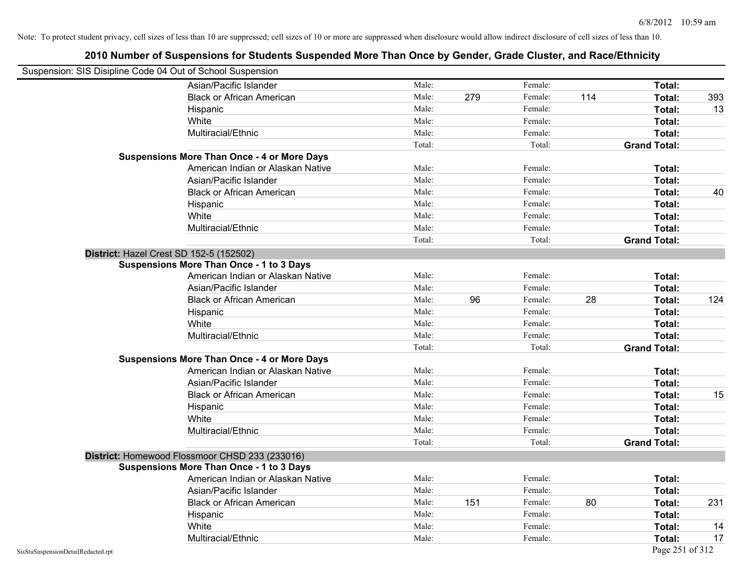| Suspension: SIS Disipline Code 04 Out of School Suspension |                                                    |        |     |         |     |                     |     |
|------------------------------------------------------------|----------------------------------------------------|--------|-----|---------|-----|---------------------|-----|
|                                                            | Asian/Pacific Islander                             | Male:  |     | Female: |     | Total:              |     |
|                                                            | <b>Black or African American</b>                   | Male:  | 279 | Female: | 114 | Total:              | 393 |
|                                                            | Hispanic                                           | Male:  |     | Female: |     | Total:              | 13  |
|                                                            | White                                              | Male:  |     | Female: |     | Total:              |     |
|                                                            | Multiracial/Ethnic                                 | Male:  |     | Female: |     | Total:              |     |
|                                                            |                                                    | Total: |     | Total:  |     | <b>Grand Total:</b> |     |
|                                                            | <b>Suspensions More Than Once - 4 or More Days</b> |        |     |         |     |                     |     |
|                                                            | American Indian or Alaskan Native                  | Male:  |     | Female: |     | Total:              |     |
|                                                            | Asian/Pacific Islander                             | Male:  |     | Female: |     | Total:              |     |
|                                                            | <b>Black or African American</b>                   | Male:  |     | Female: |     | Total:              | 40  |
|                                                            | Hispanic                                           | Male:  |     | Female: |     | Total:              |     |
|                                                            | White                                              | Male:  |     | Female: |     | Total:              |     |
|                                                            | Multiracial/Ethnic                                 | Male:  |     | Female: |     | Total:              |     |
|                                                            |                                                    | Total: |     | Total:  |     | <b>Grand Total:</b> |     |
|                                                            | District: Hazel Crest SD 152-5 (152502)            |        |     |         |     |                     |     |
|                                                            | <b>Suspensions More Than Once - 1 to 3 Days</b>    |        |     |         |     |                     |     |
|                                                            | American Indian or Alaskan Native                  | Male:  |     | Female: |     | Total:              |     |
|                                                            | Asian/Pacific Islander                             | Male:  |     | Female: |     | Total:              |     |
|                                                            | <b>Black or African American</b>                   | Male:  | 96  | Female: | 28  | Total:              | 124 |
|                                                            | Hispanic                                           | Male:  |     | Female: |     | Total:              |     |
|                                                            | White                                              | Male:  |     | Female: |     | Total:              |     |
|                                                            | Multiracial/Ethnic                                 | Male:  |     | Female: |     | Total:              |     |
|                                                            |                                                    | Total: |     | Total:  |     | <b>Grand Total:</b> |     |
|                                                            | <b>Suspensions More Than Once - 4 or More Days</b> |        |     |         |     |                     |     |
|                                                            | American Indian or Alaskan Native                  | Male:  |     | Female: |     | Total:              |     |
|                                                            | Asian/Pacific Islander                             | Male:  |     | Female: |     | Total:              |     |
|                                                            | <b>Black or African American</b>                   | Male:  |     | Female: |     | Total:              | 15  |
|                                                            | Hispanic                                           | Male:  |     | Female: |     | Total:              |     |
|                                                            | White                                              | Male:  |     | Female: |     | Total:              |     |
|                                                            | Multiracial/Ethnic                                 | Male:  |     | Female: |     | Total:              |     |
|                                                            |                                                    | Total: |     | Total:  |     | <b>Grand Total:</b> |     |
|                                                            | District: Homewood Flossmoor CHSD 233 (233016)     |        |     |         |     |                     |     |
|                                                            | <b>Suspensions More Than Once - 1 to 3 Days</b>    |        |     |         |     |                     |     |
|                                                            | American Indian or Alaskan Native                  | Male:  |     | Female: |     | Total:              |     |
|                                                            | Asian/Pacific Islander                             | Male:  |     | Female: |     | Total:              |     |
|                                                            | <b>Black or African American</b>                   | Male:  | 151 | Female: | 80  | Total:              | 231 |
|                                                            | Hispanic                                           | Male:  |     | Female: |     | Total:              |     |
|                                                            | White                                              | Male:  |     | Female: |     | Total:              | 14  |
|                                                            | Multiracial/Ethnic                                 | Male:  |     | Female: |     | Total:              | 17  |
| SisStuSuspensionDetailRedacted.rpt                         |                                                    |        |     |         |     | Page 251 of 312     |     |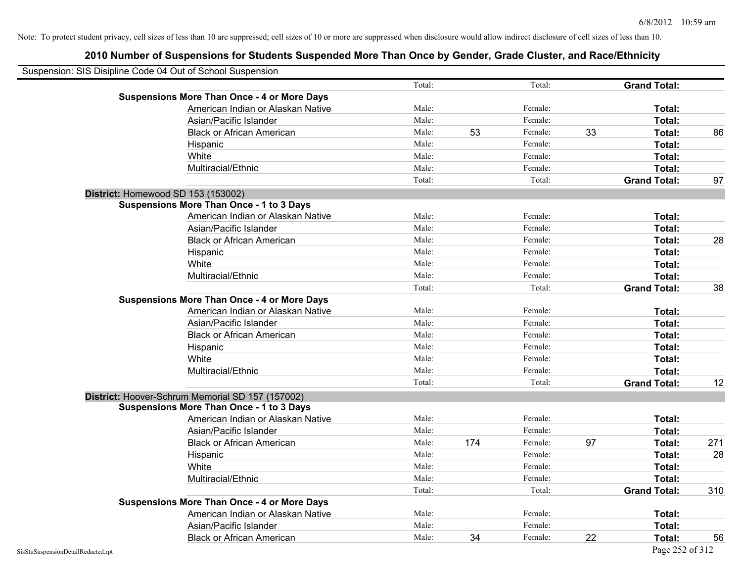| Suspension: SIS Disipline Code 04 Out of School Suspension |                                                    |        |     |         |    |                     |     |
|------------------------------------------------------------|----------------------------------------------------|--------|-----|---------|----|---------------------|-----|
|                                                            |                                                    | Total: |     | Total:  |    | <b>Grand Total:</b> |     |
|                                                            | <b>Suspensions More Than Once - 4 or More Days</b> |        |     |         |    |                     |     |
|                                                            | American Indian or Alaskan Native                  | Male:  |     | Female: |    | Total:              |     |
|                                                            | Asian/Pacific Islander                             | Male:  |     | Female: |    | Total:              |     |
|                                                            | <b>Black or African American</b>                   | Male:  | 53  | Female: | 33 | Total:              | 86  |
|                                                            | Hispanic                                           | Male:  |     | Female: |    | Total:              |     |
|                                                            | White                                              | Male:  |     | Female: |    | Total:              |     |
|                                                            | Multiracial/Ethnic                                 | Male:  |     | Female: |    | Total:              |     |
|                                                            |                                                    | Total: |     | Total:  |    | <b>Grand Total:</b> | 97  |
|                                                            | District: Homewood SD 153 (153002)                 |        |     |         |    |                     |     |
|                                                            | <b>Suspensions More Than Once - 1 to 3 Days</b>    |        |     |         |    |                     |     |
|                                                            | American Indian or Alaskan Native                  | Male:  |     | Female: |    | Total:              |     |
|                                                            | Asian/Pacific Islander                             | Male:  |     | Female: |    | Total:              |     |
|                                                            | <b>Black or African American</b>                   | Male:  |     | Female: |    | Total:              | 28  |
|                                                            | Hispanic                                           | Male:  |     | Female: |    | Total:              |     |
|                                                            | White                                              | Male:  |     | Female: |    | Total:              |     |
|                                                            | Multiracial/Ethnic                                 | Male:  |     | Female: |    | Total:              |     |
|                                                            |                                                    | Total: |     | Total:  |    | <b>Grand Total:</b> | 38  |
|                                                            | <b>Suspensions More Than Once - 4 or More Days</b> |        |     |         |    |                     |     |
|                                                            | American Indian or Alaskan Native                  | Male:  |     | Female: |    | Total:              |     |
|                                                            | Asian/Pacific Islander                             | Male:  |     | Female: |    | Total:              |     |
|                                                            | <b>Black or African American</b>                   | Male:  |     | Female: |    | Total:              |     |
|                                                            | Hispanic                                           | Male:  |     | Female: |    | Total:              |     |
|                                                            | White                                              | Male:  |     | Female: |    | Total:              |     |
|                                                            | Multiracial/Ethnic                                 | Male:  |     | Female: |    | Total:              |     |
|                                                            |                                                    | Total: |     | Total:  |    | <b>Grand Total:</b> | 12  |
|                                                            | District: Hoover-Schrum Memorial SD 157 (157002)   |        |     |         |    |                     |     |
|                                                            | <b>Suspensions More Than Once - 1 to 3 Days</b>    |        |     |         |    |                     |     |
|                                                            | American Indian or Alaskan Native                  | Male:  |     | Female: |    | Total:              |     |
|                                                            | Asian/Pacific Islander                             | Male:  |     | Female: |    | Total:              |     |
|                                                            | <b>Black or African American</b>                   | Male:  | 174 | Female: | 97 | Total:              | 271 |
|                                                            | Hispanic                                           | Male:  |     | Female: |    | Total:              | 28  |
|                                                            | White                                              | Male:  |     | Female: |    | Total:              |     |
|                                                            | Multiracial/Ethnic                                 | Male:  |     | Female: |    | Total:              |     |
|                                                            |                                                    | Total: |     | Total:  |    | <b>Grand Total:</b> | 310 |
|                                                            | <b>Suspensions More Than Once - 4 or More Days</b> |        |     |         |    |                     |     |
|                                                            | American Indian or Alaskan Native                  | Male:  |     | Female: |    | Total:              |     |
|                                                            | Asian/Pacific Islander                             | Male:  |     | Female: |    | Total:              |     |
|                                                            | <b>Black or African American</b>                   | Male:  | 34  | Female: | 22 | Total:              | 56  |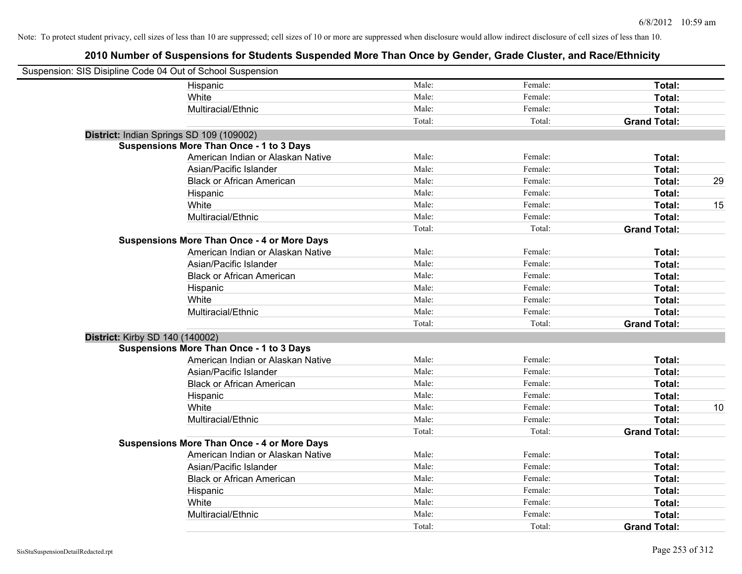| Suspension: SIS Disipline Code 04 Out of School Suspension |                                                    |        |         |                     |    |
|------------------------------------------------------------|----------------------------------------------------|--------|---------|---------------------|----|
|                                                            | Hispanic                                           | Male:  | Female: | Total:              |    |
|                                                            | White                                              | Male:  | Female: | Total:              |    |
|                                                            | Multiracial/Ethnic                                 | Male:  | Female: | Total:              |    |
|                                                            |                                                    | Total: | Total:  | <b>Grand Total:</b> |    |
| District: Indian Springs SD 109 (109002)                   |                                                    |        |         |                     |    |
|                                                            | <b>Suspensions More Than Once - 1 to 3 Days</b>    |        |         |                     |    |
|                                                            | American Indian or Alaskan Native                  | Male:  | Female: | Total:              |    |
|                                                            | Asian/Pacific Islander                             | Male:  | Female: | Total:              |    |
|                                                            | <b>Black or African American</b>                   | Male:  | Female: | Total:              | 29 |
|                                                            | Hispanic                                           | Male:  | Female: | Total:              |    |
|                                                            | White                                              | Male:  | Female: | Total:              | 15 |
|                                                            | Multiracial/Ethnic                                 | Male:  | Female: | Total:              |    |
|                                                            |                                                    | Total: | Total:  | <b>Grand Total:</b> |    |
|                                                            | <b>Suspensions More Than Once - 4 or More Days</b> |        |         |                     |    |
|                                                            | American Indian or Alaskan Native                  | Male:  | Female: | Total:              |    |
|                                                            | Asian/Pacific Islander                             | Male:  | Female: | Total:              |    |
|                                                            | <b>Black or African American</b>                   | Male:  | Female: | Total:              |    |
|                                                            | Hispanic                                           | Male:  | Female: | Total:              |    |
|                                                            | White                                              | Male:  | Female: | Total:              |    |
|                                                            | Multiracial/Ethnic                                 | Male:  | Female: | Total:              |    |
|                                                            |                                                    | Total: | Total:  | <b>Grand Total:</b> |    |
| District: Kirby SD 140 (140002)                            |                                                    |        |         |                     |    |
|                                                            | <b>Suspensions More Than Once - 1 to 3 Days</b>    |        |         |                     |    |
|                                                            | American Indian or Alaskan Native                  | Male:  | Female: | Total:              |    |
|                                                            | Asian/Pacific Islander                             | Male:  | Female: | Total:              |    |
|                                                            | <b>Black or African American</b>                   | Male:  | Female: | Total:              |    |
|                                                            | Hispanic                                           | Male:  | Female: | Total:              |    |
|                                                            | White                                              | Male:  | Female: | Total:              | 10 |
|                                                            | Multiracial/Ethnic                                 | Male:  | Female: | Total:              |    |
|                                                            |                                                    | Total: | Total:  | <b>Grand Total:</b> |    |
|                                                            | <b>Suspensions More Than Once - 4 or More Days</b> |        |         |                     |    |
|                                                            | American Indian or Alaskan Native                  | Male:  | Female: | Total:              |    |
|                                                            | Asian/Pacific Islander                             | Male:  | Female: | Total:              |    |
|                                                            | <b>Black or African American</b>                   | Male:  | Female: | Total:              |    |
|                                                            | Hispanic                                           | Male:  | Female: | Total:              |    |
|                                                            | White                                              | Male:  | Female: | Total:              |    |
|                                                            | Multiracial/Ethnic                                 | Male:  | Female: | Total:              |    |
|                                                            |                                                    | Total: | Total:  | <b>Grand Total:</b> |    |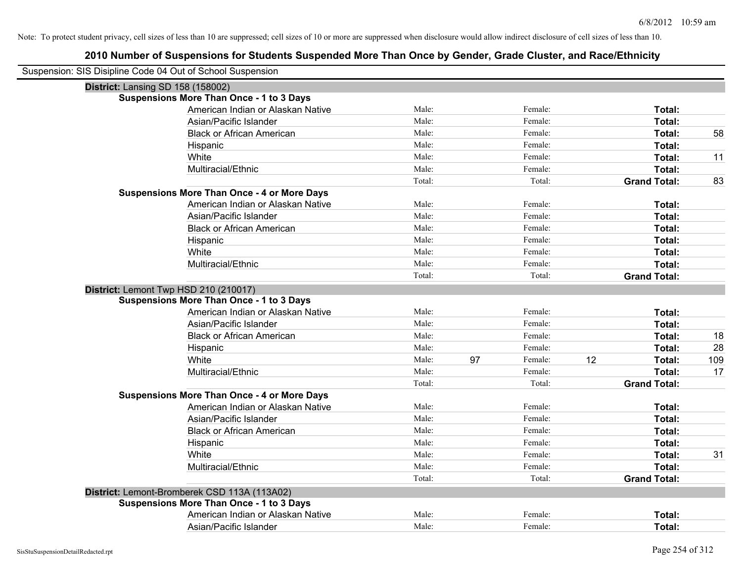| Suspension: SIS Disipline Code 04 Out of School Suspension |                                                    |        |    |         |    |                     |     |
|------------------------------------------------------------|----------------------------------------------------|--------|----|---------|----|---------------------|-----|
| District: Lansing SD 158 (158002)                          |                                                    |        |    |         |    |                     |     |
|                                                            | <b>Suspensions More Than Once - 1 to 3 Days</b>    |        |    |         |    |                     |     |
|                                                            | American Indian or Alaskan Native                  | Male:  |    | Female: |    | Total:              |     |
|                                                            | Asian/Pacific Islander                             | Male:  |    | Female: |    | Total:              |     |
|                                                            | <b>Black or African American</b>                   | Male:  |    | Female: |    | Total:              | 58  |
|                                                            | Hispanic                                           | Male:  |    | Female: |    | Total:              |     |
|                                                            | White                                              | Male:  |    | Female: |    | Total:              | 11  |
|                                                            | Multiracial/Ethnic                                 | Male:  |    | Female: |    | Total:              |     |
|                                                            |                                                    | Total: |    | Total:  |    | <b>Grand Total:</b> | 83  |
|                                                            | <b>Suspensions More Than Once - 4 or More Days</b> |        |    |         |    |                     |     |
|                                                            | American Indian or Alaskan Native                  | Male:  |    | Female: |    | Total:              |     |
|                                                            | Asian/Pacific Islander                             | Male:  |    | Female: |    | Total:              |     |
|                                                            | <b>Black or African American</b>                   | Male:  |    | Female: |    | Total:              |     |
|                                                            | Hispanic                                           | Male:  |    | Female: |    | Total:              |     |
|                                                            | White                                              | Male:  |    | Female: |    | Total:              |     |
|                                                            | Multiracial/Ethnic                                 | Male:  |    | Female: |    | Total:              |     |
|                                                            |                                                    | Total: |    | Total:  |    | <b>Grand Total:</b> |     |
|                                                            | District: Lemont Twp HSD 210 (210017)              |        |    |         |    |                     |     |
|                                                            | <b>Suspensions More Than Once - 1 to 3 Days</b>    |        |    |         |    |                     |     |
|                                                            | American Indian or Alaskan Native                  | Male:  |    | Female: |    | Total:              |     |
|                                                            | Asian/Pacific Islander                             | Male:  |    | Female: |    | Total:              |     |
|                                                            | <b>Black or African American</b>                   | Male:  |    | Female: |    | Total:              | 18  |
|                                                            | Hispanic                                           | Male:  |    | Female: |    | Total:              | 28  |
|                                                            | White                                              | Male:  | 97 | Female: | 12 | Total:              | 109 |
|                                                            | Multiracial/Ethnic                                 | Male:  |    | Female: |    | Total:              | 17  |
|                                                            |                                                    | Total: |    | Total:  |    | <b>Grand Total:</b> |     |
|                                                            | <b>Suspensions More Than Once - 4 or More Days</b> |        |    |         |    |                     |     |
|                                                            | American Indian or Alaskan Native                  | Male:  |    | Female: |    | Total:              |     |
|                                                            | Asian/Pacific Islander                             | Male:  |    | Female: |    | Total:              |     |
|                                                            | <b>Black or African American</b>                   | Male:  |    | Female: |    | Total:              |     |
|                                                            | Hispanic                                           | Male:  |    | Female: |    | Total:              |     |
|                                                            | White                                              | Male:  |    | Female: |    | Total:              | 31  |
|                                                            | Multiracial/Ethnic                                 | Male:  |    | Female: |    | Total:              |     |
|                                                            |                                                    | Total: |    | Total:  |    | <b>Grand Total:</b> |     |
|                                                            | District: Lemont-Bromberek CSD 113A (113A02)       |        |    |         |    |                     |     |
|                                                            | <b>Suspensions More Than Once - 1 to 3 Days</b>    |        |    |         |    |                     |     |
|                                                            | American Indian or Alaskan Native                  | Male:  |    | Female: |    | Total:              |     |
|                                                            | Asian/Pacific Islander                             | Male:  |    | Female: |    | Total:              |     |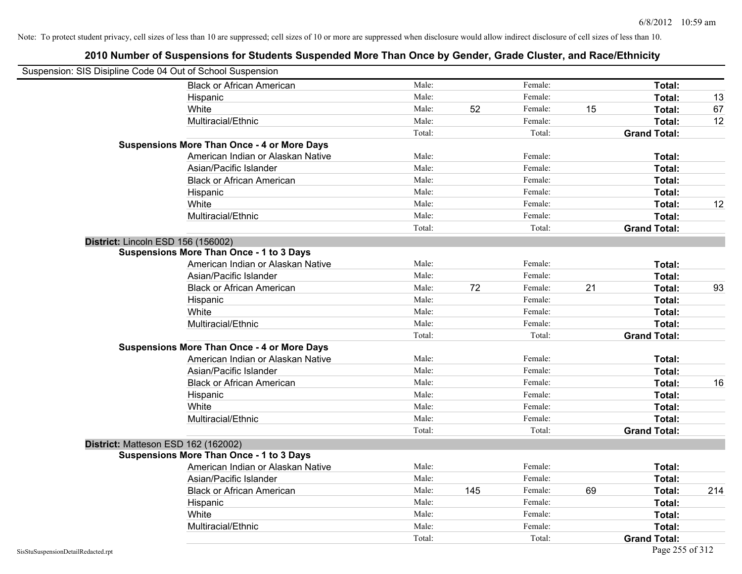| Suspension: SIS Disipline Code 04 Out of School Suspension |                                                    |        |     |         |    |                     |     |
|------------------------------------------------------------|----------------------------------------------------|--------|-----|---------|----|---------------------|-----|
|                                                            | <b>Black or African American</b>                   | Male:  |     | Female: |    | Total:              |     |
|                                                            | Hispanic                                           | Male:  |     | Female: |    | Total:              | 13  |
|                                                            | White                                              | Male:  | 52  | Female: | 15 | Total:              | 67  |
|                                                            | Multiracial/Ethnic                                 | Male:  |     | Female: |    | Total:              | 12  |
|                                                            |                                                    | Total: |     | Total:  |    | <b>Grand Total:</b> |     |
|                                                            | <b>Suspensions More Than Once - 4 or More Days</b> |        |     |         |    |                     |     |
|                                                            | American Indian or Alaskan Native                  | Male:  |     | Female: |    | Total:              |     |
|                                                            | Asian/Pacific Islander                             | Male:  |     | Female: |    | Total:              |     |
|                                                            | <b>Black or African American</b>                   | Male:  |     | Female: |    | Total:              |     |
|                                                            | Hispanic                                           | Male:  |     | Female: |    | Total:              |     |
|                                                            | White                                              | Male:  |     | Female: |    | Total:              | 12  |
|                                                            | Multiracial/Ethnic                                 | Male:  |     | Female: |    | Total:              |     |
|                                                            |                                                    | Total: |     | Total:  |    | <b>Grand Total:</b> |     |
|                                                            | District: Lincoln ESD 156 (156002)                 |        |     |         |    |                     |     |
|                                                            | Suspensions More Than Once - 1 to 3 Days           |        |     |         |    |                     |     |
|                                                            | American Indian or Alaskan Native                  | Male:  |     | Female: |    | Total:              |     |
|                                                            | Asian/Pacific Islander                             | Male:  |     | Female: |    | Total:              |     |
|                                                            | <b>Black or African American</b>                   | Male:  | 72  | Female: | 21 | Total:              | 93  |
|                                                            | Hispanic                                           | Male:  |     | Female: |    | Total:              |     |
|                                                            | White                                              | Male:  |     | Female: |    | Total:              |     |
|                                                            | Multiracial/Ethnic                                 | Male:  |     | Female: |    | Total:              |     |
|                                                            |                                                    | Total: |     | Total:  |    | <b>Grand Total:</b> |     |
|                                                            | <b>Suspensions More Than Once - 4 or More Days</b> |        |     |         |    |                     |     |
|                                                            | American Indian or Alaskan Native                  | Male:  |     | Female: |    | Total:              |     |
|                                                            | Asian/Pacific Islander                             | Male:  |     | Female: |    | Total:              |     |
|                                                            | <b>Black or African American</b>                   | Male:  |     | Female: |    | Total:              | 16  |
|                                                            | Hispanic                                           | Male:  |     | Female: |    | Total:              |     |
|                                                            | White                                              | Male:  |     | Female: |    | Total:              |     |
|                                                            | Multiracial/Ethnic                                 | Male:  |     | Female: |    | Total:              |     |
|                                                            |                                                    | Total: |     | Total:  |    | <b>Grand Total:</b> |     |
|                                                            | District: Matteson ESD 162 (162002)                |        |     |         |    |                     |     |
|                                                            | <b>Suspensions More Than Once - 1 to 3 Days</b>    |        |     |         |    |                     |     |
|                                                            | American Indian or Alaskan Native                  | Male:  |     | Female: |    | Total:              |     |
|                                                            | Asian/Pacific Islander                             | Male:  |     | Female: |    | Total:              |     |
|                                                            | <b>Black or African American</b>                   | Male:  | 145 | Female: | 69 | Total:              | 214 |
|                                                            | Hispanic                                           | Male:  |     | Female: |    | Total:              |     |
|                                                            | White                                              | Male:  |     | Female: |    | Total:              |     |
|                                                            | Multiracial/Ethnic                                 | Male:  |     | Female: |    | Total:              |     |
|                                                            |                                                    | Total: |     | Total:  |    | <b>Grand Total:</b> |     |
| SisStuSuspensionDetailRedacted.rpt                         |                                                    |        |     |         |    | Page 255 of 312     |     |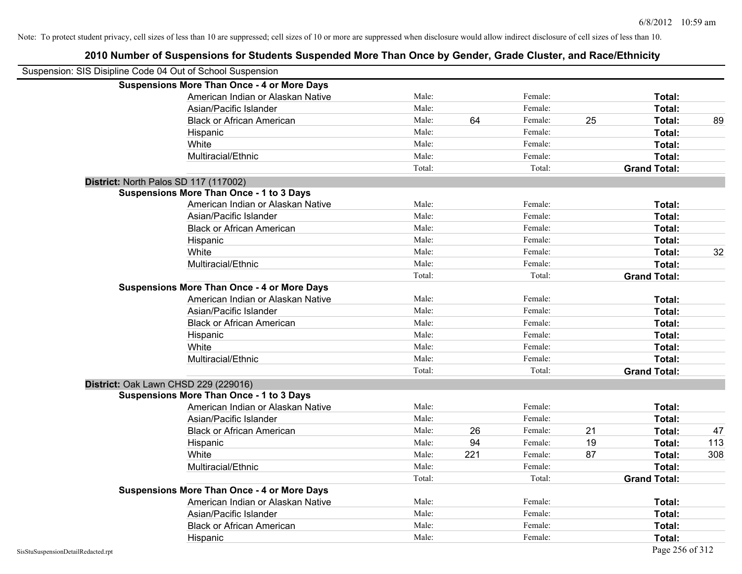## **2010 Number of Suspensions for Students Suspended More Than Once by Gender, Grade Cluster, and Race/Ethnicity** Suspension: SIS Disipline Code 04 Out of School Suspension **Suspensions More Than Once - 4 or More Days** American Indian or Alaskan Native **Male:** Male: Female: Female: **Total:** Total: Asian/Pacific Islander **Figure 1.1 Contained Asian** Male: Female: **Female: Total: Total: Total: Total: Total: Total: Total: Total: Total: Total: Total: Total: Total: Total: Total: Total: T** Black or African American **Male:** 64 Female: 25 Total: 89 Hispanic **Total:** Male: Female: **Total:** Female: **Total:** Total: **Total:** Female: **Total:** Total: **Total:** Total: **Total:** Total: **Total:** Total: **Total:** Total: **Total:** Total: **Total:** Total: **Total:** Total: **Total:** Tot White **Total:** Male: Female: **Total:** Female: **Total:** Total: Multiracial/Ethnic **Total:** Male: Female: **Total:** Female: **Total:** Female: **Total:** Female: **Total:** Female: **Total:** Female: **Total:** Female: **Total:** Female: **Total:** Female: **Total:** Female: **Total:** Female: **Total:** F Total: Total: **Grand Total: District:** North Palos SD 117 (117002) **Suspensions More Than Once - 1 to 3 Days** American Indian or Alaskan Native **Male:** Male: Female: Female: **Total:** Total: Asian/Pacific Islander **Figure 1.1 Contact Contact Contact Contact Contact Contact Contact Contact Contact Conta** Black or African American **American** Male: Male: Female: **Female: Total: Total: Total: Female: Total: Total: Total: Total: Total: Total: Total: Total: Total: Total: Total: Total: Total:** Hispanic **Total:** Male: Female: **Total:** Female: **Total:** Total: White **Male:** Male: **Total: 32** Male: **Total: 32** Male: **Total: 32** Multiracial/Ethnic **Total:** Male: Female: **Female: Total:** Total: **Total:** Female: **Total:** Total: Total: Total: **Grand Total: Suspensions More Than Once - 4 or More Days** American Indian or Alaskan Native **Male:** Male: Female: Female: **Total:** Total: Asian/Pacific Islander **Figure 1.1 Contact Contact Contact Contact Contact Contact Contact Contact Contact Conta** Black or African American **Figure 1.1 and Total:** Male: Female: Female: **Total:** Total: Hispanic **Total:** Male: Female: **Total:** Female: **Total:** Total: White **Total:** Male: Female: **Total:** Total: **Total:** Female: **Total:** Total: Multiracial/Ethnic **Total:** Male: Female: **Total:** Female: **Total:** Female: **Total:** Total: Total: Total: **Grand Total: District:** Oak Lawn CHSD 229 (229016) **Suspensions More Than Once - 1 to 3 Days** American Indian or Alaskan Native **Male:** Male: Female: Female: **Total:** Total: Asian/Pacific Islander **Figure 1.1 Contained Asian** Male: Female: **Female: Total: Total: Total: Total: Total: Total: Total: Total: Total: Total: Total: Total: Total: Total: Total: Total: T** Black or African American **American** Male: 26 Female: 21 **Total:** 47 Hispanic Male: 94 Female: 19 **Total:** 113 White Male: 221 Female: 87 **Total:** 308 Multiracial/Ethnic **Total:** Male: Female: **Female: Total:** Total: **Total:** Female: **Total:** Total: **Female:** Total: **Total:** Total: **Total:** Total: **Total:** Total: **Total:** Total: **Total:** Total: **Total:** Total: **Total:** Total: Total: **Grand Total: Suspensions More Than Once - 4 or More Days** American Indian or Alaskan Native **Male:** Male: Female: Female: **Total:** Total: Asian/Pacific Islander **Figure 1.1 Contact Contact Contact Contact Contact Contact Contact Contact Contact Conta** Black or African American **Male:** Male: Female: Female: **Total:** Total: Hispanic **Total:** Male: Female: **Total:** Female: **Total:** Total: **Total:** Female: **Total:** Total: **Total:** Total: **Total:** Total: **Total:** Total: **Total:** Total: **Total:** Total: **Total:** Total: **Total:** Total: **Total:** Tot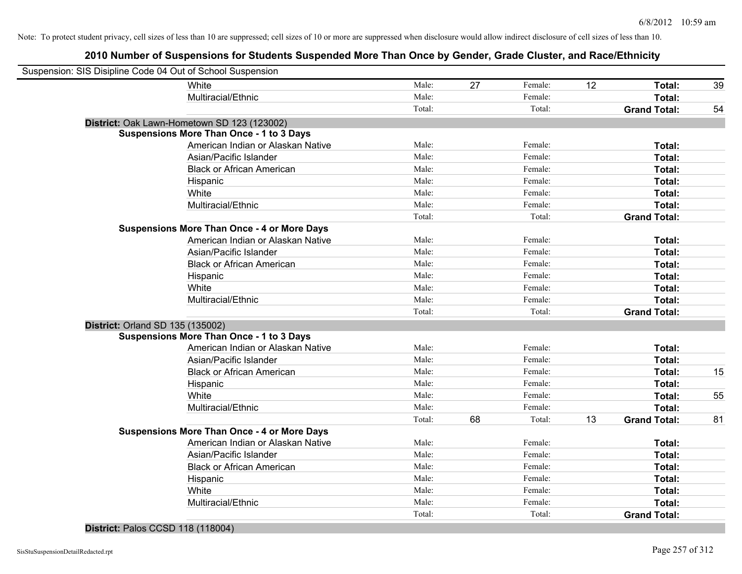## **2010 Number of Suspensions for Students Suspended More Than Once by Gender, Grade Cluster, and Race/Ethnicity**

| Suspension: SIS Disipline Code 04 Out of School Suspension |                                                    |        |    |         |    |                     |    |
|------------------------------------------------------------|----------------------------------------------------|--------|----|---------|----|---------------------|----|
|                                                            | White                                              | Male:  | 27 | Female: | 12 | Total:              | 39 |
|                                                            | Multiracial/Ethnic                                 | Male:  |    | Female: |    | Total:              |    |
|                                                            |                                                    | Total: |    | Total:  |    | <b>Grand Total:</b> | 54 |
|                                                            | District: Oak Lawn-Hometown SD 123 (123002)        |        |    |         |    |                     |    |
|                                                            | <b>Suspensions More Than Once - 1 to 3 Days</b>    |        |    |         |    |                     |    |
|                                                            | American Indian or Alaskan Native                  | Male:  |    | Female: |    | Total:              |    |
|                                                            | Asian/Pacific Islander                             | Male:  |    | Female: |    | Total:              |    |
|                                                            | <b>Black or African American</b>                   | Male:  |    | Female: |    | Total:              |    |
|                                                            | Hispanic                                           | Male:  |    | Female: |    | Total:              |    |
|                                                            | White                                              | Male:  |    | Female: |    | Total:              |    |
|                                                            | Multiracial/Ethnic                                 | Male:  |    | Female: |    | Total:              |    |
|                                                            |                                                    | Total: |    | Total:  |    | <b>Grand Total:</b> |    |
|                                                            | <b>Suspensions More Than Once - 4 or More Days</b> |        |    |         |    |                     |    |
|                                                            | American Indian or Alaskan Native                  | Male:  |    | Female: |    | Total:              |    |
|                                                            | Asian/Pacific Islander                             | Male:  |    | Female: |    | Total:              |    |
|                                                            | <b>Black or African American</b>                   | Male:  |    | Female: |    | Total:              |    |
|                                                            | Hispanic                                           | Male:  |    | Female: |    | Total:              |    |
|                                                            | White                                              | Male:  |    | Female: |    | Total:              |    |
|                                                            | Multiracial/Ethnic                                 | Male:  |    | Female: |    | Total:              |    |
|                                                            |                                                    | Total: |    | Total:  |    | <b>Grand Total:</b> |    |
| <b>District: Orland SD 135 (135002)</b>                    |                                                    |        |    |         |    |                     |    |
|                                                            | <b>Suspensions More Than Once - 1 to 3 Days</b>    |        |    |         |    |                     |    |
|                                                            | American Indian or Alaskan Native                  | Male:  |    | Female: |    | Total:              |    |
|                                                            | Asian/Pacific Islander                             | Male:  |    | Female: |    | Total:              |    |
|                                                            | <b>Black or African American</b>                   | Male:  |    | Female: |    | Total:              | 15 |
|                                                            | Hispanic                                           | Male:  |    | Female: |    | Total:              |    |
|                                                            | White                                              | Male:  |    | Female: |    | Total:              | 55 |
|                                                            | Multiracial/Ethnic                                 | Male:  |    | Female: |    | Total:              |    |
|                                                            |                                                    | Total: | 68 | Total:  | 13 | <b>Grand Total:</b> | 81 |
|                                                            | <b>Suspensions More Than Once - 4 or More Days</b> |        |    |         |    |                     |    |
|                                                            | American Indian or Alaskan Native                  | Male:  |    | Female: |    | Total:              |    |
|                                                            | Asian/Pacific Islander                             | Male:  |    | Female: |    | Total:              |    |
|                                                            | <b>Black or African American</b>                   | Male:  |    | Female: |    | Total:              |    |
|                                                            | Hispanic                                           | Male:  |    | Female: |    | Total:              |    |
|                                                            | White                                              | Male:  |    | Female: |    | Total:              |    |
|                                                            | Multiracial/Ethnic                                 | Male:  |    | Female: |    | Total:              |    |
|                                                            |                                                    | Total: |    | Total:  |    | <b>Grand Total:</b> |    |
|                                                            |                                                    |        |    |         |    |                     |    |

#### **District:** Palos CCSD 118 (118004)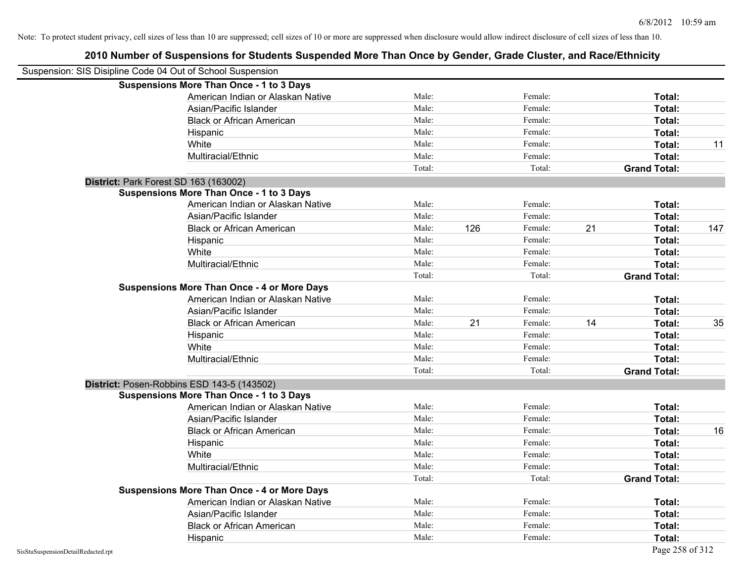| 2010 Number of Suspensions for Students Suspended More Than Once by Gender, Grade Cluster, and Race/Ethnicity |        |     |         |    |                     |     |
|---------------------------------------------------------------------------------------------------------------|--------|-----|---------|----|---------------------|-----|
| Suspension: SIS Disipline Code 04 Out of School Suspension                                                    |        |     |         |    |                     |     |
| <b>Suspensions More Than Once - 1 to 3 Days</b>                                                               |        |     |         |    |                     |     |
| American Indian or Alaskan Native                                                                             | Male:  |     | Female: |    | Total:              |     |
| Asian/Pacific Islander                                                                                        | Male:  |     | Female: |    | Total:              |     |
| <b>Black or African American</b>                                                                              | Male:  |     | Female: |    | Total:              |     |
| Hispanic                                                                                                      | Male:  |     | Female: |    | Total:              |     |
| White                                                                                                         | Male:  |     | Female: |    | Total:              | 11  |
| Multiracial/Ethnic                                                                                            | Male:  |     | Female: |    | Total:              |     |
|                                                                                                               | Total: |     | Total:  |    | <b>Grand Total:</b> |     |
| District: Park Forest SD 163 (163002)                                                                         |        |     |         |    |                     |     |
| <b>Suspensions More Than Once - 1 to 3 Days</b>                                                               |        |     |         |    |                     |     |
| American Indian or Alaskan Native                                                                             | Male:  |     | Female: |    | Total:              |     |
| Asian/Pacific Islander                                                                                        | Male:  |     | Female: |    | Total:              |     |
| <b>Black or African American</b>                                                                              | Male:  | 126 | Female: | 21 | Total:              | 147 |
| Hispanic                                                                                                      | Male:  |     | Female: |    | Total:              |     |
| White                                                                                                         | Male:  |     | Female: |    | Total:              |     |
| Multiracial/Ethnic                                                                                            | Male:  |     | Female: |    | Total:              |     |
|                                                                                                               | Total: |     | Total:  |    | <b>Grand Total:</b> |     |
| <b>Suspensions More Than Once - 4 or More Days</b>                                                            |        |     |         |    |                     |     |
| American Indian or Alaskan Native                                                                             | Male:  |     | Female: |    | Total:              |     |
| Asian/Pacific Islander                                                                                        | Male:  |     | Female: |    | Total:              |     |
| <b>Black or African American</b>                                                                              | Male:  | 21  | Female: | 14 | Total:              | 35  |
| Hispanic                                                                                                      | Male:  |     | Female: |    | Total:              |     |
| White                                                                                                         | Male:  |     | Female: |    | Total:              |     |
| Multiracial/Ethnic                                                                                            | Male:  |     | Female: |    | Total:              |     |
|                                                                                                               | Total: |     | Total:  |    | <b>Grand Total:</b> |     |
| District: Posen-Robbins ESD 143-5 (143502)                                                                    |        |     |         |    |                     |     |
| <b>Suspensions More Than Once - 1 to 3 Days</b>                                                               |        |     |         |    |                     |     |
| American Indian or Alaskan Native                                                                             | Male:  |     | Female: |    | Total:              |     |
| Asian/Pacific Islander                                                                                        | Male:  |     | Female: |    | Total:              |     |
| <b>Black or African American</b>                                                                              | Male:  |     | Female: |    | Total:              | 16  |
| Hispanic                                                                                                      | Male:  |     | Female: |    | Total:              |     |
| White                                                                                                         | Male:  |     | Female: |    | Total:              |     |
| Multiracial/Ethnic                                                                                            | Male:  |     | Female: |    | Total:              |     |
|                                                                                                               | Total: |     | Total:  |    | <b>Grand Total:</b> |     |
| <b>Suspensions More Than Once - 4 or More Days</b>                                                            |        |     |         |    |                     |     |
| American Indian or Alaskan Native                                                                             | Male:  |     | Female: |    | Total:              |     |
| Asian/Pacific Islander                                                                                        | Male:  |     | Female: |    | Total:              |     |
| <b>Black or African American</b>                                                                              | Male:  |     | Female: |    | Total:              |     |

Hispanic **Total:** Male: Female: **Total:** Female: **Total:** Total: **Total:** Female: **Total:** Total: **Total:** Total: **Total:** Total: **Total:** Total: **Total:** Total: **Total:** Total: **Total:** Total: **Total:** Total: **Total:** Tot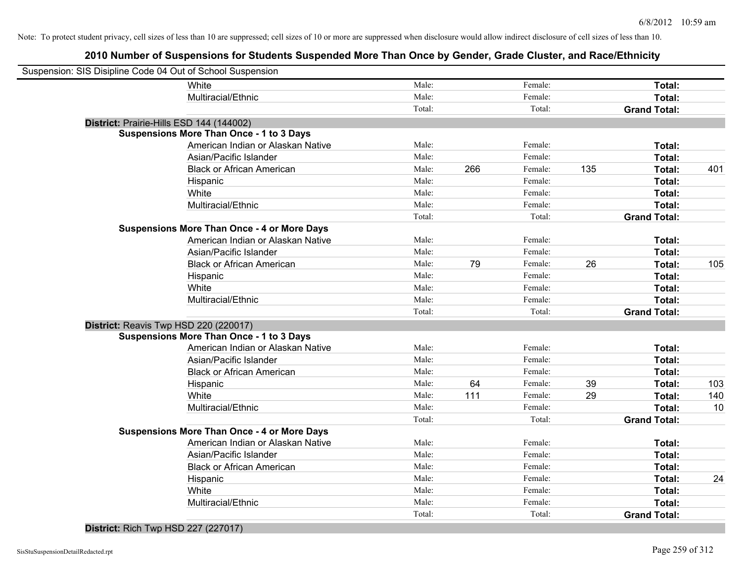| Suspension: SIS Disipline Code 04 Out of School Suspension |        |     |         |     |                     |     |
|------------------------------------------------------------|--------|-----|---------|-----|---------------------|-----|
| White                                                      | Male:  |     | Female: |     | Total:              |     |
| Multiracial/Ethnic                                         | Male:  |     | Female: |     | Total:              |     |
|                                                            | Total: |     | Total:  |     | <b>Grand Total:</b> |     |
| District: Prairie-Hills ESD 144 (144002)                   |        |     |         |     |                     |     |
| <b>Suspensions More Than Once - 1 to 3 Days</b>            |        |     |         |     |                     |     |
| American Indian or Alaskan Native                          | Male:  |     | Female: |     | Total:              |     |
| Asian/Pacific Islander                                     | Male:  |     | Female: |     | Total:              |     |
| <b>Black or African American</b>                           | Male:  | 266 | Female: | 135 | Total:              | 401 |
| Hispanic                                                   | Male:  |     | Female: |     | Total:              |     |
| White                                                      | Male:  |     | Female: |     | Total:              |     |
| Multiracial/Ethnic                                         | Male:  |     | Female: |     | Total:              |     |
|                                                            | Total: |     | Total:  |     | <b>Grand Total:</b> |     |
| <b>Suspensions More Than Once - 4 or More Days</b>         |        |     |         |     |                     |     |
| American Indian or Alaskan Native                          | Male:  |     | Female: |     | Total:              |     |
| Asian/Pacific Islander                                     | Male:  |     | Female: |     | Total:              |     |
| <b>Black or African American</b>                           | Male:  | 79  | Female: | 26  | Total:              | 105 |
| Hispanic                                                   | Male:  |     | Female: |     | Total:              |     |
| White                                                      | Male:  |     | Female: |     | Total:              |     |
| Multiracial/Ethnic                                         | Male:  |     | Female: |     | Total:              |     |
|                                                            | Total: |     | Total:  |     | <b>Grand Total:</b> |     |
| District: Reavis Twp HSD 220 (220017)                      |        |     |         |     |                     |     |
| <b>Suspensions More Than Once - 1 to 3 Days</b>            |        |     |         |     |                     |     |
| American Indian or Alaskan Native                          | Male:  |     | Female: |     | Total:              |     |
| Asian/Pacific Islander                                     | Male:  |     | Female: |     | Total:              |     |
| <b>Black or African American</b>                           | Male:  |     | Female: |     | Total:              |     |
| Hispanic                                                   | Male:  | 64  | Female: | 39  | Total:              | 103 |
| White                                                      | Male:  | 111 | Female: | 29  | Total:              | 140 |
| Multiracial/Ethnic                                         | Male:  |     | Female: |     | Total:              | 10  |
|                                                            | Total: |     | Total:  |     | <b>Grand Total:</b> |     |
| <b>Suspensions More Than Once - 4 or More Days</b>         |        |     |         |     |                     |     |
| American Indian or Alaskan Native                          | Male:  |     | Female: |     | Total:              |     |
| Asian/Pacific Islander                                     | Male:  |     | Female: |     | Total:              |     |
| <b>Black or African American</b>                           | Male:  |     | Female: |     | Total:              |     |
| Hispanic                                                   | Male:  |     | Female: |     | Total:              | 24  |
| White                                                      | Male:  |     | Female: |     | Total:              |     |
| Multiracial/Ethnic                                         | Male:  |     | Female: |     | Total:              |     |
|                                                            | Total: |     | Total:  |     | <b>Grand Total:</b> |     |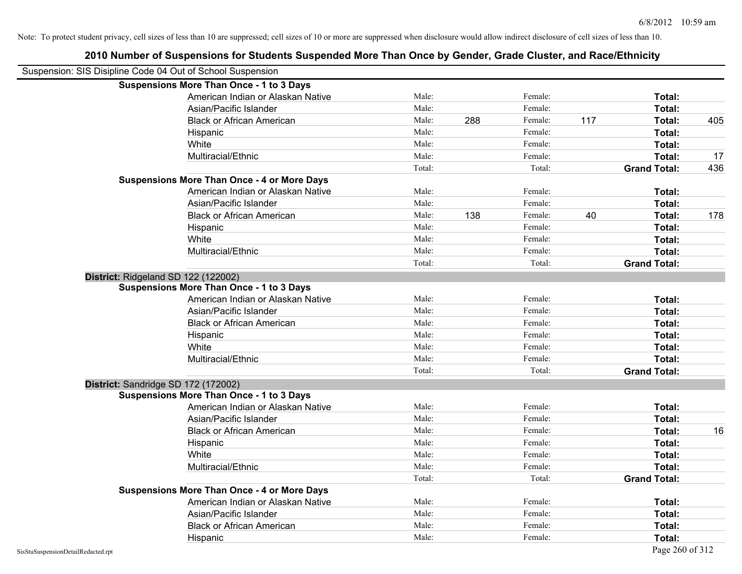|                                                            | 2010 Number of Suspensions for Students Suspended More Than Once by Gender, Grade Cluster, and Race/Ethnicity |        |     |         |     |                     |     |
|------------------------------------------------------------|---------------------------------------------------------------------------------------------------------------|--------|-----|---------|-----|---------------------|-----|
| Suspension: SIS Disipline Code 04 Out of School Suspension |                                                                                                               |        |     |         |     |                     |     |
|                                                            | <b>Suspensions More Than Once - 1 to 3 Days</b>                                                               |        |     |         |     |                     |     |
|                                                            | American Indian or Alaskan Native                                                                             | Male:  |     | Female: |     | Total:              |     |
|                                                            | Asian/Pacific Islander                                                                                        | Male:  |     | Female: |     | Total:              |     |
|                                                            | <b>Black or African American</b>                                                                              | Male:  | 288 | Female: | 117 | Total:              | 405 |
|                                                            | Hispanic                                                                                                      | Male:  |     | Female: |     | Total:              |     |
|                                                            | White                                                                                                         | Male:  |     | Female: |     | Total:              |     |
|                                                            | Multiracial/Ethnic                                                                                            | Male:  |     | Female: |     | Total:              | 17  |
|                                                            |                                                                                                               | Total: |     | Total:  |     | <b>Grand Total:</b> | 436 |
|                                                            | <b>Suspensions More Than Once - 4 or More Days</b>                                                            |        |     |         |     |                     |     |
|                                                            | American Indian or Alaskan Native                                                                             | Male:  |     | Female: |     | Total:              |     |
|                                                            | Asian/Pacific Islander                                                                                        | Male:  |     | Female: |     | Total:              |     |
|                                                            | <b>Black or African American</b>                                                                              | Male:  | 138 | Female: | 40  | Total:              | 178 |
|                                                            | Hispanic                                                                                                      | Male:  |     | Female: |     | Total:              |     |
|                                                            | White                                                                                                         | Male:  |     | Female: |     | Total:              |     |
|                                                            | Multiracial/Ethnic                                                                                            | Male:  |     | Female: |     | Total:              |     |
|                                                            |                                                                                                               | Total: |     | Total:  |     | <b>Grand Total:</b> |     |
|                                                            | District: Ridgeland SD 122 (122002)                                                                           |        |     |         |     |                     |     |
|                                                            | <b>Suspensions More Than Once - 1 to 3 Days</b>                                                               |        |     |         |     |                     |     |
|                                                            | American Indian or Alaskan Native                                                                             | Male:  |     | Female: |     | Total:              |     |
|                                                            | Asian/Pacific Islander                                                                                        | Male:  |     | Female: |     | Total:              |     |
|                                                            | <b>Black or African American</b>                                                                              | Male:  |     | Female: |     | Total:              |     |
|                                                            | Hispanic                                                                                                      | Male:  |     | Female: |     | Total:              |     |
|                                                            | White                                                                                                         | Male:  |     | Female: |     | Total:              |     |
|                                                            | Multiracial/Ethnic                                                                                            | Male:  |     | Female: |     | Total:              |     |
|                                                            |                                                                                                               | Total: |     | Total:  |     | <b>Grand Total:</b> |     |
|                                                            | District: Sandridge SD 172 (172002)                                                                           |        |     |         |     |                     |     |
|                                                            | <b>Suspensions More Than Once - 1 to 3 Days</b>                                                               |        |     |         |     |                     |     |
|                                                            | American Indian or Alaskan Native                                                                             | Male:  |     | Female: |     | Total:              |     |
|                                                            | Asian/Pacific Islander                                                                                        | Male:  |     | Female: |     | Total:              |     |
|                                                            | <b>Black or African American</b>                                                                              | Male:  |     | Female: |     | Total:              | 16  |
|                                                            | Hispanic                                                                                                      | Male:  |     | Female: |     | Total:              |     |
|                                                            | White                                                                                                         | Male:  |     | Female: |     | Total:              |     |
|                                                            | Multiracial/Ethnic                                                                                            | Male:  |     | Female: |     | Total:              |     |
|                                                            |                                                                                                               | Total: |     | Total:  |     | <b>Grand Total:</b> |     |
|                                                            | <b>Suspensions More Than Once - 4 or More Days</b>                                                            |        |     |         |     |                     |     |
|                                                            | American Indian or Alaskan Native                                                                             | Male:  |     | Female: |     | Total:              |     |
|                                                            | Asian/Pacific Islander                                                                                        | Male:  |     | Female: |     | Total:              |     |
|                                                            | <b>Black or African American</b>                                                                              | Male:  |     | Female: |     | Total:              |     |
|                                                            | Hispanic                                                                                                      | Male:  |     | Female: |     | Total:              |     |

#### SisStuSuspensionDetailRedacted.rpt Page 260 of 312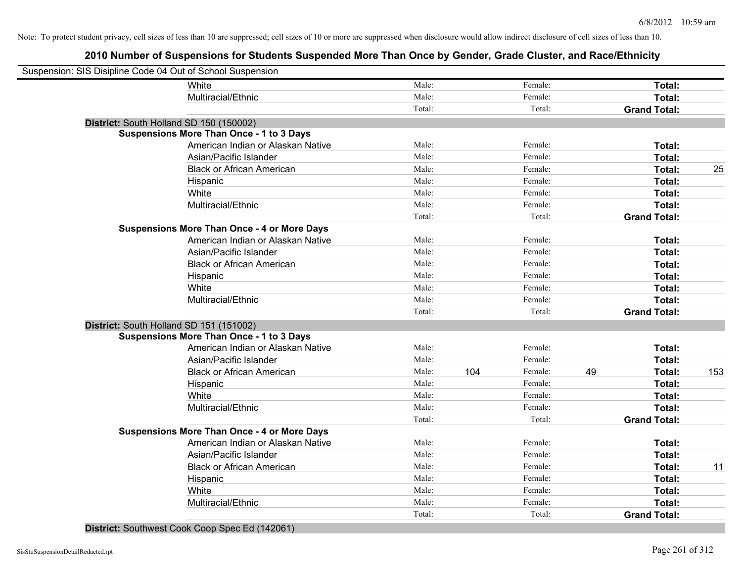## **2010 Number of Suspensions for Students Suspended More Than Once by Gender, Grade Cluster, and Race/Ethnicity**

| Suspension: SIS Disipline Code 04 Out of School Suspension |                                                    |        |                |                     |               |
|------------------------------------------------------------|----------------------------------------------------|--------|----------------|---------------------|---------------|
|                                                            | White                                              | Male:  | Female:        |                     | Total:        |
|                                                            | Multiracial/Ethnic                                 | Male:  | Female:        |                     | Total:        |
|                                                            |                                                    | Total: | Total:         | <b>Grand Total:</b> |               |
| District: South Holland SD 150 (150002)                    |                                                    |        |                |                     |               |
|                                                            | <b>Suspensions More Than Once - 1 to 3 Days</b>    |        |                |                     |               |
|                                                            | American Indian or Alaskan Native                  | Male:  | Female:        |                     | Total:        |
|                                                            | Asian/Pacific Islander                             | Male:  | Female:        |                     | Total:        |
|                                                            | <b>Black or African American</b>                   | Male:  | Female:        |                     | 25<br>Total:  |
|                                                            | Hispanic                                           | Male:  | Female:        |                     | Total:        |
|                                                            | White                                              | Male:  | Female:        |                     | Total:        |
|                                                            | Multiracial/Ethnic                                 | Male:  | Female:        |                     | Total:        |
|                                                            |                                                    | Total: | Total:         | <b>Grand Total:</b> |               |
|                                                            | <b>Suspensions More Than Once - 4 or More Days</b> |        |                |                     |               |
|                                                            | American Indian or Alaskan Native                  | Male:  | Female:        |                     | Total:        |
|                                                            | Asian/Pacific Islander                             | Male:  | Female:        |                     | Total:        |
|                                                            | <b>Black or African American</b>                   | Male:  | Female:        |                     | Total:        |
|                                                            | Hispanic                                           | Male:  | Female:        |                     | Total:        |
|                                                            | White                                              | Male:  | Female:        |                     | Total:        |
|                                                            | Multiracial/Ethnic                                 | Male:  | Female:        |                     | Total:        |
|                                                            |                                                    | Total: | Total:         | <b>Grand Total:</b> |               |
| District: South Holland SD 151 (151002)                    |                                                    |        |                |                     |               |
|                                                            | <b>Suspensions More Than Once - 1 to 3 Days</b>    |        |                |                     |               |
|                                                            | American Indian or Alaskan Native                  | Male:  | Female:        |                     | Total:        |
|                                                            | Asian/Pacific Islander                             | Male:  | Female:        |                     | Total:        |
|                                                            | <b>Black or African American</b>                   | Male:  | 104<br>Female: | 49                  | 153<br>Total: |
|                                                            | Hispanic                                           | Male:  | Female:        |                     | Total:        |
|                                                            | White                                              | Male:  | Female:        |                     | Total:        |
|                                                            | Multiracial/Ethnic                                 | Male:  | Female:        |                     | Total:        |
|                                                            |                                                    | Total: | Total:         | <b>Grand Total:</b> |               |
|                                                            | <b>Suspensions More Than Once - 4 or More Days</b> |        |                |                     |               |
|                                                            | American Indian or Alaskan Native                  | Male:  | Female:        |                     | Total:        |
|                                                            | Asian/Pacific Islander                             | Male:  | Female:        |                     | Total:        |
|                                                            | <b>Black or African American</b>                   | Male:  | Female:        |                     | Total:<br>11  |
|                                                            | Hispanic                                           | Male:  | Female:        |                     | Total:        |
|                                                            | White                                              | Male:  | Female:        |                     | Total:        |
|                                                            | Multiracial/Ethnic                                 | Male:  | Female:        |                     | Total:        |
|                                                            |                                                    | Total: | Total:         | <b>Grand Total:</b> |               |
|                                                            |                                                    |        |                |                     |               |

**District:** Southwest Cook Coop Spec Ed (142061)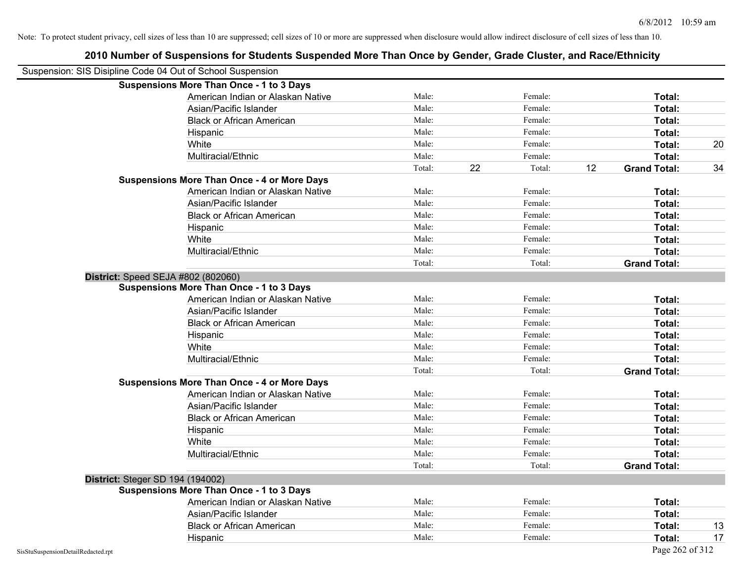| Suspension: SIS Disipline Code 04 Out of School Suspension |                                                    |        |              |                           |    |
|------------------------------------------------------------|----------------------------------------------------|--------|--------------|---------------------------|----|
|                                                            | <b>Suspensions More Than Once - 1 to 3 Days</b>    |        |              |                           |    |
|                                                            | American Indian or Alaskan Native                  | Male:  | Female:      | Total:                    |    |
|                                                            | Asian/Pacific Islander                             | Male:  | Female:      | Total:                    |    |
|                                                            | <b>Black or African American</b>                   | Male:  | Female:      | Total:                    |    |
|                                                            | Hispanic                                           | Male:  | Female:      | Total:                    |    |
|                                                            | White                                              | Male:  | Female:      | Total:                    | 20 |
|                                                            | Multiracial/Ethnic                                 | Male:  | Female:      | Total:                    |    |
|                                                            |                                                    | Total: | 22<br>Total: | <b>Grand Total:</b><br>12 | 34 |
|                                                            | <b>Suspensions More Than Once - 4 or More Days</b> |        |              |                           |    |
|                                                            | American Indian or Alaskan Native                  | Male:  | Female:      | Total:                    |    |
|                                                            | Asian/Pacific Islander                             | Male:  | Female:      | Total:                    |    |
|                                                            | <b>Black or African American</b>                   | Male:  | Female:      | Total:                    |    |
|                                                            | Hispanic                                           | Male:  | Female:      | Total:                    |    |
|                                                            | White                                              | Male:  | Female:      | Total:                    |    |
|                                                            | Multiracial/Ethnic                                 | Male:  | Female:      | <b>Total:</b>             |    |
|                                                            |                                                    | Total: | Total:       | <b>Grand Total:</b>       |    |
| District: Speed SEJA #802 (802060)                         |                                                    |        |              |                           |    |
|                                                            | <b>Suspensions More Than Once - 1 to 3 Days</b>    |        |              |                           |    |
|                                                            | American Indian or Alaskan Native                  | Male:  | Female:      | Total:                    |    |
|                                                            | Asian/Pacific Islander                             | Male:  | Female:      | Total:                    |    |
|                                                            | <b>Black or African American</b>                   | Male:  | Female:      | Total:                    |    |
|                                                            | Hispanic                                           | Male:  | Female:      | Total:                    |    |
|                                                            | White                                              | Male:  | Female:      | Total:                    |    |
|                                                            | Multiracial/Ethnic                                 | Male:  | Female:      | Total:                    |    |
|                                                            |                                                    | Total: | Total:       | <b>Grand Total:</b>       |    |
|                                                            | <b>Suspensions More Than Once - 4 or More Days</b> |        |              |                           |    |
|                                                            | American Indian or Alaskan Native                  | Male:  | Female:      | Total:                    |    |
|                                                            | Asian/Pacific Islander                             | Male:  | Female:      | Total:                    |    |
|                                                            | <b>Black or African American</b>                   | Male:  | Female:      | Total:                    |    |
|                                                            | Hispanic                                           | Male:  | Female:      | Total:                    |    |
|                                                            | White                                              | Male:  | Female:      | Total:                    |    |
|                                                            | Multiracial/Ethnic                                 | Male:  | Female:      | Total:                    |    |
|                                                            |                                                    | Total: | Total:       | <b>Grand Total:</b>       |    |
| <b>District: Steger SD 194 (194002)</b>                    |                                                    |        |              |                           |    |
|                                                            | <b>Suspensions More Than Once - 1 to 3 Days</b>    |        |              |                           |    |
|                                                            | American Indian or Alaskan Native                  | Male:  | Female:      | Total:                    |    |
|                                                            | Asian/Pacific Islander                             | Male:  | Female:      | Total:                    |    |
|                                                            | <b>Black or African American</b>                   | Male:  | Female:      | Total:                    | 13 |
|                                                            | Hispanic                                           | Male:  | Female:      | Total:                    | 17 |
| SisStuSuspensionDetailRedacted.rpt                         |                                                    |        |              | Page 262 of 312           |    |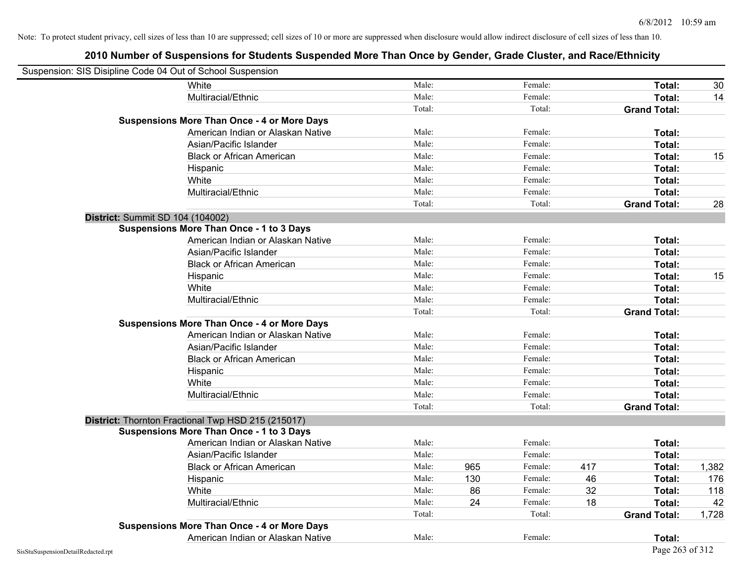| Suspension: SIS Disipline Code 04 Out of School Suspension |                                                    |        |     |         |     |                     |       |
|------------------------------------------------------------|----------------------------------------------------|--------|-----|---------|-----|---------------------|-------|
|                                                            | White                                              | Male:  |     | Female: |     | Total:              | 30    |
|                                                            | Multiracial/Ethnic                                 | Male:  |     | Female: |     | Total:              | 14    |
|                                                            |                                                    | Total: |     | Total:  |     | <b>Grand Total:</b> |       |
|                                                            | <b>Suspensions More Than Once - 4 or More Days</b> |        |     |         |     |                     |       |
|                                                            | American Indian or Alaskan Native                  | Male:  |     | Female: |     | Total:              |       |
|                                                            | Asian/Pacific Islander                             | Male:  |     | Female: |     | Total:              |       |
|                                                            | <b>Black or African American</b>                   | Male:  |     | Female: |     | Total:              | 15    |
|                                                            | Hispanic                                           | Male:  |     | Female: |     | Total:              |       |
|                                                            | White                                              | Male:  |     | Female: |     | Total:              |       |
|                                                            | Multiracial/Ethnic                                 | Male:  |     | Female: |     | Total:              |       |
|                                                            |                                                    | Total: |     | Total:  |     | <b>Grand Total:</b> | 28    |
|                                                            | District: Summit SD 104 (104002)                   |        |     |         |     |                     |       |
|                                                            | <b>Suspensions More Than Once - 1 to 3 Days</b>    |        |     |         |     |                     |       |
|                                                            | American Indian or Alaskan Native                  | Male:  |     | Female: |     | Total:              |       |
|                                                            | Asian/Pacific Islander                             | Male:  |     | Female: |     | Total:              |       |
|                                                            | <b>Black or African American</b>                   | Male:  |     | Female: |     | Total:              |       |
|                                                            | Hispanic                                           | Male:  |     | Female: |     | Total:              | 15    |
|                                                            | White                                              | Male:  |     | Female: |     | Total:              |       |
|                                                            | Multiracial/Ethnic                                 | Male:  |     | Female: |     | Total:              |       |
|                                                            |                                                    | Total: |     | Total:  |     | <b>Grand Total:</b> |       |
|                                                            | <b>Suspensions More Than Once - 4 or More Days</b> |        |     |         |     |                     |       |
|                                                            | American Indian or Alaskan Native                  | Male:  |     | Female: |     | Total:              |       |
|                                                            | Asian/Pacific Islander                             | Male:  |     | Female: |     | Total:              |       |
|                                                            | <b>Black or African American</b>                   | Male:  |     | Female: |     | Total:              |       |
|                                                            | Hispanic                                           | Male:  |     | Female: |     | Total:              |       |
|                                                            | White                                              | Male:  |     | Female: |     | Total:              |       |
|                                                            | Multiracial/Ethnic                                 | Male:  |     | Female: |     | Total:              |       |
|                                                            |                                                    | Total: |     | Total:  |     | <b>Grand Total:</b> |       |
|                                                            | District: Thornton Fractional Twp HSD 215 (215017) |        |     |         |     |                     |       |
|                                                            | <b>Suspensions More Than Once - 1 to 3 Days</b>    |        |     |         |     |                     |       |
|                                                            | American Indian or Alaskan Native                  | Male:  |     | Female: |     | Total:              |       |
|                                                            | Asian/Pacific Islander                             | Male:  |     | Female: |     | Total:              |       |
|                                                            | <b>Black or African American</b>                   | Male:  | 965 | Female: | 417 | Total:              | 1,382 |
|                                                            | Hispanic                                           | Male:  | 130 | Female: | 46  | Total:              | 176   |
|                                                            | White                                              | Male:  | 86  | Female: | 32  | Total:              | 118   |
|                                                            | Multiracial/Ethnic                                 | Male:  | 24  | Female: | 18  | Total:              | 42    |
|                                                            |                                                    | Total: |     | Total:  |     | <b>Grand Total:</b> | 1,728 |
|                                                            | <b>Suspensions More Than Once - 4 or More Days</b> |        |     |         |     |                     |       |
|                                                            | American Indian or Alaskan Native                  | Male:  |     | Female: |     | Total:              |       |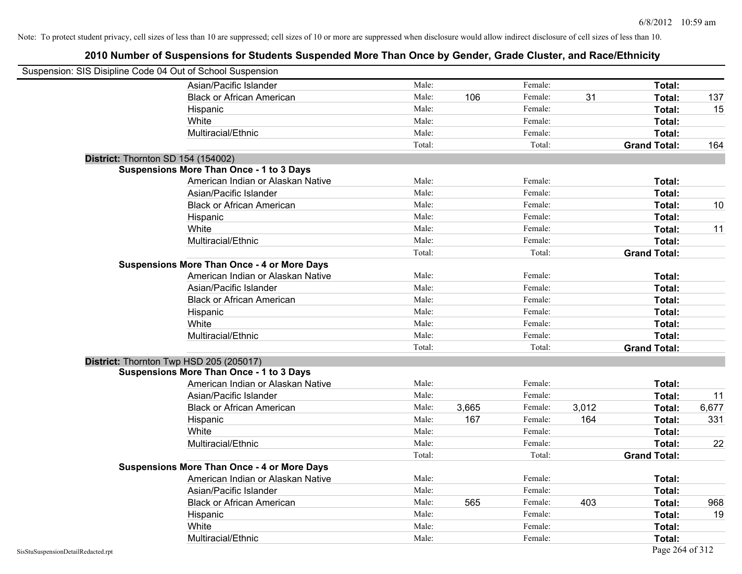| Suspension: SIS Disipline Code 04 Out of School Suspension |                                                    |        |       |         |       |                     |       |
|------------------------------------------------------------|----------------------------------------------------|--------|-------|---------|-------|---------------------|-------|
|                                                            | Asian/Pacific Islander                             | Male:  |       | Female: |       | Total:              |       |
|                                                            | <b>Black or African American</b>                   | Male:  | 106   | Female: | 31    | Total:              | 137   |
|                                                            | Hispanic                                           | Male:  |       | Female: |       | Total:              | 15    |
|                                                            | White                                              | Male:  |       | Female: |       | Total:              |       |
|                                                            | Multiracial/Ethnic                                 | Male:  |       | Female: |       | Total:              |       |
|                                                            |                                                    | Total: |       | Total:  |       | <b>Grand Total:</b> | 164   |
| District: Thornton SD 154 (154002)                         |                                                    |        |       |         |       |                     |       |
|                                                            | <b>Suspensions More Than Once - 1 to 3 Days</b>    |        |       |         |       |                     |       |
|                                                            | American Indian or Alaskan Native                  | Male:  |       | Female: |       | Total:              |       |
|                                                            | Asian/Pacific Islander                             | Male:  |       | Female: |       | Total:              |       |
|                                                            | <b>Black or African American</b>                   | Male:  |       | Female: |       | Total:              | 10    |
|                                                            | Hispanic                                           | Male:  |       | Female: |       | Total:              |       |
|                                                            | White                                              | Male:  |       | Female: |       | Total:              | 11    |
|                                                            | Multiracial/Ethnic                                 | Male:  |       | Female: |       | Total:              |       |
|                                                            |                                                    | Total: |       | Total:  |       | <b>Grand Total:</b> |       |
|                                                            | <b>Suspensions More Than Once - 4 or More Days</b> |        |       |         |       |                     |       |
|                                                            | American Indian or Alaskan Native                  | Male:  |       | Female: |       | Total:              |       |
|                                                            | Asian/Pacific Islander                             | Male:  |       | Female: |       | Total:              |       |
|                                                            | <b>Black or African American</b>                   | Male:  |       | Female: |       | Total:              |       |
|                                                            | Hispanic                                           | Male:  |       | Female: |       | Total:              |       |
|                                                            | White                                              | Male:  |       | Female: |       | Total:              |       |
|                                                            | Multiracial/Ethnic                                 | Male:  |       | Female: |       | Total:              |       |
|                                                            |                                                    | Total: |       | Total:  |       | <b>Grand Total:</b> |       |
|                                                            | District: Thornton Twp HSD 205 (205017)            |        |       |         |       |                     |       |
|                                                            | <b>Suspensions More Than Once - 1 to 3 Days</b>    |        |       |         |       |                     |       |
|                                                            | American Indian or Alaskan Native                  | Male:  |       | Female: |       | Total:              |       |
|                                                            | Asian/Pacific Islander                             | Male:  |       | Female: |       | Total:              | 11    |
|                                                            | <b>Black or African American</b>                   | Male:  | 3,665 | Female: | 3,012 | Total:              | 6,677 |
|                                                            | Hispanic                                           | Male:  | 167   | Female: | 164   | Total:              | 331   |
|                                                            | White                                              | Male:  |       | Female: |       | Total:              |       |
|                                                            | Multiracial/Ethnic                                 | Male:  |       | Female: |       | Total:              | 22    |
|                                                            |                                                    | Total: |       | Total:  |       | <b>Grand Total:</b> |       |
|                                                            | <b>Suspensions More Than Once - 4 or More Days</b> |        |       |         |       |                     |       |
|                                                            | American Indian or Alaskan Native                  | Male:  |       | Female: |       | Total:              |       |
|                                                            | Asian/Pacific Islander                             | Male:  |       | Female: |       | Total:              |       |
|                                                            | <b>Black or African American</b>                   | Male:  | 565   | Female: | 403   | Total:              | 968   |
|                                                            | Hispanic                                           | Male:  |       | Female: |       | Total:              | 19    |
|                                                            | White                                              | Male:  |       | Female: |       | Total:              |       |
|                                                            | Multiracial/Ethnic                                 | Male:  |       | Female: |       | Total:              |       |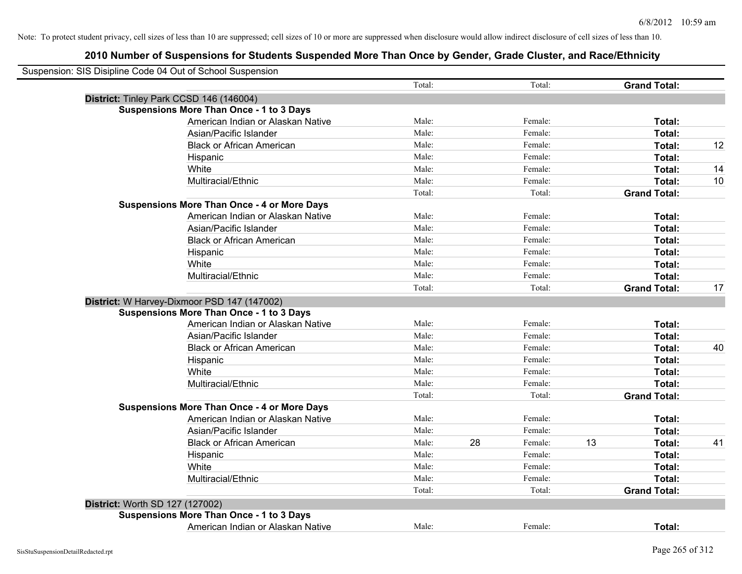| District: Tinley Park CCSD 146 (146004)<br><b>Suspensions More Than Once - 1 to 3 Days</b><br>American Indian or Alaskan Native | Total:<br>Male: |    | Total:  |    | <b>Grand Total:</b> |    |
|---------------------------------------------------------------------------------------------------------------------------------|-----------------|----|---------|----|---------------------|----|
|                                                                                                                                 |                 |    |         |    |                     |    |
|                                                                                                                                 |                 |    |         |    |                     |    |
|                                                                                                                                 |                 |    |         |    |                     |    |
|                                                                                                                                 |                 |    | Female: |    | Total:              |    |
| Asian/Pacific Islander                                                                                                          | Male:           |    | Female: |    | Total:              |    |
| <b>Black or African American</b>                                                                                                | Male:           |    | Female: |    | Total:              | 12 |
| Hispanic                                                                                                                        | Male:           |    | Female: |    | Total:              |    |
| White                                                                                                                           | Male:           |    | Female: |    | Total:              | 14 |
| Multiracial/Ethnic                                                                                                              | Male:           |    | Female: |    | Total:              | 10 |
|                                                                                                                                 | Total:          |    | Total:  |    | <b>Grand Total:</b> |    |
| <b>Suspensions More Than Once - 4 or More Days</b>                                                                              |                 |    |         |    |                     |    |
| American Indian or Alaskan Native                                                                                               | Male:           |    | Female: |    | Total:              |    |
| Asian/Pacific Islander                                                                                                          | Male:           |    | Female: |    | Total:              |    |
| <b>Black or African American</b>                                                                                                | Male:           |    | Female: |    | Total:              |    |
| Hispanic                                                                                                                        | Male:           |    | Female: |    | Total:              |    |
| White                                                                                                                           | Male:           |    | Female: |    | Total:              |    |
| Multiracial/Ethnic                                                                                                              | Male:           |    | Female: |    | Total:              |    |
|                                                                                                                                 | Total:          |    | Total:  |    | <b>Grand Total:</b> | 17 |
| District: W Harvey-Dixmoor PSD 147 (147002)                                                                                     |                 |    |         |    |                     |    |
| <b>Suspensions More Than Once - 1 to 3 Days</b>                                                                                 |                 |    |         |    |                     |    |
| American Indian or Alaskan Native                                                                                               | Male:           |    | Female: |    | Total:              |    |
| Asian/Pacific Islander                                                                                                          | Male:           |    | Female: |    | Total:              |    |
| <b>Black or African American</b>                                                                                                | Male:           |    | Female: |    | Total:              | 40 |
| Hispanic                                                                                                                        | Male:           |    | Female: |    | Total:              |    |
| White                                                                                                                           | Male:           |    | Female: |    | Total:              |    |
| Multiracial/Ethnic                                                                                                              | Male:           |    | Female: |    | Total:              |    |
|                                                                                                                                 | Total:          |    | Total:  |    | <b>Grand Total:</b> |    |
| <b>Suspensions More Than Once - 4 or More Days</b>                                                                              |                 |    |         |    |                     |    |
| American Indian or Alaskan Native                                                                                               | Male:           |    | Female: |    | Total:              |    |
| Asian/Pacific Islander                                                                                                          | Male:           |    | Female: |    | Total:              |    |
| <b>Black or African American</b>                                                                                                | Male:           | 28 | Female: | 13 | Total:              | 41 |
| Hispanic                                                                                                                        | Male:           |    | Female: |    | Total:              |    |
| White                                                                                                                           | Male:           |    | Female: |    | Total:              |    |
| Multiracial/Ethnic                                                                                                              | Male:           |    | Female: |    | Total:              |    |
|                                                                                                                                 | Total:          |    | Total:  |    | <b>Grand Total:</b> |    |
| District: Worth SD 127 (127002)                                                                                                 |                 |    |         |    |                     |    |
| <b>Suspensions More Than Once - 1 to 3 Days</b>                                                                                 |                 |    |         |    |                     |    |
| American Indian or Alaskan Native                                                                                               | Male:           |    | Female: |    | Total:              |    |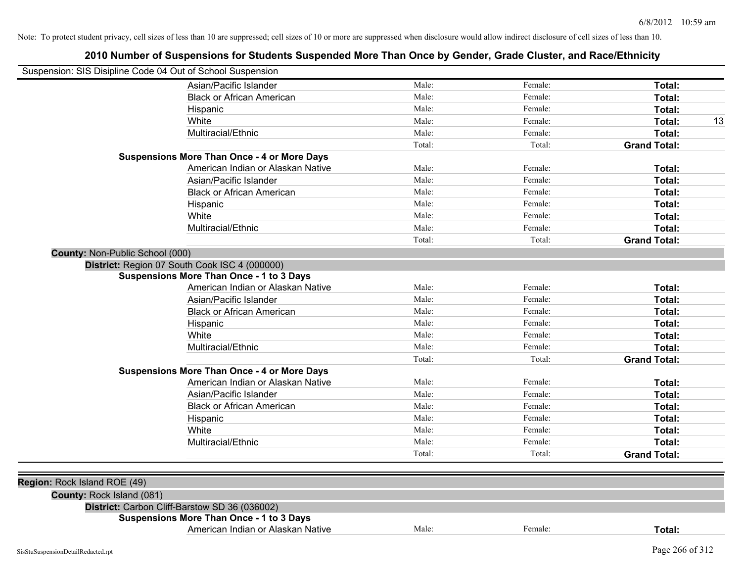| Suspension: SIS Disipline Code 04 Out of School Suspension |                                                    |        |         |                     |
|------------------------------------------------------------|----------------------------------------------------|--------|---------|---------------------|
|                                                            | Asian/Pacific Islander                             | Male:  | Female: | Total:              |
|                                                            | <b>Black or African American</b>                   | Male:  | Female: | Total:              |
|                                                            | Hispanic                                           | Male:  | Female: | Total:              |
|                                                            | White                                              | Male:  | Female: | Total:<br>13        |
|                                                            | Multiracial/Ethnic                                 | Male:  | Female: | Total:              |
|                                                            |                                                    | Total: | Total:  | <b>Grand Total:</b> |
|                                                            | <b>Suspensions More Than Once - 4 or More Days</b> |        |         |                     |
|                                                            | American Indian or Alaskan Native                  | Male:  | Female: | Total:              |
|                                                            | Asian/Pacific Islander                             | Male:  | Female: | Total:              |
|                                                            | <b>Black or African American</b>                   | Male:  | Female: | Total:              |
|                                                            | Hispanic                                           | Male:  | Female: | Total:              |
|                                                            | White                                              | Male:  | Female: | Total:              |
|                                                            | Multiracial/Ethnic                                 | Male:  | Female: | Total:              |
|                                                            |                                                    | Total: | Total:  | <b>Grand Total:</b> |
| County: Non-Public School (000)                            |                                                    |        |         |                     |
|                                                            | District: Region 07 South Cook ISC 4 (000000)      |        |         |                     |
|                                                            | Suspensions More Than Once - 1 to 3 Days           |        |         |                     |
|                                                            | American Indian or Alaskan Native                  | Male:  | Female: | Total:              |
|                                                            | Asian/Pacific Islander                             | Male:  | Female: | Total:              |
|                                                            | <b>Black or African American</b>                   | Male:  | Female: | Total:              |
|                                                            | Hispanic                                           | Male:  | Female: | Total:              |
|                                                            | White                                              | Male:  | Female: | Total:              |
|                                                            | Multiracial/Ethnic                                 | Male:  | Female: | Total:              |
|                                                            |                                                    | Total: | Total:  | <b>Grand Total:</b> |
|                                                            | <b>Suspensions More Than Once - 4 or More Days</b> |        |         |                     |
|                                                            | American Indian or Alaskan Native                  | Male:  | Female: | Total:              |
|                                                            | Asian/Pacific Islander                             | Male:  | Female: | Total:              |
|                                                            | <b>Black or African American</b>                   | Male:  | Female: | Total:              |
|                                                            | Hispanic                                           | Male:  | Female: | Total:              |
|                                                            | White                                              | Male:  | Female: | Total:              |
|                                                            | Multiracial/Ethnic                                 | Male:  | Female: | Total:              |
|                                                            |                                                    | Total: | Total:  | <b>Grand Total:</b> |
|                                                            |                                                    |        |         |                     |
| Region: Rock Island ROE (49)                               |                                                    |        |         |                     |
| County: Rock Island (081)                                  |                                                    |        |         |                     |
|                                                            | District: Carbon Cliff-Barstow SD 36 (036002)      |        |         |                     |
|                                                            | <b>Suspensions More Than Once - 1 to 3 Days</b>    |        |         |                     |
|                                                            | American Indian or Alaskan Native                  | Male:  | Female: | Total:              |
|                                                            |                                                    |        |         |                     |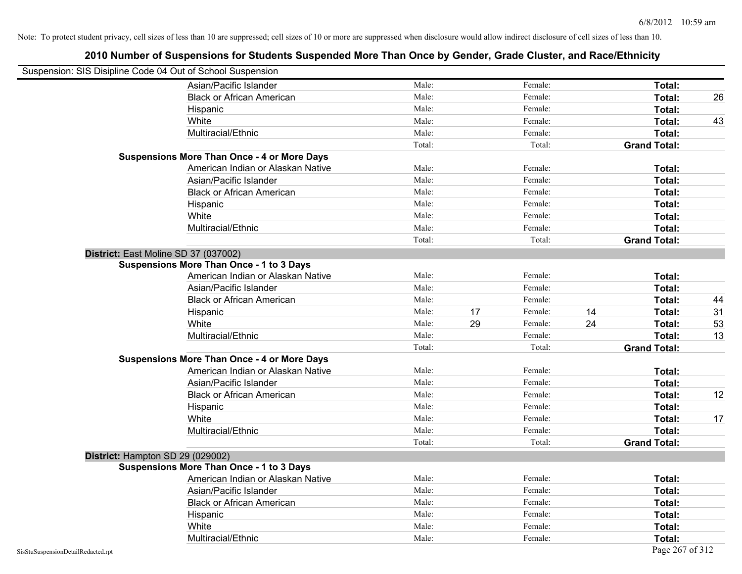| Suspension: SIS Disipline Code 04 Out of School Suspension |                                                    |        |    |         |    |                     |    |
|------------------------------------------------------------|----------------------------------------------------|--------|----|---------|----|---------------------|----|
|                                                            | Asian/Pacific Islander                             | Male:  |    | Female: |    | Total:              |    |
|                                                            | <b>Black or African American</b>                   | Male:  |    | Female: |    | Total:              | 26 |
|                                                            | Hispanic                                           | Male:  |    | Female: |    | Total:              |    |
|                                                            | White                                              | Male:  |    | Female: |    | Total:              | 43 |
|                                                            | Multiracial/Ethnic                                 | Male:  |    | Female: |    | Total:              |    |
|                                                            |                                                    | Total: |    | Total:  |    | <b>Grand Total:</b> |    |
|                                                            | <b>Suspensions More Than Once - 4 or More Days</b> |        |    |         |    |                     |    |
|                                                            | American Indian or Alaskan Native                  | Male:  |    | Female: |    | Total:              |    |
|                                                            | Asian/Pacific Islander                             | Male:  |    | Female: |    | Total:              |    |
|                                                            | <b>Black or African American</b>                   | Male:  |    | Female: |    | Total:              |    |
|                                                            | Hispanic                                           | Male:  |    | Female: |    | Total:              |    |
|                                                            | White                                              | Male:  |    | Female: |    | Total:              |    |
|                                                            | Multiracial/Ethnic                                 | Male:  |    | Female: |    | Total:              |    |
|                                                            |                                                    | Total: |    | Total:  |    | <b>Grand Total:</b> |    |
| District: East Moline SD 37 (037002)                       |                                                    |        |    |         |    |                     |    |
|                                                            | <b>Suspensions More Than Once - 1 to 3 Days</b>    |        |    |         |    |                     |    |
|                                                            | American Indian or Alaskan Native                  | Male:  |    | Female: |    | Total:              |    |
|                                                            | Asian/Pacific Islander                             | Male:  |    | Female: |    | Total:              |    |
|                                                            | <b>Black or African American</b>                   | Male:  |    | Female: |    | Total:              | 44 |
|                                                            | Hispanic                                           | Male:  | 17 | Female: | 14 | Total:              | 31 |
|                                                            | White                                              | Male:  | 29 | Female: | 24 | Total:              | 53 |
|                                                            | Multiracial/Ethnic                                 | Male:  |    | Female: |    | Total:              | 13 |
|                                                            |                                                    | Total: |    | Total:  |    | <b>Grand Total:</b> |    |
|                                                            | <b>Suspensions More Than Once - 4 or More Days</b> |        |    |         |    |                     |    |
|                                                            | American Indian or Alaskan Native                  | Male:  |    | Female: |    | Total:              |    |
|                                                            | Asian/Pacific Islander                             | Male:  |    | Female: |    | Total:              |    |
|                                                            | <b>Black or African American</b>                   | Male:  |    | Female: |    | Total:              | 12 |
|                                                            | Hispanic                                           | Male:  |    | Female: |    | Total:              |    |
|                                                            | White                                              | Male:  |    | Female: |    | Total:              | 17 |
|                                                            | Multiracial/Ethnic                                 | Male:  |    | Female: |    | Total:              |    |
|                                                            |                                                    | Total: |    | Total:  |    | <b>Grand Total:</b> |    |
| District: Hampton SD 29 (029002)                           |                                                    |        |    |         |    |                     |    |
|                                                            | <b>Suspensions More Than Once - 1 to 3 Days</b>    |        |    |         |    |                     |    |
|                                                            | American Indian or Alaskan Native                  | Male:  |    | Female: |    | Total:              |    |
|                                                            | Asian/Pacific Islander                             | Male:  |    | Female: |    | Total:              |    |
|                                                            | <b>Black or African American</b>                   | Male:  |    | Female: |    | Total:              |    |
|                                                            | Hispanic                                           | Male:  |    | Female: |    | Total:              |    |
|                                                            | White                                              | Male:  |    | Female: |    | Total:              |    |
|                                                            | Multiracial/Ethnic                                 | Male:  |    | Female: |    | Total:              |    |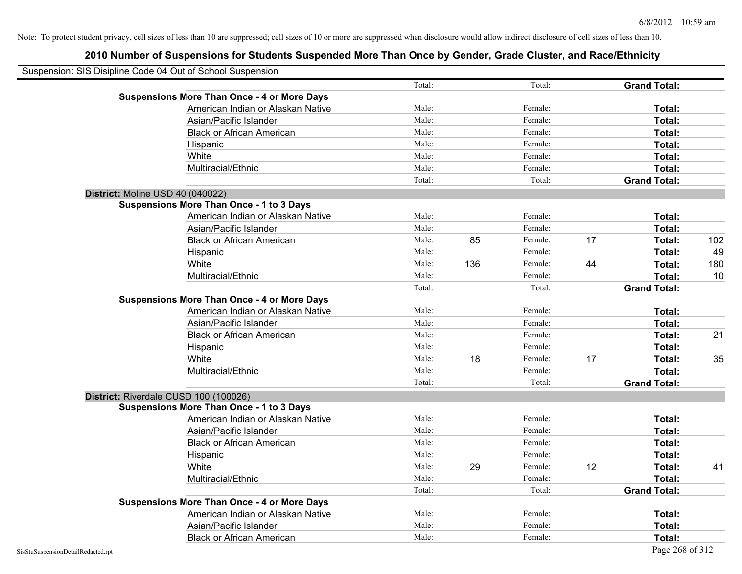| Suspension: SIS Disipline Code 04 Out of School Suspension |        |     |         |    |                     |     |
|------------------------------------------------------------|--------|-----|---------|----|---------------------|-----|
|                                                            | Total: |     | Total:  |    | <b>Grand Total:</b> |     |
| <b>Suspensions More Than Once - 4 or More Days</b>         |        |     |         |    |                     |     |
| American Indian or Alaskan Native                          | Male:  |     | Female: |    | Total:              |     |
| Asian/Pacific Islander                                     | Male:  |     | Female: |    | Total:              |     |
| <b>Black or African American</b>                           | Male:  |     | Female: |    | Total:              |     |
| Hispanic                                                   | Male:  |     | Female: |    | Total:              |     |
| White                                                      | Male:  |     | Female: |    | Total:              |     |
| Multiracial/Ethnic                                         | Male:  |     | Female: |    | Total:              |     |
|                                                            | Total: |     | Total:  |    | <b>Grand Total:</b> |     |
| District: Moline USD 40 (040022)                           |        |     |         |    |                     |     |
| <b>Suspensions More Than Once - 1 to 3 Days</b>            |        |     |         |    |                     |     |
| American Indian or Alaskan Native                          | Male:  |     | Female: |    | Total:              |     |
| Asian/Pacific Islander                                     | Male:  |     | Female: |    | Total:              |     |
| <b>Black or African American</b>                           | Male:  | 85  | Female: | 17 | Total:              | 102 |
| Hispanic                                                   | Male:  |     | Female: |    | Total:              | 49  |
| White                                                      | Male:  | 136 | Female: | 44 | Total:              | 180 |
| Multiracial/Ethnic                                         | Male:  |     | Female: |    | Total:              | 10  |
|                                                            | Total: |     | Total:  |    | <b>Grand Total:</b> |     |
| <b>Suspensions More Than Once - 4 or More Days</b>         |        |     |         |    |                     |     |
| American Indian or Alaskan Native                          | Male:  |     | Female: |    | Total:              |     |
| Asian/Pacific Islander                                     | Male:  |     | Female: |    | Total:              |     |
| <b>Black or African American</b>                           | Male:  |     | Female: |    | Total:              | 21  |
| Hispanic                                                   | Male:  |     | Female: |    | Total:              |     |
| White                                                      | Male:  | 18  | Female: | 17 | Total:              | 35  |
| Multiracial/Ethnic                                         | Male:  |     | Female: |    | Total:              |     |
|                                                            | Total: |     | Total:  |    | <b>Grand Total:</b> |     |
| District: Riverdale CUSD 100 (100026)                      |        |     |         |    |                     |     |
| <b>Suspensions More Than Once - 1 to 3 Days</b>            |        |     |         |    |                     |     |
| American Indian or Alaskan Native                          | Male:  |     | Female: |    | Total:              |     |
| Asian/Pacific Islander                                     | Male:  |     | Female: |    | Total:              |     |
| <b>Black or African American</b>                           | Male:  |     | Female: |    | Total:              |     |
| Hispanic                                                   | Male:  |     | Female: |    | Total:              |     |
| White                                                      | Male:  | 29  | Female: | 12 | Total:              | 41  |
| Multiracial/Ethnic                                         | Male:  |     | Female: |    | Total:              |     |
|                                                            | Total: |     | Total:  |    | <b>Grand Total:</b> |     |
| <b>Suspensions More Than Once - 4 or More Days</b>         |        |     |         |    |                     |     |
| American Indian or Alaskan Native                          | Male:  |     | Female: |    | Total:              |     |
| Asian/Pacific Islander                                     | Male:  |     | Female: |    | Total:              |     |
| <b>Black or African American</b>                           | Male:  |     | Female: |    | Total:              |     |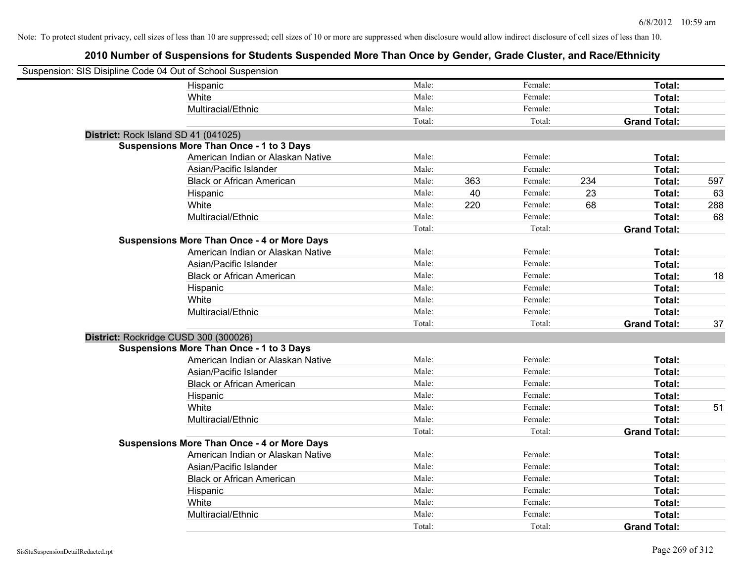| Suspension: SIS Disipline Code 04 Out of School Suspension |                                                    |        |     |         |     |                     |     |
|------------------------------------------------------------|----------------------------------------------------|--------|-----|---------|-----|---------------------|-----|
|                                                            | Hispanic                                           | Male:  |     | Female: |     | Total:              |     |
|                                                            | White                                              | Male:  |     | Female: |     | Total:              |     |
|                                                            | Multiracial/Ethnic                                 | Male:  |     | Female: |     | Total:              |     |
|                                                            |                                                    | Total: |     | Total:  |     | <b>Grand Total:</b> |     |
| District: Rock Island SD 41 (041025)                       |                                                    |        |     |         |     |                     |     |
|                                                            | <b>Suspensions More Than Once - 1 to 3 Days</b>    |        |     |         |     |                     |     |
|                                                            | American Indian or Alaskan Native                  | Male:  |     | Female: |     | Total:              |     |
|                                                            | Asian/Pacific Islander                             | Male:  |     | Female: |     | Total:              |     |
|                                                            | <b>Black or African American</b>                   | Male:  | 363 | Female: | 234 | Total:              | 597 |
|                                                            | Hispanic                                           | Male:  | 40  | Female: | 23  | Total:              | 63  |
|                                                            | White                                              | Male:  | 220 | Female: | 68  | Total:              | 288 |
|                                                            | Multiracial/Ethnic                                 | Male:  |     | Female: |     | Total:              | 68  |
|                                                            |                                                    | Total: |     | Total:  |     | <b>Grand Total:</b> |     |
|                                                            | <b>Suspensions More Than Once - 4 or More Days</b> |        |     |         |     |                     |     |
|                                                            | American Indian or Alaskan Native                  | Male:  |     | Female: |     | Total:              |     |
|                                                            | Asian/Pacific Islander                             | Male:  |     | Female: |     | Total:              |     |
|                                                            | <b>Black or African American</b>                   | Male:  |     | Female: |     | Total:              | 18  |
|                                                            | Hispanic                                           | Male:  |     | Female: |     | Total:              |     |
|                                                            | White                                              | Male:  |     | Female: |     | Total:              |     |
|                                                            | Multiracial/Ethnic                                 | Male:  |     | Female: |     | Total:              |     |
|                                                            |                                                    | Total: |     | Total:  |     | <b>Grand Total:</b> | 37  |
| District: Rockridge CUSD 300 (300026)                      |                                                    |        |     |         |     |                     |     |
|                                                            | <b>Suspensions More Than Once - 1 to 3 Days</b>    |        |     |         |     |                     |     |
|                                                            | American Indian or Alaskan Native                  | Male:  |     | Female: |     | Total:              |     |
|                                                            | Asian/Pacific Islander                             | Male:  |     | Female: |     | Total:              |     |
|                                                            | <b>Black or African American</b>                   | Male:  |     | Female: |     | Total:              |     |
|                                                            | Hispanic                                           | Male:  |     | Female: |     | Total:              |     |
|                                                            | White                                              | Male:  |     | Female: |     | Total:              | 51  |
|                                                            | Multiracial/Ethnic                                 | Male:  |     | Female: |     | Total:              |     |
|                                                            |                                                    | Total: |     | Total:  |     | <b>Grand Total:</b> |     |
|                                                            | <b>Suspensions More Than Once - 4 or More Days</b> |        |     |         |     |                     |     |
|                                                            | American Indian or Alaskan Native                  | Male:  |     | Female: |     | Total:              |     |
|                                                            | Asian/Pacific Islander                             | Male:  |     | Female: |     | Total:              |     |
|                                                            | <b>Black or African American</b>                   | Male:  |     | Female: |     | Total:              |     |
|                                                            | Hispanic                                           | Male:  |     | Female: |     | Total:              |     |
|                                                            | White                                              | Male:  |     | Female: |     | Total:              |     |
|                                                            | Multiracial/Ethnic                                 | Male:  |     | Female: |     | Total:              |     |
|                                                            |                                                    | Total: |     | Total:  |     | <b>Grand Total:</b> |     |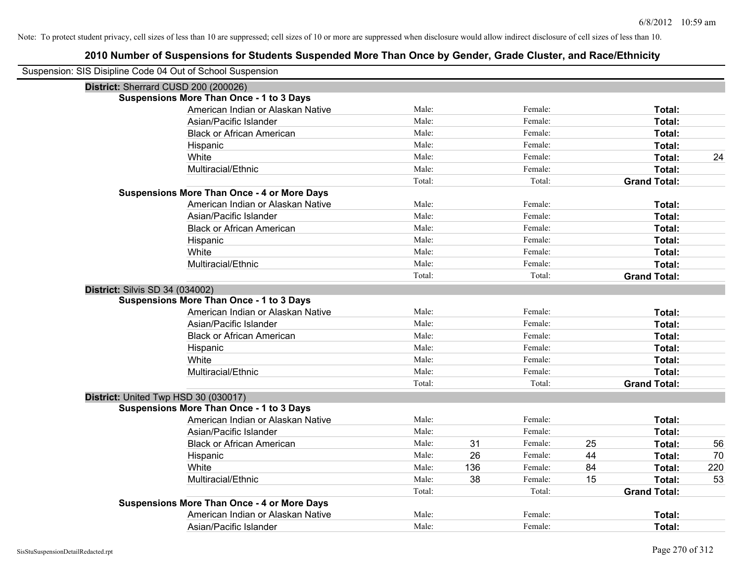| Suspension: SIS Disipline Code 04 Out of School Suspension |                                                    |        |     |         |    |                     |     |
|------------------------------------------------------------|----------------------------------------------------|--------|-----|---------|----|---------------------|-----|
| District: Sherrard CUSD 200 (200026)                       |                                                    |        |     |         |    |                     |     |
|                                                            | <b>Suspensions More Than Once - 1 to 3 Days</b>    |        |     |         |    |                     |     |
|                                                            | American Indian or Alaskan Native                  | Male:  |     | Female: |    | Total:              |     |
|                                                            | Asian/Pacific Islander                             | Male:  |     | Female: |    | Total:              |     |
|                                                            | <b>Black or African American</b>                   | Male:  |     | Female: |    | <b>Total:</b>       |     |
|                                                            | Hispanic                                           | Male:  |     | Female: |    | Total:              |     |
|                                                            | White                                              | Male:  |     | Female: |    | Total:              | 24  |
|                                                            | Multiracial/Ethnic                                 | Male:  |     | Female: |    | Total:              |     |
|                                                            |                                                    | Total: |     | Total:  |    | <b>Grand Total:</b> |     |
|                                                            | <b>Suspensions More Than Once - 4 or More Days</b> |        |     |         |    |                     |     |
|                                                            | American Indian or Alaskan Native                  | Male:  |     | Female: |    | Total:              |     |
|                                                            | Asian/Pacific Islander                             | Male:  |     | Female: |    | Total:              |     |
|                                                            | <b>Black or African American</b>                   | Male:  |     | Female: |    | Total:              |     |
|                                                            | Hispanic                                           | Male:  |     | Female: |    | Total:              |     |
|                                                            | White                                              | Male:  |     | Female: |    | Total:              |     |
|                                                            | Multiracial/Ethnic                                 | Male:  |     | Female: |    | Total:              |     |
|                                                            |                                                    | Total: |     | Total:  |    | <b>Grand Total:</b> |     |
| <b>District: Silvis SD 34 (034002)</b>                     |                                                    |        |     |         |    |                     |     |
|                                                            | <b>Suspensions More Than Once - 1 to 3 Days</b>    |        |     |         |    |                     |     |
|                                                            | American Indian or Alaskan Native                  | Male:  |     | Female: |    | Total:              |     |
|                                                            | Asian/Pacific Islander                             | Male:  |     | Female: |    | Total:              |     |
|                                                            | <b>Black or African American</b>                   | Male:  |     | Female: |    | Total:              |     |
|                                                            | Hispanic                                           | Male:  |     | Female: |    | Total:              |     |
|                                                            | White                                              | Male:  |     | Female: |    | Total:              |     |
|                                                            | Multiracial/Ethnic                                 | Male:  |     | Female: |    | Total:              |     |
|                                                            |                                                    | Total: |     | Total:  |    | <b>Grand Total:</b> |     |
| District: United Twp HSD 30 (030017)                       |                                                    |        |     |         |    |                     |     |
|                                                            | <b>Suspensions More Than Once - 1 to 3 Days</b>    |        |     |         |    |                     |     |
|                                                            | American Indian or Alaskan Native                  | Male:  |     | Female: |    | Total:              |     |
|                                                            | Asian/Pacific Islander                             | Male:  |     | Female: |    | Total:              |     |
|                                                            | <b>Black or African American</b>                   | Male:  | 31  | Female: | 25 | Total:              | 56  |
|                                                            | Hispanic                                           | Male:  | 26  | Female: | 44 | Total:              | 70  |
|                                                            | White                                              | Male:  | 136 | Female: | 84 | Total:              | 220 |
|                                                            | Multiracial/Ethnic                                 | Male:  | 38  | Female: | 15 | Total:              | 53  |
|                                                            |                                                    | Total: |     | Total:  |    | <b>Grand Total:</b> |     |
|                                                            | <b>Suspensions More Than Once - 4 or More Days</b> |        |     |         |    |                     |     |
|                                                            | American Indian or Alaskan Native                  | Male:  |     | Female: |    | Total:              |     |
|                                                            | Asian/Pacific Islander                             | Male:  |     | Female: |    | Total:              |     |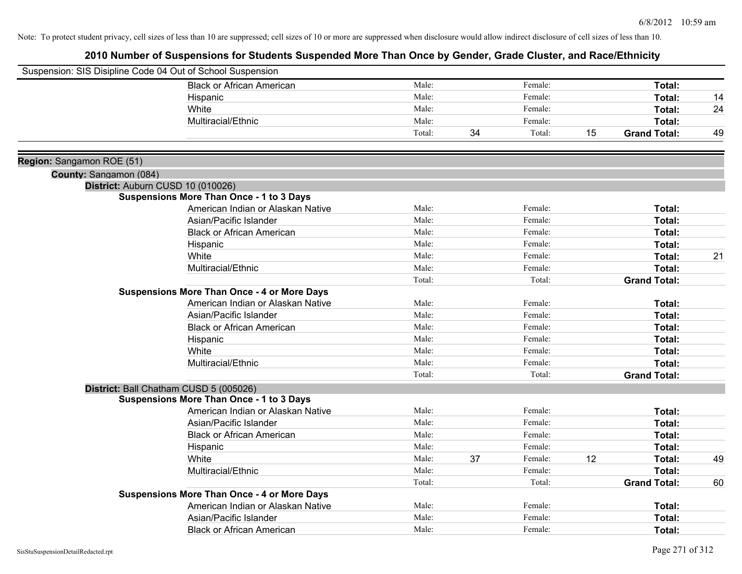|                           | Suspension: SIS Disipline Code 04 Out of School Suspension |        |    |         |    |                     |    |
|---------------------------|------------------------------------------------------------|--------|----|---------|----|---------------------|----|
|                           | <b>Black or African American</b>                           | Male:  |    | Female: |    | Total:              |    |
|                           | Hispanic                                                   | Male:  |    | Female: |    | Total:              | 14 |
|                           | White                                                      | Male:  |    | Female: |    | Total:              | 24 |
|                           | Multiracial/Ethnic                                         | Male:  |    | Female: |    | Total:              |    |
|                           |                                                            | Total: | 34 | Total:  | 15 | <b>Grand Total:</b> | 49 |
| Region: Sangamon ROE (51) |                                                            |        |    |         |    |                     |    |
| County: Sangamon (084)    |                                                            |        |    |         |    |                     |    |
|                           | District: Auburn CUSD 10 (010026)                          |        |    |         |    |                     |    |
|                           | <b>Suspensions More Than Once - 1 to 3 Days</b>            |        |    |         |    |                     |    |
|                           | American Indian or Alaskan Native                          | Male:  |    | Female: |    | Total:              |    |
|                           | Asian/Pacific Islander                                     | Male:  |    | Female: |    | Total:              |    |
|                           | <b>Black or African American</b>                           | Male:  |    | Female: |    | Total:              |    |
|                           | Hispanic                                                   | Male:  |    | Female: |    | Total:              |    |
|                           | White                                                      | Male:  |    | Female: |    | Total:              | 21 |
|                           | Multiracial/Ethnic                                         | Male:  |    | Female: |    | Total:              |    |
|                           |                                                            | Total: |    | Total:  |    | <b>Grand Total:</b> |    |
|                           | <b>Suspensions More Than Once - 4 or More Days</b>         |        |    |         |    |                     |    |
|                           | American Indian or Alaskan Native                          | Male:  |    | Female: |    | Total:              |    |
|                           | Asian/Pacific Islander                                     | Male:  |    | Female: |    | Total:              |    |
|                           | <b>Black or African American</b>                           | Male:  |    | Female: |    | Total:              |    |
|                           | Hispanic                                                   | Male:  |    | Female: |    | Total:              |    |
|                           | White                                                      | Male:  |    | Female: |    | Total:              |    |
|                           | Multiracial/Ethnic                                         | Male:  |    | Female: |    | Total:              |    |
|                           |                                                            | Total: |    | Total:  |    | <b>Grand Total:</b> |    |
|                           | District: Ball Chatham CUSD 5 (005026)                     |        |    |         |    |                     |    |
|                           | <b>Suspensions More Than Once - 1 to 3 Days</b>            |        |    |         |    |                     |    |
|                           | American Indian or Alaskan Native                          | Male:  |    | Female: |    | Total:              |    |
|                           | Asian/Pacific Islander                                     | Male:  |    | Female: |    | Total:              |    |
|                           | <b>Black or African American</b>                           | Male:  |    | Female: |    | Total:              |    |
|                           | Hispanic                                                   | Male:  |    | Female: |    | Total:              |    |
|                           | White                                                      | Male:  | 37 | Female: | 12 | Total:              | 49 |
|                           | Multiracial/Ethnic                                         | Male:  |    | Female: |    | Total:              |    |
|                           |                                                            | Total: |    | Total:  |    | <b>Grand Total:</b> | 60 |
|                           | <b>Suspensions More Than Once - 4 or More Days</b>         |        |    |         |    |                     |    |
|                           | American Indian or Alaskan Native                          | Male:  |    | Female: |    | Total:              |    |
|                           | Asian/Pacific Islander                                     | Male:  |    | Female: |    | Total:              |    |
|                           | <b>Black or African American</b>                           | Male:  |    | Female: |    | Total:              |    |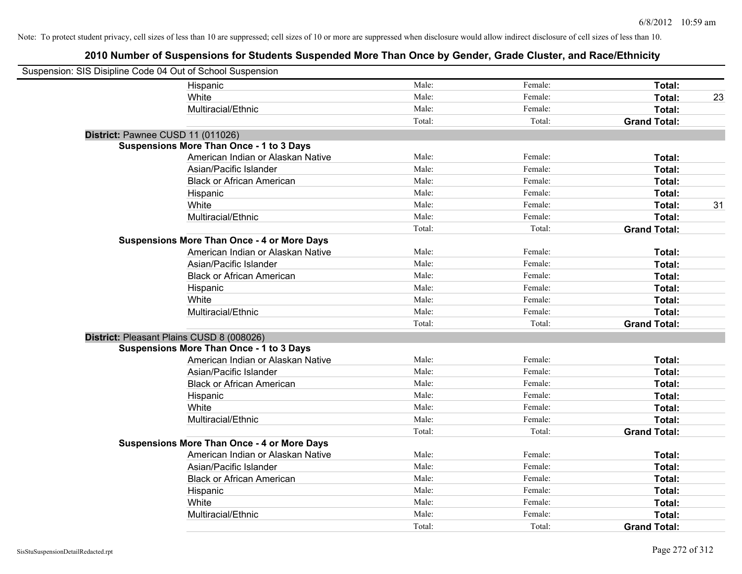| Suspension: SIS Disipline Code 04 Out of School Suspension |                                                    |        |         |                     |    |
|------------------------------------------------------------|----------------------------------------------------|--------|---------|---------------------|----|
|                                                            | Hispanic                                           | Male:  | Female: | Total:              |    |
|                                                            | White                                              | Male:  | Female: | Total:              | 23 |
|                                                            | Multiracial/Ethnic                                 | Male:  | Female: | Total:              |    |
|                                                            |                                                    | Total: | Total:  | <b>Grand Total:</b> |    |
| District: Pawnee CUSD 11 (011026)                          |                                                    |        |         |                     |    |
|                                                            | <b>Suspensions More Than Once - 1 to 3 Days</b>    |        |         |                     |    |
|                                                            | American Indian or Alaskan Native                  | Male:  | Female: | Total:              |    |
|                                                            | Asian/Pacific Islander                             | Male:  | Female: | Total:              |    |
|                                                            | <b>Black or African American</b>                   | Male:  | Female: | Total:              |    |
|                                                            | Hispanic                                           | Male:  | Female: | Total:              |    |
|                                                            | White                                              | Male:  | Female: | Total:              | 31 |
|                                                            | Multiracial/Ethnic                                 | Male:  | Female: | Total:              |    |
|                                                            |                                                    | Total: | Total:  | <b>Grand Total:</b> |    |
|                                                            | <b>Suspensions More Than Once - 4 or More Days</b> |        |         |                     |    |
|                                                            | American Indian or Alaskan Native                  | Male:  | Female: | Total:              |    |
|                                                            | Asian/Pacific Islander                             | Male:  | Female: | Total:              |    |
|                                                            | <b>Black or African American</b>                   | Male:  | Female: | Total:              |    |
|                                                            | Hispanic                                           | Male:  | Female: | Total:              |    |
|                                                            | White                                              | Male:  | Female: | Total:              |    |
|                                                            | Multiracial/Ethnic                                 | Male:  | Female: | Total:              |    |
|                                                            |                                                    | Total: | Total:  | <b>Grand Total:</b> |    |
| District: Pleasant Plains CUSD 8 (008026)                  |                                                    |        |         |                     |    |
|                                                            | <b>Suspensions More Than Once - 1 to 3 Days</b>    |        |         |                     |    |
|                                                            | American Indian or Alaskan Native                  | Male:  | Female: | Total:              |    |
|                                                            | Asian/Pacific Islander                             | Male:  | Female: | Total:              |    |
|                                                            | <b>Black or African American</b>                   | Male:  | Female: | Total:              |    |
|                                                            | Hispanic                                           | Male:  | Female: | Total:              |    |
|                                                            | White                                              | Male:  | Female: | Total:              |    |
|                                                            | Multiracial/Ethnic                                 | Male:  | Female: | Total:              |    |
|                                                            |                                                    | Total: | Total:  | <b>Grand Total:</b> |    |
|                                                            | <b>Suspensions More Than Once - 4 or More Days</b> |        |         |                     |    |
|                                                            | American Indian or Alaskan Native                  | Male:  | Female: | Total:              |    |
|                                                            | Asian/Pacific Islander                             | Male:  | Female: | Total:              |    |
|                                                            | <b>Black or African American</b>                   | Male:  | Female: | Total:              |    |
|                                                            | Hispanic                                           | Male:  | Female: | Total:              |    |
|                                                            | White                                              | Male:  | Female: | Total:              |    |
|                                                            | Multiracial/Ethnic                                 | Male:  | Female: | Total:              |    |
|                                                            |                                                    | Total: | Total:  | <b>Grand Total:</b> |    |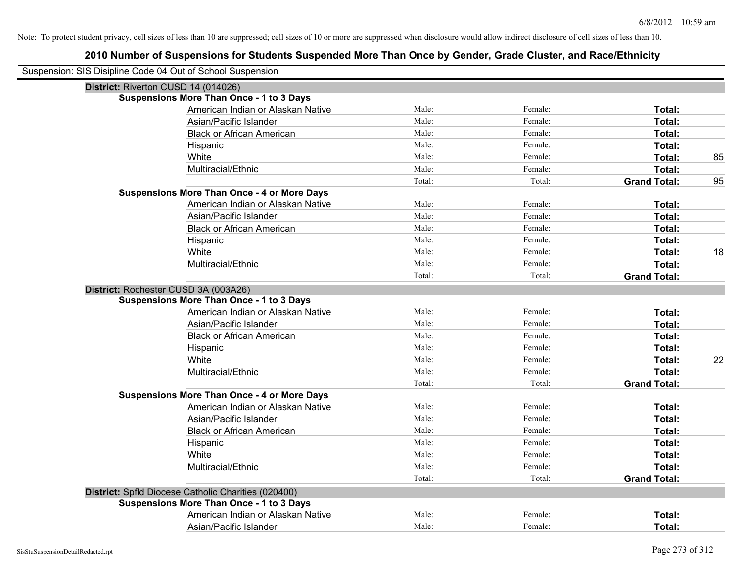| Suspension: SIS Disipline Code 04 Out of School Suspension |        |         |                     |    |
|------------------------------------------------------------|--------|---------|---------------------|----|
| District: Riverton CUSD 14 (014026)                        |        |         |                     |    |
| <b>Suspensions More Than Once - 1 to 3 Days</b>            |        |         |                     |    |
| American Indian or Alaskan Native                          | Male:  | Female: | Total:              |    |
| Asian/Pacific Islander                                     | Male:  | Female: | Total:              |    |
| <b>Black or African American</b>                           | Male:  | Female: | <b>Total:</b>       |    |
| Hispanic                                                   | Male:  | Female: | Total:              |    |
| White                                                      | Male:  | Female: | Total:              | 85 |
| Multiracial/Ethnic                                         | Male:  | Female: | Total:              |    |
|                                                            | Total: | Total:  | <b>Grand Total:</b> | 95 |
| <b>Suspensions More Than Once - 4 or More Days</b>         |        |         |                     |    |
| American Indian or Alaskan Native                          | Male:  | Female: | Total:              |    |
| Asian/Pacific Islander                                     | Male:  | Female: | Total:              |    |
| <b>Black or African American</b>                           | Male:  | Female: | Total:              |    |
| Hispanic                                                   | Male:  | Female: | Total:              |    |
| White                                                      | Male:  | Female: | Total:              | 18 |
| Multiracial/Ethnic                                         | Male:  | Female: | Total:              |    |
|                                                            | Total: | Total:  | <b>Grand Total:</b> |    |
| District: Rochester CUSD 3A (003A26)                       |        |         |                     |    |
| <b>Suspensions More Than Once - 1 to 3 Days</b>            |        |         |                     |    |
| American Indian or Alaskan Native                          | Male:  | Female: | Total:              |    |
| Asian/Pacific Islander                                     | Male:  | Female: | Total:              |    |
| <b>Black or African American</b>                           | Male:  | Female: | Total:              |    |
| Hispanic                                                   | Male:  | Female: | Total:              |    |
| White                                                      | Male:  | Female: | Total:              | 22 |
| Multiracial/Ethnic                                         | Male:  | Female: | Total:              |    |
|                                                            | Total: | Total:  | <b>Grand Total:</b> |    |
| <b>Suspensions More Than Once - 4 or More Days</b>         |        |         |                     |    |
| American Indian or Alaskan Native                          | Male:  | Female: | Total:              |    |
| Asian/Pacific Islander                                     | Male:  | Female: | Total:              |    |
| <b>Black or African American</b>                           | Male:  | Female: | Total:              |    |
| Hispanic                                                   | Male:  | Female: | Total:              |    |
| White                                                      | Male:  | Female: | Total:              |    |
| Multiracial/Ethnic                                         | Male:  | Female: | Total:              |    |
|                                                            | Total: | Total:  | <b>Grand Total:</b> |    |
| District: Spfld Diocese Catholic Charities (020400)        |        |         |                     |    |
| <b>Suspensions More Than Once - 1 to 3 Days</b>            |        |         |                     |    |
| American Indian or Alaskan Native                          | Male:  | Female: | Total:              |    |
| Asian/Pacific Islander                                     | Male:  | Female: | Total:              |    |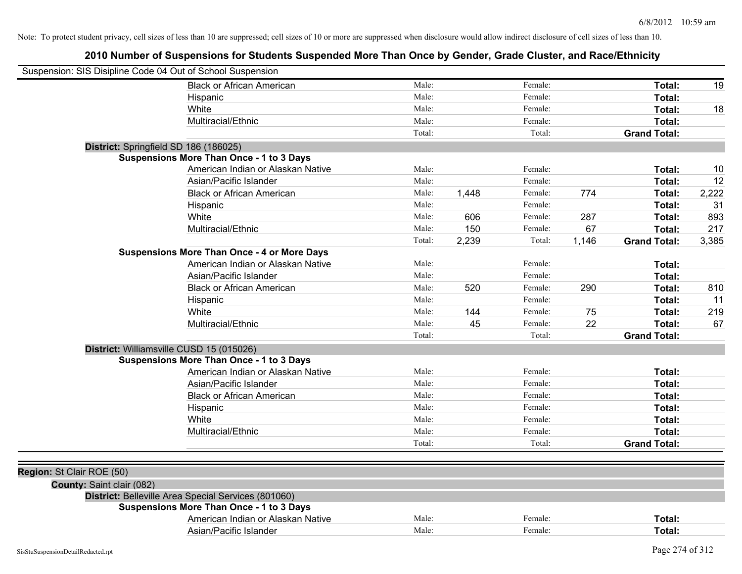| Suspension: SIS Disipline Code 04 Out of School Suspension |                                                     |        |       |         |       |                     |       |
|------------------------------------------------------------|-----------------------------------------------------|--------|-------|---------|-------|---------------------|-------|
|                                                            | <b>Black or African American</b>                    | Male:  |       | Female: |       | Total:              | 19    |
|                                                            | Hispanic                                            | Male:  |       | Female: |       | Total:              |       |
|                                                            | White                                               | Male:  |       | Female: |       | Total:              | 18    |
|                                                            | Multiracial/Ethnic                                  | Male:  |       | Female: |       | Total:              |       |
|                                                            |                                                     | Total: |       | Total:  |       | <b>Grand Total:</b> |       |
| District: Springfield SD 186 (186025)                      |                                                     |        |       |         |       |                     |       |
|                                                            | Suspensions More Than Once - 1 to 3 Days            |        |       |         |       |                     |       |
|                                                            | American Indian or Alaskan Native                   | Male:  |       | Female: |       | Total:              | 10    |
|                                                            | Asian/Pacific Islander                              | Male:  |       | Female: |       | Total:              | 12    |
|                                                            | <b>Black or African American</b>                    | Male:  | 1,448 | Female: | 774   | Total:              | 2,222 |
|                                                            | Hispanic                                            | Male:  |       | Female: |       | Total:              | 31    |
|                                                            | White                                               | Male:  | 606   | Female: | 287   | Total:              | 893   |
|                                                            | Multiracial/Ethnic                                  | Male:  | 150   | Female: | 67    | Total:              | 217   |
|                                                            |                                                     | Total: | 2,239 | Total:  | 1,146 | <b>Grand Total:</b> | 3,385 |
|                                                            | <b>Suspensions More Than Once - 4 or More Days</b>  |        |       |         |       |                     |       |
|                                                            | American Indian or Alaskan Native                   | Male:  |       | Female: |       | Total:              |       |
|                                                            | Asian/Pacific Islander                              | Male:  |       | Female: |       | Total:              |       |
|                                                            | <b>Black or African American</b>                    | Male:  | 520   | Female: | 290   | Total:              | 810   |
|                                                            | Hispanic                                            | Male:  |       | Female: |       | Total:              | 11    |
|                                                            | White                                               | Male:  | 144   | Female: | 75    | Total:              | 219   |
|                                                            | Multiracial/Ethnic                                  | Male:  | 45    | Female: | 22    | Total:              | 67    |
|                                                            |                                                     | Total: |       | Total:  |       | <b>Grand Total:</b> |       |
| District: Williamsville CUSD 15 (015026)                   |                                                     |        |       |         |       |                     |       |
|                                                            | <b>Suspensions More Than Once - 1 to 3 Days</b>     |        |       |         |       |                     |       |
|                                                            | American Indian or Alaskan Native                   | Male:  |       | Female: |       | Total:              |       |
|                                                            | Asian/Pacific Islander                              | Male:  |       | Female: |       | Total:              |       |
|                                                            | <b>Black or African American</b>                    | Male:  |       | Female: |       | Total:              |       |
|                                                            | Hispanic                                            | Male:  |       | Female: |       | Total:              |       |
|                                                            | White                                               | Male:  |       | Female: |       | Total:              |       |
|                                                            | Multiracial/Ethnic                                  | Male:  |       | Female: |       | Total:              |       |
|                                                            |                                                     | Total: |       | Total:  |       | <b>Grand Total:</b> |       |
|                                                            |                                                     |        |       |         |       |                     |       |
| Region: St Clair ROE (50)                                  |                                                     |        |       |         |       |                     |       |
| <b>County: Saint clair (082)</b>                           |                                                     |        |       |         |       |                     |       |
|                                                            | District: Belleville Area Special Services (801060) |        |       |         |       |                     |       |
|                                                            | <b>Suspensions More Than Once - 1 to 3 Days</b>     |        |       |         |       |                     |       |
|                                                            | American Indian or Alaskan Native                   | Male:  |       | Female: |       | Total:              |       |
|                                                            | Asian/Pacific Islander                              | Male:  |       | Female: |       | Total:              |       |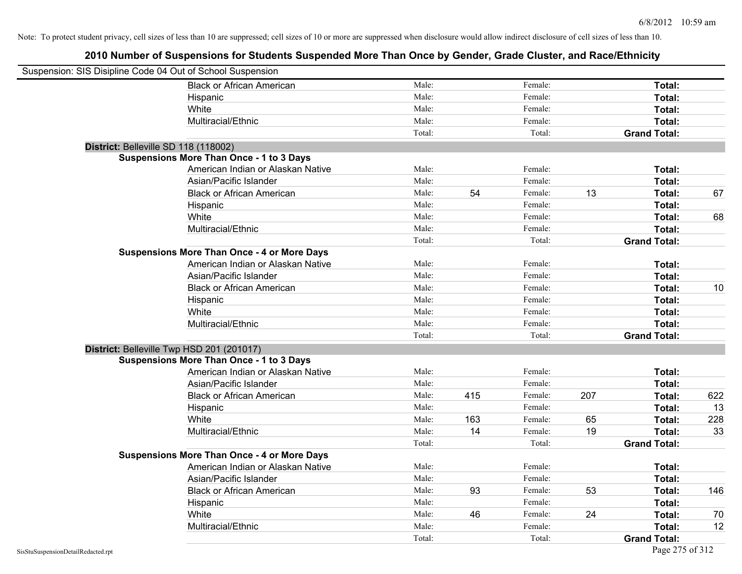| Suspension: SIS Disipline Code 04 Out of School Suspension |                                                    |        |     |         |     |                     |     |
|------------------------------------------------------------|----------------------------------------------------|--------|-----|---------|-----|---------------------|-----|
|                                                            | <b>Black or African American</b>                   | Male:  |     | Female: |     | Total:              |     |
|                                                            | Hispanic                                           | Male:  |     | Female: |     | Total:              |     |
|                                                            | White                                              | Male:  |     | Female: |     | Total:              |     |
|                                                            | Multiracial/Ethnic                                 | Male:  |     | Female: |     | Total:              |     |
|                                                            |                                                    | Total: |     | Total:  |     | <b>Grand Total:</b> |     |
| District: Belleville SD 118 (118002)                       |                                                    |        |     |         |     |                     |     |
|                                                            | <b>Suspensions More Than Once - 1 to 3 Days</b>    |        |     |         |     |                     |     |
|                                                            | American Indian or Alaskan Native                  | Male:  |     | Female: |     | Total:              |     |
|                                                            | Asian/Pacific Islander                             | Male:  |     | Female: |     | Total:              |     |
|                                                            | <b>Black or African American</b>                   | Male:  | 54  | Female: | 13  | Total:              | 67  |
|                                                            | Hispanic                                           | Male:  |     | Female: |     | Total:              |     |
|                                                            | White                                              | Male:  |     | Female: |     | Total:              | 68  |
|                                                            | Multiracial/Ethnic                                 | Male:  |     | Female: |     | Total:              |     |
|                                                            |                                                    | Total: |     | Total:  |     | <b>Grand Total:</b> |     |
|                                                            | <b>Suspensions More Than Once - 4 or More Days</b> |        |     |         |     |                     |     |
|                                                            | American Indian or Alaskan Native                  | Male:  |     | Female: |     | Total:              |     |
|                                                            | Asian/Pacific Islander                             | Male:  |     | Female: |     | Total:              |     |
|                                                            | <b>Black or African American</b>                   | Male:  |     | Female: |     | Total:              | 10  |
|                                                            | Hispanic                                           | Male:  |     | Female: |     | Total:              |     |
|                                                            | White                                              | Male:  |     | Female: |     | Total:              |     |
|                                                            | Multiracial/Ethnic                                 | Male:  |     | Female: |     | Total:              |     |
|                                                            |                                                    | Total: |     | Total:  |     | <b>Grand Total:</b> |     |
| District: Belleville Twp HSD 201 (201017)                  |                                                    |        |     |         |     |                     |     |
|                                                            | <b>Suspensions More Than Once - 1 to 3 Days</b>    |        |     |         |     |                     |     |
|                                                            | American Indian or Alaskan Native                  | Male:  |     | Female: |     | Total:              |     |
|                                                            | Asian/Pacific Islander                             | Male:  |     | Female: |     | Total:              |     |
|                                                            | <b>Black or African American</b>                   | Male:  | 415 | Female: | 207 | Total:              | 622 |
|                                                            | Hispanic                                           | Male:  |     | Female: |     | Total:              | 13  |
|                                                            | White                                              | Male:  | 163 | Female: | 65  | Total:              | 228 |
|                                                            | Multiracial/Ethnic                                 | Male:  | 14  | Female: | 19  | Total:              | 33  |
|                                                            |                                                    | Total: |     | Total:  |     | <b>Grand Total:</b> |     |
|                                                            | <b>Suspensions More Than Once - 4 or More Days</b> |        |     |         |     |                     |     |
|                                                            | American Indian or Alaskan Native                  | Male:  |     | Female: |     | Total:              |     |
|                                                            | Asian/Pacific Islander                             | Male:  |     | Female: |     | Total:              |     |
|                                                            | <b>Black or African American</b>                   | Male:  | 93  | Female: | 53  | Total:              | 146 |
|                                                            | Hispanic                                           | Male:  |     | Female: |     | Total:              |     |
|                                                            | White                                              | Male:  | 46  | Female: | 24  | Total:              | 70  |
|                                                            | Multiracial/Ethnic                                 | Male:  |     | Female: |     | Total:              | 12  |
|                                                            |                                                    | Total: |     | Total:  |     | <b>Grand Total:</b> |     |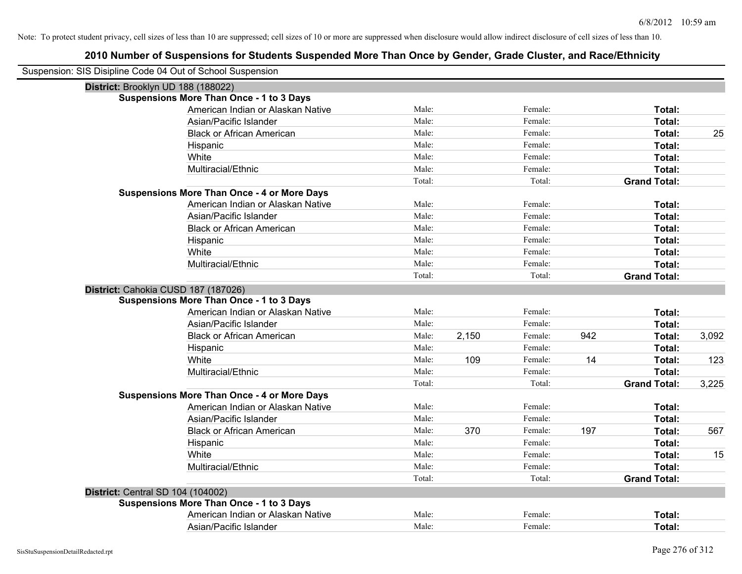| Suspension: SIS Disipline Code 04 Out of School Suspension |                                                    |        |       |         |     |                     |       |
|------------------------------------------------------------|----------------------------------------------------|--------|-------|---------|-----|---------------------|-------|
| District: Brooklyn UD 188 (188022)                         |                                                    |        |       |         |     |                     |       |
|                                                            | Suspensions More Than Once - 1 to 3 Days           |        |       |         |     |                     |       |
|                                                            | American Indian or Alaskan Native                  | Male:  |       | Female: |     | Total:              |       |
|                                                            | Asian/Pacific Islander                             | Male:  |       | Female: |     | Total:              |       |
|                                                            | <b>Black or African American</b>                   | Male:  |       | Female: |     | Total:              | 25    |
|                                                            | Hispanic                                           | Male:  |       | Female: |     | Total:              |       |
|                                                            | White                                              | Male:  |       | Female: |     | Total:              |       |
|                                                            | Multiracial/Ethnic                                 | Male:  |       | Female: |     | Total:              |       |
|                                                            |                                                    | Total: |       | Total:  |     | <b>Grand Total:</b> |       |
|                                                            | <b>Suspensions More Than Once - 4 or More Days</b> |        |       |         |     |                     |       |
|                                                            | American Indian or Alaskan Native                  | Male:  |       | Female: |     | Total:              |       |
|                                                            | Asian/Pacific Islander                             | Male:  |       | Female: |     | Total:              |       |
|                                                            | <b>Black or African American</b>                   | Male:  |       | Female: |     | Total:              |       |
|                                                            | Hispanic                                           | Male:  |       | Female: |     | Total:              |       |
|                                                            | White                                              | Male:  |       | Female: |     | Total:              |       |
|                                                            | Multiracial/Ethnic                                 | Male:  |       | Female: |     | Total:              |       |
|                                                            |                                                    | Total: |       | Total:  |     | <b>Grand Total:</b> |       |
| District: Cahokia CUSD 187 (187026)                        |                                                    |        |       |         |     |                     |       |
|                                                            | <b>Suspensions More Than Once - 1 to 3 Days</b>    |        |       |         |     |                     |       |
|                                                            | American Indian or Alaskan Native                  | Male:  |       | Female: |     | Total:              |       |
|                                                            | Asian/Pacific Islander                             | Male:  |       | Female: |     | Total:              |       |
|                                                            | <b>Black or African American</b>                   | Male:  | 2,150 | Female: | 942 | Total:              | 3,092 |
|                                                            | Hispanic                                           | Male:  |       | Female: |     | Total:              |       |
|                                                            | White                                              | Male:  | 109   | Female: | 14  | Total:              | 123   |
|                                                            | Multiracial/Ethnic                                 | Male:  |       | Female: |     | Total:              |       |
|                                                            |                                                    | Total: |       | Total:  |     | <b>Grand Total:</b> | 3,225 |
|                                                            | <b>Suspensions More Than Once - 4 or More Days</b> |        |       |         |     |                     |       |
|                                                            | American Indian or Alaskan Native                  | Male:  |       | Female: |     | Total:              |       |
|                                                            | Asian/Pacific Islander                             | Male:  |       | Female: |     | Total:              |       |
|                                                            | <b>Black or African American</b>                   | Male:  | 370   | Female: | 197 | Total:              | 567   |
|                                                            | Hispanic                                           | Male:  |       | Female: |     | Total:              |       |
|                                                            | White                                              | Male:  |       | Female: |     | Total:              | 15    |
|                                                            | Multiracial/Ethnic                                 | Male:  |       | Female: |     | Total:              |       |
|                                                            |                                                    | Total: |       | Total:  |     | <b>Grand Total:</b> |       |
| District: Central SD 104 (104002)                          |                                                    |        |       |         |     |                     |       |
|                                                            | <b>Suspensions More Than Once - 1 to 3 Days</b>    |        |       |         |     |                     |       |
|                                                            | American Indian or Alaskan Native                  | Male:  |       | Female: |     | <b>Total:</b>       |       |
|                                                            | Asian/Pacific Islander                             | Male:  |       | Female: |     | Total:              |       |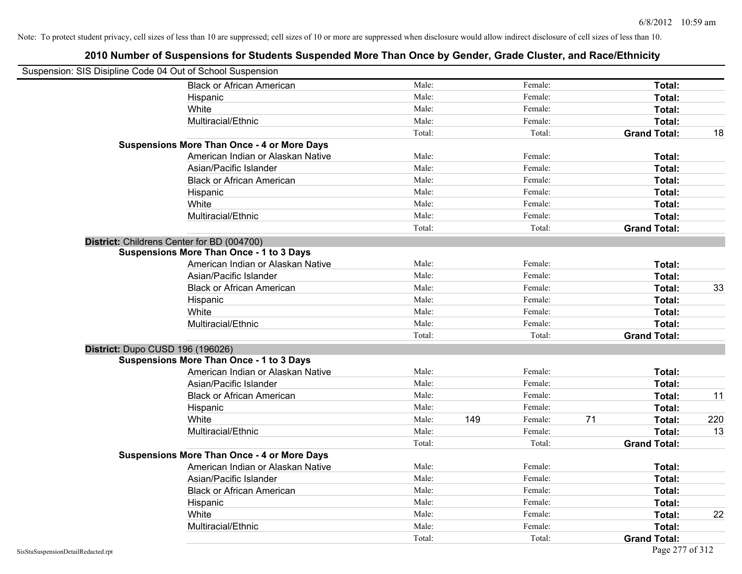| Suspension: SIS Disipline Code 04 Out of School Suspension |                                                    |        |     |         |    |                     |     |
|------------------------------------------------------------|----------------------------------------------------|--------|-----|---------|----|---------------------|-----|
|                                                            | <b>Black or African American</b>                   | Male:  |     | Female: |    | Total:              |     |
|                                                            | Hispanic                                           | Male:  |     | Female: |    | Total:              |     |
|                                                            | White                                              | Male:  |     | Female: |    | Total:              |     |
|                                                            | Multiracial/Ethnic                                 | Male:  |     | Female: |    | Total:              |     |
|                                                            |                                                    | Total: |     | Total:  |    | <b>Grand Total:</b> | 18  |
|                                                            | <b>Suspensions More Than Once - 4 or More Days</b> |        |     |         |    |                     |     |
|                                                            | American Indian or Alaskan Native                  | Male:  |     | Female: |    | Total:              |     |
|                                                            | Asian/Pacific Islander                             | Male:  |     | Female: |    | Total:              |     |
|                                                            | <b>Black or African American</b>                   | Male:  |     | Female: |    | Total:              |     |
|                                                            | Hispanic                                           | Male:  |     | Female: |    | Total:              |     |
|                                                            | White                                              | Male:  |     | Female: |    | Total:              |     |
|                                                            | Multiracial/Ethnic                                 | Male:  |     | Female: |    | Total:              |     |
|                                                            |                                                    | Total: |     | Total:  |    | <b>Grand Total:</b> |     |
| District: Childrens Center for BD (004700)                 |                                                    |        |     |         |    |                     |     |
|                                                            | <b>Suspensions More Than Once - 1 to 3 Days</b>    |        |     |         |    |                     |     |
|                                                            | American Indian or Alaskan Native                  | Male:  |     | Female: |    | Total:              |     |
|                                                            | Asian/Pacific Islander                             | Male:  |     | Female: |    | Total:              |     |
|                                                            | <b>Black or African American</b>                   | Male:  |     | Female: |    | Total:              | 33  |
|                                                            | Hispanic                                           | Male:  |     | Female: |    | Total:              |     |
|                                                            | White                                              | Male:  |     | Female: |    | Total:              |     |
|                                                            | Multiracial/Ethnic                                 | Male:  |     | Female: |    | Total:              |     |
|                                                            |                                                    | Total: |     | Total:  |    | <b>Grand Total:</b> |     |
| District: Dupo CUSD 196 (196026)                           |                                                    |        |     |         |    |                     |     |
|                                                            | <b>Suspensions More Than Once - 1 to 3 Days</b>    |        |     |         |    |                     |     |
|                                                            | American Indian or Alaskan Native                  | Male:  |     | Female: |    | Total:              |     |
|                                                            | Asian/Pacific Islander                             | Male:  |     | Female: |    | Total:              |     |
|                                                            | <b>Black or African American</b>                   | Male:  |     | Female: |    | Total:              | 11  |
|                                                            | Hispanic                                           | Male:  |     | Female: |    | Total:              |     |
|                                                            | White                                              | Male:  | 149 | Female: | 71 | Total:              | 220 |
|                                                            | Multiracial/Ethnic                                 | Male:  |     | Female: |    | Total:              | 13  |
|                                                            |                                                    | Total: |     | Total:  |    | <b>Grand Total:</b> |     |
|                                                            | <b>Suspensions More Than Once - 4 or More Days</b> |        |     |         |    |                     |     |
|                                                            | American Indian or Alaskan Native                  | Male:  |     | Female: |    | Total:              |     |
|                                                            | Asian/Pacific Islander                             | Male:  |     | Female: |    | Total:              |     |
|                                                            | <b>Black or African American</b>                   | Male:  |     | Female: |    | Total:              |     |
|                                                            | Hispanic                                           | Male:  |     | Female: |    | Total:              |     |
|                                                            | White                                              | Male:  |     | Female: |    | Total:              | 22  |
|                                                            | Multiracial/Ethnic                                 | Male:  |     | Female: |    | Total:              |     |
|                                                            |                                                    | Total: |     | Total:  |    | <b>Grand Total:</b> |     |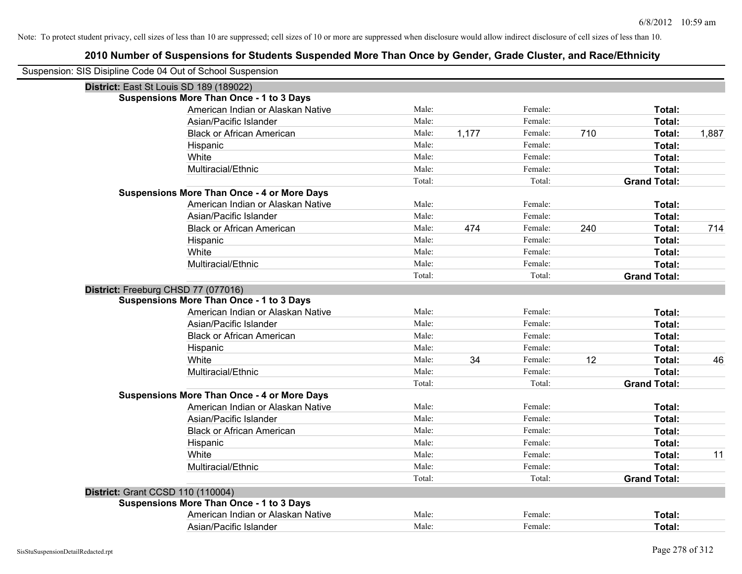| Suspension: SIS Disipline Code 04 Out of School Suspension |                                                    |        |       |         |     |                     |       |
|------------------------------------------------------------|----------------------------------------------------|--------|-------|---------|-----|---------------------|-------|
| District: East St Louis SD 189 (189022)                    |                                                    |        |       |         |     |                     |       |
|                                                            | Suspensions More Than Once - 1 to 3 Days           |        |       |         |     |                     |       |
|                                                            | American Indian or Alaskan Native                  | Male:  |       | Female: |     | Total:              |       |
|                                                            | Asian/Pacific Islander                             | Male:  |       | Female: |     | Total:              |       |
|                                                            | <b>Black or African American</b>                   | Male:  | 1,177 | Female: | 710 | Total:              | 1,887 |
|                                                            | Hispanic                                           | Male:  |       | Female: |     | Total:              |       |
|                                                            | White                                              | Male:  |       | Female: |     | Total:              |       |
|                                                            | Multiracial/Ethnic                                 | Male:  |       | Female: |     | Total:              |       |
|                                                            |                                                    | Total: |       | Total:  |     | <b>Grand Total:</b> |       |
|                                                            | <b>Suspensions More Than Once - 4 or More Days</b> |        |       |         |     |                     |       |
|                                                            | American Indian or Alaskan Native                  | Male:  |       | Female: |     | Total:              |       |
|                                                            | Asian/Pacific Islander                             | Male:  |       | Female: |     | Total:              |       |
|                                                            | <b>Black or African American</b>                   | Male:  | 474   | Female: | 240 | Total:              | 714   |
|                                                            | Hispanic                                           | Male:  |       | Female: |     | Total:              |       |
|                                                            | White                                              | Male:  |       | Female: |     | Total:              |       |
|                                                            | Multiracial/Ethnic                                 | Male:  |       | Female: |     | Total:              |       |
|                                                            |                                                    | Total: |       | Total:  |     | <b>Grand Total:</b> |       |
| District: Freeburg CHSD 77 (077016)                        |                                                    |        |       |         |     |                     |       |
|                                                            | <b>Suspensions More Than Once - 1 to 3 Days</b>    |        |       |         |     |                     |       |
|                                                            | American Indian or Alaskan Native                  | Male:  |       | Female: |     | Total:              |       |
|                                                            | Asian/Pacific Islander                             | Male:  |       | Female: |     | Total:              |       |
|                                                            | <b>Black or African American</b>                   | Male:  |       | Female: |     | Total:              |       |
|                                                            | Hispanic                                           | Male:  |       | Female: |     | Total:              |       |
|                                                            | White                                              | Male:  | 34    | Female: | 12  | Total:              | 46    |
|                                                            | Multiracial/Ethnic                                 | Male:  |       | Female: |     | Total:              |       |
|                                                            |                                                    | Total: |       | Total:  |     | <b>Grand Total:</b> |       |
|                                                            | <b>Suspensions More Than Once - 4 or More Days</b> |        |       |         |     |                     |       |
|                                                            | American Indian or Alaskan Native                  | Male:  |       | Female: |     | Total:              |       |
|                                                            | Asian/Pacific Islander                             | Male:  |       | Female: |     | Total:              |       |
|                                                            | <b>Black or African American</b>                   | Male:  |       | Female: |     | Total:              |       |
|                                                            | Hispanic                                           | Male:  |       | Female: |     | Total:              |       |
|                                                            | White                                              | Male:  |       | Female: |     | Total:              | 11    |
|                                                            | Multiracial/Ethnic                                 | Male:  |       | Female: |     | Total:              |       |
|                                                            |                                                    | Total: |       | Total:  |     | <b>Grand Total:</b> |       |
| District: Grant CCSD 110 (110004)                          |                                                    |        |       |         |     |                     |       |
|                                                            | Suspensions More Than Once - 1 to 3 Days           |        |       |         |     |                     |       |
|                                                            | American Indian or Alaskan Native                  | Male:  |       | Female: |     | Total:              |       |
|                                                            | Asian/Pacific Islander                             | Male:  |       | Female: |     | Total:              |       |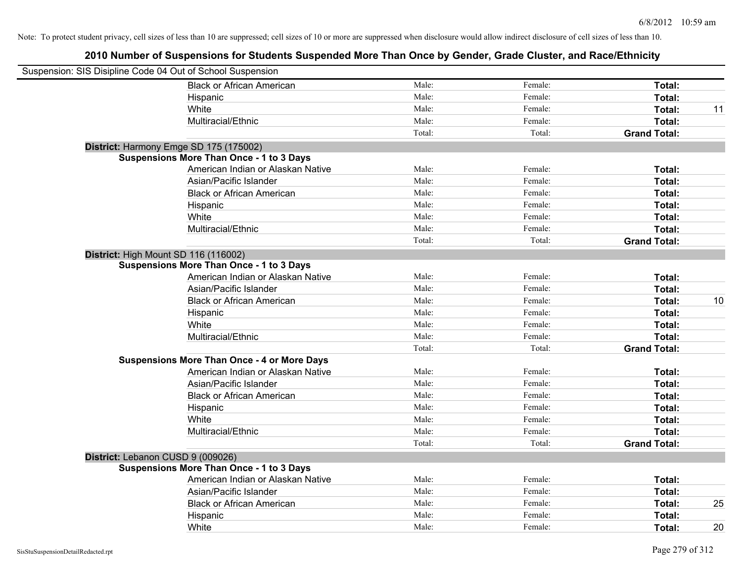| Suspension: SIS Disipline Code 04 Out of School Suspension |                                                    |        |         |                     |    |
|------------------------------------------------------------|----------------------------------------------------|--------|---------|---------------------|----|
|                                                            | <b>Black or African American</b>                   | Male:  | Female: | Total:              |    |
|                                                            | Hispanic                                           | Male:  | Female: | Total:              |    |
|                                                            | White                                              | Male:  | Female: | Total:              | 11 |
|                                                            | Multiracial/Ethnic                                 | Male:  | Female: | Total:              |    |
|                                                            |                                                    | Total: | Total:  | <b>Grand Total:</b> |    |
|                                                            | District: Harmony Emge SD 175 (175002)             |        |         |                     |    |
|                                                            | <b>Suspensions More Than Once - 1 to 3 Days</b>    |        |         |                     |    |
|                                                            | American Indian or Alaskan Native                  | Male:  | Female: | Total:              |    |
|                                                            | Asian/Pacific Islander                             | Male:  | Female: | Total:              |    |
|                                                            | <b>Black or African American</b>                   | Male:  | Female: | Total:              |    |
|                                                            | Hispanic                                           | Male:  | Female: | Total:              |    |
|                                                            | White                                              | Male:  | Female: | Total:              |    |
|                                                            | Multiracial/Ethnic                                 | Male:  | Female: | Total:              |    |
|                                                            |                                                    | Total: | Total:  | <b>Grand Total:</b> |    |
|                                                            | District: High Mount SD 116 (116002)               |        |         |                     |    |
|                                                            | <b>Suspensions More Than Once - 1 to 3 Days</b>    |        |         |                     |    |
|                                                            | American Indian or Alaskan Native                  | Male:  | Female: | Total:              |    |
|                                                            | Asian/Pacific Islander                             | Male:  | Female: | Total:              |    |
|                                                            | <b>Black or African American</b>                   | Male:  | Female: | Total:              | 10 |
|                                                            | Hispanic                                           | Male:  | Female: | Total:              |    |
|                                                            | White                                              | Male:  | Female: | Total:              |    |
|                                                            | Multiracial/Ethnic                                 | Male:  | Female: | Total:              |    |
|                                                            |                                                    | Total: | Total:  | <b>Grand Total:</b> |    |
|                                                            | <b>Suspensions More Than Once - 4 or More Days</b> |        |         |                     |    |
|                                                            | American Indian or Alaskan Native                  | Male:  | Female: | Total:              |    |
|                                                            | Asian/Pacific Islander                             | Male:  | Female: | Total:              |    |
|                                                            | <b>Black or African American</b>                   | Male:  | Female: | Total:              |    |
|                                                            | Hispanic                                           | Male:  | Female: | Total:              |    |
|                                                            | White                                              | Male:  | Female: | Total:              |    |
|                                                            | Multiracial/Ethnic                                 | Male:  | Female: | Total:              |    |
|                                                            |                                                    | Total: | Total:  | <b>Grand Total:</b> |    |
|                                                            | District: Lebanon CUSD 9 (009026)                  |        |         |                     |    |
|                                                            | <b>Suspensions More Than Once - 1 to 3 Days</b>    |        |         |                     |    |
|                                                            | American Indian or Alaskan Native                  | Male:  | Female: | Total:              |    |
|                                                            | Asian/Pacific Islander                             | Male:  | Female: | Total:              |    |
|                                                            | <b>Black or African American</b>                   | Male:  | Female: | Total:              | 25 |
|                                                            | Hispanic                                           | Male:  | Female: | Total:              |    |
|                                                            | White                                              | Male:  | Female: | Total:              | 20 |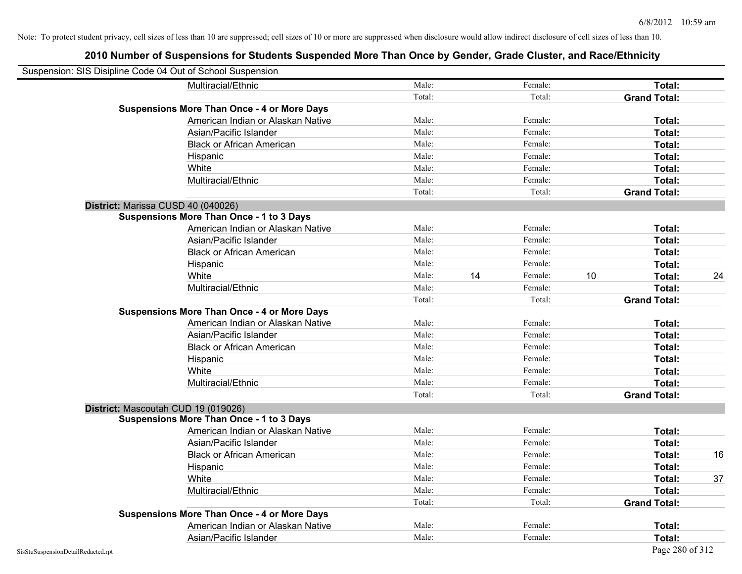| Suspension: SIS Disipline Code 04 Out of School Suspension |                                                    |        |    |         |    |                     |    |
|------------------------------------------------------------|----------------------------------------------------|--------|----|---------|----|---------------------|----|
|                                                            | Multiracial/Ethnic                                 | Male:  |    | Female: |    | Total:              |    |
|                                                            |                                                    | Total: |    | Total:  |    | <b>Grand Total:</b> |    |
|                                                            | <b>Suspensions More Than Once - 4 or More Days</b> |        |    |         |    |                     |    |
|                                                            | American Indian or Alaskan Native                  | Male:  |    | Female: |    | Total:              |    |
|                                                            | Asian/Pacific Islander                             | Male:  |    | Female: |    | Total:              |    |
|                                                            | <b>Black or African American</b>                   | Male:  |    | Female: |    | Total:              |    |
|                                                            | Hispanic                                           | Male:  |    | Female: |    | Total:              |    |
|                                                            | White                                              | Male:  |    | Female: |    | Total:              |    |
|                                                            | Multiracial/Ethnic                                 | Male:  |    | Female: |    | Total:              |    |
|                                                            |                                                    | Total: |    | Total:  |    | <b>Grand Total:</b> |    |
| District: Marissa CUSD 40 (040026)                         |                                                    |        |    |         |    |                     |    |
|                                                            | <b>Suspensions More Than Once - 1 to 3 Days</b>    |        |    |         |    |                     |    |
|                                                            | American Indian or Alaskan Native                  | Male:  |    | Female: |    | Total:              |    |
|                                                            | Asian/Pacific Islander                             | Male:  |    | Female: |    | Total:              |    |
|                                                            | <b>Black or African American</b>                   | Male:  |    | Female: |    | Total:              |    |
|                                                            | Hispanic                                           | Male:  |    | Female: |    | Total:              |    |
|                                                            | White                                              | Male:  | 14 | Female: | 10 | Total:              | 24 |
|                                                            | Multiracial/Ethnic                                 | Male:  |    | Female: |    | Total:              |    |
|                                                            |                                                    | Total: |    | Total:  |    | <b>Grand Total:</b> |    |
|                                                            | <b>Suspensions More Than Once - 4 or More Days</b> |        |    |         |    |                     |    |
|                                                            | American Indian or Alaskan Native                  | Male:  |    | Female: |    | Total:              |    |
|                                                            | Asian/Pacific Islander                             | Male:  |    | Female: |    | Total:              |    |
|                                                            | <b>Black or African American</b>                   | Male:  |    | Female: |    | Total:              |    |
|                                                            | Hispanic                                           | Male:  |    | Female: |    | Total:              |    |
|                                                            | White                                              | Male:  |    | Female: |    | Total:              |    |
|                                                            | Multiracial/Ethnic                                 | Male:  |    | Female: |    | Total:              |    |
|                                                            |                                                    | Total: |    | Total:  |    | <b>Grand Total:</b> |    |
| District: Mascoutah CUD 19 (019026)                        |                                                    |        |    |         |    |                     |    |
|                                                            | <b>Suspensions More Than Once - 1 to 3 Days</b>    |        |    |         |    |                     |    |
|                                                            | American Indian or Alaskan Native                  | Male:  |    | Female: |    | Total:              |    |
|                                                            | Asian/Pacific Islander                             | Male:  |    | Female: |    | Total:              |    |
|                                                            | <b>Black or African American</b>                   | Male:  |    | Female: |    | Total:              | 16 |
|                                                            | Hispanic                                           | Male:  |    | Female: |    | Total:              |    |
|                                                            | White                                              | Male:  |    | Female: |    | Total:              | 37 |
|                                                            | Multiracial/Ethnic                                 | Male:  |    | Female: |    | Total:              |    |
|                                                            |                                                    | Total: |    | Total:  |    | <b>Grand Total:</b> |    |
|                                                            | <b>Suspensions More Than Once - 4 or More Days</b> |        |    |         |    |                     |    |
|                                                            | American Indian or Alaskan Native                  | Male:  |    | Female: |    | Total:              |    |
|                                                            | Asian/Pacific Islander                             | Male:  |    | Female: |    | Total:              |    |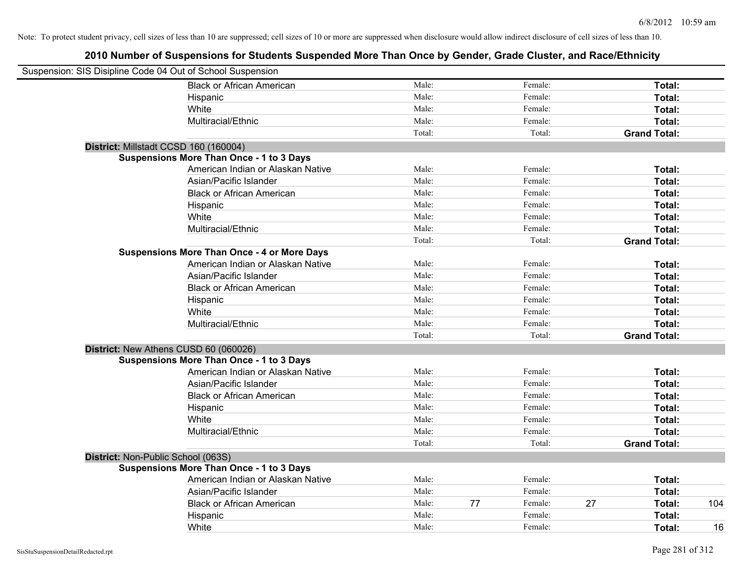| Suspension: SIS Disipline Code 04 Out of School Suspension |                                                    |        |               |    |                     |     |
|------------------------------------------------------------|----------------------------------------------------|--------|---------------|----|---------------------|-----|
|                                                            | <b>Black or African American</b>                   | Male:  | Female:       |    | Total:              |     |
|                                                            | Hispanic                                           | Male:  | Female:       |    | Total:              |     |
|                                                            | White                                              | Male:  | Female:       |    | Total:              |     |
|                                                            | Multiracial/Ethnic                                 | Male:  | Female:       |    | Total:              |     |
|                                                            |                                                    | Total: | Total:        |    | <b>Grand Total:</b> |     |
| District: Millstadt CCSD 160 (160004)                      |                                                    |        |               |    |                     |     |
|                                                            | <b>Suspensions More Than Once - 1 to 3 Days</b>    |        |               |    |                     |     |
|                                                            | American Indian or Alaskan Native                  | Male:  | Female:       |    | Total:              |     |
|                                                            | Asian/Pacific Islander                             | Male:  | Female:       |    | Total:              |     |
|                                                            | <b>Black or African American</b>                   | Male:  | Female:       |    | Total:              |     |
|                                                            | Hispanic                                           | Male:  | Female:       |    | Total:              |     |
|                                                            | White                                              | Male:  | Female:       |    | Total:              |     |
|                                                            | Multiracial/Ethnic                                 | Male:  | Female:       |    | Total:              |     |
|                                                            |                                                    | Total: | Total:        |    | <b>Grand Total:</b> |     |
|                                                            | <b>Suspensions More Than Once - 4 or More Days</b> |        |               |    |                     |     |
|                                                            | American Indian or Alaskan Native                  | Male:  | Female:       |    | Total:              |     |
|                                                            | Asian/Pacific Islander                             | Male:  | Female:       |    | Total:              |     |
|                                                            | <b>Black or African American</b>                   | Male:  | Female:       |    | Total:              |     |
|                                                            | Hispanic                                           | Male:  | Female:       |    | Total:              |     |
|                                                            | White                                              | Male:  | Female:       |    | Total:              |     |
|                                                            | Multiracial/Ethnic                                 | Male:  | Female:       |    | Total:              |     |
|                                                            |                                                    | Total: | Total:        |    | <b>Grand Total:</b> |     |
| District: New Athens CUSD 60 (060026)                      |                                                    |        |               |    |                     |     |
|                                                            | <b>Suspensions More Than Once - 1 to 3 Days</b>    |        |               |    |                     |     |
|                                                            | American Indian or Alaskan Native                  | Male:  | Female:       |    | Total:              |     |
|                                                            | Asian/Pacific Islander                             | Male:  | Female:       |    | Total:              |     |
|                                                            | <b>Black or African American</b>                   | Male:  | Female:       |    | Total:              |     |
|                                                            | Hispanic                                           | Male:  | Female:       |    | Total:              |     |
|                                                            | White                                              | Male:  | Female:       |    | Total:              |     |
|                                                            | Multiracial/Ethnic                                 | Male:  | Female:       |    | Total:              |     |
|                                                            |                                                    | Total: | Total:        |    | <b>Grand Total:</b> |     |
| District: Non-Public School (063S)                         |                                                    |        |               |    |                     |     |
|                                                            | <b>Suspensions More Than Once - 1 to 3 Days</b>    |        |               |    |                     |     |
|                                                            | American Indian or Alaskan Native                  | Male:  | Female:       |    | Total:              |     |
|                                                            | Asian/Pacific Islander                             | Male:  | Female:       |    | Total:              |     |
|                                                            | <b>Black or African American</b>                   | Male:  | 77<br>Female: | 27 | Total:              | 104 |
|                                                            | Hispanic                                           | Male:  | Female:       |    | Total:              |     |
|                                                            | White                                              | Male:  | Female:       |    | Total:              | 16  |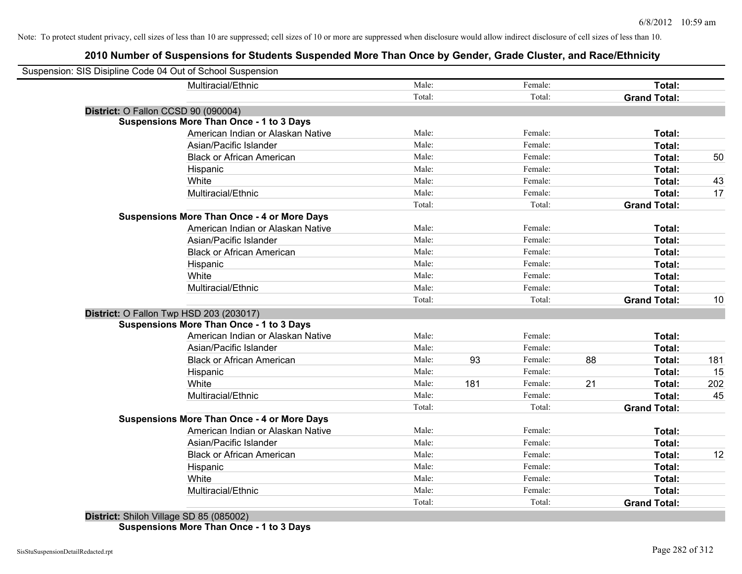## **2010 Number of Suspensions for Students Suspended More Than Once by Gender, Grade Cluster, and Race/Ethnicity**

| Suspension: SIS Disipline Code 04 Out of School Suspension |                                                    |        |     |         |    |                     |     |
|------------------------------------------------------------|----------------------------------------------------|--------|-----|---------|----|---------------------|-----|
|                                                            | Multiracial/Ethnic                                 | Male:  |     | Female: |    | Total:              |     |
|                                                            |                                                    | Total: |     | Total:  |    | <b>Grand Total:</b> |     |
|                                                            | District: O Fallon CCSD 90 (090004)                |        |     |         |    |                     |     |
|                                                            | <b>Suspensions More Than Once - 1 to 3 Days</b>    |        |     |         |    |                     |     |
|                                                            | American Indian or Alaskan Native                  | Male:  |     | Female: |    | Total:              |     |
|                                                            | Asian/Pacific Islander                             | Male:  |     | Female: |    | Total:              |     |
|                                                            | <b>Black or African American</b>                   | Male:  |     | Female: |    | Total:              | 50  |
|                                                            | Hispanic                                           | Male:  |     | Female: |    | Total:              |     |
|                                                            | White                                              | Male:  |     | Female: |    | Total:              | 43  |
|                                                            | Multiracial/Ethnic                                 | Male:  |     | Female: |    | Total:              | 17  |
|                                                            |                                                    | Total: |     | Total:  |    | <b>Grand Total:</b> |     |
|                                                            | <b>Suspensions More Than Once - 4 or More Days</b> |        |     |         |    |                     |     |
|                                                            | American Indian or Alaskan Native                  | Male:  |     | Female: |    | Total:              |     |
|                                                            | Asian/Pacific Islander                             | Male:  |     | Female: |    | <b>Total:</b>       |     |
|                                                            | <b>Black or African American</b>                   | Male:  |     | Female: |    | <b>Total:</b>       |     |
|                                                            | Hispanic                                           | Male:  |     | Female: |    | Total:              |     |
|                                                            | White                                              | Male:  |     | Female: |    | Total:              |     |
|                                                            | Multiracial/Ethnic                                 | Male:  |     | Female: |    | Total:              |     |
|                                                            |                                                    | Total: |     | Total:  |    | <b>Grand Total:</b> | 10  |
|                                                            | District: O Fallon Twp HSD 203 (203017)            |        |     |         |    |                     |     |
|                                                            | <b>Suspensions More Than Once - 1 to 3 Days</b>    |        |     |         |    |                     |     |
|                                                            | American Indian or Alaskan Native                  | Male:  |     | Female: |    | <b>Total:</b>       |     |
|                                                            | Asian/Pacific Islander                             | Male:  |     | Female: |    | <b>Total:</b>       |     |
|                                                            | <b>Black or African American</b>                   | Male:  | 93  | Female: | 88 | Total:              | 181 |
|                                                            | Hispanic                                           | Male:  |     | Female: |    | Total:              | 15  |
|                                                            | White                                              | Male:  | 181 | Female: | 21 | Total:              | 202 |
|                                                            | Multiracial/Ethnic                                 | Male:  |     | Female: |    | Total:              | 45  |
|                                                            |                                                    | Total: |     | Total:  |    | <b>Grand Total:</b> |     |
|                                                            | <b>Suspensions More Than Once - 4 or More Days</b> |        |     |         |    |                     |     |
|                                                            | American Indian or Alaskan Native                  | Male:  |     | Female: |    | Total:              |     |
|                                                            | Asian/Pacific Islander                             | Male:  |     | Female: |    | Total:              |     |
|                                                            | <b>Black or African American</b>                   | Male:  |     | Female: |    | <b>Total:</b>       | 12  |
|                                                            | Hispanic                                           | Male:  |     | Female: |    | Total:              |     |
|                                                            | White                                              | Male:  |     | Female: |    | Total:              |     |
|                                                            | Multiracial/Ethnic                                 | Male:  |     | Female: |    | Total:              |     |
|                                                            |                                                    | Total: |     | Total:  |    | <b>Grand Total:</b> |     |
|                                                            |                                                    |        |     |         |    |                     |     |

**District:** Shiloh Village SD 85 (085002) **Suspensions More Than Once - 1 to 3 Days**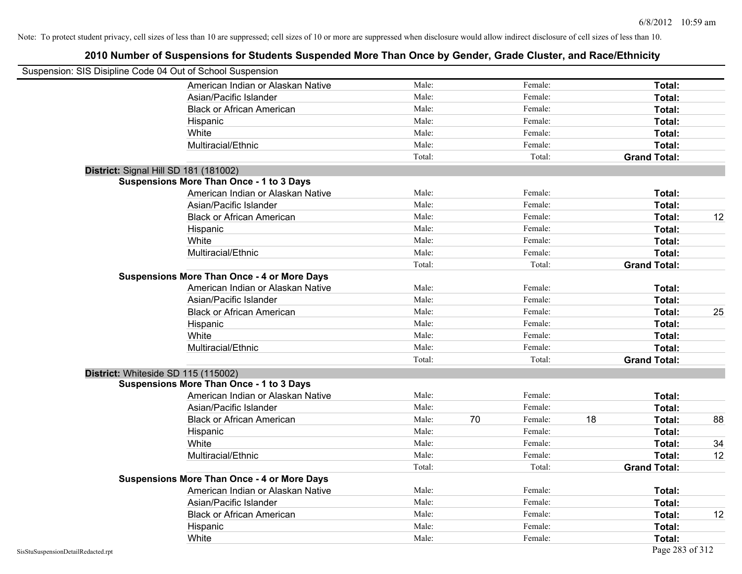| Suspension: SIS Disipline Code 04 Out of School Suspension |                                                    |        |    |         |    |                     |    |
|------------------------------------------------------------|----------------------------------------------------|--------|----|---------|----|---------------------|----|
|                                                            | American Indian or Alaskan Native                  | Male:  |    | Female: |    | Total:              |    |
|                                                            | Asian/Pacific Islander                             | Male:  |    | Female: |    | Total:              |    |
|                                                            | <b>Black or African American</b>                   | Male:  |    | Female: |    | Total:              |    |
|                                                            | Hispanic                                           | Male:  |    | Female: |    | Total:              |    |
|                                                            | White                                              | Male:  |    | Female: |    | Total:              |    |
|                                                            | Multiracial/Ethnic                                 | Male:  |    | Female: |    | Total:              |    |
|                                                            |                                                    | Total: |    | Total:  |    | <b>Grand Total:</b> |    |
|                                                            | District: Signal Hill SD 181 (181002)              |        |    |         |    |                     |    |
|                                                            | <b>Suspensions More Than Once - 1 to 3 Days</b>    |        |    |         |    |                     |    |
|                                                            | American Indian or Alaskan Native                  | Male:  |    | Female: |    | Total:              |    |
|                                                            | Asian/Pacific Islander                             | Male:  |    | Female: |    | Total:              |    |
|                                                            | <b>Black or African American</b>                   | Male:  |    | Female: |    | Total:              | 12 |
|                                                            | Hispanic                                           | Male:  |    | Female: |    | Total:              |    |
|                                                            | White                                              | Male:  |    | Female: |    | Total:              |    |
|                                                            | Multiracial/Ethnic                                 | Male:  |    | Female: |    | Total:              |    |
|                                                            |                                                    | Total: |    | Total:  |    | <b>Grand Total:</b> |    |
|                                                            | <b>Suspensions More Than Once - 4 or More Days</b> |        |    |         |    |                     |    |
|                                                            | American Indian or Alaskan Native                  | Male:  |    | Female: |    | Total:              |    |
|                                                            | Asian/Pacific Islander                             | Male:  |    | Female: |    | Total:              |    |
|                                                            | <b>Black or African American</b>                   | Male:  |    | Female: |    | Total:              | 25 |
|                                                            | Hispanic                                           | Male:  |    | Female: |    | Total:              |    |
|                                                            | White                                              | Male:  |    | Female: |    | Total:              |    |
|                                                            | Multiracial/Ethnic                                 | Male:  |    | Female: |    | Total:              |    |
|                                                            |                                                    | Total: |    | Total:  |    | <b>Grand Total:</b> |    |
|                                                            | District: Whiteside SD 115 (115002)                |        |    |         |    |                     |    |
|                                                            | <b>Suspensions More Than Once - 1 to 3 Days</b>    |        |    |         |    |                     |    |
|                                                            | American Indian or Alaskan Native                  | Male:  |    | Female: |    | Total:              |    |
|                                                            | Asian/Pacific Islander                             | Male:  |    | Female: |    | Total:              |    |
|                                                            | <b>Black or African American</b>                   | Male:  | 70 | Female: | 18 | Total:              | 88 |
|                                                            | Hispanic                                           | Male:  |    | Female: |    | Total:              |    |
|                                                            | White                                              | Male:  |    | Female: |    | Total:              | 34 |
|                                                            | Multiracial/Ethnic                                 | Male:  |    | Female: |    | Total:              | 12 |
|                                                            |                                                    | Total: |    | Total:  |    | <b>Grand Total:</b> |    |
|                                                            | <b>Suspensions More Than Once - 4 or More Days</b> |        |    |         |    |                     |    |
|                                                            | American Indian or Alaskan Native                  | Male:  |    | Female: |    | Total:              |    |
|                                                            | Asian/Pacific Islander                             | Male:  |    | Female: |    | Total:              |    |
|                                                            | <b>Black or African American</b>                   | Male:  |    | Female: |    | Total:              | 12 |
|                                                            | Hispanic                                           | Male:  |    | Female: |    | Total:              |    |
|                                                            | White                                              | Male:  |    | Female: |    | Total:              |    |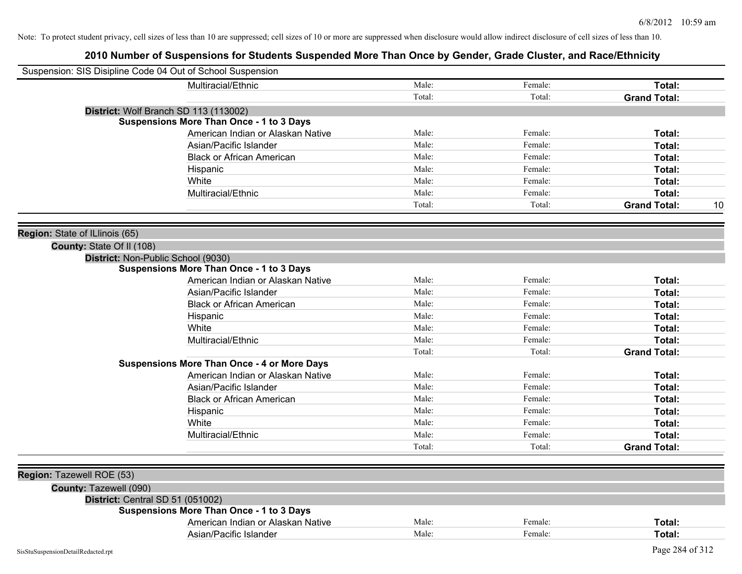| Suspension: SIS Disipline Code 04 Out of School Suspension |                                                    |        |         |                           |
|------------------------------------------------------------|----------------------------------------------------|--------|---------|---------------------------|
|                                                            | Multiracial/Ethnic                                 | Male:  | Female: | Total:                    |
|                                                            |                                                    | Total: | Total:  | <b>Grand Total:</b>       |
|                                                            | District: Wolf Branch SD 113 (113002)              |        |         |                           |
|                                                            | <b>Suspensions More Than Once - 1 to 3 Days</b>    |        |         |                           |
|                                                            | American Indian or Alaskan Native                  | Male:  | Female: | Total:                    |
|                                                            | Asian/Pacific Islander                             | Male:  | Female: | Total:                    |
|                                                            | <b>Black or African American</b>                   | Male:  | Female: | Total:                    |
|                                                            | Hispanic                                           | Male:  | Female: | Total:                    |
|                                                            | White                                              | Male:  | Female: | Total:                    |
|                                                            | Multiracial/Ethnic                                 | Male:  | Female: | Total:                    |
|                                                            |                                                    | Total: | Total:  | <b>Grand Total:</b><br>10 |
|                                                            |                                                    |        |         |                           |
| Region: State of ILlinois (65)                             |                                                    |        |         |                           |
| County: State Of II (108)                                  | District: Non-Public School (9030)                 |        |         |                           |
|                                                            | <b>Suspensions More Than Once - 1 to 3 Days</b>    |        |         |                           |
|                                                            | American Indian or Alaskan Native                  | Male:  | Female: | Total:                    |
|                                                            | Asian/Pacific Islander                             | Male:  | Female: | Total:                    |
|                                                            | <b>Black or African American</b>                   | Male:  | Female: | Total:                    |
|                                                            | Hispanic                                           | Male:  | Female: | Total:                    |
|                                                            | White                                              | Male:  | Female: | Total:                    |
|                                                            | Multiracial/Ethnic                                 | Male:  | Female: | Total:                    |
|                                                            |                                                    | Total: | Total:  | <b>Grand Total:</b>       |
|                                                            | <b>Suspensions More Than Once - 4 or More Days</b> |        |         |                           |
|                                                            | American Indian or Alaskan Native                  | Male:  | Female: | Total:                    |
|                                                            | Asian/Pacific Islander                             | Male:  | Female: | Total:                    |
|                                                            | <b>Black or African American</b>                   | Male:  | Female: | Total:                    |
|                                                            | Hispanic                                           | Male:  | Female: | Total:                    |
|                                                            | White                                              | Male:  | Female: | Total:                    |
|                                                            | Multiracial/Ethnic                                 | Male:  | Female: | Total:                    |
|                                                            |                                                    | Total: | Total:  | <b>Grand Total:</b>       |
|                                                            |                                                    |        |         |                           |
| Region: Tazewell ROE (53)                                  |                                                    |        |         |                           |
| County: Tazewell (090)                                     |                                                    |        |         |                           |
|                                                            | District: Central SD 51 (051002)                   |        |         |                           |
|                                                            | <b>Suspensions More Than Once - 1 to 3 Days</b>    |        |         |                           |
|                                                            | American Indian or Alaskan Native                  | Male:  | Female: | Total:                    |
|                                                            | Asian/Pacific Islander                             | Male:  | Female: | Total:                    |
| SisStuSuspensionDetailRedacted.rpt                         |                                                    |        |         | Page 284 of 312           |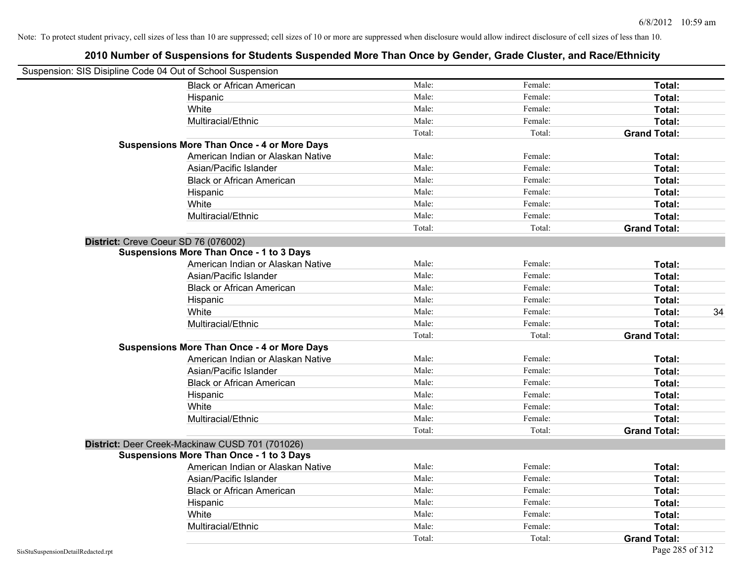| Suspension: SIS Disipline Code 04 Out of School Suspension |                                                    |        |         |                     |
|------------------------------------------------------------|----------------------------------------------------|--------|---------|---------------------|
|                                                            | <b>Black or African American</b>                   | Male:  | Female: | Total:              |
|                                                            | Hispanic                                           | Male:  | Female: | Total:              |
|                                                            | White                                              | Male:  | Female: | Total:              |
|                                                            | Multiracial/Ethnic                                 | Male:  | Female: | Total:              |
|                                                            |                                                    | Total: | Total:  | <b>Grand Total:</b> |
|                                                            | <b>Suspensions More Than Once - 4 or More Days</b> |        |         |                     |
|                                                            | American Indian or Alaskan Native                  | Male:  | Female: | Total:              |
|                                                            | Asian/Pacific Islander                             | Male:  | Female: | Total:              |
|                                                            | <b>Black or African American</b>                   | Male:  | Female: | Total:              |
|                                                            | Hispanic                                           | Male:  | Female: | Total:              |
|                                                            | White                                              | Male:  | Female: | Total:              |
|                                                            | Multiracial/Ethnic                                 | Male:  | Female: | Total:              |
|                                                            |                                                    | Total: | Total:  | <b>Grand Total:</b> |
|                                                            | District: Creve Coeur SD 76 (076002)               |        |         |                     |
|                                                            | <b>Suspensions More Than Once - 1 to 3 Days</b>    |        |         |                     |
|                                                            | American Indian or Alaskan Native                  | Male:  | Female: | Total:              |
|                                                            | Asian/Pacific Islander                             | Male:  | Female: | Total:              |
|                                                            | <b>Black or African American</b>                   | Male:  | Female: | Total:              |
|                                                            | Hispanic                                           | Male:  | Female: | Total:              |
|                                                            | White                                              | Male:  | Female: | 34<br>Total:        |
|                                                            | Multiracial/Ethnic                                 | Male:  | Female: | Total:              |
|                                                            |                                                    | Total: | Total:  | <b>Grand Total:</b> |
|                                                            | <b>Suspensions More Than Once - 4 or More Days</b> |        |         |                     |
|                                                            | American Indian or Alaskan Native                  | Male:  | Female: | Total:              |
|                                                            | Asian/Pacific Islander                             | Male:  | Female: | Total:              |
|                                                            | <b>Black or African American</b>                   | Male:  | Female: | Total:              |
|                                                            | Hispanic                                           | Male:  | Female: | Total:              |
|                                                            | White                                              | Male:  | Female: | Total:              |
|                                                            | Multiracial/Ethnic                                 | Male:  | Female: | Total:              |
|                                                            |                                                    | Total: | Total:  | <b>Grand Total:</b> |
|                                                            | District: Deer Creek-Mackinaw CUSD 701 (701026)    |        |         |                     |
|                                                            | <b>Suspensions More Than Once - 1 to 3 Days</b>    |        |         |                     |
|                                                            | American Indian or Alaskan Native                  | Male:  | Female: | Total:              |
|                                                            | Asian/Pacific Islander                             | Male:  | Female: | Total:              |
|                                                            | <b>Black or African American</b>                   | Male:  | Female: | Total:              |
|                                                            | Hispanic                                           | Male:  | Female: | Total:              |
|                                                            | White                                              | Male:  | Female: | Total:              |
|                                                            | Multiracial/Ethnic                                 | Male:  | Female: | Total:              |
|                                                            |                                                    | Total: | Total:  | <b>Grand Total:</b> |
| SisStuSuspensionDetailRedacted.rpt                         |                                                    |        |         | Page 285 of 312     |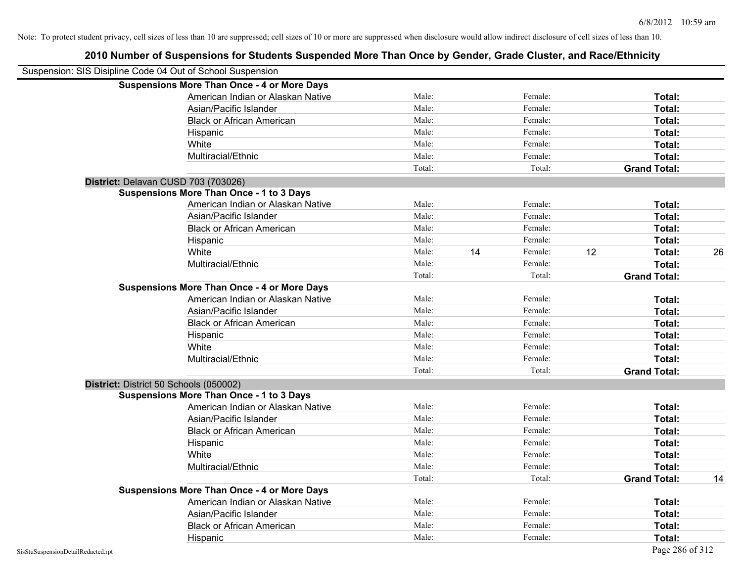| Suspension: SIS Disipline Code 04 Out of School Suspension |                                                    |        |    |         |    |                     |    |
|------------------------------------------------------------|----------------------------------------------------|--------|----|---------|----|---------------------|----|
|                                                            | <b>Suspensions More Than Once - 4 or More Days</b> |        |    |         |    |                     |    |
|                                                            | American Indian or Alaskan Native                  | Male:  |    | Female: |    | Total:              |    |
|                                                            | Asian/Pacific Islander                             | Male:  |    | Female: |    | Total:              |    |
|                                                            | <b>Black or African American</b>                   | Male:  |    | Female: |    | Total:              |    |
|                                                            | Hispanic                                           | Male:  |    | Female: |    | Total:              |    |
|                                                            | White                                              | Male:  |    | Female: |    | Total:              |    |
|                                                            | Multiracial/Ethnic                                 | Male:  |    | Female: |    | Total:              |    |
|                                                            |                                                    | Total: |    | Total:  |    | <b>Grand Total:</b> |    |
| District: Delavan CUSD 703 (703026)                        |                                                    |        |    |         |    |                     |    |
|                                                            | <b>Suspensions More Than Once - 1 to 3 Days</b>    |        |    |         |    |                     |    |
|                                                            | American Indian or Alaskan Native                  | Male:  |    | Female: |    | Total:              |    |
|                                                            | Asian/Pacific Islander                             | Male:  |    | Female: |    | Total:              |    |
|                                                            | <b>Black or African American</b>                   | Male:  |    | Female: |    | Total:              |    |
|                                                            | Hispanic                                           | Male:  |    | Female: |    | Total:              |    |
|                                                            | White                                              | Male:  | 14 | Female: | 12 | Total:              | 26 |
|                                                            | Multiracial/Ethnic                                 | Male:  |    | Female: |    | Total:              |    |
|                                                            |                                                    | Total: |    | Total:  |    | <b>Grand Total:</b> |    |
|                                                            | <b>Suspensions More Than Once - 4 or More Days</b> |        |    |         |    |                     |    |
|                                                            | American Indian or Alaskan Native                  | Male:  |    | Female: |    | Total:              |    |
|                                                            | Asian/Pacific Islander                             | Male:  |    | Female: |    | Total:              |    |
|                                                            | <b>Black or African American</b>                   | Male:  |    | Female: |    | Total:              |    |
|                                                            | Hispanic                                           | Male:  |    | Female: |    | Total:              |    |
|                                                            | White                                              | Male:  |    | Female: |    | Total:              |    |
|                                                            | Multiracial/Ethnic                                 | Male:  |    | Female: |    | Total:              |    |
|                                                            |                                                    | Total: |    | Total:  |    | <b>Grand Total:</b> |    |
| District: District 50 Schools (050002)                     |                                                    |        |    |         |    |                     |    |
|                                                            | <b>Suspensions More Than Once - 1 to 3 Days</b>    |        |    |         |    |                     |    |
|                                                            | American Indian or Alaskan Native                  | Male:  |    | Female: |    | Total:              |    |
|                                                            | Asian/Pacific Islander                             | Male:  |    | Female: |    | Total:              |    |
|                                                            | <b>Black or African American</b>                   | Male:  |    | Female: |    | Total:              |    |
|                                                            | Hispanic                                           | Male:  |    | Female: |    | Total:              |    |
|                                                            | White                                              | Male:  |    | Female: |    | Total:              |    |
|                                                            | Multiracial/Ethnic                                 | Male:  |    | Female: |    | Total:              |    |
|                                                            |                                                    | Total: |    | Total:  |    | <b>Grand Total:</b> | 14 |
|                                                            | <b>Suspensions More Than Once - 4 or More Days</b> |        |    |         |    |                     |    |
|                                                            | American Indian or Alaskan Native                  | Male:  |    | Female: |    | Total:              |    |
|                                                            | Asian/Pacific Islander                             | Male:  |    | Female: |    | Total:              |    |
|                                                            | <b>Black or African American</b>                   | Male:  |    | Female: |    | Total:              |    |
|                                                            | Hispanic                                           | Male:  |    | Female: |    | Total:              |    |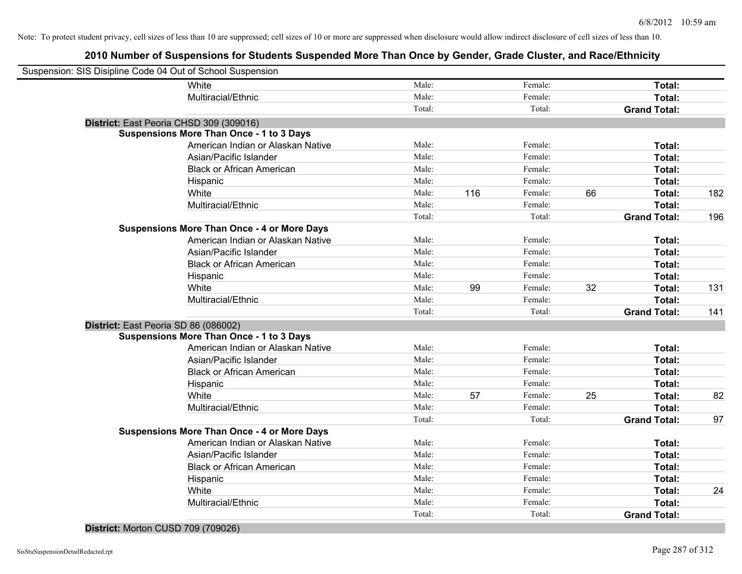| Suspension: SIS Disipline Code 04 Out of School Suspension |        |     |         |    |                     |     |
|------------------------------------------------------------|--------|-----|---------|----|---------------------|-----|
| White                                                      | Male:  |     | Female: |    | Total:              |     |
| Multiracial/Ethnic                                         | Male:  |     | Female: |    | Total:              |     |
|                                                            | Total: |     | Total:  |    | <b>Grand Total:</b> |     |
| District: East Peoria CHSD 309 (309016)                    |        |     |         |    |                     |     |
| <b>Suspensions More Than Once - 1 to 3 Days</b>            |        |     |         |    |                     |     |
| American Indian or Alaskan Native                          | Male:  |     | Female: |    | Total:              |     |
| Asian/Pacific Islander                                     | Male:  |     | Female: |    | Total:              |     |
| <b>Black or African American</b>                           | Male:  |     | Female: |    | Total:              |     |
| Hispanic                                                   | Male:  |     | Female: |    | Total:              |     |
| White                                                      | Male:  | 116 | Female: | 66 | Total:              | 182 |
| Multiracial/Ethnic                                         | Male:  |     | Female: |    | Total:              |     |
|                                                            | Total: |     | Total:  |    | <b>Grand Total:</b> | 196 |
| <b>Suspensions More Than Once - 4 or More Days</b>         |        |     |         |    |                     |     |
| American Indian or Alaskan Native                          | Male:  |     | Female: |    | Total:              |     |
| Asian/Pacific Islander                                     | Male:  |     | Female: |    | Total:              |     |
| <b>Black or African American</b>                           | Male:  |     | Female: |    | Total:              |     |
| Hispanic                                                   | Male:  |     | Female: |    | Total:              |     |
| White                                                      | Male:  | 99  | Female: | 32 | Total:              | 131 |
| Multiracial/Ethnic                                         | Male:  |     | Female: |    | Total:              |     |
|                                                            | Total: |     | Total:  |    | <b>Grand Total:</b> | 141 |
| District: East Peoria SD 86 (086002)                       |        |     |         |    |                     |     |
| <b>Suspensions More Than Once - 1 to 3 Days</b>            |        |     |         |    |                     |     |
| American Indian or Alaskan Native                          | Male:  |     | Female: |    | Total:              |     |
| Asian/Pacific Islander                                     | Male:  |     | Female: |    | Total:              |     |
| <b>Black or African American</b>                           | Male:  |     | Female: |    | Total:              |     |
| Hispanic                                                   | Male:  |     | Female: |    | Total:              |     |
| White                                                      | Male:  | 57  | Female: | 25 | Total:              | 82  |
| Multiracial/Ethnic                                         | Male:  |     | Female: |    | Total:              |     |
|                                                            | Total: |     | Total:  |    | <b>Grand Total:</b> | 97  |
| <b>Suspensions More Than Once - 4 or More Days</b>         |        |     |         |    |                     |     |
| American Indian or Alaskan Native                          | Male:  |     | Female: |    | Total:              |     |
| Asian/Pacific Islander                                     | Male:  |     | Female: |    | Total:              |     |
| <b>Black or African American</b>                           | Male:  |     | Female: |    | Total:              |     |
| Hispanic                                                   | Male:  |     | Female: |    | Total:              |     |
| White                                                      | Male:  |     | Female: |    | Total:              | 24  |
| Multiracial/Ethnic                                         | Male:  |     | Female: |    | Total:              |     |
|                                                            | Total: |     | Total:  |    | <b>Grand Total:</b> |     |
| District: Morton CUSD 709 (709026)                         |        |     |         |    |                     |     |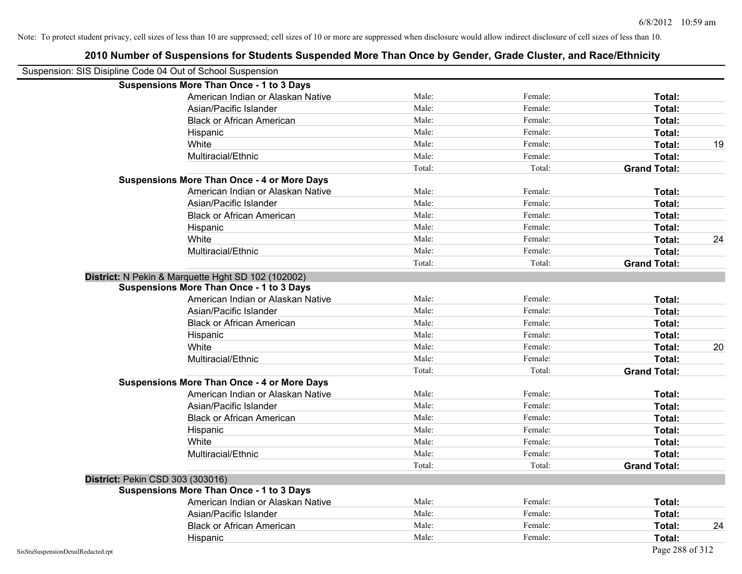| Suspension: SIS Disipline Code 04 Out of School Suspension |                                                    |        |         |                     |
|------------------------------------------------------------|----------------------------------------------------|--------|---------|---------------------|
|                                                            | <b>Suspensions More Than Once - 1 to 3 Days</b>    |        |         |                     |
|                                                            | American Indian or Alaskan Native                  | Male:  | Female: | Total:              |
|                                                            | Asian/Pacific Islander                             | Male:  | Female: | Total:              |
|                                                            | <b>Black or African American</b>                   | Male:  | Female: | Total:              |
| Hispanic                                                   |                                                    | Male:  | Female: | Total:              |
| White                                                      |                                                    | Male:  | Female: | Total:              |
|                                                            | Multiracial/Ethnic                                 | Male:  | Female: | Total:              |
|                                                            |                                                    | Total: | Total:  | <b>Grand Total:</b> |
|                                                            | <b>Suspensions More Than Once - 4 or More Days</b> |        |         |                     |
|                                                            | American Indian or Alaskan Native                  | Male:  | Female: | Total:              |
|                                                            | Asian/Pacific Islander                             | Male:  | Female: | <b>Total:</b>       |
|                                                            | <b>Black or African American</b>                   | Male:  | Female: | Total:              |
| Hispanic                                                   |                                                    | Male:  | Female: | Total:              |
| White                                                      |                                                    | Male:  | Female: | Total:              |
|                                                            | Multiracial/Ethnic                                 | Male:  | Female: | <b>Total:</b>       |
|                                                            |                                                    | Total: | Total:  | <b>Grand Total:</b> |
| District: N Pekin & Marquette Hght SD 102 (102002)         |                                                    |        |         |                     |
|                                                            | <b>Suspensions More Than Once - 1 to 3 Days</b>    |        |         |                     |
|                                                            | American Indian or Alaskan Native                  | Male:  | Female: | Total:              |
|                                                            | Asian/Pacific Islander                             | Male:  | Female: | Total:              |
|                                                            | <b>Black or African American</b>                   | Male:  | Female: | Total:              |
| Hispanic                                                   |                                                    | Male:  | Female: | Total:              |
| White                                                      |                                                    | Male:  | Female: | Total:              |
|                                                            | Multiracial/Ethnic                                 | Male:  | Female: | <b>Total:</b>       |
|                                                            |                                                    | Total: | Total:  | <b>Grand Total:</b> |
|                                                            | <b>Suspensions More Than Once - 4 or More Days</b> |        |         |                     |
|                                                            | American Indian or Alaskan Native                  | Male:  | Female: | Total:              |
|                                                            | Asian/Pacific Islander                             | Male:  | Female: | Total:              |
|                                                            | <b>Black or African American</b>                   | Male:  | Female: | Total:              |
| Hispanic                                                   |                                                    | Male:  | Female: | Total:              |
| White                                                      |                                                    | Male:  | Female: | Total:              |
|                                                            | Multiracial/Ethnic                                 | Male:  | Female: | Total:              |
|                                                            |                                                    | Total: | Total:  | <b>Grand Total:</b> |
| District: Pekin CSD 303 (303016)                           |                                                    |        |         |                     |
|                                                            | <b>Suspensions More Than Once - 1 to 3 Days</b>    |        |         |                     |
|                                                            | American Indian or Alaskan Native                  | Male:  | Female: | Total:              |
|                                                            | Asian/Pacific Islander                             | Male:  | Female: | Total:              |
|                                                            | <b>Black or African American</b>                   | Male:  | Female: | Total:              |
| Hispanic                                                   |                                                    | Male:  | Female: | Total:              |
| SisStuSuspensionDetailRedacted.rpt                         |                                                    |        |         | Page 288 of 312     |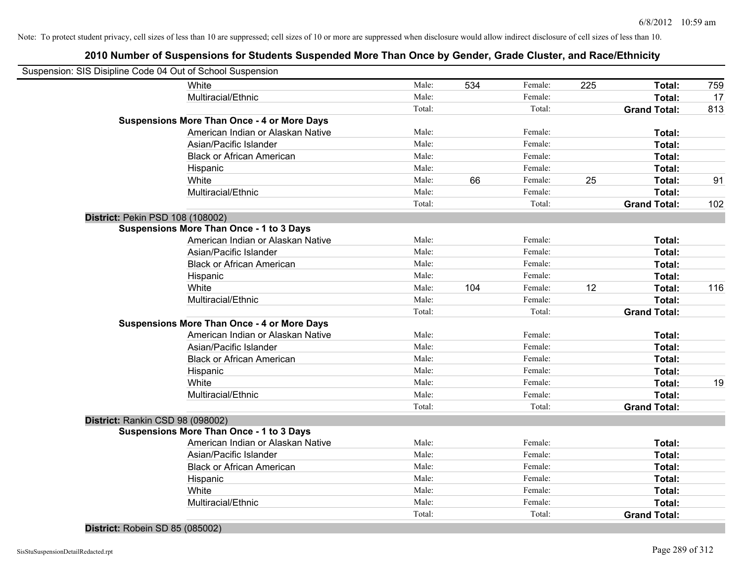| Suspension: SIS Disipline Code 04 Out of School Suspension |                                                    |        |     |         |     |                     |     |
|------------------------------------------------------------|----------------------------------------------------|--------|-----|---------|-----|---------------------|-----|
|                                                            | White                                              | Male:  | 534 | Female: | 225 | Total:              | 759 |
|                                                            | Multiracial/Ethnic                                 | Male:  |     | Female: |     | Total:              | 17  |
|                                                            |                                                    | Total: |     | Total:  |     | <b>Grand Total:</b> | 813 |
|                                                            | <b>Suspensions More Than Once - 4 or More Days</b> |        |     |         |     |                     |     |
|                                                            | American Indian or Alaskan Native                  | Male:  |     | Female: |     | Total:              |     |
|                                                            | Asian/Pacific Islander                             | Male:  |     | Female: |     | Total:              |     |
|                                                            | <b>Black or African American</b>                   | Male:  |     | Female: |     | Total:              |     |
|                                                            | Hispanic                                           | Male:  |     | Female: |     | Total:              |     |
|                                                            | White                                              | Male:  | 66  | Female: | 25  | Total:              | 91  |
|                                                            | Multiracial/Ethnic                                 | Male:  |     | Female: |     | Total:              |     |
|                                                            |                                                    | Total: |     | Total:  |     | <b>Grand Total:</b> | 102 |
| District: Pekin PSD 108 (108002)                           |                                                    |        |     |         |     |                     |     |
|                                                            | <b>Suspensions More Than Once - 1 to 3 Days</b>    |        |     |         |     |                     |     |
|                                                            | American Indian or Alaskan Native                  | Male:  |     | Female: |     | Total:              |     |
|                                                            | Asian/Pacific Islander                             | Male:  |     | Female: |     | Total:              |     |
|                                                            | <b>Black or African American</b>                   | Male:  |     | Female: |     | Total:              |     |
|                                                            | Hispanic                                           | Male:  |     | Female: |     | Total:              |     |
|                                                            | White                                              | Male:  | 104 | Female: | 12  | Total:              | 116 |
|                                                            | Multiracial/Ethnic                                 | Male:  |     | Female: |     | Total:              |     |
|                                                            |                                                    | Total: |     | Total:  |     | <b>Grand Total:</b> |     |
|                                                            | <b>Suspensions More Than Once - 4 or More Days</b> |        |     |         |     |                     |     |
|                                                            | American Indian or Alaskan Native                  | Male:  |     | Female: |     | Total:              |     |
|                                                            | Asian/Pacific Islander                             | Male:  |     | Female: |     | Total:              |     |
|                                                            | <b>Black or African American</b>                   | Male:  |     | Female: |     | Total:              |     |
|                                                            | Hispanic                                           | Male:  |     | Female: |     | Total:              |     |
|                                                            | White                                              | Male:  |     | Female: |     | Total:              | 19  |
|                                                            | Multiracial/Ethnic                                 | Male:  |     | Female: |     | Total:              |     |
|                                                            |                                                    | Total: |     | Total:  |     | <b>Grand Total:</b> |     |
| District: Rankin CSD 98 (098002)                           |                                                    |        |     |         |     |                     |     |
|                                                            | <b>Suspensions More Than Once - 1 to 3 Days</b>    |        |     |         |     |                     |     |
|                                                            | American Indian or Alaskan Native                  | Male:  |     | Female: |     | Total:              |     |
|                                                            | Asian/Pacific Islander                             | Male:  |     | Female: |     | Total:              |     |
|                                                            | <b>Black or African American</b>                   | Male:  |     | Female: |     | Total:              |     |
|                                                            | Hispanic                                           | Male:  |     | Female: |     | Total:              |     |
|                                                            | White                                              | Male:  |     | Female: |     | Total:              |     |
|                                                            | Multiracial/Ethnic                                 | Male:  |     | Female: |     | Total:              |     |
|                                                            |                                                    | Total: |     | Total:  |     | <b>Grand Total:</b> |     |
| District: Robein SD 85 (085002)                            |                                                    |        |     |         |     |                     |     |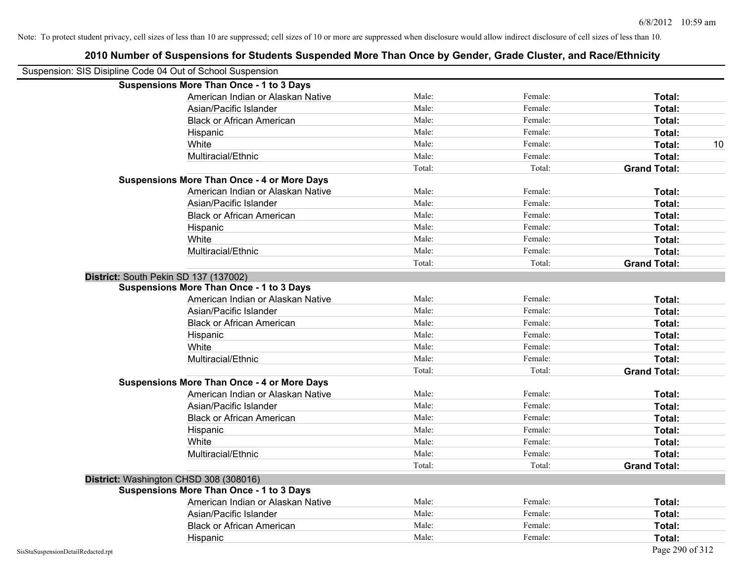| Suspension: SIS Disipline Code 04 Out of School Suspension |        |         |                     |
|------------------------------------------------------------|--------|---------|---------------------|
| <b>Suspensions More Than Once - 1 to 3 Days</b>            |        |         |                     |
| American Indian or Alaskan Native                          | Male:  | Female: | Total:              |
| Asian/Pacific Islander                                     | Male:  | Female: | Total:              |
| <b>Black or African American</b>                           | Male:  | Female: | Total:              |
| Hispanic                                                   | Male:  | Female: | Total:              |
| White                                                      | Male:  | Female: | Total:<br>10        |
| Multiracial/Ethnic                                         | Male:  | Female: | Total:              |
|                                                            | Total: | Total:  | <b>Grand Total:</b> |
| <b>Suspensions More Than Once - 4 or More Days</b>         |        |         |                     |
| American Indian or Alaskan Native                          | Male:  | Female: | Total:              |
| Asian/Pacific Islander                                     | Male:  | Female: | Total:              |
| <b>Black or African American</b>                           | Male:  | Female: | Total:              |
| Hispanic                                                   | Male:  | Female: | Total:              |
| White                                                      | Male:  | Female: | Total:              |
| Multiracial/Ethnic                                         | Male:  | Female: | <b>Total:</b>       |
|                                                            | Total: | Total:  | <b>Grand Total:</b> |
| District: South Pekin SD 137 (137002)                      |        |         |                     |
| <b>Suspensions More Than Once - 1 to 3 Days</b>            |        |         |                     |
| American Indian or Alaskan Native                          | Male:  | Female: | Total:              |
| Asian/Pacific Islander                                     | Male:  | Female: | Total:              |
| <b>Black or African American</b>                           | Male:  | Female: | Total:              |
| Hispanic                                                   | Male:  | Female: | Total:              |
| White                                                      | Male:  | Female: | Total:              |
| Multiracial/Ethnic                                         | Male:  | Female: | Total:              |
|                                                            | Total: | Total:  | <b>Grand Total:</b> |
| <b>Suspensions More Than Once - 4 or More Days</b>         |        |         |                     |
| American Indian or Alaskan Native                          | Male:  | Female: | Total:              |
| Asian/Pacific Islander                                     | Male:  | Female: | Total:              |
| <b>Black or African American</b>                           | Male:  | Female: | Total:              |
| Hispanic                                                   | Male:  | Female: | Total:              |
| White                                                      | Male:  | Female: | Total:              |
| Multiracial/Ethnic                                         | Male:  | Female: | Total:              |
|                                                            | Total: | Total:  | <b>Grand Total:</b> |
| District: Washington CHSD 308 (308016)                     |        |         |                     |
| <b>Suspensions More Than Once - 1 to 3 Days</b>            |        |         |                     |
| American Indian or Alaskan Native                          | Male:  | Female: | Total:              |
| Asian/Pacific Islander                                     | Male:  | Female: | Total:              |
| <b>Black or African American</b>                           | Male:  | Female: | Total:              |
| Hispanic                                                   | Male:  | Female: | Total:              |
| SisStuSuspensionDetailRedacted.rpt                         |        |         | Page 290 of 312     |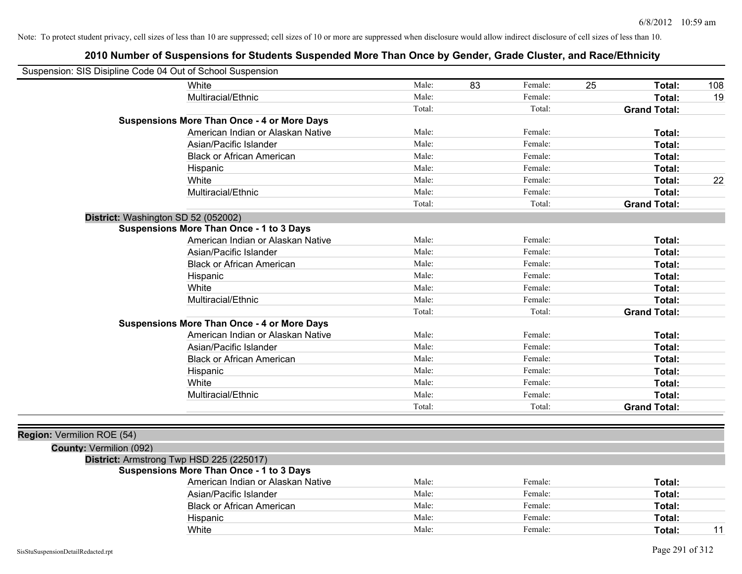| Suspension: SIS Disipline Code 04 Out of School Suspension |                                                    |        |               |                     |     |
|------------------------------------------------------------|----------------------------------------------------|--------|---------------|---------------------|-----|
|                                                            | White                                              | Male:  | 83<br>Female: | 25<br>Total:        | 108 |
|                                                            | Multiracial/Ethnic                                 | Male:  | Female:       | Total:              | 19  |
|                                                            |                                                    | Total: | Total:        | <b>Grand Total:</b> |     |
|                                                            | <b>Suspensions More Than Once - 4 or More Days</b> |        |               |                     |     |
|                                                            | American Indian or Alaskan Native                  | Male:  | Female:       | Total:              |     |
|                                                            | Asian/Pacific Islander                             | Male:  | Female:       | Total:              |     |
|                                                            | <b>Black or African American</b>                   | Male:  | Female:       | Total:              |     |
|                                                            | Hispanic                                           | Male:  | Female:       | Total:              |     |
|                                                            | White                                              | Male:  | Female:       | Total:              | 22  |
|                                                            | Multiracial/Ethnic                                 | Male:  | Female:       | Total:              |     |
|                                                            |                                                    | Total: | Total:        | <b>Grand Total:</b> |     |
| District: Washington SD 52 (052002)                        |                                                    |        |               |                     |     |
|                                                            | <b>Suspensions More Than Once - 1 to 3 Days</b>    |        |               |                     |     |
|                                                            | American Indian or Alaskan Native                  | Male:  | Female:       | Total:              |     |
|                                                            | Asian/Pacific Islander                             | Male:  | Female:       | Total:              |     |
|                                                            | <b>Black or African American</b>                   | Male:  | Female:       | Total:              |     |
|                                                            | Hispanic                                           | Male:  | Female:       | Total:              |     |
|                                                            | White                                              | Male:  | Female:       | Total:              |     |
|                                                            | Multiracial/Ethnic                                 | Male:  | Female:       | Total:              |     |
|                                                            |                                                    | Total: | Total:        | <b>Grand Total:</b> |     |
|                                                            | <b>Suspensions More Than Once - 4 or More Days</b> |        |               |                     |     |
|                                                            | American Indian or Alaskan Native                  | Male:  | Female:       | Total:              |     |
|                                                            | Asian/Pacific Islander                             | Male:  | Female:       | Total:              |     |
|                                                            | <b>Black or African American</b>                   | Male:  | Female:       | Total:              |     |
|                                                            | Hispanic                                           | Male:  | Female:       | Total:              |     |
|                                                            | White                                              | Male:  | Female:       | Total:              |     |
|                                                            | Multiracial/Ethnic                                 | Male:  | Female:       | Total:              |     |
|                                                            |                                                    | Total: | Total:        | <b>Grand Total:</b> |     |
|                                                            |                                                    |        |               |                     |     |
| Region: Vermilion ROE (54)                                 |                                                    |        |               |                     |     |
| <b>County: Vermilion (092)</b>                             |                                                    |        |               |                     |     |
| District: Armstrong Twp HSD 225 (225017)                   |                                                    |        |               |                     |     |
|                                                            | <b>Suspensions More Than Once - 1 to 3 Days</b>    |        |               |                     |     |
|                                                            | American Indian or Alaskan Native                  | Male:  | Female:       | Total:              |     |
|                                                            | Asian/Pacific Islander                             | Male:  | Female:       | Total:              |     |
|                                                            | <b>Black or African American</b>                   | Male:  | Female:       | Total:              |     |
|                                                            | Hispanic                                           | Male:  | Female:       | Total:              |     |
|                                                            | White                                              | Male:  | Female:       | Total:              | 11  |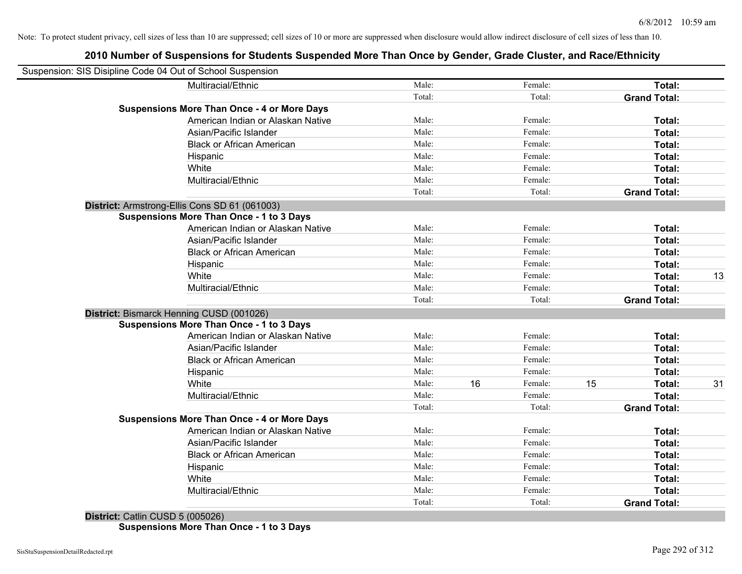# **2010 Number of Suspensions for Students Suspended More Than Once by Gender, Grade Cluster, and Race/Ethnicity**

| Suspension: SIS Disipline Code 04 Out of School Suspension |                                                    |        |    |         |    |                     |    |
|------------------------------------------------------------|----------------------------------------------------|--------|----|---------|----|---------------------|----|
|                                                            | Multiracial/Ethnic                                 | Male:  |    | Female: |    | Total:              |    |
|                                                            |                                                    | Total: |    | Total:  |    | <b>Grand Total:</b> |    |
|                                                            | <b>Suspensions More Than Once - 4 or More Days</b> |        |    |         |    |                     |    |
|                                                            | American Indian or Alaskan Native                  | Male:  |    | Female: |    | Total:              |    |
|                                                            | Asian/Pacific Islander                             | Male:  |    | Female: |    | Total:              |    |
|                                                            | <b>Black or African American</b>                   | Male:  |    | Female: |    | Total:              |    |
|                                                            | Hispanic                                           | Male:  |    | Female: |    | Total:              |    |
|                                                            | White                                              | Male:  |    | Female: |    | Total:              |    |
|                                                            | Multiracial/Ethnic                                 | Male:  |    | Female: |    | Total:              |    |
|                                                            |                                                    | Total: |    | Total:  |    | <b>Grand Total:</b> |    |
|                                                            | District: Armstrong-Ellis Cons SD 61 (061003)      |        |    |         |    |                     |    |
|                                                            | <b>Suspensions More Than Once - 1 to 3 Days</b>    |        |    |         |    |                     |    |
|                                                            | American Indian or Alaskan Native                  | Male:  |    | Female: |    | Total:              |    |
|                                                            | Asian/Pacific Islander                             | Male:  |    | Female: |    | Total:              |    |
|                                                            | <b>Black or African American</b>                   | Male:  |    | Female: |    | Total:              |    |
|                                                            | Hispanic                                           | Male:  |    | Female: |    | Total:              |    |
|                                                            | White                                              | Male:  |    | Female: |    | Total:              | 13 |
|                                                            | Multiracial/Ethnic                                 | Male:  |    | Female: |    | Total:              |    |
|                                                            |                                                    | Total: |    | Total:  |    | <b>Grand Total:</b> |    |
| District: Bismarck Henning CUSD (001026)                   |                                                    |        |    |         |    |                     |    |
|                                                            | <b>Suspensions More Than Once - 1 to 3 Days</b>    |        |    |         |    |                     |    |
|                                                            | American Indian or Alaskan Native                  | Male:  |    | Female: |    | Total:              |    |
|                                                            | Asian/Pacific Islander                             | Male:  |    | Female: |    | Total:              |    |
|                                                            | <b>Black or African American</b>                   | Male:  |    | Female: |    | Total:              |    |
|                                                            | Hispanic                                           | Male:  |    | Female: |    | Total:              |    |
|                                                            | White                                              | Male:  | 16 | Female: | 15 | Total:              | 31 |
|                                                            | Multiracial/Ethnic                                 | Male:  |    | Female: |    | Total:              |    |
|                                                            |                                                    | Total: |    | Total:  |    | <b>Grand Total:</b> |    |
|                                                            | <b>Suspensions More Than Once - 4 or More Days</b> |        |    |         |    |                     |    |
|                                                            | American Indian or Alaskan Native                  | Male:  |    | Female: |    | Total:              |    |
|                                                            | Asian/Pacific Islander                             | Male:  |    | Female: |    | Total:              |    |
|                                                            | <b>Black or African American</b>                   | Male:  |    | Female: |    | Total:              |    |
|                                                            | Hispanic                                           | Male:  |    | Female: |    | Total:              |    |
|                                                            | White                                              | Male:  |    | Female: |    | Total:              |    |
|                                                            | Multiracial/Ethnic                                 | Male:  |    | Female: |    | Total:              |    |
|                                                            |                                                    | Total: |    | Total:  |    | <b>Grand Total:</b> |    |

**District:** Catlin CUSD 5 (005026) **Suspensions More Than Once - 1 to 3 Days**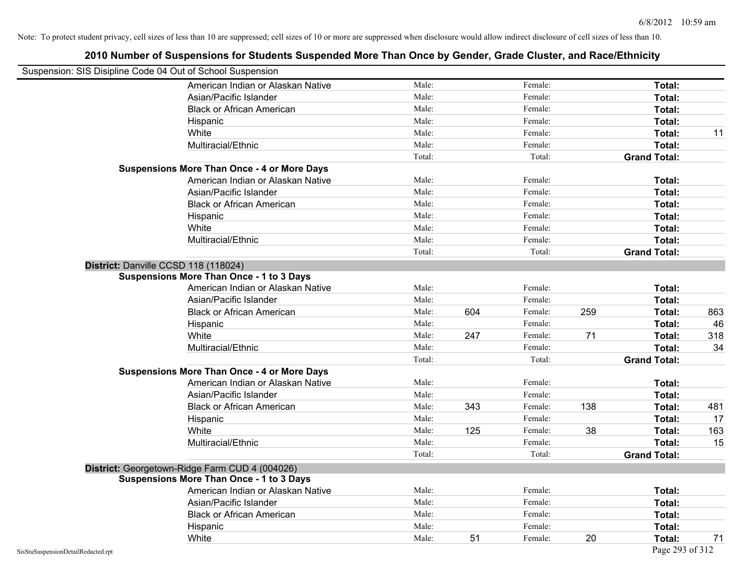|                                                            | 2010 Number of Suspensions for Students Suspended More Than Once by Gender, Grade Cluster, and Race/Ethnicity |        |     |         |     |                     |     |
|------------------------------------------------------------|---------------------------------------------------------------------------------------------------------------|--------|-----|---------|-----|---------------------|-----|
| Suspension: SIS Disipline Code 04 Out of School Suspension |                                                                                                               |        |     |         |     |                     |     |
|                                                            | American Indian or Alaskan Native                                                                             | Male:  |     | Female: |     | Total:              |     |
|                                                            | Asian/Pacific Islander                                                                                        | Male:  |     | Female: |     | Total:              |     |
|                                                            | <b>Black or African American</b>                                                                              | Male:  |     | Female: |     | Total:              |     |
|                                                            | Hispanic                                                                                                      | Male:  |     | Female: |     | Total:              |     |
|                                                            | White                                                                                                         | Male:  |     | Female: |     | Total:              | 11  |
|                                                            | Multiracial/Ethnic                                                                                            | Male:  |     | Female: |     | Total:              |     |
|                                                            |                                                                                                               | Total: |     | Total:  |     | <b>Grand Total:</b> |     |
|                                                            | <b>Suspensions More Than Once - 4 or More Days</b>                                                            |        |     |         |     |                     |     |
|                                                            | American Indian or Alaskan Native                                                                             | Male:  |     | Female: |     | Total:              |     |
|                                                            | Asian/Pacific Islander                                                                                        | Male:  |     | Female: |     | Total:              |     |
|                                                            | <b>Black or African American</b>                                                                              | Male:  |     | Female: |     | Total:              |     |
|                                                            | Hispanic                                                                                                      | Male:  |     | Female: |     | Total:              |     |
|                                                            | White                                                                                                         | Male:  |     | Female: |     | Total:              |     |
|                                                            | Multiracial/Ethnic                                                                                            | Male:  |     | Female: |     | <b>Total:</b>       |     |
|                                                            |                                                                                                               | Total: |     | Total:  |     | <b>Grand Total:</b> |     |
|                                                            | District: Danville CCSD 118 (118024)                                                                          |        |     |         |     |                     |     |
|                                                            | <b>Suspensions More Than Once - 1 to 3 Days</b>                                                               |        |     |         |     |                     |     |
|                                                            | American Indian or Alaskan Native                                                                             | Male:  |     | Female: |     | Total:              |     |
|                                                            | Asian/Pacific Islander                                                                                        | Male:  |     | Female: |     | Total:              |     |
|                                                            | <b>Black or African American</b>                                                                              | Male:  | 604 | Female: | 259 | Total:              | 863 |
|                                                            | Hispanic                                                                                                      | Male:  |     | Female: |     | Total:              | 46  |
|                                                            | White                                                                                                         | Male:  | 247 | Female: | 71  | Total:              | 318 |
|                                                            | Multiracial/Ethnic                                                                                            | Male:  |     | Female: |     | <b>Total:</b>       | 34  |
|                                                            |                                                                                                               | Total: |     | Total:  |     | <b>Grand Total:</b> |     |
|                                                            | <b>Suspensions More Than Once - 4 or More Days</b>                                                            |        |     |         |     |                     |     |
|                                                            | American Indian or Alaskan Native                                                                             | Male:  |     | Female: |     | Total:              |     |
|                                                            | Asian/Pacific Islander                                                                                        | Male:  |     | Female: |     | Total:              |     |
|                                                            | <b>Black or African American</b>                                                                              | Male:  | 343 | Female: | 138 | Total:              | 481 |
|                                                            | Hispanic                                                                                                      | Male:  |     | Female: |     | Total:              | 17  |
|                                                            | White                                                                                                         | Male:  | 125 | Female: | 38  | Total:              | 163 |
|                                                            | Multiracial/Ethnic                                                                                            | Male:  |     | Female: |     | Total:              | 15  |
|                                                            |                                                                                                               | Total: |     | Total:  |     | <b>Grand Total:</b> |     |
|                                                            | District: Georgetown-Ridge Farm CUD 4 (004026)                                                                |        |     |         |     |                     |     |
|                                                            | <b>Suspensions More Than Once - 1 to 3 Days</b>                                                               |        |     |         |     |                     |     |
|                                                            | American Indian or Alaskan Native                                                                             | Male:  |     | Female: |     | Total:              |     |
|                                                            | Asian/Pacific Islander                                                                                        | Male:  |     | Female: |     | Total:              |     |
|                                                            | <b>Black or African American</b>                                                                              | Male:  |     | Female: |     | Total:              |     |
|                                                            | Hispanic                                                                                                      | Male:  |     | Female: |     | Total:              |     |
|                                                            | White                                                                                                         | Male:  | 51  | Female: | 20  | Total:              | 71  |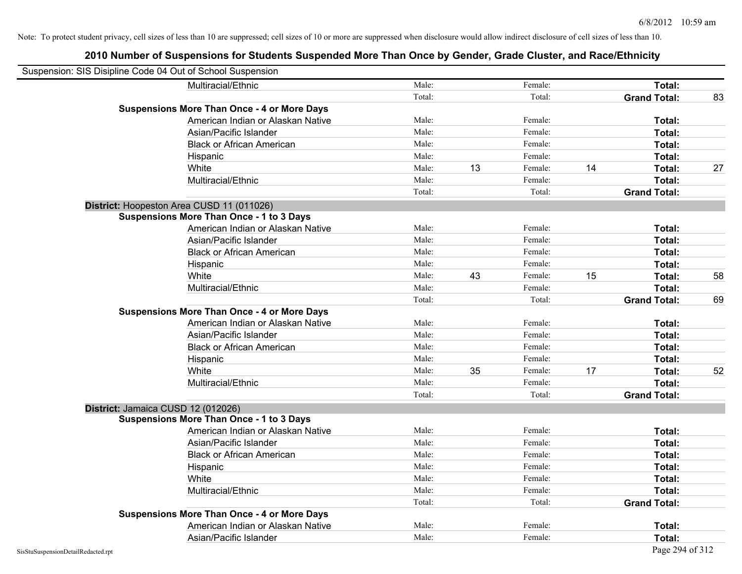| Suspension: SIS Disipline Code 04 Out of School Suspension |                                                    |        |    |         |    |                     |    |
|------------------------------------------------------------|----------------------------------------------------|--------|----|---------|----|---------------------|----|
|                                                            | Multiracial/Ethnic                                 | Male:  |    | Female: |    | Total:              |    |
|                                                            |                                                    | Total: |    | Total:  |    | <b>Grand Total:</b> | 83 |
|                                                            | <b>Suspensions More Than Once - 4 or More Days</b> |        |    |         |    |                     |    |
|                                                            | American Indian or Alaskan Native                  | Male:  |    | Female: |    | Total:              |    |
|                                                            | Asian/Pacific Islander                             | Male:  |    | Female: |    | Total:              |    |
|                                                            | <b>Black or African American</b>                   | Male:  |    | Female: |    | Total:              |    |
|                                                            | Hispanic                                           | Male:  |    | Female: |    | Total:              |    |
|                                                            | White                                              | Male:  | 13 | Female: | 14 | Total:              | 27 |
|                                                            | Multiracial/Ethnic                                 | Male:  |    | Female: |    | Total:              |    |
|                                                            |                                                    | Total: |    | Total:  |    | <b>Grand Total:</b> |    |
|                                                            | District: Hoopeston Area CUSD 11 (011026)          |        |    |         |    |                     |    |
|                                                            | <b>Suspensions More Than Once - 1 to 3 Days</b>    |        |    |         |    |                     |    |
|                                                            | American Indian or Alaskan Native                  | Male:  |    | Female: |    | Total:              |    |
|                                                            | Asian/Pacific Islander                             | Male:  |    | Female: |    | Total:              |    |
|                                                            | <b>Black or African American</b>                   | Male:  |    | Female: |    | Total:              |    |
|                                                            | Hispanic                                           | Male:  |    | Female: |    | Total:              |    |
|                                                            | White                                              | Male:  | 43 | Female: | 15 | Total:              | 58 |
|                                                            | Multiracial/Ethnic                                 | Male:  |    | Female: |    | Total:              |    |
|                                                            |                                                    | Total: |    | Total:  |    | <b>Grand Total:</b> | 69 |
|                                                            | <b>Suspensions More Than Once - 4 or More Days</b> |        |    |         |    |                     |    |
|                                                            | American Indian or Alaskan Native                  | Male:  |    | Female: |    | Total:              |    |
|                                                            | Asian/Pacific Islander                             | Male:  |    | Female: |    | Total:              |    |
|                                                            | <b>Black or African American</b>                   | Male:  |    | Female: |    | Total:              |    |
|                                                            | Hispanic                                           | Male:  |    | Female: |    | Total:              |    |
|                                                            | White                                              | Male:  | 35 | Female: | 17 | Total:              | 52 |
|                                                            | Multiracial/Ethnic                                 | Male:  |    | Female: |    | Total:              |    |
|                                                            |                                                    | Total: |    | Total:  |    | <b>Grand Total:</b> |    |
| District: Jamaica CUSD 12 (012026)                         |                                                    |        |    |         |    |                     |    |
|                                                            | <b>Suspensions More Than Once - 1 to 3 Days</b>    |        |    |         |    |                     |    |
|                                                            | American Indian or Alaskan Native                  | Male:  |    | Female: |    | Total:              |    |
|                                                            | Asian/Pacific Islander                             | Male:  |    | Female: |    | Total:              |    |
|                                                            | <b>Black or African American</b>                   | Male:  |    | Female: |    | Total:              |    |
|                                                            | Hispanic                                           | Male:  |    | Female: |    | Total:              |    |
|                                                            | White                                              | Male:  |    | Female: |    | Total:              |    |
|                                                            | Multiracial/Ethnic                                 | Male:  |    | Female: |    | Total:              |    |
|                                                            |                                                    | Total: |    | Total:  |    | <b>Grand Total:</b> |    |
|                                                            | <b>Suspensions More Than Once - 4 or More Days</b> |        |    |         |    |                     |    |
|                                                            | American Indian or Alaskan Native                  | Male:  |    | Female: |    | Total:              |    |
|                                                            | Asian/Pacific Islander                             | Male:  |    | Female: |    | Total:              |    |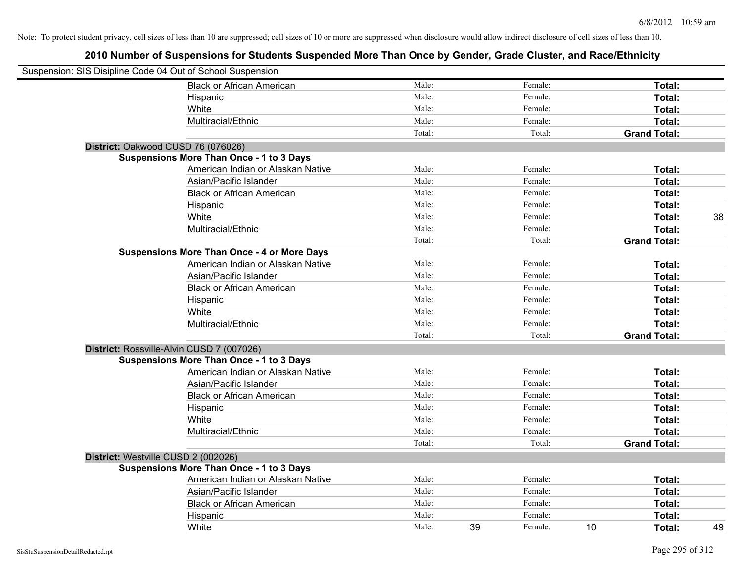| Suspension: SIS Disipline Code 04 Out of School Suspension |                                                    |        |    |         |    |                     |    |
|------------------------------------------------------------|----------------------------------------------------|--------|----|---------|----|---------------------|----|
|                                                            | <b>Black or African American</b>                   | Male:  |    | Female: |    | Total:              |    |
|                                                            | Hispanic                                           | Male:  |    | Female: |    | Total:              |    |
|                                                            | White                                              | Male:  |    | Female: |    | Total:              |    |
|                                                            | Multiracial/Ethnic                                 | Male:  |    | Female: |    | Total:              |    |
|                                                            |                                                    | Total: |    | Total:  |    | <b>Grand Total:</b> |    |
| District: Oakwood CUSD 76 (076026)                         |                                                    |        |    |         |    |                     |    |
|                                                            | <b>Suspensions More Than Once - 1 to 3 Days</b>    |        |    |         |    |                     |    |
|                                                            | American Indian or Alaskan Native                  | Male:  |    | Female: |    | Total:              |    |
|                                                            | Asian/Pacific Islander                             | Male:  |    | Female: |    | Total:              |    |
|                                                            | <b>Black or African American</b>                   | Male:  |    | Female: |    | Total:              |    |
|                                                            | Hispanic                                           | Male:  |    | Female: |    | Total:              |    |
|                                                            | White                                              | Male:  |    | Female: |    | Total:              | 38 |
|                                                            | Multiracial/Ethnic                                 | Male:  |    | Female: |    | Total:              |    |
|                                                            |                                                    | Total: |    | Total:  |    | <b>Grand Total:</b> |    |
|                                                            | <b>Suspensions More Than Once - 4 or More Days</b> |        |    |         |    |                     |    |
|                                                            | American Indian or Alaskan Native                  | Male:  |    | Female: |    | Total:              |    |
|                                                            | Asian/Pacific Islander                             | Male:  |    | Female: |    | Total:              |    |
|                                                            | <b>Black or African American</b>                   | Male:  |    | Female: |    | Total:              |    |
|                                                            | Hispanic                                           | Male:  |    | Female: |    | Total:              |    |
|                                                            | White                                              | Male:  |    | Female: |    | Total:              |    |
|                                                            | Multiracial/Ethnic                                 | Male:  |    | Female: |    | Total:              |    |
|                                                            |                                                    | Total: |    | Total:  |    | <b>Grand Total:</b> |    |
| District: Rossville-Alvin CUSD 7 (007026)                  |                                                    |        |    |         |    |                     |    |
|                                                            | <b>Suspensions More Than Once - 1 to 3 Days</b>    |        |    |         |    |                     |    |
|                                                            | American Indian or Alaskan Native                  | Male:  |    | Female: |    | Total:              |    |
|                                                            | Asian/Pacific Islander                             | Male:  |    | Female: |    | Total:              |    |
|                                                            | <b>Black or African American</b>                   | Male:  |    | Female: |    | Total:              |    |
|                                                            | Hispanic                                           | Male:  |    | Female: |    | Total:              |    |
|                                                            | White                                              | Male:  |    | Female: |    | Total:              |    |
|                                                            | Multiracial/Ethnic                                 | Male:  |    | Female: |    | Total:              |    |
|                                                            |                                                    | Total: |    | Total:  |    | <b>Grand Total:</b> |    |
| District: Westville CUSD 2 (002026)                        |                                                    |        |    |         |    |                     |    |
|                                                            | <b>Suspensions More Than Once - 1 to 3 Days</b>    |        |    |         |    |                     |    |
|                                                            | American Indian or Alaskan Native                  | Male:  |    | Female: |    | Total:              |    |
|                                                            | Asian/Pacific Islander                             | Male:  |    | Female: |    | Total:              |    |
|                                                            | <b>Black or African American</b>                   | Male:  |    | Female: |    | Total:              |    |
|                                                            | Hispanic                                           | Male:  |    | Female: |    | Total:              |    |
|                                                            | White                                              | Male:  | 39 | Female: | 10 | Total:              | 49 |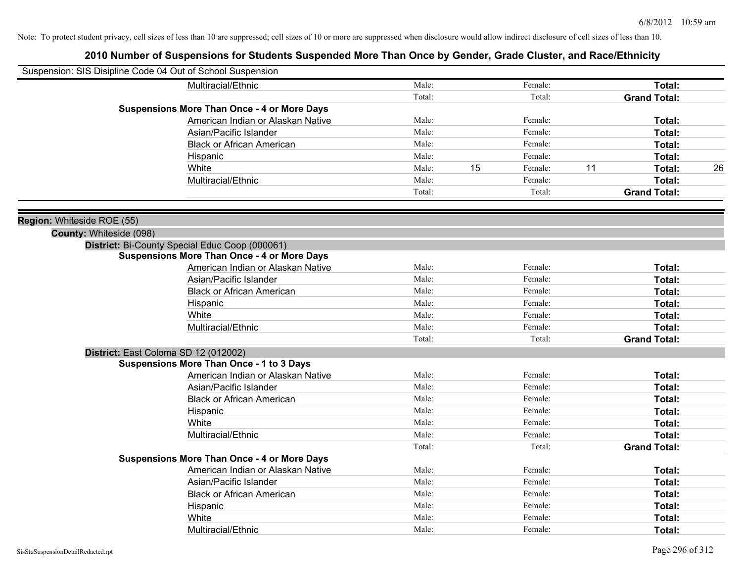|                            | Suspension: SIS Disipline Code 04 Out of School Suspension |        |    |         |    |                     |    |
|----------------------------|------------------------------------------------------------|--------|----|---------|----|---------------------|----|
|                            | Multiracial/Ethnic                                         | Male:  |    | Female: |    | Total:              |    |
|                            |                                                            | Total: |    | Total:  |    | <b>Grand Total:</b> |    |
|                            | <b>Suspensions More Than Once - 4 or More Days</b>         |        |    |         |    |                     |    |
|                            | American Indian or Alaskan Native                          | Male:  |    | Female: |    | Total:              |    |
|                            | Asian/Pacific Islander                                     | Male:  |    | Female: |    | Total:              |    |
|                            | <b>Black or African American</b>                           | Male:  |    | Female: |    | Total:              |    |
|                            | Hispanic                                                   | Male:  |    | Female: |    | Total:              |    |
|                            | White                                                      | Male:  | 15 | Female: | 11 | Total:              | 26 |
|                            | Multiracial/Ethnic                                         | Male:  |    | Female: |    | Total:              |    |
|                            |                                                            | Total: |    | Total:  |    | <b>Grand Total:</b> |    |
| Region: Whiteside ROE (55) |                                                            |        |    |         |    |                     |    |
| County: Whiteside (098)    |                                                            |        |    |         |    |                     |    |
|                            | District: Bi-County Special Educ Coop (000061)             |        |    |         |    |                     |    |
|                            | <b>Suspensions More Than Once - 4 or More Days</b>         |        |    |         |    |                     |    |
|                            | American Indian or Alaskan Native                          | Male:  |    | Female: |    | Total:              |    |
|                            | Asian/Pacific Islander                                     | Male:  |    | Female: |    | Total:              |    |
|                            | <b>Black or African American</b>                           | Male:  |    | Female: |    | Total:              |    |
|                            | Hispanic                                                   | Male:  |    | Female: |    | Total:              |    |
|                            | White                                                      | Male:  |    | Female: |    | Total:              |    |
|                            | Multiracial/Ethnic                                         | Male:  |    | Female: |    | Total:              |    |
|                            |                                                            | Total: |    | Total:  |    | <b>Grand Total:</b> |    |
|                            | District: East Coloma SD 12 (012002)                       |        |    |         |    |                     |    |
|                            | <b>Suspensions More Than Once - 1 to 3 Days</b>            |        |    |         |    |                     |    |
|                            | American Indian or Alaskan Native                          | Male:  |    | Female: |    | Total:              |    |
|                            | Asian/Pacific Islander                                     | Male:  |    | Female: |    | Total:              |    |
|                            | <b>Black or African American</b>                           | Male:  |    | Female: |    | Total:              |    |
|                            | Hispanic                                                   | Male:  |    | Female: |    | Total:              |    |
|                            | White                                                      | Male:  |    | Female: |    | Total:              |    |
|                            | Multiracial/Ethnic                                         | Male:  |    | Female: |    | Total:              |    |
|                            |                                                            | Total: |    | Total:  |    | <b>Grand Total:</b> |    |
|                            | <b>Suspensions More Than Once - 4 or More Days</b>         |        |    |         |    |                     |    |
|                            | American Indian or Alaskan Native                          | Male:  |    | Female: |    | Total:              |    |
|                            | Asian/Pacific Islander                                     | Male:  |    | Female: |    | Total:              |    |
|                            | <b>Black or African American</b>                           | Male:  |    | Female: |    | Total:              |    |
|                            | Hispanic                                                   | Male:  |    | Female: |    | Total:              |    |
|                            | White                                                      | Male:  |    | Female: |    | Total:              |    |
|                            | Multiracial/Ethnic                                         | Male:  |    | Female: |    | Total:              |    |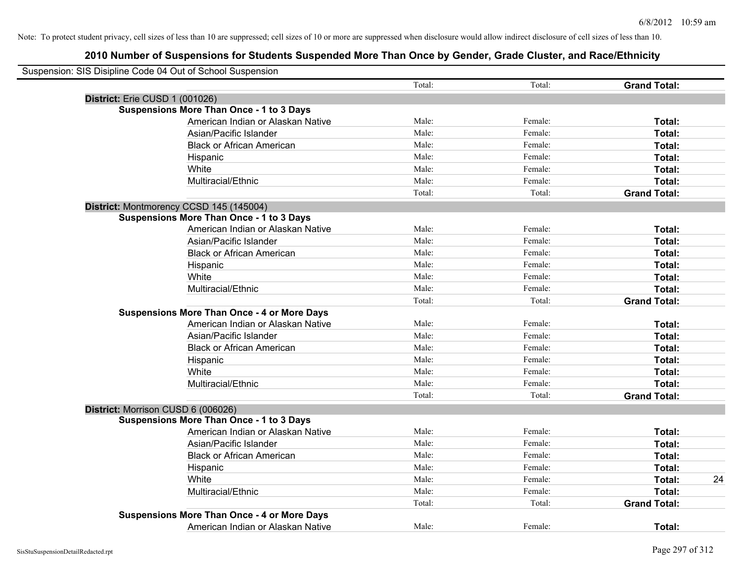| Suspension: SIS Disipline Code 04 Out of School Suspension |        |         |                     |    |
|------------------------------------------------------------|--------|---------|---------------------|----|
|                                                            | Total: | Total:  | <b>Grand Total:</b> |    |
| District: Erie CUSD 1 (001026)                             |        |         |                     |    |
| <b>Suspensions More Than Once - 1 to 3 Days</b>            |        |         |                     |    |
| American Indian or Alaskan Native                          | Male:  | Female: | Total:              |    |
| Asian/Pacific Islander                                     | Male:  | Female: | Total:              |    |
| <b>Black or African American</b>                           | Male:  | Female: | Total:              |    |
| Hispanic                                                   | Male:  | Female: | Total:              |    |
| White                                                      | Male:  | Female: | Total:              |    |
| Multiracial/Ethnic                                         | Male:  | Female: | Total:              |    |
|                                                            | Total: | Total:  | <b>Grand Total:</b> |    |
| District: Montmorency CCSD 145 (145004)                    |        |         |                     |    |
| <b>Suspensions More Than Once - 1 to 3 Days</b>            |        |         |                     |    |
| American Indian or Alaskan Native                          | Male:  | Female: | Total:              |    |
| Asian/Pacific Islander                                     | Male:  | Female: | Total:              |    |
| <b>Black or African American</b>                           | Male:  | Female: | Total:              |    |
| Hispanic                                                   | Male:  | Female: | Total:              |    |
| White                                                      | Male:  | Female: | Total:              |    |
| Multiracial/Ethnic                                         | Male:  | Female: | Total:              |    |
|                                                            | Total: | Total:  | <b>Grand Total:</b> |    |
| <b>Suspensions More Than Once - 4 or More Days</b>         |        |         |                     |    |
| American Indian or Alaskan Native                          | Male:  | Female: | Total:              |    |
| Asian/Pacific Islander                                     | Male:  | Female: | Total:              |    |
| <b>Black or African American</b>                           | Male:  | Female: | Total:              |    |
| Hispanic                                                   | Male:  | Female: | Total:              |    |
| White                                                      | Male:  | Female: | Total:              |    |
| Multiracial/Ethnic                                         | Male:  | Female: | Total:              |    |
|                                                            | Total: | Total:  | <b>Grand Total:</b> |    |
| District: Morrison CUSD 6 (006026)                         |        |         |                     |    |
| <b>Suspensions More Than Once - 1 to 3 Days</b>            |        |         |                     |    |
| American Indian or Alaskan Native                          | Male:  | Female: | Total:              |    |
| Asian/Pacific Islander                                     | Male:  | Female: | Total:              |    |
| <b>Black or African American</b>                           | Male:  | Female: | Total:              |    |
| Hispanic                                                   | Male:  | Female: | Total:              |    |
| White                                                      | Male:  | Female: | Total:              | 24 |
| Multiracial/Ethnic                                         | Male:  | Female: | Total:              |    |
|                                                            | Total: | Total:  | <b>Grand Total:</b> |    |
| <b>Suspensions More Than Once - 4 or More Days</b>         |        |         |                     |    |
| American Indian or Alaskan Native                          | Male:  | Female: | Total:              |    |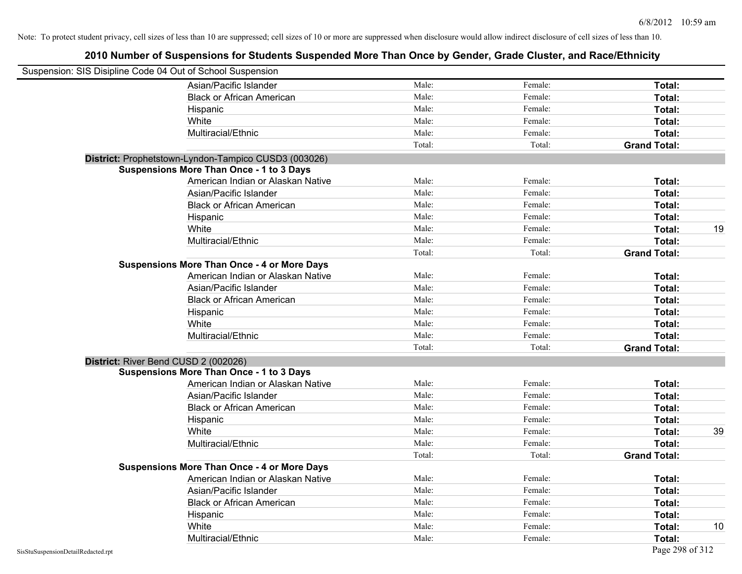| Suspension: SIS Disipline Code 04 Out of School Suspension |                                                      |        |         |                     |    |
|------------------------------------------------------------|------------------------------------------------------|--------|---------|---------------------|----|
|                                                            | Asian/Pacific Islander                               | Male:  | Female: | Total:              |    |
|                                                            | <b>Black or African American</b>                     | Male:  | Female: | Total:              |    |
|                                                            | Hispanic                                             | Male:  | Female: | Total:              |    |
|                                                            | White                                                | Male:  | Female: | Total:              |    |
|                                                            | Multiracial/Ethnic                                   | Male:  | Female: | Total:              |    |
|                                                            |                                                      | Total: | Total:  | <b>Grand Total:</b> |    |
|                                                            | District: Prophetstown-Lyndon-Tampico CUSD3 (003026) |        |         |                     |    |
|                                                            | <b>Suspensions More Than Once - 1 to 3 Days</b>      |        |         |                     |    |
|                                                            | American Indian or Alaskan Native                    | Male:  | Female: | Total:              |    |
|                                                            | Asian/Pacific Islander                               | Male:  | Female: | Total:              |    |
|                                                            | <b>Black or African American</b>                     | Male:  | Female: | Total:              |    |
|                                                            | Hispanic                                             | Male:  | Female: | Total:              |    |
|                                                            | White                                                | Male:  | Female: | Total:              | 19 |
|                                                            | Multiracial/Ethnic                                   | Male:  | Female: | Total:              |    |
|                                                            |                                                      | Total: | Total:  | <b>Grand Total:</b> |    |
|                                                            | <b>Suspensions More Than Once - 4 or More Days</b>   |        |         |                     |    |
|                                                            | American Indian or Alaskan Native                    | Male:  | Female: | Total:              |    |
|                                                            | Asian/Pacific Islander                               | Male:  | Female: | Total:              |    |
|                                                            | <b>Black or African American</b>                     | Male:  | Female: | Total:              |    |
|                                                            | Hispanic                                             | Male:  | Female: | Total:              |    |
|                                                            | White                                                | Male:  | Female: | Total:              |    |
|                                                            | Multiracial/Ethnic                                   | Male:  | Female: | Total:              |    |
|                                                            |                                                      | Total: | Total:  | <b>Grand Total:</b> |    |
| District: River Bend CUSD 2 (002026)                       |                                                      |        |         |                     |    |
|                                                            | <b>Suspensions More Than Once - 1 to 3 Days</b>      |        |         |                     |    |
|                                                            | American Indian or Alaskan Native                    | Male:  | Female: | Total:              |    |
|                                                            | Asian/Pacific Islander                               | Male:  | Female: | Total:              |    |
|                                                            | <b>Black or African American</b>                     | Male:  | Female: | Total:              |    |
|                                                            | Hispanic                                             | Male:  | Female: | Total:              |    |
|                                                            | White                                                | Male:  | Female: | Total:              | 39 |
|                                                            | Multiracial/Ethnic                                   | Male:  | Female: | Total:              |    |
|                                                            |                                                      | Total: | Total:  | <b>Grand Total:</b> |    |
|                                                            | <b>Suspensions More Than Once - 4 or More Days</b>   |        |         |                     |    |
|                                                            | American Indian or Alaskan Native                    | Male:  | Female: | Total:              |    |
|                                                            | Asian/Pacific Islander                               | Male:  | Female: | Total:              |    |
|                                                            | <b>Black or African American</b>                     | Male:  | Female: | Total:              |    |
|                                                            | Hispanic                                             | Male:  | Female: | Total:              |    |
|                                                            | White                                                | Male:  | Female: | Total:              | 10 |
|                                                            | Multiracial/Ethnic                                   | Male:  | Female: | Total:              |    |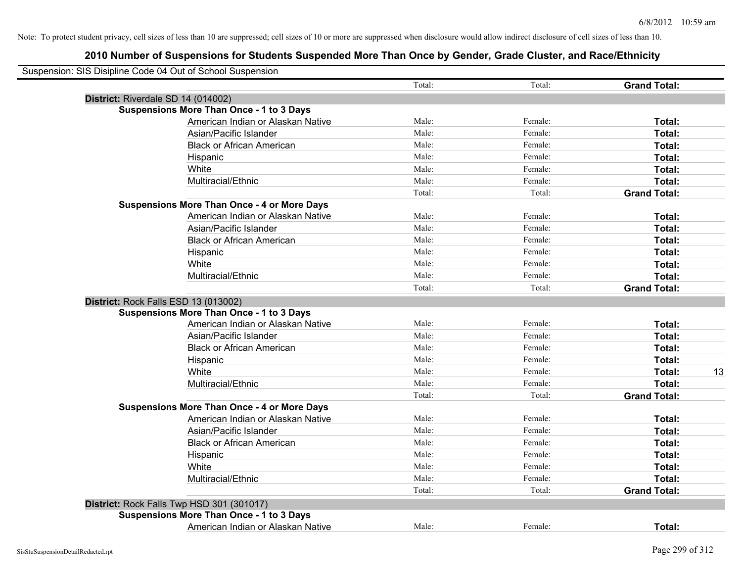|                                                    | Total: | Total:  | <b>Grand Total:</b> |
|----------------------------------------------------|--------|---------|---------------------|
| District: Riverdale SD 14 (014002)                 |        |         |                     |
| <b>Suspensions More Than Once - 1 to 3 Days</b>    |        |         |                     |
| American Indian or Alaskan Native                  | Male:  | Female: | Total:              |
| Asian/Pacific Islander                             | Male:  | Female: | Total:              |
| <b>Black or African American</b>                   | Male:  | Female: | Total:              |
| Hispanic                                           | Male:  | Female: | Total:              |
| White                                              | Male:  | Female: | Total:              |
| Multiracial/Ethnic                                 | Male:  | Female: | Total:              |
|                                                    | Total: | Total:  | <b>Grand Total:</b> |
| <b>Suspensions More Than Once - 4 or More Days</b> |        |         |                     |
| American Indian or Alaskan Native                  | Male:  | Female: | Total:              |
| Asian/Pacific Islander                             | Male:  | Female: | Total:              |
| <b>Black or African American</b>                   | Male:  | Female: | Total:              |
| Hispanic                                           | Male:  | Female: | Total:              |
| White                                              | Male:  | Female: | Total:              |
| Multiracial/Ethnic                                 | Male:  | Female: | Total:              |
|                                                    | Total: | Total:  | <b>Grand Total:</b> |
| District: Rock Falls ESD 13 (013002)               |        |         |                     |
| <b>Suspensions More Than Once - 1 to 3 Days</b>    |        |         |                     |
| American Indian or Alaskan Native                  | Male:  | Female: | Total:              |
| Asian/Pacific Islander                             | Male:  | Female: | Total:              |
| <b>Black or African American</b>                   | Male:  | Female: | Total:              |
| Hispanic                                           | Male:  | Female: | Total:              |
| White                                              | Male:  | Female: | Total:              |
| Multiracial/Ethnic                                 | Male:  | Female: | Total:              |
|                                                    | Total: | Total:  | <b>Grand Total:</b> |
| <b>Suspensions More Than Once - 4 or More Days</b> |        |         |                     |
| American Indian or Alaskan Native                  | Male:  | Female: | Total:              |
| Asian/Pacific Islander                             | Male:  | Female: | Total:              |
| <b>Black or African American</b>                   | Male:  | Female: | Total:              |
| Hispanic                                           | Male:  | Female: | Total:              |
| White                                              | Male:  | Female: | Total:              |
| Multiracial/Ethnic                                 | Male:  | Female: | Total:              |
|                                                    | Total: | Total:  | <b>Grand Total:</b> |
| District: Rock Falls Twp HSD 301 (301017)          |        |         |                     |
| <b>Suspensions More Than Once - 1 to 3 Days</b>    |        |         |                     |
| American Indian or Alaskan Native                  | Male:  | Female: | Total:              |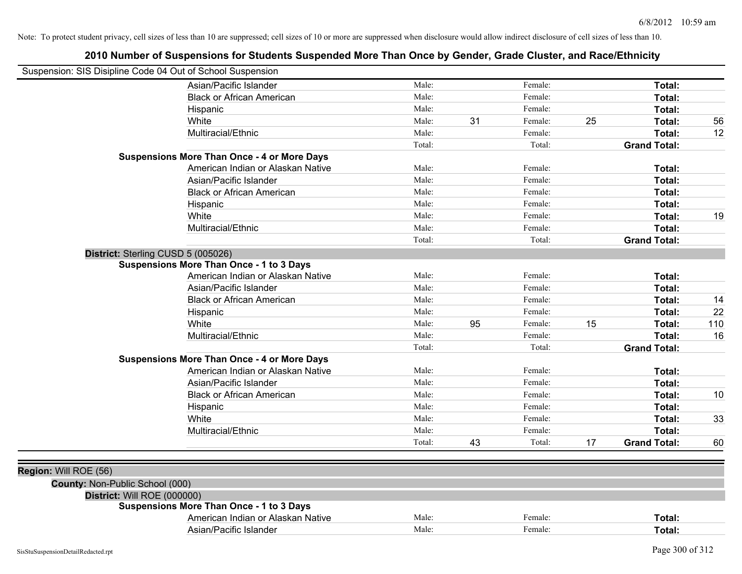| Suspension: SIS Disipline Code 04 Out of School Suspension |                                                    |        |    |         |    |                     |     |
|------------------------------------------------------------|----------------------------------------------------|--------|----|---------|----|---------------------|-----|
|                                                            | Asian/Pacific Islander                             | Male:  |    | Female: |    | Total:              |     |
|                                                            | <b>Black or African American</b>                   | Male:  |    | Female: |    | Total:              |     |
|                                                            | Hispanic                                           | Male:  |    | Female: |    | <b>Total:</b>       |     |
|                                                            | White                                              | Male:  | 31 | Female: | 25 | <b>Total:</b>       | 56  |
|                                                            | Multiracial/Ethnic                                 | Male:  |    | Female: |    | <b>Total:</b>       | 12  |
|                                                            |                                                    | Total: |    | Total:  |    | <b>Grand Total:</b> |     |
|                                                            | <b>Suspensions More Than Once - 4 or More Days</b> |        |    |         |    |                     |     |
|                                                            | American Indian or Alaskan Native                  | Male:  |    | Female: |    | Total:              |     |
|                                                            | Asian/Pacific Islander                             | Male:  |    | Female: |    | <b>Total:</b>       |     |
|                                                            | <b>Black or African American</b>                   | Male:  |    | Female: |    | <b>Total:</b>       |     |
|                                                            | Hispanic                                           | Male:  |    | Female: |    | <b>Total:</b>       |     |
|                                                            | White                                              | Male:  |    | Female: |    | <b>Total:</b>       | 19  |
|                                                            | Multiracial/Ethnic                                 | Male:  |    | Female: |    | <b>Total:</b>       |     |
|                                                            |                                                    | Total: |    | Total:  |    | <b>Grand Total:</b> |     |
| District: Sterling CUSD 5 (005026)                         |                                                    |        |    |         |    |                     |     |
|                                                            | <b>Suspensions More Than Once - 1 to 3 Days</b>    |        |    |         |    |                     |     |
|                                                            | American Indian or Alaskan Native                  | Male:  |    | Female: |    | <b>Total:</b>       |     |
|                                                            | Asian/Pacific Islander                             | Male:  |    | Female: |    | <b>Total:</b>       |     |
|                                                            | <b>Black or African American</b>                   | Male:  |    | Female: |    | <b>Total:</b>       | 14  |
|                                                            | Hispanic                                           | Male:  |    | Female: |    | <b>Total:</b>       | 22  |
|                                                            | White                                              | Male:  | 95 | Female: | 15 | <b>Total:</b>       | 110 |
|                                                            | Multiracial/Ethnic                                 | Male:  |    | Female: |    | Total:              | 16  |
|                                                            |                                                    | Total: |    | Total:  |    | <b>Grand Total:</b> |     |
|                                                            | <b>Suspensions More Than Once - 4 or More Days</b> |        |    |         |    |                     |     |
|                                                            | American Indian or Alaskan Native                  | Male:  |    | Female: |    | <b>Total:</b>       |     |
|                                                            | Asian/Pacific Islander                             | Male:  |    | Female: |    | <b>Total:</b>       |     |
|                                                            | <b>Black or African American</b>                   | Male:  |    | Female: |    | <b>Total:</b>       | 10  |
|                                                            | Hispanic                                           | Male:  |    | Female: |    | <b>Total:</b>       |     |
|                                                            | White                                              | Male:  |    | Female: |    | <b>Total:</b>       | 33  |
|                                                            | Multiracial/Ethnic                                 | Male:  |    | Female: |    | <b>Total:</b>       |     |
|                                                            |                                                    | Total: | 43 | Total:  | 17 | <b>Grand Total:</b> | 60  |
|                                                            |                                                    |        |    |         |    |                     |     |
| Region: Will ROE (56)                                      |                                                    |        |    |         |    |                     |     |
| County: Non-Public School (000)                            |                                                    |        |    |         |    |                     |     |
| District: Will ROE (000000)                                |                                                    |        |    |         |    |                     |     |
|                                                            | <b>Suspensions More Than Once - 1 to 3 Days</b>    |        |    |         |    |                     |     |
|                                                            | American Indian or Alaskan Native                  | Male:  |    | Female: |    | <b>Total:</b>       |     |
|                                                            | Asian/Pacific Islander                             | Male:  |    | Female: |    | Total:              |     |
|                                                            |                                                    |        |    |         |    |                     |     |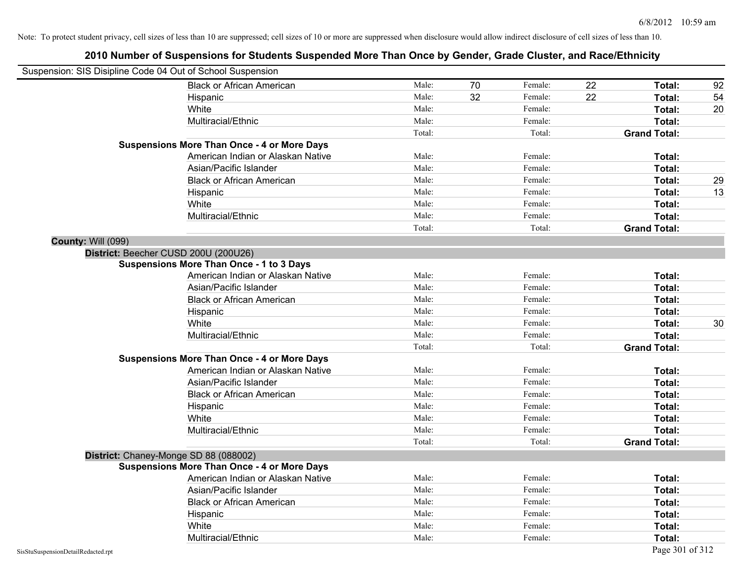|                           | Suspension: SIS Disipline Code 04 Out of School Suspension |        |    |         |    |                     |    |
|---------------------------|------------------------------------------------------------|--------|----|---------|----|---------------------|----|
|                           | <b>Black or African American</b>                           | Male:  | 70 | Female: | 22 | Total:              | 92 |
|                           | Hispanic                                                   | Male:  | 32 | Female: | 22 | Total:              | 54 |
|                           | White                                                      | Male:  |    | Female: |    | <b>Total:</b>       | 20 |
|                           | Multiracial/Ethnic                                         | Male:  |    | Female: |    | Total:              |    |
|                           |                                                            | Total: |    | Total:  |    | <b>Grand Total:</b> |    |
|                           | <b>Suspensions More Than Once - 4 or More Days</b>         |        |    |         |    |                     |    |
|                           | American Indian or Alaskan Native                          | Male:  |    | Female: |    | Total:              |    |
|                           | Asian/Pacific Islander                                     | Male:  |    | Female: |    | Total:              |    |
|                           | <b>Black or African American</b>                           | Male:  |    | Female: |    | Total:              | 29 |
|                           | Hispanic                                                   | Male:  |    | Female: |    | Total:              | 13 |
|                           | White                                                      | Male:  |    | Female: |    | Total:              |    |
|                           | Multiracial/Ethnic                                         | Male:  |    | Female: |    | Total:              |    |
|                           |                                                            | Total: |    | Total:  |    | <b>Grand Total:</b> |    |
| <b>County: Will (099)</b> |                                                            |        |    |         |    |                     |    |
|                           | District: Beecher CUSD 200U (200U26)                       |        |    |         |    |                     |    |
|                           | <b>Suspensions More Than Once - 1 to 3 Days</b>            |        |    |         |    |                     |    |
|                           | American Indian or Alaskan Native                          | Male:  |    | Female: |    | Total:              |    |
|                           | Asian/Pacific Islander                                     | Male:  |    | Female: |    | Total:              |    |
|                           | <b>Black or African American</b>                           | Male:  |    | Female: |    | Total:              |    |
|                           | Hispanic                                                   | Male:  |    | Female: |    | Total:              |    |
|                           | White                                                      | Male:  |    | Female: |    | Total:              | 30 |
|                           | Multiracial/Ethnic                                         | Male:  |    | Female: |    | Total:              |    |
|                           |                                                            | Total: |    | Total:  |    | <b>Grand Total:</b> |    |
|                           | <b>Suspensions More Than Once - 4 or More Days</b>         |        |    |         |    |                     |    |
|                           | American Indian or Alaskan Native                          | Male:  |    | Female: |    | Total:              |    |
|                           | Asian/Pacific Islander                                     | Male:  |    | Female: |    | Total:              |    |
|                           | <b>Black or African American</b>                           | Male:  |    | Female: |    | Total:              |    |
|                           | Hispanic                                                   | Male:  |    | Female: |    | Total:              |    |
|                           | White                                                      | Male:  |    | Female: |    | Total:              |    |
|                           | Multiracial/Ethnic                                         | Male:  |    | Female: |    | Total:              |    |
|                           |                                                            | Total: |    | Total:  |    | <b>Grand Total:</b> |    |
|                           | District: Chaney-Monge SD 88 (088002)                      |        |    |         |    |                     |    |
|                           | <b>Suspensions More Than Once - 4 or More Days</b>         |        |    |         |    |                     |    |
|                           | American Indian or Alaskan Native                          | Male:  |    | Female: |    | Total:              |    |
|                           | Asian/Pacific Islander                                     | Male:  |    | Female: |    | Total:              |    |
|                           | <b>Black or African American</b>                           | Male:  |    | Female: |    | Total:              |    |
|                           | Hispanic                                                   | Male:  |    | Female: |    | Total:              |    |
|                           | White                                                      | Male:  |    | Female: |    | Total:              |    |
|                           | Multiracial/Ethnic                                         | Male:  |    | Female: |    | Total:              |    |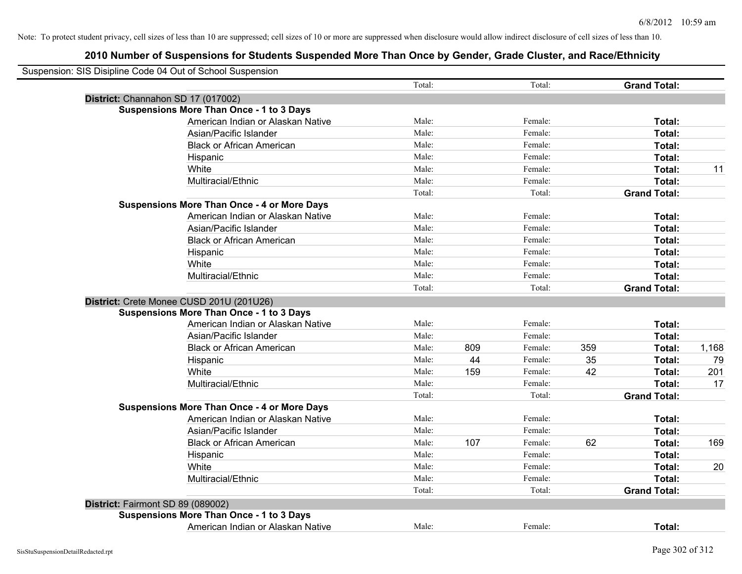|                                   | Suspension: SIS Disipline Code 04 Out of School Suspension                           | Total: |     | Total:  |     | <b>Grand Total:</b> |       |
|-----------------------------------|--------------------------------------------------------------------------------------|--------|-----|---------|-----|---------------------|-------|
|                                   |                                                                                      |        |     |         |     |                     |       |
|                                   | District: Channahon SD 17 (017002)                                                   |        |     |         |     |                     |       |
|                                   | <b>Suspensions More Than Once - 1 to 3 Days</b><br>American Indian or Alaskan Native | Male:  |     | Female: |     |                     |       |
|                                   | Asian/Pacific Islander                                                               | Male:  |     | Female: |     | Total:              |       |
|                                   |                                                                                      | Male:  |     | Female: |     | Total:              |       |
|                                   | <b>Black or African American</b>                                                     |        |     |         |     | Total:              |       |
|                                   | Hispanic                                                                             | Male:  |     | Female: |     | Total:              |       |
|                                   | White                                                                                | Male:  |     | Female: |     | Total:              | 11    |
|                                   | Multiracial/Ethnic                                                                   | Male:  |     | Female: |     | Total:              |       |
|                                   |                                                                                      | Total: |     | Total:  |     | <b>Grand Total:</b> |       |
|                                   | <b>Suspensions More Than Once - 4 or More Days</b>                                   |        |     |         |     |                     |       |
|                                   | American Indian or Alaskan Native                                                    | Male:  |     | Female: |     | Total:              |       |
|                                   | Asian/Pacific Islander                                                               | Male:  |     | Female: |     | Total:              |       |
|                                   | <b>Black or African American</b>                                                     | Male:  |     | Female: |     | Total:              |       |
|                                   | Hispanic                                                                             | Male:  |     | Female: |     | Total:              |       |
|                                   | White                                                                                | Male:  |     | Female: |     | Total:              |       |
|                                   | Multiracial/Ethnic                                                                   | Male:  |     | Female: |     | Total:              |       |
|                                   |                                                                                      | Total: |     | Total:  |     | <b>Grand Total:</b> |       |
|                                   | District: Crete Monee CUSD 201U (201U26)                                             |        |     |         |     |                     |       |
|                                   | <b>Suspensions More Than Once - 1 to 3 Days</b>                                      |        |     |         |     |                     |       |
|                                   | American Indian or Alaskan Native                                                    | Male:  |     | Female: |     | Total:              |       |
|                                   | Asian/Pacific Islander                                                               | Male:  |     | Female: |     | Total:              |       |
|                                   | <b>Black or African American</b>                                                     | Male:  | 809 | Female: | 359 | Total:              | 1,168 |
|                                   | Hispanic                                                                             | Male:  | 44  | Female: | 35  | Total:              | 79    |
|                                   | White                                                                                | Male:  | 159 | Female: | 42  | Total:              | 201   |
|                                   | Multiracial/Ethnic                                                                   | Male:  |     | Female: |     | Total:              | 17    |
|                                   |                                                                                      | Total: |     | Total:  |     | <b>Grand Total:</b> |       |
|                                   | <b>Suspensions More Than Once - 4 or More Days</b>                                   |        |     |         |     |                     |       |
|                                   | American Indian or Alaskan Native                                                    | Male:  |     | Female: |     | Total:              |       |
|                                   | Asian/Pacific Islander                                                               | Male:  |     | Female: |     | Total:              |       |
|                                   | <b>Black or African American</b>                                                     | Male:  | 107 | Female: | 62  | Total:              | 169   |
|                                   | Hispanic                                                                             | Male:  |     | Female: |     | Total:              |       |
|                                   | White                                                                                | Male:  |     | Female: |     | Total:              | 20    |
|                                   | Multiracial/Ethnic                                                                   | Male:  |     | Female: |     | Total:              |       |
|                                   |                                                                                      | Total: |     | Total:  |     | <b>Grand Total:</b> |       |
| District: Fairmont SD 89 (089002) |                                                                                      |        |     |         |     |                     |       |
|                                   | <b>Suspensions More Than Once - 1 to 3 Days</b>                                      |        |     |         |     |                     |       |
|                                   | American Indian or Alaskan Native                                                    | Male:  |     | Female: |     | Total:              |       |
|                                   |                                                                                      |        |     |         |     |                     |       |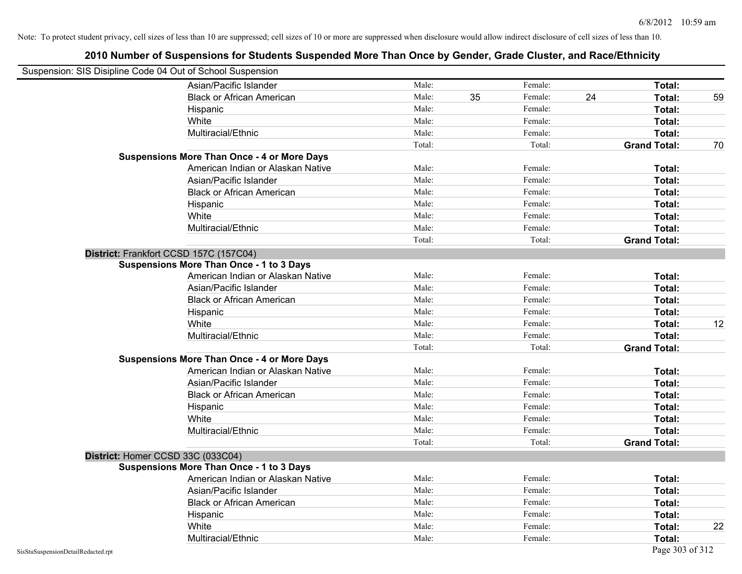| Suspension: SIS Disipline Code 04 Out of School Suspension |                                                    |        |    |         |    |                     |    |
|------------------------------------------------------------|----------------------------------------------------|--------|----|---------|----|---------------------|----|
|                                                            | Asian/Pacific Islander                             | Male:  |    | Female: |    | Total:              |    |
|                                                            | <b>Black or African American</b>                   | Male:  | 35 | Female: | 24 | Total:              | 59 |
|                                                            | Hispanic                                           | Male:  |    | Female: |    | Total:              |    |
|                                                            | White                                              | Male:  |    | Female: |    | Total:              |    |
|                                                            | Multiracial/Ethnic                                 | Male:  |    | Female: |    | Total:              |    |
|                                                            |                                                    | Total: |    | Total:  |    | <b>Grand Total:</b> | 70 |
|                                                            | <b>Suspensions More Than Once - 4 or More Days</b> |        |    |         |    |                     |    |
|                                                            | American Indian or Alaskan Native                  | Male:  |    | Female: |    | Total:              |    |
|                                                            | Asian/Pacific Islander                             | Male:  |    | Female: |    | Total:              |    |
|                                                            | <b>Black or African American</b>                   | Male:  |    | Female: |    | Total:              |    |
|                                                            | Hispanic                                           | Male:  |    | Female: |    | Total:              |    |
|                                                            | White                                              | Male:  |    | Female: |    | Total:              |    |
|                                                            | Multiracial/Ethnic                                 | Male:  |    | Female: |    | Total:              |    |
|                                                            |                                                    | Total: |    | Total:  |    | <b>Grand Total:</b> |    |
|                                                            | District: Frankfort CCSD 157C (157C04)             |        |    |         |    |                     |    |
|                                                            | <b>Suspensions More Than Once - 1 to 3 Days</b>    |        |    |         |    |                     |    |
|                                                            | American Indian or Alaskan Native                  | Male:  |    | Female: |    | Total:              |    |
|                                                            | Asian/Pacific Islander                             | Male:  |    | Female: |    | Total:              |    |
|                                                            | <b>Black or African American</b>                   | Male:  |    | Female: |    | Total:              |    |
|                                                            | Hispanic                                           | Male:  |    | Female: |    | Total:              |    |
|                                                            | White                                              | Male:  |    | Female: |    | Total:              | 12 |
|                                                            | Multiracial/Ethnic                                 | Male:  |    | Female: |    | Total:              |    |
|                                                            |                                                    | Total: |    | Total:  |    | <b>Grand Total:</b> |    |
|                                                            | <b>Suspensions More Than Once - 4 or More Days</b> |        |    |         |    |                     |    |
|                                                            | American Indian or Alaskan Native                  | Male:  |    | Female: |    | Total:              |    |
|                                                            | Asian/Pacific Islander                             | Male:  |    | Female: |    | Total:              |    |
|                                                            | <b>Black or African American</b>                   | Male:  |    | Female: |    | Total:              |    |
|                                                            | Hispanic                                           | Male:  |    | Female: |    | Total:              |    |
|                                                            | White                                              | Male:  |    | Female: |    | Total:              |    |
|                                                            | Multiracial/Ethnic                                 | Male:  |    | Female: |    | Total:              |    |
|                                                            |                                                    | Total: |    | Total:  |    | <b>Grand Total:</b> |    |
| District: Homer CCSD 33C (033C04)                          |                                                    |        |    |         |    |                     |    |
|                                                            | <b>Suspensions More Than Once - 1 to 3 Days</b>    |        |    |         |    |                     |    |
|                                                            | American Indian or Alaskan Native                  | Male:  |    | Female: |    | Total:              |    |
|                                                            | Asian/Pacific Islander                             | Male:  |    | Female: |    | Total:              |    |
|                                                            | <b>Black or African American</b>                   | Male:  |    | Female: |    | Total:              |    |
|                                                            | Hispanic                                           | Male:  |    | Female: |    | Total:              |    |
|                                                            | White                                              | Male:  |    | Female: |    | Total:              | 22 |
|                                                            | Multiracial/Ethnic                                 | Male:  |    | Female: |    | Total:              |    |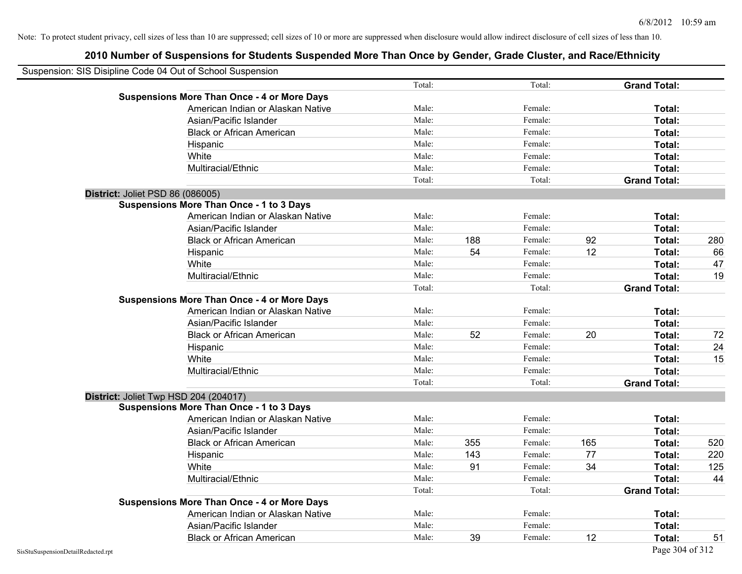| Suspension: SIS Disipline Code 04 Out of School Suspension |                                                    |        |     |         |     |                     |     |
|------------------------------------------------------------|----------------------------------------------------|--------|-----|---------|-----|---------------------|-----|
|                                                            |                                                    | Total: |     | Total:  |     | <b>Grand Total:</b> |     |
|                                                            | <b>Suspensions More Than Once - 4 or More Days</b> |        |     |         |     |                     |     |
|                                                            | American Indian or Alaskan Native                  | Male:  |     | Female: |     | Total:              |     |
|                                                            | Asian/Pacific Islander                             | Male:  |     | Female: |     | Total:              |     |
|                                                            | <b>Black or African American</b>                   | Male:  |     | Female: |     | Total:              |     |
|                                                            | Hispanic                                           | Male:  |     | Female: |     | Total:              |     |
|                                                            | White                                              | Male:  |     | Female: |     | Total:              |     |
|                                                            | Multiracial/Ethnic                                 | Male:  |     | Female: |     | Total:              |     |
|                                                            |                                                    | Total: |     | Total:  |     | <b>Grand Total:</b> |     |
| District: Joliet PSD 86 (086005)                           |                                                    |        |     |         |     |                     |     |
|                                                            | <b>Suspensions More Than Once - 1 to 3 Days</b>    |        |     |         |     |                     |     |
|                                                            | American Indian or Alaskan Native                  | Male:  |     | Female: |     | Total:              |     |
|                                                            | Asian/Pacific Islander                             | Male:  |     | Female: |     | Total:              |     |
|                                                            | <b>Black or African American</b>                   | Male:  | 188 | Female: | 92  | Total:              | 280 |
|                                                            | Hispanic                                           | Male:  | 54  | Female: | 12  | Total:              | 66  |
|                                                            | White                                              | Male:  |     | Female: |     | Total:              | 47  |
|                                                            | Multiracial/Ethnic                                 | Male:  |     | Female: |     | Total:              | 19  |
|                                                            |                                                    | Total: |     | Total:  |     | <b>Grand Total:</b> |     |
|                                                            | <b>Suspensions More Than Once - 4 or More Days</b> |        |     |         |     |                     |     |
|                                                            | American Indian or Alaskan Native                  | Male:  |     | Female: |     | Total:              |     |
|                                                            | Asian/Pacific Islander                             | Male:  |     | Female: |     | Total:              |     |
|                                                            | <b>Black or African American</b>                   | Male:  | 52  | Female: | 20  | Total:              | 72  |
|                                                            | Hispanic                                           | Male:  |     | Female: |     | Total:              | 24  |
|                                                            | White                                              | Male:  |     | Female: |     | Total:              | 15  |
|                                                            | Multiracial/Ethnic                                 | Male:  |     | Female: |     | Total:              |     |
|                                                            |                                                    | Total: |     | Total:  |     | <b>Grand Total:</b> |     |
|                                                            | District: Joliet Twp HSD 204 (204017)              |        |     |         |     |                     |     |
|                                                            | <b>Suspensions More Than Once - 1 to 3 Days</b>    |        |     |         |     |                     |     |
|                                                            | American Indian or Alaskan Native                  | Male:  |     | Female: |     | Total:              |     |
|                                                            | Asian/Pacific Islander                             | Male:  |     | Female: |     | Total:              |     |
|                                                            | <b>Black or African American</b>                   | Male:  | 355 | Female: | 165 | Total:              | 520 |
|                                                            | Hispanic                                           | Male:  | 143 | Female: | 77  | Total:              | 220 |
|                                                            | White                                              | Male:  | 91  | Female: | 34  | Total:              | 125 |
|                                                            | Multiracial/Ethnic                                 | Male:  |     | Female: |     | Total:              | 44  |
|                                                            |                                                    | Total: |     | Total:  |     | <b>Grand Total:</b> |     |
|                                                            | <b>Suspensions More Than Once - 4 or More Days</b> |        |     |         |     |                     |     |
|                                                            | American Indian or Alaskan Native                  | Male:  |     | Female: |     | Total:              |     |
|                                                            | Asian/Pacific Islander                             | Male:  |     | Female: |     | Total:              |     |
|                                                            | <b>Black or African American</b>                   | Male:  | 39  | Female: | 12  | Total:              | 51  |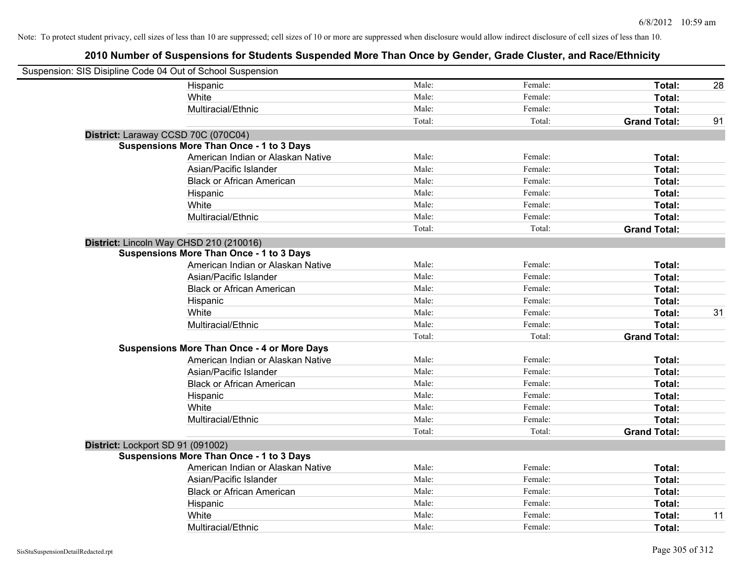| Suspension: SIS Disipline Code 04 Out of School Suspension |                                                    |        |         |                     |    |
|------------------------------------------------------------|----------------------------------------------------|--------|---------|---------------------|----|
|                                                            | Hispanic                                           | Male:  | Female: | Total:              | 28 |
|                                                            | White                                              | Male:  | Female: | Total:              |    |
|                                                            | Multiracial/Ethnic                                 | Male:  | Female: | Total:              |    |
|                                                            |                                                    | Total: | Total:  | <b>Grand Total:</b> | 91 |
| District: Laraway CCSD 70C (070C04)                        |                                                    |        |         |                     |    |
|                                                            | <b>Suspensions More Than Once - 1 to 3 Days</b>    |        |         |                     |    |
|                                                            | American Indian or Alaskan Native                  | Male:  | Female: | Total:              |    |
|                                                            | Asian/Pacific Islander                             | Male:  | Female: | Total:              |    |
|                                                            | <b>Black or African American</b>                   | Male:  | Female: | Total:              |    |
|                                                            | Hispanic                                           | Male:  | Female: | Total:              |    |
|                                                            | White                                              | Male:  | Female: | Total:              |    |
|                                                            | Multiracial/Ethnic                                 | Male:  | Female: | Total:              |    |
|                                                            |                                                    | Total: | Total:  | <b>Grand Total:</b> |    |
|                                                            | District: Lincoln Way CHSD 210 (210016)            |        |         |                     |    |
|                                                            | <b>Suspensions More Than Once - 1 to 3 Days</b>    |        |         |                     |    |
|                                                            | American Indian or Alaskan Native                  | Male:  | Female: | Total:              |    |
|                                                            | Asian/Pacific Islander                             | Male:  | Female: | Total:              |    |
|                                                            | <b>Black or African American</b>                   | Male:  | Female: | Total:              |    |
|                                                            | Hispanic                                           | Male:  | Female: | Total:              |    |
|                                                            | White                                              | Male:  | Female: | Total:              | 31 |
|                                                            | Multiracial/Ethnic                                 | Male:  | Female: | Total:              |    |
|                                                            |                                                    | Total: | Total:  | <b>Grand Total:</b> |    |
|                                                            | <b>Suspensions More Than Once - 4 or More Days</b> |        |         |                     |    |
|                                                            | American Indian or Alaskan Native                  | Male:  | Female: | Total:              |    |
|                                                            | Asian/Pacific Islander                             | Male:  | Female: | Total:              |    |
|                                                            | <b>Black or African American</b>                   | Male:  | Female: | Total:              |    |
|                                                            | Hispanic                                           | Male:  | Female: | Total:              |    |
|                                                            | White                                              | Male:  | Female: | Total:              |    |
|                                                            | Multiracial/Ethnic                                 | Male:  | Female: | Total:              |    |
|                                                            |                                                    | Total: | Total:  | <b>Grand Total:</b> |    |
| District: Lockport SD 91 (091002)                          |                                                    |        |         |                     |    |
|                                                            | <b>Suspensions More Than Once - 1 to 3 Days</b>    |        |         |                     |    |
|                                                            | American Indian or Alaskan Native                  | Male:  | Female: | Total:              |    |
|                                                            | Asian/Pacific Islander                             | Male:  | Female: | Total:              |    |
|                                                            | <b>Black or African American</b>                   | Male:  | Female: | Total:              |    |
|                                                            | Hispanic                                           | Male:  | Female: | Total:              |    |
|                                                            | White                                              | Male:  | Female: | Total:              | 11 |
|                                                            | Multiracial/Ethnic                                 | Male:  | Female: | Total:              |    |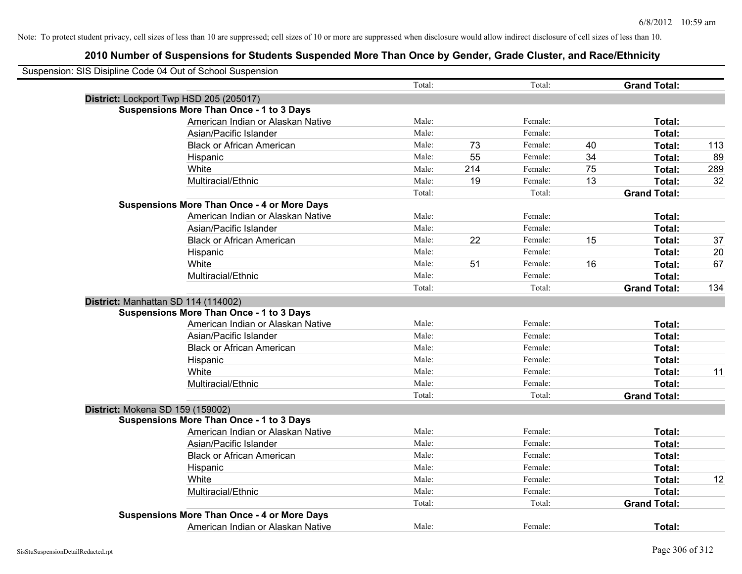| Suspension: SIS Disipline Code 04 Out of School Suspension |        |     |         |    |                     |     |
|------------------------------------------------------------|--------|-----|---------|----|---------------------|-----|
|                                                            | Total: |     | Total:  |    | <b>Grand Total:</b> |     |
| District: Lockport Twp HSD 205 (205017)                    |        |     |         |    |                     |     |
| <b>Suspensions More Than Once - 1 to 3 Days</b>            |        |     |         |    |                     |     |
| American Indian or Alaskan Native                          | Male:  |     | Female: |    | Total:              |     |
| Asian/Pacific Islander                                     | Male:  |     | Female: |    | Total:              |     |
| <b>Black or African American</b>                           | Male:  | 73  | Female: | 40 | Total:              | 113 |
| Hispanic                                                   | Male:  | 55  | Female: | 34 | Total:              | 89  |
| White                                                      | Male:  | 214 | Female: | 75 | Total:              | 289 |
| Multiracial/Ethnic                                         | Male:  | 19  | Female: | 13 | Total:              | 32  |
|                                                            | Total: |     | Total:  |    | <b>Grand Total:</b> |     |
| <b>Suspensions More Than Once - 4 or More Days</b>         |        |     |         |    |                     |     |
| American Indian or Alaskan Native                          | Male:  |     | Female: |    | Total:              |     |
| Asian/Pacific Islander                                     | Male:  |     | Female: |    | Total:              |     |
| <b>Black or African American</b>                           | Male:  | 22  | Female: | 15 | Total:              | 37  |
| Hispanic                                                   | Male:  |     | Female: |    | Total:              | 20  |
| White                                                      | Male:  | 51  | Female: | 16 | Total:              | 67  |
| Multiracial/Ethnic                                         | Male:  |     | Female: |    | Total:              |     |
|                                                            | Total: |     | Total:  |    | <b>Grand Total:</b> | 134 |
| District: Manhattan SD 114 (114002)                        |        |     |         |    |                     |     |
| <b>Suspensions More Than Once - 1 to 3 Days</b>            |        |     |         |    |                     |     |
| American Indian or Alaskan Native                          | Male:  |     | Female: |    | Total:              |     |
| Asian/Pacific Islander                                     | Male:  |     | Female: |    | Total:              |     |
| <b>Black or African American</b>                           | Male:  |     | Female: |    | Total:              |     |
| Hispanic                                                   | Male:  |     | Female: |    | Total:              |     |
| White                                                      | Male:  |     | Female: |    | Total:              | 11  |
| Multiracial/Ethnic                                         | Male:  |     | Female: |    | Total:              |     |
|                                                            | Total: |     | Total:  |    | <b>Grand Total:</b> |     |
| District: Mokena SD 159 (159002)                           |        |     |         |    |                     |     |
| <b>Suspensions More Than Once - 1 to 3 Days</b>            |        |     |         |    |                     |     |
| American Indian or Alaskan Native                          | Male:  |     | Female: |    | Total:              |     |
| Asian/Pacific Islander                                     | Male:  |     | Female: |    | Total:              |     |
| <b>Black or African American</b>                           | Male:  |     | Female: |    | Total:              |     |
| Hispanic                                                   | Male:  |     | Female: |    | Total:              |     |
| White                                                      | Male:  |     | Female: |    | Total:              | 12  |
| Multiracial/Ethnic                                         | Male:  |     | Female: |    | Total:              |     |
|                                                            | Total: |     | Total:  |    | <b>Grand Total:</b> |     |
| <b>Suspensions More Than Once - 4 or More Days</b>         |        |     |         |    |                     |     |
| American Indian or Alaskan Native                          | Male:  |     | Female: |    | Total:              |     |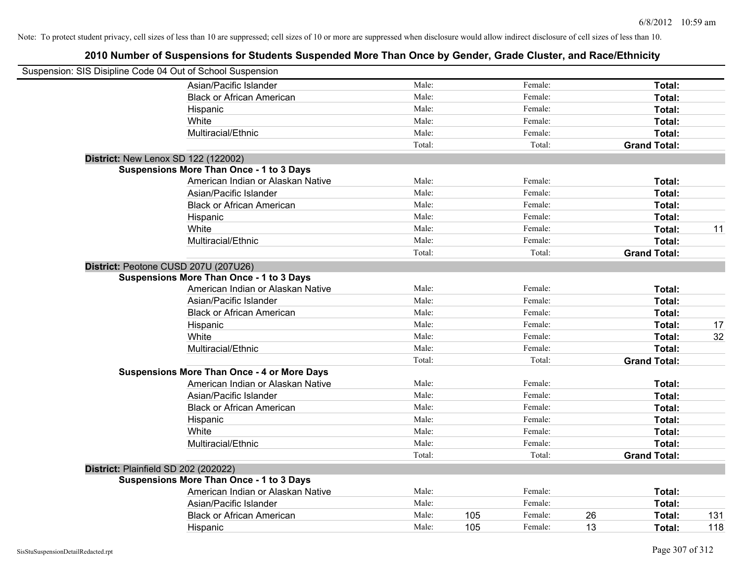| Suspension: SIS Disipline Code 04 Out of School Suspension |                                                    |        |                |                     |     |
|------------------------------------------------------------|----------------------------------------------------|--------|----------------|---------------------|-----|
|                                                            | Asian/Pacific Islander                             | Male:  | Female:        | Total:              |     |
|                                                            | <b>Black or African American</b>                   | Male:  | Female:        | Total:              |     |
|                                                            | Hispanic                                           | Male:  | Female:        | Total:              |     |
|                                                            | White                                              | Male:  | Female:        | Total:              |     |
|                                                            | Multiracial/Ethnic                                 | Male:  | Female:        | Total:              |     |
|                                                            |                                                    | Total: | Total:         | <b>Grand Total:</b> |     |
| <b>District: New Lenox SD 122 (122002)</b>                 |                                                    |        |                |                     |     |
|                                                            | <b>Suspensions More Than Once - 1 to 3 Days</b>    |        |                |                     |     |
|                                                            | American Indian or Alaskan Native                  | Male:  | Female:        | Total:              |     |
|                                                            | Asian/Pacific Islander                             | Male:  | Female:        | Total:              |     |
|                                                            | <b>Black or African American</b>                   | Male:  | Female:        | Total:              |     |
|                                                            | Hispanic                                           | Male:  | Female:        | Total:              |     |
|                                                            | White                                              | Male:  | Female:        | Total:              | 11  |
|                                                            | Multiracial/Ethnic                                 | Male:  | Female:        | Total:              |     |
|                                                            |                                                    | Total: | Total:         | <b>Grand Total:</b> |     |
| District: Peotone CUSD 207U (207U26)                       |                                                    |        |                |                     |     |
|                                                            | <b>Suspensions More Than Once - 1 to 3 Days</b>    |        |                |                     |     |
|                                                            | American Indian or Alaskan Native                  | Male:  | Female:        | Total:              |     |
|                                                            | Asian/Pacific Islander                             | Male:  | Female:        | Total:              |     |
|                                                            | <b>Black or African American</b>                   | Male:  | Female:        | Total:              |     |
|                                                            | Hispanic                                           | Male:  | Female:        | Total:              | 17  |
|                                                            | White                                              | Male:  | Female:        | Total:              | 32  |
|                                                            | Multiracial/Ethnic                                 | Male:  | Female:        | Total:              |     |
|                                                            |                                                    | Total: | Total:         | <b>Grand Total:</b> |     |
|                                                            | <b>Suspensions More Than Once - 4 or More Days</b> |        |                |                     |     |
|                                                            | American Indian or Alaskan Native                  | Male:  | Female:        | Total:              |     |
|                                                            | Asian/Pacific Islander                             | Male:  | Female:        | Total:              |     |
|                                                            | <b>Black or African American</b>                   | Male:  | Female:        | Total:              |     |
|                                                            | Hispanic                                           | Male:  | Female:        | Total:              |     |
|                                                            | White                                              | Male:  | Female:        | Total:              |     |
|                                                            | Multiracial/Ethnic                                 | Male:  | Female:        | Total:              |     |
|                                                            |                                                    | Total: | Total:         | <b>Grand Total:</b> |     |
| District: Plainfield SD 202 (202022)                       |                                                    |        |                |                     |     |
|                                                            | <b>Suspensions More Than Once - 1 to 3 Days</b>    |        |                |                     |     |
|                                                            | American Indian or Alaskan Native                  | Male:  | Female:        | Total:              |     |
|                                                            | Asian/Pacific Islander                             | Male:  | Female:        | Total:              |     |
|                                                            | <b>Black or African American</b>                   | Male:  | 105<br>Female: | 26<br>Total:        | 131 |
|                                                            | Hispanic                                           | Male:  | 105<br>Female: | 13<br>Total:        | 118 |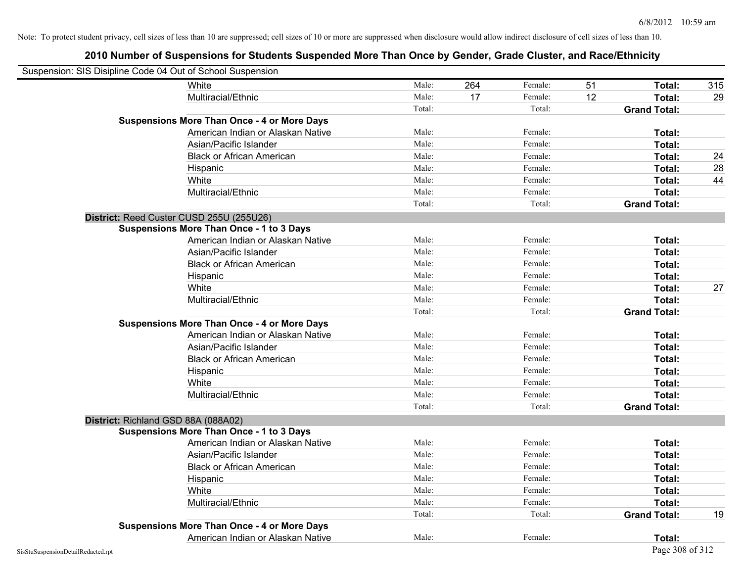| Suspension: SIS Disipline Code 04 Out of School Suspension |                                                    |        |     |         |    |                     |     |
|------------------------------------------------------------|----------------------------------------------------|--------|-----|---------|----|---------------------|-----|
|                                                            | White                                              | Male:  | 264 | Female: | 51 | Total:              | 315 |
|                                                            | Multiracial/Ethnic                                 | Male:  | 17  | Female: | 12 | Total:              | 29  |
|                                                            |                                                    | Total: |     | Total:  |    | <b>Grand Total:</b> |     |
|                                                            | <b>Suspensions More Than Once - 4 or More Days</b> |        |     |         |    |                     |     |
|                                                            | American Indian or Alaskan Native                  | Male:  |     | Female: |    | Total:              |     |
|                                                            | Asian/Pacific Islander                             | Male:  |     | Female: |    | Total:              |     |
|                                                            | <b>Black or African American</b>                   | Male:  |     | Female: |    | Total:              | 24  |
|                                                            | Hispanic                                           | Male:  |     | Female: |    | Total:              | 28  |
|                                                            | White                                              | Male:  |     | Female: |    | Total:              | 44  |
|                                                            | Multiracial/Ethnic                                 | Male:  |     | Female: |    | Total:              |     |
|                                                            |                                                    | Total: |     | Total:  |    | <b>Grand Total:</b> |     |
|                                                            | District: Reed Custer CUSD 255U (255U26)           |        |     |         |    |                     |     |
|                                                            | <b>Suspensions More Than Once - 1 to 3 Days</b>    |        |     |         |    |                     |     |
|                                                            | American Indian or Alaskan Native                  | Male:  |     | Female: |    | Total:              |     |
|                                                            | Asian/Pacific Islander                             | Male:  |     | Female: |    | Total:              |     |
|                                                            | <b>Black or African American</b>                   | Male:  |     | Female: |    | Total:              |     |
|                                                            | Hispanic                                           | Male:  |     | Female: |    | Total:              |     |
|                                                            | White                                              | Male:  |     | Female: |    | Total:              | 27  |
|                                                            | Multiracial/Ethnic                                 | Male:  |     | Female: |    | Total:              |     |
|                                                            |                                                    | Total: |     | Total:  |    | <b>Grand Total:</b> |     |
|                                                            | <b>Suspensions More Than Once - 4 or More Days</b> |        |     |         |    |                     |     |
|                                                            | American Indian or Alaskan Native                  | Male:  |     | Female: |    | Total:              |     |
|                                                            | Asian/Pacific Islander                             | Male:  |     | Female: |    | Total:              |     |
|                                                            | <b>Black or African American</b>                   | Male:  |     | Female: |    | Total:              |     |
|                                                            | Hispanic                                           | Male:  |     | Female: |    | Total:              |     |
|                                                            | White                                              | Male:  |     | Female: |    | Total:              |     |
|                                                            | Multiracial/Ethnic                                 | Male:  |     | Female: |    | Total:              |     |
|                                                            |                                                    | Total: |     | Total:  |    | <b>Grand Total:</b> |     |
| District: Richland GSD 88A (088A02)                        |                                                    |        |     |         |    |                     |     |
|                                                            | <b>Suspensions More Than Once - 1 to 3 Days</b>    |        |     |         |    |                     |     |
|                                                            | American Indian or Alaskan Native                  | Male:  |     | Female: |    | Total:              |     |
|                                                            | Asian/Pacific Islander                             | Male:  |     | Female: |    | Total:              |     |
|                                                            | <b>Black or African American</b>                   | Male:  |     | Female: |    | Total:              |     |
|                                                            | Hispanic                                           | Male:  |     | Female: |    | Total:              |     |
|                                                            | White                                              | Male:  |     | Female: |    | Total:              |     |
|                                                            | Multiracial/Ethnic                                 | Male:  |     | Female: |    | Total:              |     |
|                                                            |                                                    | Total: |     | Total:  |    | <b>Grand Total:</b> | 19  |
|                                                            | <b>Suspensions More Than Once - 4 or More Days</b> |        |     |         |    |                     |     |
|                                                            | American Indian or Alaskan Native                  | Male:  |     | Female: |    | Total:              |     |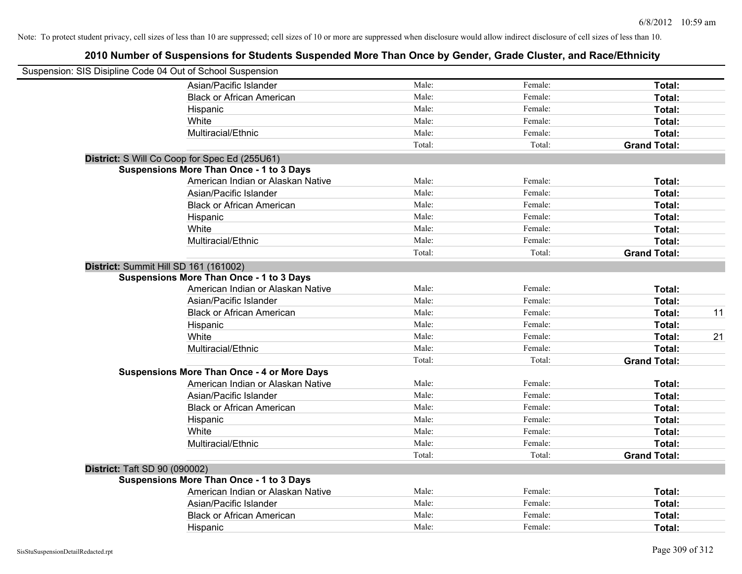| Suspension: SIS Disipline Code 04 Out of School Suspension |                                                    |        |         |                     |    |
|------------------------------------------------------------|----------------------------------------------------|--------|---------|---------------------|----|
|                                                            | Asian/Pacific Islander                             | Male:  | Female: | Total:              |    |
|                                                            | <b>Black or African American</b>                   | Male:  | Female: | Total:              |    |
|                                                            | Hispanic                                           | Male:  | Female: | Total:              |    |
|                                                            | White                                              | Male:  | Female: | Total:              |    |
|                                                            | Multiracial/Ethnic                                 | Male:  | Female: | Total:              |    |
|                                                            |                                                    | Total: | Total:  | <b>Grand Total:</b> |    |
|                                                            | District: S Will Co Coop for Spec Ed (255U61)      |        |         |                     |    |
|                                                            | <b>Suspensions More Than Once - 1 to 3 Days</b>    |        |         |                     |    |
|                                                            | American Indian or Alaskan Native                  | Male:  | Female: | Total:              |    |
|                                                            | Asian/Pacific Islander                             | Male:  | Female: | Total:              |    |
|                                                            | <b>Black or African American</b>                   | Male:  | Female: | Total:              |    |
|                                                            | Hispanic                                           | Male:  | Female: | Total:              |    |
|                                                            | White                                              | Male:  | Female: | Total:              |    |
|                                                            | Multiracial/Ethnic                                 | Male:  | Female: | Total:              |    |
|                                                            |                                                    | Total: | Total:  | <b>Grand Total:</b> |    |
| District: Summit Hill SD 161 (161002)                      |                                                    |        |         |                     |    |
|                                                            | <b>Suspensions More Than Once - 1 to 3 Days</b>    |        |         |                     |    |
|                                                            | American Indian or Alaskan Native                  | Male:  | Female: | Total:              |    |
|                                                            | Asian/Pacific Islander                             | Male:  | Female: | Total:              |    |
|                                                            | <b>Black or African American</b>                   | Male:  | Female: | Total:              | 11 |
|                                                            | Hispanic                                           | Male:  | Female: | Total:              |    |
|                                                            | White                                              | Male:  | Female: | Total:              | 21 |
|                                                            | Multiracial/Ethnic                                 | Male:  | Female: | Total:              |    |
|                                                            |                                                    | Total: | Total:  | <b>Grand Total:</b> |    |
|                                                            | <b>Suspensions More Than Once - 4 or More Days</b> |        |         |                     |    |
|                                                            | American Indian or Alaskan Native                  | Male:  | Female: | Total:              |    |
|                                                            | Asian/Pacific Islander                             | Male:  | Female: | Total:              |    |
|                                                            | <b>Black or African American</b>                   | Male:  | Female: | Total:              |    |
|                                                            | Hispanic                                           | Male:  | Female: | Total:              |    |
|                                                            | White                                              | Male:  | Female: | Total:              |    |
|                                                            | Multiracial/Ethnic                                 | Male:  | Female: | Total:              |    |
|                                                            |                                                    | Total: | Total:  | <b>Grand Total:</b> |    |
| <b>District: Taft SD 90 (090002)</b>                       |                                                    |        |         |                     |    |
|                                                            | <b>Suspensions More Than Once - 1 to 3 Days</b>    |        |         |                     |    |
|                                                            | American Indian or Alaskan Native                  | Male:  | Female: | Total:              |    |
|                                                            | Asian/Pacific Islander                             | Male:  | Female: | Total:              |    |
|                                                            | <b>Black or African American</b>                   | Male:  | Female: | Total:              |    |
|                                                            | Hispanic                                           | Male:  | Female: | Total:              |    |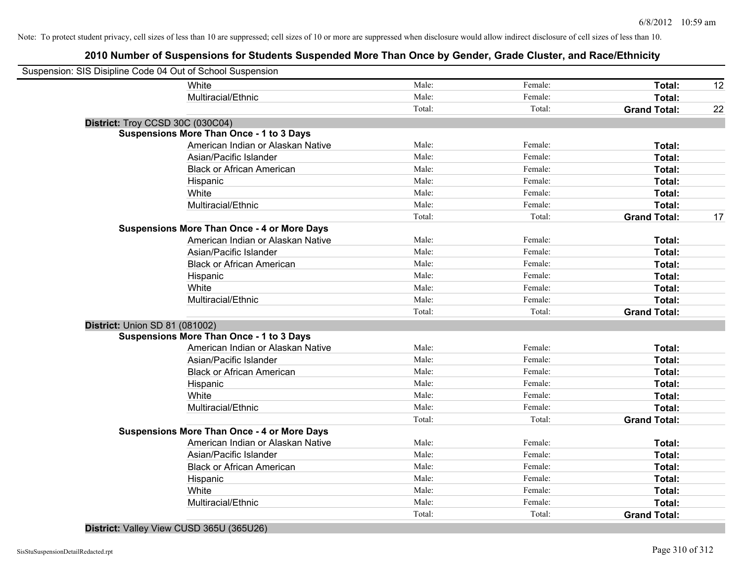# **2010 Number of Suspensions for Students Suspended More Than Once by Gender, Grade Cluster, and Race/Ethnicity**

| Suspension: SIS Disipline Code 04 Out of School Suspension |        |         |                     |    |
|------------------------------------------------------------|--------|---------|---------------------|----|
| White                                                      | Male:  | Female: | Total:              | 12 |
| Multiracial/Ethnic                                         | Male:  | Female: | Total:              |    |
|                                                            | Total: | Total:  | <b>Grand Total:</b> | 22 |
| District: Troy CCSD 30C (030C04)                           |        |         |                     |    |
| <b>Suspensions More Than Once - 1 to 3 Days</b>            |        |         |                     |    |
| American Indian or Alaskan Native                          | Male:  | Female: | Total:              |    |
| Asian/Pacific Islander                                     | Male:  | Female: | Total:              |    |
| <b>Black or African American</b>                           | Male:  | Female: | Total:              |    |
| Hispanic                                                   | Male:  | Female: | Total:              |    |
| White                                                      | Male:  | Female: | Total:              |    |
| Multiracial/Ethnic                                         | Male:  | Female: | Total:              |    |
|                                                            | Total: | Total:  | <b>Grand Total:</b> | 17 |
| <b>Suspensions More Than Once - 4 or More Days</b>         |        |         |                     |    |
| American Indian or Alaskan Native                          | Male:  | Female: | Total:              |    |
| Asian/Pacific Islander                                     | Male:  | Female: | Total:              |    |
| <b>Black or African American</b>                           | Male:  | Female: | Total:              |    |
| Hispanic                                                   | Male:  | Female: | Total:              |    |
| White                                                      | Male:  | Female: | Total:              |    |
| Multiracial/Ethnic                                         | Male:  | Female: | Total:              |    |
|                                                            | Total: | Total:  | <b>Grand Total:</b> |    |
| <b>District: Union SD 81 (081002)</b>                      |        |         |                     |    |
| Suspensions More Than Once - 1 to 3 Days                   |        |         |                     |    |
| American Indian or Alaskan Native                          | Male:  | Female: | Total:              |    |
| Asian/Pacific Islander                                     | Male:  | Female: | Total:              |    |
| <b>Black or African American</b>                           | Male:  | Female: | Total:              |    |
| Hispanic                                                   | Male:  | Female: | Total:              |    |
| White                                                      | Male:  | Female: | Total:              |    |
| Multiracial/Ethnic                                         | Male:  | Female: | Total:              |    |
|                                                            | Total: | Total:  | <b>Grand Total:</b> |    |
| <b>Suspensions More Than Once - 4 or More Days</b>         |        |         |                     |    |
| American Indian or Alaskan Native                          | Male:  | Female: | Total:              |    |
| Asian/Pacific Islander                                     | Male:  | Female: | Total:              |    |
| <b>Black or African American</b>                           | Male:  | Female: | Total:              |    |
| Hispanic                                                   | Male:  | Female: | Total:              |    |
| White                                                      | Male:  | Female: | Total:              |    |
| Multiracial/Ethnic                                         | Male:  | Female: | Total:              |    |
|                                                            | Total: | Total:  | <b>Grand Total:</b> |    |
|                                                            |        |         |                     |    |

## **District:** Valley View CUSD 365U (365U26)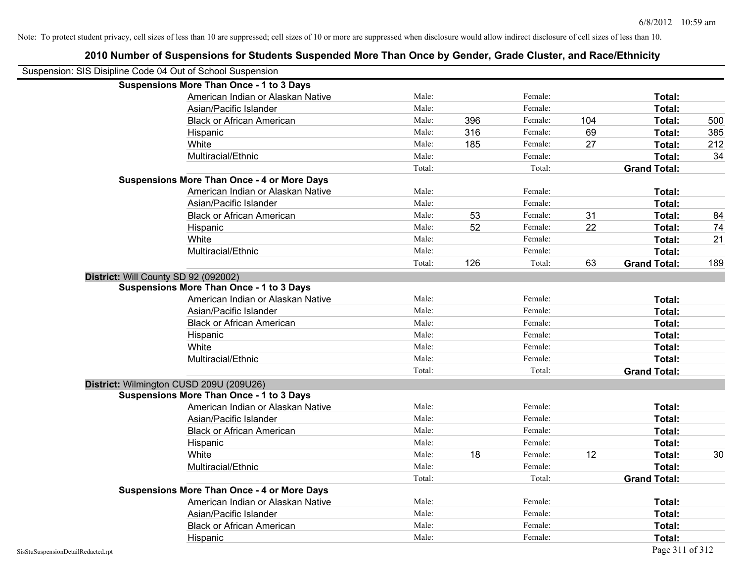|                                    | Suspension: SIS Disipline Code 04 Out of School Suspension |        |     |         |     |                     |     |
|------------------------------------|------------------------------------------------------------|--------|-----|---------|-----|---------------------|-----|
|                                    | <b>Suspensions More Than Once - 1 to 3 Days</b>            |        |     |         |     |                     |     |
|                                    | American Indian or Alaskan Native                          | Male:  |     | Female: |     | Total:              |     |
|                                    | Asian/Pacific Islander                                     | Male:  |     | Female: |     | Total:              |     |
|                                    | <b>Black or African American</b>                           | Male:  | 396 | Female: | 104 | Total:              | 500 |
|                                    | Hispanic                                                   | Male:  | 316 | Female: | 69  | Total:              | 385 |
|                                    | White                                                      | Male:  | 185 | Female: | 27  | Total:              | 212 |
|                                    | Multiracial/Ethnic                                         | Male:  |     | Female: |     | Total:              | 34  |
|                                    |                                                            | Total: |     | Total:  |     | <b>Grand Total:</b> |     |
|                                    | <b>Suspensions More Than Once - 4 or More Days</b>         |        |     |         |     |                     |     |
|                                    | American Indian or Alaskan Native                          | Male:  |     | Female: |     | Total:              |     |
|                                    | Asian/Pacific Islander                                     | Male:  |     | Female: |     | Total:              |     |
|                                    | <b>Black or African American</b>                           | Male:  | 53  | Female: | 31  | Total:              | 84  |
|                                    | Hispanic                                                   | Male:  | 52  | Female: | 22  | Total:              | 74  |
|                                    | White                                                      | Male:  |     | Female: |     | Total:              | 21  |
|                                    | Multiracial/Ethnic                                         | Male:  |     | Female: |     | Total:              |     |
|                                    |                                                            | Total: | 126 | Total:  | 63  | <b>Grand Total:</b> | 189 |
|                                    | District: Will County SD 92 (092002)                       |        |     |         |     |                     |     |
|                                    | <b>Suspensions More Than Once - 1 to 3 Days</b>            |        |     |         |     |                     |     |
|                                    | American Indian or Alaskan Native                          | Male:  |     | Female: |     | Total:              |     |
|                                    | Asian/Pacific Islander                                     | Male:  |     | Female: |     | Total:              |     |
|                                    | <b>Black or African American</b>                           | Male:  |     | Female: |     | Total:              |     |
|                                    | Hispanic                                                   | Male:  |     | Female: |     | Total:              |     |
|                                    | White                                                      | Male:  |     | Female: |     | Total:              |     |
|                                    | Multiracial/Ethnic                                         | Male:  |     | Female: |     | Total:              |     |
|                                    |                                                            | Total: |     | Total:  |     | <b>Grand Total:</b> |     |
|                                    | District: Wilmington CUSD 209U (209U26)                    |        |     |         |     |                     |     |
|                                    | <b>Suspensions More Than Once - 1 to 3 Days</b>            |        |     |         |     |                     |     |
|                                    | American Indian or Alaskan Native                          | Male:  |     | Female: |     | Total:              |     |
|                                    | Asian/Pacific Islander                                     | Male:  |     | Female: |     | Total:              |     |
|                                    | <b>Black or African American</b>                           | Male:  |     | Female: |     | Total:              |     |
|                                    | Hispanic                                                   | Male:  |     | Female: |     | Total:              |     |
|                                    | White                                                      | Male:  | 18  | Female: | 12  | Total:              | 30  |
|                                    | Multiracial/Ethnic                                         | Male:  |     | Female: |     | Total:              |     |
|                                    |                                                            | Total: |     | Total:  |     | <b>Grand Total:</b> |     |
|                                    | <b>Suspensions More Than Once - 4 or More Days</b>         |        |     |         |     |                     |     |
|                                    | American Indian or Alaskan Native                          | Male:  |     | Female: |     | Total:              |     |
|                                    | Asian/Pacific Islander                                     | Male:  |     | Female: |     | Total:              |     |
|                                    | <b>Black or African American</b>                           | Male:  |     | Female: |     | Total:              |     |
|                                    | Hispanic                                                   | Male:  |     | Female: |     | Total:              |     |
| SisStuSuspensionDetailRedacted.rpt |                                                            |        |     |         |     | Page 311 of 312     |     |